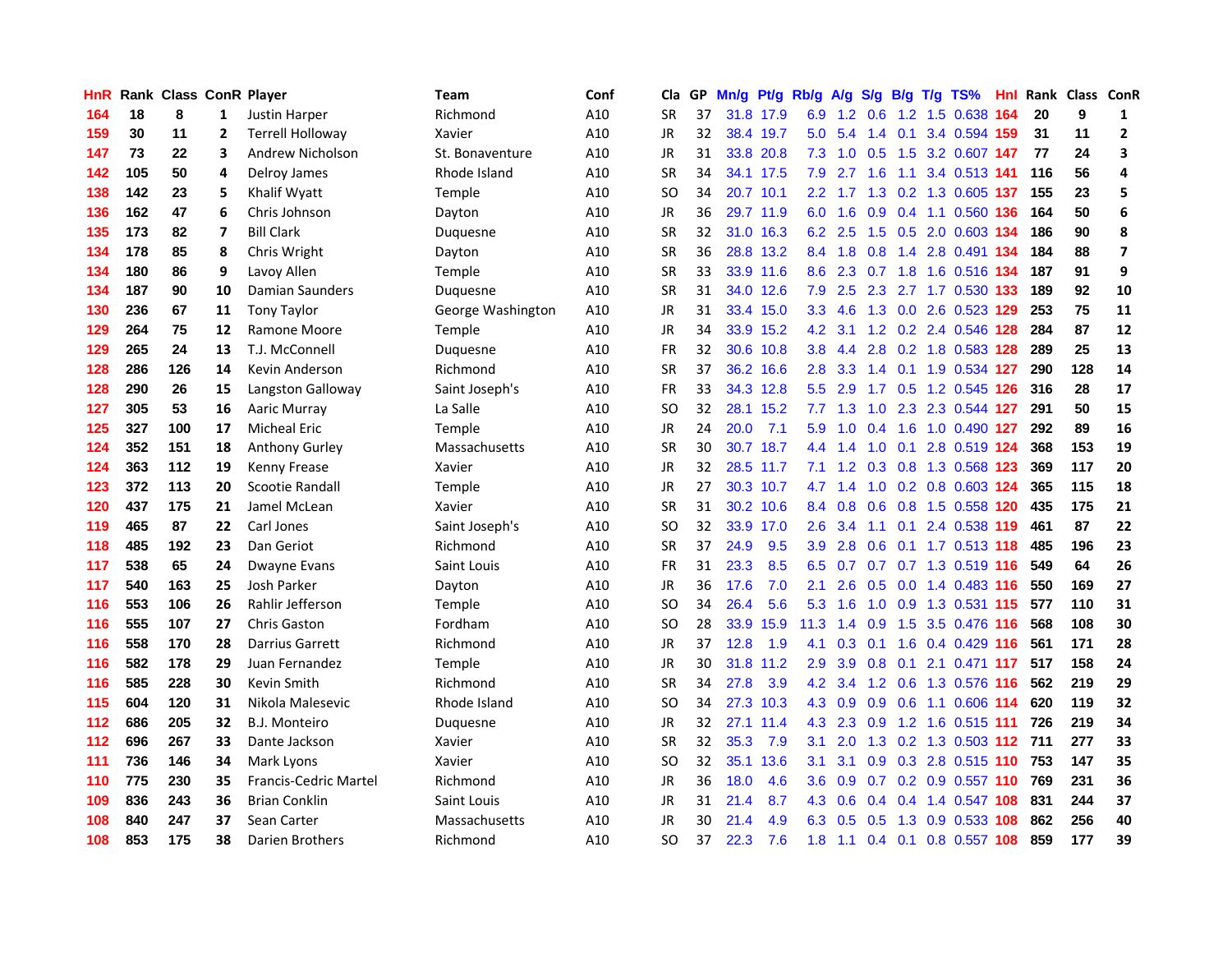| HnR |     | Rank Class ConR Player |              |                              | Team              | Conf | Cla       |    | GP Mn/g | Pt/g Rb/g A/g |                  |                 | S/g |                 | B/g T/g TS%               | Hnl |     | Rank Class ConR |                         |
|-----|-----|------------------------|--------------|------------------------------|-------------------|------|-----------|----|---------|---------------|------------------|-----------------|-----|-----------------|---------------------------|-----|-----|-----------------|-------------------------|
| 164 | 18  | 8                      | 1            | Justin Harper                | Richmond          | A10  | SR        | 37 |         | 31.8 17.9     | 6.9              | 1.2             | 0.6 | 1.2             | 1.5 0.638                 | 164 | 20  | 9               | 1                       |
| 159 | 30  | 11                     | $\mathbf{2}$ | <b>Terrell Holloway</b>      | Xavier            | A10  | JR        | 32 |         | 38.4 19.7     | 5.0              | 5.4             | 1.4 | 0.1             | 3.4 0.594 159             |     | 31  | 11              | $\mathbf{2}$            |
| 147 | 73  | 22                     | 3            | Andrew Nicholson             | St. Bonaventure   | A10  | JR        | 31 |         | 33.8 20.8     | 7.3              | 1.0             | 0.5 | 1.5             | 3.2 0.607 147             |     | 77  | 24              | 3                       |
| 142 | 105 | 50                     | 4            | Delroy James                 | Rhode Island      | A10  | <b>SR</b> | 34 |         | 34.1 17.5     | 7.9              | 2.7             | 1.6 | 1.1             | 3.4 0.513 141             |     | 116 | 56              | 4                       |
| 138 | 142 | 23                     | 5            | Khalif Wyatt                 | Temple            | A10  | <b>SO</b> | 34 |         | 20.7 10.1     |                  | $2.2 \quad 1.7$ |     |                 | 1.3 0.2 1.3 0.605 137     |     | 155 | 23              | 5                       |
| 136 | 162 | 47                     | 6            | Chris Johnson                | Dayton            | A10  | JR        | 36 |         | 29.7 11.9     | 6.0              | 1.6             |     |                 | 0.9 0.4 1.1 0.560 136     |     | 164 | 50              | 6                       |
| 135 | 173 | 82                     | 7            | <b>Bill Clark</b>            | Duquesne          | A10  | <b>SR</b> | 32 |         | 31.0 16.3     | 6.2              | 2.5             |     |                 | 1.5 0.5 2.0 0.603 134     |     | 186 | 90              | 8                       |
| 134 | 178 | 85                     | 8            | Chris Wright                 | Dayton            | A10  | <b>SR</b> | 36 |         | 28.8 13.2     | 8.4              | 1.8             | 0.8 |                 | 1.4 2.8 0.491 134         |     | 184 | 88              | $\overline{\mathbf{z}}$ |
| 134 | 180 | 86                     | 9            | Lavoy Allen                  | <b>Temple</b>     | A10  | SR        | 33 |         | 33.9 11.6     | 8.6              | 2.3             |     |                 | 0.7 1.8 1.6 0.516 134     |     | 187 | 91              | 9                       |
| 134 | 187 | 90                     | 10           | Damian Saunders              | Duguesne          | A10  | <b>SR</b> | 31 |         | 34.0 12.6     | 7.9              | 2.5             | 2.3 |                 | 2.7 1.7 0.530 133         |     | 189 | 92              | 10                      |
| 130 | 236 | 67                     | 11           | Tony Taylor                  | George Washington | A10  | JR        | 31 |         | 33.4 15.0     | 3.3              | 4.6             | 1.3 |                 | 0.0 2.6 0.523 129         |     | 253 | 75              | 11                      |
| 129 | 264 | 75                     | 12           | Ramone Moore                 | Temple            | A10  | JR        | 34 |         | 33.9 15.2     | 4.2              | 3.1             |     |                 | 1.2 0.2 2.4 0.546         | 128 | 284 | 87              | 12                      |
| 129 | 265 | 24                     | 13           | T.J. McConnell               | Duguesne          | A10  | <b>FR</b> | 32 |         | 30.6 10.8     | 3.8 <sub>1</sub> | 4.4             | 2.8 |                 | 0.2 1.8 0.583 128         |     | 289 | 25              | 13                      |
| 128 | 286 | 126                    | 14           | Kevin Anderson               | Richmond          | A10  | SR        | 37 |         | 36.2 16.6     | 2.8              | 3.3             | 1.4 |                 | $0.1$ 1.9 0.534           | 127 | 290 | 128             | 14                      |
| 128 | 290 | 26                     | 15           | Langston Galloway            | Saint Joseph's    | A10  | FR        | 33 |         | 34.3 12.8     | 5.5              | 2.9             | 1.7 | 0.5             | 1.2 0.545                 | 126 | 316 | 28              | 17                      |
| 127 | 305 | 53                     | 16           | <b>Aaric Murray</b>          | La Salle          | A10  | SO        | 32 |         | 28.1 15.2     | 7.7              | 1.3             | 1.0 | 2.3             | 2.3 0.544 127             |     | 291 | 50              | 15                      |
| 125 | 327 | 100                    | 17           | <b>Micheal Eric</b>          | Temple            | A10  | JR        | 24 | 20.0    | 7.1           | 5.9              | 1.0             | 0.4 | 1.6             | 1.0 0.490 127             |     | 292 | 89              | 16                      |
| 124 | 352 | 151                    | 18           | Anthony Gurley               | Massachusetts     | A10  | <b>SR</b> | 30 |         | 30.7 18.7     |                  | $4.4$ 1.4       | 1.0 |                 | 0.1 2.8 0.519 124         |     | 368 | 153             | 19                      |
| 124 | 363 | 112                    | 19           | Kenny Frease                 | Xavier            | A10  | JR        | 32 |         | 28.5 11.7     | 7.1              |                 |     |                 | 1.2 0.3 0.8 1.3 0.568 123 |     | 369 | 117             | 20                      |
| 123 | 372 | 113                    | 20           | Scootie Randall              | Temple            | A10  | JR        | 27 |         | 30.3 10.7     | 4.7              | 1.4             |     |                 | 1.0 0.2 0.8 0.603 124     |     | 365 | 115             | 18                      |
| 120 | 437 | 175                    | 21           | Jamel McLean                 | Xavier            | A10  | <b>SR</b> | 31 |         | 30.2 10.6     |                  | 8.4 0.8         |     |                 | 0.6 0.8 1.5 0.558 120     |     | 435 | 175             | 21                      |
| 119 | 465 | 87                     | 22           | Carl Jones                   | Saint Joseph's    | A10  | SO        | 32 |         | 33.9 17.0     | $2.6\,$          | 3.4             | 1.1 |                 | 0.1 2.4 0.538 119         |     | 461 | 87              | 22                      |
| 118 | 485 | 192                    | 23           | Dan Geriot                   | Richmond          | A10  | <b>SR</b> | 37 | 24.9    | 9.5           | 3.9              | 2.8             | 0.6 |                 | 0.1 1.7 0.513 118         |     | 485 | 196             | 23                      |
| 117 | 538 | 65                     | 24           | Dwayne Evans                 | Saint Louis       | A10  | FR        | 31 | 23.3    | 8.5           | 6.5              | 0.7             |     |                 | 0.7 0.7 1.3 0.519 116     |     | 549 | 64              | 26                      |
| 117 | 540 | 163                    | 25           | Josh Parker                  | Dayton            | A10  | JR        | 36 | 17.6    | 7.0           | 2.1              | 2.6             | 0.5 |                 | 0.0 1.4 0.483 116         |     | 550 | 169             | 27                      |
| 116 | 553 | 106                    | 26           | Rahlir Jefferson             | <b>Temple</b>     | A10  | SO        | 34 | 26.4    | 5.6           | 5.3              | 1.6             | 1.0 | 0.9             | 1.3 0.531 115             |     | 577 | 110             | 31                      |
| 116 | 555 | 107                    | 27           | <b>Chris Gaston</b>          | Fordham           | A10  | <b>SO</b> | 28 | 33.9    | 15.9          | 11.3             | 1.4             | 0.9 | 1.5             | 3.5 0.476 116             |     | 568 | 108             | 30                      |
| 116 | 558 | 170                    | 28           | Darrius Garrett              | Richmond          | A10  | <b>JR</b> | 37 | 12.8    | 1.9           | 4.1              | 0.3             | 0.1 | 1.6             | 0.4 0.429 116             |     | 561 | 171             | 28                      |
| 116 | 582 | 178                    | 29           | Juan Fernandez               | Temple            | A10  | JR        | 30 | 31.8    | 11.2          | 2.9              | 3.9             | 0.8 | 0.1             | 2.1 0.471 117             |     | 517 | 158             | 24                      |
| 116 | 585 | 228                    | 30           | <b>Kevin Smith</b>           | Richmond          | A10  | <b>SR</b> | 34 | 27.8    | 3.9           | 4.2              | 3.4             |     | $1.2 \quad 0.6$ | 1.3 0.576 116             |     | 562 | 219             | 29                      |
| 115 | 604 | 120                    | 31           | Nikola Malesevic             | Rhode Island      | A10  | SO        | 34 |         | 27.3 10.3     |                  | 4.3 0.9         |     |                 | 0.9 0.6 1.1 0.606 114     |     | 620 | 119             | 32                      |
| 112 | 686 | 205                    | 32           | B.J. Monteiro                | Duquesne          | A10  | <b>JR</b> | 32 |         | 27.1 11.4     | 4.3              |                 |     |                 | 2.3 0.9 1.2 1.6 0.515 111 |     | 726 | 219             | 34                      |
| 112 | 696 | 267                    | 33           | Dante Jackson                | Xavier            | A10  | <b>SR</b> | 32 | 35.3    | 7.9           | 3.1              | 2.0             |     |                 | 1.3 0.2 1.3 0.503 112 711 |     |     | 277             | 33                      |
| 111 | 736 | 146                    | 34           | Mark Lyons                   | Xavier            | A10  | SO        | 32 |         | 35.1 13.6     | 3.1              | 3.1             |     |                 | 0.9 0.3 2.8 0.515 110     |     | 753 | 147             | 35                      |
| 110 | 775 | 230                    | 35           | <b>Francis-Cedric Martel</b> | Richmond          | A10  | JR        | 36 | 18.0    | 4.6           | 3.6              | 0.9             |     |                 | 0.7 0.2 0.9 0.557 110     |     | 769 | 231             | 36                      |
| 109 | 836 | 243                    | 36           | <b>Brian Conklin</b>         | Saint Louis       | A10  | JR        | 31 | 21.4    | 8.7           | 4.3              | 0.6             | 0.4 | 0.4             | 1.4 0.547 108             |     | 831 | 244             | 37                      |
| 108 | 840 | 247                    | 37           | Sean Carter                  | Massachusetts     | A10  | JR        | 30 | 21.4    | 4.9           | 6.3              | 0.5             | 0.5 | 1.3             | 0.9 0.533                 | 108 | 862 | 256             | 40                      |
| 108 | 853 | 175                    | 38           | Darien Brothers              | Richmond          | A10  | SO        | 37 | 22.3    | 7.6           | 1.8              | 1.1             |     | $0.4 \quad 0.1$ | 0.8 0.557 108             |     | 859 | 177             | 39                      |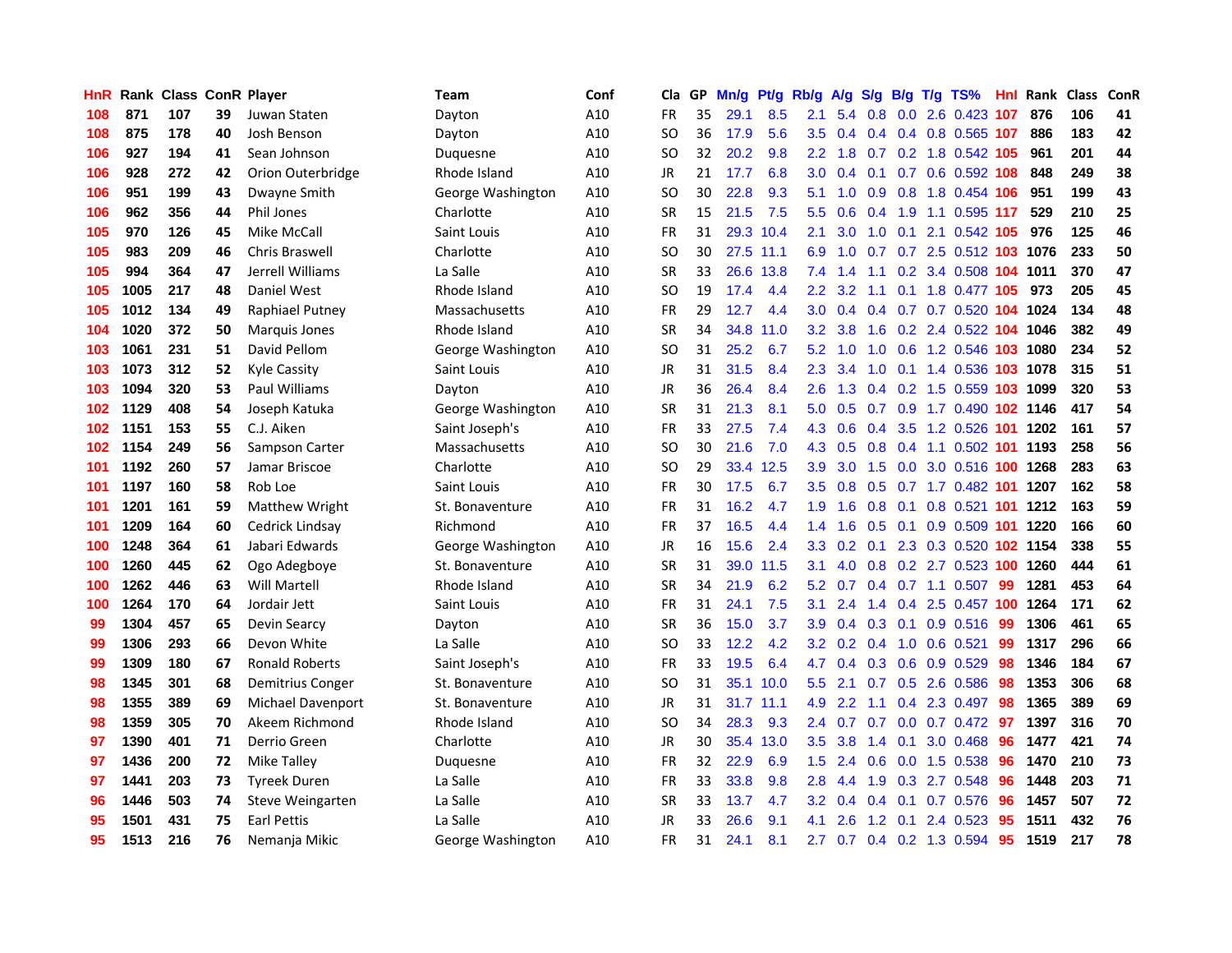| HnR |      | Rank Class ConR Player |    |                       | Team              | Conf | Cla       |    | GP Mn/g | Pt/g      | Rb/g             | A/g            | S/g | B/g             | $T/g$ TS%                 | Hnl. | Rank Class |     | ConR |
|-----|------|------------------------|----|-----------------------|-------------------|------|-----------|----|---------|-----------|------------------|----------------|-----|-----------------|---------------------------|------|------------|-----|------|
| 108 | 871  | 107                    | 39 | Juwan Staten          | Dayton            | A10  | <b>FR</b> | 35 | 29.1    | 8.5       | 2.1              | 5.4            | 0.8 | 0.0             | 2.6 0.423                 | 107  | 876        | 106 | 41   |
| 108 | 875  | 178                    | 40 | Josh Benson           | Dayton            | A10  | SO        | 36 | 17.9    | 5.6       | $3.5^{\circ}$    | 0.4            | 0.4 | 0.4             | 0.8 0.565 107             |      | 886        | 183 | 42   |
| 106 | 927  | 194                    | 41 | Sean Johnson          | Duquesne          | A10  | SO        | 32 | 20.2    | 9.8       | $2.2^{\circ}$    | 1.8            |     |                 | 0.7 0.2 1.8 0.542 105     |      | 961        | 201 | 44   |
| 106 | 928  | 272                    | 42 | Orion Outerbridge     | Rhode Island      | A10  | JR        | 21 | 17.7    | 6.8       | 3.0 <sub>1</sub> | 0.4            |     |                 | 0.1 0.7 0.6 0.592 108     |      | 848        | 249 | 38   |
| 106 | 951  | 199                    | 43 | Dwayne Smith          | George Washington | A10  | <b>SO</b> | 30 | 22.8    | 9.3       | 5.1              |                |     |                 | 1.0 0.9 0.8 1.8 0.454 106 |      | 951        | 199 | 43   |
| 106 | 962  | 356                    | 44 | <b>Phil Jones</b>     | Charlotte         | A10  | <b>SR</b> | 15 | 21.5    | 7.5       | 5.5 <sub>1</sub> | 0.6            |     |                 | 0.4 1.9 1.1 0.595 117     |      | 529        | 210 | 25   |
| 105 | 970  | 126                    | 45 | Mike McCall           | Saint Louis       | A10  | FR        | 31 |         | 29.3 10.4 | 2.1              | 3.0            | 1.0 |                 | 0.1 2.1 0.542 105         |      | 976        | 125 | 46   |
| 105 | 983  | 209                    | 46 | Chris Braswell        | Charlotte         | A10  | SO        | 30 |         | 27.5 11.1 | 6.9              | 1.0            |     |                 | 0.7 0.7 2.5 0.512 103     |      | 1076       | 233 | 50   |
| 105 | 994  | 364                    | 47 | Jerrell Williams      | La Salle          | A10  | <b>SR</b> | 33 | 26.6    | 13.8      | 7.4              | 1.4            | 1.1 |                 | 0.2 3.4 0.508 104         |      | 1011       | 370 | 47   |
| 105 | 1005 | 217                    | 48 | Daniel West           | Rhode Island      | A10  | <b>SO</b> | 19 | 17.4    | 4.4       | $2.2^{\circ}$    | 3.2            | 1.1 | 0.1             | 1.8 0.477 105             |      | 973        | 205 | 45   |
| 105 | 1012 | 134                    | 49 | Raphiael Putney       | Massachusetts     | A10  | <b>FR</b> | 29 | 12.7    | 4.4       | 3.0              | 0.4            | 0.4 |                 | 0.7 0.7 0.520 104         |      | 1024       | 134 | 48   |
| 104 | 1020 | 372                    | 50 | Marquis Jones         | Rhode Island      | A10  | <b>SR</b> | 34 | 34.8    | 11.0      | 3.2 <sub>2</sub> | 3.8            | 1.6 | 0.2             | 2.4 0.522                 | 104  | 1046       | 382 | 49   |
| 103 | 1061 | 231                    | 51 | David Pellom          | George Washington | A10  | SO        | 31 | 25.2    | 6.7       | 5.2              | 1.0            | 1.0 | 0.6             | 1.2 0.546 103             |      | 1080       | 234 | 52   |
| 103 | 1073 | 312                    | 52 | <b>Kyle Cassity</b>   | Saint Louis       | A10  | <b>JR</b> | 31 | 31.5    | 8.4       | 2.3              | 3.4            | 1.0 | 0.1             | 1.4 0.536                 | 103  | 1078       | 315 | 51   |
| 103 | 1094 | 320                    | 53 | <b>Paul Williams</b>  | Dayton            | A10  | JR        | 36 | 26.4    | 8.4       | $2.6\,$          | 1.3            | 0.4 | 0.2             | 1.5 0.559 103             |      | 1099       | 320 | 53   |
| 102 | 1129 | 408                    | 54 | Joseph Katuka         | George Washington | A10  | <b>SR</b> | 31 | 21.3    | 8.1       | 5.0              | 0.5            | 0.7 |                 | 0.9 1.7 0.490 102 1146    |      |            | 417 | 54   |
| 102 | 1151 | 153                    | 55 | C.J. Aiken            | Saint Joseph's    | A10  | <b>FR</b> | 33 | 27.5    | 7.4       | 4.3              | 0.6            | 0.4 |                 | 3.5 1.2 0.526 101         |      | 1202       | 161 | 57   |
| 102 | 1154 | 249                    | 56 | Sampson Carter        | Massachusetts     | A10  | SO        | 30 | 21.6    | 7.0       |                  | 4.3 0.5        |     |                 | 0.8 0.4 1.1 0.502 101     |      | 1193       | 258 | 56   |
| 101 | 1192 | 260                    | 57 | Jamar Briscoe         | Charlotte         | A10  | SO        | 29 | 33.4    | 12.5      | 3.9              | 3.0            |     |                 | 1.5 0.0 3.0 0.516 100     |      | 1268       | 283 | 63   |
| 101 | 1197 | 160                    | 58 | Rob Loe               | Saint Louis       | A10  | FR        | 30 | 17.5    | 6.7       | 3.5              | 0.8            |     |                 | 0.5 0.7 1.7 0.482 101     |      | 1207       | 162 | 58   |
| 101 | 1201 | 161                    | 59 | Matthew Wright        | St. Bonaventure   | A10  | FR        | 31 | 16.2    | 4.7       | 1.9              | 1.6            | 0.8 |                 | 0.1 0.8 0.521 101         |      | 1212       | 163 | 59   |
| 101 | 1209 | 164                    | 60 | Cedrick Lindsay       | Richmond          | A10  | <b>FR</b> | 37 | 16.5    | 4.4       | $1.4^{\circ}$    | 1.6            | 0.5 | 0.1             | 0.9 0.509 101             |      | 1220       | 166 | 60   |
| 100 | 1248 | 364                    | 61 | Jabari Edwards        | George Washington | A10  | JR        | 16 | 15.6    | 2.4       | 3.3 <sub>2</sub> | 0.2            | 0.1 |                 | 2.3 0.3 0.520 102 1154    |      |            | 338 | 55   |
| 100 | 1260 | 445                    | 62 | Ogo Adegboye          | St. Bonaventure   | A10  | SR        | 31 | 39.0    | 11.5      | 3.1              | 4.0            |     |                 | 0.8 0.2 2.7 0.523 100     |      | 1260       | 444 | 61   |
| 100 | 1262 | 446                    | 63 | <b>Will Martell</b>   | Rhode Island      | A10  | SR        | 34 | 21.9    | 6.2       | 5.2              | 0.7            |     |                 | $0.4$ 0.7 1.1 0.507       | -99  | 1281       | 453 | 64   |
| 100 | 1264 | 170                    | 64 | Jordair Jett          | Saint Louis       | A10  | FR        | 31 | 24.1    | 7.5       | 3.1              | 2.4            | 1.4 | 0.4             | 2.5 0.457 100             |      | 1264       | 171 | 62   |
| 99  | 1304 | 457                    | 65 | <b>Devin Searcy</b>   | Dayton            | A10  | <b>SR</b> | 36 | 15.0    | 3.7       | 3.9              | 0.4            | 0.3 | 0.1             | 0.9 0.516                 | 99   | 1306       | 461 | 65   |
| 99  | 1306 | 293                    | 66 | Devon White           | La Salle          | A10  | SO        | 33 | 12.2    | 4.2       | 3.2 <sub>1</sub> | 0.2            | 0.4 | 1.0             | $0.6$ $0.521$             | 99   | 1317       | 296 | 66   |
| 99  | 1309 | 180                    | 67 | <b>Ronald Roberts</b> | Saint Joseph's    | A10  | <b>FR</b> | 33 | 19.5    | 6.4       | 4.7              | 0.4            | 0.3 | 0.6             | 0.9 0.529                 | 98   | 1346       | 184 | 67   |
| 98  | 1345 | 301                    | 68 | Demitrius Conger      | St. Bonaventure   | A10  | SO        | 31 | 35.1    | 10.0      | 5.5 <sub>1</sub> | 2.1            | 0.7 | 0.5             | 2.6 0.586                 | 98   | 1353       | 306 | 68   |
| 98  | 1355 | 389                    | 69 | Michael Davenport     | St. Bonaventure   | A10  | JR        | 31 |         | 31.7 11.1 | 4.9              | 2.2            | 1.1 |                 | 0.4 2.3 0.497             | -98  | 1365       | 389 | 69   |
| 98  | 1359 | 305                    | 70 | Akeem Richmond        | Rhode Island      | A10  | SO        | 34 | 28.3    | 9.3       |                  | $2.4\quad 0.7$ |     |                 | 0.7 0.0 0.7 0.472 97      |      | 1397       | 316 | 70   |
| 97  | 1390 | 401                    | 71 | Derrio Green          | Charlotte         | A10  | JR        | 30 | 35.4    | 13.0      |                  | $3.5$ $3.8$    |     | $1.4 \quad 0.1$ | 3.0 0.468                 | 96   | 1477       | 421 | 74   |
| 97  | 1436 | 200                    | 72 | Mike Talley           | Duquesne          | A10  | FR        | 32 | 22.9    | 6.9       | 1.5              | 2.4            | 0.6 | 0.0             | 1.5 0.538                 | 96   | 1470       | 210 | 73   |
| 97  | 1441 | 203                    | 73 | <b>Tyreek Duren</b>   | La Salle          | A10  | FR        | 33 | 33.8    | 9.8       | 2.8              | 4.4            | 1.9 | 0.3             | 2.7 0.548                 | 96   | 1448       | 203 | 71   |
| 96  | 1446 | 503                    | 74 | Steve Weingarten      | La Salle          | A10  | <b>SR</b> | 33 | 13.7    | 4.7       | 3.2 <sub>1</sub> | 0.4            | 0.4 | 0.1             | 0.7 0.576                 | 96   | 1457       | 507 | 72   |
| 95  | 1501 | 431                    | 75 | Earl Pettis           | La Salle          | A10  | <b>JR</b> | 33 | 26.6    | 9.1       | 4.1              | 2.6            | 1.2 | 0.1             | 2.4 0.523                 | 95   | 1511       | 432 | 76   |
| 95  | 1513 | 216                    | 76 | Nemanja Mikic         | George Washington | A10  | FR        | 31 | 24.1    | 8.1       | $2.7^{\circ}$    |                |     |                 | 0.7 0.4 0.2 1.3 0.594     | 95   | 1519       | 217 | 78   |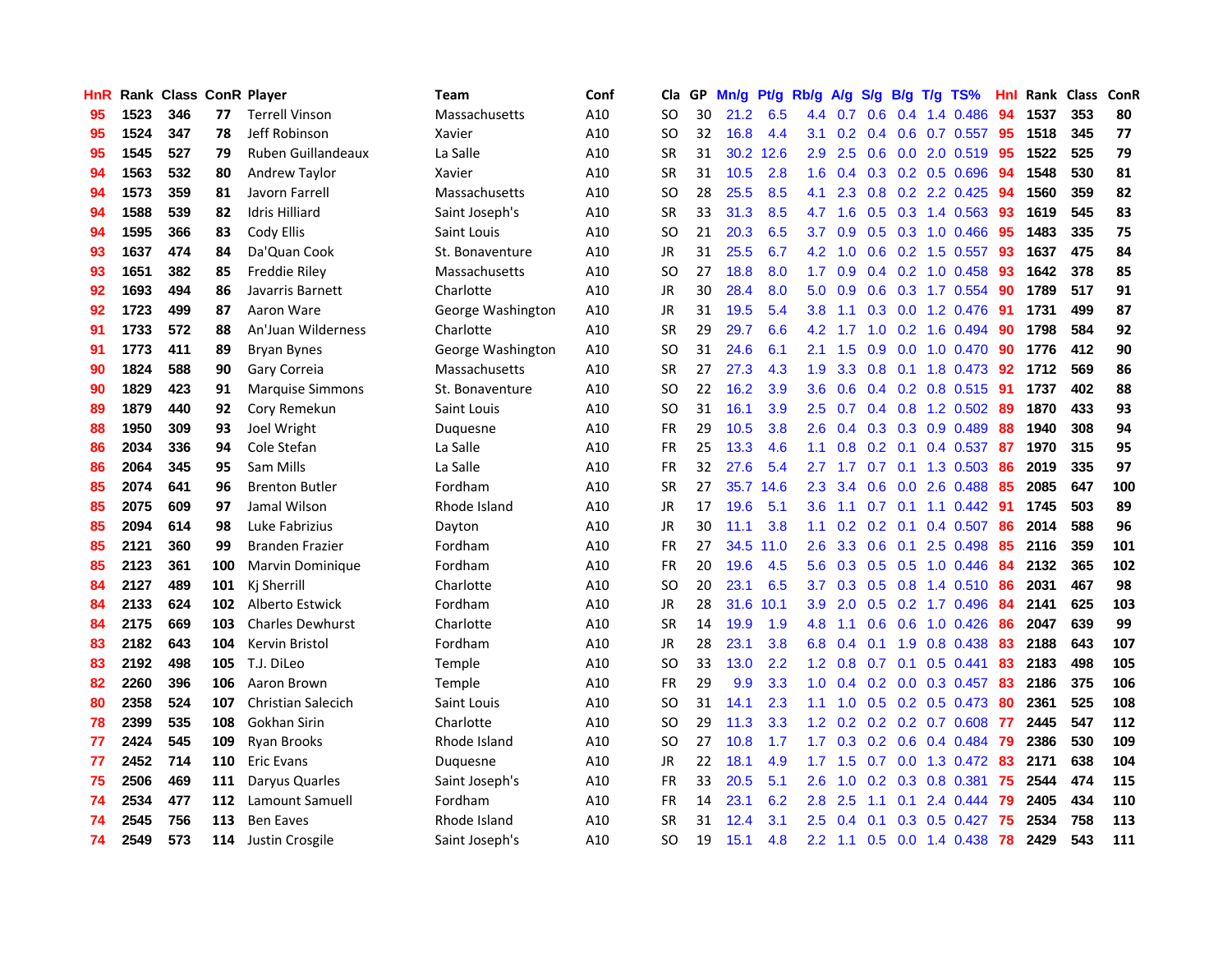| HnR |      | Rank Class ConR Player |     |                           | Team              | Conf | Cla       |    | GP Mn/g | Pt/g      | Rb/g             | A/g             |     |                  | S/g B/g T/g TS%           | Hnl | Rank Class |     | ConR |
|-----|------|------------------------|-----|---------------------------|-------------------|------|-----------|----|---------|-----------|------------------|-----------------|-----|------------------|---------------------------|-----|------------|-----|------|
| 95  | 1523 | 346                    | 77  | <b>Terrell Vinson</b>     | Massachusetts     | A10  | SO.       | 30 | 21.2    | 6.5       | 4.4              | 0.7             | 0.6 | 0.4              | 1.4 0.486                 | 94  | 1537       | 353 | 80   |
| 95  | 1524 | 347                    | 78  | Jeff Robinson             | Xavier            | A10  | <b>SO</b> | 32 | 16.8    | 4.4       | 3.1              | 0.2             |     | $0.4\quad 0.6$   | $0.7$ 0.557               | -95 | 1518       | 345 | 77   |
| 95  | 1545 | 527                    | 79  | <b>Ruben Guillandeaux</b> | La Salle          | A10  | <b>SR</b> | 31 |         | 30.2 12.6 | 2.9              | 2.5             | 0.6 | 0.0              | 2.0 0.519                 | -95 | 1522       | 525 | 79   |
| 94  | 1563 | 532                    | 80  | Andrew Taylor             | Xavier            | A10  | <b>SR</b> | 31 | 10.5    | 2.8       | 1.6              | 0.4             |     |                  | 0.3 0.2 0.5 0.696         | -94 | 1548       | 530 | 81   |
| 94  | 1573 | 359                    | 81  | Javorn Farrell            | Massachusetts     | A10  | <b>SO</b> | 28 | 25.5    | 8.5       | 4.1              | 2.3             |     |                  | 0.8 0.2 2.2 0.425         | -94 | 1560       | 359 | 82   |
| 94  | 1588 | 539                    | 82  | <b>Idris Hilliard</b>     | Saint Joseph's    | A10  | <b>SR</b> | 33 | 31.3    | 8.5       | 4.7              | 1.6             |     |                  | $0.5$ 0.3 1.4 0.563       | -93 | 1619       | 545 | 83   |
| 94  | 1595 | 366                    | 83  | Cody Ellis                | Saint Louis       | A10  | SO.       | 21 | 20.3    | 6.5       | 3.7              | 0.9             |     |                  | $0.5$ $0.3$ 1.0 $0.466$   | 95  | 1483       | 335 | 75   |
| 93  | 1637 | 474                    | 84  | Da'Quan Cook              | St. Bonaventure   | A10  | JR        | 31 | 25.5    | 6.7       | 4.2              | 1.0             |     |                  | 0.6 0.2 1.5 0.557         | 93  | 1637       | 475 | 84   |
| 93  | 1651 | 382                    | 85  | Freddie Riley             | Massachusetts     | A10  | <b>SO</b> | 27 | 18.8    | 8.0       | 1.7              | 0.9             |     |                  | $0.4$ 0.2 1.0 0.458       | 93  | 1642       | 378 | 85   |
| 92  | 1693 | 494                    | 86  | Javarris Barnett          | Charlotte         | A10  | <b>JR</b> | 30 | 28.4    | 8.0       | 5.0              | 0.9             |     |                  | 0.6 0.3 1.7 0.554         | -90 | 1789       | 517 | 91   |
| 92  | 1723 | 499                    | 87  | Aaron Ware                | George Washington | A10  | JR        | 31 | 19.5    | 5.4       | 3.8              | 1.1             |     |                  | 0.3 0.0 1.2 0.476         | -91 | 1731       | 499 | 87   |
| 91  | 1733 | 572                    | 88  | An'Juan Wilderness        | Charlotte         | A10  | <b>SR</b> | 29 | 29.7    | 6.6       | 4.2              | 1.7             | 1.0 | 0.2              | 1.6 0.494                 | 90  | 1798       | 584 | 92   |
| 91  | 1773 | 411                    | 89  | <b>Bryan Bynes</b>        | George Washington | A10  | SO.       | 31 | 24.6    | 6.1       | 2.1              | 1.5             | 0.9 | 0.0              | 1.0 0.470                 | -90 | 1776       | 412 | 90   |
| 90  | 1824 | 588                    | 90  | Gary Correia              | Massachusetts     | A10  | <b>SR</b> | 27 | 27.3    | 4.3       | 1.9              | 3.3             | 0.8 | 0.1              | 1.8 0.473                 | 92  | 1712       | 569 | 86   |
| 90  | 1829 | 423                    | 91  | <b>Marquise Simmons</b>   | St. Bonaventure   | A10  | <b>SO</b> | 22 | 16.2    | 3.9       | 3.6              | 0.6             |     | $0.4 \quad 0.2$  | 0.8 0.515                 | -91 | 1737       | 402 | 88   |
| 89  | 1879 | 440                    | 92  | Cory Remekun              | Saint Louis       | A10  | <b>SO</b> | 31 | 16.1    | 3.9       | $2.5\,$          | 0.7             |     |                  | $0.4$ 0.8 1.2 0.502       | -89 | 1870       | 433 | 93   |
| 88  | 1950 | 309                    | 93  | Joel Wright               | Duquesne          | A10  | FR        | 29 | 10.5    | 3.8       | $2.6^{\circ}$    | 0.4             |     |                  | 0.3 0.3 0.9 0.489         | 88  | 1940       | 308 | 94   |
| 86  | 2034 | 336                    | 94  | Cole Stefan               | La Salle          | A10  | <b>FR</b> | 25 | 13.3    | 4.6       | 1.1              | 0.8             |     |                  | $0.2$ 0.1 0.4 0.537       | -87 | 1970       | 315 | 95   |
| 86  | 2064 | 345                    | 95  | Sam Mills                 | La Salle          | A10  | <b>FR</b> | 32 | 27.6    | 5.4       | 2.7              | 1.7             |     |                  | $0.7$ 0.1 1.3 0.503       | 86  | 2019       | 335 | 97   |
| 85  | 2074 | 641                    | 96  | <b>Brenton Butler</b>     | Fordham           | A10  | <b>SR</b> | 27 |         | 35.7 14.6 | $2.3\phantom{0}$ | 3.4             |     |                  | $0.6$ $0.0$ 2.6 $0.488$   | -85 | 2085       | 647 | 100  |
| 85  | 2075 | 609                    | 97  | Jamal Wilson              | Rhode Island      | A10  | JR        | 17 | 19.6    | 5.1       | 3.6              | 1.1             |     |                  | $0.7$ $0.1$ $1.1$ $0.442$ | 91  | 1745       | 503 | 89   |
| 85  | 2094 | 614                    | 98  | Luke Fabrizius            | Dayton            | A10  | <b>JR</b> | 30 | 11.1    | 3.8       | 1.1              | 0.2             |     | $0.2 \quad 0.1$  | 0.4 0.507                 | 86  | 2014       | 588 | 96   |
| 85  | 2121 | 360                    | 99  | <b>Branden Frazier</b>    | Fordham           | A10  | <b>FR</b> | 27 | 34.5    | 11.0      | 2.6              | 3.3             |     | $0.6 \quad 0.1$  | 2.5 0.498                 | 85  | 2116       | 359 | 101  |
| 85  | 2123 | 361                    | 100 | Marvin Dominique          | Fordham           | A10  | FR        | 20 | 19.6    | 4.5       | 5.6              | 0.3             |     |                  | $0.5$ $0.5$ 1.0 $0.446$   | 84  | 2132       | 365 | 102  |
| 84  | 2127 | 489                    | 101 | Ki Sherrill               | Charlotte         | A10  | SO.       | 20 | 23.1    | 6.5       | 3.7              | 0.3             |     | $0.5 \quad 0.8$  | 1.4 0.510                 | 86  | 2031       | 467 | 98   |
| 84  | 2133 | 624                    | 102 | <b>Alberto Estwick</b>    | Fordham           | A10  | <b>JR</b> | 28 | 31.6    | 10.1      | 3.9              | 2.0             | 0.5 |                  | 0.2 1.7 0.496             | -84 | 2141       | 625 | 103  |
| 84  | 2175 | 669                    | 103 | <b>Charles Dewhurst</b>   | Charlotte         | A10  | <b>SR</b> | 14 | 19.9    | 1.9       | 4.8              | 1.1             | 0.6 | 0.6              | 1.0 0.426                 | 86  | 2047       | 639 | 99   |
| 83  | 2182 | 643                    | 104 | Kervin Bristol            | Fordham           | A10  | JR        | 28 | 23.1    | 3.8       | 6.8              | 0.4             | 0.1 | 1.9              | 0.8 0.438                 | 83  | 2188       | 643 | 107  |
| 83  | 2192 | 498                    | 105 | T.J. DiLeo                | Temple            | A10  | <b>SO</b> | 33 | 13.0    | 2.2       | 1.2 <sub>1</sub> | 0.8             | 0.7 | 0.1              | $0.5$ 0.441               | 83  | 2183       | 498 | 105  |
| 82  | 2260 | 396                    | 106 | Aaron Brown               | Temple            | A10  | <b>FR</b> | 29 | 9.9     | 3.3       | 1.0 <sub>1</sub> | 0.4             |     |                  | $0.2$ 0.0 0.3 0.457       | -83 | 2186       | 375 | 106  |
| 80  | 2358 | 524                    | 107 | <b>Christian Salecich</b> | Saint Louis       | A10  | <b>SO</b> | 31 | 14.1    | 2.3       | 1.1 <sup>1</sup> | 1.0             |     |                  | $0.5$ $0.2$ $0.5$ $0.473$ | -80 | 2361       | 525 | 108  |
| 78  | 2399 | 535                    | 108 | Gokhan Sirin              | Charlotte         | A10  | <b>SO</b> | 29 | 11.3    | 3.3       | 1.2 <sub>1</sub> | 0.2             |     |                  | $0.2$ $0.2$ $0.7$ $0.608$ | -77 | 2445       | 547 | 112  |
| 77  | 2424 | 545                    | 109 | <b>Ryan Brooks</b>        | Rhode Island      | A10  | <b>SO</b> | 27 | 10.8    | 1.7       | 1.7              | 0.3             |     |                  | $0.2$ 0.6 0.4 0.484       | -79 | 2386       | 530 | 109  |
| 77  | 2452 | 714                    | 110 | <b>Eric Evans</b>         | Duquesne          | A10  | JR        | 22 | 18.1    | 4.9       | 1.7 <sup>2</sup> | 1.5             | 0.7 |                  | 0.0 1.3 0.472             | 83  | 2171       | 638 | 104  |
| 75  | 2506 | 469                    | 111 | Daryus Quarles            | Saint Joseph's    | A10  | <b>FR</b> | 33 | 20.5    | 5.1       | 2.6              | 1.0             | 0.2 |                  | 0.3 0.8 0.381             | 75  | 2544       | 474 | 115  |
| 74  | 2534 | 477                    | 112 | Lamount Samuell           | Fordham           | A10  | FR        | 14 | 23.1    | 6.2       | 2.8              | 2.5             | 1.1 | 0.1              | 2.4 0.444                 | -79 | 2405       | 434 | 110  |
| 74  | 2545 | 756                    | 113 | <b>Ben Eaves</b>          | Rhode Island      | A10  | <b>SR</b> | 31 | 12.4    | 3.1       | 2.5              | 0.4             | 0.1 | 0.3 <sub>2</sub> | $0.5$ 0.427               | 75  | 2534       | 758 | 113  |
| 74  | 2549 | 573                    |     | 114 Justin Crosgile       | Saint Joseph's    | A10  | <b>SO</b> | 19 | 15.1    | 4.8       |                  | $2.2 \quad 1.1$ |     |                  | $0.5$ $0.0$ 1.4 $0.438$   | 78  | 2429       | 543 | 111  |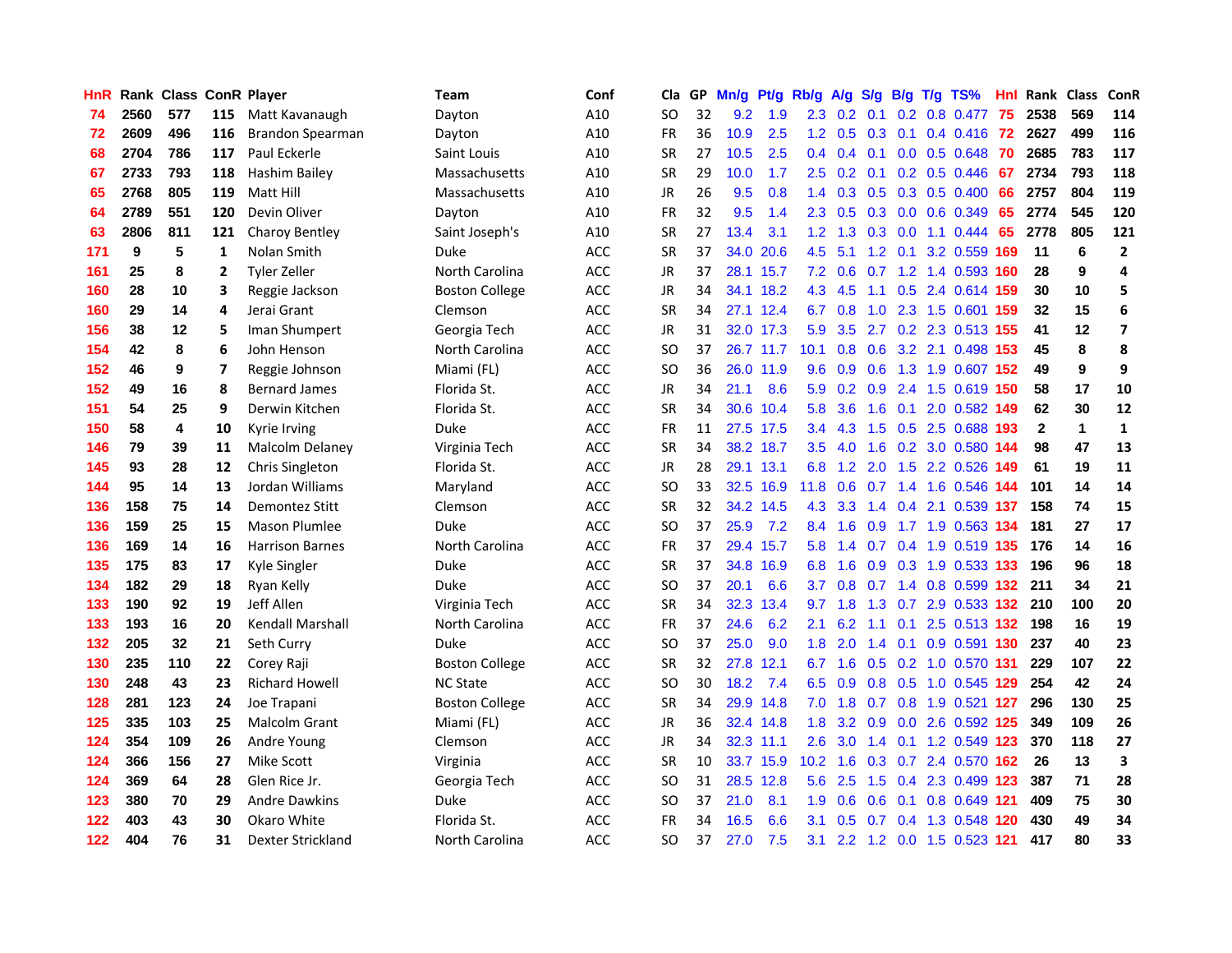| HnR |      |     |     | <b>Rank Class ConR Player</b> | Team                  | Conf       | Cla           |    | GP Mn/g   | Pt/g      | Rb/g              | A/g             | S/g           | B/g | $T/g$ TS%                 | Hnl. | Rank Class   |              | ConR                    |
|-----|------|-----|-----|-------------------------------|-----------------------|------------|---------------|----|-----------|-----------|-------------------|-----------------|---------------|-----|---------------------------|------|--------------|--------------|-------------------------|
| 74  | 2560 | 577 | 115 | Matt Kavanaugh                | Dayton                | A10        | SO            | 32 | 9.2       | 1.9       | $2.3\phantom{0}$  | 0.2             | 0.1           | 0.2 | 0.8 0.477                 | -75  | 2538         | 569          | 114                     |
| 72  | 2609 | 496 | 116 | <b>Brandon Spearman</b>       | Dayton                | A10        | FR            | 36 | 10.9      | 2.5       |                   | $1.2 \quad 0.5$ | 0.3           | 0.1 | 0.4 0.416                 | -72  | 2627         | 499          | 116                     |
| 68  | 2704 | 786 | 117 | Paul Eckerle                  | Saint Louis           | A10        | <b>SR</b>     | 27 | 10.5      | 2.5       |                   | $0.4 \quad 0.4$ | 0.1           |     | $0.0$ $0.5$ $0.648$       | 70   | 2685         | 783          | 117                     |
| 67  | 2733 | 793 | 118 | Hashim Bailey                 | Massachusetts         | A10        | <b>SR</b>     | 29 | 10.0      | 1.7       |                   |                 |               |     | 2.5 0.2 0.1 0.2 0.5 0.446 | -67  | 2734         | 793          | 118                     |
| 65  | 2768 | 805 | 119 | Matt Hill                     | Massachusetts         | A10        | <b>JR</b>     | 26 | 9.5       | 0.8       |                   |                 |               |     | 1.4 0.3 0.5 0.3 0.5 0.400 | 66   | 2757         | 804          | 119                     |
| 64  | 2789 | 551 | 120 | Devin Oliver                  | Dayton                | A10        | FR            | 32 | 9.5       | 1.4       | $2.3^{\circ}$     | 0.5             |               |     | $0.3$ 0.0 0.6 0.349       | 65   | 2774         | 545          | 120                     |
| 63  | 2806 | 811 | 121 | Charoy Bentley                | Saint Joseph's        | A10        | <b>SR</b>     | 27 | 13.4      | 3.1       | 1.2 <sub>1</sub>  | 1.3             |               |     | $0.3$ 0.0 1.1 0.444       | 65   | 2778         | 805          | 121                     |
| 171 | 9    | 5   | 1   | Nolan Smith                   | Duke                  | ACC        | SR            | 37 | 34.0      | 20.6      | 4.5               | 5.1             | 1.2           |     | 0.1 3.2 0.559 169         |      | 11           | 6            | $\mathbf{2}$            |
| 161 | 25   | 8   | 2   | Tyler Zeller                  | North Carolina        | <b>ACC</b> | JR            | 37 |           | 28.1 15.7 | 7.2               | 0.6             |               |     | 0.7 1.2 1.4 0.593         | 160  | 28           | 9            | 4                       |
| 160 | 28   | 10  | 3   | Reggie Jackson                | <b>Boston College</b> | ACC        | JR            | 34 |           | 34.1 18.2 | 4.3               | 4.5             | 1.1           |     | 0.5 2.4 0.614             | 159  | 30           | 10           | 5                       |
| 160 | 29   | 14  | 4   | Jerai Grant                   | Clemson               | ACC        | <b>SR</b>     | 34 |           | 27.1 12.4 | 6.7               | 0.8             | 1.0           |     | 2.3 1.5 0.601             | 159  | 32           | 15           | 6                       |
| 156 | 38   | 12  | 5   | Iman Shumpert                 | Georgia Tech          | ACC        | JR            | 31 |           | 32.0 17.3 | 5.9               | 3.5             | 2.7           |     | 0.2 2.3 0.513 155         |      | 41           | 12           | $\overline{\mathbf{z}}$ |
| 154 | 42   | 8   | 6   | John Henson                   | North Carolina        | <b>ACC</b> | <sub>SO</sub> | 37 |           | 26.7 11.7 | 10.1              | 0.8             | 0.6           |     | 3.2 2.1 0.498             | 153  | 45           | 8            | 8                       |
| 152 | 46   | 9   | 7   | Reggie Johnson                | Miami (FL)            | <b>ACC</b> | <sub>SO</sub> | 36 |           | 26.0 11.9 | 9.6               | 0.9             | 0.6           |     | 1.3 1.9 0.607 152         |      | 49           | 9            | 9                       |
| 152 | 49   | 16  | 8   | <b>Bernard James</b>          | Florida St.           | <b>ACC</b> | <b>JR</b>     | 34 | 21.1      | 8.6       | 5.9               | 0.2             | 0.9           |     | 2.4 1.5 0.619 150         |      | 58           | 17           | 10                      |
| 151 | 54   | 25  | 9   | Derwin Kitchen                | Florida St.           | ACC        | <b>SR</b>     | 34 |           | 30.6 10.4 | 5.8               | 3.6             | 1.6           |     | 0.1 2.0 0.582 149         |      | 62           | 30           | 12                      |
| 150 | 58   | 4   | 10  | Kyrie Irving                  | Duke                  | ACC        | FR            | 11 |           | 27.5 17.5 |                   | $3.4$ 4.3       |               |     | 1.5 0.5 2.5 0.688 193     |      | $\mathbf{2}$ | $\mathbf{1}$ | $\mathbf{1}$            |
| 146 | 79   | 39  | 11  | <b>Malcolm Delaney</b>        | Virginia Tech         | <b>ACC</b> | <b>SR</b>     | 34 |           | 38.2 18.7 | 3.5               | 4.0             |               |     | 1.6 0.2 3.0 0.580 144     |      | 98           | 47           | 13                      |
| 145 | 93   | 28  | 12  | Chris Singleton               | Florida St.           | <b>ACC</b> | JR            | 28 |           | 29.1 13.1 | 6.8               |                 |               |     | 1.2 2.0 1.5 2.2 0.526 149 |      | 61           | 19           | 11                      |
| 144 | 95   | 14  | 13  | Jordan Williams               | Maryland              | ACC        | SO            | 33 |           | 32.5 16.9 | 11.8              | 0.6             |               |     | 0.7 1.4 1.6 0.546 144     |      | 101          | 14           | 14                      |
| 136 | 158  | 75  | 14  | Demontez Stitt                | Clemson               | ACC        | <b>SR</b>     | 32 |           | 34.2 14.5 | 4.3               | 3.3             |               |     | 1.4 0.4 2.1 0.539 137     |      | 158          | 74           | 15                      |
| 136 | 159  | 25  | 15  | <b>Mason Plumlee</b>          | <b>Duke</b>           | ACC        | <b>SO</b>     | 37 | 25.9      | 7.2       | 8.4               | 1.6             | 0.9           |     | 1.7 1.9 0.563 134         |      | 181          | 27           | 17                      |
| 136 | 169  | 14  | 16  | <b>Harrison Barnes</b>        | North Carolina        | <b>ACC</b> | <b>FR</b>     | 37 | 29.4      | 15.7      | 5.8               | 1.4             |               |     | 0.7 0.4 1.9 0.519 135     |      | 176          | 14           | 16                      |
| 135 | 175  | 83  | 17  | Kyle Singler                  | Duke                  | ACC        | <b>SR</b>     | 37 | 34.8 16.9 |           | 6.8               | 1.6             | 0.9           |     | 0.3 1.9 0.533 133         |      | 196          | 96           | 18                      |
| 134 | 182  | 29  | 18  | Ryan Kelly                    | <b>Duke</b>           | ACC        | SΟ            | 37 | 20.1      | 6.6       | 3.7               | 0.8             | 0.7           |     | 1.4 0.8 0.599 132         |      | 211          | 34           | 21                      |
| 133 | 190  | 92  | 19  | Jeff Allen                    | Virginia Tech         | ACC        | SR            | 34 |           | 32.3 13.4 | 9.7               | 1.8             | 1.3           | 0.7 | 2.9 0.533 132             |      | 210          | 100          | 20                      |
| 133 | 193  | 16  | 20  | Kendall Marshall              | North Carolina        | ACC        | <b>FR</b>     | 37 | 24.6      | 6.2       | 2.1               | 6.2             | 1.1           | 0.1 | 2.5 0.513 132             |      | 198          | 16           | 19                      |
| 132 | 205  | 32  | 21  | Seth Curry                    | Duke                  | <b>ACC</b> | SO            | 37 | 25.0      | 9.0       | 1.8               | 2.0             | 1.4           | 0.1 | 0.9 0.591 130             |      | 237          | 40           | 23                      |
| 130 | 235  | 110 | 22  | Corey Raji                    | <b>Boston College</b> | <b>ACC</b> | <b>SR</b>     | 32 | 27.8 12.1 |           | 6.7               | 1.6             | 0.5           |     | 0.2 1.0 0.570 131         |      | 229          | 107          | 22                      |
| 130 | 248  | 43  | 23  | <b>Richard Howell</b>         | <b>NC State</b>       | ACC        | SO            | 30 | 18.2      | 7.4       | 6.5               | 0.9             |               |     | 0.8 0.5 1.0 0.545 129     |      | 254          | 42           | 24                      |
| 128 | 281  | 123 | 24  | Joe Trapani                   | <b>Boston College</b> | ACC        | <b>SR</b>     | 34 |           | 29.9 14.8 | 7.0               | 1.8             |               |     | 0.7 0.8 1.9 0.521 127     |      | 296          | 130          | 25                      |
| 125 | 335  | 103 | 25  | Malcolm Grant                 | Miami (FL)            | ACC        | JR            | 36 |           | 32.4 14.8 | 1.8 <sup>°</sup>  | 3.2             |               |     | 0.9 0.0 2.6 0.592 125     |      | 349          | 109          | 26                      |
| 124 | 354  | 109 | 26  | Andre Young                   | Clemson               | <b>ACC</b> | <b>JR</b>     | 34 |           | 32.3 11.1 | 2.6               | 3.0             | $1.4^{\circ}$ |     | 0.1 1.2 0.549 123         |      | 370          | 118          | 27                      |
| 124 | 366  | 156 | 27  | <b>Mike Scott</b>             | Virginia              | <b>ACC</b> | <b>SR</b>     | 10 |           | 33.7 15.9 | 10.2 <sub>1</sub> | 1.6             | 0.3           |     | 0.7 2.4 0.570 162         |      | 26           | 13           | 3                       |
| 124 | 369  | 64  | 28  | Glen Rice Jr.                 | Georgia Tech          | ACC        | <b>SO</b>     | 31 |           | 28.5 12.8 | 5.6               | 2.5             | 1.5           |     | 0.4 2.3 0.499 123         |      | 387          | 71           | 28                      |
| 123 | 380  | 70  | 29  | <b>Andre Dawkins</b>          | <b>Duke</b>           | ACC        | <b>SO</b>     | 37 | 21.0      | 8.1       | 1.9               | 0.6             | 0.6           | 0.1 | 0.8 0.649                 | -121 | 409          | 75           | 30                      |
| 122 | 403  | 43  | 30  | Okaro White                   | Florida St.           | ACC        | FR            | 34 | 16.5      | 6.6       | 3.1               | 0.5             | 0.7           | 0.4 | 1.3 0.548                 | 120  | 430          | 49           | 34                      |
| 122 | 404  | 76  | 31  | <b>Dexter Strickland</b>      | North Carolina        | ACC        | <b>SO</b>     | 37 | 27.0      | 7.5       | 3.1               |                 |               |     | 2.2 1.2 0.0 1.5 0.523 121 |      | 417          | 80           | 33                      |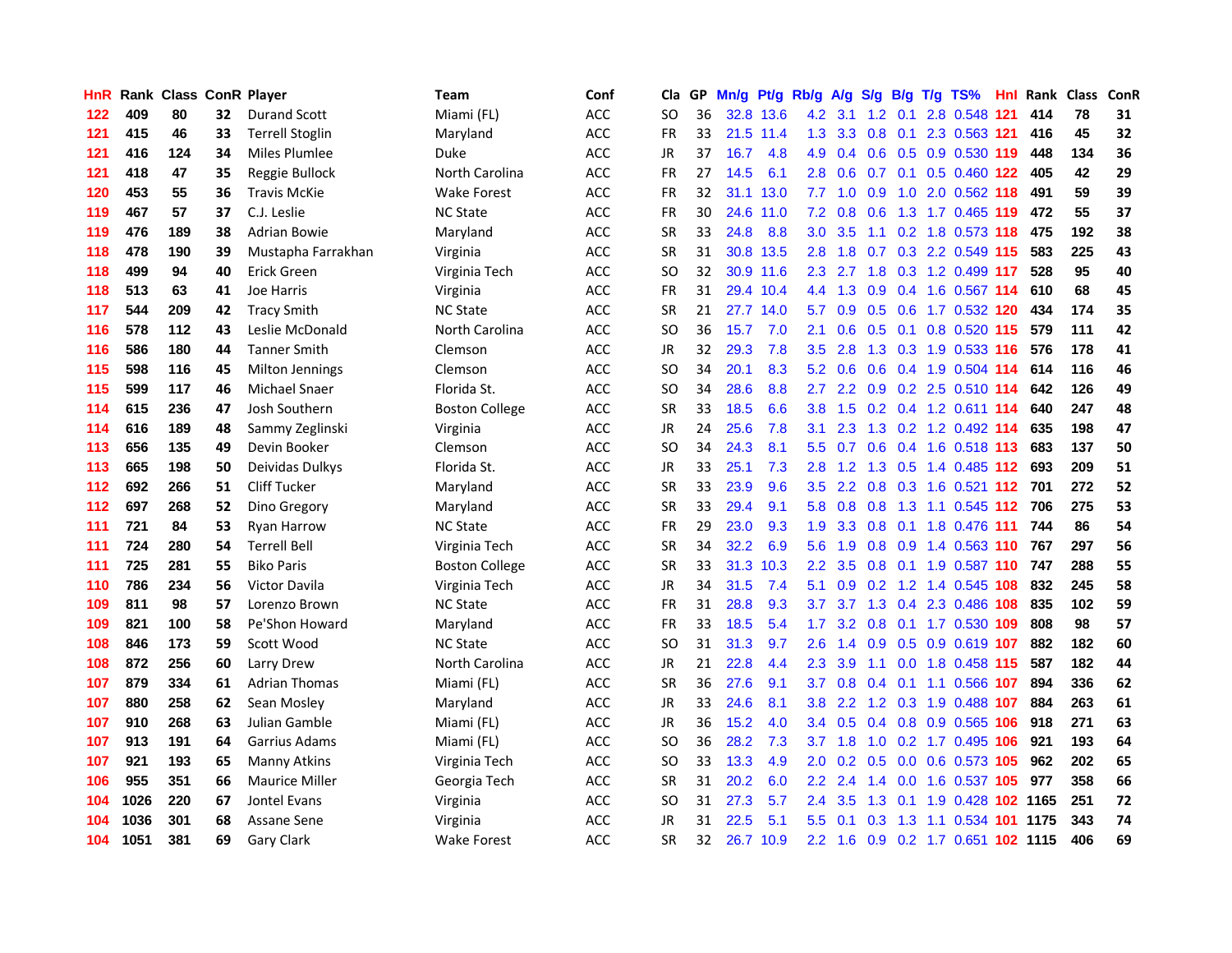| HnR. |      | <b>Rank Class ConR Player</b> |    |                        | Team                  | Conf       | Cla           |    | GP Mn/g Pt/g |           | Rb/g             | <b>A/g</b>      |                 |     | S/g B/g T/g TS%                    | Hnl | Rank Class |     | ConR |
|------|------|-------------------------------|----|------------------------|-----------------------|------------|---------------|----|--------------|-----------|------------------|-----------------|-----------------|-----|------------------------------------|-----|------------|-----|------|
| 122  | 409  | 80                            | 32 | <b>Durand Scott</b>    | Miami (FL)            | ACC        | SO            | 36 |              | 32.8 13.6 | 4.2              | 3.1             | $1.2^{\circ}$   | 0.1 | 2.8 0.548                          | 121 | 414        | 78  | 31   |
| 121  | 415  | 46                            | 33 | <b>Terrell Stoglin</b> | Maryland              | ACC        | <b>FR</b>     | 33 |              | 21.5 11.4 | 1.3              | 3.3             | 0.8             | 0.1 | 2.3 0.563 121                      |     | 416        | 45  | 32   |
| 121  | 416  | 124                           | 34 | Miles Plumlee          | <b>Duke</b>           | <b>ACC</b> | <b>JR</b>     | 37 | 16.7         | 4.8       | 4.9              | 0.4             | 0.6             | 0.5 | 0.9 0.530 119                      |     | 448        | 134 | 36   |
| 121  | 418  | 47                            | 35 | Reggie Bullock         | North Carolina        | <b>ACC</b> | <b>FR</b>     | 27 | 14.5         | 6.1       | 2.8              | 0.6             |                 |     | 0.7 0.1 0.5 0.460 122              |     | 405        | 42  | 29   |
| 120  | 453  | 55                            | 36 | <b>Travis McKie</b>    | Wake Forest           | ACC        | FR            | 32 |              | 31.1 13.0 |                  |                 | 7.7 1.0 0.9     |     | 1.0 2.0 0.562 118                  |     | 491        | 59  | 39   |
| 119  | 467  | 57                            | 37 | C.J. Leslie            | <b>NC State</b>       | ACC        | FR            | 30 |              | 24.6 11.0 | 7.2              | 0.8             | 0.6             |     | 1.3 1.7 0.465 119                  |     | 472        | 55  | 37   |
| 119  | 476  | 189                           | 38 | Adrian Bowie           | Maryland              | ACC        | <b>SR</b>     | 33 | 24.8         | 8.8       | 3.0 <sub>1</sub> | 3.5             |                 |     | 1.1 0.2 1.8 0.573 118              |     | 475        | 192 | 38   |
| 118  | 478  | 190                           | 39 | Mustapha Farrakhan     | Virginia              | <b>ACC</b> | <b>SR</b>     | 31 |              | 30.8 13.5 | 2.8 <sub>1</sub> | 1.8             |                 |     | 0.7 0.3 2.2 0.549 115              |     | 583        | 225 | 43   |
| 118  | 499  | 94                            | 40 | Erick Green            | Virginia Tech         | <b>ACC</b> | <sub>SO</sub> | 32 |              | 30.9 11.6 | 2.3              | 2.7             | 1.8             |     | 0.3 1.2 0.499 117                  |     | 528        | 95  | 40   |
| 118  | 513  | 63                            | 41 | Joe Harris             | Virginia              | <b>ACC</b> | <b>FR</b>     | 31 |              | 29.4 10.4 | 4.4              | 1.3             | 0.9             |     | 0.4 1.6 0.567 114                  |     | 610        | 68  | 45   |
| 117  | 544  | 209                           | 42 | <b>Tracy Smith</b>     | <b>NC State</b>       | ACC        | <b>SR</b>     | 21 |              | 27.7 14.0 | 5.7              | 0.9             | 0.5             |     | 0.6 1.7 0.532 120                  |     | 434        | 174 | 35   |
| 116  | 578  | 112                           | 43 | Leslie McDonald        | North Carolina        | ACC        | <b>SO</b>     | 36 | 15.7         | 7.0       | 2.1              | 0.6             | 0.5             | 0.1 | 0.8 0.520 115                      |     | 579        | 111 | 42   |
| 116  | 586  | 180                           | 44 | <b>Tanner Smith</b>    | Clemson               | ACC        | JR            | 32 | 29.3         | 7.8       | $3.5^{\circ}$    | 2.8             | 1.3             |     | 0.3 1.9 0.533 116                  |     | 576        | 178 | 41   |
| 115  | 598  | 116                           | 45 | <b>Milton Jennings</b> | Clemson               | <b>ACC</b> | SO            | 34 | 20.1         | 8.3       | 5.2              | 0.6             | 0.6             |     | 0.4 1.9 0.504 114                  |     | 614        | 116 | 46   |
| 115  | 599  | 117                           | 46 | Michael Snaer          | Florida St.           | <b>ACC</b> | SO            | 34 | 28.6         | 8.8       | 2.7              | 2.2             | 0.9             |     | 0.2 2.5 0.510 114                  |     | 642        | 126 | 49   |
| 114  | 615  | 236                           | 47 | Josh Southern          | <b>Boston College</b> | <b>ACC</b> | <b>SR</b>     | 33 | 18.5         | 6.6       | 3.8 <sub>2</sub> | 1.5             |                 |     | 0.2 0.4 1.2 0.611 114              |     | 640        | 247 | 48   |
| 114  | 616  | 189                           | 48 | Sammy Zeglinski        | Virginia              | ACC        | JR            | 24 | 25.6         | 7.8       | 3.1              | 2.3             |                 |     | 1.3 0.2 1.2 0.492 114              |     | 635        | 198 | 47   |
| 113  | 656  | 135                           | 49 | Devin Booker           | Clemson               | <b>ACC</b> | SO            | 34 | 24.3         | 8.1       |                  |                 |                 |     | 5.5 0.7 0.6 0.4 1.6 0.518 113      |     | 683        | 137 | 50   |
| 113  | 665  | 198                           | 50 | Deividas Dulkys        | Florida St.           | <b>ACC</b> | JR            | 33 | 25.1         | 7.3       | 2.8              | 1.2             |                 |     | 1.3 0.5 1.4 0.485 112              |     | 693        | 209 | 51   |
| 112  | 692  | 266                           | 51 | Cliff Tucker           | Maryland              | <b>ACC</b> | <b>SR</b>     | 33 | 23.9         | 9.6       | 3.5              |                 |                 |     | 2.2 0.8 0.3 1.6 0.521 112 701      |     |            | 272 | 52   |
| 112  | 697  | 268                           | 52 | Dino Gregory           | Maryland              | ACC        | <b>SR</b>     | 33 | 29.4         | 9.1       | 5.8              | 0.8             | 0.8             |     | 1.3 1.1 0.545 112                  |     | 706        | 275 | 53   |
| 111  | 721  | 84                            | 53 | <b>Ryan Harrow</b>     | <b>NC State</b>       | ACC        | <b>FR</b>     | 29 | 23.0         | 9.3       | 1.9              | 3.3             |                 |     | 0.8 0.1 1.8 0.476 111              |     | 744        | 86  | 54   |
| 111  | 724  | 280                           | 54 | <b>Terrell Bell</b>    | Virginia Tech         | <b>ACC</b> | <b>SR</b>     | 34 | 32.2         | 6.9       | 5.6              | 1.9             | 0.8             | 0.9 | 1.4 0.563 110                      |     | 767        | 297 | 56   |
| 111  | 725  | 281                           | 55 | <b>Biko Paris</b>      | <b>Boston College</b> | <b>ACC</b> | <b>SR</b>     | 33 |              | 31.3 10.3 | $2.2\phantom{0}$ | 3.5             | 0.8             | 0.1 | 1.9 0.587 110                      |     | 747        | 288 | 55   |
| 110  | 786  | 234                           | 56 | Victor Davila          | Virginia Tech         | ACC        | JR            | 34 | 31.5         | 7.4       | 5.1              | 0.9             | 0.2             |     | 1.2 1.4 0.545 108                  |     | 832        | 245 | 58   |
| 109  | 811  | 98                            | 57 | Lorenzo Brown          | <b>NC State</b>       | ACC        | <b>FR</b>     | 31 | 28.8         | 9.3       | 3.7              | 3.7             | 1.3             | 0.4 | 2.3 0.486 108                      |     | 835        | 102 | 59   |
| 109  | 821  | 100                           | 58 | Pe'Shon Howard         | Maryland              | ACC        | <b>FR</b>     | 33 | 18.5         | 5.4       | 1.7 <sup>2</sup> | 3.2             | 0.8             |     | 0.1 1.7 0.530 109                  |     | 808        | 98  | 57   |
| 108  | 846  | 173                           | 59 | Scott Wood             | <b>NC State</b>       | <b>ACC</b> | <b>SO</b>     | 31 | 31.3         | 9.7       | 2.6              | 1.4             | 0.9             |     | 0.5 0.9 0.619 107                  |     | 882        | 182 | 60   |
| 108  | 872  | 256                           | 60 | Larry Drew             | North Carolina        | <b>ACC</b> | JR            | 21 | 22.8         | 4.4       | $2.3^{\circ}$    | 3.9             | 1.1             | 0.0 | 1.8 0.458 115                      |     | 587        | 182 | 44   |
| 107  | 879  | 334                           | 61 | <b>Adrian Thomas</b>   | Miami (FL)            | <b>ACC</b> | <b>SR</b>     | 36 | 27.6         | 9.1       | 3.7              | 0.8             | $0.4 \quad 0.1$ |     | 1.1 0.566 107                      |     | 894        | 336 | 62   |
| 107  | 880  | 258                           | 62 | Sean Mosley            | Maryland              | ACC        | JR            | 33 | 24.6         | 8.1       | 3.8 <sub>1</sub> | $2.2^{\circ}$   |                 |     | 1.2 0.3 1.9 0.488 107              |     | 884        | 263 | 61   |
| 107  | 910  | 268                           | 63 | Julian Gamble          | Miami (FL)            | ACC        | JR            | 36 | 15.2         | 4.0       |                  | $3.4 \quad 0.5$ |                 |     | 0.4 0.8 0.9 0.565 106              |     | 918        | 271 | 63   |
| 107  | 913  | 191                           | 64 | Garrius Adams          | Miami (FL)            | <b>ACC</b> | <sub>SO</sub> | 36 | 28.2         | 7.3       | 3.7              | 1.8             |                 |     | 1.0 0.2 1.7 0.495 106              |     | 921        | 193 | 64   |
| 107  | 921  | 193                           | 65 | Manny Atkins           | Virginia Tech         | <b>ACC</b> | <sub>SO</sub> | 33 | 13.3         | 4.9       | 2.0              |                 | $0.2 \quad 0.5$ |     | 0.0 0.6 0.573 105                  |     | 962        | 202 | 65   |
| 106  | 955  | 351                           | 66 | <b>Maurice Miller</b>  | Georgia Tech          | ACC        | <b>SR</b>     | 31 | 20.2         | 6.0       | 2.2              | 2.4             | 1.4             |     | 0.0 1.6 0.537 105                  |     | 977        | 358 | 66   |
| 104  | 1026 | 220                           | 67 | Jontel Evans           | Virginia              | ACC        | <b>SO</b>     | 31 | 27.3         | 5.7       | 2.4              | 3.5             | 1.3             | 0.1 | 1.9 0.428                          |     | 102 1165   | 251 | 72   |
| 104  | 1036 | 301                           | 68 | <b>Assane Sene</b>     | Virginia              | ACC        | JR            | 31 | 22.5         | 5.1       | 5.5              | 0.1             | 0.3             | 1.3 | 1.1 0.534                          | 101 | 1175       | 343 | 74   |
| 104  | 1051 | 381                           | 69 | Gary Clark             | <b>Wake Forest</b>    | <b>ACC</b> | <b>SR</b>     | 32 |              | 26.7 10.9 |                  |                 |                 |     | 2.2 1.6 0.9 0.2 1.7 0.651 102 1115 |     |            | 406 | 69   |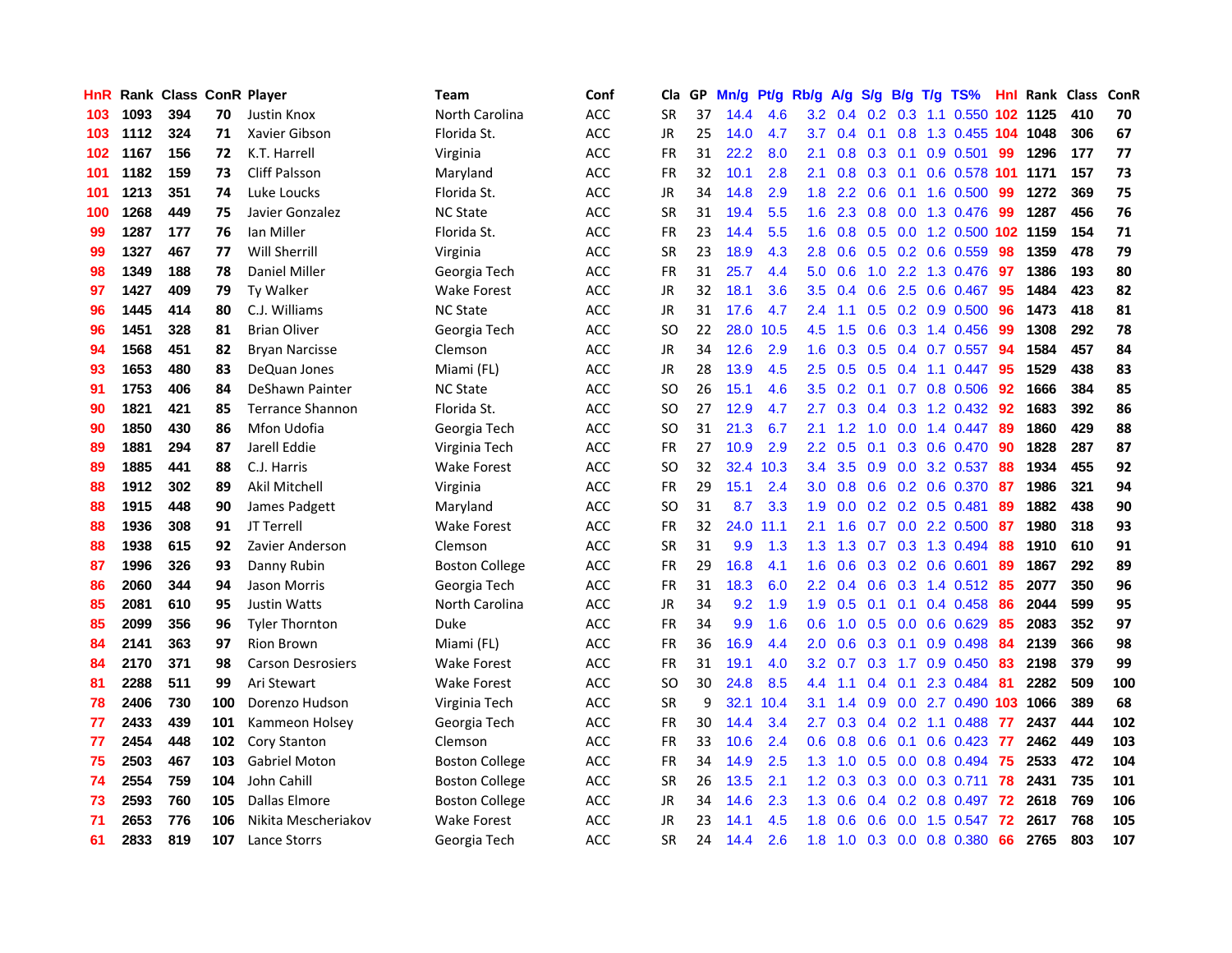| <b>HnR</b> |      | Rank Class ConR Player |     |                          | Team                  | Conf       | Cla           |    | GP Mn/g |           | Pt/g Rb/g        | A/g             |     |                 | S/g B/g T/g TS%                       | Hnl | Rank Class |     | ConR |
|------------|------|------------------------|-----|--------------------------|-----------------------|------------|---------------|----|---------|-----------|------------------|-----------------|-----|-----------------|---------------------------------------|-----|------------|-----|------|
| 103        | 1093 | 394                    | 70  | Justin Knox              | North Carolina        | ACC        | <b>SR</b>     | 37 | 14.4    | 4.6       | 3.2              | 0.4             | 0.2 | 0.3             | 1.1 0.550                             | 102 | 1125       | 410 | 70   |
| 103        | 1112 | 324                    | 71  | Xavier Gibson            | Florida St.           | ACC        | <b>JR</b>     | 25 | 14.0    | 4.7       | 3.7              | 0.4             | 0.1 | 0.8             | 1.3 0.455 104 1048                    |     |            | 306 | 67   |
| 102        | 1167 | 156                    | 72  | K.T. Harrell             | Virginia              | ACC        | FR            | 31 | 22.2    | 8.0       | 2.1              | 0.8             |     | $0.3 \quad 0.1$ | 0.9 0.501                             | -99 | 1296       | 177 | 77   |
| 101        | 1182 | 159                    | 73  | <b>Cliff Palsson</b>     | Maryland              | <b>ACC</b> | <b>FR</b>     | 32 | 10.1    | 2.8       | 2.1              | 0.8             |     | $0.3 \quad 0.1$ | 0.6 0.578 101 1171                    |     |            | 157 | 73   |
| 101        | 1213 | 351                    | 74  | Luke Loucks              | Florida St.           | <b>ACC</b> | JR            | 34 | 14.8    | 2.9       | 1.8              | 2.2             |     |                 | 0.6 0.1 1.6 0.500 99                  |     | 1272       | 369 | 75   |
| 100        | 1268 | 449                    | 75  | Javier Gonzalez          | <b>NC State</b>       | ACC        | <b>SR</b>     | 31 | 19.4    | 5.5       | 1.6 <sup>°</sup> | 2.3             |     |                 | 0.8 0.0 1.3 0.476                     | -99 | 1287       | 456 | 76   |
| 99         | 1287 | 177                    | 76  | lan Miller               | Florida St.           | <b>ACC</b> | <b>FR</b>     | 23 | 14.4    | 5.5       | 1.6              | 0.8             |     |                 | 0.5 0.0 1.2 0.500 102 1159            |     |            | 154 | 71   |
| 99         | 1327 | 467                    | 77  | <b>Will Sherrill</b>     | Virginia              | ACC        | <b>SR</b>     | 23 | 18.9    | 4.3       | 2.8              | 0.6             |     |                 | $0.5$ 0.2 0.6 0.559                   | 98  | 1359       | 478 | 79   |
| 98         | 1349 | 188                    | 78  | <b>Daniel Miller</b>     | Georgia Tech          | <b>ACC</b> | <b>FR</b>     | 31 | 25.7    | 4.4       | 5.0              | 0.6             |     |                 | 1.0 2.2 1.3 0.476                     | 97  | 1386       | 193 | 80   |
| 97         | 1427 | 409                    | 79  | <b>Ty Walker</b>         | <b>Wake Forest</b>    | <b>ACC</b> | JR            | 32 | 18.1    | 3.6       | 3.5              | 0.4             | 0.6 | 2.5             | $0.6$ 0.467                           | -95 | 1484       | 423 | 82   |
| 96         | 1445 | 414                    | 80  | C.J. Williams            | <b>NC State</b>       | ACC        | JR            | 31 | 17.6    | 4.7       | 2.4              | 1.1             |     |                 | $0.5$ 0.2 0.9 0.500                   | 96  | 1473       | 418 | 81   |
| 96         | 1451 | 328                    | 81  | <b>Brian Oliver</b>      | Georgia Tech          | ACC        | SO.           | 22 | 28.0    | 10.5      | 4.5              | 1.5             | 0.6 |                 | 0.3 1.4 0.456                         | 99  | 1308       | 292 | 78   |
| 94         | 1568 | 451                    | 82  | <b>Bryan Narcisse</b>    | Clemson               | <b>ACC</b> | JR            | 34 | 12.6    | 2.9       | 1.6              | 0.3             | 0.5 | 0.4             | $0.7$ 0.557                           | 94  | 1584       | 457 | 84   |
| 93         | 1653 | 480                    | 83  | DeQuan Jones             | Miami (FL)            | ACC        | JR            | 28 | 13.9    | 4.5       | 2.5              | 0.5             | 0.5 | 0.4             | 1.1 0.447                             | -95 | 1529       | 438 | 83   |
| 91         | 1753 | 406                    | 84  | DeShawn Painter          | <b>NC State</b>       | <b>ACC</b> | <sub>SO</sub> | 26 | 15.1    | 4.6       | 3.5              | 0.2             | 0.1 |                 | 0.7 0.8 0.506                         | 92  | 1666       | 384 | 85   |
| 90         | 1821 | 421                    | 85  | <b>Terrance Shannon</b>  | Florida St.           | <b>ACC</b> | <b>SO</b>     | 27 | 12.9    | 4.7       | 2.7              | 0.3             |     |                 | $0.4$ $0.3$ 1.2 $0.432$               | -92 | 1683       | 392 | 86   |
| 90         | 1850 | 430                    | 86  | Mfon Udofia              | Georgia Tech          | ACC        | <b>SO</b>     | 31 | 21.3    | 6.7       | 2.1              | 1.2             |     |                 | $1.0 \quad 0.0 \quad 1.4 \quad 0.447$ | -89 | 1860       | 429 | 88   |
| 89         | 1881 | 294                    | 87  | Jarell Eddie             | Virginia Tech         | ACC        | <b>FR</b>     | 27 | 10.9    | 2.9       |                  | $2.2 \quad 0.5$ |     |                 | 0.1 0.3 0.6 0.470 90                  |     | 1828       | 287 | 87   |
| 89         | 1885 | 441                    | 88  | C.J. Harris              | Wake Forest           | ACC        | SO.           | 32 |         | 32.4 10.3 | 3.4              | 3.5             |     |                 | 0.9 0.0 3.2 0.537                     | -88 | 1934       | 455 | 92   |
| 88         | 1912 | 302                    | 89  | Akil Mitchell            | Virginia              | ACC        | FR            | 29 | 15.1    | 2.4       | 3.0              | 0.8             |     |                 | $0.6$ $0.2$ $0.6$ $0.370$             | -87 | 1986       | 321 | 94   |
| 88         | 1915 | 448                    | 90  | James Padgett            | Maryland              | <b>ACC</b> | SO.           | 31 | 8.7     | 3.3       | 1.9              | 0.0             |     |                 | $0.2$ 0.2 0.5 0.481                   | 89  | 1882       | 438 | 90   |
| 88         | 1936 | 308                    | 91  | JT Terrell               | <b>Wake Forest</b>    | ACC        | <b>FR</b>     | 32 | 24.0    | 11.1      | 2.1              | 1.6             |     |                 | $0.7$ $0.0$ 2.2 $0.500$               | 87  | 1980       | 318 | 93   |
| 88         | 1938 | 615                    | 92  | Zavier Anderson          | Clemson               | <b>ACC</b> | <b>SR</b>     | 31 | 9.9     | 1.3       | 1.3              | 1.3             |     |                 | 0.7 0.3 1.3 0.494                     | 88  | 1910       | 610 | 91   |
| 87         | 1996 | 326                    | 93  | Danny Rubin              | <b>Boston College</b> | ACC        | FR            | 29 | 16.8    | 4.1       | 1.6              | 0.6             |     |                 | 0.3 0.2 0.6 0.601                     | -89 | 1867       | 292 | 89   |
| 86         | 2060 | 344                    | 94  | Jason Morris             | Georgia Tech          | ACC        | <b>FR</b>     | 31 | 18.3    | 6.0       | $2.2\,$          | 0.4             |     |                 | $0.6$ $0.3$ 1.4 $0.512$               | -85 | 2077       | 350 | 96   |
| 85         | 2081 | 610                    | 95  | <b>Justin Watts</b>      | North Carolina        | <b>ACC</b> | <b>JR</b>     | 34 | 9.2     | 1.9       | 1.9              | 0.5             | 0.1 | 0.1             | 0.4 0.458                             | 86  | 2044       | 599 | 95   |
| 85         | 2099 | 356                    | 96  | <b>Tyler Thornton</b>    | Duke                  | ACC        | <b>FR</b>     | 34 | 9.9     | 1.6       | 0.6              | 1.0             | 0.5 |                 | 0.0 0.6 0.629                         | 85  | 2083       | 352 | 97   |
| 84         | 2141 | 363                    | 97  | <b>Rion Brown</b>        | Miami (FL)            | ACC        | <b>FR</b>     | 36 | 16.9    | 4.4       | 2.0              | 0.6             |     | $0.3 \quad 0.1$ | 0.9 0.498                             | 84  | 2139       | 366 | 98   |
| 84         | 2170 | 371                    | 98  | <b>Carson Desrosiers</b> | <b>Wake Forest</b>    | <b>ACC</b> | <b>FR</b>     | 31 | 19.1    | 4.0       | 3.2 <sub>2</sub> | 0.7             | 0.3 |                 | 1.7 0.9 0.450                         | -83 | 2198       | 379 | 99   |
| 81         | 2288 | 511                    | 99  | Ari Stewart              | <b>Wake Forest</b>    | <b>ACC</b> | <b>SO</b>     | 30 | 24.8    | 8.5       | 4.4              | 1.1             |     |                 | $0.4$ 0.1 2.3 0.484                   | -81 | 2282       | 509 | 100  |
| 78         | 2406 | 730                    | 100 | Dorenzo Hudson           | Virginia Tech         | ACC        | <b>SR</b>     | 9  |         | 32.1 10.4 | 3.1              | 1.4             |     |                 | 0.9 0.0 2.7 0.490 103 1066            |     |            | 389 | 68   |
| 77         | 2433 | 439                    | 101 | Kammeon Holsey           | Georgia Tech          | <b>ACC</b> | <b>FR</b>     | 30 | 14.4    | 3.4       | 2.7              | 0.3             |     |                 | $0.4$ 0.2 1.1 0.488                   | -77 | 2437       | 444 | 102  |
| 77         | 2454 | 448                    | 102 | Cory Stanton             | Clemson               | <b>ACC</b> | <b>FR</b>     | 33 | 10.6    | 2.4       | 0.6              | 0.8             | 0.6 |                 | $0.1$ 0.6 0.423                       | 77  | 2462       | 449 | 103  |
| 75         | 2503 | 467                    | 103 | <b>Gabriel Moton</b>     | <b>Boston College</b> | ACC        | FR            | 34 | 14.9    | 2.5       | 1.3 <sup>°</sup> | 1.0             |     |                 | 0.5 0.0 0.8 0.494                     | -75 | 2533       | 472 | 104  |
| 74         | 2554 | 759                    | 104 | John Cahill              | Boston College        | ACC        | <b>SR</b>     | 26 | 13.5    | 2.1       | 1.2 <sub>1</sub> | 0.3             |     | $0.3 \ 0.0$     | 0.3 0.711                             | 78  | 2431       | 735 | 101  |
| 73         | 2593 | 760                    | 105 | Dallas Elmore            | <b>Boston College</b> | ACC        | JR            | 34 | 14.6    | 2.3       | 1.3              | 0.6             | 0.4 |                 | $0.2$ 0.8 0.497                       | 72  | 2618       | 769 | 106  |
| 71         | 2653 | 776                    | 106 | Nikita Mescheriakov      | Wake Forest           | <b>ACC</b> | JR            | 23 | 14.1    | 4.5       | 1.8              | 0.6             | 0.6 | 0.0             | 1.5 0.547                             | 72  | 2617       | 768 | 105  |
| 61         | 2833 | 819                    | 107 | Lance Storrs             | Georgia Tech          | ACC        | <b>SR</b>     | 24 | 14.4    | 2.6       | 1.8              | 1.0             |     |                 | $0.3$ 0.0 0.8 0.380                   | 66  | 2765       | 803 | 107  |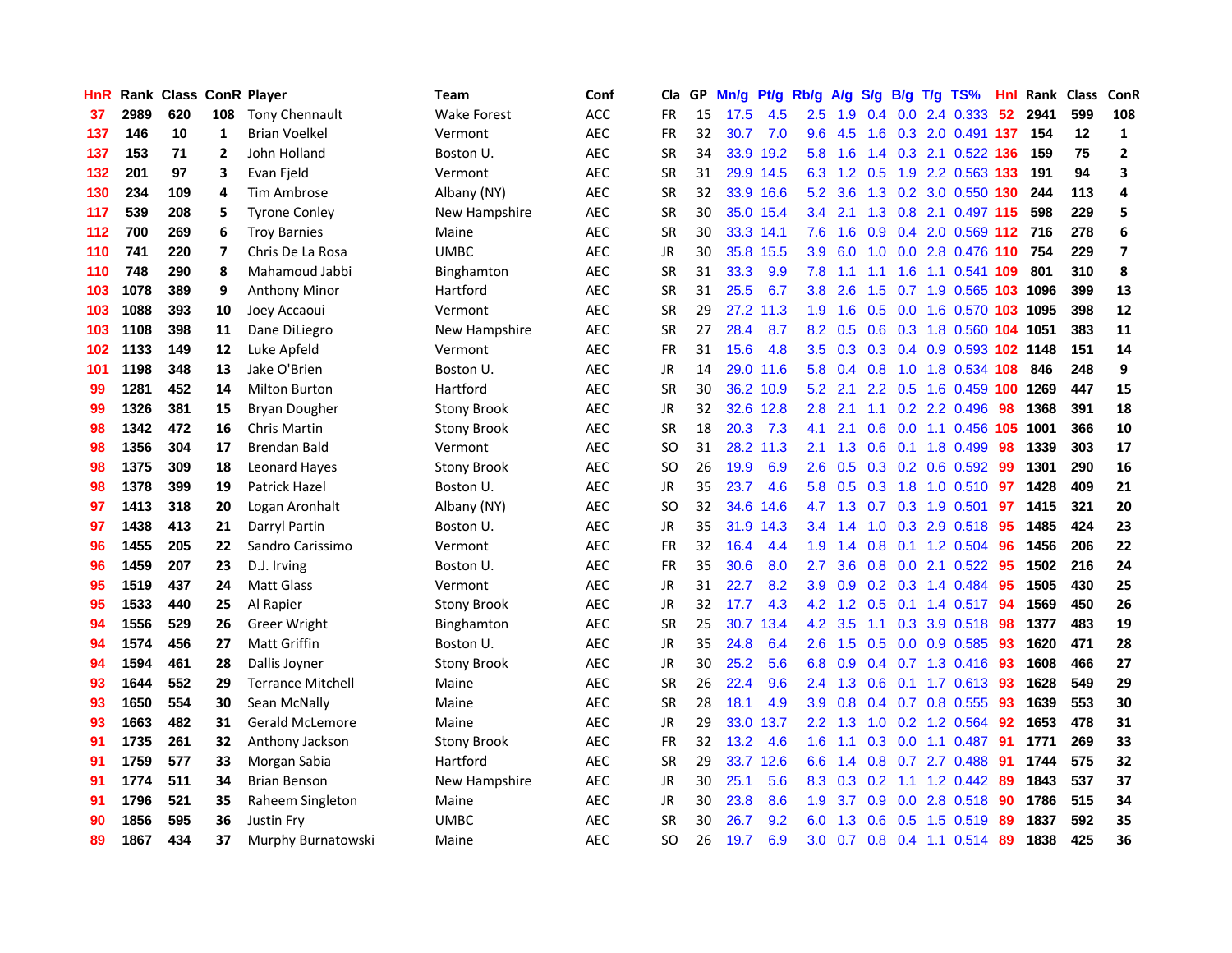| <b>HnR</b> |      |     |                | Rank Class ConR Player   | Team               | Conf       |           |    | Cla GP Mn/g Pt/g Rb/g |           |               | A/g             |               |                 | S/g B/g T/g TS%            | Hnl |      | Rank Class | ConR                    |
|------------|------|-----|----------------|--------------------------|--------------------|------------|-----------|----|-----------------------|-----------|---------------|-----------------|---------------|-----------------|----------------------------|-----|------|------------|-------------------------|
| 37         | 2989 | 620 | 108            | <b>Tony Chennault</b>    | <b>Wake Forest</b> | ACC        | <b>FR</b> | 15 | 17.5                  | 4.5       | $2.5\,$       | 1.9             | 0.4           | 0.0             | 2.4 0.333                  | 52  | 2941 | 599        | 108                     |
| 137        | 146  | 10  | $\mathbf{1}$   | <b>Brian Voelkel</b>     | Vermont            | <b>AEC</b> | <b>FR</b> | 32 | 30.7                  | 7.0       | 9.6           | 4.5             | 1.6           | 0.3             | 2.0 0.491 137              |     | 154  | 12         | $\mathbf{1}$            |
| 137        | 153  | 71  | $\overline{2}$ | John Holland             | Boston U.          | AEC        | <b>SR</b> | 34 | 33.9                  | 19.2      | 5.8           | 1.6             | $1.4^{\circ}$ |                 | 0.3 2.1 0.522 136          |     | 159  | 75         | $\mathbf{2}$            |
| 132        | 201  | 97  | 3              | Evan Fjeld               | Vermont            | <b>AEC</b> | <b>SR</b> | 31 |                       | 29.9 14.5 |               | 6.3 1.2         | 0.5           |                 | 1.9 2.2 0.563 133          |     | 191  | 94         | 3                       |
| 130        | 234  | 109 | 4              | Tim Ambrose              | Albany (NY)        | <b>AEC</b> | <b>SR</b> | 32 |                       | 33.9 16.6 | 5.2           | 3.6             |               |                 | 1.3 0.2 3.0 0.550 130      |     | 244  | 113        | 4                       |
| 117        | 539  | 208 | 5              | <b>Tyrone Conley</b>     | New Hampshire      | <b>AEC</b> | <b>SR</b> | 30 |                       | 35.0 15.4 | $3.4^{\circ}$ | 2.1             |               |                 | 1.3 0.8 2.1 0.497 115      |     | 598  | 229        | 5                       |
| 112        | 700  | 269 | 6              | <b>Troy Barnies</b>      | Maine              | <b>AEC</b> | <b>SR</b> | 30 |                       | 33.3 14.1 | 7.6           | 1.6             |               |                 | 0.9 0.4 2.0 0.569 112      |     | 716  | 278        | 6                       |
| 110        | 741  | 220 | 7              | Chris De La Rosa         | <b>UMBC</b>        | <b>AEC</b> | JR        | 30 |                       | 35.8 15.5 | 3.9           | 6.0             | 1.0           |                 | 0.0 2.8 0.476 110          |     | 754  | 229        | $\overline{\mathbf{z}}$ |
| 110        | 748  | 290 | 8              | Mahamoud Jabbi           | <b>Binghamton</b>  | <b>AEC</b> | <b>SR</b> | 31 | 33.3                  | 9.9       | 7.8           | 1.1             | 1.1           | 1.6             | 1.1 0.541 109              |     | 801  | 310        | 8                       |
| 103        | 1078 | 389 | 9              | <b>Anthony Minor</b>     | Hartford           | <b>AEC</b> | <b>SR</b> | 31 | 25.5                  | 6.7       | 3.8           | 2.6             | 1.5           |                 | 0.7 1.9 0.565 103 1096     |     |      | 399        | 13                      |
| 103        | 1088 | 393 | 10             | Joey Accaoui             | Vermont            | <b>AEC</b> | <b>SR</b> | 29 |                       | 27.2 11.3 | 1.9           | 1.6             | 0.5           |                 | 0.0 1.6 0.570 103 1095     |     |      | 398        | 12                      |
| 103        | 1108 | 398 | 11             | Dane DiLiegro            | New Hampshire      | <b>AEC</b> | <b>SR</b> | 27 | 28.4                  | 8.7       | 8.2           | 0.5             |               |                 | 0.6 0.3 1.8 0.560 104 1051 |     |      | 383        | 11                      |
| 102        | 1133 | 149 | 12             | Luke Apfeld              | Vermont            | <b>AEC</b> | <b>FR</b> | 31 | 15.6                  | 4.8       | $3.5^{\circ}$ | 0.3             |               | $0.3 \quad 0.4$ | 0.9 0.593 102 1148         |     |      | 151        | 14                      |
| 101        | 1198 | 348 | 13             | Jake O'Brien             | Boston U.          | <b>AEC</b> | JR        | 14 |                       | 29.0 11.6 | 5.8           | 0.4             | 0.8           | 1.0             | 1.8 0.534 108              |     | 846  | 248        | 9                       |
| 99         | 1281 | 452 | 14             | <b>Milton Burton</b>     | Hartford           | AEC        | <b>SR</b> | 30 |                       | 36.2 10.9 | 5.2           | 2.1             | 2.2           | 0.5             | 1.6 0.459 100              |     | 1269 | 447        | 15                      |
| 99         | 1326 | 381 | 15             | <b>Bryan Dougher</b>     | <b>Stony Brook</b> | <b>AEC</b> | JR        | 32 |                       | 32.6 12.8 | 2.8           | 2.1             | 1.1           |                 | $0.2$ 2.2 0.496            | 98  | 1368 | 391        | 18                      |
| 98         | 1342 | 472 | 16             | Chris Martin             | <b>Stony Brook</b> | <b>AEC</b> | <b>SR</b> | 18 | 20.3                  | 7.3       | 4.1           | 2.1             |               |                 | 0.6 0.0 1.1 0.456 105      |     | 1001 | 366        | ${\bf 10}$              |
| 98         | 1356 | 304 | 17             | <b>Brendan Bald</b>      | Vermont            | <b>AEC</b> | <b>SO</b> | 31 |                       | 28.2 11.3 | 2.1           | 1.3             |               |                 | 0.6 0.1 1.8 0.499          | -98 | 1339 | 303        | 17                      |
| 98         | 1375 | 309 | 18             | <b>Leonard Hayes</b>     | Stony Brook        | <b>AEC</b> | <b>SO</b> | 26 | 19.9                  | 6.9       |               | $2.6$ 0.5       |               |                 | $0.3$ $0.2$ $0.6$ $0.592$  | -99 | 1301 | 290        | 16                      |
| 98         | 1378 | 399 | 19             | Patrick Hazel            | Boston U.          | <b>AEC</b> | JR        | 35 | 23.7                  | 4.6       |               | 5.8 0.5         |               |                 | 0.3 1.8 1.0 0.510 97       |     | 1428 | 409        | 21                      |
| 97         | 1413 | 318 | 20             | Logan Aronhalt           | Albany (NY)        | <b>AEC</b> | <b>SO</b> | 32 | 34.6                  | 14.6      | 4.7           | 1.3             |               |                 | $0.7$ $0.3$ $1.9$ $0.501$  | 97  | 1415 | 321        | 20                      |
| 97         | 1438 | 413 | 21             | Darryl Partin            | Boston U.          | <b>AEC</b> | JR        | 35 |                       | 31.9 14.3 |               | $3.4$ 1.4       |               |                 | 1.0 0.3 2.9 0.518          | 95  | 1485 | 424        | 23                      |
| 96         | 1455 | 205 | 22             | Sandro Carissimo         | Vermont            | <b>AEC</b> | <b>FR</b> | 32 | 16.4                  | 4.4       | 1.9           | 1.4             | 0.8           |                 | $0.1$ 1.2 0.504            | -96 | 1456 | 206        | 22                      |
| 96         | 1459 | 207 | 23             | D.J. Irving              | Boston U.          | <b>AEC</b> | FR        | 35 | 30.6                  | 8.0       | 2.7           | 3.6             |               |                 | 0.8 0.0 2.1 0.522          | -95 | 1502 | 216        | 24                      |
| 95         | 1519 | 437 | 24             | <b>Matt Glass</b>        | Vermont            | <b>AEC</b> | JR        | 31 | 22.7                  | 8.2       | 3.9           | 0.9             |               |                 | 0.2 0.3 1.4 0.484          | 95  | 1505 | 430        | 25                      |
| 95         | 1533 | 440 | 25             | Al Rapier                | <b>Stony Brook</b> | <b>AEC</b> | <b>JR</b> | 32 | 17.7                  | 4.3       | 4.2           | 1.2             | 0.5           | 0.1             | 1.4 0.517                  | 94  | 1569 | 450        | 26                      |
| 94         | 1556 | 529 | 26             | Greer Wright             | Binghamton         | AEC        | <b>SR</b> | 25 | 30.7                  | 13.4      | 4.2           | 3.5             | 1.1           | 0.3             | 3.9 0.518                  | 98  | 1377 | 483        | 19                      |
| 94         | 1574 | 456 | 27             | <b>Matt Griffin</b>      | Boston U.          | AEC        | <b>JR</b> | 35 | 24.8                  | 6.4       | 2.6           | 1.5             | 0.5           | 0.0             | 0.9 0.585                  | 93  | 1620 | 471        | 28                      |
| 94         | 1594 | 461 | 28             | Dallis Joyner            | <b>Stony Brook</b> | AEC        | JR        | 30 | 25.2                  | 5.6       | 6.8           | 0.9             |               |                 | 0.4 0.7 1.3 0.416          | 93  | 1608 | 466        | 27                      |
| 93         | 1644 | 552 | 29             | <b>Terrance Mitchell</b> | Maine              | <b>AEC</b> | <b>SR</b> | 26 | 22.4                  | 9.6       |               | $2.4$ 1.3       | 0.6           |                 | $0.1$ 1.7 0.613            | -93 | 1628 | 549        | 29                      |
| 93         | 1650 | 554 | 30             | Sean McNally             | Maine              | <b>AEC</b> | <b>SR</b> | 28 | 18.1                  | 4.9       | 3.9           | 0.8             |               |                 | $0.4$ 0.7 0.8 0.555        | -93 | 1639 | 553        | 30                      |
| 93         | 1663 | 482 | 31             | <b>Gerald McLemore</b>   | Maine              | <b>AEC</b> | <b>JR</b> | 29 |                       | 33.0 13.7 |               | $2.2 \quad 1.3$ |               |                 | 1.0 0.2 1.2 0.564          | 92  | 1653 | 478        | 31                      |
| 91         | 1735 | 261 | 32             | Anthony Jackson          | <b>Stony Brook</b> | <b>AEC</b> | <b>FR</b> | 32 | 13.2                  | 4.6       | 1.6           | 1.1             |               |                 | 0.3 0.0 1.1 0.487          | -91 | 1771 | 269        | 33                      |
| 91         | 1759 | 577 | 33             | Morgan Sabia             | Hartford           | <b>AEC</b> | <b>SR</b> | 29 |                       | 33.7 12.6 | 6.6           | 1.4             |               |                 | 0.8 0.7 2.7 0.488          | 91  | 1744 | 575        | 32                      |
| 91         | 1774 | 511 | 34             | <b>Brian Benson</b>      | New Hampshire      | <b>AEC</b> | JR        | 30 | 25.1                  | 5.6       | 8.3           | 0.3             | 0.2           |                 | $1.1$ $1.2$ $0.442$        | 89  | 1843 | 537        | 37                      |
| 91         | 1796 | 521 | 35             | Raheem Singleton         | Maine              | <b>AEC</b> | <b>JR</b> | 30 | 23.8                  | 8.6       | 1.9           | 3.7             | 0.9           | 0.0             | 2.8 0.518                  | 90  | 1786 | 515        | 34                      |
| 90         | 1856 | 595 | 36             | <b>Justin Fry</b>        | <b>UMBC</b>        | <b>AEC</b> | <b>SR</b> | 30 | 26.7                  | 9.2       | 6.0           | 1.3             | 0.6           | 0.5             | 1.5 0.519                  | -89 | 1837 | 592        | 35                      |
| 89         | 1867 | 434 | 37             | Murphy Burnatowski       | Maine              | <b>AEC</b> | SO        | 26 | 19.7                  | 6.9       | 3.0           | 0.7             |               |                 | 0.8 0.4 1.1 0.514          | -89 | 1838 | 425        | 36                      |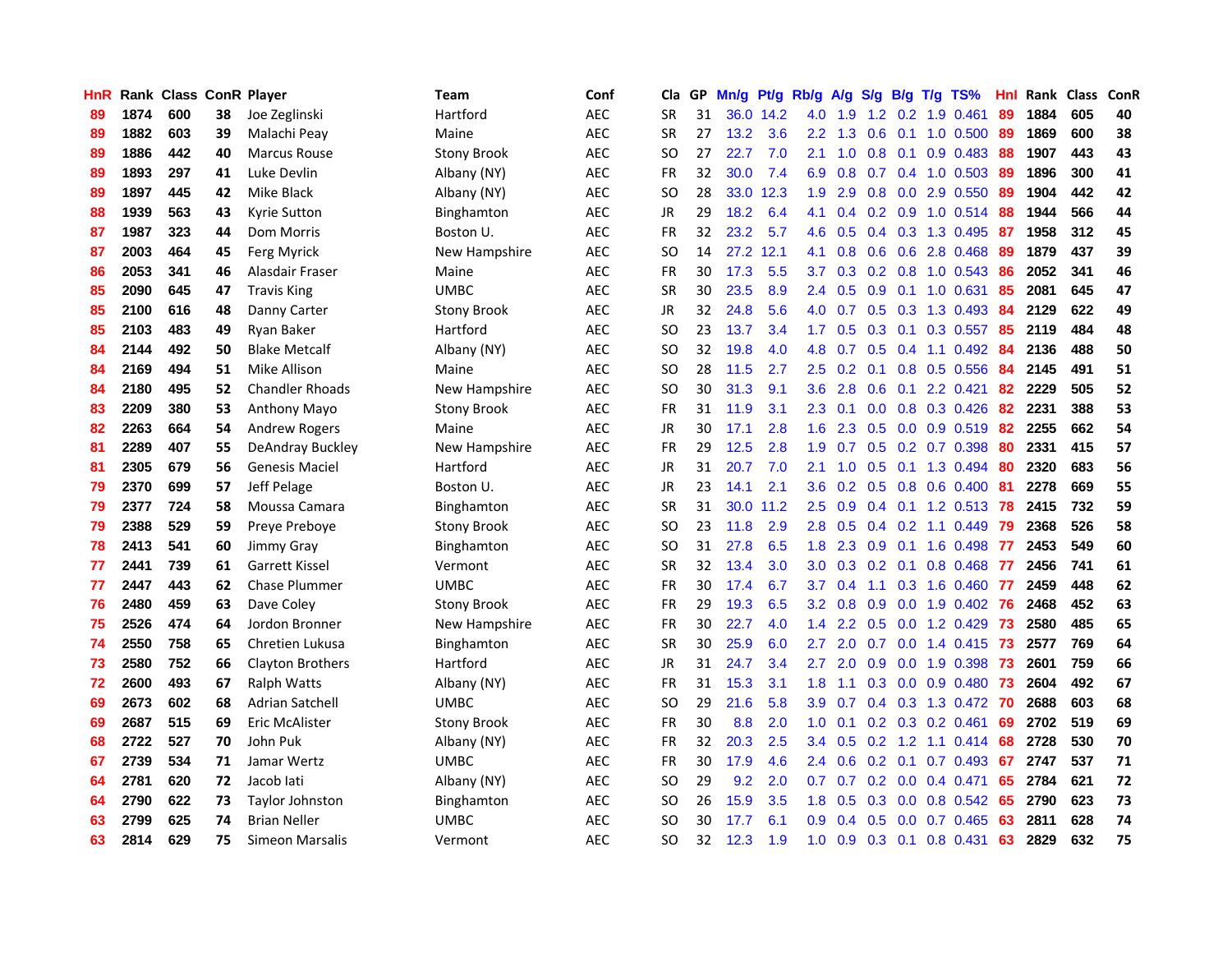| <b>HnR</b> |      | Rank Class ConR Player |    |                        | Team               | Conf       | Cla           |    | GP Mn/g | Pt/g Rb/g |                  | A/g            |               |                 | $S/g$ B/g T/g TS%         | Hnl |      | Rank Class | ConR |
|------------|------|------------------------|----|------------------------|--------------------|------------|---------------|----|---------|-----------|------------------|----------------|---------------|-----------------|---------------------------|-----|------|------------|------|
| 89         | 1874 | 600                    | 38 | Joe Zeglinski          | Hartford           | <b>AEC</b> | <b>SR</b>     | 31 |         | 36.0 14.2 | 4.0              | 1.9            | $1.2^{\circ}$ | 0.2             | 1.9 0.461                 | 89  | 1884 | 605        | 40   |
| 89         | 1882 | 603                    | 39 | Malachi Peay           | Maine              | AEC        | <b>SR</b>     | 27 | 13.2    | 3.6       | $2.2^{\circ}$    | 1.3            | 0.6           | 0.1             | 1.0 0.500                 | -89 | 1869 | 600        | 38   |
| 89         | 1886 | 442                    | 40 | Marcus Rouse           | <b>Stony Brook</b> | <b>AEC</b> | <b>SO</b>     | 27 | 22.7    | 7.0       | 2.1              | 1.0            | 0.8           | 0.1             | $0.9$ 0.483               | -88 | 1907 | 443        | 43   |
| 89         | 1893 | 297                    | 41 | Luke Devlin            | Albany (NY)        | <b>AEC</b> | <b>FR</b>     | 32 | 30.0    | 7.4       | 6.9              | 0.8            |               |                 | $0.7$ 0.4 1.0 0.503       | -89 | 1896 | 300        | 41   |
| 89         | 1897 | 445                    | 42 | Mike Black             | Albany (NY)        | <b>AEC</b> | <b>SO</b>     | 28 |         | 33.0 12.3 | 1.9              | 2.9            |               |                 | 0.8 0.0 2.9 0.550         | -89 | 1904 | 442        | 42   |
| 88         | 1939 | 563                    | 43 | Kyrie Sutton           | Binghamton         | <b>AEC</b> | <b>JR</b>     | 29 | 18.2    | 6.4       | 4.1              | 0.4            |               |                 | 0.2 0.9 1.0 0.514         | 88  | 1944 | 566        | 44   |
| 87         | 1987 | 323                    | 44 | Dom Morris             | Boston U.          | <b>AEC</b> | FR            | 32 | 23.2    | 5.7       | 4.6              | 0.5            |               |                 | 0.4 0.3 1.3 0.495         | 87  | 1958 | 312        | 45   |
| 87         | 2003 | 464                    | 45 | Ferg Myrick            | New Hampshire      | <b>AEC</b> | <b>SO</b>     | 14 |         | 27.2 12.1 | 4.1              | 0.8            |               |                 | $0.6$ $0.6$ 2.8 $0.468$   | 89  | 1879 | 437        | 39   |
| 86         | 2053 | 341                    | 46 | Alasdair Fraser        | Maine              | <b>AEC</b> | <b>FR</b>     | 30 | 17.3    | 5.5       | 3.7              | 0.3            |               |                 | $0.2$ 0.8 1.0 0.543       | 86  | 2052 | 341        | 46   |
| 85         | 2090 | 645                    | 47 | <b>Travis King</b>     | <b>UMBC</b>        | <b>AEC</b> | <b>SR</b>     | 30 | 23.5    | 8.9       | $2.4^{\circ}$    | 0.5            | 0.9           | 0.1             | 1.0 0.631                 | 85  | 2081 | 645        | 47   |
| 85         | 2100 | 616                    | 48 | Danny Carter           | <b>Stony Brook</b> | <b>AEC</b> | JR            | 32 | 24.8    | 5.6       | 4.0              | 0.7            |               |                 | 0.5 0.3 1.3 0.493         | 84  | 2129 | 622        | 49   |
| 85         | 2103 | 483                    | 49 | Ryan Baker             | Hartford           | <b>AEC</b> | <b>SO</b>     | 23 | 13.7    | 3.4       | 1.7 <sub>2</sub> | 0.5            | 0.3           | 0.1             | 0.3 0.557                 | 85  | 2119 | 484        | 48   |
| 84         | 2144 | 492                    | 50 | <b>Blake Metcalf</b>   | Albany (NY)        | <b>AEC</b> | SO.           | 32 | 19.8    | 4.0       | 4.8              | 0.7            | 0.5           | 0.4             | 1.1 0.492                 | 84  | 2136 | 488        | 50   |
| 84         | 2169 | 494                    | 51 | Mike Allison           | Maine              | AEC        | SO            | 28 | 11.5    | 2.7       | $2.5\,$          | 0.2            | 0.1           | 0.8             | 0.5 0.556                 | 84  | 2145 | 491        | 51   |
| 84         | 2180 | 495                    | 52 | <b>Chandler Rhoads</b> | New Hampshire      | <b>AEC</b> | <sub>SO</sub> | 30 | 31.3    | 9.1       | 3.6              | 2.8            | 0.6           | 0.1             | 2.2 0.421                 | 82  | 2229 | 505        | 52   |
| 83         | 2209 | 380                    | 53 | Anthony Mayo           | <b>Stony Brook</b> | <b>AEC</b> | <b>FR</b>     | 31 | 11.9    | 3.1       | 2.3              | 0.1            |               |                 | $0.0$ $0.8$ $0.3$ $0.426$ | 82  | 2231 | 388        | 53   |
| 82         | 2263 | 664                    | 54 | <b>Andrew Rogers</b>   | Maine              | <b>AEC</b> | JR            | 30 | 17.1    | 2.8       | 1.6              | 2.3            |               |                 | $0.5$ 0.0 0.9 0.519       | -82 | 2255 | 662        | 54   |
| 81         | 2289 | 407                    | 55 | DeAndray Buckley       | New Hampshire      | <b>AEC</b> | FR            | 29 | 12.5    | 2.8       | 1.9 <sup>°</sup> | 0.7            |               |                 | $0.5$ $0.2$ $0.7$ $0.398$ | 80  | 2331 | 415        | 57   |
| 81         | 2305 | 679                    | 56 | Genesis Maciel         | Hartford           | <b>AEC</b> | <b>JR</b>     | 31 | 20.7    | 7.0       | 2.1              | 1.0            |               |                 | 0.5 0.1 1.3 0.494         | 80  | 2320 | 683        | 56   |
| 79         | 2370 | 699                    | 57 | Jeff Pelage            | Boston U.          | <b>AEC</b> | JR            | 23 | 14.1    | 2.1       | 3.6 <sup>°</sup> | 0.2            |               |                 | $0.5$ 0.8 0.6 0.400       | -81 | 2278 | 669        | 55   |
| 79         | 2377 | 724                    | 58 | Moussa Camara          | Binghamton         | <b>AEC</b> | <b>SR</b>     | 31 |         | 30.0 11.2 | 2.5              | 0.9            |               |                 | 0.4 0.1 1.2 0.513 78      |     | 2415 | 732        | 59   |
| 79         | 2388 | 529                    | 59 | Preye Preboye          | <b>Stony Brook</b> | <b>AEC</b> | <b>SO</b>     | 23 | 11.8    | 2.9       | 2.8              | 0.5            |               |                 | $0.4$ 0.2 1.1 0.449       | -79 | 2368 | 526        | 58   |
| 78         | 2413 | 541                    | 60 | Jimmy Gray             | Binghamton         | <b>AEC</b> | <b>SO</b>     | 31 | 27.8    | 6.5       | 1.8              | 2.3            |               | $0.9\quad 0.1$  | 1.6 0.498                 | -77 | 2453 | 549        | 60   |
| 77         | 2441 | 739                    | 61 | <b>Garrett Kissel</b>  | Vermont            | AEC        | <b>SR</b>     | 32 | 13.4    | 3.0       | 3.0              | 0.3            |               | $0.2 \quad 0.1$ | 0.8 0.468                 | 77  | 2456 | 741        | 61   |
| 77         | 2447 | 443                    | 62 | Chase Plummer          | <b>UMBC</b>        | <b>AEC</b> | FR            | 30 | 17.4    | 6.7       | 3.7              | 0.4            | 1.1           |                 | $0.3$ 1.6 0.460           | -77 | 2459 | 448        | 62   |
| 76         | 2480 | 459                    | 63 | Dave Coley             | <b>Stony Brook</b> | <b>AEC</b> | <b>FR</b>     | 29 | 19.3    | 6.5       | $3.2\phantom{0}$ | 0.8            | 0.9           | 0.0             | 1.9 0.402                 | -76 | 2468 | 452        | 63   |
| 75         | 2526 | 474                    | 64 | Jordon Bronner         | New Hampshire      | <b>AEC</b> | <b>FR</b>     | 30 | 22.7    | 4.0       | 1.4              | 2.2            | 0.5           | 0.0             | 1.2 0.429                 | -73 | 2580 | 485        | 65   |
| 74         | 2550 | 758                    | 65 | Chretien Lukusa        | Binghamton         | AEC        | <b>SR</b>     | 30 | 25.9    | 6.0       | 2.7              | 2.0            | 0.7           | 0.0             | 1.4 0.415                 | 73  | 2577 | 769        | 64   |
| 73         | 2580 | 752                    | 66 | Clayton Brothers       | Hartford           | <b>AEC</b> | <b>JR</b>     | 31 | 24.7    | 3.4       | 2.7              | 2.0            | 0.9           | 0.0             | 1.9 0.398                 | -73 | 2601 | 759        | 66   |
| 72         | 2600 | 493                    | 67 | Ralph Watts            | Albany (NY)        | <b>AEC</b> | <b>FR</b>     | 31 | 15.3    | 3.1       | 1.8              | 1.1            |               | $0.3 \quad 0.0$ | 0.9 0.480                 | -73 | 2604 | 492        | 67   |
| 69         | 2673 | 602                    | 68 | <b>Adrian Satchell</b> | <b>UMBC</b>        | <b>AEC</b> | <b>SO</b>     | 29 | 21.6    | 5.8       | 3.9              | 0.7            |               |                 | 0.4 0.3 1.3 0.472         | -70 | 2688 | 603        | 68   |
| 69         | 2687 | 515                    | 69 | <b>Eric McAlister</b>  | <b>Stony Brook</b> | <b>AEC</b> | <b>FR</b>     | 30 | 8.8     | 2.0       | 1.0              | 0.1            |               |                 | $0.2$ $0.3$ $0.2$ $0.461$ | -69 | 2702 | 519        | 69   |
| 68         | 2722 | 527                    | 70 | John Puk               | Albany (NY)        | <b>AEC</b> | <b>FR</b>     | 32 | 20.3    | 2.5       |                  | $3.4\quad 0.5$ | 0.2           |                 | 1.2 1.1 0.414             | 68  | 2728 | 530        | 70   |
| 67         | 2739 | 534                    | 71 | Jamar Wertz            | <b>UMBC</b>        | <b>AEC</b> | <b>FR</b>     | 30 | 17.9    | 4.6       | $2.4^{\circ}$    | 0.6            |               |                 | $0.2$ 0.1 0.7 0.493       | -67 | 2747 | 537        | 71   |
| 64         | 2781 | 620                    | 72 | Jacob lati             | Albany (NY)        | <b>AEC</b> | <b>SO</b>     | 29 | 9.2     | 2.0       | 0.7 <sub>2</sub> | 0.7            |               |                 | $0.2$ 0.0 0.4 0.471       | 65  | 2784 | 621        | 72   |
| 64         | 2790 | 622                    | 73 | <b>Taylor Johnston</b> | Binghamton         | <b>AEC</b> | <b>SO</b>     | 26 | 15.9    | 3.5       | 1.8              | 0.5            | 0.3           | 0.0             | 0.8 0.542                 | 65  | 2790 | 623        | 73   |
| 63         | 2799 | 625                    | 74 | <b>Brian Neller</b>    | <b>UMBC</b>        | <b>AEC</b> | <b>SO</b>     | 30 | 17.7    | 6.1       | 0.9              | 0.4            | 0.5           | 0.0             | 0.7 0.465                 | 63  | 2811 | 628        | 74   |
| 63         | 2814 | 629                    | 75 | Simeon Marsalis        | Vermont            | <b>AEC</b> | SO.           | 32 | 12.3    | 1.9       | 1.0              | 0.9            |               | $0.3 \quad 0.1$ | 0.8 0.431                 | 63  | 2829 | 632        | 75   |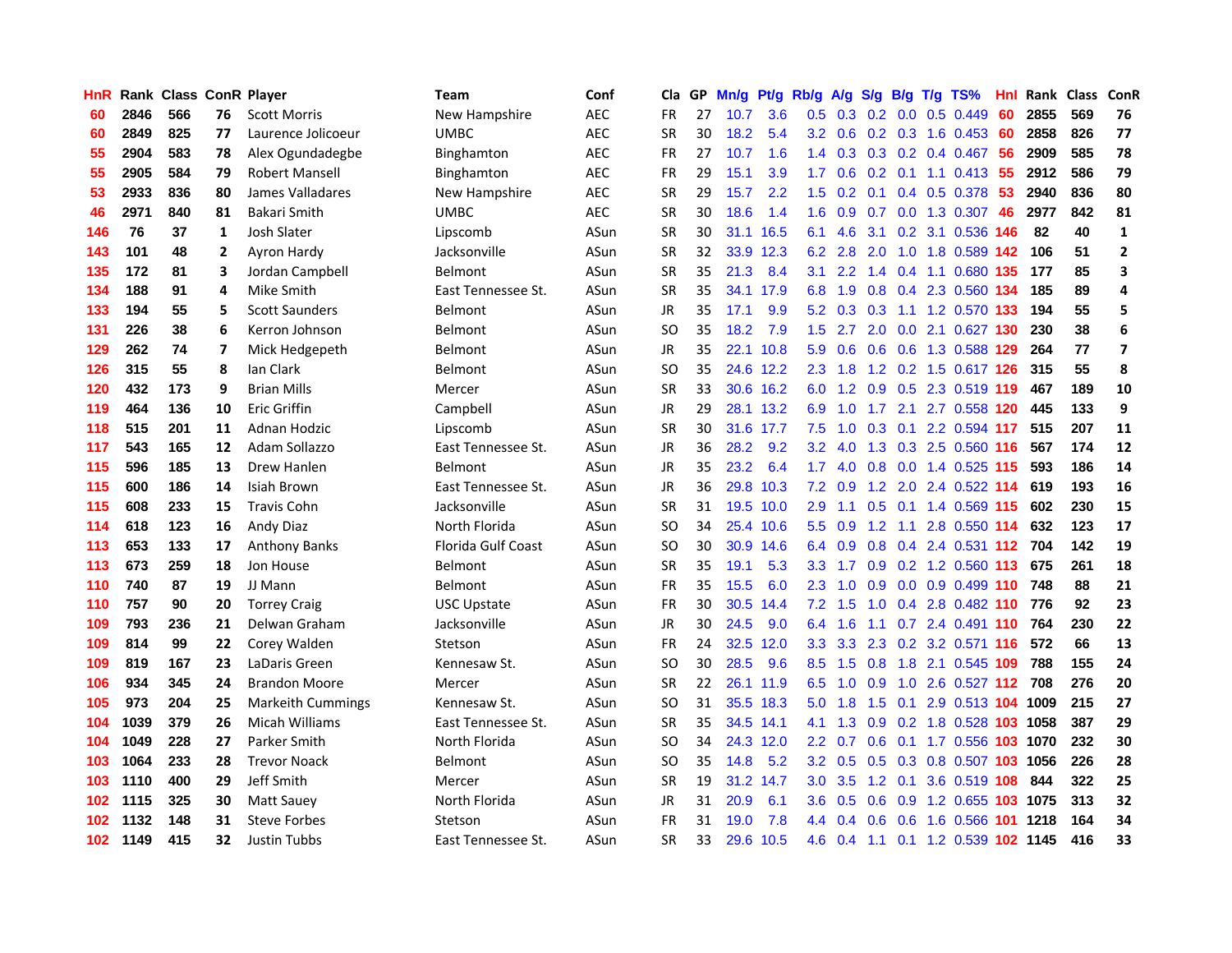| HnR              |      | <b>Rank Class ConR Player</b> |    |                          | Team                      | Conf       | Cla           |    | GP Mn/g | Pt/g      | Rb/g             | A/g             |                 |                 | S/g B/g T/g TS%                    | Hnl | Rank Class |     | ConR           |
|------------------|------|-------------------------------|----|--------------------------|---------------------------|------------|---------------|----|---------|-----------|------------------|-----------------|-----------------|-----------------|------------------------------------|-----|------------|-----|----------------|
| 60               | 2846 | 566                           | 76 | <b>Scott Morris</b>      | New Hampshire             | <b>AEC</b> | FR            | 27 | 10.7    | 3.6       | 0.5              | 0.3             | 0.2             | 0.0             | 0.5 0.449                          | 60  | 2855       | 569 | 76             |
| 60               | 2849 | 825                           | 77 | Laurence Jolicoeur       | <b>UMBC</b>               | <b>AEC</b> | <b>SR</b>     | 30 | 18.2    | 5.4       | 3.2              | 0.6             | $0.2 \quad 0.3$ |                 | 1.6 0.453                          | 60  | 2858       | 826 | 77             |
| 55               | 2904 | 583                           | 78 | Alex Ogundadegbe         | Binghamton                | AEC        | <b>FR</b>     | 27 | 10.7    | 1.6       | $1.4^{\circ}$    | 0.3             |                 | $0.3 \quad 0.2$ | 0.4 0.467                          | -56 | 2909       | 585 | 78             |
| 55               | 2905 | 584                           | 79 | <b>Robert Mansell</b>    | <b>Binghamton</b>         | <b>AEC</b> | <b>FR</b>     | 29 | 15.1    | 3.9       | 1.7 <sub>z</sub> |                 |                 |                 | $0.6$ $0.2$ $0.1$ $1.1$ $0.413$    | 55  | 2912       | 586 | 79             |
| 53               | 2933 | 836                           | 80 | James Valladares         | New Hampshire             | <b>AEC</b> | <b>SR</b>     | 29 | 15.7    | 2.2       |                  |                 |                 |                 | 1.5 0.2 0.1 0.4 0.5 0.378 53       |     | 2940       | 836 | 80             |
| 46               | 2971 | 840                           | 81 | <b>Bakari Smith</b>      | <b>UMBC</b>               | <b>AEC</b> | <b>SR</b>     | 30 | 18.6    | 1.4       | 1.6              | 0.9             |                 |                 | 0.7 0.0 1.3 0.307                  | 46  | 2977       | 842 | 81             |
| 146              | 76   | 37                            | 1  | Josh Slater              | Lipscomb                  | ASun       | <b>SR</b>     | 30 |         | 31.1 16.5 | 6.1              | 4.6             | 3.1             |                 | 0.2 3.1 0.536 146                  |     | 82         | 40  | $\mathbf{1}$   |
| 143              | 101  | 48                            | 2  | Ayron Hardy              | Jacksonville              | ASun       | <b>SR</b>     | 32 |         | 33.9 12.3 | 6.2              | 2.8             | 2.0             |                 | 1.0 1.8 0.589 142                  |     | 106        | 51  | $\overline{2}$ |
| 135              | 172  | 81                            | 3  | Jordan Campbell          | Belmont                   | ASun       | <b>SR</b>     | 35 | 21.3    | 8.4       | 3.1              | 2.2             | $1.4^{\circ}$   |                 | 0.4 1.1 0.680 135                  |     | 177        | 85  | 3              |
| 134              | 188  | 91                            | 4  | Mike Smith               | East Tennessee St.        | ASun       | <b>SR</b>     | 35 |         | 34.1 17.9 | 6.8              | 1.9             | 0.8             |                 | 0.4 2.3 0.560 134                  |     | 185        | 89  | 4              |
| 133              | 194  | 55                            | 5  | <b>Scott Saunders</b>    | Belmont                   | ASun       | JR            | 35 | 17.1    | 9.9       | 5.2              | 0.3             | 0.3             |                 | 1.1 1.2 0.570 133                  |     | 194        | 55  | 5              |
| 131              | 226  | 38                            | 6  | Kerron Johnson           | Belmont                   | ASun       | <b>SO</b>     | 35 | 18.2    | 7.9       | 1.5              | 2.7             | 2.0             | 0.0             | 2.1 0.627 130                      |     | 230        | 38  | 6              |
| 129              | 262  | 74                            | 7  | Mick Hedgepeth           | Belmont                   | ASun       | JR            | 35 |         | 22.1 10.8 | 5.9              | 0.6             | 0.6             | 0.6             | 1.3 0.588                          | 129 | 264        | 77  | $\overline{7}$ |
| 126              | 315  | 55                            | 8  | lan Clark                | Belmont                   | ASun       | SO            | 35 |         | 24.6 12.2 | $2.3^{\circ}$    | 1.8             | 1.2             |                 | 0.2 1.5 0.617 126                  |     | 315        | 55  | 8              |
| 120              | 432  | 173                           | 9  | <b>Brian Mills</b>       | Mercer                    | ASun       | <b>SR</b>     | 33 |         | 30.6 16.2 | 6.0              | 1.2             | 0.9             | 0.5             | 2.3 0.519 119                      |     | 467        | 189 | 10             |
| 119              | 464  | 136                           | 10 | <b>Eric Griffin</b>      | Campbell                  | ASun       | JR            | 29 |         | 28.1 13.2 | 6.9              | 1.0             | 1.7             | 2.1             | 2.7 0.558 120                      |     | 445        | 133 | 9              |
| 118              | 515  | 201                           | 11 | Adnan Hodzic             | Lipscomb                  | ASun       | <b>SR</b>     | 30 |         | 31.6 17.7 | 7.5              |                 |                 |                 | 1.0 0.3 0.1 2.2 0.594 117          |     | 515        | 207 | 11             |
| 117              | 543  | 165                           | 12 | Adam Sollazzo            | East Tennessee St.        | ASun       | JR            | 36 | 28.2    | 9.2       |                  | $3.2 \quad 4.0$ |                 |                 | 1.3 0.3 2.5 0.560 116              |     | 567        | 174 | 12             |
| 115              | 596  | 185                           | 13 | Drew Hanlen              | <b>Belmont</b>            | ASun       | JR            | 35 | 23.2    | 6.4       | 1.7 <sub>z</sub> | 4.0             |                 |                 | 0.8 0.0 1.4 0.525 115              |     | 593        | 186 | 14             |
| 115              | 600  | 186                           | 14 | Isiah Brown              | East Tennessee St.        | ASun       | JR            | 36 |         | 29.8 10.3 |                  | 7.2 0.9         |                 |                 | 1.2 2.0 2.4 0.522 114              |     | 619        | 193 | 16             |
| 115              | 608  | 233                           | 15 | <b>Travis Cohn</b>       | Jacksonville              | ASun       | <b>SR</b>     | 31 |         | 19.5 10.0 | 2.9              | 1.1             | 0.5             |                 | 0.1 1.4 0.569 115                  |     | 602        | 230 | 15             |
| 114              | 618  | 123                           | 16 | Andy Diaz                | North Florida             | ASun       | <sub>SO</sub> | 34 |         | 25.4 10.6 | 5.5 <sub>1</sub> | 0.9             | 1.2             | 1.1             | 2.8 0.550 114                      |     | 632        | 123 | 17             |
| 113              | 653  | 133                           | 17 | <b>Anthony Banks</b>     | <b>Florida Gulf Coast</b> | ASun       | <sub>SO</sub> | 30 | 30.9    | 14.6      | 6.4              | 0.9             | 0.8             |                 | 0.4 2.4 0.531 112                  |     | 704        | 142 | 19             |
| 113              | 673  | 259                           | 18 | Jon House                | Belmont                   | ASun       | <b>SR</b>     | 35 | 19.1    | 5.3       | 3.3 <sub>1</sub> | 1.7             | 0.9             |                 | 0.2 1.2 0.560 113                  |     | 675        | 261 | 18             |
| 110              | 740  | 87                            | 19 | JJ Mann                  | Belmont                   | ASun       | FR            | 35 | 15.5    | 6.0       | $2.3^{\circ}$    | 1.0             | 0.9             |                 | $0.0$ 0.9 0.499 110                |     | 748        | 88  | 21             |
| 110              | 757  | 90                            | 20 | <b>Torrey Craig</b>      | <b>USC Upstate</b>        | ASun       | <b>FR</b>     | 30 | 30.5    | 14.4      | 7.2              | 1.5             | 1.0             | 0.4             | 2.8 0.482 110                      |     | 776        | 92  | 23             |
| 109              | 793  | 236                           | 21 | Delwan Graham            | Jacksonville              | ASun       | <b>JR</b>     | 30 | 24.5    | 9.0       | 6.4              | 1.6             | 1.1             |                 | 0.7 2.4 0.491 110                  |     | 764        | 230 | 22             |
| 109              | 814  | 99                            | 22 | Corey Walden             | Stetson                   | ASun       | FR            | 24 |         | 32.5 12.0 | 3.3 <sub>2</sub> | 3.3             | 2.3             | 0.2             | 3.2 0.571 116                      |     | 572        | 66  | 13             |
| 109              | 819  | 167                           | 23 | LaDaris Green            | Kennesaw St.              | ASun       | <sub>SO</sub> | 30 | 28.5    | 9.6       | 8.5              | 1.5             | 0.8             | 1.8             | 2.1 0.545 109                      |     | 788        | 155 | 24             |
| 106              | 934  | 345                           | 24 | <b>Brandon Moore</b>     | Mercer                    | ASun       | <b>SR</b>     | 22 |         | 26.1 11.9 | 6.5              |                 | $1.0 \quad 0.9$ |                 | 1.0 2.6 0.527 112 708              |     |            | 276 | 20             |
| 105              | 973  | 204                           | 25 | <b>Markeith Cummings</b> | Kennesaw St.              | ASun       | SO            | 31 |         | 35.5 18.3 | 5.0 <sub>1</sub> | 1.8             |                 | $1.5 \t0.1$     | 2.9 0.513 104 1009                 |     |            | 215 | 27             |
| 104              | 1039 | 379                           | 26 | Micah Williams           | East Tennessee St.        | ASun       | <b>SR</b>     | 35 |         | 34.5 14.1 | 4.1              |                 |                 |                 | 1.3 0.9 0.2 1.8 0.528 103 1058     |     |            | 387 | 29             |
| 104              | 1049 | 228                           | 27 | Parker Smith             | North Florida             | ASun       | <sub>SO</sub> | 34 |         | 24.3 12.0 | 2.2 <sub>2</sub> | 0.7             | 0.6             |                 | 0.1 1.7 0.556 103 1070             |     |            | 232 | 30             |
| 103              | 1064 | 233                           | 28 | <b>Trevor Noack</b>      | Belmont                   | ASun       | SO            | 35 | 14.8    | 5.2       | 3.2              | 0.5             |                 |                 | 0.5 0.3 0.8 0.507 103 1056         |     |            | 226 | 28             |
| 103              | 1110 | 400                           | 29 | Jeff Smith               | Mercer                    | ASun       | <b>SR</b>     | 19 |         | 31.2 14.7 | 3.0 <sub>2</sub> | 3.5             | 1.2             | 0.1             | 3.6 0.519 108                      |     | 844        | 322 | 25             |
| 102              | 1115 | 325                           | 30 | <b>Matt Sauev</b>        | North Florida             | ASun       | JR            | 31 | 20.9    | 6.1       | $3.6\,$          | 0.5             | 0.6             | 0.9             | 1.2 0.655                          |     | 103 1075   | 313 | 32             |
| 102              | 1132 | 148                           | 31 | <b>Steve Forbes</b>      | Stetson                   | ASun       | FR            | 31 | 19.0    | 7.8       | $4.4^{\circ}$    | 0.4             | 0.6             | 0.6             | 1.6 0.566                          | 101 | 1218       | 164 | 34             |
| 102 <sub>1</sub> | 1149 | 415                           | 32 | Justin Tubbs             | East Tennessee St.        | ASun       | <b>SR</b>     | 33 |         | 29.6 10.5 |                  |                 |                 |                 | 4.6 0.4 1.1 0.1 1.2 0.539 102 1145 |     |            | 416 | 33             |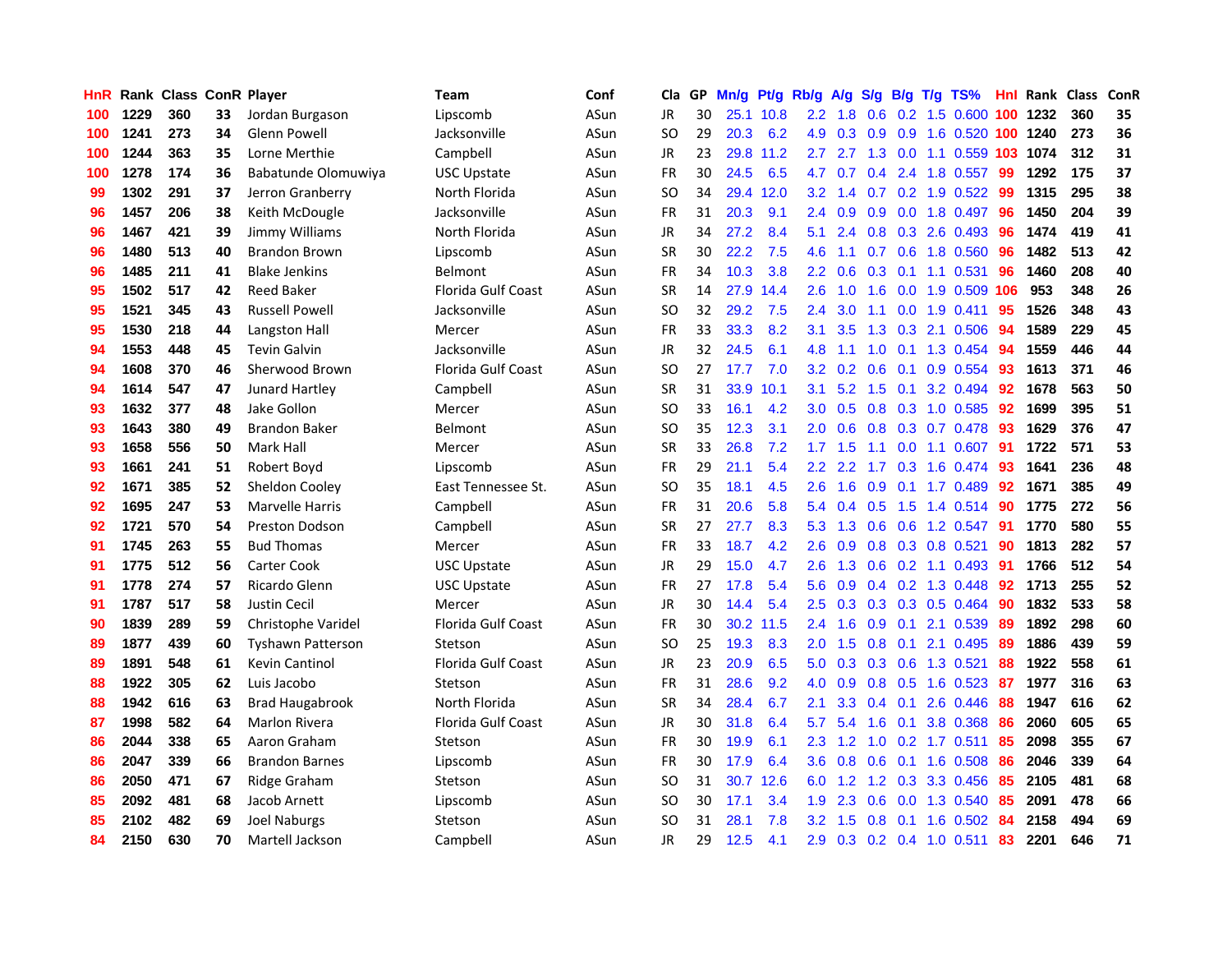| HnR |      | Rank Class ConR Player |    |                          | <b>Team</b>               | Conf | Cla       |    | GP Mn/g | Pt/g Rb/g |                  | A/g             |     |                 | S/g B/g T/g TS%           | Hnl | Rank Class |     | ConR |
|-----|------|------------------------|----|--------------------------|---------------------------|------|-----------|----|---------|-----------|------------------|-----------------|-----|-----------------|---------------------------|-----|------------|-----|------|
| 100 | 1229 | 360                    | 33 | Jordan Burgason          | Lipscomb                  | ASun | JR        | 30 |         | 25.1 10.8 | $2.2\phantom{0}$ | 1.8             | 0.6 | 0.2             | 1.5 0.600                 | 100 | 1232       | 360 | 35   |
| 100 | 1241 | 273                    | 34 | <b>Glenn Powell</b>      | Jacksonville              | ASun | <b>SO</b> | 29 | 20.3    | 6.2       | 4.9              | 0.3             | 0.9 | 0.9             | 1.6 0.520 100             |     | 1240       | 273 | 36   |
| 100 | 1244 | 363                    | 35 | Lorne Merthie            | Campbell                  | ASun | <b>JR</b> | 23 | 29.8    | 11.2      | 2.7              | 2.7             | 1.3 | 0.0             | 1.1 0.559 103             |     | 1074       | 312 | 31   |
| 100 | 1278 | 174                    | 36 | Babatunde Olomuwiya      | <b>USC Upstate</b>        | ASun | FR        | 30 | 24.5    | 6.5       | 4.7              | 0.7             |     | $0.4$ 2.4       | 1.8 0.557                 | -99 | 1292       | 175 | 37   |
| 99  | 1302 | 291                    | 37 | Jerron Granberry         | North Florida             | ASun | SO.       | 34 |         | 29.4 12.0 |                  | $3.2 \quad 1.4$ |     |                 | $0.7$ $0.2$ 1.9 $0.522$   | -99 | 1315       | 295 | 38   |
| 96  | 1457 | 206                    | 38 | Keith McDougle           | Jacksonville              | ASun | <b>FR</b> | 31 | 20.3    | 9.1       | 2.4              | 0.9             |     |                 | $0.9$ $0.0$ 1.8 $0.497$   | 96  | 1450       | 204 | 39   |
| 96  | 1467 | 421                    | 39 | Jimmy Williams           | North Florida             | ASun | <b>JR</b> | 34 | 27.2    | 8.4       | 5.1              | 2.4             |     |                 | $0.8$ $0.3$ 2.6 0.493     | 96  | 1474       | 419 | 41   |
| 96  | 1480 | 513                    | 40 | Brandon Brown            | Lipscomb                  | ASun | <b>SR</b> | 30 | 22.2    | 7.5       | 4.6              | 1.1             |     |                 | 0.7 0.6 1.8 0.560         | 96  | 1482       | 513 | 42   |
| 96  | 1485 | 211                    | 41 | <b>Blake Jenkins</b>     | Belmont                   | ASun | <b>FR</b> | 34 | 10.3    | 3.8       | $2.2^{\circ}$    | 0.6             | 0.3 | 0.1             | 1.1 0.531                 | 96  | 1460       | 208 | 40   |
| 95  | 1502 | 517                    | 42 | <b>Reed Baker</b>        | <b>Florida Gulf Coast</b> | ASun | <b>SR</b> | 14 | 27.9    | 14.4      | 2.6              | 1.0             | 1.6 | 0.0             | 1.9 0.509                 | 106 | 953        | 348 | 26   |
| 95  | 1521 | 345                    | 43 | <b>Russell Powell</b>    | Jacksonville              | ASun | SO.       | 32 | 29.2    | 7.5       | 2.4              | 3.0             | 1.1 | 0.0             | 1.9 0.411                 | 95  | 1526       | 348 | 43   |
| 95  | 1530 | 218                    | 44 | Langston Hall            | Mercer                    | ASun | <b>FR</b> | 33 | 33.3    | 8.2       | 3.1              | 3.5             | 1.3 | 0.3             | 2.1 0.506                 | 94  | 1589       | 229 | 45   |
| 94  | 1553 | 448                    | 45 | <b>Tevin Galvin</b>      | Jacksonville              | ASun | <b>JR</b> | 32 | 24.5    | 6.1       | 4.8              | 1.1             | 1.0 | 0.1             | 1.3 0.454                 | 94  | 1559       | 446 | 44   |
| 94  | 1608 | 370                    | 46 | Sherwood Brown           | <b>Florida Gulf Coast</b> | ASun | <b>SO</b> | 27 | 17.7    | 7.0       | $3.2\phantom{0}$ | 0.2             | 0.6 | 0.1             | 0.9 0.554                 | 93  | 1613       | 371 | 46   |
| 94  | 1614 | 547                    | 47 | Junard Hartley           | Campbell                  | ASun | <b>SR</b> | 31 | 33.9    | 10.1      | 3.1              | 5.2             | 1.5 | 0.1             | 3.2 0.494                 | 92  | 1678       | 563 | 50   |
| 93  | 1632 | 377                    | 48 | Jake Gollon              | Mercer                    | ASun | <b>SO</b> | 33 | 16.1    | 4.2       | 3.0              | 0.5             | 0.8 | 0.3             | 1.0 0.585                 | -92 | 1699       | 395 | 51   |
| 93  | 1643 | 380                    | 49 | <b>Brandon Baker</b>     | Belmont                   | ASun | <b>SO</b> | 35 | 12.3    | 3.1       | 2.0              | 0.6             |     |                 | 0.8 0.3 0.7 0.478         | -93 | 1629       | 376 | 47   |
| 93  | 1658 | 556                    | 50 | Mark Hall                | Mercer                    | ASun | <b>SR</b> | 33 | 26.8    | 7.2       |                  | $1.7$ $1.5$     | 1.1 |                 | $0.0$ 1.1 0.607           | -91 | 1722       | 571 | 53   |
| 93  | 1661 | 241                    | 51 | Robert Boyd              | Lipscomb                  | ASun | <b>FR</b> | 29 | 21.1    | 5.4       |                  | $2.2$ 2.2       |     |                 | 1.7 0.3 1.6 0.474         | -93 | 1641       | 236 | 48   |
| 92  | 1671 | 385                    | 52 | Sheldon Cooley           | East Tennessee St.        | ASun | <b>SO</b> | 35 | 18.1    | 4.5       | $2.6^{\circ}$    | 1.6             |     |                 | $0.9$ 0.1 1.7 0.489       | 92  | 1671       | 385 | 49   |
| 92  | 1695 | 247                    | 53 | <b>Marvelle Harris</b>   | Campbell                  | ASun | <b>FR</b> | 31 | 20.6    | 5.8       |                  | 5.4 0.4         | 0.5 |                 | 1.5 1.4 0.514             | 90  | 1775       | 272 | 56   |
| 92  | 1721 | 570                    | 54 | <b>Preston Dodson</b>    | Campbell                  | ASun | <b>SR</b> | 27 | 27.7    | 8.3       | 5.3              | 1.3             |     |                 | $0.6$ $0.6$ $1.2$ $0.547$ | -91 | 1770       | 580 | 55   |
| 91  | 1745 | 263                    | 55 | <b>Bud Thomas</b>        | Mercer                    | ASun | <b>FR</b> | 33 | 18.7    | 4.2       | 2.6              | 0.9             |     |                 | 0.8 0.3 0.8 0.521         | 90  | 1813       | 282 | 57   |
| 91  | 1775 | 512                    | 56 | <b>Carter Cook</b>       | <b>USC Upstate</b>        | ASun | JR        | 29 | 15.0    | 4.7       | 2.6              | 1.3             |     |                 | $0.6$ $0.2$ 1.1 $0.493$   | -91 | 1766       | 512 | 54   |
| 91  | 1778 | 274                    | 57 | Ricardo Glenn            | <b>USC Upstate</b>        | ASun | FR        | 27 | 17.8    | 5.4       | 5.6              | 0.9             |     |                 | 0.4 0.2 1.3 0.448         | 92  | 1713       | 255 | 52   |
| 91  | 1787 | 517                    | 58 | Justin Cecil             | Mercer                    | ASun | JR        | 30 | 14.4    | 5.4       | 2.5              | 0.3             |     |                 | 0.3 0.3 0.5 0.464         | 90  | 1832       | 533 | 58   |
| 90  | 1839 | 289                    | 59 | Christophe Varidel       | <b>Florida Gulf Coast</b> | ASun | <b>FR</b> | 30 |         | 30.2 11.5 | 2.4              | 1.6             | 0.9 | 0.1             | 2.1 0.539                 | 89  | 1892       | 298 | 60   |
| 89  | 1877 | 439                    | 60 | <b>Tyshawn Patterson</b> | Stetson                   | ASun | <b>SO</b> | 25 | 19.3    | 8.3       | 2.0              | 1.5             | 0.8 | 0.1             | 2.1 0.495                 | 89  | 1886       | 439 | 59   |
| 89  | 1891 | 548                    | 61 | Kevin Cantinol           | Florida Gulf Coast        | ASun | <b>JR</b> | 23 | 20.9    | 6.5       | 5.0              | 0.3             | 0.3 | 0.6             | 1.3 0.521                 | 88  | 1922       | 558 | 61   |
| 88  | 1922 | 305                    | 62 | Luis Jacobo              | Stetson                   | ASun | <b>FR</b> | 31 | 28.6    | 9.2       | 4.0              | 0.9             |     | $0.8\quad 0.5$  | 1.6 0.523                 | 87  | 1977       | 316 | 63   |
| 88  | 1942 | 616                    | 63 | <b>Brad Haugabrook</b>   | North Florida             | ASun | <b>SR</b> | 34 | 28.4    | 6.7       | 2.1              | 3.3             |     | $0.4 \quad 0.1$ | 2.6 0.446                 | 88  | 1947       | 616 | 62   |
| 87  | 1998 | 582                    | 64 | <b>Marlon Rivera</b>     | <b>Florida Gulf Coast</b> | ASun | JR        | 30 | 31.8    | 6.4       | 5.7              | 5.4             |     | $1.6 \quad 0.1$ | 3.8 0.368                 | 86  | 2060       | 605 | 65   |
| 86  | 2044 | 338                    | 65 | Aaron Graham             | Stetson                   | ASun | <b>FR</b> | 30 | 19.9    | 6.1       |                  | $2.3$ 1.2       |     |                 | 1.0 0.2 1.7 0.511         | -85 | 2098       | 355 | 67   |
| 86  | 2047 | 339                    | 66 | <b>Brandon Barnes</b>    | Lipscomb                  | ASun | <b>FR</b> | 30 | 17.9    | 6.4       | $3.6^{\circ}$    | 0.8             | 0.6 |                 | 0.1 1.6 0.508             | 86  | 2046       | 339 | 64   |
| 86  | 2050 | 471                    | 67 | Ridge Graham             | Stetson                   | ASun | <b>SO</b> | 31 | 30.7    | 12.6      | 6.0              | 1.2             |     |                 | 1.2 0.3 3.3 0.456         | 85  | 2105       | 481 | 68   |
| 85  | 2092 | 481                    | 68 | Jacob Arnett             | Lipscomb                  | ASun | <b>SO</b> | 30 | 17.1    | 3.4       | 1.9              | 2.3             | 0.6 | 0.0             | 1.3 0.540                 | 85  | 2091       | 478 | 66   |
| 85  | 2102 | 482                    | 69 | <b>Joel Naburgs</b>      | Stetson                   | ASun | <b>SO</b> | 31 | 28.1    | 7.8       | 3.2              | 1.5             | 0.8 | 0.1             | 1.6 0.502                 | 84  | 2158       | 494 | 69   |
| 84  | 2150 | 630                    | 70 | <b>Martell Jackson</b>   | Campbell                  | ASun | JR        | 29 | 12.5    | 4.1       | 2.9              | 0.3             |     |                 | $0.2$ 0.4 1.0 0.511       | 83  | 2201       | 646 | 71   |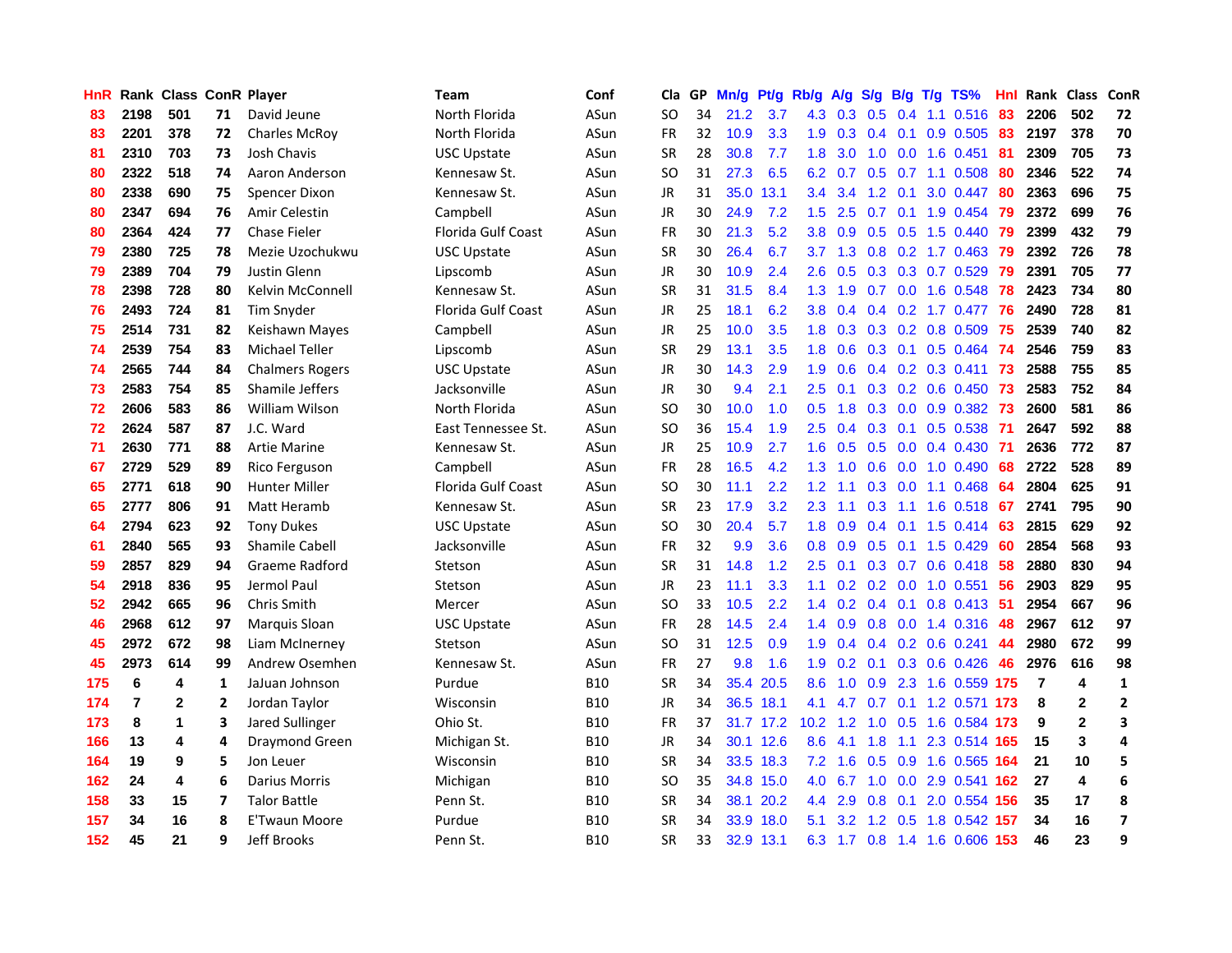| <b>HnR</b> |                | Rank Class ConR Player |                |                        | <b>Team</b>               | Conf       | Cla       |    | GP Mn/g | Pt/g      | Rb/g             | A/g             |                 |                 | S/g B/g T/g TS%               | Hnl  | Rank Class |                | ConR                    |
|------------|----------------|------------------------|----------------|------------------------|---------------------------|------------|-----------|----|---------|-----------|------------------|-----------------|-----------------|-----------------|-------------------------------|------|------------|----------------|-------------------------|
| 83         | 2198           | 501                    | 71             | David Jeune            | North Florida             | ASun       | SO.       | 34 | 21.2    | 3.7       | 4.3              | 0.3             | 0.5             | 0.4             | 1.1 0.516                     | 83   | 2206       | 502            | 72                      |
| 83         | 2201           | 378                    | 72             | <b>Charles McRov</b>   | North Florida             | ASun       | <b>FR</b> | 32 | 10.9    | 3.3       | 1.9              | 0.3             | $0.4 \quad 0.1$ |                 | 0.9 0.505                     | 83   | 2197       | 378            | 70                      |
| 81         | 2310           | 703                    | 73             | Josh Chavis            | USC Upstate               | ASun       | <b>SR</b> | 28 | 30.8    | 7.7       | 1.8              | 3.0             | 1.0             | 0.0             | 1.6 0.451                     | 81   | 2309       | 705            | 73                      |
| 80         | 2322           | 518                    | 74             | Aaron Anderson         | Kennesaw St.              | ASun       | SO.       | 31 | 27.3    | 6.5       |                  | $6.2 \quad 0.7$ |                 |                 | $0.5$ 0.7 1.1 0.508           | 80   | 2346       | 522            | 74                      |
| 80         | 2338           | 690                    | 75             | <b>Spencer Dixon</b>   | Kennesaw St.              | ASun       | JR        | 31 | 35.0    | 13.1      | $3.4^{\circ}$    | 3.4             | $1.2 \quad 0.1$ |                 | 3.0 0.447                     | 80   | 2363       | 696            | 75                      |
| 80         | 2347           | 694                    | 76             | Amir Celestin          | Campbell                  | ASun       | JR        | 30 | 24.9    | 7.2       | $1.5^{\circ}$    | 2.5             |                 |                 | $0.7$ 0.1 1.9 0.454           | -79  | 2372       | 699            | 76                      |
| 80         | 2364           | 424                    | 77             | <b>Chase Fieler</b>    | Florida Gulf Coast        | ASun       | <b>FR</b> | 30 | 21.3    | 5.2       | 3.8 <sup>°</sup> | 0.9             |                 |                 | $0.5$ $0.5$ 1.5 $0.440$       | -79  | 2399       | 432            | 79                      |
| 79         | 2380           | 725                    | 78             | Mezie Uzochukwu        | <b>USC Upstate</b>        | ASun       | <b>SR</b> | 30 | 26.4    | 6.7       | 3.7              | 1.3             | 0.8             |                 | $0.2$ 1.7 0.463               | -79  | 2392       | 726            | 78                      |
| 79         | 2389           | 704                    | 79             | Justin Glenn           | Lipscomb                  | ASun       | JR        | 30 | 10.9    | 2.4       | 2.6              | 0.5             |                 |                 | 0.3 0.3 0.7 0.529             | -79  | 2391       | 705            | 77                      |
| 78         | 2398           | 728                    | 80             | Kelvin McConnell       | Kennesaw St.              | ASun       | <b>SR</b> | 31 | 31.5    | 8.4       | 1.3              | 1.9             | 0.7             |                 | 0.0 1.6 0.548                 | 78   | 2423       | 734            | 80                      |
| 76         | 2493           | 724                    | 81             | Tim Snyder             | <b>Florida Gulf Coast</b> | ASun       | JR        | 25 | 18.1    | 6.2       | 3.8              | 0.4             |                 |                 | 0.4 0.2 1.7 0.477             | 76   | 2490       | 728            | 81                      |
| 75         | 2514           | 731                    | 82             | Keishawn Mayes         | Campbell                  | ASun       | JR        | 25 | 10.0    | 3.5       | 1.8              | 0.3             |                 |                 | $0.3$ $0.2$ $0.8$ $0.509$     | 75   | 2539       | 740            | 82                      |
| 74         | 2539           | 754                    | 83             | Michael Teller         | Lipscomb                  | ASun       | <b>SR</b> | 29 | 13.1    | 3.5       | 1.8              | 0.6             | 0.3             | 0.1             | 0.5 0.464                     | -74  | 2546       | 759            | 83                      |
| 74         | 2565           | 744                    | 84             | <b>Chalmers Rogers</b> | USC Upstate               | ASun       | <b>JR</b> | 30 | 14.3    | 2.9       | 1.9              | 0.6             |                 |                 | $0.4$ 0.2 0.3 0.411           | 73   | 2588       | 755            | 85                      |
| 73         | 2583           | 754                    | 85             | Shamile Jeffers        | Jacksonville              | ASun       | <b>JR</b> | 30 | 9.4     | 2.1       | 2.5              | 0.1             | 0.3             | 0.2             | $0.6$ 0.450                   | 73   | 2583       | 752            | 84                      |
| 72         | 2606           | 583                    | 86             | <b>William Wilson</b>  | North Florida             | ASun       | <b>SO</b> | 30 | 10.0    | 1.0       | 0.5              | 1.8             |                 |                 | 0.3 0.0 0.9 0.382             | -73  | 2600       | 581            | 86                      |
| 72         | 2624           | 587                    | 87             | J.C. Ward              | East Tennessee St.        | ASun       | SO.       | 36 | 15.4    | 1.9       | $2.5\,$          | 0.4             | $0.3 \quad 0.1$ |                 | 0.5 0.538                     | -71  | 2647       | 592            | 88                      |
| 71         | 2630           | 771                    | 88             | <b>Artie Marine</b>    | Kennesaw St.              | ASun       | JR        | 25 | 10.9    | 2.7       |                  | $1.6 \quad 0.5$ |                 |                 | $0.5$ 0.0 0.4 0.430 71        |      | 2636       | 772            | 87                      |
| 67         | 2729           | 529                    | 89             | Rico Ferguson          | Campbell                  | ASun       | <b>FR</b> | 28 | 16.5    | 4.2       | 1.3              | 1.0             |                 |                 | $0.6$ $0.0$ 1.0 $0.490$       | -68  | 2722       | 528            | 89                      |
| 65         | 2771           | 618                    | 90             | Hunter Miller          | Florida Gulf Coast        | ASun       | <b>SO</b> | 30 | 11.1    | 2.2       | 1.2 <sub>1</sub> | 1.1             |                 |                 | $0.3$ 0.0 1.1 0.468           | -64  | 2804       | 625            | 91                      |
| 65         | 2777           | 806                    | 91             | Matt Heramb            | Kennesaw St.              | ASun       | <b>SR</b> | 23 | 17.9    | 3.2       | $2.3^{\circ}$    | 1.1             | 0.3             |                 | 1.1 1.6 0.518                 | 67   | 2741       | 795            | 90                      |
| 64         | 2794           | 623                    | 92             | <b>Tony Dukes</b>      | <b>USC Upstate</b>        | ASun       | <b>SO</b> | 30 | 20.4    | 5.7       | 1.8              | 0.9             |                 | $0.4$ 0.1       | 1.5 0.414                     | 63   | 2815       | 629            | 92                      |
| 61         | 2840           | 565                    | 93             | <b>Shamile Cabell</b>  | Jacksonville              | ASun       | FR        | 32 | 9.9     | 3.6       | 0.8              | 0.9             |                 |                 | 0.5 0.1 1.5 0.429             | -60  | 2854       | 568            | 93                      |
| 59         | 2857           | 829                    | 94             | Graeme Radford         | Stetson                   | ASun       | <b>SR</b> | 31 | 14.8    | 1.2       | 2.5              | 0.1             |                 |                 | $0.3$ 0.7 0.6 0.418           | 58   | 2880       | 830            | 94                      |
| 54         | 2918           | 836                    | 95             | Jermol Paul            | Stetson                   | ASun       | JR        | 23 | 11.1    | 3.3       | 1.1              | 0.2             | $0.2\ 0.0$      |                 | 1.0 0.551                     | 56   | 2903       | 829            | 95                      |
| 52         | 2942           | 665                    | 96             | Chris Smith            | Mercer                    | ASun       | <b>SO</b> | 33 | 10.5    | 2.2       | 1.4              | 0.2             |                 | $0.4 \quad 0.1$ | 0.8 0.413                     | -51  | 2954       | 667            | 96                      |
| 46         | 2968           | 612                    | 97             | Marquis Sloan          | <b>USC Upstate</b>        | ASun       | FR        | 28 | $14.5$  | 2.4       | $1.4^{\circ}$    | 0.9             | 0.8             |                 | $0.0$ 1.4 $0.316$             | 48   | 2967       | 612            | 97                      |
| 45         | 2972           | 672                    | 98             | Liam McInerney         | Stetson                   | ASun       | <b>SO</b> | 31 | 12.5    | 0.9       | 1.9              | 0.4             |                 | $0.4 \quad 0.2$ | $0.6$ 0.241                   | 44   | 2980       | 672            | 99                      |
| 45         | 2973           | 614                    | 99             | Andrew Osemhen         | Kennesaw St.              | ASun       | <b>FR</b> | 27 | 9.8     | 1.6       | 1.9              | 0.2             | 0.1             |                 | 0.3 0.6 0.426                 | 46   | 2976       | 616            | 98                      |
| 175        | 6              | 4                      | 1              | JaJuan Johnson         | Purdue                    | <b>B10</b> | <b>SR</b> | 34 |         | 35.4 20.5 | 8.6              | 1.0             |                 |                 | 0.9 2.3 1.6 0.559 175         |      | -7         | 4              | 1                       |
| 174        | $\overline{7}$ | $\mathbf{2}$           | $\overline{2}$ | Jordan Taylor          | Wisconsin                 | <b>B10</b> | JR        | 34 |         | 36.5 18.1 | 4.1              |                 |                 |                 | 4.7 0.7 0.1 1.2 0.571 173     |      | 8          | $\mathbf{2}$   | $\mathbf{2}$            |
| 173        | 8              | 1                      | 3              | Jared Sullinger        | Ohio St.                  | <b>B10</b> | <b>FR</b> | 37 |         | 31.7 17.2 | $10.2 \quad 1.2$ |                 |                 |                 | 1.0 0.5 1.6 0.584 173         |      | 9          | $\overline{2}$ | 3                       |
| 166        | 13             | 4                      | 4              | Draymond Green         | Michigan St.              | <b>B10</b> | <b>JR</b> | 34 |         | 30.1 12.6 | 8.6              | 4.1             | 1.8             |                 | 1.1 2.3 0.514 165             |      | 15         | 3              | 4                       |
| 164        | 19             | 9                      | 5              | Jon Leuer              | Wisconsin                 | <b>B10</b> | <b>SR</b> | 34 |         | 33.5 18.3 | 7.2              | 1.6             |                 |                 | 0.5 0.9 1.6 0.565 164         |      | 21         | 10             | 5                       |
| 162        | 24             | 4                      | 6              | <b>Darius Morris</b>   | Michigan                  | <b>B10</b> | <b>SO</b> | 35 |         | 34.8 15.0 | 4.0              | 6.7             | 1.0             | 0.0             | 2.9 0.541 162                 |      | 27         | 4              | 6                       |
| 158        | 33             | 15                     | 7              | <b>Talor Battle</b>    | Penn St.                  | <b>B10</b> | <b>SR</b> | 34 | 38.1    | 20.2      | $4.4^{\circ}$    | 2.9             | 0.8             | 0.1             | 2.0 0.554                     | -156 | 35         | 17             | 8                       |
| 157        | 34             | 16                     | 8              | E'Twaun Moore          | Purdue                    | B10        | <b>SR</b> | 34 | 33.9    | 18.0      | 5.1              | 3.2             | 1.2             | 0.5             | 1.8 0.542                     | 157  | 34         | 16             | $\overline{\mathbf{z}}$ |
| 152        | 45             | 21                     | 9              | Jeff Brooks            | Penn St.                  | <b>B10</b> | <b>SR</b> | 33 |         | 32.9 13.1 |                  |                 |                 |                 | 6.3 1.7 0.8 1.4 1.6 0.606 153 |      | 46         | 23             | 9                       |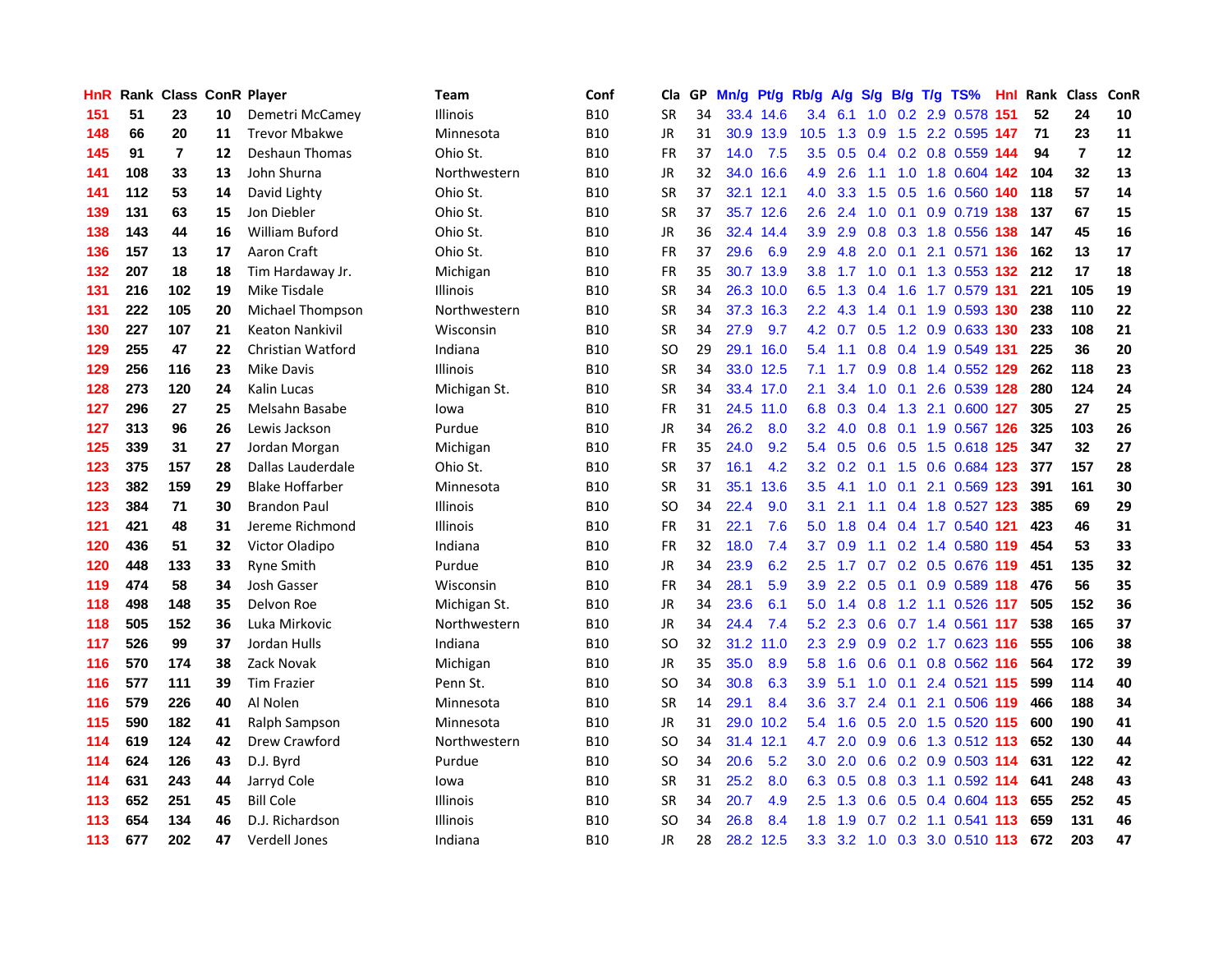| HnR. |     | <b>Rank Class ConR Player</b> |    |                        | Team            | Conf       | Cla           |    | GP Mn/g | Pt/g      | Rb/g             | <b>A/g</b>    |                  |                 | S/g B/g T/g TS%               | Hnl | Rank Class |                | ConR |
|------|-----|-------------------------------|----|------------------------|-----------------|------------|---------------|----|---------|-----------|------------------|---------------|------------------|-----------------|-------------------------------|-----|------------|----------------|------|
| 151  | 51  | 23                            | 10 | Demetri McCamey        | Illinois        | <b>B10</b> | <b>SR</b>     | 34 |         | 33.4 14.6 | 3.4              | 6.1           | 1.0              | 0.2             | 2.9 0.578                     | 151 | 52         | 24             | 10   |
| 148  | 66  | 20                            | 11 | <b>Trevor Mbakwe</b>   | Minnesota       | <b>B10</b> | <b>JR</b>     | 31 |         | 30.9 13.9 | 10.5             | 1.3           | 0.9              | 1.5             | 2.2 0.595 147                 |     | 71         | 23             | 11   |
| 145  | 91  | $\overline{7}$                | 12 | Deshaun Thomas         | Ohio St.        | <b>B10</b> | <b>FR</b>     | 37 | 14.0    | 7.5       | $3.5^{\circ}$    | 0.5           |                  |                 | 0.4 0.2 0.8 0.559 144         |     | 94         | $\overline{7}$ | 12   |
| 141  | 108 | 33                            | 13 | John Shurna            | Northwestern    | <b>B10</b> | <b>JR</b>     | 32 |         | 34.0 16.6 | 4.9              | 2.6           | 1.1              |                 | 1.0 1.8 0.604 142             |     | -104       | 32             | 13   |
| 141  | 112 | 53                            | 14 | David Lighty           | Ohio St.        | <b>B10</b> | <b>SR</b>     | 37 |         | 32.1 12.1 | 4.0              | 3.3           |                  |                 | 1.5 0.5 1.6 0.560 140         |     | 118        | 57             | 14   |
| 139  | 131 | 63                            | 15 | Jon Diebler            | Ohio St.        | <b>B10</b> | <b>SR</b>     | 37 |         | 35.7 12.6 | $2.6^{\circ}$    | 2.4           |                  |                 | 1.0 0.1 0.9 0.719 138         |     | 137        | 67             | 15   |
| 138  | 143 | 44                            | 16 | <b>William Buford</b>  | Ohio St.        | <b>B10</b> | <b>JR</b>     | 36 |         | 32.4 14.4 | 3.9 <sup>°</sup> | 2.9           |                  |                 | 0.8 0.3 1.8 0.556 138         |     | 147        | 45             | 16   |
| 136  | 157 | 13                            | 17 | Aaron Craft            | Ohio St.        | <b>B10</b> | <b>FR</b>     | 37 | 29.6    | 6.9       | 2.9              | 4.8           | 2.0              | 0.1             | 2.1 0.571 136                 |     | 162        | 13             | 17   |
| 132  | 207 | 18                            | 18 | Tim Hardaway Jr.       | Michigan        | <b>B10</b> | <b>FR</b>     | 35 |         | 30.7 13.9 | 3.8 <sub>1</sub> | 1.7           |                  | $1.0 \quad 0.1$ | 1.3 0.553 132                 |     | 212        | 17             | 18   |
| 131  | 216 | 102                           | 19 | Mike Tisdale           | <b>Illinois</b> | <b>B10</b> | <b>SR</b>     | 34 |         | 26.3 10.0 | 6.5              | 1.3           | 0.4              | 1.6             | 1.7 0.579 131                 |     | 221        | 105            | 19   |
| 131  | 222 | 105                           | 20 | Michael Thompson       | Northwestern    | <b>B10</b> | <b>SR</b>     | 34 |         | 37.3 16.3 | $2.2\phantom{0}$ | 4.3           | 1.4              | 0.1             | 1.9 0.593 130                 |     | 238        | 110            | 22   |
| 130  | 227 | 107                           | 21 | <b>Keaton Nankivil</b> | Wisconsin       | <b>B10</b> | <b>SR</b>     | 34 | 27.9    | 9.7       | 4.2              | 0.7           | 0.5              |                 | 1.2 0.9 0.633 130             |     | 233        | 108            | 21   |
| 129  | 255 | 47                            | 22 | Christian Watford      | Indiana         | <b>B10</b> | SO            | 29 |         | 29.1 16.0 | 5.4              | 1.1           | 0.8 <sub>0</sub> |                 | 0.4 1.9 0.549 131             |     | 225        | 36             | 20   |
| 129  | 256 | 116                           | 23 | Mike Davis             | <b>Illinois</b> | <b>B10</b> | SR            | 34 |         | 33.0 12.5 | 7.1              | 1.7           | 0.9              | 0.8             | 1.4 0.552 129                 |     | 262        | 118            | 23   |
| 128  | 273 | 120                           | 24 | Kalin Lucas            | Michigan St.    | <b>B10</b> | SR            | 34 |         | 33.4 17.0 | 2.1              | 3.4           | 1.0              | 0.1             | 2.6 0.539 128                 |     | 280        | 124            | 24   |
| 127  | 296 | 27                            | 25 | Melsahn Basabe         | lowa            | <b>B10</b> | <b>FR</b>     | 31 |         | 24.5 11.0 | 6.8              |               | $0.3 \quad 0.4$  |                 | 1.3 2.1 0.600 127             |     | 305        | 27             | 25   |
| 127  | 313 | 96                            | 26 | Lewis Jackson          | Purdue          | <b>B10</b> | <b>JR</b>     | 34 | 26.2    | 8.0       | 3.2              |               |                  |                 | 4.0 0.8 0.1 1.9 0.567 126     |     | 325        | 103            | 26   |
| 125  | 339 | 31                            | 27 | Jordan Morgan          | Michigan        | <b>B10</b> | <b>FR</b>     | 35 | 24.0    | 9.2       |                  |               |                  |                 | 5.4 0.5 0.6 0.5 1.5 0.618 125 |     | 347        | 32             | 27   |
| 123  | 375 | 157                           | 28 | Dallas Lauderdale      | Ohio St.        | <b>B10</b> | <b>SR</b>     | 37 | 16.1    | 4.2       |                  |               |                  |                 | 3.2 0.2 0.1 1.5 0.6 0.684 123 |     | 377        | 157            | 28   |
| 123  | 382 | 159                           | 29 | <b>Blake Hoffarber</b> | Minnesota       | <b>B10</b> | <b>SR</b>     | 31 |         | 35.1 13.6 | $3.5^{\circ}$    | 4.1           |                  |                 | 1.0 0.1 2.1 0.569 123         |     | 391        | 161            | 30   |
| 123  | 384 | 71                            | 30 | <b>Brandon Paul</b>    | Illinois        | <b>B10</b> | SO            | 34 | 22.4    | 9.0       | 3.1              | 2.1           |                  |                 | 1.1 0.4 1.8 0.527 123         |     | 385        | 69             | 29   |
| 121  | 421 | 48                            | 31 | Jereme Richmond        | <b>Illinois</b> | <b>B10</b> | <b>FR</b>     | 31 | 22.1    | 7.6       | 5.0              | 1.8           |                  |                 | 0.4 0.4 1.7 0.540 121         |     | 423        | 46             | 31   |
| 120  | 436 | 51                            | 32 | Victor Oladipo         | Indiana         | <b>B10</b> | <b>FR</b>     | 32 | 18.0    | 7.4       | 3.7              | 0.9           |                  |                 | 1.1 0.2 1.4 0.580 119         |     | 454        | 53             | 33   |
| 120  | 448 | 133                           | 33 | <b>Ryne Smith</b>      | Purdue          | <b>B10</b> | <b>JR</b>     | 34 | 23.9    | 6.2       | 2.5              | 1.7           |                  |                 | 0.7 0.2 0.5 0.676 119         |     | 451        | 135            | 32   |
| 119  | 474 | 58                            | 34 | Josh Gasser            | Wisconsin       | <b>B10</b> | <b>FR</b>     | 34 | 28.1    | 5.9       | 3.9              | $2.2^{\circ}$ |                  |                 | 0.5 0.1 0.9 0.589 118         |     | 476        | 56             | 35   |
| 118  | 498 | 148                           | 35 | Delvon Roe             | Michigan St.    | <b>B10</b> | <b>JR</b>     | 34 | 23.6    | 6.1       | 5.0              | 1.4           | 0.8              |                 | 1.2 1.1 0.526 117             |     | 505        | 152            | 36   |
| 118  | 505 | 152                           | 36 | Luka Mirkovic          | Northwestern    | <b>B10</b> | JR            | 34 | 24.4    | 7.4       | 5.2              | 2.3           | 0.6              |                 | 0.7 1.4 0.561 117             |     | 538        | 165            | 37   |
| 117  | 526 | 99                            | 37 | Jordan Hulls           | Indiana         | <b>B10</b> | <sub>SO</sub> | 32 |         | 31.2 11.0 | $2.3^{\circ}$    | 2.9           | 0.9              |                 | 0.2 1.7 0.623 116             |     | 555        | 106            | 38   |
| 116  | 570 | 174                           | 38 | Zack Novak             | Michigan        | <b>B10</b> | <b>JR</b>     | 35 | 35.0    | 8.9       | 5.8              | 1.6           | 0.6              | 0.1             | 0.8 0.562 116                 |     | 564        | 172            | 39   |
| 116  | 577 | 111                           | 39 | <b>Tim Frazier</b>     | Penn St.        | <b>B10</b> | <b>SO</b>     | 34 | 30.8    | 6.3       | 3.9              | 5.1           |                  |                 | 1.0 0.1 2.4 0.521 115         |     | 599        | 114            | 40   |
| 116  | 579 | 226                           | 40 | Al Nolen               | Minnesota       | <b>B10</b> | <b>SR</b>     | 14 | 29.1    | 8.4       | 3.6 <sup>°</sup> |               |                  |                 | 3.7 2.4 0.1 2.1 0.506 119     |     | 466        | 188            | 34   |
| 115  | 590 | 182                           | 41 | Ralph Sampson          | Minnesota       | <b>B10</b> | JR            | 31 |         | 29.0 10.2 | 5.4              | 1.6           |                  |                 | 0.5 2.0 1.5 0.520 115         |     | 600        | 190            | 41   |
| 114  | 619 | 124                           | 42 | Drew Crawford          | Northwestern    | <b>B10</b> | <sub>SO</sub> | 34 |         | 31.4 12.1 | 4.7              | 2.0           |                  |                 | 0.9 0.6 1.3 0.512 113         |     | 652        | 130            | 44   |
| 114  | 624 | 126                           | 43 | D.J. Byrd              | Purdue          | <b>B10</b> | SO            | 34 | 20.6    | 5.2       | 3.0 <sub>1</sub> | 2.0           | 0.6              |                 | 0.2 0.9 0.503 114             |     | 631        | 122            | 42   |
| 114  | 631 | 243                           | 44 | Jarryd Cole            | lowa            | <b>B10</b> | <b>SR</b>     | 31 | 25.2    | 8.0       | 6.3              | 0.5           |                  |                 | 0.8 0.3 1.1 0.592 114         |     | 641        | 248            | 43   |
| 113  | 652 | 251                           | 45 | <b>Bill Cole</b>       | <b>Illinois</b> | <b>B10</b> | <b>SR</b>     | 34 | 20.7    | 4.9       | $2.5^{\circ}$    | 1.3           | 0.6              | 0.5             | $0.4$ 0.604 113               |     | 655        | 252            | 45   |
| 113  | 654 | 134                           | 46 | D.J. Richardson        | <b>Illinois</b> | B10        | SO            | 34 | 26.8    | 8.4       | 1.8              | 1.9           | 0.7              |                 | 0.2 1.1 0.541 113             |     | 659        | 131            | 46   |
| 113  | 677 | 202                           | 47 | Verdell Jones          | Indiana         | <b>B10</b> | <b>JR</b>     | 28 |         | 28.2 12.5 |                  |               |                  |                 | 3.3 3.2 1.0 0.3 3.0 0.510 113 |     | 672        | 203            | 47   |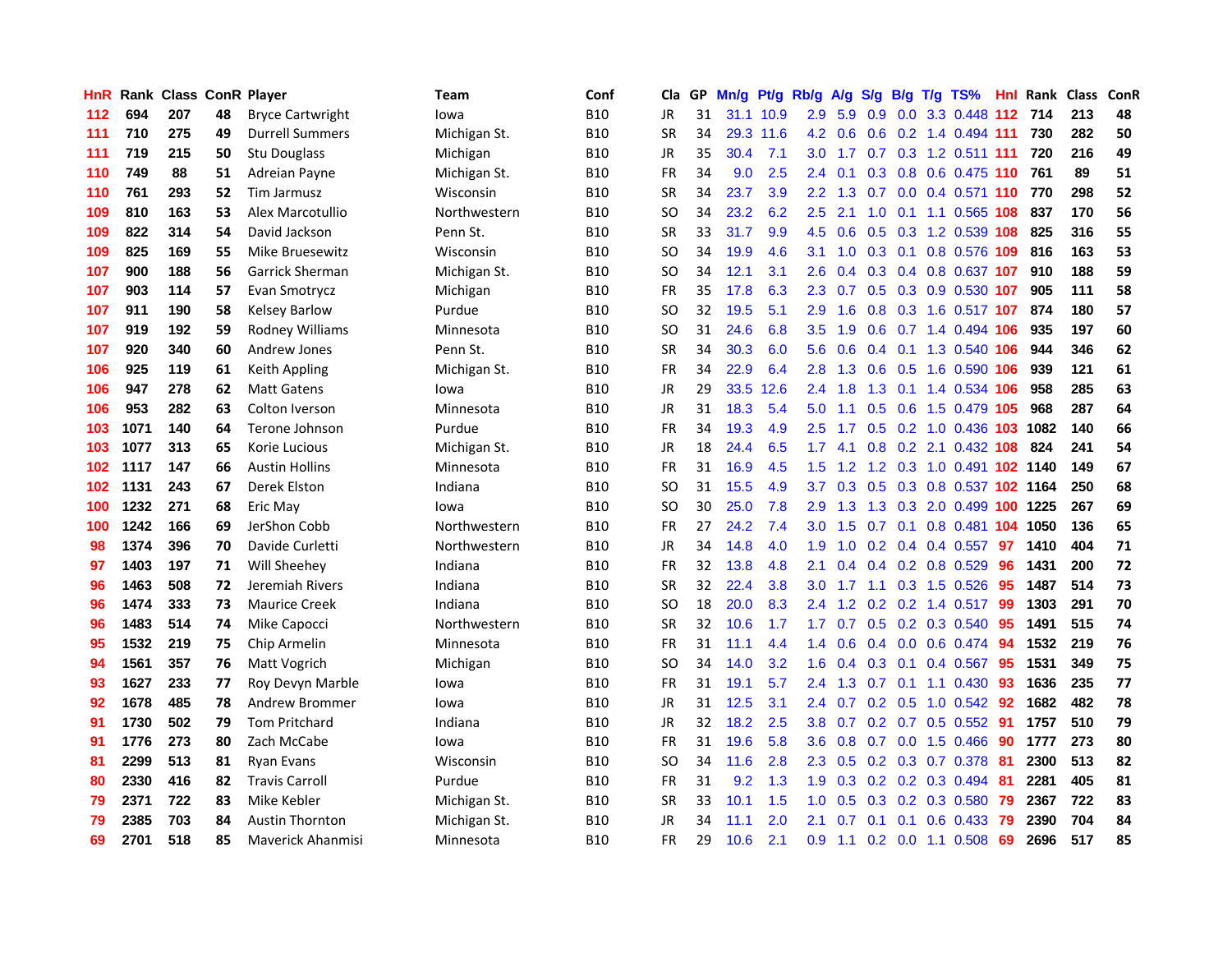| HnR. |      | <b>Rank Class ConR Player</b> |    |                          | Team         | Conf       | Cla           |    | GP Mn/g | Pt/g      | Rb/g             | A/g            | <b>S/g</b>      |                | B/g T/g TS%                       | Hnl | Rank Class |     | ConR |
|------|------|-------------------------------|----|--------------------------|--------------|------------|---------------|----|---------|-----------|------------------|----------------|-----------------|----------------|-----------------------------------|-----|------------|-----|------|
| 112  | 694  | 207                           | 48 | <b>Bryce Cartwright</b>  | lowa         | <b>B10</b> | JR            | 31 |         | 31.1 10.9 | 2.9              | 5.9            | 0.9             | 0.0            | 3.3 0.448                         | 112 | 714        | 213 | 48   |
| 111  | 710  | 275                           | 49 | <b>Durrell Summers</b>   | Michigan St. | <b>B10</b> | <b>SR</b>     | 34 |         | 29.3 11.6 | 4.2              | 0.6            | 0.6             |                | 0.2 1.4 0.494 111                 |     | 730        | 282 | 50   |
| 111  | 719  | 215                           | 50 | <b>Stu Douglass</b>      | Michigan     | <b>B10</b> | JR            | 35 | 30.4    | 7.1       | 3.0 <sub>1</sub> | 1.7            | 0.7             |                | 0.3 1.2 0.511 111                 |     | 720        | 216 | 49   |
| 110  | 749  | 88                            | 51 | Adreian Payne            | Michigan St. | <b>B10</b> | FR            | 34 | 9.0     | 2.5       |                  | $2.4\quad 0.1$ |                 |                | 0.3 0.8 0.6 0.475 110             |     | 761        | 89  | 51   |
| 110  | 761  | 293                           | 52 | Tim Jarmusz              | Wisconsin    | <b>B10</b> | <b>SR</b>     | 34 | 23.7    | 3.9       |                  |                |                 |                | 2.2 1.3 0.7 0.0 0.4 0.571 110     |     | 770        | 298 | 52   |
| 109  | 810  | 163                           | 53 | Alex Marcotullio         | Northwestern | <b>B10</b> | <b>SO</b>     | 34 | 23.2    | 6.2       | $2.5^{\circ}$    | 2.1            |                 |                | 1.0 0.1 1.1 0.565 108             |     | 837        | 170 | 56   |
| 109  | 822  | 314                           | 54 | David Jackson            | Penn St.     | <b>B10</b> | <b>SR</b>     | 33 | 31.7    | 9.9       | 4.5              | 0.6            |                 |                | 0.5 0.3 1.2 0.539 108             |     | 825        | 316 | 55   |
| 109  | 825  | 169                           | 55 | Mike Bruesewitz          | Wisconsin    | <b>B10</b> | SO            | 34 | 19.9    | 4.6       | 3.1              | 1.0            |                 |                | 0.3 0.1 0.8 0.576 109             |     | 816        | 163 | 53   |
| 107  | 900  | 188                           | 56 | <b>Garrick Sherman</b>   | Michigan St. | <b>B10</b> | <sub>SO</sub> | 34 | 12.1    | 3.1       | 2.6              | 0.4            |                 |                | 0.3 0.4 0.8 0.637 107             |     | 910        | 188 | 59   |
| 107  | 903  | 114                           | 57 | Evan Smotrycz            | Michigan     | <b>B10</b> | <b>FR</b>     | 35 | 17.8    | 6.3       | $2.3^{\circ}$    | 0.7            |                 |                | 0.5 0.3 0.9 0.530 107             |     | 905        | 111 | 58   |
| 107  | 911  | 190                           | 58 | <b>Kelsey Barlow</b>     | Purdue       | <b>B10</b> | SO            | 32 | 19.5    | 5.1       | 2.9              | 1.6            |                 |                | 0.8 0.3 1.6 0.517 107             |     | 874        | 180 | 57   |
| 107  | 919  | 192                           | 59 | Rodney Williams          | Minnesota    | <b>B10</b> | SO            | 31 | 24.6    | 6.8       | 3.5              | 1.9            | 0.6             |                | $0.7$ 1.4 0.494                   | 106 | 935        | 197 | 60   |
| 107  | 920  | 340                           | 60 | Andrew Jones             | Penn St.     | <b>B10</b> | SR            | 34 | 30.3    | 6.0       | 5.6              | 0.6            | $0.4^{\circ}$   |                | 0.1 1.3 0.540 106                 |     | 944        | 346 | 62   |
| 106  | 925  | 119                           | 61 | Keith Appling            | Michigan St. | <b>B10</b> | FR            | 34 | 22.9    | 6.4       | 2.8              | 1.3            | 0.6             | 0.5            | 1.6 0.590                         | 106 | 939        | 121 | 61   |
| 106  | 947  | 278                           | 62 | <b>Matt Gatens</b>       | lowa         | <b>B10</b> | <b>JR</b>     | 29 | 33.5    | 12.6      | 2.4              | 1.8            | 1.3             | 0.1            | 1.4 0.534 106                     |     | 958        | 285 | 63   |
| 106  | 953  | 282                           | 63 | Colton Iverson           | Minnesota    | <b>B10</b> | <b>JR</b>     | 31 | 18.3    | 5.4       | 5.0              | 1.1            | 0.5             | 0.6            | 1.5 0.479 105                     |     | 968        | 287 | 64   |
| 103  | 1071 | 140                           | 64 | Terone Johnson           | Purdue       | <b>B10</b> | FR            | 34 | 19.3    | 4.9       | 2.5              | 1.7            |                 |                | 0.5 0.2 1.0 0.436 103 1082        |     |            | 140 | 66   |
| 103  | 1077 | 313                           | 65 | Korie Lucious            | Michigan St. | <b>B10</b> | <b>JR</b>     | 18 | 24.4    | 6.5       |                  | $1.7$ 4.1      |                 |                | 0.8 0.2 2.1 0.432 108             |     | 824        | 241 | 54   |
| 102  | 1117 | 147                           | 66 | <b>Austin Hollins</b>    | Minnesota    | <b>B10</b> | FR            | 31 | 16.9    | 4.5       | 1.5              | 1.2            |                 |                | 1.2 0.3 1.0 0.491 <b>102 1140</b> |     |            | 149 | 67   |
| 102  | 1131 | 243                           | 67 | Derek Elston             | Indiana      | B10        | <b>SO</b>     | 31 | 15.5    | 4.9       | 3.7 <sub>2</sub> | 0.3            |                 |                | 0.5 0.3 0.8 0.537 102 1164        |     |            | 250 | 68   |
| 100  | 1232 | 271                           | 68 | Eric May                 | lowa         | <b>B10</b> | SO            | 30 | 25.0    | 7.8       | 2.9              | 1.3            |                 |                | 1.3 0.3 2.0 0.499 100 1225        |     |            | 267 | 69   |
| 100  | 1242 | 166                           | 69 | JerShon Cobb             | Northwestern | <b>B10</b> | <b>FR</b>     | 27 | 24.2    | 7.4       | 3.0              | 1.5            | 0.7             | 0.1            | 0.8 0.481 104 1050                |     |            | 136 | 65   |
| 98   | 1374 | 396                           | 70 | Davide Curletti          | Northwestern | <b>B10</b> | <b>JR</b>     | 34 | 14.8    | 4.0       | 1.9              | 1.0            |                 |                | $0.2$ 0.4 0.4 0.557               | -97 | 1410       | 404 | 71   |
| 97   | 1403 | 197                           | 71 | Will Sheehey             | Indiana      | <b>B10</b> | <b>FR</b>     | 32 | 13.8    | 4.8       | 2.1              | 0.4            |                 |                | 0.4 0.2 0.8 0.529                 | 96  | 1431       | 200 | 72   |
| 96   | 1463 | 508                           | 72 | Jeremiah Rivers          | Indiana      | <b>B10</b> | <b>SR</b>     | 32 | 22.4    | 3.8       | 3.0              | 1.7            |                 |                | 1.1 0.3 1.5 0.526                 | 95  | 1487       | 514 | 73   |
| 96   | 1474 | 333                           | 73 | <b>Maurice Creek</b>     | Indiana      | <b>B10</b> | SO            | 18 | 20.0    | 8.3       | 2.4              | 1.2            | 0.2             |                | $0.2$ 1.4 0.517                   | 99  | 1303       | 291 | 70   |
| 96   | 1483 | 514                           | 74 | Mike Capocci             | Northwestern | <b>B10</b> | <b>SR</b>     | 32 | 10.6    | 1.7       | 1.7              | 0.7            | 0.5             |                | $0.2$ 0.3 0.540                   | 95  | 1491       | 515 | 74   |
| 95   | 1532 | 219                           | 75 | Chip Armelin             | Minnesota    | <b>B10</b> | FR            | 31 | 11.1    | 4.4       | 1.4              | 0.6            |                 | $0.4\quad 0.0$ | 0.6 0.474                         | 94  | 1532       | 219 | 76   |
| 94   | 1561 | 357                           | 76 | Matt Vogrich             | Michigan     | <b>B10</b> | <b>SO</b>     | 34 | 14.0    | 3.2       | 1.6              | 0.4            | 0.3             | 0.1            | 0.4 0.567                         | -95 | 1531       | 349 | 75   |
| 93   | 1627 | 233                           | 77 | Roy Devyn Marble         | lowa         | <b>B10</b> | <b>FR</b>     | 31 | 19.1    | 5.7       |                  |                | 2.4 1.3 0.7 0.1 |                | 1.1 0.430                         | -93 | 1636       | 235 | 77   |
| 92   | 1678 | 485                           | 78 | Andrew Brommer           | lowa         | <b>B10</b> | <b>JR</b>     | 31 | 12.5    | 3.1       |                  | 2.4 0.7        |                 |                | $0.2$ 0.5 1.0 0.542               | 92  | 1682       | 482 | 78   |
| 91   | 1730 | 502                           | 79 | <b>Tom Pritchard</b>     | Indiana      | <b>B10</b> | <b>JR</b>     | 32 | 18.2    | 2.5       | 3.8 <sup>°</sup> | 0.7            |                 |                | $0.2$ 0.7 0.5 0.552               | -91 | 1757       | 510 | 79   |
| 91   | 1776 | 273                           | 80 | Zach McCabe              | lowa         | <b>B10</b> | <b>FR</b>     | 31 | 19.6    | 5.8       | 3.6 <sup>°</sup> | 0.8            |                 |                | 0.7 0.0 1.5 0.466                 | -90 | 1777       | 273 | 80   |
| 81   | 2299 | 513                           | 81 | <b>Ryan Evans</b>        | Wisconsin    | <b>B10</b> | SO            | 34 | 11.6    | 2.8       | 2.3              | 0.5            |                 |                | 0.2 0.3 0.7 0.378                 | 81  | 2300       | 513 | 82   |
| 80   | 2330 | 416                           | 82 | <b>Travis Carroll</b>    | Purdue       | <b>B10</b> | <b>FR</b>     | 31 | 9.2     | 1.3       | 1.9              | 0.3            |                 |                | 0.2 0.2 0.3 0.494                 | -81 | 2281       | 405 | 81   |
| 79   | 2371 | 722                           | 83 | Mike Kebler              | Michigan St. | <b>B10</b> | <b>SR</b>     | 33 | 10.1    | 1.5       | 1.0              | 0.5            | 0.3             |                | $0.2$ 0.3 0.580                   | -79 | 2367       | 722 | 83   |
| 79   | 2385 | 703                           | 84 | <b>Austin Thornton</b>   | Michigan St. | B10        | <b>JR</b>     | 34 | 11.1    | 2.0       | 2.1              | 0.7            | 0.1             | 0.1            | 0.6 0.433                         | 79  | 2390       | 704 | 84   |
| 69   | 2701 | 518                           | 85 | <b>Maverick Ahanmisi</b> | Minnesota    | <b>B10</b> | <b>FR</b>     | 29 | 10.6    | 2.1       | 0.9              | 1.1            |                 |                | $0.2$ 0.0 1.1 0.508               | 69  | 2696       | 517 | 85   |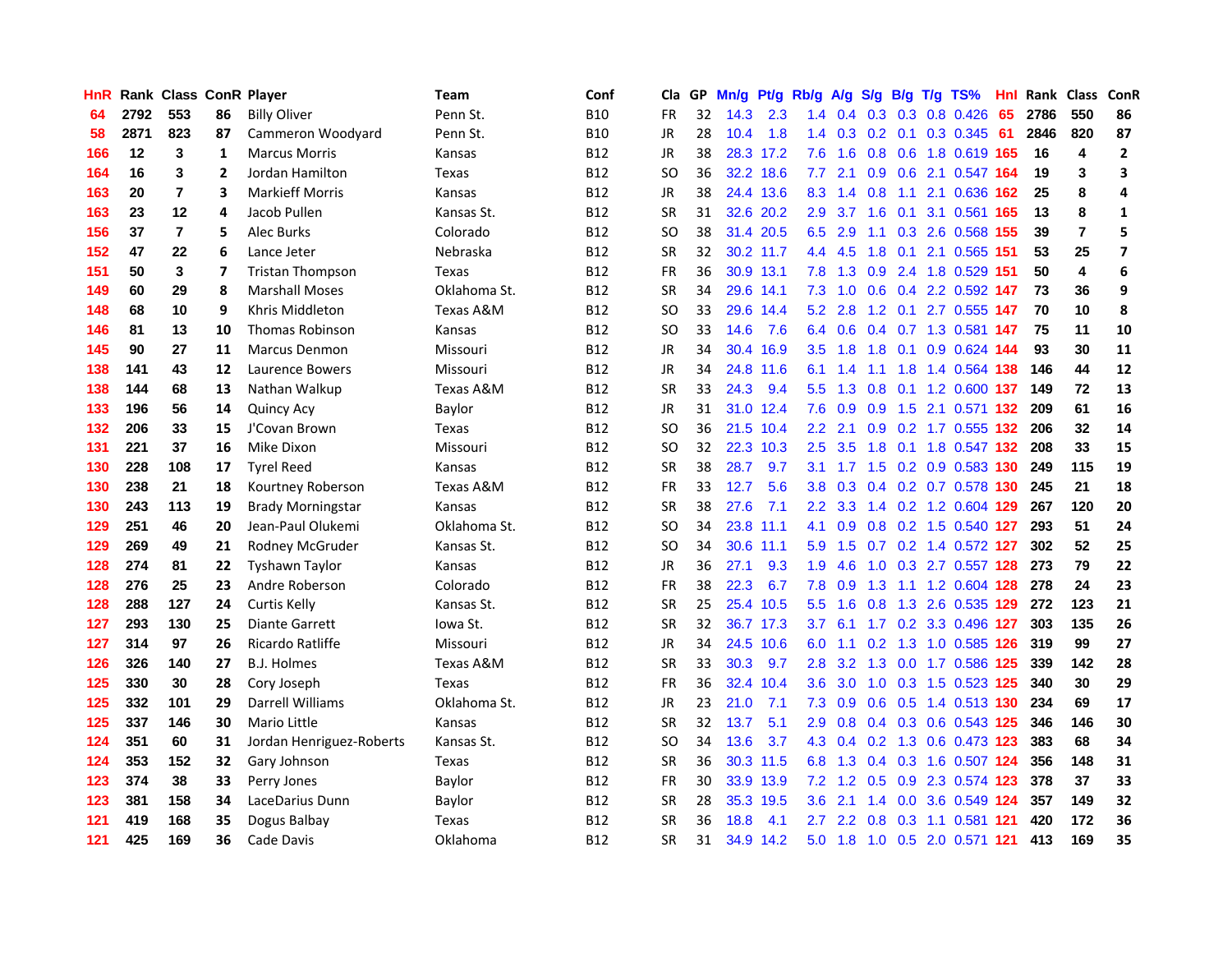| HnR |      | Rank Class ConR Player |                |                          | <b>Team</b>  | Conf       | Cla       |    | GP Mn/g Pt/g Rb/g |           |                  | A/g       |     |                 | S/g B/g T/g TS%           | Hnl  | Rank Class |                         | ConR           |
|-----|------|------------------------|----------------|--------------------------|--------------|------------|-----------|----|-------------------|-----------|------------------|-----------|-----|-----------------|---------------------------|------|------------|-------------------------|----------------|
| 64  | 2792 | 553                    | 86             | <b>Billy Oliver</b>      | Penn St.     | <b>B10</b> | <b>FR</b> | 32 | 14.3              | 2.3       | 1.4              | 0.4       | 0.3 | 0.3             | 0.8 0.426                 | 65   | 2786       | 550                     | 86             |
| 58  | 2871 | 823                    | 87             | Cammeron Woodyard        | Penn St.     | <b>B10</b> | JR        | 28 | 10.4              | 1.8       | 1.4              | 0.3       | 0.2 | 0.1             | 0.3 0.345                 | -61  | 2846       | 820                     | 87             |
| 166 | 12   | 3                      | 1              | <b>Marcus Morris</b>     | Kansas       | <b>B12</b> | JR        | 38 |                   | 28.3 17.2 | 7.6              | 1.6       | 0.8 | 0.6             | 1.8 0.619 165             |      | 16         | 4                       | $\mathbf{2}$   |
| 164 | 16   | 3                      | $\overline{2}$ | Jordan Hamilton          | Texas        | <b>B12</b> | <b>SO</b> | 36 |                   | 32.2 18.6 | 7.7              | 2.1       |     |                 | 0.9 0.6 2.1 0.547 164     |      | 19         | 3                       | 3              |
| 163 | 20   | $\overline{7}$         | 3              | <b>Markieff Morris</b>   | Kansas       | <b>B12</b> | JR        | 38 |                   | 24.4 13.6 |                  | 8.3 1.4   | 0.8 |                 | 1.1 2.1 0.636 162         |      | 25         | 8                       | 4              |
| 163 | 23   | 12                     | 4              | Jacob Pullen             | Kansas St.   | <b>B12</b> | <b>SR</b> | 31 |                   | 32.6 20.2 | 2.9              | 3.7       | 1.6 |                 | 0.1 3.1 0.561 165         |      | 13         | 8                       | $\mathbf 1$    |
| 156 | 37   | $\overline{7}$         | 5              | Alec Burks               | Colorado     | <b>B12</b> | <b>SO</b> | 38 |                   | 31.4 20.5 | 6.5              | 2.9       |     |                 | 1.1 0.3 2.6 0.568 155     |      | 39         | $\overline{7}$          | 5              |
| 152 | 47   | 22                     | 6              | Lance Jeter              | Nebraska     | <b>B12</b> | <b>SR</b> | 32 |                   | 30.2 11.7 | 4.4              | 4.5       | 1.8 | 0.1             | 2.1 0.565 151             |      | 53         | 25                      | $\overline{ }$ |
| 151 | 50   | 3                      | 7              | <b>Tristan Thompson</b>  | Texas        | <b>B12</b> | <b>FR</b> | 36 |                   | 30.9 13.1 | 7.8              | 1.3       |     |                 | 0.9 2.4 1.8 0.529         | -151 | 50         | $\overline{\mathbf{4}}$ | 6              |
| 149 | 60   | 29                     | 8              | <b>Marshall Moses</b>    | Oklahoma St. | <b>B12</b> | <b>SR</b> | 34 |                   | 29.6 14.1 | 7.3              | 1.0       |     |                 | 0.6 0.4 2.2 0.592 147     |      | 73         | 36                      | 9              |
| 148 | 68   | 10                     | 9              | Khris Middleton          | Texas A&M    | <b>B12</b> | <b>SO</b> | 33 |                   | 29.6 14.4 | 5.2              | 2.8       |     |                 | 1.2 0.1 2.7 0.555 147     |      | 70         | 10                      | 8              |
| 146 | 81   | 13                     | 10             | <b>Thomas Robinson</b>   | Kansas       | <b>B12</b> | <b>SO</b> | 33 | 14.6              | 7.6       |                  | 6.4 0.6   |     |                 | 0.4 0.7 1.3 0.581         | -147 | 75         | 11                      | 10             |
| 145 | 90   | 27                     | 11             | <b>Marcus Denmon</b>     | Missouri     | <b>B12</b> | <b>JR</b> | 34 |                   | 30.4 16.9 | 3.5              | 1.8       | 1.8 | 0.1             | $0.9$ $0.624$             | 144  | 93         | 30                      | 11             |
| 138 | 141  | 43                     | 12             | Laurence Bowers          | Missouri     | <b>B12</b> | JR        | 34 |                   | 24.8 11.6 | 6.1              | 1.4       | 1.1 | 1.8             | 1.4 0.564 138             |      | 146        | 44                      | 12             |
| 138 | 144  | 68                     | 13             | Nathan Walkup            | Texas A&M    | <b>B12</b> | <b>SR</b> | 33 | 24.3              | 9.4       | $5.5^{\circ}$    | 1.3       | 0.8 | 0.1             | 1.2 0.600 137             |      | 149        | 72                      | 13             |
| 133 | 196  | 56                     | 14             | <b>Quincy Acy</b>        | Baylor       | <b>B12</b> | JR        | 31 |                   | 31.0 12.4 | 7.6              | 0.9       | 0.9 |                 | 1.5 2.1 0.571 132         |      | 209        | 61                      | 16             |
| 132 | 206  | 33                     | 15             | J'Covan Brown            | Texas        | <b>B12</b> | SO        | 36 |                   | 21.5 10.4 |                  | $2.2$ 2.1 |     |                 | 0.9 0.2 1.7 0.555 132 206 |      |            | 32                      | 14             |
| 131 | 221  | 37                     | 16             | Mike Dixon               | Missouri     | <b>B12</b> | <b>SO</b> | 32 |                   | 22.3 10.3 | 2.5              | 3.5       |     |                 | 1.8 0.1 1.8 0.547 132     |      | 208        | 33                      | 15             |
| 130 | 228  | 108                    | 17             | <b>Tyrel Reed</b>        | Kansas       | <b>B12</b> | <b>SR</b> | 38 | 28.7              | 9.7       | 3.1              |           |     |                 | 1.7 1.5 0.2 0.9 0.583 130 |      | 249        | 115                     | 19             |
| 130 | 238  | 21                     | 18             | Kourtney Roberson        | Texas A&M    | <b>B12</b> | FR        | 33 | 12.7              | 5.6       | 3.8 <sup>°</sup> | 0.3       |     |                 | 0.4 0.2 0.7 0.578 130     |      | 245        | 21                      | 18             |
| 130 | 243  | 113                    | 19             | <b>Brady Morningstar</b> | Kansas       | <b>B12</b> | <b>SR</b> | 38 | 27.6              | 7.1       | $2.2^{\circ}$    | 3.3       |     |                 | 1.4 0.2 1.2 0.604 129     |      | 267        | 120                     | 20             |
| 129 | 251  | 46                     | 20             | Jean-Paul Olukemi        | Oklahoma St. | <b>B12</b> | SO.       | 34 | 23.8              | 11.1      | 4.1              | 0.9       |     |                 | 0.8 0.2 1.5 0.540 127     |      | 293        | 51                      | 24             |
| 129 | 269  | 49                     | 21             | Rodney McGruder          | Kansas St.   | <b>B12</b> | <b>SO</b> | 34 |                   | 30.6 11.1 | 5.9              | 1.5       |     |                 | 0.7 0.2 1.4 0.572 127     |      | 302        | 52                      | 25             |
| 128 | 274  | 81                     | 22             | <b>Tyshawn Taylor</b>    | Kansas       | <b>B12</b> | <b>JR</b> | 36 | 27.1              | 9.3       | 1.9              | 4.6       | 1.0 |                 | 0.3 2.7 0.557 128         |      | 273        | 79                      | 22             |
| 128 | 276  | 25                     | 23             | Andre Roberson           | Colorado     | <b>B12</b> | <b>FR</b> | 38 | 22.3              | 6.7       | 7.8              | 0.9       | 1.3 | 1.1             | 1.2 0.604 128             |      | 278        | 24                      | 23             |
| 128 | 288  | 127                    | 24             | <b>Curtis Kelly</b>      | Kansas St.   | <b>B12</b> | <b>SR</b> | 25 |                   | 25.4 10.5 | 5.5 <sub>1</sub> | 1.6       | 0.8 | 1.3             | 2.6 0.535 129             |      | 272        | 123                     | 21             |
| 127 | 293  | 130                    | 25             | <b>Diante Garrett</b>    | Iowa St.     | <b>B12</b> | <b>SR</b> | 32 |                   | 36.7 17.3 | 3.7              | 6.1       |     | $1.7 \quad 0.2$ | 3.3 0.496 127             |      | 303        | 135                     | 26             |
| 127 | 314  | 97                     | 26             | Ricardo Ratliffe         | Missouri     | <b>B12</b> | <b>JR</b> | 34 |                   | 24.5 10.6 | 6.0              | 1.1       | 0.2 | 1.3             | 1.0 0.585 126             |      | 319        | 99                      | 27             |
| 126 | 326  | 140                    | 27             | <b>B.J. Holmes</b>       | Texas A&M    | <b>B12</b> | <b>SR</b> | 33 | 30.3              | 9.7       | 2.8 <sub>1</sub> | 3.2       |     |                 | 1.3 0.0 1.7 0.586 125     |      | 339        | 142                     | 28             |
| 125 | 330  | 30                     | 28             | Cory Joseph              | Texas        | <b>B12</b> | <b>FR</b> | 36 |                   | 32.4 10.4 | 3.6 <sup>°</sup> | 3.0       |     |                 | 1.0 0.3 1.5 0.523 125     |      | 340        | 30                      | 29             |
| 125 | 332  | 101                    | 29             | Darrell Williams         | Oklahoma St. | <b>B12</b> | JR        | 23 | 21.0              | 7.1       | 7.3              | 0.9       |     |                 | 0.6 0.5 1.4 0.513 130     |      | 234        | 69                      | 17             |
| 125 | 337  | 146                    | 30             | Mario Little             | Kansas       | <b>B12</b> | <b>SR</b> | 32 | 13.7              | 5.1       | 2.9              | 0.8       |     |                 | 0.4 0.3 0.6 0.543 125     |      | 346        | 146                     | 30             |
| 124 | 351  | 60                     | 31             | Jordan Henriguez-Roberts | Kansas St.   | <b>B12</b> | <b>SO</b> | 34 | 13.6              | 3.7       |                  | 4.3 0.4   |     |                 | 0.2 1.3 0.6 0.473 123     |      | 383        | 68                      | 34             |
| 124 | 353  | 152                    | 32             | Gary Johnson             | Texas        | <b>B12</b> | <b>SR</b> | 36 |                   | 30.3 11.5 | 6.8              | 1.3       |     |                 | 0.4 0.3 1.6 0.507 124     |      | 356        | 148                     | 31             |
| 123 | 374  | 38                     | 33             | Perry Jones              | Baylor       | <b>B12</b> | <b>FR</b> | 30 |                   | 33.9 13.9 | 7.2              | 1.2       | 0.5 | 0.9             | 2.3 0.574 123             |      | 378        | 37                      | 33             |
| 123 | 381  | 158                    | 34             | LaceDarius Dunn          | Baylor       | <b>B12</b> | <b>SR</b> | 28 |                   | 35.3 19.5 | 3.6 <sup>°</sup> | 2.1       | 1.4 | 0.0             | 3.6 0.549                 | -124 | 357        | 149                     | 32             |
| 121 | 419  | 168                    | 35             | Dogus Balbay             | Texas        | <b>B12</b> | <b>SR</b> | 36 | 18.8              | 4.1       | 2.7              | 2.2       | 0.8 | 0.3             | 1.1 0.581                 | 121  | 420        | 172                     | 36             |
| 121 | 425  | 169                    | 36             | Cade Davis               | Oklahoma     | <b>B12</b> | <b>SR</b> | 31 |                   | 34.9 14.2 |                  | $5.0$ 1.8 |     |                 | 1.0 0.5 2.0 0.571 121     |      | 413        | 169                     | 35             |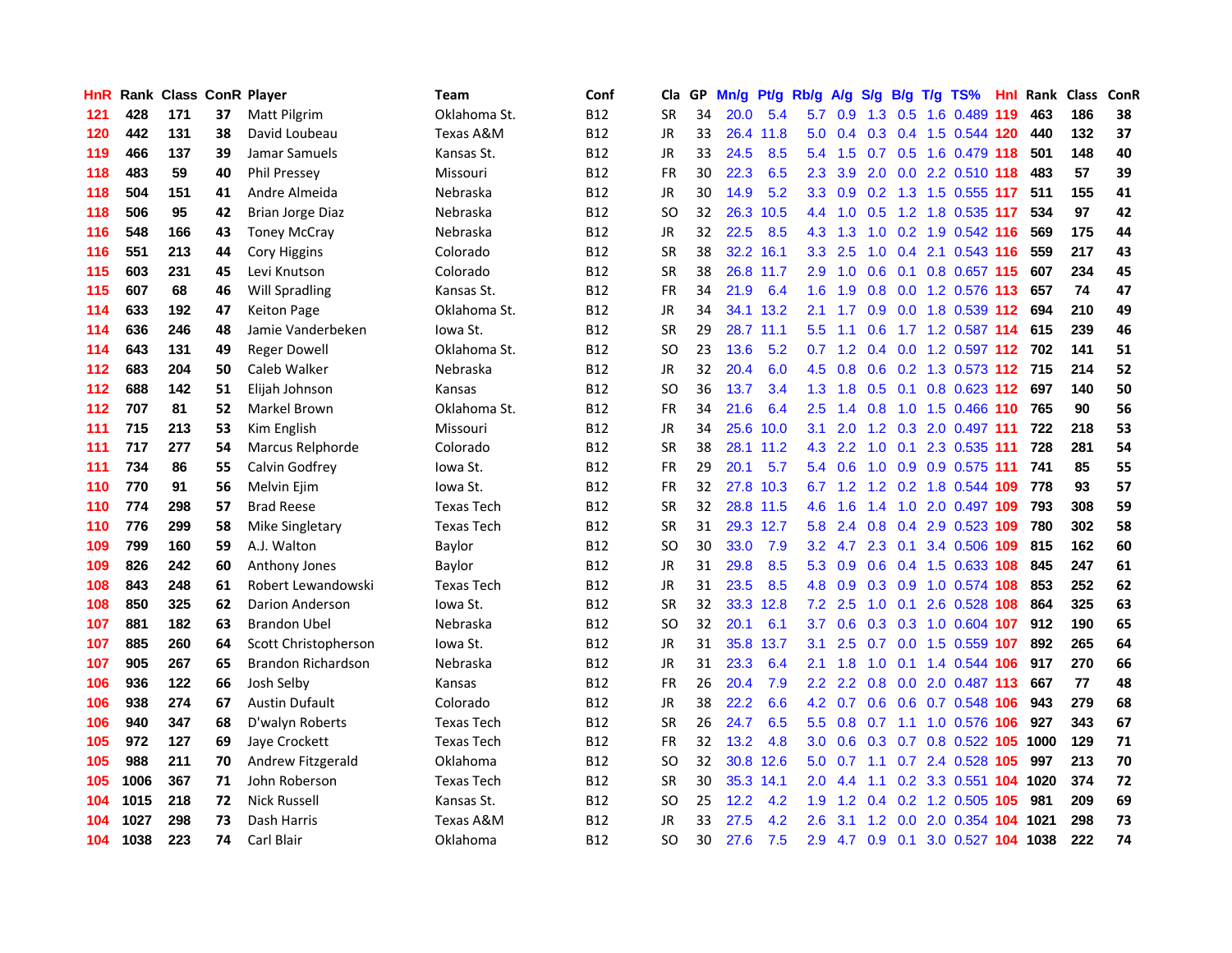| HnR. |      | <b>Rank Class ConR Player</b> |    |                         | Team              | Conf       | Cla           |    | GP Mn/g | Pt/g      | Rb/g             | <b>A/g</b>      | <b>S/g</b>  |                 | B/g T/g TS%                   | Hnl | Rank Class |     | ConR |
|------|------|-------------------------------|----|-------------------------|-------------------|------------|---------------|----|---------|-----------|------------------|-----------------|-------------|-----------------|-------------------------------|-----|------------|-----|------|
| 121  | 428  | 171                           | 37 | Matt Pilgrim            | Oklahoma St.      | <b>B12</b> | <b>SR</b>     | 34 | 20.0    | 5.4       | 5.7              | 0.9             | 1.3         | 0.5             | 1.6 0.489                     | 119 | 463        | 186 | 38   |
| 120  | 442  | 131                           | 38 | David Loubeau           | Texas A&M         | <b>B12</b> | <b>JR</b>     | 33 | 26.4    | 11.8      | 5.0              | 0.4             | 0.3         | 0.4             | 1.5 0.544 120                 |     | 440        | 132 | 37   |
| 119  | 466  | 137                           | 39 | Jamar Samuels           | Kansas St.        | <b>B12</b> | JR            | 33 | 24.5    | 8.5       | 5.4              | 1.5             | 0.7         | 0.5             | 1.6 0.479 118                 |     | 501        | 148 | 40   |
| 118  | 483  | 59                            | 40 | <b>Phil Pressey</b>     | Missouri          | <b>B12</b> | <b>FR</b>     | 30 | 22.3    | 6.5       | 2.3              | 3.9             | 2.0         |                 | 0.0 2.2 0.510 118             |     | 483        | 57  | 39   |
| 118  | 504  | 151                           | 41 | Andre Almeida           | Nebraska          | <b>B12</b> | JR            | 30 | 14.9    | 5.2       |                  | $3.3 \quad 0.9$ |             |                 | 0.2 1.3 1.5 0.555 117         |     | 511        | 155 | 41   |
| 118  | 506  | 95                            | 42 | <b>Brian Jorge Diaz</b> | Nebraska          | <b>B12</b> | <sub>SO</sub> | 32 |         | 26.3 10.5 |                  | $4.4 \quad 1.0$ | 0.5         |                 | 1.2 1.8 0.535 117             |     | 534        | 97  | 42   |
| 116  | 548  | 166                           | 43 | <b>Toney McCray</b>     | Nebraska          | <b>B12</b> | JR            | 32 | 22.5    | 8.5       | 4.3              | 1.3             | 1.0         |                 | 0.2 1.9 0.542 116             |     | 569        | 175 | 44   |
| 116  | 551  | 213                           | 44 | <b>Cory Higgins</b>     | Colorado          | <b>B12</b> | <b>SR</b>     | 38 |         | 32.2 16.1 | 3.3 <sub>1</sub> | 2.5             | 1.0         |                 | 0.4 2.1 0.543 116             |     | 559        | 217 | 43   |
| 115  | 603  | 231                           | 45 | Levi Knutson            | Colorado          | <b>B12</b> | <b>SR</b>     | 38 |         | 26.8 11.7 | 2.9              | 1.0             | 0.6         | 0.1             | 0.8 0.657 115                 |     | 607        | 234 | 45   |
| 115  | 607  | 68                            | 46 | Will Spradling          | Kansas St.        | <b>B12</b> | <b>FR</b>     | 34 | 21.9    | 6.4       | 1.6              | 1.9             | 0.8         |                 | 0.0 1.2 0.576 113             |     | 657        | 74  | 47   |
| 114  | 633  | 192                           | 47 | <b>Keiton Page</b>      | Oklahoma St.      | <b>B12</b> | <b>JR</b>     | 34 |         | 34.1 13.2 | 2.1              | 1.7             | 0.9         |                 | 0.0 1.8 0.539 112             |     | 694        | 210 | 49   |
| 114  | 636  | 246                           | 48 | Jamie Vanderbeken       | lowa St.          | <b>B12</b> | <b>SR</b>     | 29 |         | 28.7 11.1 | $5.5^{\circ}$    | 1.1             | 0.6         |                 | 1.7 1.2 0.587 114             |     | 615        | 239 | 46   |
| 114  | 643  | 131                           | 49 | <b>Reger Dowell</b>     | Oklahoma St.      | <b>B12</b> | <b>SO</b>     | 23 | 13.6    | 5.2       | 0.7              | 1.2             | 0.4         | 0.0             | 1.2 0.597 112                 |     | 702        | 141 | 51   |
| 112  | 683  | 204                           | 50 | Caleb Walker            | Nebraska          | B12        | JR            | 32 | 20.4    | 6.0       | 4.5              | 0.8             | 0.6         | 0.2             | 1.3 0.573 112                 |     | - 715      | 214 | 52   |
| 112  | 688  | 142                           | 51 | Elijah Johnson          | Kansas            | <b>B12</b> | <sub>SO</sub> | 36 | 13.7    | 3.4       | 1.3              | 1.8             | 0.5         | 0.1             | 0.8 0.623 112                 |     | 697        | 140 | 50   |
| 112  | 707  | 81                            | 52 | Markel Brown            | Oklahoma St.      | <b>B12</b> | <b>FR</b>     | 34 | 21.6    | 6.4       | 2.5              | 1.4             | 0.8         |                 | 1.0 1.5 0.466 110             |     | 765        | 90  | 56   |
| 111  | 715  | 213                           | 53 | Kim English             | Missouri          | <b>B12</b> | JR            | 34 |         | 25.6 10.0 | 3.1              | 2.0             |             |                 | 1.2 0.3 2.0 0.497 111         |     | 722        | 218 | 53   |
| 111  | 717  | 277                           | 54 | Marcus Relphorde        | Colorado          | <b>B12</b> | <b>SR</b>     | 38 |         | 28.1 11.2 | 4.3              | $2.2^{\circ}$   |             |                 | 1.0 0.1 2.3 0.535 111         |     | 728        | 281 | 54   |
| 111  | 734  | 86                            | 55 | Calvin Godfrey          | lowa St.          | <b>B12</b> | <b>FR</b>     | 29 | 20.1    | 5.7       |                  | $5.4\quad0.6$   |             |                 | 1.0 0.9 0.9 0.575 111         |     | 741        | 85  | 55   |
| 110  | 770  | 91                            | 56 | Melvin Ejim             | lowa St.          | B12        | FR            | 32 |         | 27.8 10.3 |                  | $6.7 \quad 1.2$ |             |                 | 1.2 0.2 1.8 0.544 109         |     | 778        | 93  | 57   |
| 110  | 774  | 298                           | 57 | <b>Brad Reese</b>       | <b>Texas Tech</b> | <b>B12</b> | <b>SR</b>     | 32 |         | 28.8 11.5 | 4.6              | 1.6             | 1.4         |                 | 1.0 2.0 0.497 109             |     | 793        | 308 | 59   |
| 110  | 776  | 299                           | 58 | <b>Mike Singletary</b>  | <b>Texas Tech</b> | <b>B12</b> | <b>SR</b>     | 31 |         | 29.3 12.7 | 5.8              | 2.4             | 0.8         |                 | 0.4 2.9 0.523 109             |     | 780        | 302 | 58   |
| 109  | 799  | 160                           | 59 | A.J. Walton             | Baylor            | <b>B12</b> | <b>SO</b>     | 30 | 33.0    | 7.9       | 3.2              | 4.7             | 2.3         | 0.1             | 3.4 0.506 109                 |     | 815        | 162 | 60   |
| 109  | 826  | 242                           | 60 | Anthony Jones           | Baylor            | <b>B12</b> | <b>JR</b>     | 31 | 29.8    | 8.5       | 5.3              | 0.9             | 0.6         |                 | 0.4 1.5 0.633 108             |     | 845        | 247 | 61   |
| 108  | 843  | 248                           | 61 | Robert Lewandowski      | <b>Texas Tech</b> | <b>B12</b> | <b>JR</b>     | 31 | 23.5    | 8.5       | 4.8              | 0.9             |             | $0.3 \quad 0.9$ | 1.0 0.574 108                 |     | 853        | 252 | 62   |
| 108  | 850  | 325                           | 62 | <b>Darion Anderson</b>  | lowa St.          | <b>B12</b> | <b>SR</b>     | 32 |         | 33.3 12.8 | 7.2              | 2.5             | 1.0         | 0.1             | 2.6 0.528                     | 108 | 864        | 325 | 63   |
| 107  | 881  | 182                           | 63 | <b>Brandon Ubel</b>     | Nebraska          | <b>B12</b> | SO            | 32 | 20.1    | 6.1       | 3.7              | 0.6             | 0.3         | 0.3             | 1.0 0.604 107                 |     | 912        | 190 | 65   |
| 107  | 885  | 260                           | 64 | Scott Christopherson    | lowa St.          | <b>B12</b> | JR            | 31 | 35.8    | 13.7      | 3.1              | 2.5             | 0.7         | 0.0             | 1.5 0.559 107                 |     | 892        | 265 | 64   |
| 107  | 905  | 267                           | 65 | Brandon Richardson      | Nebraska          | <b>B12</b> | JR            | 31 | 23.3    | 6.4       | 2.1              | 1.8             | 1.0         | 0.1             | 1.4 0.544 106                 |     | 917        | 270 | 66   |
| 106  | 936  | 122                           | 66 | Josh Selby              | Kansas            | <b>B12</b> | <b>FR</b>     | 26 | 20.4    | 7.9       |                  |                 |             |                 | 2.2 2.2 0.8 0.0 2.0 0.487 113 |     | 667        | 77  | 48   |
| 106  | 938  | 274                           | 67 | Austin Dufault          | Colorado          | <b>B12</b> | <b>JR</b>     | 38 | 22.2    | 6.6       |                  | $4.2 \quad 0.7$ |             |                 | 0.6 0.6 0.7 0.548 106         |     | 943        | 279 | 68   |
| 106  | 940  | 347                           | 68 | D'walyn Roberts         | <b>Texas Tech</b> | <b>B12</b> | <b>SR</b>     | 26 | 24.7    | 6.5       |                  | $5.5 \quad 0.8$ | 0.7         |                 | 1.1 1.0 0.576 106             |     | 927        | 343 | 67   |
| 105  | 972  | 127                           | 69 | Jaye Crockett           | <b>Texas Tech</b> | <b>B12</b> | <b>FR</b>     | 32 | 13.2    | 4.8       | 3.0 <sub>1</sub> | 0.6             | 0.3         |                 | 0.7 0.8 0.522 105             |     | 1000       | 129 | 71   |
| 105  | 988  | 211                           | 70 | Andrew Fitzgerald       | Oklahoma          | <b>B12</b> | SO            | 32 |         | 30.8 12.6 | 5.0              | 0.7             | 1.1         |                 | 0.7 2.4 0.528 105             |     | 997        | 213 | 70   |
| 105  | 1006 | 367                           | 71 | John Roberson           | <b>Texas Tech</b> | <b>B12</b> | <b>SR</b>     | 30 |         | 35.3 14.1 | 2.0              | 4.4             | 1.1         |                 | 0.2 3.3 0.551                 |     | 104 1020   | 374 | 72   |
| 104  | 1015 | 218                           | 72 | <b>Nick Russell</b>     | Kansas St.        | <b>B12</b> | <b>SO</b>     | 25 | 12.2    | 4.2       | 1.9              | 1.2             | 0.4         |                 | $0.2$ 1.2 0.505               | 105 | 981        | 209 | 69   |
| 104  | 1027 | 298                           | 73 | Dash Harris             | Texas A&M         | <b>B12</b> | JR            | 33 | 27.5    | 4.2       | 2.6              | 3.1             | 1.2         | 0.0             | 2.0 0.354                     | 104 | 1021       | 298 | 73   |
| 104  | 1038 | 223                           | 74 | Carl Blair              | Oklahoma          | <b>B12</b> | <b>SO</b>     | 30 | 27.6    | 7.5       | 2.9              |                 | 4.7 0.9 0.1 |                 | 3.0 0.527 104 1038            |     |            | 222 | 74   |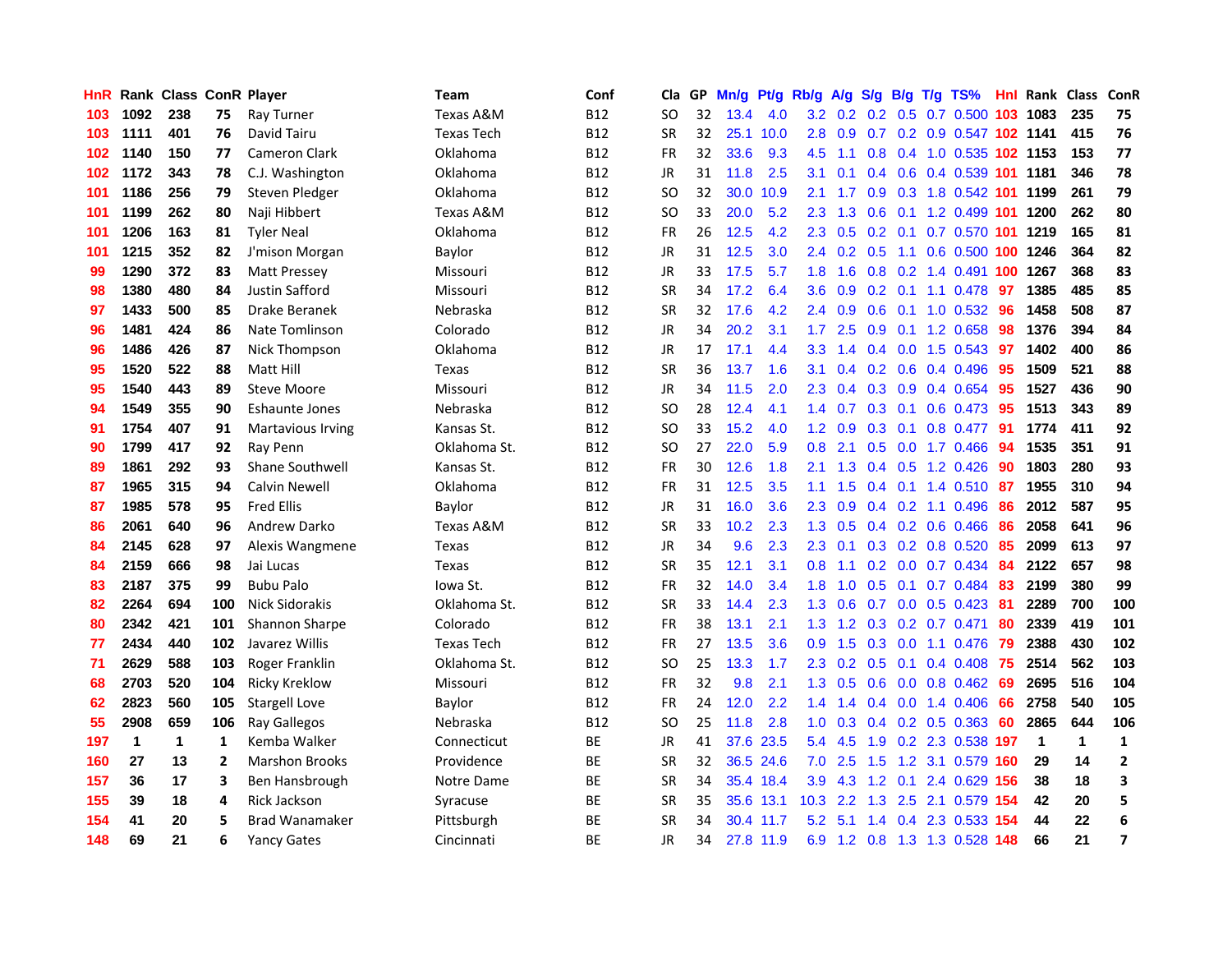| <b>HnR</b> |      | <b>Rank Class ConR Player</b> |     |                       | Team                 | Conf       | Cla       |    | GP Mn/g | Pt/g      | Rb/g             | A/g             | S/g B/g         |                 | $T/g$ TS%                  |      | <b>Hnl Rank Class</b> |              | ConR           |
|------------|------|-------------------------------|-----|-----------------------|----------------------|------------|-----------|----|---------|-----------|------------------|-----------------|-----------------|-----------------|----------------------------|------|-----------------------|--------------|----------------|
| 103        | 1092 | 238                           | 75  | Ray Turner            | Texas A&M            | <b>B12</b> | SO.       | 32 | 13.4    | 4.0       | 3.2 <sub>2</sub> |                 | $0.2 \quad 0.2$ | 0.5             | 0.7 0.500                  | 103  | 1083                  | 235          | 75             |
| 103        | 1111 | 401                           | 76  | David Tairu           | <b>Texas Tech</b>    | <b>B12</b> | <b>SR</b> | 32 | 25.1    | 10.0      | 2.8              | 0.9             | 0.7             | 0.2             | 0.9 0.547 102 1141         |      |                       | 415          | 76             |
| 102        | 1140 | 150                           | 77  | <b>Cameron Clark</b>  | Oklahoma             | <b>B12</b> | <b>FR</b> | 32 | 33.6    | 9.3       | 4.5              | 1.1             | 0.8             |                 | 0.4 1.0 0.535 102 1153     |      |                       | 153          | 77             |
| 102        | 1172 | 343                           | 78  | C.J. Washington       | Oklahoma             | <b>B12</b> | JR        | 31 | 11.8    | 2.5       | 3.1              | 0.1             |                 |                 | 0.4 0.6 0.4 0.539 101 1181 |      |                       | 346          | 78             |
| 101        | 1186 | 256                           | 79  | Steven Pledger        | Oklahoma             | <b>B12</b> | SO.       | 32 |         | 30.0 10.9 | 2.1              | 1.7             |                 |                 | 0.9 0.3 1.8 0.542 101 1199 |      |                       | 261          | 79             |
| 101        | 1199 | 262                           | 80  | Naji Hibbert          | <b>Texas A&amp;M</b> | <b>B12</b> | <b>SO</b> | 33 | 20.0    | 5.2       | $2.3^{\circ}$    | 1.3             |                 |                 | 0.6 0.1 1.2 0.499 101 1200 |      |                       | 262          | 80             |
| 101        | 1206 | 163                           | 81  | <b>Tyler Neal</b>     | Oklahoma             | <b>B12</b> | <b>FR</b> | 26 | 12.5    | 4.2       | $2.3^{\circ}$    | 0.5             |                 |                 | 0.2 0.1 0.7 0.570 101 1219 |      |                       | 165          | 81             |
| 101        | 1215 | 352                           | 82  | J'mison Morgan        | Baylor               | <b>B12</b> | JR        | 31 | 12.5    | 3.0       | $2.4^{\circ}$    | 0.2             | 0.5             | 1.1             | 0.6 0.500 100 1246         |      |                       | 364          | 82             |
| 99         | 1290 | 372                           | 83  | <b>Matt Pressey</b>   | Missouri             | <b>B12</b> | JR        | 33 | 17.5    | 5.7       | 1.8              | 1.6             |                 |                 | 0.8 0.2 1.4 0.491 100      |      | 1267                  | 368          | 83             |
| 98         | 1380 | 480                           | 84  | Justin Safford        | Missouri             | <b>B12</b> | <b>SR</b> | 34 | 17.2    | 6.4       | 3.6              | 0.9             |                 | $0.2 \quad 0.1$ | 1.1 0.478                  | 97   | 1385                  | 485          | 85             |
| 97         | 1433 | 500                           | 85  | Drake Beranek         | Nebraska             | <b>B12</b> | <b>SR</b> | 32 | 17.6    | 4.2       | $2.4^{\circ}$    | 0.9             |                 | $0.6$ 0.1       | 1.0 0.532                  | 96   | 1458                  | 508          | 87             |
| 96         | 1481 | 424                           | 86  | Nate Tomlinson        | Colorado             | <b>B12</b> | JR        | 34 | 20.2    | 3.1       | 1.7 <sub>2</sub> | 2.5             | 0.9             | 0.1             | 1.2 0.658                  | 98   | 1376                  | 394          | 84             |
| 96         | 1486 | 426                           | 87  | Nick Thompson         | Oklahoma             | <b>B12</b> | JR        | 17 | 17.1    | 4.4       | 3.3 <sub>2</sub> | 1.4             | 0.4             | 0.0             | 1.5 0.543                  | -97  | 1402                  | 400          | 86             |
| 95         | 1520 | 522                           | 88  | Matt Hill             | Texas                | <b>B12</b> | <b>SR</b> | 36 | 13.7    | 1.6       | 3.1              | 0.4             | 0.2             | 0.6             | 0.4 0.496                  | 95   | 1509                  | 521          | 88             |
| 95         | 1540 | 443                           | 89  | Steve Moore           | Missouri             | <b>B12</b> | JR        | 34 | 11.5    | 2.0       | 2.3              | 0.4             | 0.3             | 0.9             | 0.4 0.654                  | -95  | 1527                  | 436          | 90             |
| 94         | 1549 | 355                           | 90  | <b>Eshaunte Jones</b> | Nebraska             | <b>B12</b> | SO.       | 28 | 12.4    | 4.1       | 1.4              | 0.7             | $0.3 \quad 0.1$ |                 | $0.6$ 0.473                | -95  | 1513                  | 343          | 89             |
| 91         | 1754 | 407                           | 91  | Martavious Irving     | Kansas St.           | <b>B12</b> | <b>SO</b> | 33 | 15.2    | 4.0       |                  | $1.2 \quad 0.9$ | $0.3 \quad 0.1$ |                 | 0.8 0.477 91               |      | 1774                  | 411          | 92             |
| 90         | 1799 | 417                           | 92  | Ray Penn              | Oklahoma St.         | <b>B12</b> | SO.       | 27 | 22.0    | 5.9       | 0.8 <sub>0</sub> | 2.1             |                 |                 | $0.5$ $0.0$ 1.7 $0.466$    | -94  | 1535                  | 351          | 91             |
| 89         | 1861 | 292                           | 93  | Shane Southwell       | Kansas St.           | <b>B12</b> | <b>FR</b> | 30 | 12.6    | 1.8       | 2.1              | 1.3             |                 |                 | $0.4$ 0.5 1.2 0.426        | -90  | 1803                  | 280          | 93             |
| 87         | 1965 | 315                           | 94  | Calvin Newell         | <b>Oklahoma</b>      | <b>B12</b> | FR        | 31 | 12.5    | 3.5       | 1.1              | 1.5             |                 |                 | $0.4$ 0.1 1.4 0.510 87     |      | 1955                  | 310          | 94             |
| 87         | 1985 | 578                           | 95  | <b>Fred Ellis</b>     | Baylor               | <b>B12</b> | JR        | 31 | 16.0    | 3.6       | $2.3^{\circ}$    | 0.9             |                 |                 | $0.4$ 0.2 1.1 0.496        | -86  | 2012                  | 587          | 95             |
| 86         | 2061 | 640                           | 96  | Andrew Darko          | Texas A&M            | <b>B12</b> | <b>SR</b> | 33 | 10.2    | 2.3       | 1.3 <sup>2</sup> | 0.5             |                 |                 | 0.4 0.2 0.6 0.466          | 86   | 2058                  | 641          | 96             |
| 84         | 2145 | 628                           | 97  | Alexis Wangmene       | Texas                | <b>B12</b> | JR        | 34 | 9.6     | 2.3       | 2.3              | 0.1             |                 |                 | 0.3 0.2 0.8 0.520          | 85   | 2099                  | 613          | 97             |
| 84         | 2159 | 666                           | 98  | Jai Lucas             | Texas                | <b>B12</b> | <b>SR</b> | 35 | 12.1    | 3.1       | 0.8              | 1.1             |                 |                 | $0.2$ 0.0 0.7 0.434        | -84  | 2122                  | 657          | 98             |
| 83         | 2187 | 375                           | 99  | <b>Bubu Palo</b>      | lowa St.             | <b>B12</b> | <b>FR</b> | 32 | 14.0    | 3.4       | 1.8              | 1.0             |                 | $0.5 \quad 0.1$ | 0.7 0.484                  | 83   | 2199                  | 380          | 99             |
| 82         | 2264 | 694                           | 100 | Nick Sidorakis        | Oklahoma St.         | B12        | <b>SR</b> | 33 | 14.4    | 2.3       | 1.3              | 0.6             | 0.7             |                 | $0.0$ 0.5 0.423            | -81  | 2289                  | 700          | 100            |
| 80         | 2342 | 421                           | 101 | Shannon Sharpe        | Colorado             | <b>B12</b> | <b>FR</b> | 38 | 13.1    | 2.1       | 1.3              | 1.2             | 0.3             |                 | $0.2$ 0.7 0.471            | 80   | 2339                  | 419          | 101            |
| 77         | 2434 | 440                           | 102 | Javarez Willis        | <b>Texas Tech</b>    | <b>B12</b> | FR        | 27 | 13.5    | 3.6       | 0.9              | 1.5             | 0.3             | 0.0             | 1.1 0.476                  | -79  | 2388                  | 430          | 102            |
| 71         | 2629 | 588                           | 103 | Roger Franklin        | Oklahoma St.         | <b>B12</b> | SO.       | 25 | 13.3    | 1.7       | $2.3^{\circ}$    | 0.2             | 0.5             | 0.1             | 0.4 0.408                  | 75   | 2514                  | 562          | 103            |
| 68         | 2703 | 520                           | 104 | <b>Ricky Kreklow</b>  | Missouri             | <b>B12</b> | <b>FR</b> | 32 | 9.8     | 2.1       | 1.3 <sup>°</sup> | 0.5             | 0.6             |                 | $0.0$ 0.8 0.462            | -69  | 2695                  | 516          | 104            |
| 62         | 2823 | 560                           | 105 | <b>Stargell Love</b>  | Baylor               | <b>B12</b> | <b>FR</b> | 24 | 12.0    | 2.2       |                  | $1.4$ 1.4       |                 |                 | $0.4$ 0.0 1.4 0.406        | 66   | 2758                  | 540          | 105            |
| 55         | 2908 | 659                           | 106 | Ray Gallegos          | Nebraska             | <b>B12</b> | SO.       | 25 | 11.8    | 2.8       |                  |                 |                 |                 | 1.0 0.3 0.4 0.2 0.5 0.363  | -60  | 2865                  | 644          | 106            |
| 197        | 1    | 1                             | 1   | Kemba Walker          | Connecticut          | BE         | JR        | 41 |         | 37.6 23.5 |                  | $5.4$ 4.5       |                 |                 | 1.9 0.2 2.3 0.538 197      |      | $\mathbf 1$           | $\mathbf{1}$ | 1              |
| 160        | 27   | 13                            | 2   | <b>Marshon Brooks</b> | Providence           | <b>BE</b>  | <b>SR</b> | 32 |         | 36.5 24.6 | 7.0              | 2.5             | 1.5             |                 | 1.2 3.1 0.579 160          |      | 29                    | 14           | $\mathbf{2}$   |
| 157        | 36   | 17                            | 3   | Ben Hansbrough        | Notre Dame           | BE         | <b>SR</b> | 34 |         | 35.4 18.4 | 3.9              | 4.3             |                 | $1.2 \quad 0.1$ | 2.4 0.629 156              |      | 38                    | 18           | 3              |
| 155        | 39   | 18                            | 4   | Rick Jackson          | Syracuse             | ВE         | <b>SR</b> | 35 |         | 35.6 13.1 | 10.3             | 2.2             | 1.3             | 2.5             | 2.1 0.579 154              |      | 42                    | 20           | 5              |
| 154        | 41   | 20                            | 5   | <b>Brad Wanamaker</b> | Pittsburgh           | <b>BE</b>  | <b>SR</b> | 34 | 30.4    | 11.7      | 5.2              | 5.1             | 1.4             |                 | 0.4 2.3 0.533              | -154 | 44                    | 22           | 6              |
| 148        | 69   | 21                            | 6   | <b>Yancy Gates</b>    | Cincinnati           | ВE         | JR        | 34 |         | 27.8 11.9 | 6.9              |                 |                 |                 | 1.2 0.8 1.3 1.3 0.528 148  |      | 66                    | 21           | $\overline{7}$ |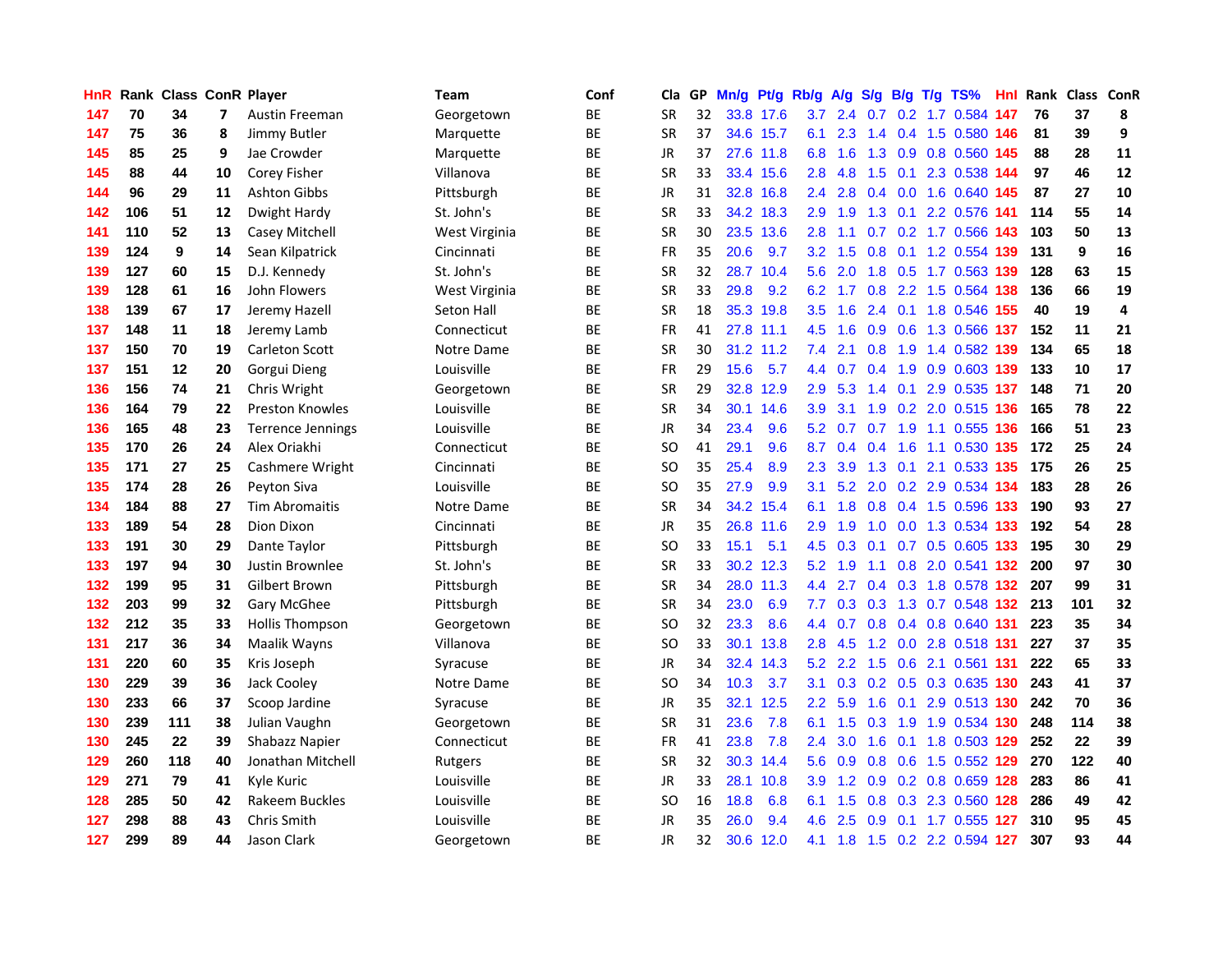| HnR |     | <b>Rank Class ConR Player</b> |                          |                          | Team              | Conf      | Cla           | GP. | Mn/g | Pt/g      | Rb/g             | A/g             | S/g           |                 | B/g T/g TS%               | Hnl. | Rank Class |     | ConR       |
|-----|-----|-------------------------------|--------------------------|--------------------------|-------------------|-----------|---------------|-----|------|-----------|------------------|-----------------|---------------|-----------------|---------------------------|------|------------|-----|------------|
| 147 | 70  | 34                            | $\overline{\phantom{a}}$ | Austin Freeman           | Georgetown        | BE        | <b>SR</b>     | 32  |      | 33.8 17.6 | 3.7              | 2.4             | 0.7           | 0.2             | 1.7 0.584                 | 147  | 76         | 37  | 8          |
| 147 | 75  | 36                            | 8                        | Jimmy Butler             | Marquette         | BE        | <b>SR</b>     | 37  |      | 34.6 15.7 | 6.1              | 2.3             | $1.4^{\circ}$ | 0.4             | 1.5 0.580 146             |      | 81         | 39  | 9          |
| 145 | 85  | 25                            | 9                        | Jae Crowder              | Marquette         | ВE        | <b>JR</b>     | 37  |      | 27.6 11.8 | 6.8              | 1.6             |               | $1.3 \quad 0.9$ | 0.8 0.560 145             |      | 88         | 28  | 11         |
| 145 | 88  | 44                            | 10                       | Corey Fisher             | Villanova         | ВE        | <b>SR</b>     | 33  |      | 33.4 15.6 | 2.8              | 4.8             |               | $1.5$ 0.1       | 2.3 0.538 144             |      | 97         | 46  | ${\bf 12}$ |
| 144 | 96  | 29                            | 11                       | Ashton Gibbs             | Pittsburgh        | BE        | <b>JR</b>     | 31  |      | 32.8 16.8 | $2.4^{\circ}$    | 2.8             |               |                 | 0.4 0.0 1.6 0.640 145     |      | 87         | 27  | 10         |
| 142 | 106 | 51                            | 12                       | Dwight Hardy             | St. John's        | BE        | <b>SR</b>     | 33  |      | 34.2 18.3 | 2.9              | 1.9             |               |                 | 1.3 0.1 2.2 0.576 141     |      | 114        | 55  | 14         |
| 141 | 110 | 52                            | 13                       | Casey Mitchell           | West Virginia     | BE        | <b>SR</b>     | 30  |      | 23.5 13.6 | 2.8              | 1.1             |               |                 | 0.7 0.2 1.7 0.566 143     |      | 103        | 50  | 13         |
| 139 | 124 | 9                             | 14                       | Sean Kilpatrick          | Cincinnati        | BE        | <b>FR</b>     | 35  | 20.6 | 9.7       | 3.2              | 1.5             | 0.8           |                 | 0.1 1.2 0.554 139         |      | 131        | 9   | 16         |
| 139 | 127 | 60                            | 15                       | D.J. Kennedy             | St. John's        | <b>BE</b> | <b>SR</b>     | 32  |      | 28.7 10.4 | 5.6              | 2.0             | 1.8           | 0.5             | 1.7 0.563 139             |      | 128        | 63  | 15         |
| 139 | 128 | 61                            | 16                       | John Flowers             | West Virginia     | ВE        | <b>SR</b>     | 33  | 29.8 | 9.2       | 6.2              | 1.7             | 0.8           |                 | 2.2 1.5 0.564             | 138  | 136        | 66  | 19         |
| 138 | 139 | 67                            | 17                       | Jeremy Hazell            | <b>Seton Hall</b> | BE        | <b>SR</b>     | 18  |      | 35.3 19.8 | $3.5^{\circ}$    | 1.6             |               | $2.4\quad 0.1$  | 1.8 0.546                 | 155  | 40         | 19  | 4          |
| 137 | 148 | 11                            | 18                       | Jeremy Lamb              | Connecticut       | BE        | FR            | 41  |      | 27.8 11.1 | 4.5              | 1.6             | 0.9           | 0.6             | 1.3 0.566                 | 137  | 152        | 11  | 21         |
| 137 | 150 | 70                            | 19                       | <b>Carleton Scott</b>    | Notre Dame        | ВE        | <b>SR</b>     | 30  |      | 31.2 11.2 | 7.4              | 2.1             | 0.8           | 1.9             | 1.4 0.582                 | 139  | 134        | 65  | 18         |
| 137 | 151 | 12                            | 20                       | Gorgui Dieng             | Louisville        | BE        | <b>FR</b>     | 29  | 15.6 | 5.7       | 4.4              | 0.7             | 0.4           | 1.9             | 0.9 0.603 139             |      | 133        | 10  | 17         |
| 136 | 156 | 74                            | 21                       | Chris Wright             | Georgetown        | BE        | <b>SR</b>     | 29  | 32.8 | 12.9      | 2.9              | 5.3             | $1.4^{\circ}$ | 0.1             | 2.9 0.535 137             |      | 148        | 71  | 20         |
| 136 | 164 | 79                            | 22                       | <b>Preston Knowles</b>   | Louisville        | <b>BE</b> | <b>SR</b>     | 34  |      | 30.1 14.6 | 3.9              | 3.1             | 1.9           |                 | 0.2 2.0 0.515 136         |      | 165        | 78  | 22         |
| 136 | 165 | 48                            | 23                       | <b>Terrence Jennings</b> | Louisville        | ВE        | JR            | 34  | 23.4 | 9.6       |                  | $5.2\quad 0.7$  |               |                 | 0.7 1.9 1.1 0.555 136     |      | 166        | 51  | 23         |
| 135 | 170 | 26                            | 24                       | Alex Oriakhi             | Connecticut       | <b>BE</b> | SO            | 41  | 29.1 | 9.6       |                  |                 | 8.7 0.4 0.4   |                 | 1.6 1.1 0.530 135         |      | 172        | 25  | 24         |
| 135 | 171 | 27                            | 25                       | Cashmere Wright          | Cincinnati        | BE        | SO            | 35  | 25.4 | 8.9       | $2.3^{\circ}$    | 3.9             |               |                 | 1.3 0.1 2.1 0.533 135     |      | 175        | 26  | 25         |
| 135 | 174 | 28                            | 26                       | Peyton Siva              | Louisville        | <b>BE</b> | <sub>SO</sub> | 35  | 27.9 | 9.9       | 3.1              |                 |               |                 | 5.2 2.0 0.2 2.9 0.534 134 |      | 183        | 28  | 26         |
| 134 | 184 | 88                            | 27                       | <b>Tim Abromaitis</b>    | Notre Dame        | ВE        | <b>SR</b>     | 34  |      | 34.2 15.4 | 6.1              | 1.8             |               |                 | 0.8 0.4 1.5 0.596 133     |      | 190        | 93  | 27         |
| 133 | 189 | 54                            | 28                       | Dion Dixon               | Cincinnati        | ВE        | JR            | 35  |      | 26.8 11.6 | 2.9              | 1.9             | 1.0           |                 | 0.0 1.3 0.534 133         |      | 192        | 54  | 28         |
| 133 | 191 | 30                            | 29                       | Dante Taylor             | Pittsburgh        | BE        | <b>SO</b>     | 33  | 15.1 | 5.1       | 4.5              | 0.3             | 0.1           |                 | 0.7 0.5 0.605 133         |      | 195        | 30  | 29         |
| 133 | 197 | 94                            | 30                       | Justin Brownlee          | St. John's        | ВE        | SR            | 33  |      | 30.2 12.3 | 5.2              | 1.9             | 1.1           | 0.8             | 2.0 0.541 132             |      | 200        | 97  | 30         |
| 132 | 199 | 95                            | 31                       | Gilbert Brown            | Pittsburgh        | BE        | <b>SR</b>     | 34  |      | 28.0 11.3 | $4.4^{\circ}$    | 2.7             |               |                 | 0.4 0.3 1.8 0.578 132     |      | 207        | 99  | 31         |
| 132 | 203 | 99                            | 32                       | Gary McGhee              | Pittsburgh        | BE        | <b>SR</b>     | 34  | 23.0 | 6.9       | 7.7              | 0.3             | 0.3           |                 | 1.3 0.7 0.548             | 132  | 213        | 101 | 32         |
| 132 | 212 | 35                            | 33                       | <b>Hollis Thompson</b>   | Georgetown        | <b>BE</b> | SO            | 32  | 23.3 | 8.6       | 4.4              | 0.7             | 0.8           |                 | 0.4 0.8 0.640 131         |      | 223        | 35  | 34         |
| 131 | 217 | 36                            | 34                       | Maalik Wayns             | Villanova         | BE        | SO            | 33  |      | 30.1 13.8 | 2.8              | 4.5             | 1.2           | 0.0             | 2.8 0.518 131             |      | 227        | 37  | 35         |
| 131 | 220 | 60                            | 35                       | Kris Joseph              | Syracuse          | BE        | JR            | 34  | 32.4 | 14.3      | 5.2              | 2.2             | 1.5           | 0.6             | 2.1 0.561                 | -131 | 222        | 65  | 33         |
| 130 | 229 | 39                            | 36                       | Jack Cooley              | Notre Dame        | ВE        | <sub>SO</sub> | 34  | 10.3 | 3.7       | 3.1              |                 | $0.3$ 0.2 0.5 |                 | 0.3 0.635                 | 130  | 243        | 41  | 37         |
| 130 | 233 | 66                            | 37                       | Scoop Jardine            | Syracuse          | ВE        | <b>JR</b>     | 35  |      | 32.1 12.5 | 2.2 <sub>2</sub> | 5.9             | 1.6           | 0.1             | 2.9 0.513 130             |      | 242        | 70  | 36         |
| 130 | 239 | 111                           | 38                       | Julian Vaughn            | Georgetown        | BE        | <b>SR</b>     | 31  | 23.6 | 7.8       | 6.1              | 1.5             | 0.3           | 1.9             | 1.9 0.534 130             |      | 248        | 114 | 38         |
| 130 | 245 | 22                            | 39                       | Shabazz Napier           | Connecticut       | BE        | FR            | 41  | 23.8 | 7.8       | $2.4^{\circ}$    | 3.0             | 1.6           |                 | 0.1 1.8 0.503 129         |      | 252        | 22  | 39         |
| 129 | 260 | 118                           | 40                       | Jonathan Mitchell        | Rutgers           | ВE        | <b>SR</b>     | 32  |      | 30.3 14.4 | 5.6              | 0.9             | 0.8           | 0.6             | 1.5 0.552 129             |      | 270        | 122 | 40         |
| 129 | 271 | 79                            | 41                       | Kyle Kuric               | Louisville        | BE        | <b>JR</b>     | 33  |      | 28.1 10.8 | 3.9              | 1.2             | 0.9           |                 | 0.2 0.8 0.659 128         |      | 283        | 86  | 41         |
| 128 | 285 | 50                            | 42                       | Rakeem Buckles           | Louisville        | BE        | <b>SO</b>     | 16  | 18.8 | 6.8       | 6.1              | 1.5             | 0.8           |                 | 0.3 2.3 0.560             | 128  | 286        | 49  | 42         |
| 127 | 298 | 88                            | 43                       | Chris Smith              | Louisville        | ВE        | JR            | 35  | 26.0 | 9.4       | 4.6              | 2.5             | 0.9           | 0.1             | 1.7 0.555                 | 127  | 310        | 95  | 45         |
| 127 | 299 | 89                            | 44                       | Jason Clark              | Georgetown        | ВE        | <b>JR</b>     | 32  | 30.6 | 12.0      |                  | $4.1 \quad 1.8$ |               |                 | 1.5 0.2 2.2 0.594         | 127  | 307        | 93  | 44         |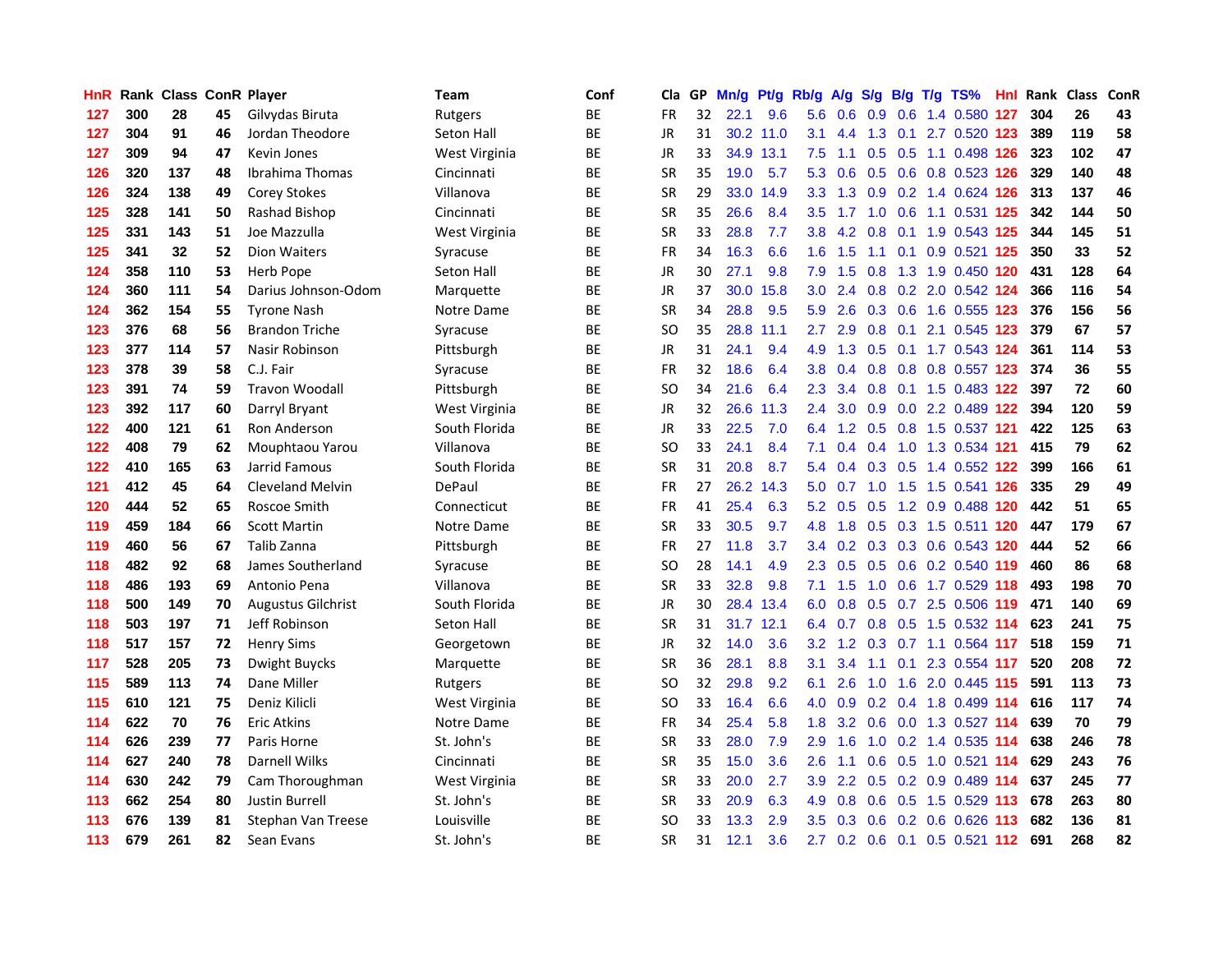| <b>HnR</b> |     | <b>Rank Class ConR Player</b> |    |                           | Team              | Conf      | Cla           | GP. | Mn/g | Pt/g      | Rb/g             | A/g            | S/g              | B/g             | $T/g$ TS%                     | Hnl | Rank | <b>Class</b> | ConR |
|------------|-----|-------------------------------|----|---------------------------|-------------------|-----------|---------------|-----|------|-----------|------------------|----------------|------------------|-----------------|-------------------------------|-----|------|--------------|------|
| 127        | 300 | 28                            | 45 | Gilvydas Biruta           | Rutgers           | BE        | <b>FR</b>     | 32  | 22.1 | 9.6       | 5.6              | 0.6            | 0.9              | 0.6             | 1.4 0.580                     | 127 | 304  | 26           | 43   |
| 127        | 304 | 91                            | 46 | Jordan Theodore           | <b>Seton Hall</b> | BE        | <b>JR</b>     | 31  |      | 30.2 11.0 | 3.1              | 4.4            | 1.3              | 0.1             | 2.7 0.520 123                 |     | 389  | 119          | 58   |
| 127        | 309 | 94                            | 47 | Kevin Jones               | West Virginia     | ВE        | <b>JR</b>     | 33  |      | 34.9 13.1 | 7.5              | 1.1            | 0.5              | 0.5             | 1.1 0.498 126                 |     | 323  | 102          | 47   |
| 126        | 320 | 137                           | 48 | Ibrahima Thomas           | Cincinnati        | BE        | <b>SR</b>     | 35  | 19.0 | 5.7       | 5.3              | 0.6            |                  |                 | 0.5 0.6 0.8 0.523 126         |     | 329  | 140          | 48   |
| 126        | 324 | 138                           | 49 | <b>Corey Stokes</b>       | Villanova         | BE        | <b>SR</b>     | 29  |      | 33.0 14.9 | 3.3 <sub>1</sub> |                |                  |                 | 1.3 0.9 0.2 1.4 0.624 126     |     | 313  | 137          | 46   |
| 125        | 328 | 141                           | 50 | Rashad Bishop             | Cincinnati        | BE        | <b>SR</b>     | 35  | 26.6 | 8.4       | $3.5^{\circ}$    | 1.7            | 1.0 <sub>1</sub> |                 | 0.6 1.1 0.531 125             |     | 342  | 144          | 50   |
| 125        | 331 | 143                           | 51 | Joe Mazzulla              | West Virginia     | BE        | <b>SR</b>     | 33  | 28.8 | 7.7       | 3.8              | 4.2            | 0.8              |                 | 0.1 1.9 0.543 125             |     | 344  | 145          | 51   |
| 125        | 341 | 32                            | 52 | <b>Dion Waiters</b>       | Syracuse          | <b>BE</b> | <b>FR</b>     | 34  | 16.3 | 6.6       | 1.6              | 1.5            | 1.1              | 0.1             | 0.9 0.521 125                 |     | 350  | 33           | 52   |
| 124        | 358 | 110                           | 53 | Herb Pope                 | Seton Hall        | <b>BE</b> | <b>JR</b>     | 30  | 27.1 | 9.8       | 7.9              | 1.5            | 0.8              | 1.3             | 1.9 0.450 120                 |     | 431  | 128          | 64   |
| 124        | 360 | 111                           | 54 | Darius Johnson-Odom       | Marquette         | ВE        | <b>JR</b>     | 37  | 30.0 | 15.8      | 3.0 <sub>1</sub> | 2.4            | 0.8              |                 | 0.2 2.0 0.542 124             |     | 366  | 116          | 54   |
| 124        | 362 | 154                           | 55 | <b>Tyrone Nash</b>        | Notre Dame        | BE        | <b>SR</b>     | 34  | 28.8 | 9.5       | 5.9              | 2.6            |                  | $0.3 \quad 0.6$ | 1.6 0.555 123                 |     | 376  | 156          | 56   |
| 123        | 376 | 68                            | 56 | <b>Brandon Triche</b>     | Syracuse          | BE        | <sub>SO</sub> | 35  | 28.8 | 11.1      | 2.7              | 2.9            | 0.8              | 0.1             | 2.1 0.545 123                 |     | 379  | 67           | 57   |
| 123        | 377 | 114                           | 57 | Nasir Robinson            | Pittsburgh        | <b>BE</b> | <b>JR</b>     | 31  | 24.1 | 9.4       | 4.9              | 1.3            | 0.5              |                 | 0.1 1.7 0.543 124             |     | 361  | 114          | 53   |
| 123        | 378 | 39                            | 58 | C.J. Fair                 | Syracuse          | BE        | <b>FR</b>     | 32  | 18.6 | 6.4       | 3.8              | 0.4            | 0.8              | 0.8             | 0.8 0.557 123                 |     | 374  | 36           | 55   |
| 123        | 391 | 74                            | 59 | <b>Travon Woodall</b>     | Pittsburgh        | BE        | <sub>SO</sub> | 34  | 21.6 | 6.4       | $2.3^{\circ}$    | 3.4            | 0.8              | 0.1             | 1.5 0.483 122                 |     | 397  | 72           | 60   |
| 123        | 392 | 117                           | 60 | Darryl Bryant             | West Virginia     | <b>BE</b> | <b>JR</b>     | 32  | 26.6 | 11.3      | $2.4^{\circ}$    | 3.0            | 0.9              |                 | 0.0 2.2 0.489 122             |     | 394  | 120          | 59   |
| 122        | 400 | 121                           | 61 | Ron Anderson              | South Florida     | ВE        | JR            | 33  | 22.5 | 7.0       |                  |                |                  |                 | 6.4 1.2 0.5 0.8 1.5 0.537 121 |     | 422  | 125          | 63   |
| 122        | 408 | 79                            | 62 | Mouphtaou Yarou           | Villanova         | ВE        | SO            | 33  | 24.1 | 8.4       | 7.1              | 0.4            |                  |                 | 0.4 1.0 1.3 0.534 121         |     | 415  | 79           | 62   |
| 122        | 410 | 165                           | 63 | Jarrid Famous             | South Florida     | ВE        | <b>SR</b>     | 31  | 20.8 | 8.7       |                  | 5.4 0.4        |                  | $0.3 \quad 0.5$ | 1.4 0.552 122                 |     | 399  | 166          | 61   |
| 121        | 412 | 45                            | 64 | <b>Cleveland Melvin</b>   | DePaul            | <b>BE</b> | FR            | 27  |      | 26.2 14.3 | 5.0              | 0.7            |                  |                 | 1.0 1.5 1.5 0.541 126         |     | 335  | 29           | 49   |
| 120        | 444 | 52                            | 65 | Roscoe Smith              | Connecticut       | <b>BE</b> | FR            | 41  | 25.4 | 6.3       |                  | $5.2\quad 0.5$ | 0.5              |                 | 1.2 0.9 0.488 120             |     | 442  | 51           | 65   |
| 119        | 459 | 184                           | 66 | <b>Scott Martin</b>       | Notre Dame        | BE        | <b>SR</b>     | 33  | 30.5 | 9.7       | 4.8              | 1.8            |                  |                 | 0.5 0.3 1.5 0.511 120         |     | 447  | 179          | 67   |
| 119        | 460 | 56                            | 67 | Talib Zanna               | Pittsburgh        | ВE        | <b>FR</b>     | 27  | 11.8 | 3.7       | 3.4              | 0.2            |                  |                 | 0.3 0.3 0.6 0.543 120         |     | 444  | 52           | 66   |
| 118        | 482 | 92                            | 68 | James Southerland         | Syracuse          | ВE        | SO            | 28  | 14.1 | 4.9       | $2.3^{\circ}$    | 0.5            |                  |                 | 0.5 0.6 0.2 0.540 119         |     | 460  | 86           | 68   |
| 118        | 486 | 193                           | 69 | Antonio Pena              | Villanova         | BE        | SR            | 33  | 32.8 | 9.8       | 7.1              | 1.5            | 1.0              |                 | 0.6 1.7 0.529 118             |     | 493  | 198          | 70   |
| 118        | 500 | 149                           | 70 | <b>Augustus Gilchrist</b> | South Florida     | BE        | <b>JR</b>     | 30  | 28.4 | 13.4      | 6.0              | 0.8            | 0.5              | 0.7             | 2.5 0.506 119                 |     | 471  | 140          | 69   |
| 118        | 503 | 197                           | 71 | Jeff Robinson             | Seton Hall        | ВE        | <b>SR</b>     | 31  |      | 31.7 12.1 | 6.4              | 0.7            | 0.8              | 0.5             | 1.5 0.532 114                 |     | 623  | 241          | 75   |
| 118        | 517 | 157                           | 72 | <b>Henry Sims</b>         | Georgetown        | ВE        | JR            | 32  | 14.0 | 3.6       | 3.2              | 1.2            | 0.3              |                 | 0.7 1.1 0.564 117             |     | 518  | 159          | 71   |
| 117        | 528 | 205                           | 73 | Dwight Buycks             | Marquette         | BE        | <b>SR</b>     | 36  | 28.1 | 8.8       | 3.1              | 3.4            | 1.1              | 0.1             | 2.3 0.554 117                 |     | 520  | 208          | 72   |
| 115        | 589 | 113                           | 74 | Dane Miller               | Rutgers           | ВE        | <b>SO</b>     | 32  | 29.8 | 9.2       | 6.1              | 2.6            | 1.0              | 1.6             | 2.0 0.445 115                 |     | 591  | 113          | 73   |
| 115        | 610 | 121                           | 75 | Deniz Kilicli             | West Virginia     | ВE        | <sub>SO</sub> | 33  | 16.4 | 6.6       | 4.0              | 0.9            |                  |                 | 0.2 0.4 1.8 0.499 114         |     | 616  | 117          | 74   |
| 114        | 622 | 70                            | 76 | Eric Atkins               | Notre Dame        | <b>BE</b> | <b>FR</b>     | 34  | 25.4 | 5.8       | 1.8              |                |                  |                 | 3.2 0.6 0.0 1.3 0.527 114     |     | 639  | 70           | 79   |
| 114        | 626 | 239                           | 77 | Paris Horne               | St. John's        | BE        | <b>SR</b>     | 33  | 28.0 | 7.9       | 2.9              | 1.6            |                  |                 | 1.0 0.2 1.4 0.535 114         |     | 638  | 246          | 78   |
| 114        | 627 | 240                           | 78 | <b>Darnell Wilks</b>      | Cincinnati        | <b>BE</b> | <b>SR</b>     | 35  | 15.0 | 3.6       | 2.6              | 1.1            | 0.6              |                 | 0.5 1.0 0.521 114             |     | 629  | 243          | 76   |
| 114        | 630 | 242                           | 79 | Cam Thoroughman           | West Virginia     | BE        | <b>SR</b>     | 33  | 20.0 | 2.7       | 3.9              | 2.2            | 0.5              |                 | 0.2 0.9 0.489 114             |     | 637  | 245          | 77   |
| 113        | 662 | 254                           | 80 | <b>Justin Burrell</b>     | St. John's        | BE        | <b>SR</b>     | 33  | 20.9 | 6.3       | 4.9              | 0.8            | 0.6              | 0.5             | 1.5 0.529 113                 |     | 678  | 263          | 80   |
| 113        | 676 | 139                           | 81 | Stephan Van Treese        | Louisville        | <b>BE</b> | <b>SO</b>     | 33  | 13.3 | 2.9       | $3.5^{\circ}$    | 0.3            | 0.6              | 0.2             | $0.6$ 0.626                   | 113 | 682  | 136          | 81   |
| 113        | 679 | 261                           | 82 | Sean Evans                | St. John's        | BE        | SR            | 31  | 12.1 | 3.6       |                  |                |                  |                 | 2.7 0.2 0.6 0.1 0.5 0.521 112 |     | 691  | 268          | 82   |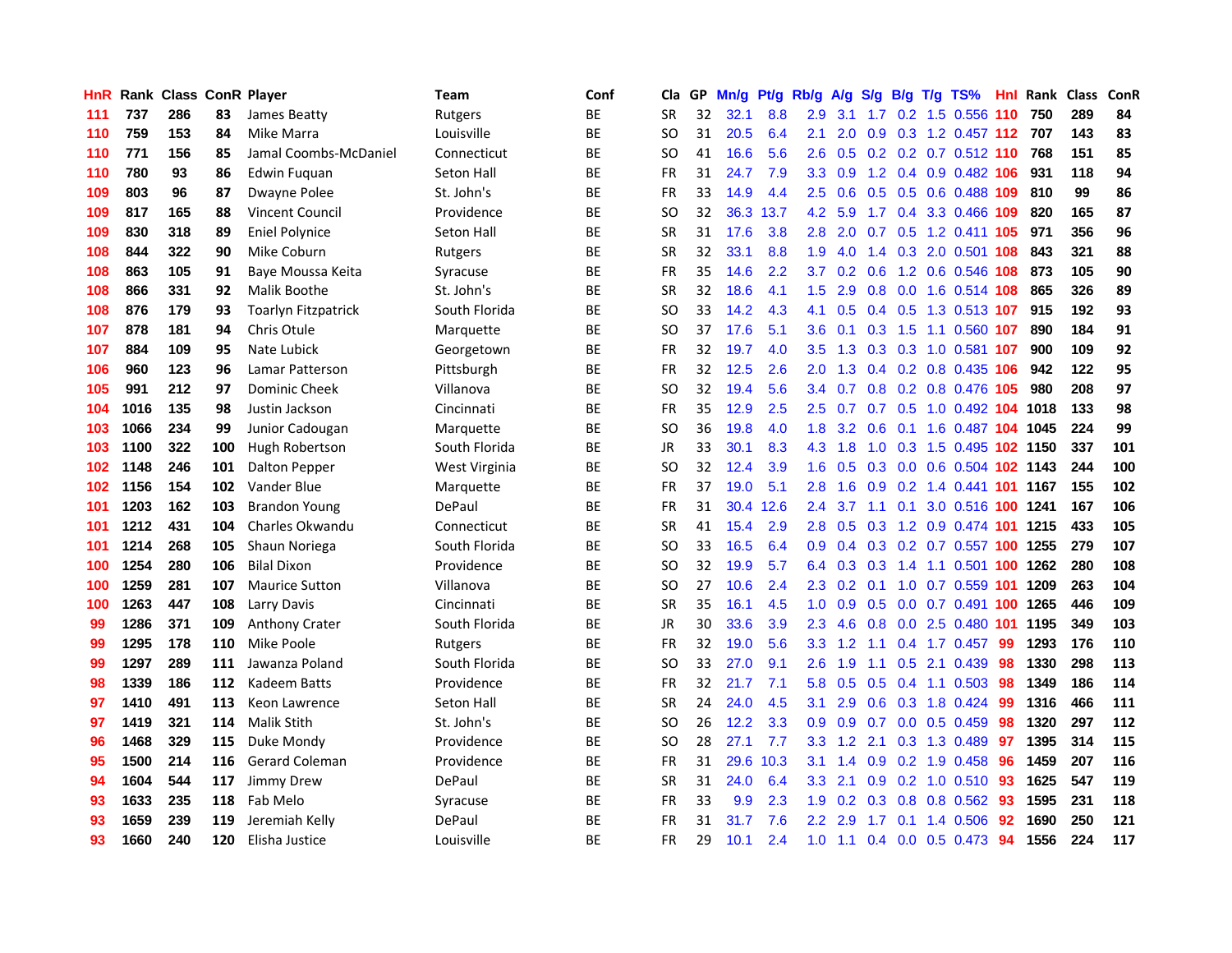| HnR |      | <b>Rank Class ConR Player</b> |     |                            | Team              | Conf      | Cla           | GP | Mn/g | Pt/g | Rb/g             | A/g             | S/g             | B/g             | $T/g$ TS%                  | Hnl | Rank Class |     | ConR |
|-----|------|-------------------------------|-----|----------------------------|-------------------|-----------|---------------|----|------|------|------------------|-----------------|-----------------|-----------------|----------------------------|-----|------------|-----|------|
| 111 | 737  | 286                           | 83  | James Beatty               | Rutgers           | BE        | <b>SR</b>     | 32 | 32.1 | 8.8  | 2.9              | 3.1             | 1.7             | 0.2             | 1.5 0.556                  | 110 | 750        | 289 | 84   |
| 110 | 759  | 153                           | 84  | Mike Marra                 | Louisville        | ВE        | SO            | 31 | 20.5 | 6.4  | 2.1              | 2.0             | 0.9             |                 | 0.3 1.2 0.457 112          |     | 707        | 143 | 83   |
| 110 | 771  | 156                           | 85  | Jamal Coombs-McDaniel      | Connecticut       | ВE        | <sub>SO</sub> | 41 | 16.6 | 5.6  | 2.6              | 0.5             |                 |                 | 0.2 0.2 0.7 0.512 110      |     | 768        | 151 | 85   |
| 110 | 780  | 93                            | 86  | Edwin Fuguan               | Seton Hall        | BE        | FR            | 31 | 24.7 | 7.9  |                  | $3.3 \quad 0.9$ |                 |                 | 1.2 0.4 0.9 0.482 106      |     | 931        | 118 | 94   |
| 109 | 803  | 96                            | 87  | Dwayne Polee               | St. John's        | BE        | FR            | 33 | 14.9 | 4.4  | $2.5^{\circ}$    | 0.6             |                 |                 | 0.5 0.5 0.6 0.488 109      |     | 810        | 99  | 86   |
| 109 | 817  | 165                           | 88  | <b>Vincent Council</b>     | Providence        | ВE        | SO            | 32 | 36.3 | 13.7 | 4.2 <sub>1</sub> | 5.9             |                 |                 | 1.7 0.4 3.3 0.466 109      |     | 820        | 165 | 87   |
| 109 | 830  | 318                           | 89  | <b>Eniel Polynice</b>      | Seton Hall        | BE        | <b>SR</b>     | 31 | 17.6 | 3.8  | 2.8              | 2.0             |                 |                 | 0.7 0.5 1.2 0.411 105      |     | 971        | 356 | 96   |
| 108 | 844  | 322                           | 90  | Mike Coburn                | Rutgers           | <b>BE</b> | <b>SR</b>     | 32 | 33.1 | 8.8  | 1.9              | 4.0             | 1.4             |                 | 0.3 2.0 0.501 108          |     | 843        | 321 | 88   |
| 108 | 863  | 105                           | 91  | Baye Moussa Keita          | Syracuse          | <b>BE</b> | <b>FR</b>     | 35 | 14.6 | 2.2  | 3.7              | 0.2             | 0.6             |                 | 1.2 0.6 0.546 108          |     | 873        | 105 | 90   |
| 108 | 866  | 331                           | 92  | Malik Boothe               | St. John's        | ВE        | <b>SR</b>     | 32 | 18.6 | 4.1  | $1.5^{\circ}$    | 2.9             | 0.8             |                 | 0.0 1.6 0.514 108          |     | 865        | 326 | 89   |
| 108 | 876  | 179                           | 93  | <b>Toarlyn Fitzpatrick</b> | South Florida     | BE        | <b>SO</b>     | 33 | 14.2 | 4.3  | 4.1              | 0.5             |                 |                 | 0.4 0.5 1.3 0.513 107      |     | 915        | 192 | 93   |
| 107 | 878  | 181                           | 94  | Chris Otule                | Marquette         | <b>BE</b> | SO            | 37 | 17.6 | 5.1  | 3.6 <sup>2</sup> | 0.1             | 0.3             | 1.5             | 1.1 0.560 107              |     | 890        | 184 | 91   |
| 107 | 884  | 109                           | 95  | Nate Lubick                | Georgetown        | BE        | <b>FR</b>     | 32 | 19.7 | 4.0  | $3.5^{\circ}$    | 1.3             | 0.3             |                 | 0.3 1.0 0.581 107          |     | 900        | 109 | 92   |
| 106 | 960  | 123                           | 96  | Lamar Patterson            | Pittsburgh        | BE        | <b>FR</b>     | 32 | 12.5 | 2.6  | 2.0              | 1.3             |                 |                 | 0.4 0.2 0.8 0.435 106      |     | 942        | 122 | 95   |
| 105 | 991  | 212                           | 97  | <b>Dominic Cheek</b>       | Villanova         | BE        | SO            | 32 | 19.4 | 5.6  | $3.4^{\circ}$    | 0.7             | 0.8             |                 | 0.2 0.8 0.476 105          |     | 980        | 208 | 97   |
| 104 | 1016 | 135                           | 98  | Justin Jackson             | Cincinnati        | <b>BE</b> | <b>FR</b>     | 35 | 12.9 | 2.5  | 2.5              | 0.7             |                 | $0.7 \quad 0.5$ | 1.0 0.492 104 1018         |     |            | 133 | 98   |
| 103 | 1066 | 234                           | 99  | Junior Cadougan            | Marquette         | ВE        | <b>SO</b>     | 36 | 19.8 | 4.0  | 1.8 <sup>°</sup> |                 | $3.2 \quad 0.6$ | 0.1             | 1.6 0.487 104 1045         |     |            | 224 | 99   |
| 103 | 1100 | 322                           | 100 | Hugh Robertson             | South Florida     | ВE        | JR            | 33 | 30.1 | 8.3  | 4.3              | 1.8             |                 |                 | 1.0 0.3 1.5 0.495 102 1150 |     |            | 337 | 101  |
| 102 | 1148 | 246                           | 101 | Dalton Pepper              | West Virginia     | ВE        | SO            | 32 | 12.4 | 3.9  |                  | $1.6 \quad 0.5$ |                 |                 | 0.3 0.0 0.6 0.504 102 1143 |     |            | 244 | 100  |
| 102 | 1156 | 154                           | 102 | Vander Blue                | Marquette         | <b>BE</b> | FR            | 37 | 19.0 | 5.1  | 2.8              | 1.6             |                 |                 | 0.9 0.2 1.4 0.441 101 1167 |     |            | 155 | 102  |
| 101 | 1203 | 162                           | 103 | <b>Brandon Young</b>       | DePaul            | ВE        | FR            | 31 | 30.4 | 12.6 | $2.4^{\circ}$    | 3.7             | 1.1             |                 | 0.1 3.0 0.516 100 1241     |     |            | 167 | 106  |
| 101 | 1212 | 431                           | 104 | Charles Okwandu            | Connecticut       | <b>BE</b> | <b>SR</b>     | 41 | 15.4 | 2.9  | 2.8              | 0.5             | 0.3             |                 | 1.2 0.9 0.474 101          |     | 1215       | 433 | 105  |
| 101 | 1214 | 268                           | 105 | Shaun Noriega              | South Florida     | ВE        | <sub>SO</sub> | 33 | 16.5 | 6.4  | 0.9              | 0.4             |                 |                 | 0.3 0.2 0.7 0.557 100 1255 |     |            | 279 | 107  |
| 100 | 1254 | 280                           | 106 | <b>Bilal Dixon</b>         | Providence        | ВE        | SO            | 32 | 19.9 | 5.7  | 6.4              | 0.3             | 0.3             |                 | 1.4 1.1 0.501 100 1262     |     |            | 280 | 108  |
| 100 | 1259 | 281                           | 107 | <b>Maurice Sutton</b>      | Villanova         | BE        | SO            | 27 | 10.6 | 2.4  | $2.3^{\circ}$    | 0.2             | 0.1             |                 | 1.0 0.7 0.559 101          |     | 1209       | 263 | 104  |
| 100 | 1263 | 447                           | 108 | Larry Davis                | Cincinnati        | <b>BE</b> | <b>SR</b>     | 35 | 16.1 | 4.5  | 1.0              | 0.9             | 0.5             |                 | 0.0 0.7 0.491              | 100 | 1265       | 446 | 109  |
| 99  | 1286 | 371                           | 109 | <b>Anthony Crater</b>      | South Florida     | ВE        | <b>JR</b>     | 30 | 33.6 | 3.9  | 2.3              | 4.6             | 0.8             | 0.0             | 2.5 0.480 101              |     | 1195       | 349 | 103  |
| 99  | 1295 | 178                           | 110 | Mike Poole                 | Rutgers           | ВE        | FR            | 32 | 19.0 | 5.6  | 3.3              | 1.2             | 1.1             |                 | $0.4$ 1.7 0.457            | 99  | 1293       | 176 | 110  |
| 99  | 1297 | 289                           | 111 | Jawanza Poland             | South Florida     | <b>BE</b> | <sub>SO</sub> | 33 | 27.0 | 9.1  | 2.6              | 1.9             | 1.1             | 0.5             | 2.1 0.439                  | 98  | 1330       | 298 | 113  |
| 98  | 1339 | 186                           | 112 | Kadeem Batts               | Providence        | ВE        | <b>FR</b>     | 32 | 21.7 | 7.1  | 5.8              | 0.5             | 0.5             | 0.4             | 1.1 0.503                  | 98  | 1349       | 186 | 114  |
| 97  | 1410 | 491                           | 113 | Keon Lawrence              | <b>Seton Hall</b> | ВE        | <b>SR</b>     | 24 | 24.0 | 4.5  | 3.1              | 2.9             | 0.6             |                 | 0.3 1.8 0.424              | -99 | 1316       | 466 | 111  |
| 97  | 1419 | 321                           | 114 | <b>Malik Stith</b>         | St. John's        | <b>BE</b> | SO            | 26 | 12.2 | 3.3  | 0.9              | 0.9             |                 |                 | 0.7 0.0 0.5 0.459          | -98 | 1320       | 297 | 112  |
| 96  | 1468 | 329                           | 115 | Duke Mondy                 | Providence        | <b>BE</b> | <b>SO</b>     | 28 | 27.1 | 7.7  | 3.3 <sub>1</sub> | 1.2             | 2.1             |                 | $0.3$ 1.3 0.489            | -97 | 1395       | 314 | 115  |
| 95  | 1500 | 214                           | 116 | <b>Gerard Coleman</b>      | Providence        | <b>BE</b> | FR            | 31 | 29.6 | 10.3 | 3.1              | 1.4             | 0.9             |                 | $0.2$ 1.9 0.458            | 96  | 1459       | 207 | 116  |
| 94  | 1604 | 544                           | 117 | Jimmy Drew                 | DePaul            | ВE        | <b>SR</b>     | 31 | 24.0 | 6.4  | 3.3 <sub>2</sub> | 2.1             | 0.9             |                 | 0.2 1.0 0.510              | 93  | 1625       | 547 | 119  |
| 93  | 1633 | 235                           | 118 | Fab Melo                   | Syracuse          | ВE        | FR            | 33 | 9.9  | 2.3  | 1.9              | 0.2             | 0.3             | 0.8             | 0.8 0.562                  | 93  | 1595       | 231 | 118  |
| 93  | 1659 | 239                           | 119 | Jeremiah Kelly             | DePaul            | <b>BE</b> | <b>FR</b>     | 31 | 31.7 | 7.6  | $2.2^{\circ}$    | 2.9             | 1.7             | 0.1             | 1.4 0.506                  | 92  | 1690       | 250 | 121  |
| 93  | 1660 | 240                           | 120 | Elisha Justice             | Louisville        | BE        | FR            | 29 | 10.1 | 2.4  | 1.0              | 1.1             |                 |                 | $0.4$ 0.0 0.5 0.473        | 94  | 1556       | 224 | 117  |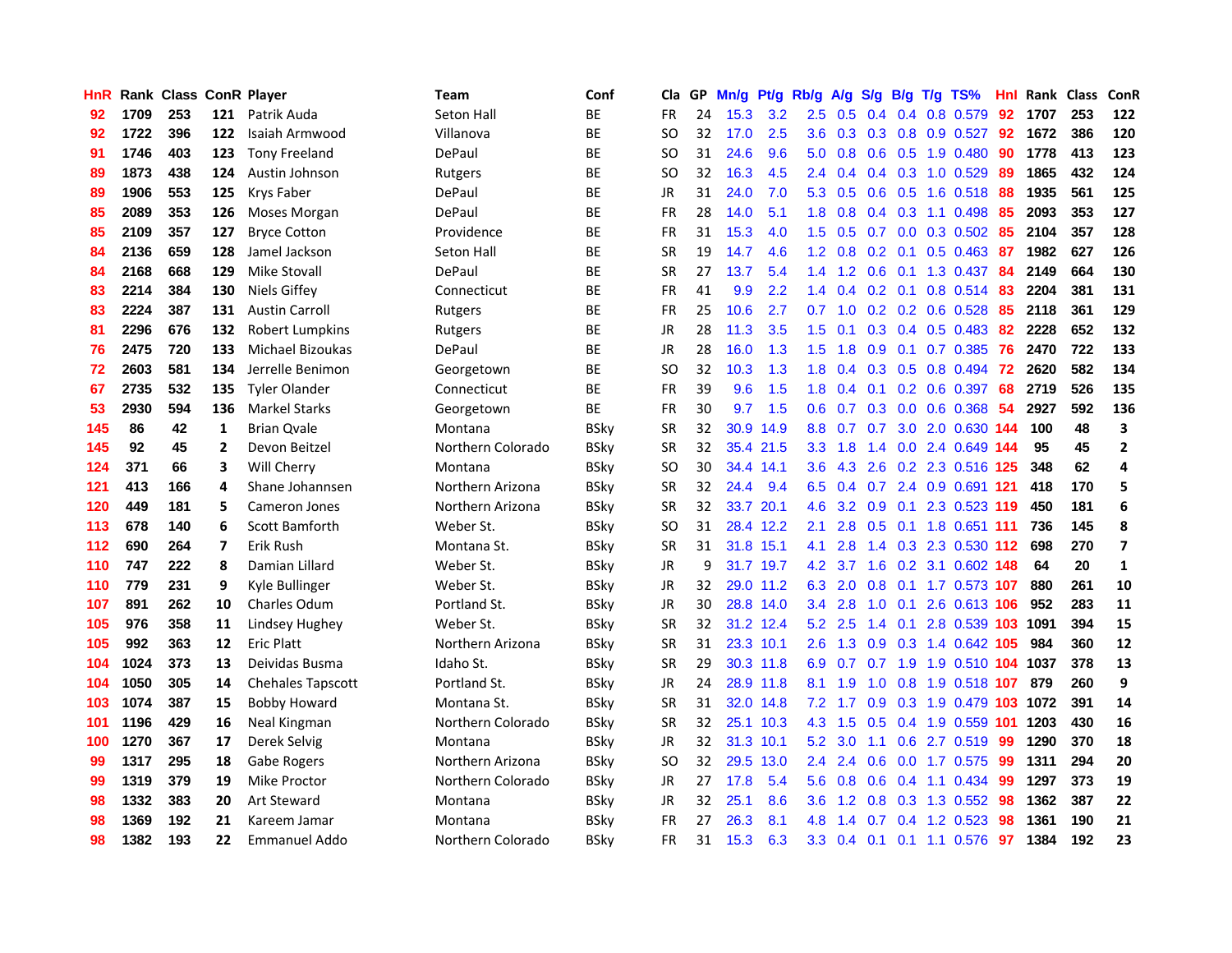| <b>HnR</b> |      | <b>Rank Class ConR Player</b> |     |                       | Team              | Conf        | Cla       |    | GP Mn/g   | Pt/g      | Rb/g             | A/g                 | S/g              | B/g             | $T/g$ TS%                     | Hnl | Rank Class |     | ConR         |
|------------|------|-------------------------------|-----|-----------------------|-------------------|-------------|-----------|----|-----------|-----------|------------------|---------------------|------------------|-----------------|-------------------------------|-----|------------|-----|--------------|
| 92         | 1709 | 253                           | 121 | Patrik Auda           | Seton Hall        | BE          | <b>FR</b> | 24 | 15.3      | 3.2       | 2.5              | 0.5                 | 0.4              | 0.4             | 0.8 0.579                     | 92  | 1707       | 253 | 122          |
| 92         | 1722 | 396                           | 122 | Isaiah Armwood        | Villanova         | BE          | <b>SO</b> | 32 | 17.0      | 2.5       | 3.6              | 0.3                 |                  | $0.3 \quad 0.8$ | 0.9 0.527                     | 92  | 1672       | 386 | 120          |
| 91         | 1746 | 403                           | 123 | <b>Tony Freeland</b>  | DePaul            | ВE          | <b>SO</b> | 31 | 24.6      | 9.6       | 5.0              | 0.8                 | 0.6              | 0.5             | 1.9 0.480                     | -90 | 1778       | 413 | 123          |
| 89         | 1873 | 438                           | 124 | Austin Johnson        | Rutgers           | <b>BE</b>   | SO.       | 32 | 16.3      | 4.5       |                  | $2.4\quad 0.4$      |                  |                 | $0.4$ 0.3 1.0 0.529           | -89 | 1865       | 432 | 124          |
| 89         | 1906 | 553                           | 125 | Krys Faber            | DePaul            | BE          | JR        | 31 | 24.0      | 7.0       |                  | $5.3 \quad 0.5$     |                  |                 | $0.6$ $0.5$ 1.6 $0.518$       | 88  | 1935       | 561 | 125          |
| 85         | 2089 | 353                           | 126 | Moses Morgan          | DePaul            | <b>BE</b>   | <b>FR</b> | 28 | 14.0      | 5.1       | 1.8 <sup>°</sup> | 0.8                 |                  |                 | $0.4$ 0.3 1.1 0.498           | -85 | 2093       | 353 | 127          |
| 85         | 2109 | 357                           | 127 | <b>Bryce Cotton</b>   | Providence        | BE          | FR        | 31 | 15.3      | 4.0       | 1.5              | 0.5                 |                  |                 | $0.7$ $0.0$ $0.3$ $0.502$     | 85  | 2104       | 357 | 128          |
| 84         | 2136 | 659                           | 128 | Jamel Jackson         | Seton Hall        | <b>BE</b>   | <b>SR</b> | 19 | 14.7      | 4.6       | 1.2 <sub>2</sub> | 0.8                 | 0.2              | 0.1             | $0.5 \quad 0.463$             | 87  | 1982       | 627 | 126          |
| 84         | 2168 | 668                           | 129 | Mike Stovall          | DePaul            | BE          | <b>SR</b> | 27 | 13.7      | 5.4       | 1.4              | 1.2                 | 0.6              | 0.1             | 1.3 0.437                     | 84  | 2149       | 664 | 130          |
| 83         | 2214 | 384                           | 130 | <b>Niels Giffey</b>   | Connecticut       | <b>BE</b>   | <b>FR</b> | 41 | 9.9       | 2.2       | $1.4^{\circ}$    | 0.4                 |                  | $0.2 \quad 0.1$ | 0.8 0.514                     | 83  | 2204       | 381 | 131          |
| 83         | 2224 | 387                           | 131 | <b>Austin Carroll</b> | Rutgers           | ВE          | FR        | 25 | 10.6      | 2.7       | 0.7              | 1.0                 |                  |                 | $0.2$ 0.2 0.6 0.528           | 85  | 2118       | 361 | 129          |
| 81         | 2296 | 676                           | 132 | Robert Lumpkins       | Rutgers           | <b>BE</b>   | JR        | 28 | 11.3      | 3.5       | 1.5              | 0.1                 | 0.3 <sub>0</sub> | 0.4             | $0.5$ 0.483                   | 82  | 2228       | 652 | 132          |
| 76         | 2475 | 720                           | 133 | Michael Bizoukas      | DePaul            | <b>BE</b>   | JR        | 28 | 16.0      | 1.3       | 1.5              | 1.8                 | 0.9              | 0.1             | 0.7 0.385                     | -76 | 2470       | 722 | 133          |
| 72         | 2603 | 581                           | 134 | Jerrelle Benimon      | Georgetown        | BE          | <b>SO</b> | 32 | 10.3      | 1.3       | 1.8              | 0.4                 | 0.3              | 0.5             | 0.8 0.494                     | 72  | 2620       | 582 | 134          |
| 67         | 2735 | 532                           | 135 | <b>Tyler Olander</b>  | Connecticut       | ВE          | FR        | 39 | 9.6       | 1.5       | 1.8              | 0.4                 | 0.1              | 0.2             | 0.6 0.397                     | 68  | 2719       | 526 | 135          |
| 53         | 2930 | 594                           | 136 | <b>Markel Starks</b>  | Georgetown        | <b>BE</b>   | <b>FR</b> | 30 | 9.7       | 1.5       | 0.6              | 0.7                 |                  | $0.3 \quad 0.0$ | 0.6 0.368                     | -54 | 2927       | 592 | 136          |
| 145        | 86   | 42                            | 1   | <b>Brian Qvale</b>    | Montana           | <b>BSky</b> | <b>SR</b> | 32 |           | 30.9 14.9 | 8.8              | 0.7                 |                  |                 | 0.7 3.0 2.0 0.630 144         |     | 100        | 48  | 3            |
| 145        | 92   | 45                            | 2   | Devon Beitzel         | Northern Colorado | <b>BSky</b> | SR        | 32 |           | 35.4 21.5 |                  | $3.3 \quad 1.8$     |                  |                 | 1.4 0.0 2.4 0.649 144         |     | 95         | 45  | $\mathbf{2}$ |
| 124        | 371  | 66                            | 3   | Will Cherry           | Montana           | <b>BSky</b> | SO.       | 30 |           | 34.4 14.1 |                  |                     |                  |                 | 3.6 4.3 2.6 0.2 2.3 0.516 125 |     | 348        | 62  | 4            |
| 121        | 413  | 166                           | 4   | Shane Johannsen       | Northern Arizona  | <b>BSky</b> | <b>SR</b> | 32 | 24.4      | 9.4       |                  |                     |                  |                 | 6.5 0.4 0.7 2.4 0.9 0.691 121 |     | 418        | 170 | 5            |
| 120        | 449  | 181                           | 5   | <b>Cameron Jones</b>  | Northern Arizona  | <b>BSky</b> | <b>SR</b> | 32 |           | 33.7 20.1 | 4.6              | 3.2                 |                  |                 | 0.9 0.1 2.3 0.523 119         |     | 450        | 181 | 6            |
| 113        | 678  | 140                           | 6   | Scott Bamforth        | Weber St.         | <b>BSky</b> | <b>SO</b> | 31 |           | 28.4 12.2 | 2.1              | 2.8                 |                  |                 | 0.5 0.1 1.8 0.651 111         |     | 736        | 145 | 8            |
| 112        | 690  | 264                           | 7   | Erik Rush             | Montana St.       | <b>BSky</b> | <b>SR</b> | 31 | 31.8 15.1 |           | 4.1              | 2.8                 |                  |                 | 1.4 0.3 2.3 0.530 112         |     | 698        | 270 | 7            |
| 110        | 747  | 222                           | 8   | Damian Lillard        | Weber St.         | BSky        | JR        | 9  | 31.7 19.7 |           | 4.2              | 3.7                 |                  |                 | 1.6 0.2 3.1 0.602 148         |     | 64         | 20  | $\mathbf{1}$ |
| 110        | 779  | 231                           | 9   | Kyle Bullinger        | Weber St.         | <b>BSky</b> | JR        | 32 |           | 29.0 11.2 | 6.3              | 2.0                 |                  |                 | 0.8 0.1 1.7 0.573 107         |     | 880        | 261 | 10           |
| 107        | 891  | 262                           | 10  | Charles Odum          | Portland St.      | <b>BSky</b> | JR        | 30 |           | 28.8 14.0 | $3.4^{\circ}$    | 2.8                 | 1.0              | 0.1             | 2.6 0.613 106                 |     | 952        | 283 | 11           |
| 105        | 976  | 358                           | 11  | Lindsey Hughey        | Weber St.         | <b>BSky</b> | <b>SR</b> | 32 |           | 31.2 12.4 | 5.2              | 2.5                 | 1.4              | 0.1             | 2.8 0.539 103                 |     | 1091       | 394 | 15           |
| 105        | 992  | 363                           | 12  | <b>Eric Platt</b>     | Northern Arizona  | BSky        | <b>SR</b> | 31 |           | 23.3 10.1 | 2.6              | 1.3                 | 0.9              |                 | 0.3 1.4 0.642 105             |     | 984        | 360 | 12           |
| 104        | 1024 | 373                           | 13  | Deividas Busma        | Idaho St.         | <b>BSky</b> | <b>SR</b> | 29 |           | 30.3 11.8 | 6.9              | 0.7                 | 0.7              | 1.9             | 1.9 0.510 104 1037            |     |            | 378 | 13           |
| 104        | 1050 | 305                           | 14  | Chehales Tapscott     | Portland St.      | <b>BSky</b> | JR        | 24 |           | 28.9 11.8 | 8.1              | 1.9                 | 1.0              | 0.8             | 1.9 0.518 107                 |     | 879        | 260 | 9            |
| 103        | 1074 | 387                           | 15  | <b>Bobby Howard</b>   | Montana St.       | <b>BSky</b> | <b>SR</b> | 31 |           | 32.0 14.8 |                  | $7.2$ 1.7           | 0.9              |                 | 0.3 1.9 0.479 103 1072        |     |            | 391 | 14           |
| 101        | 1196 | 429                           | 16  | Neal Kingman          | Northern Colorado | <b>BSky</b> | <b>SR</b> | 32 |           | 25.1 10.3 |                  | $4.3 \quad 1.5$     |                  |                 | 0.5 0.4 1.9 0.559 101         |     | 1203       | 430 | 16           |
| 100        | 1270 | 367                           | 17  | Derek Selvig          | Montana           | <b>BSky</b> | JR        | 32 | 31.3 10.1 |           | 5.2              | 3.0                 |                  |                 | 1.1 0.6 2.7 0.519             | -99 | 1290       | 370 | 18           |
| 99         | 1317 | 295                           | 18  | Gabe Rogers           | Northern Arizona  | <b>BSky</b> | <b>SO</b> | 32 |           | 29.5 13.0 | $2.4^{\circ}$    | 2.4                 | 0.6              |                 | $0.0$ 1.7 0.575               | -99 | 1311       | 294 | 20           |
| 99         | 1319 | 379                           | 19  | Mike Proctor          | Northern Colorado | BSky        | JR        | 27 | 17.8      | 5.4       | 5.6              | 0.8                 | 0.6              |                 | 0.4 1.1 0.434                 | 99  | 1297       | 373 | 19           |
| 98         | 1332 | 383                           | 20  | <b>Art Steward</b>    | Montana           | BSky        | JR        | 32 | 25.1      | 8.6       | 3.6 <sub>2</sub> | 1.2                 | 0.8              |                 | 0.3 1.3 0.552                 | 98  | 1362       | 387 | 22           |
| 98         | 1369 | 192                           | 21  | Kareem Jamar          | Montana           | BSkv        | <b>FR</b> | 27 | 26.3      | 8.1       | 4.8              | $\mathcal{A}$<br>-1 | 0.7              | 0.4             | 1.2 0.523                     | 98  | 1361       | 190 | 21           |
| 98         | 1382 | 193                           | 22  | Emmanuel Addo         | Northern Colorado | BSkv        | FR        | 31 | 15.3      | 6.3       | 3.3              |                     |                  |                 | $0.4$ 0.1 0.1 1.1 0.576       | 97  | 1384       | 192 | 23           |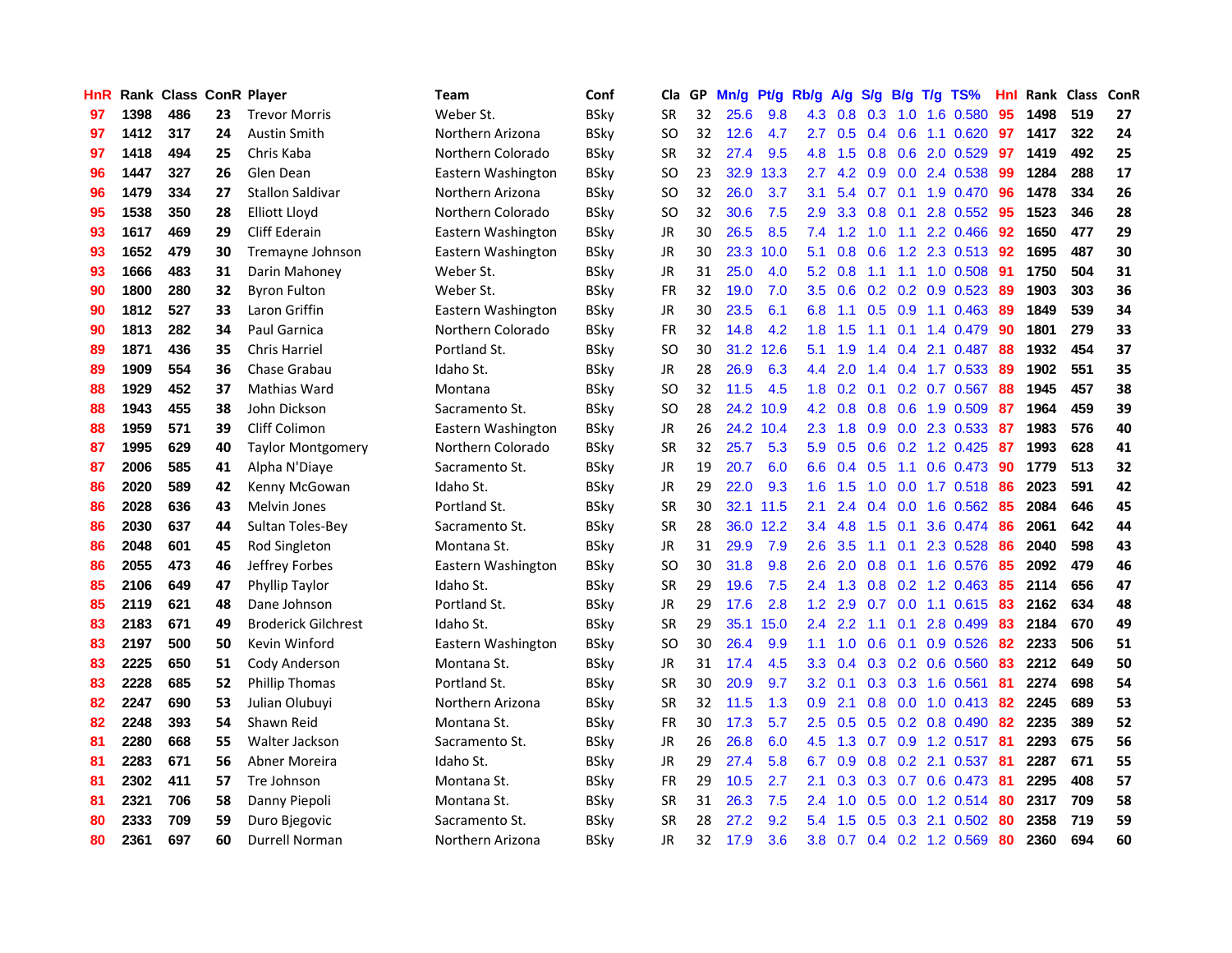| <b>HnR</b> |      | <b>Rank Class ConR Player</b> |    |                            | <b>Team</b>        | Conf        | Cla       |    | GP Mn/g | Pt/g      | Rb/g             | A/g       |     |                 | $S/g$ B/g T/g TS%         | Hnl | Rank Class |     | <b>ConR</b> |
|------------|------|-------------------------------|----|----------------------------|--------------------|-------------|-----------|----|---------|-----------|------------------|-----------|-----|-----------------|---------------------------|-----|------------|-----|-------------|
| 97         | 1398 | 486                           | 23 | <b>Trevor Morris</b>       | Weber St.          | <b>BSky</b> | <b>SR</b> | 32 | 25.6    | 9.8       | 4.3              | 0.8       | 0.3 | 1.0             | 1.6 0.580                 | 95  | 1498       | 519 | 27          |
| 97         | 1412 | 317                           | 24 | <b>Austin Smith</b>        | Northern Arizona   | <b>BSky</b> | SO.       | 32 | 12.6    | 4.7       | 2.7              | 0.5       | 0.4 | 0.6             | 1.1 0.620                 | 97  | 1417       | 322 | 24          |
| 97         | 1418 | 494                           | 25 | Chris Kaba                 | Northern Colorado  | <b>BSky</b> | <b>SR</b> | 32 | 27.4    | 9.5       | 4.8              | 1.5       | 0.8 | 0.6             | 2.0 0.529                 | 97  | 1419       | 492 | 25          |
| 96         | 1447 | 327                           | 26 | Glen Dean                  | Eastern Washington | <b>BSky</b> | <b>SO</b> | 23 | 32.9    | 13.3      | 2.7              | 4.2       | 0.9 |                 | 0.0 2.4 0.538             | -99 | 1284       | 288 | 17          |
| 96         | 1479 | 334                           | 27 | <b>Stallon Saldivar</b>    | Northern Arizona   | <b>BSky</b> | SO.       | 32 | 26.0    | 3.7       | 3.1              | 5.4       |     |                 | 0.7 0.1 1.9 0.470         | -96 | 1478       | 334 | 26          |
| 95         | 1538 | 350                           | 28 | Elliott Lloyd              | Northern Colorado  | <b>BSky</b> | <b>SO</b> | 32 | 30.6    | 7.5       | 2.9              | 3.3       |     | $0.8\quad 0.1$  | 2.8 0.552                 | 95  | 1523       | 346 | 28          |
| 93         | 1617 | 469                           | 29 | <b>Cliff Ederain</b>       | Eastern Washington | <b>BSkv</b> | JR        | 30 | 26.5    | 8.5       |                  | $7.4$ 1.2 | 1.0 |                 | 1.1 2.2 0.466             | 92  | 1650       | 477 | 29          |
| 93         | 1652 | 479                           | 30 | Tremayne Johnson           | Eastern Washington | BSkv        | JR        | 30 | 23.3    | 10.0      | 5.1              | 0.8       | 0.6 |                 | 1.2 2.3 0.513             | 92  | 1695       | 487 | 30          |
| 93         | 1666 | 483                           | 31 | Darin Mahoney              | Weber St.          | <b>BSky</b> | JR        | 31 | 25.0    | 4.0       | 5.2              | 0.8       | 1.1 | 1.1             | 1.0 0.508                 | 91  | 1750       | 504 | 31          |
| 90         | 1800 | 280                           | 32 | <b>Byron Fulton</b>        | Weber St.          | <b>BSky</b> | FR        | 32 | 19.0    | 7.0       | 3.5              | 0.6       |     |                 | $0.2$ $0.2$ $0.9$ $0.523$ | 89  | 1903       | 303 | 36          |
| 90         | 1812 | 527                           | 33 | Laron Griffin              | Eastern Washington | <b>BSky</b> | JR        | 30 | 23.5    | 6.1       | 6.8              | 1.1       | 0.5 |                 | 0.9 1.1 0.463             | -89 | 1849       | 539 | 34          |
| 90         | 1813 | 282                           | 34 | Paul Garnica               | Northern Colorado  | <b>BSky</b> | FR        | 32 | 14.8    | 4.2       | 1.8              | 1.5       | 1.1 | 0.1             | 1.4 0.479                 | 90  | 1801       | 279 | 33          |
| 89         | 1871 | 436                           | 35 | <b>Chris Harriel</b>       | Portland St.       | <b>BSky</b> | <b>SO</b> | 30 | 31.2    | 12.6      | 5.1              | 1.9       | 1.4 | 0.4             | 2.1 0.487                 | 88  | 1932       | 454 | 37          |
| 89         | 1909 | 554                           | 36 | Chase Grabau               | Idaho St.          | BSkv        | JR        | 28 | 26.9    | 6.3       | $4.4^{\circ}$    | 2.0       | 1.4 |                 | $0.4$ 1.7 0.533           | 89  | 1902       | 551 | 35          |
| 88         | 1929 | 452                           | 37 | Mathias Ward               | Montana            | BSkv        | SO.       | 32 | 11.5    | 4.5       | 1.8 <sup>°</sup> | 0.2       | 0.1 | 0.2             | 0.7 0.567                 | 88  | 1945       | 457 | 38          |
| 88         | 1943 | 455                           | 38 | John Dickson               | Sacramento St.     | <b>BSky</b> | <b>SO</b> | 28 |         | 24.2 10.9 | 4.2              | 0.8       | 0.8 | 0.6             | 1.9 0.509                 | 87  | 1964       | 459 | 39          |
| 88         | 1959 | 571                           | 39 | Cliff Colimon              | Eastern Washington | <b>BSky</b> | JR        | 26 |         | 24.2 10.4 | 2.3              | 1.8       | 0.9 |                 | 0.0 2.3 0.533             | -87 | 1983       | 576 | 40          |
| 87         | 1995 | 629                           | 40 | <b>Taylor Montgomery</b>   | Northern Colorado  | <b>BSky</b> | <b>SR</b> | 32 | 25.7    | 5.3       | 5.9              | 0.5       |     |                 | $0.6$ $0.2$ 1.2 $0.425$   | -87 | 1993       | 628 | 41          |
| 87         | 2006 | 585                           | 41 | Alpha N'Diaye              | Sacramento St.     | BSkv        | JR        | 19 | 20.7    | 6.0       |                  | 6.6 0.4   | 0.5 |                 | $1.1 \t0.6 \t0.473$       | -90 | 1779       | 513 | 32          |
| 86         | 2020 | 589                           | 42 | Kenny McGowan              | Idaho St.          | <b>BSky</b> | JR        | 29 | 22.0    | 9.3       |                  | $1.6$ 1.5 |     |                 | 1.0 0.0 1.7 0.518         | -86 | 2023       | 591 | 42          |
| 86         | 2028 | 636                           | 43 | <b>Melvin Jones</b>        | Portland St.       | <b>BSky</b> | <b>SR</b> | 30 |         | 32.1 11.5 | 2.1              | 2.4       |     |                 | $0.4$ 0.0 1.6 0.562       | -85 | 2084       | 646 | 45          |
| 86         | 2030 | 637                           | 44 | Sultan Toles-Bey           | Sacramento St.     | <b>BSky</b> | <b>SR</b> | 28 | 36.0    | 12.2      | 3.4              | 4.8       | 1.5 | 0.1             | 3.6 0.474                 | 86  | 2061       | 642 | 44          |
| 86         | 2048 | 601                           | 45 | Rod Singleton              | Montana St.        | <b>BSky</b> | <b>JR</b> | 31 | 29.9    | 7.9       | 2.6              | 3.5       | 1.1 | 0.1             | 2.3 0.528                 | 86  | 2040       | 598 | 43          |
| 86         | 2055 | 473                           | 46 | Jeffrey Forbes             | Eastern Washington | <b>BSky</b> | <b>SO</b> | 30 | 31.8    | 9.8       | 2.6              | 2.0       | 0.8 |                 | $0.1$ 1.6 0.576           | 85  | 2092       | 479 | 46          |
| 85         | 2106 | 649                           | 47 | Phyllip Taylor             | Idaho St.          | <b>BSky</b> | SR        | 29 | 19.6    | 7.5       | $2.4^{\circ}$    | 1.3       |     |                 | 0.8 0.2 1.2 0.463         | 85  | 2114       | 656 | 47          |
| 85         | 2119 | 621                           | 48 | Dane Johnson               | Portland St.       | <b>BSky</b> | JR        | 29 | 17.6    | 2.8       | 1.2              | 2.9       | 0.7 |                 | $0.0$ 1.1 $0.615$         | 83  | 2162       | 634 | 48          |
| 83         | 2183 | 671                           | 49 | <b>Broderick Gilchrest</b> | Idaho St.          | <b>BSky</b> | <b>SR</b> | 29 |         | 35.1 15.0 | 2.4              | 2.2       | 1.1 | 0.1             | 2.8 0.499                 | 83  | 2184       | 670 | 49          |
| 83         | 2197 | 500                           | 50 | Kevin Winford              | Eastern Washington | BSkv        | <b>SO</b> | 30 | 26.4    | 9.9       | 1.1 <sup>2</sup> | 1.0       | 0.6 |                 | $0.1$ 0.9 0.526           | 82  | 2233       | 506 | 51          |
| 83         | 2225 | 650                           | 51 | Cody Anderson              | Montana St.        | <b>BSky</b> | <b>JR</b> | 31 | 17.4    | 4.5       | 3.3 <sub>2</sub> | 0.4       |     | $0.3 \quad 0.2$ | 0.6 0.560                 | 83  | 2212       | 649 | 50          |
| 83         | 2228 | 685                           | 52 | Phillip Thomas             | Portland St.       | <b>BSky</b> | <b>SR</b> | 30 | 20.9    | 9.7       | 3.2              | 0.1       |     |                 | $0.3$ $0.3$ 1.6 $0.561$   | 81  | 2274       | 698 | 54          |
| 82         | 2247 | 690                           | 53 | Julian Olubuyi             | Northern Arizona   | <b>BSky</b> | <b>SR</b> | 32 | 11.5    | 1.3       | 0.9              | 2.1       |     |                 | $0.8$ 0.0 1.0 0.413       | 82  | 2245       | 689 | 53          |
| 82         | 2248 | 393                           | 54 | Shawn Reid                 | Montana St.        | <b>BSky</b> | <b>FR</b> | 30 | 17.3    | 5.7       | 2.5              | 0.5       |     |                 | 0.5 0.2 0.8 0.490 82      |     | 2235       | 389 | 52          |
| 81         | 2280 | 668                           | 55 | Walter Jackson             | Sacramento St.     | <b>BSky</b> | JR        | 26 | 26.8    | 6.0       |                  | $4.5$ 1.3 |     |                 | 0.7 0.9 1.2 0.517 81      |     | 2293       | 675 | 56          |
| 81         | 2283 | 671                           | 56 | Abner Moreira              | Idaho St.          | <b>BSky</b> | JR        | 29 | 27.4    | 5.8       | 6.7              | 0.9       |     |                 | 0.8 0.2 2.1 0.537         | -81 | 2287       | 671 | 55          |
| 81         | 2302 | 411                           | 57 | Tre Johnson                | Montana St.        | BSky        | FR        | 29 | 10.5    | 2.7       | 2.1              | 0.3       |     |                 | 0.3 0.7 0.6 0.473         | 81  | 2295       | 408 | 57          |
| 81         | 2321 | 706                           | 58 | Danny Piepoli              | Montana St.        | <b>BSky</b> | <b>SR</b> | 31 | 26.3    | 7.5       | 2.4              | 1.0       | 0.5 | 0.0             | 1.2 0.514                 | 80  | 2317       | 709 | 58          |
| 80         | 2333 | 709                           | 59 | Duro Bjegovic              | Sacramento St.     | BSkv        | <b>SR</b> | 28 | 27.2    | 9.2       | 5.4              | 1.5       | 0.5 | 0.3             | 2.1 0.502                 | 80  | 2358       | 719 | 59          |
| 80         | 2361 | 697                           | 60 | Durrell Norman             | Northern Arizona   | BSkv        | JR        | 32 | 17.9    | 3.6       | 3.8 <sup>°</sup> |           |     |                 | 0.7 0.4 0.2 1.2 0.569     | 80  | 2360       | 694 | 60          |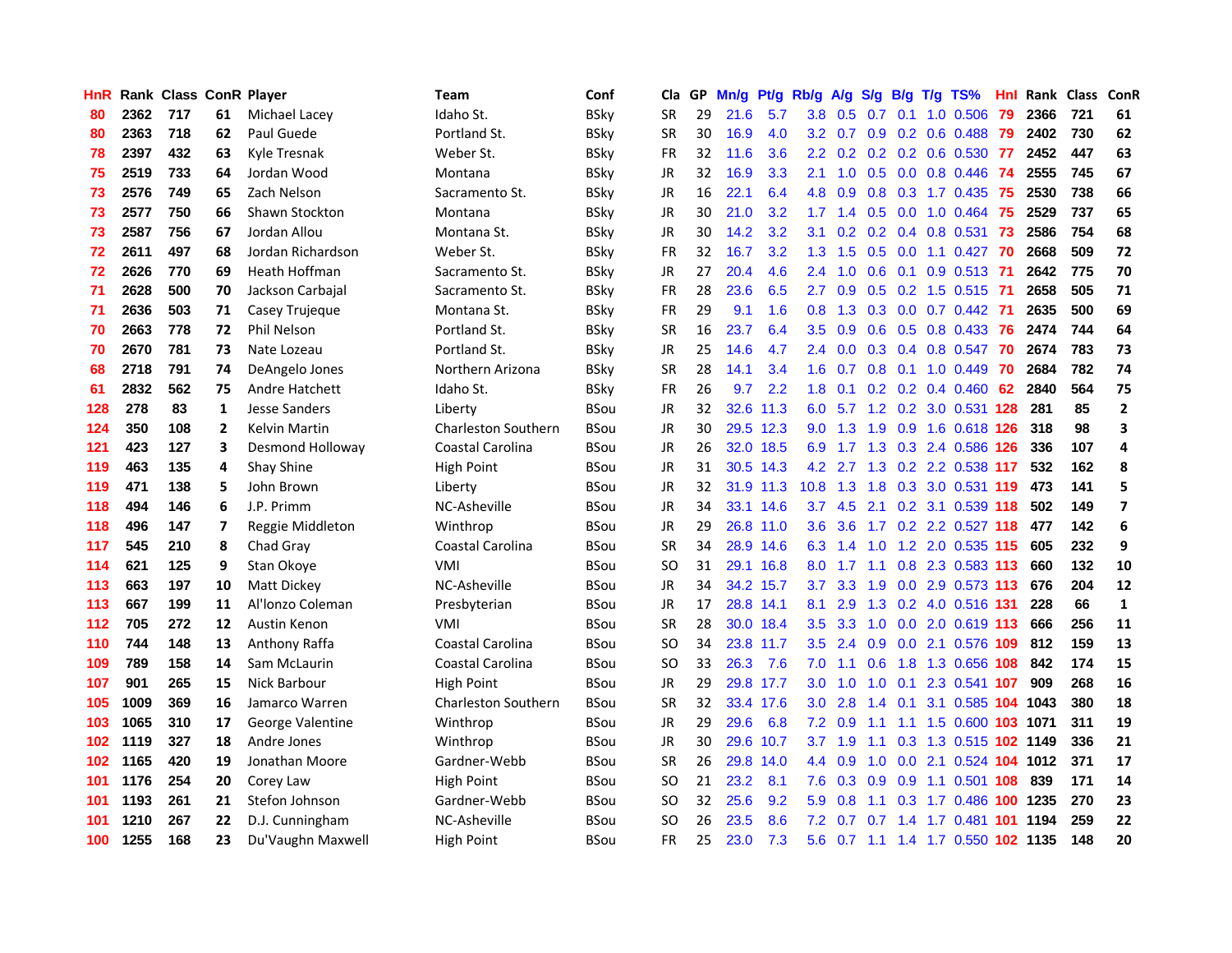| HnR |      | <b>Rank Class ConR Player</b> |              |                      | Team                       | Conf        | Cla           |    | GP Mn/g | Pt/g      | Rb/g             | <b>A/g</b>      | <b>S/g</b> |                 | B/g T/g TS%                    | Hnl | Rank Class ConR |     |                          |
|-----|------|-------------------------------|--------------|----------------------|----------------------------|-------------|---------------|----|---------|-----------|------------------|-----------------|------------|-----------------|--------------------------------|-----|-----------------|-----|--------------------------|
| 80  | 2362 | 717                           | 61           | Michael Lacey        | Idaho St.                  | <b>BSky</b> | SR            | 29 | 21.6    | 5.7       | 3.8              | 0.5             | 0.7        | 0.1             | 1.0 0.506                      | 79  | 2366            | 721 | 61                       |
| 80  | 2363 | 718                           | 62           | Paul Guede           | Portland St.               | <b>BSky</b> | <b>SR</b>     | 30 | 16.9    | 4.0       | 3.2              | 0.7             | 0.9        | 0.2             | $0.6$ $0.488$                  | 79  | 2402            | 730 | 62                       |
| 78  | 2397 | 432                           | 63           | Kyle Tresnak         | Weber St.                  | <b>BSky</b> | <b>FR</b>     | 32 | 11.6    | 3.6       | $2.2^{\circ}$    |                 |            |                 | $0.2$ 0.2 0.2 0.6 0.530        | -77 | 2452            | 447 | 63                       |
| 75  | 2519 | 733                           | 64           | Jordan Wood          | Montana                    | <b>BSky</b> | <b>JR</b>     | 32 | 16.9    | 3.3       | 2.1              | 1.0             |            |                 | 0.5 0.0 0.8 0.446              | 74  | 2555            | 745 | 67                       |
| 73  | 2576 | 749                           | 65           | Zach Nelson          | Sacramento St.             | <b>BSky</b> | JR            | 16 | 22.1    | 6.4       |                  | 4.8 0.9         |            |                 | 0.8 0.3 1.7 0.435 75           |     | 2530            | 738 | 66                       |
| 73  | 2577 | 750                           | 66           | Shawn Stockton       | Montana                    | <b>BSky</b> | JR            | 30 | 21.0    | 3.2       | 1.7 <sub>1</sub> | 1.4             |            |                 | $0.5$ 0.0 1.0 0.464            | -75 | 2529            | 737 | 65                       |
| 73  | 2587 | 756                           | 67           | Jordan Allou         | Montana St.                | <b>BSky</b> | JR            | 30 | 14.2    | 3.2       | 3.1              |                 |            |                 | $0.2$ 0.2 0.4 0.8 0.531        | -73 | 2586            | 754 | 68                       |
| 72  | 2611 | 497                           | 68           | Jordan Richardson    | Weber St.                  | <b>BSky</b> | <b>FR</b>     | 32 | 16.7    | 3.2       | 1.3 <sup>°</sup> | 1.5             | 0.5        |                 | $0.0$ 1.1 $0.427$              | -70 | 2668            | 509 | 72                       |
| 72  | 2626 | 770                           | 69           | <b>Heath Hoffman</b> | Sacramento St.             | <b>BSky</b> | JR            | 27 | 20.4    | 4.6       | $2.4^{\circ}$    | 1.0             | 0.6        | 0.1             | $0.9$ $0.513$                  | 71  | 2642            | 775 | 70                       |
| 71  | 2628 | 500                           | 70           | Jackson Carbajal     | Sacramento St.             | <b>BSky</b> | FR            | 28 | 23.6    | 6.5       | 2.7              | 0.9             | 0.5        |                 | $0.2$ 1.5 $0.515$              | -71 | 2658            | 505 | 71                       |
| 71  | 2636 | 503                           | 71           | Casey Trujeque       | Montana St.                | <b>BSky</b> | <b>FR</b>     | 29 | 9.1     | 1.6       | 0.8              | 1.3             | 0.3        |                 | $0.0$ 0.7 0.442                | -71 | 2635            | 500 | 69                       |
| 70  | 2663 | 778                           | 72           | <b>Phil Nelson</b>   | Portland St.               | <b>BSky</b> | <b>SR</b>     | 16 | 23.7    | 6.4       | 3.5              | 0.9             | 0.6        |                 | $0.5$ 0.8 0.433                | -76 | 2474            | 744 | 64                       |
| 70  | 2670 | 781                           | 73           | Nate Lozeau          | Portland St.               | <b>BSky</b> | <b>JR</b>     | 25 | 14.6    | 4.7       | $2.4^{\circ}$    | 0.0             | 0.3        | 0.4             | 0.8 0.547                      | 70  | 2674            | 783 | 73                       |
| 68  | 2718 | 791                           | 74           | DeAngelo Jones       | Northern Arizona           | <b>BSky</b> | <b>SR</b>     | 28 | 14.1    | 3.4       | 1.6              | 0.7             | 0.8        |                 | $0.1$ 1.0 $0.449$              | 70  | 2684            | 782 | 74                       |
| 61  | 2832 | 562                           | 75           | Andre Hatchett       | Idaho St.                  | <b>BSky</b> | <b>FR</b>     | 26 | 9.7     | 2.2       | 1.8              | 0.1             | 0.2        |                 | $0.2$ 0.4 0.460                | 62  | 2840            | 564 | 75                       |
| 128 | 278  | 83                            | 1            | Jesse Sanders        | Liberty                    | <b>BSou</b> | JR            | 32 | 32.6    | 11.3      | 6.0              | 5.7             |            |                 | 1.2 0.2 3.0 0.531 128          |     | 281             | 85  | $\mathbf{2}$             |
| 124 | 350  | 108                           | $\mathbf{2}$ | Kelvin Martin        | <b>Charleston Southern</b> | <b>BSou</b> | JR            | 30 |         | 29.5 12.3 | 9.0              | 1.3             |            |                 | 1.9 0.9 1.6 0.618 126          |     | 318             | 98  | 3                        |
| 121 | 423  | 127                           | 3            | Desmond Holloway     | Coastal Carolina           | <b>BSou</b> | <b>JR</b>     | 26 |         | 32.0 18.5 | 6.9              | 1.7             |            |                 | 1.3 0.3 2.4 0.586 126          |     | 336             | 107 | 4                        |
| 119 | 463  | 135                           | 4            | Shay Shine           | High Point                 | <b>BSou</b> | <b>JR</b>     | 31 |         | 30.5 14.3 | 4.2              | 2.7             |            |                 | 1.3 0.2 2.2 0.538 117          |     | 532             | 162 | 8                        |
| 119 | 471  | 138                           | 5            | John Brown           | Liberty                    | <b>BSou</b> | JR            | 32 |         | 31.9 11.3 | $10.8$ 1.3       |                 |            |                 | 1.8 0.3 3.0 0.531 119          |     | 473             | 141 | 5                        |
| 118 | 494  | 146                           | 6            | J.P. Primm           | NC-Asheville               | <b>BSou</b> | JR            | 34 |         | 33.1 14.6 |                  | $3.7$ 4.5       | 2.1        |                 | 0.2 3.1 0.539 118              |     | 502             | 149 | $\overline{\phantom{a}}$ |
| 118 | 496  | 147                           | 7            | Reggie Middleton     | Winthrop                   | <b>BSou</b> | <b>JR</b>     | 29 |         | 26.8 11.0 | 3.6 <sup>°</sup> | 3.6             |            |                 | 1.7 0.2 2.2 0.527 118          |     | 477             | 142 | 6                        |
| 117 | 545  | 210                           | 8            | Chad Gray            | Coastal Carolina           | <b>BSou</b> | <b>SR</b>     | 34 |         | 28.9 14.6 | 6.3              | 1.4             | 1.0        |                 | 1.2 2.0 0.535 115              |     | 605             | 232 | 9                        |
| 114 | 621  | 125                           | 9            | Stan Okoye           | VMI                        | <b>BSou</b> | <b>SO</b>     | 31 |         | 29.1 16.8 | 8.0              | 1.7             | 1.1        |                 | 0.8 2.3 0.583 113              |     | 660             | 132 | 10                       |
| 113 | 663  | 197                           | 10           | Matt Dickey          | NC-Asheville               | <b>BSou</b> | JR            | 34 |         | 34.2 15.7 | 3.7              | 3.3             | 1.9        |                 | 0.0 2.9 0.573 113              |     | 676             | 204 | ${\bf 12}$               |
| 113 | 667  | 199                           | 11           | Al'Ionzo Coleman     | Presbyterian               | <b>BSou</b> | <b>JR</b>     | 17 |         | 28.8 14.1 | 8.1              | 2.9             | 1.3        |                 | 0.2 4.0 0.516 131              |     | 228             | 66  | $\mathbf{1}$             |
| 112 | 705  | 272                           | 12           | Austin Kenon         | VMI                        | <b>BSou</b> | <b>SR</b>     | 28 |         | 30.0 18.4 | 3.5              | 3.3             | 1.0        | 0.0             | 2.0 0.619 113                  |     | 666             | 256 | 11                       |
| 110 | 744  | 148                           | 13           | Anthony Raffa        | Coastal Carolina           | <b>BSou</b> | <b>SO</b>     | 34 |         | 23.8 11.7 | 3.5              | 2.4             | 0.9        | 0.0             | 2.1 0.576 109                  |     | 812             | 159 | 13                       |
| 109 | 789  | 158                           | 14           | Sam McLaurin         | Coastal Carolina           | <b>BSou</b> | <sub>SO</sub> | 33 | 26.3    | 7.6       | 7.0              | 1.1             | 0.6        | 1.8             | 1.3 0.656 108                  |     | 842             | 174 | 15                       |
| 107 | 901  | 265                           | 15           | Nick Barbour         | <b>High Point</b>          | <b>BSou</b> | JR            | 29 |         | 29.8 17.7 | 3.0 <sub>2</sub> | 1.0             | 1.0        | 0.1             | 2.3 0.541 107                  |     | 909             | 268 | 16                       |
| 105 | 1009 | 369                           | 16           | Jamarco Warren       | <b>Charleston Southern</b> | <b>BSou</b> | <b>SR</b>     | 32 |         | 33.4 17.6 | 3.0 <sub>1</sub> | 2.8             |            | $1.4 \quad 0.1$ | 3.1 0.585 104 1043             |     |                 | 380 | 18                       |
| 103 | 1065 | 310                           | 17           | George Valentine     | Winthrop                   | <b>BSou</b> | <b>JR</b>     | 29 | 29.6    | 6.8       |                  | $7.2 \quad 0.9$ | $-1.1$     |                 | 1.1 1.5 0.600 103 1071         |     |                 | 311 | 19                       |
| 102 | 1119 | 327                           | 18           | Andre Jones          | Winthrop                   | <b>BSou</b> | <b>JR</b>     | 30 |         | 29.6 10.7 | 3.7              | 1.9             | 1.1        |                 | 0.3 1.3 0.515 102 1149         |     |                 | 336 | 21                       |
| 102 | 1165 | 420                           | 19           | Jonathan Moore       | Gardner-Webb               | <b>BSou</b> | <b>SR</b>     | 26 |         | 29.8 14.0 | 4.4              | 0.9             | 1.0        |                 | 0.0 2.1 0.524 104 1012         |     |                 | 371 | 17                       |
| 101 | 1176 | 254                           | 20           | Corey Law            | High Point                 | <b>BSou</b> | <sub>SO</sub> | 21 | 23.2    | 8.1       | 7.6              | 0.3             | 0.9        | 0.9             | 1.1 0.501 108                  |     | 839             | 171 | 14                       |
| 101 | 1193 | 261                           | 21           | Stefon Johnson       | Gardner-Webb               | <b>BSou</b> | <b>SO</b>     | 32 | 25.6    | 9.2       | 5.9              | 0.8             | 1.1        | 0.3             | 1.7 0.486                      |     | 100 1235        | 270 | 23                       |
| 101 | 1210 | 267                           | 22           | D.J. Cunningham      | NC-Asheville               | <b>BSou</b> | SO            | 26 | 23.5    | 8.6       | 7.2              | 0.7             | 0.7        | 1.4             | 1.7 0.481                      | 101 | 1194            | 259 | 22                       |
| 100 | 1255 | 168                           | 23           | Du'Vaughn Maxwell    | High Point                 | <b>BSou</b> | <b>FR</b>     | 25 | 23.0    | 7.3       | 5.6              |                 |            |                 | 0.7 1.1 1.4 1.7 0.550 102 1135 |     |                 | 148 | 20                       |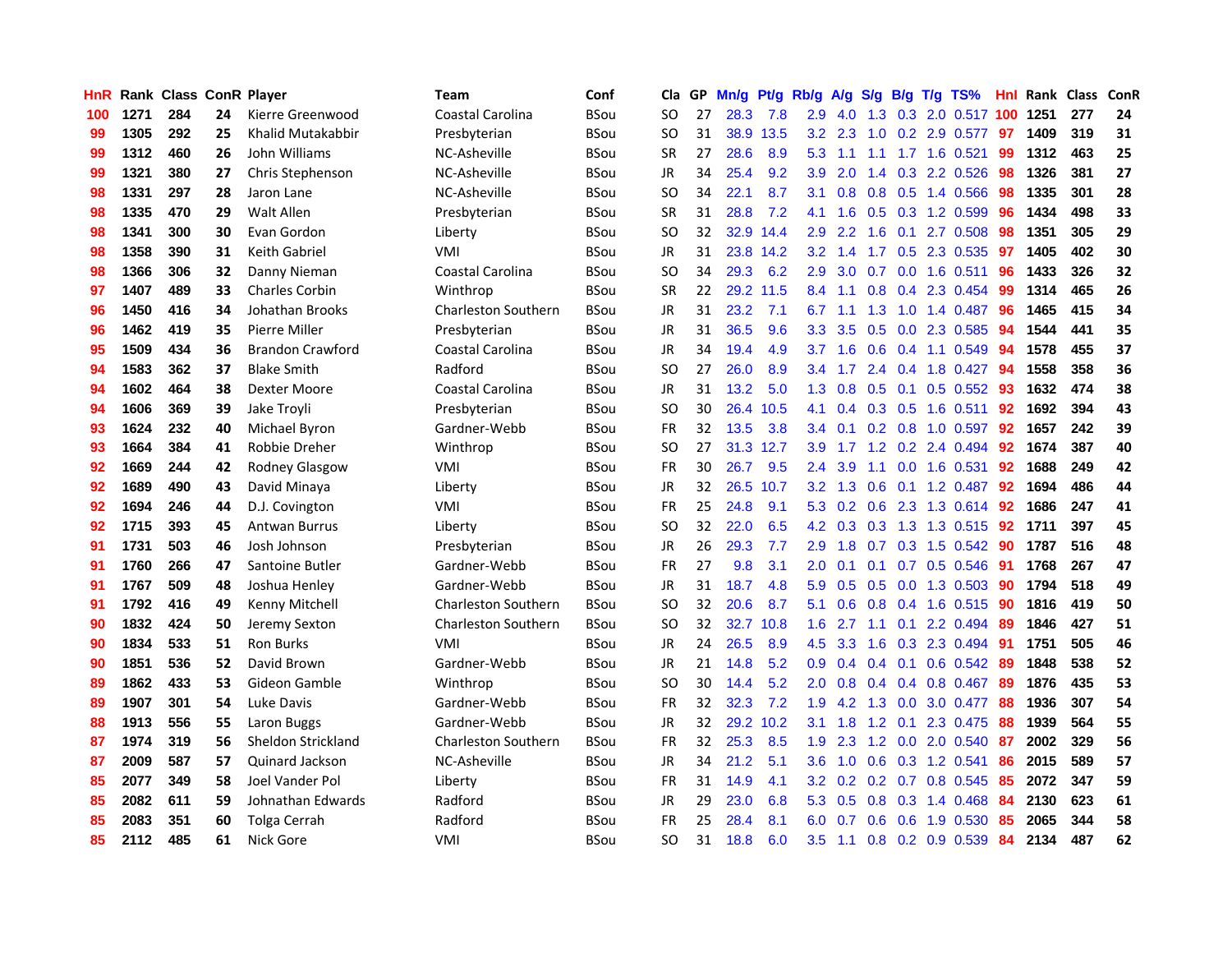| HnR |      | <b>Rank Class ConR Player</b> |    |                         | Team                       | Conf        | Cla           | GP | Mn/g | Pt/g      | Rb/g             | A/g    | S/g           |                 | B/g T/g TS%               | Hnl | Rank Class |     | ConR |
|-----|------|-------------------------------|----|-------------------------|----------------------------|-------------|---------------|----|------|-----------|------------------|--------|---------------|-----------------|---------------------------|-----|------------|-----|------|
| 100 | 1271 | 284                           | 24 | Kierre Greenwood        | <b>Coastal Carolina</b>    | <b>BSou</b> | SO            | 27 | 28.3 | 7.8       | 2.9              | 4.0    | 1.3           | 0.3             | 2.0 0.517                 | 100 | 1251       | 277 | 24   |
| 99  | 1305 | 292                           | 25 | Khalid Mutakabbir       | Presbyterian               | <b>BSou</b> | <b>SO</b>     | 31 | 38.9 | 13.5      | 3.2              | 2.3    | 1.0           | 0.2             | 2.9 0.577                 | 97  | 1409       | 319 | 31   |
| 99  | 1312 | 460                           | 26 | John Williams           | NC-Asheville               | <b>BSou</b> | <b>SR</b>     | 27 | 28.6 | 8.9       | 5.3              | 1.1    | 1.1           | 1.7             | 1.6 0.521                 | 99  | 1312       | 463 | 25   |
| 99  | 1321 | 380                           | 27 | Chris Stephenson        | NC-Asheville               | <b>BSou</b> | <b>JR</b>     | 34 | 25.4 | 9.2       | 3.9              | 2.0    |               |                 | 1.4 0.3 2.2 0.526         | 98  | 1326       | 381 | 27   |
| 98  | 1331 | 297                           | 28 | Jaron Lane              | NC-Asheville               | <b>BSou</b> | SO            | 34 | 22.1 | 8.7       | 3.1              |        |               |                 | 0.8 0.8 0.5 1.4 0.566     | -98 | 1335       | 301 | 28   |
| 98  | 1335 | 470                           | 29 | Walt Allen              | Presbyterian               | <b>BSou</b> | <b>SR</b>     | 31 | 28.8 | 7.2       | 4.1              | 1.6    |               |                 | $0.5$ 0.3 1.2 0.599       | 96  | 1434       | 498 | 33   |
| 98  | 1341 | 300                           | 30 | Evan Gordon             | Liberty                    | <b>BSou</b> | <sub>SO</sub> | 32 |      | 32.9 14.4 | 2.9              | 2.2    | 1.6           |                 | 0.1 2.7 0.508             | 98  | 1351       | 305 | 29   |
| 98  | 1358 | 390                           | 31 | Keith Gabriel           | VMI                        | <b>BSou</b> | <b>JR</b>     | 31 |      | 23.8 14.2 | 3.2              | 1.4    | 1.7           |                 | 0.5 2.3 0.535             | 97  | 1405       | 402 | 30   |
| 98  | 1366 | 306                           | 32 | Danny Nieman            | Coastal Carolina           | <b>BSou</b> | <sub>SO</sub> | 34 | 29.3 | 6.2       | 2.9              | 3.0    | 0.7           |                 | 0.0 1.6 0.511             | 96  | 1433       | 326 | 32   |
| 97  | 1407 | 489                           | 33 | <b>Charles Corbin</b>   | Winthrop                   | <b>BSou</b> | <b>SR</b>     | 22 |      | 29.2 11.5 | 8.4              | 1.1    | 0.8           |                 | 0.4 2.3 0.454             | -99 | 1314       | 465 | 26   |
| 96  | 1450 | 416                           | 34 | Johathan Brooks         | <b>Charleston Southern</b> | <b>BSou</b> | JR            | 31 | 23.2 | 7.1       | 6.7              | 1.1    | 1.3           | 1.0             | 1.4 0.487                 | 96  | 1465       | 415 | 34   |
| 96  | 1462 | 419                           | 35 | Pierre Miller           | Presbyterian               | <b>BSou</b> | <b>JR</b>     | 31 | 36.5 | 9.6       | 3.3              | 3.5    | 0.5           | 0.0             | 2.3 0.585                 | 94  | 1544       | 441 | 35   |
| 95  | 1509 | 434                           | 36 | <b>Brandon Crawford</b> | Coastal Carolina           | <b>BSou</b> | JR            | 34 | 19.4 | 4.9       | 3.7              | 1.6    | 0.6           | 0.4             | 1.1 0.549                 | 94  | 1578       | 455 | 37   |
| 94  | 1583 | 362                           | 37 | <b>Blake Smith</b>      | Radford                    | <b>BSou</b> | <b>SO</b>     | 27 | 26.0 | 8.9       | $3.4^{\circ}$    | 1.7    |               | $2.4 \quad 0.4$ | 1.8 0.427                 | 94  | 1558       | 358 | 36   |
| 94  | 1602 | 464                           | 38 | Dexter Moore            | <b>Coastal Carolina</b>    | <b>BSou</b> | <b>JR</b>     | 31 | 13.2 | 5.0       | 1.3 <sub>1</sub> | 0.8    | 0.5           | 0.1             | $0.5 \ 0.552$             | 93  | 1632       | 474 | 38   |
| 94  | 1606 | 369                           | 39 | Jake Troyli             | Presbyterian               | <b>BSou</b> | SO            | 30 | 26.4 | 10.5      | 4.1              | 0.4    |               | $0.3 \quad 0.5$ | $1.6$ 0.511               | 92  | 1692       | 394 | 43   |
| 93  | 1624 | 232                           | 40 | Michael Byron           | Gardner-Webb               | <b>BSou</b> | <b>FR</b>     | 32 | 13.5 | 3.8       | $3.4^{\circ}$    | 0.1    |               | $0.2 \quad 0.8$ | 1.0 0.597                 | 92  | 1657       | 242 | 39   |
| 93  | 1664 | 384                           | 41 | Robbie Dreher           | Winthrop                   | <b>BSou</b> | SO            | 27 |      | 31.3 12.7 | 3.9              | 1.7    |               |                 | 1.2 0.2 2.4 0.494         | 92  | 1674       | 387 | 40   |
| 92  | 1669 | 244                           | 42 | Rodney Glasgow          | VMI                        | <b>BSou</b> | <b>FR</b>     | 30 | 26.7 | 9.5       | $2.4^{\circ}$    | 3.9    |               |                 | 1.1 0.0 1.6 0.531         | 92  | 1688       | 249 | 42   |
| 92  | 1689 | 490                           | 43 | David Minaya            | Liberty                    | <b>BSou</b> | JR            | 32 |      | 26.5 10.7 |                  |        | $3.2$ 1.3 0.6 |                 | $0.1$ 1.2 0.487           | 92  | 1694       | 486 | 44   |
| 92  | 1694 | 246                           | 44 | D.J. Covington          | VMI                        | <b>BSou</b> | <b>FR</b>     | 25 | 24.8 | 9.1       |                  |        |               |                 | 5.3 0.2 0.6 2.3 1.3 0.614 | 92  | 1686       | 247 | 41   |
| 92  | 1715 | 393                           | 45 | <b>Antwan Burrus</b>    | Liberty                    | <b>BSou</b> | <sub>SO</sub> | 32 | 22.0 | 6.5       | 4.2              | 0.3    |               |                 | $0.3$ 1.3 1.3 0.515       | 92  | 1711       | 397 | 45   |
| 91  | 1731 | 503                           | 46 | Josh Johnson            | Presbyterian               | <b>BSou</b> | <b>JR</b>     | 26 | 29.3 | 7.7       | 2.9              | 1.8    |               |                 | $0.7$ $0.3$ $1.5$ $0.542$ | 90  | 1787       | 516 | 48   |
| 91  | 1760 | 266                           | 47 | Santoine Butler         | Gardner-Webb               | <b>BSou</b> | <b>FR</b>     | 27 | 9.8  | 3.1       | 2.0              | 0.1    | 0.1           |                 | $0.7$ $0.5$ $0.546$       | -91 | 1768       | 267 | 47   |
| 91  | 1767 | 509                           | 48 | Joshua Henley           | Gardner-Webb               | <b>BSou</b> | <b>JR</b>     | 31 | 18.7 | 4.8       | 5.9              | 0.5    | 0.5           |                 | 0.0 1.3 0.503             | -90 | 1794       | 518 | 49   |
| 91  | 1792 | 416                           | 49 | Kenny Mitchell          | <b>Charleston Southern</b> | <b>BSou</b> | <b>SO</b>     | 32 | 20.6 | 8.7       | 5.1              | 0.6    | 0.8           | 0.4             | 1.6 0.515                 | 90  | 1816       | 419 | 50   |
| 90  | 1832 | 424                           | 50 | Jeremy Sexton           | <b>Charleston Southern</b> | <b>BSou</b> | <b>SO</b>     | 32 | 32.7 | 10.8      | 1.6              | 2.7    | 1.1           | 0.1             | 2.2 0.494                 | 89  | 1846       | 427 | 51   |
| 90  | 1834 | 533                           | 51 | <b>Ron Burks</b>        | VMI                        | <b>BSou</b> | JR            | 24 | 26.5 | 8.9       | 4.5              | 3.3    | 1.6           | 0.3             | 2.3 0.494                 | 91  | 1751       | 505 | 46   |
| 90  | 1851 | 536                           | 52 | David Brown             | Gardner-Webb               | <b>BSou</b> | <b>JR</b>     | 21 | 14.8 | 5.2       | 0.9              | 0.4    | 0.4           | 0.1             | 0.6 0.542                 | -89 | 1848       | 538 | 52   |
| 89  | 1862 | 433                           | 53 | Gideon Gamble           | Winthrop                   | <b>BSou</b> | <sub>SO</sub> | 30 | 14.4 | 5.2       | 2.0              | 0.8    |               | $0.4 \quad 0.4$ | 0.8 0.467                 | -89 | 1876       | 435 | 53   |
| 89  | 1907 | 301                           | 54 | Luke Davis              | Gardner-Webb               | <b>BSou</b> | <b>FR</b>     | 32 | 32.3 | 7.2       | 1.9              | 4.2    | 1.3           | 0.0             | 3.0 0.477                 | -88 | 1936       | 307 | 54   |
| 88  | 1913 | 556                           | 55 | Laron Buggs             | Gardner-Webb               | <b>BSou</b> | <b>JR</b>     | 32 |      | 29.2 10.2 | 3.1              | 1.8    |               | $1.2 \quad 0.1$ | 2.3 0.475                 | 88  | 1939       | 564 | 55   |
| 87  | 1974 | 319                           | 56 | Sheldon Strickland      | <b>Charleston Southern</b> | <b>BSou</b> | <b>FR</b>     | 32 | 25.3 | 8.5       | 1.9 <sup>°</sup> | 2.3    |               |                 | 1.2 0.0 2.0 0.540         | 87  | 2002       | 329 | 56   |
| 87  | 2009 | 587                           | 57 | Quinard Jackson         | NC-Asheville               | <b>BSou</b> | <b>JR</b>     | 34 | 21.2 | 5.1       | 3.6 <sup>2</sup> | 1.0    | 0.6           |                 | 0.3 1.2 0.541             | 86  | 2015       | 589 | 57   |
| 85  | 2077 | 349                           | 58 | Joel Vander Pol         | Liberty                    | <b>BSou</b> | <b>FR</b>     | 31 | 14.9 | 4.1       | 3.2 <sub>2</sub> | 0.2    |               |                 | $0.2$ 0.7 0.8 0.545       | 85  | 2072       | 347 | 59   |
| 85  | 2082 | 611                           | 59 | Johnathan Edwards       | Radford                    | <b>BSou</b> | <b>JR</b>     | 29 | 23.0 | 6.8       | 5.3              | 0.5    | 0.8           |                 | $0.3$ 1.4 0.468           | 84  | 2130       | 623 | 61   |
| 85  | 2083 | 351                           | 60 | Tolga Cerrah            | Radford                    | <b>BSou</b> | <b>FR</b>     | 25 | 28.4 | 8.1       | 6.0              | 0.7    | 0.6           | 0.6             | 1.9 0.530                 | 85  | 2065       | 344 | 58   |
| 85  | 2112 | 485                           | 61 | Nick Gore               | <b>VMI</b>                 | <b>BSou</b> | SΟ            | 31 | 18.8 | 6.0       | $3.5^{\circ}$    | $-1.1$ |               |                 | $0.8$ 0.2 0.9 0.539       | 84  | 2134       | 487 | 62   |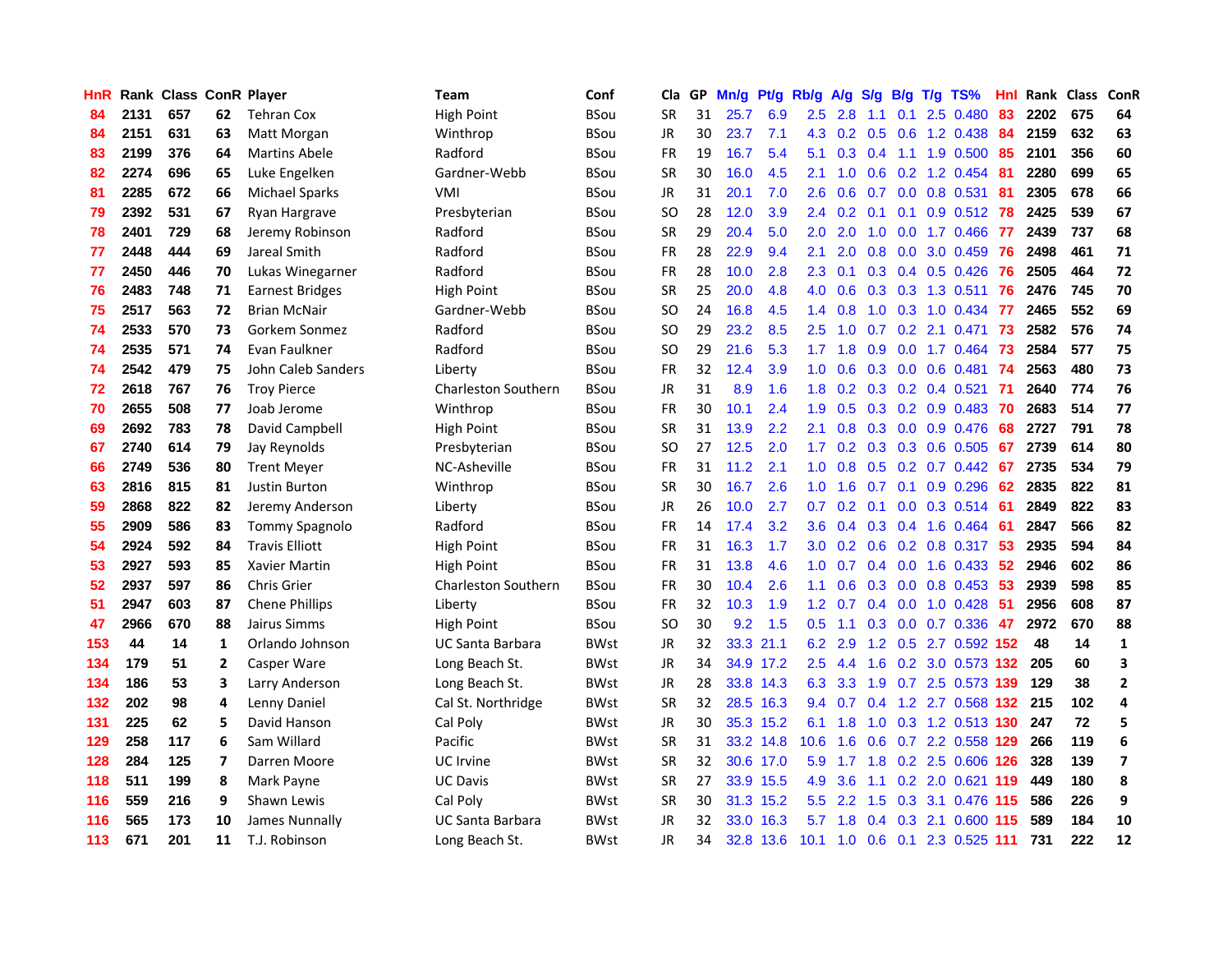| <b>HnR</b>       |      | Rank Class ConR Player |    |                        | <b>Team</b>                | Conf        | Cla       |    | GP Mn/g Pt/g Rb/g A/g |           |                  |                 |               |     | S/g B/g T/g TS%                | Hnl  |      | Rank Class | <b>ConR</b>             |
|------------------|------|------------------------|----|------------------------|----------------------------|-------------|-----------|----|-----------------------|-----------|------------------|-----------------|---------------|-----|--------------------------------|------|------|------------|-------------------------|
| 84               | 2131 | 657                    | 62 | <b>Tehran Cox</b>      | <b>High Point</b>          | BSou        | <b>SR</b> | 31 | 25.7                  | 6.9       | 2.5              | 2.8             | 1.1           | 0.1 | 2.5 0.480                      | 83   | 2202 | 675        | 64                      |
| 84               | 2151 | 631                    | 63 | Matt Morgan            | Winthrop                   | BSou        | JR        | 30 | 23.7                  | 7.1       | 4.3              | 0.2             | 0.5           | 0.6 | 1.2 0.438                      | 84   | 2159 | 632        | 63                      |
| 83               | 2199 | 376                    | 64 | <b>Martins Abele</b>   | Radford                    | <b>BSou</b> | <b>FR</b> | 19 | 16.7                  | 5.4       | 5.1              | 0.3             | 0.4           | 1.1 | 1.9 0.500                      | 85   | 2101 | 356        | 60                      |
| 82               | 2274 | 696                    | 65 | Luke Engelken          | Gardner-Webb               | <b>BSou</b> | <b>SR</b> | 30 | 16.0                  | 4.5       | 2.1              | 1.0             | 0.6           |     | 0.2 1.2 0.454                  | -81  | 2280 | 699        | 65                      |
| 81               | 2285 | 672                    | 66 | <b>Michael Sparks</b>  | VMI                        | <b>BSou</b> | JR        | 31 | 20.1                  | 7.0       | 2.6              | 0.6             |               |     | 0.7 0.0 0.8 0.531              | -81  | 2305 | 678        | 66                      |
| 79               | 2392 | 531                    | 67 | Ryan Hargrave          | Presbyterian               | <b>BSou</b> | SO.       | 28 | 12.0                  | 3.9       |                  | $2.4 \quad 0.2$ |               |     | $0.1$ 0.1 0.9 0.512            | -78  | 2425 | 539        | 67                      |
| 78               | 2401 | 729                    | 68 | Jeremy Robinson        | Radford                    | BSou        | <b>SR</b> | 29 | 20.4                  | 5.0       | 2.0              | 2.0             | 1.0           |     | $0.0$ 1.7 0.466                | - 77 | 2439 | 737        | 68                      |
| 77               | 2448 | 444                    | 69 | Jareal Smith           | Radford                    | <b>BSou</b> | <b>FR</b> | 28 | 22.9                  | 9.4       | 2.1              | 2.0             |               |     | $0.8$ $0.0$ $3.0$ $0.459$      | -76  | 2498 | 461        | 71                      |
| 77               | 2450 | 446                    | 70 | Lukas Winegarner       | Radford                    | <b>BSou</b> | <b>FR</b> | 28 | 10.0                  | 2.8       | 2.3              | 0.1             |               |     | 0.3 0.4 0.5 0.426              | 76   | 2505 | 464        | 72                      |
| 76               | 2483 | 748                    | 71 | <b>Earnest Bridges</b> | High Point                 | <b>BSou</b> | <b>SR</b> | 25 | 20.0                  | 4.8       | 4.0              | 0.6             |               |     | 0.3 0.3 1.3 0.511              | 76   | 2476 | 745        | 70                      |
| 75               | 2517 | 563                    | 72 | <b>Brian McNair</b>    | Gardner-Webb               | BSou        | SO.       | 24 | 16.8                  | 4.5       | $1.4^{\circ}$    | 0.8             | 1.0           |     | $0.3$ 1.0 0.434                | 77   | 2465 | 552        | 69                      |
| 74               | 2533 | 570                    | 73 | Gorkem Sonmez          | Radford                    | <b>BSou</b> | SO.       | 29 | 23.2                  | 8.5       | 2.5              | 1.0             | 0.7           |     | 0.2 2.1 0.471                  | 73   | 2582 | 576        | 74                      |
| 74               | 2535 | 571                    | 74 | Evan Faulkner          | Radford                    | <b>BSou</b> | SO.       | 29 | 21.6                  | 5.3       | 1.7 <sup>2</sup> | 1.8             | 0.9           | 0.0 | 1.7 0.464                      | 73   | 2584 | 577        | 75                      |
| 74               | 2542 | 479                    | 75 | John Caleb Sanders     | Liberty                    | <b>BSou</b> | <b>FR</b> | 32 | 12.4                  | 3.9       | 1.0              | 0.6             | 0.3           | 0.0 | $0.6$ $0.481$                  | -74  | 2563 | 480        | 73                      |
| 72               | 2618 | 767                    | 76 | <b>Troy Pierce</b>     | <b>Charleston Southern</b> | <b>BSou</b> | JR        | 31 | 8.9                   | 1.6       | 1.8              | 0.2             | 0.3           |     | $0.2$ 0.4 0.521                | -71  | 2640 | 774        | 76                      |
| 70               | 2655 | 508                    | 77 | Joab Jerome            | Winthrop                   | <b>BSou</b> | <b>FR</b> | 30 | 10.1                  | 2.4       | 1.9              | 0.5             | 0.3           | 0.2 | 0.9 0.483                      | 70   | 2683 | 514        | 77                      |
| 69               | 2692 | 783                    | 78 | David Campbell         | High Point                 | <b>BSou</b> | <b>SR</b> | 31 | 13.9                  | 2.2       | 2.1              | 0.8             |               |     | $0.3$ 0.0 0.9 0.476            | 68   | 2727 | 791        | 78                      |
| 67               | 2740 | 614                    | 79 | Jay Reynolds           | Presbyterian               | <b>BSou</b> | SO.       | 27 | 12.5                  | 2.0       | 1.7 <sub>2</sub> |                 |               |     | $0.2$ 0.3 0.3 0.6 0.505        | 67   | 2739 | 614        | 80                      |
| 66               | 2749 | 536                    | 80 | <b>Trent Meyer</b>     | NC-Asheville               | <b>BSou</b> | <b>FR</b> | 31 | 11.2                  | 2.1       |                  | $1.0 \t0.8$     |               |     | $0.5$ $0.2$ $0.7$ $0.442$      | 67   | 2735 | 534        | 79                      |
| 63               | 2816 | 815                    | 81 | <b>Justin Burton</b>   | Winthrop                   | <b>BSou</b> | <b>SR</b> | 30 | 16.7                  | 2.6       |                  | $1.0 \quad 1.6$ |               |     | 0.7 0.1 0.9 0.296              | 62   | 2835 | 822        | 81                      |
| 59               | 2868 | 822                    | 82 | Jeremy Anderson        | Liberty                    | <b>BSou</b> | JR        | 26 | 10.0                  | 2.7       | 0.7              |                 |               |     | $0.2$ 0.1 0.0 0.3 0.514        | -61  | 2849 | 822        | 83                      |
| 55               | 2909 | 586                    | 83 | Tommy Spagnolo         | Radford                    | <b>BSou</b> | FR        | 14 | 17.4                  | 3.2       | 3.6 <sup>°</sup> | 0.4             |               |     | $0.3$ 0.4 1.6 0.464            | -61  | 2847 | 566        | 82                      |
| 54               | 2924 | 592                    | 84 | <b>Travis Elliott</b>  | <b>High Point</b>          | <b>BSou</b> | <b>FR</b> | 31 | 16.3                  | 1.7       | 3.0              | 0.2             |               |     | $0.6$ $0.2$ $0.8$ $0.317$      | -53  | 2935 | 594        | 84                      |
| 53               | 2927 | 593                    | 85 | Xavier Martin          | High Point                 | <b>BSou</b> | <b>FR</b> | 31 | 13.8                  | 4.6       | 1.0              | 0.7             |               |     | 0.4 0.0 1.6 0.433              | 52   | 2946 | 602        | 86                      |
| $52\phantom{.0}$ | 2937 | 597                    | 86 | <b>Chris Grier</b>     | Charleston Southern        | <b>BSou</b> | FR        | 30 | 10.4                  | 2.6       | 1.1              | 0.6             |               |     | 0.3 0.0 0.8 0.453              | 53   | 2939 | 598        | 85                      |
| 51               | 2947 | 603                    | 87 | <b>Chene Phillips</b>  | Liberty                    | <b>BSou</b> | <b>FR</b> | 32 | 10.3                  | 1.9       | 1.2              | 0.7             |               |     | $0.4$ 0.0 1.0 0.428            | -51  | 2956 | 608        | 87                      |
| 47               | 2966 | 670                    | 88 | Jairus Simms           | High Point                 | <b>BSou</b> | SO.       | 30 | 9.2                   | 1.5       | 0.5              | 1.1             |               |     | 0.3 0.0 0.7 0.336              | -47  | 2972 | 670        | 88                      |
| 153              | 44   | 14                     | 1  | Orlando Johnson        | UC Santa Barbara           | BWst        | JR        | 32 |                       | 33.3 21.1 | 6.2              | 2.9             |               |     | 1.2 0.5 2.7 0.592 152          |      | 48   | 14         | $\mathbf{1}$            |
| 134              | 179  | 51                     | 2  | Casper Ware            | Long Beach St.             | <b>BWst</b> | JR        | 34 |                       | 34.9 17.2 | $2.5\,$          | 4.4             | 1.6           |     | 0.2 3.0 0.573 132              |      | 205  | 60         | 3                       |
| 134              | 186  | 53                     | 3  | Larry Anderson         | Long Beach St.             | <b>BWst</b> | <b>JR</b> | 28 |                       | 33.8 14.3 | 6.3              | 3.3             | 1.9           |     | 0.7 2.5 0.573 139              |      | 129  | 38         | $\mathbf{2}$            |
| 132              | 202  | 98                     | 4  | Lenny Daniel           | Cal St. Northridge         | <b>BWst</b> | <b>SR</b> | 32 |                       | 28.5 16.3 | 9.4              | 0.7             | 0.4           |     | 1.2 2.7 0.568 132              |      | 215  | 102        | 4                       |
| 131              | 225  | 62                     | 5  | David Hanson           | Cal Poly                   | <b>BWst</b> | JR        | 30 |                       | 35.3 15.2 |                  | 6.1 1.8         |               |     | 1.0 0.3 1.2 0.513 130          |      | 247  | 72         | 5                       |
| 129              | 258  | 117                    | 6  | Sam Willard            | Pacific                    | <b>BWst</b> | <b>SR</b> | 31 |                       | 33.2 14.8 | 10.6             | 1.6             |               |     | 0.6 0.7 2.2 0.558 129          |      | 266  | 119        | 6                       |
| 128              | 284  | 125                    | 7  | Darren Moore           | <b>UC</b> Irvine           | <b>BWst</b> | <b>SR</b> | 32 |                       | 30.6 17.0 | 5.9              | 1.7             |               |     | 1.8 0.2 2.5 0.606 126          |      | 328  | 139        | $\overline{\mathbf{z}}$ |
| 118              | 511  | 199                    | 8  | Mark Payne             | <b>UC Davis</b>            | <b>BWst</b> | <b>SR</b> | 27 |                       | 33.9 15.5 | 4.9              | 3.6             | 1.1           |     | 0.2 2.0 0.621 119              |      | 449  | 180        | 8                       |
| 116              | 559  | 216                    | 9  | Shawn Lewis            | Cal Poly                   | <b>BWst</b> | <b>SR</b> | 30 |                       | 31.3 15.2 | 5.5 <sub>1</sub> | 2.2             | 1.5           |     | 0.3 3.1 0.476 115              |      | 586  | 226        | 9                       |
| 116              | 565  | 173                    | 10 | James Nunnally         | UC Santa Barbara           | <b>BWst</b> | <b>JR</b> | 32 | 33.0                  | 16.3      | 5.7              | 1.8             | $0.4^{\circ}$ | 0.3 | 2.1 0.600                      | -115 | 589  | 184        | 10                      |
| 113              | 671  | 201                    | 11 | T.J. Robinson          | Long Beach St.             | <b>BWst</b> | JR        | 34 |                       | 32.8 13.6 |                  |                 |               |     | 10.1 1.0 0.6 0.1 2.3 0.525 111 |      | 731  | 222        | 12                      |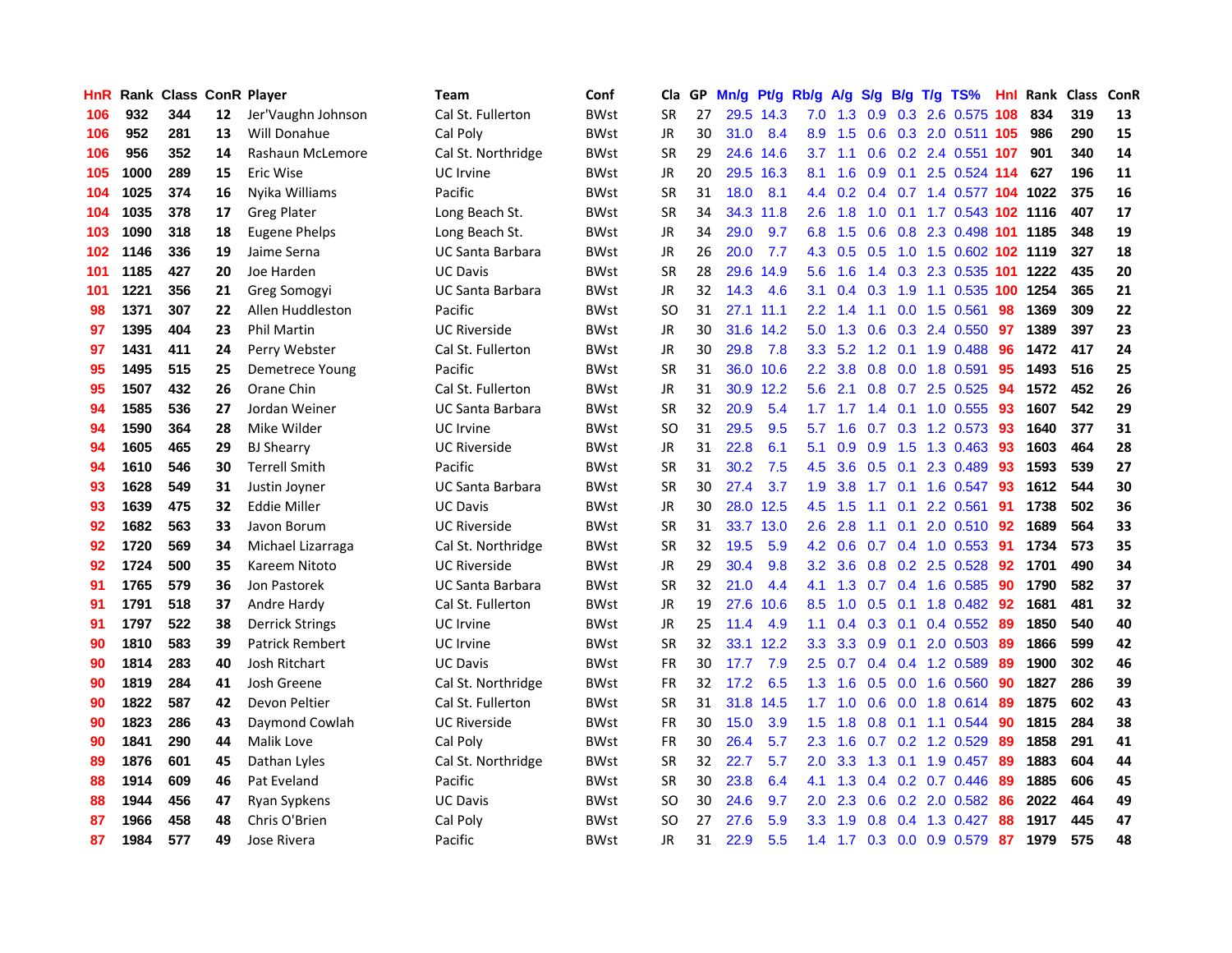| HnR |      | <b>Rank Class ConR Player</b> |    |                        | Team                    | Conf        | Cla       |    | GP Mn/g | Pt/g      | Rb/g             | <b>A/g</b>    |     |     | S/g B/g T/g TS%                    | Hnl | Rank Class |     | ConR |
|-----|------|-------------------------------|----|------------------------|-------------------------|-------------|-----------|----|---------|-----------|------------------|---------------|-----|-----|------------------------------------|-----|------------|-----|------|
| 106 | 932  | 344                           | 12 | Jer'Vaughn Johnson     | Cal St. Fullerton       | <b>BWst</b> | SR        | 27 |         | 29.5 14.3 | 7.0              | 1.3           | 0.9 | 0.3 | 2.6 0.575 108                      |     | 834        | 319 | 13   |
| 106 | 952  | 281                           | 13 | Will Donahue           | Cal Poly                | <b>BWst</b> | <b>JR</b> | 30 | 31.0    | 8.4       | 8.9              | 1.5           | 0.6 |     | 0.3 2.0 0.511 105                  |     | 986        | 290 | 15   |
| 106 | 956  | 352                           | 14 | Rashaun McLemore       | Cal St. Northridge      | <b>BWst</b> | <b>SR</b> | 29 |         | 24.6 14.6 | 3.7              | 1.1           | 0.6 |     | 0.2 2.4 0.551 107                  |     | 901        | 340 | 14   |
| 105 | 1000 | 289                           | 15 | Eric Wise              | UC Irvine               | <b>BWst</b> | <b>JR</b> | 20 |         | 29.5 16.3 | 8.1              | 1.6           |     |     | 0.9 0.1 2.5 0.524 114 627          |     |            | 196 | 11   |
| 104 | 1025 | 374                           | 16 | Nyika Williams         | Pacific                 | <b>BWst</b> | <b>SR</b> | 31 | 18.0    | 8.1       |                  |               |     |     | 4.4 0.2 0.4 0.7 1.4 0.577 104 1022 |     |            | 375 | 16   |
| 104 | 1035 | 378                           | 17 | <b>Greg Plater</b>     | Long Beach St.          | <b>BWst</b> | <b>SR</b> | 34 |         | 34.3 11.8 | 2.6              | 1.8           |     |     | 1.0 0.1 1.7 0.543 102 1116         |     |            | 407 | 17   |
| 103 | 1090 | 318                           | 18 | <b>Eugene Phelps</b>   | Long Beach St.          | <b>BWst</b> | JR        | 34 | 29.0    | 9.7       | 6.8              | 1.5           |     |     | 0.6 0.8 2.3 0.498 101 1185         |     |            | 348 | 19   |
| 102 | 1146 | 336                           | 19 | Jaime Serna            | UC Santa Barbara        | <b>BWst</b> | <b>JR</b> | 26 | 20.0    | 7.7       | 4.3              | 0.5           | 0.5 |     | 1.0 1.5 0.602 102 1119             |     |            | 327 | 18   |
| 101 | 1185 | 427                           | 20 | Joe Harden             | <b>UC Davis</b>         | <b>BWst</b> | <b>SR</b> | 28 | 29.6    | 14.9      | 5.6              | 1.6           |     |     | 1.4 0.3 2.3 0.535 101              |     | 1222       | 435 | 20   |
| 101 | 1221 | 356                           | 21 | Greg Somogyi           | <b>UC Santa Barbara</b> | <b>BWst</b> | JR        | 32 | 14.3    | 4.6       | 3.1              | 0.4           | 0.3 | 1.9 | 1.1 0.535                          |     | 100 1254   | 365 | 21   |
| 98  | 1371 | 307                           | 22 | Allen Huddleston       | Pacific                 | <b>BWst</b> | <b>SO</b> | 31 |         | 27.1 11.1 | 2.2 <sub>2</sub> | 1.4           | 1.1 |     | 0.0 1.5 0.561                      | 98  | 1369       | 309 | 22   |
| 97  | 1395 | 404                           | 23 | <b>Phil Martin</b>     | <b>UC Riverside</b>     | <b>BWst</b> | JR        | 30 |         | 31.6 14.2 | 5.0              | 1.3           | 0.6 |     | 0.3 2.4 0.550                      | 97  | 1389       | 397 | 23   |
| 97  | 1431 | 411                           | 24 | Perry Webster          | Cal St. Fullerton       | <b>BWst</b> | JR.       | 30 | 29.8    | 7.8       | 3.3              | 5.2           | 1.2 |     | $0.1$ 1.9 $0.488$                  | 96  | 1472       | 417 | 24   |
| 95  | 1495 | 515                           | 25 | Demetrece Young        | Pacific                 | <b>BWst</b> | <b>SR</b> | 31 |         | 36.0 10.6 | $2.2\phantom{0}$ | 3.8           | 0.8 |     | $0.0$ 1.8 $0.591$                  | 95  | 1493       | 516 | 25   |
| 95  | 1507 | 432                           | 26 | Orane Chin             | Cal St. Fullerton       | <b>BWst</b> | JR        | 31 |         | 30.9 12.2 | 5.6              | 2.1           | 0.8 | 0.7 | 2.5 0.525                          | 94  | 1572       | 452 | 26   |
| 94  | 1585 | 536                           | 27 | Jordan Weiner          | UC Santa Barbara        | <b>BWst</b> | <b>SR</b> | 32 | 20.9    | 5.4       | 1.7 <sub>z</sub> | 1.7           | 1.4 | 0.1 | 1.0 0.555                          | -93 | 1607       | 542 | 29   |
| 94  | 1590 | 364                           | 28 | Mike Wilder            | UC Irvine               | <b>BWst</b> | <b>SO</b> | 31 | 29.5    | 9.5       | 5.7              | 1.6           |     |     | $0.7$ 0.3 1.2 0.573                | -93 | 1640       | 377 | 31   |
| 94  | 1605 | 465                           | 29 | <b>BJ Shearry</b>      | <b>UC Riverside</b>     | <b>BWst</b> | <b>JR</b> | 31 | 22.8    | 6.1       | 5.1              | 0.9           |     |     | 0.9 1.5 1.3 0.463 93               |     | 1603       | 464 | 28   |
| 94  | 1610 | 546                           | 30 | <b>Terrell Smith</b>   | Pacific                 | <b>BWst</b> | <b>SR</b> | 31 | 30.2    | 7.5       | 4.5              | 3.6           |     |     | $0.5$ 0.1 2.3 0.489                | -93 | 1593       | 539 | 27   |
| 93  | 1628 | 549                           | 31 | Justin Joyner          | <b>UC Santa Barbara</b> | <b>BWst</b> | <b>SR</b> | 30 | 27.4    | 3.7       | 1.9 <sup>°</sup> | 3.8           |     |     | 1.7 0.1 1.6 0.547                  | -93 | 1612       | 544 | 30   |
| 93  | 1639 | 475                           | 32 | Eddie Miller           | <b>UC Davis</b>         | <b>BWst</b> | JR        | 30 |         | 28.0 12.5 | 4.5              | 1.5           | 1.1 |     | $0.1$ 2.2 0.561                    | 91  | 1738       | 502 | 36   |
| 92  | 1682 | 563                           | 33 | Javon Borum            | <b>UC Riverside</b>     | <b>BWst</b> | <b>SR</b> | 31 |         | 33.7 13.0 | $2.6^{\circ}$    | 2.8           | 1.1 |     | $0.1$ 2.0 $0.510$                  | 92  | 1689       | 564 | 33   |
| 92  | 1720 | 569                           | 34 | Michael Lizarraga      | Cal St. Northridge      | <b>BWst</b> | <b>SR</b> | 32 | 19.5    | 5.9       |                  | $4.2\quad0.6$ |     |     | $0.7$ 0.4 1.0 0.553                | 91  | 1734       | 573 | 35   |
| 92  | 1724 | 500                           | 35 | Kareem Nitoto          | <b>UC Riverside</b>     | <b>BWst</b> | <b>JR</b> | 29 | 30.4    | 9.8       | 3.2              | 3.6           |     |     | 0.8 0.2 2.5 0.528                  | 92  | 1701       | 490 | 34   |
| 91  | 1765 | 579                           | 36 | Jon Pastorek           | <b>UC Santa Barbara</b> | <b>BWst</b> | <b>SR</b> | 32 | 21.0    | 4.4       | 4.1              | 1.3           |     |     | 0.7 0.4 1.6 0.585                  | 90  | 1790       | 582 | 37   |
| 91  | 1791 | 518                           | 37 | Andre Hardy            | Cal St. Fullerton       | <b>BWst</b> | <b>JR</b> | 19 | 27.6    | 10.6      | 8.5              | 1.0           | 0.5 | 0.1 | 1.8 0.482                          | 92  | 1681       | 481 | 32   |
| 91  | 1797 | 522                           | 38 | <b>Derrick Strings</b> | <b>UC</b> Irvine        | <b>BWst</b> | JR        | 25 | 11.4    | 4.9       | 1.1              | 0.4           |     |     | $0.3$ 0.1 0.4 0.552                | -89 | 1850       | 540 | 40   |
| 90  | 1810 | 583                           | 39 | Patrick Rembert        | UC Irvine               | <b>BWst</b> | <b>SR</b> | 32 |         | 33.1 12.2 | 3.3              | 3.3           | 0.9 | 0.1 | 2.0 0.503                          | 89  | 1866       | 599 | 42   |
| 90  | 1814 | 283                           | 40 | Josh Ritchart          | <b>UC Davis</b>         | <b>BWst</b> | <b>FR</b> | 30 | 17.7    | 7.9       | 2.5              | 0.7           |     |     | 0.4 0.4 1.2 0.589                  | 89  | 1900       | 302 | 46   |
| 90  | 1819 | 284                           | 41 | Josh Greene            | Cal St. Northridge      | <b>BWst</b> | <b>FR</b> | 32 | 17.2    | 6.5       | 1.3              | 1.6           |     |     | 0.5 0.0 1.6 0.560                  | -90 | 1827       | 286 | 39   |
| 90  | 1822 | 587                           | 42 | Devon Peltier          | Cal St. Fullerton       | <b>BWst</b> | <b>SR</b> | 31 |         | 31.8 14.5 | 1.7              | 1.0           |     |     | 0.6 0.0 1.8 0.614                  | -89 | 1875       | 602 | 43   |
| 90  | 1823 | 286                           | 43 | Daymond Cowlah         | <b>UC Riverside</b>     | <b>BWst</b> | FR        | 30 | 15.0    | 3.9       | 1.5              | 1.8           |     |     | $0.8$ 0.1 1.1 0.544                | 90  | 1815       | 284 | 38   |
| 90  | 1841 | 290                           | 44 | Malik Love             | Cal Poly                | <b>BWst</b> | <b>FR</b> | 30 | 26.4    | 5.7       | $2.3^{\circ}$    | 1.6           |     |     | $0.7$ $0.2$ 1.2 $0.529$            | 89  | 1858       | 291 | 41   |
| 89  | 1876 | 601                           | 45 | Dathan Lyles           | Cal St. Northridge      | <b>BWst</b> | <b>SR</b> | 32 | 22.7    | 5.7       | 2.0 <sub>1</sub> | 3.3           | 1.3 |     | $0.1$ 1.9 0.457                    | -89 | 1883       | 604 | 44   |
| 88  | 1914 | 609                           | 46 | Pat Eveland            | Pacific                 | <b>BWst</b> | <b>SR</b> | 30 | 23.8    | 6.4       | 4.1              | 1.3           |     |     | $0.4$ 0.2 0.7 0.446                | 89  | 1885       | 606 | 45   |
| 88  | 1944 | 456                           | 47 | Ryan Sypkens           | <b>UC Davis</b>         | <b>BWst</b> | <b>SO</b> | 30 | 24.6    | 9.7       | 2.0              | 2.3           | 0.6 |     | 0.2 2.0 0.582                      | 86  | 2022       | 464 | 49   |
| 87  | 1966 | 458                           | 48 | Chris O'Brien          | Cal Poly                | <b>BWst</b> | SO        | 27 | 27.6    | 5.9       | 3.3 <sub>2</sub> | 1.9           | 0.8 | 0.4 | 1.3 0.427                          | 88  | 1917       | 445 | 47   |
| 87  | 1984 | 577                           | 49 | Jose Rivera            | Pacific                 | <b>BWst</b> | <b>JR</b> | 31 | 22.9    | 5.5       |                  |               |     |     | 1.4 1.7 0.3 0.0 0.9 0.579 87       |     | 1979       | 575 | 48   |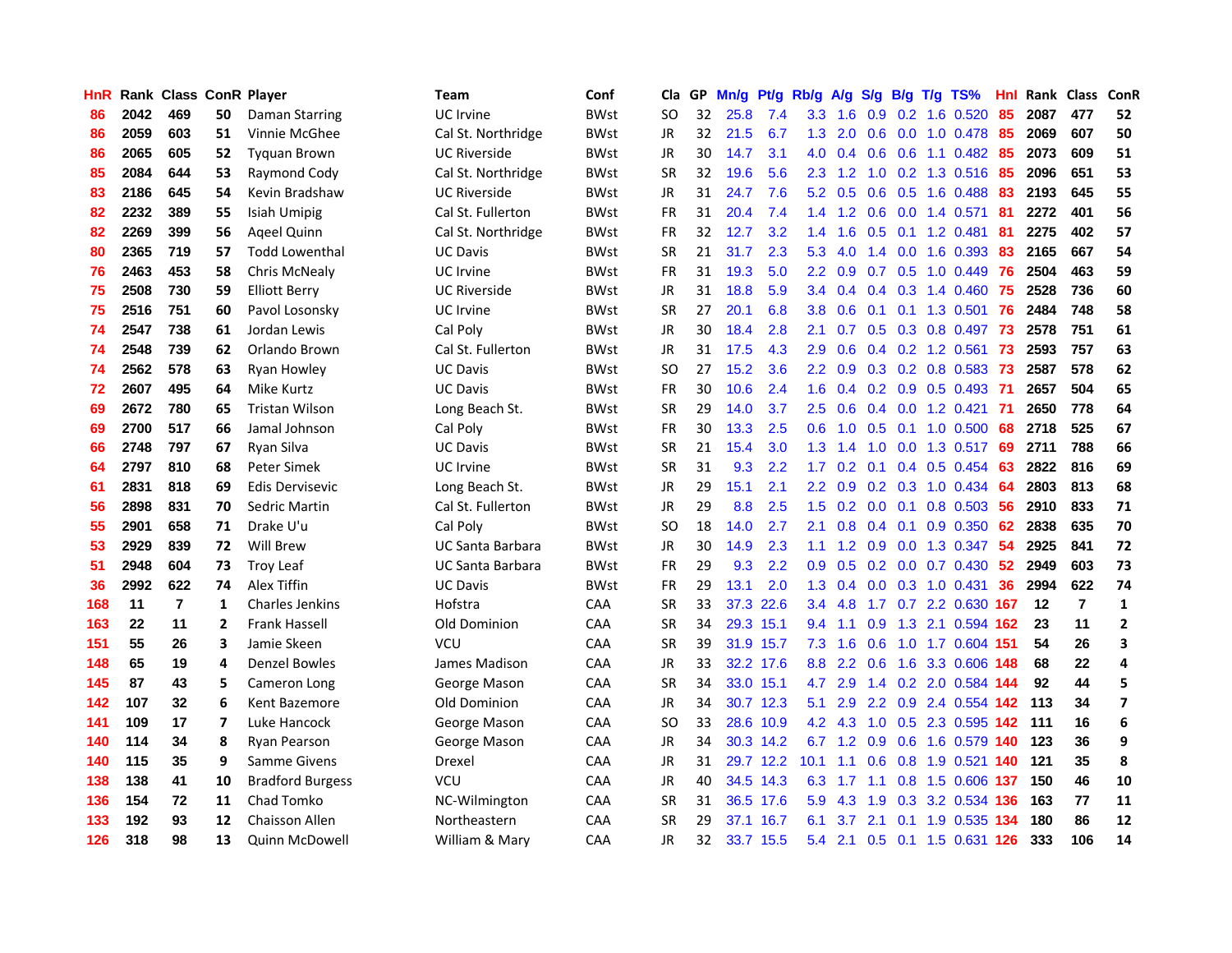| HnR |      | <b>Rank Class ConR Player</b> |                |                         | Team                | Conf        | Cla       |    | GP Mn/g | Pt/g      | Rb/g             | A/g             | <b>S/g</b>    |                 | B/g T/g TS%                   | Hnl |       | Rank Class     | ConR        |
|-----|------|-------------------------------|----------------|-------------------------|---------------------|-------------|-----------|----|---------|-----------|------------------|-----------------|---------------|-----------------|-------------------------------|-----|-------|----------------|-------------|
| 86  | 2042 | 469                           | 50             | Daman Starring          | <b>UC</b> Irvine    | <b>BWst</b> | SO        | 32 | 25.8    | 7.4       | 3.3              | 1.6             | 0.9           | 0.2             | 1.6 0.520                     | 85  | 2087  | 477            | 52          |
| 86  | 2059 | 603                           | 51             | Vinnie McGhee           | Cal St. Northridge  | <b>BWst</b> | <b>JR</b> | 32 | 21.5    | 6.7       | 1.3              | 2.0             | 0.6           | 0.0             | 1.0 0.478                     | 85  | 2069  | 607            | 50          |
| 86  | 2065 | 605                           | 52             | <b>Tyguan Brown</b>     | <b>UC Riverside</b> | <b>BWst</b> | <b>JR</b> | 30 | 14.7    | 3.1       | 4.0              | 0.4             | 0.6           | 0.6             | $1.1 \quad 0.482$             | 85  | 2073  | 609            | 51          |
| 85  | 2084 | 644                           | 53             | Raymond Cody            | Cal St. Northridge  | <b>BWst</b> | SR        | 32 | 19.6    | 5.6       | 2.3              | 1.2             | 1.0           |                 | 0.2 1.3 0.516                 | 85  | 2096  | 651            | 53          |
| 83  | 2186 | 645                           | 54             | Kevin Bradshaw          | <b>UC Riverside</b> | <b>BWst</b> | JR        | 31 | 24.7    | 7.6       |                  | $5.2 \quad 0.5$ |               |                 | 0.6 0.5 1.6 0.488             | 83  | 2193  | 645            | 55          |
| 82  | 2232 | 389                           | 55             | Isiah Umipig            | Cal St. Fullerton   | <b>BWst</b> | FR        | 31 | 20.4    | 7.4       |                  |                 | $1.4$ 1.2 0.6 |                 | $0.0$ 1.4 0.571               | 81  | 2272  | 401            | 56          |
| 82  | 2269 | 399                           | 56             | Ageel Quinn             | Cal St. Northridge  | <b>BWst</b> | <b>FR</b> | 32 | 12.7    | 3.2       | $1.4^{\circ}$    | 1.6             |               |                 | 0.5 0.1 1.2 0.481             | 81  | 2275  | 402            | 57          |
| 80  | 2365 | 719                           | 57             | <b>Todd Lowenthal</b>   | <b>UC Davis</b>     | <b>BWst</b> | <b>SR</b> | 21 | 31.7    | 2.3       | 5.3              | 4.0             | $1.4^{\circ}$ |                 | $0.0$ 1.6 $0.393$             | 83  | 2165  | 667            | 54          |
| 76  | 2463 | 453                           | 58             | Chris McNealy           | <b>UC</b> Irvine    | <b>BWst</b> | <b>FR</b> | 31 | 19.3    | 5.0       | $2.2\phantom{0}$ | 0.9             |               |                 | 0.7 0.5 1.0 0.449             | 76  | 2504  | 463            | 59          |
| 75  | 2508 | 730                           | 59             | <b>Elliott Berry</b>    | <b>UC Riverside</b> | <b>BWst</b> | JR        | 31 | 18.8    | 5.9       | $3.4^{\circ}$    | 0.4             | 0.4           |                 | $0.3$ 1.4 $0.460$             | 75  | 2528  | 736            | 60          |
| 75  | 2516 | 751                           | 60             | Pavol Losonsky          | UC Irvine           | <b>BWst</b> | <b>SR</b> | 27 | 20.1    | 6.8       | 3.8 <sub>2</sub> | 0.6             | 0.1           |                 | $0.1$ 1.3 0.501               | 76  | 2484  | 748            | 58          |
| 74  | 2547 | 738                           | 61             | Jordan Lewis            | Cal Poly            | <b>BWst</b> | <b>JR</b> | 30 | 18.4    | 2.8       | 2.1              | 0.7             |               |                 | 0.5 0.3 0.8 0.497             | 73  | 2578  | 751            | 61          |
| 74  | 2548 | 739                           | 62             | Orlando Brown           | Cal St. Fullerton   | <b>BWst</b> | JR        | 31 | 17.5    | 4.3       | 2.9              | 0.6             | 0.4           |                 | $0.2$ 1.2 0.561               | 73  | 2593  | 757            | 63          |
| 74  | 2562 | 578                           | 63             | <b>Ryan Howley</b>      | <b>UC Davis</b>     | <b>BWst</b> | <b>SO</b> | 27 | 15.2    | 3.6       | $2.2^{\circ}$    | 0.9             | 0.3           |                 | 0.2 0.8 0.583                 | 73  | 2587  | 578            | 62          |
| 72  | 2607 | 495                           | 64             | Mike Kurtz              | <b>UC Davis</b>     | <b>BWst</b> | <b>FR</b> | 30 | 10.6    | 2.4       | 1.6              | 0.4             | 0.2           | 0.9             | 0.5 0.493                     | -71 | 2657  | 504            | 65          |
| 69  | 2672 | 780                           | 65             | <b>Tristan Wilson</b>   | Long Beach St.      | <b>BWst</b> | <b>SR</b> | 29 | 14.0    | 3.7       | $2.5^{\circ}$    | 0.6             |               | $0.4\quad 0.0$  | 1.2 0.421                     | -71 | 2650  | 778            | 64          |
| 69  | 2700 | 517                           | 66             | Jamal Johnson           | Cal Poly            | <b>BWst</b> | <b>FR</b> | 30 | 13.3    | 2.5       | 0.6 <sub>1</sub> | 1.0             | 0.5           | 0.1             | 1.0 0.500                     | 68  | 2718  | 525            | 67          |
| 66  | 2748 | 797                           | 67             | Ryan Silva              | <b>UC Davis</b>     | <b>BWst</b> | SR        | 21 | 15.4    | 3.0       | 1.3              | 1.4             | 1.0           |                 | $0.0$ 1.3 0.517               | -69 | 2711  | 788            | 66          |
| 64  | 2797 | 810                           | 68             | <b>Peter Simek</b>      | <b>UC</b> Irvine    | <b>BWst</b> | <b>SR</b> | 31 | 9.3     | 2.2       | 1.7 <sub>2</sub> |                 |               |                 | $0.2$ 0.1 0.4 0.5 0.454       | 63  | 2822  | 816            | 69          |
| 61  | 2831 | 818                           | 69             | Edis Dervisevic         | Long Beach St.      | <b>BWst</b> | JR        | 29 | 15.1    | 2.1       | 2.2 <sub>2</sub> | 0.9             |               |                 | $0.2$ $0.3$ 1.0 $0.434$       | -64 | 2803  | 813            | 68          |
| 56  | 2898 | 831                           | 70             | Sedric Martin           | Cal St. Fullerton   | <b>BWst</b> | <b>JR</b> | 29 | 8.8     | 2.5       |                  |                 |               |                 | 1.5 0.2 0.0 0.1 0.8 0.503     | -56 | 2910  | 833            | 71          |
| 55  | 2901 | 658                           | 71             | Drake U'u               | Cal Poly            | <b>BWst</b> | <b>SO</b> | 18 | 14.0    | 2.7       | 2.1              | 0.8             |               | $0.4 \quad 0.1$ | 0.9 0.350                     | 62  | 2838  | 635            | 70          |
| 53  | 2929 | 839                           | 72             | <b>Will Brew</b>        | UC Santa Barbara    | <b>BWst</b> | <b>JR</b> | 30 | 14.9    | 2.3       | 1.1              | 1.2             | 0.9           |                 | $0.0$ 1.3 0.347               | 54  | 2925  | 841            | 72          |
| 51  | 2948 | 604                           | 73             | <b>Troy Leaf</b>        | UC Santa Barbara    | <b>BWst</b> | <b>FR</b> | 29 | 9.3     | 2.2       | 0.9              | 0.5             |               |                 | $0.2$ 0.0 0.7 0.430           | 52  | 2949  | 603            | 73          |
| 36  | 2992 | 622                           | 74             | Alex Tiffin             | <b>UC Davis</b>     | <b>BWst</b> | FR        | 29 | 13.1    | 2.0       | 1.3 <sub>1</sub> | 0.4             |               |                 | $0.0$ $0.3$ $1.0$ $0.431$     | 36  | 2994  | 622            | 74          |
| 168 | 11   | $\overline{7}$                | $\mathbf{1}$   | <b>Charles Jenkins</b>  | Hofstra             | CAA         | <b>SR</b> | 33 |         | 37.3 22.6 | $3.4^{\circ}$    | 4.8             |               |                 | 1.7 0.7 2.2 0.630 167         |     | 12    | $\overline{7}$ | $\mathbf 1$ |
| 163 | 22   | 11                            | $\overline{2}$ | <b>Frank Hassell</b>    | Old Dominion        | CAA         | <b>SR</b> | 34 |         | 29.3 15.1 | 9.4              | 1.1             | 0.9           | 1.3             | 2.1 0.594 162                 |     | 23    | 11             | 2           |
| 151 | 55   | 26                            | 3              | Jamie Skeen             | VCU                 | <b>CAA</b>  | <b>SR</b> | 39 |         | 31.9 15.7 | 7.3              | 1.6             | 0.6           |                 | 1.0 1.7 0.604 151             |     | 54    | 26             | 3           |
| 148 | 65   | 19                            | 4              | <b>Denzel Bowles</b>    | James Madison       | CAA         | <b>JR</b> | 33 |         | 32.2 17.6 | 8.8              | $2.2^{\circ}$   | 0.6           | 1.6             | 3.3 0.606                     | 148 | 68    | 22             | 4           |
| 145 | 87   | 43                            | 5              | Cameron Long            | George Mason        | CAA         | <b>SR</b> | 34 |         | 33.0 15.1 | 4.7              | 2.9             | 1.4           |                 | 0.2 2.0 0.584 144             |     | 92    | 44             | 5           |
| 142 | 107  | 32                            | 6              | Kent Bazemore           | Old Dominion        | CAA         | JR        | 34 |         | 30.7 12.3 | 5.1              | 2.9             |               |                 | 2.2 0.9 2.4 0.554 142         |     | 113   | 34             | 7           |
| 141 | 109  | 17                            | 7              | Luke Hancock            | George Mason        | CAA         | SO        | 33 |         | 28.6 10.9 |                  | 4.2 4.3         |               |                 | 1.0 0.5 2.3 0.595 142         |     | - 111 | 16             | 6           |
| 140 | 114  | 34                            | 8              | Ryan Pearson            | George Mason        | CAA         | <b>JR</b> | 34 |         | 30.3 14.2 |                  |                 |               |                 | 6.7 1.2 0.9 0.6 1.6 0.579 140 |     | 123   | 36             | 9           |
| 140 | 115  | 35                            | 9              | <b>Samme Givens</b>     | Drexel              | CAA         | <b>JR</b> | 31 |         | 29.7 12.2 | 10.1             | 1.1             | 0.6           |                 | 0.8 1.9 0.521 140             |     | 121   | 35             | 8           |
| 138 | 138  | 41                            | 10             | <b>Bradford Burgess</b> | VCU                 | CAA         | <b>JR</b> | 40 |         | 34.5 14.3 | 6.3              | 1.7             | 1.1           |                 | 0.8 1.5 0.606 137             |     | 150   | 46             | 10          |
| 136 | 154  | 72                            | 11             | Chad Tomko              | NC-Wilmington       | CAA         | <b>SR</b> | 31 |         | 36.5 17.6 | 5.9              | 4.3             | 1.9           |                 | 0.3 3.2 0.534 136             |     | 163   | 77             | 11          |
| 133 | 192  | 93                            | 12             | <b>Chaisson Allen</b>   | Northeastern        | CAA         | <b>SR</b> | 29 | 37.1    | 16.7      | 6.1              | 3.7             | 2.1           | 0.1             | 1.9 0.535                     | 134 | 180   | 86             | 12          |
| 126 | 318  | 98                            | 13             | <b>Quinn McDowell</b>   | William & Mary      | CAA         | JR        | 32 |         | 33.7 15.5 | 5.4              | 2.1             |               |                 | 0.5 0.1 1.5 0.631 126         |     | 333   | 106            | 14          |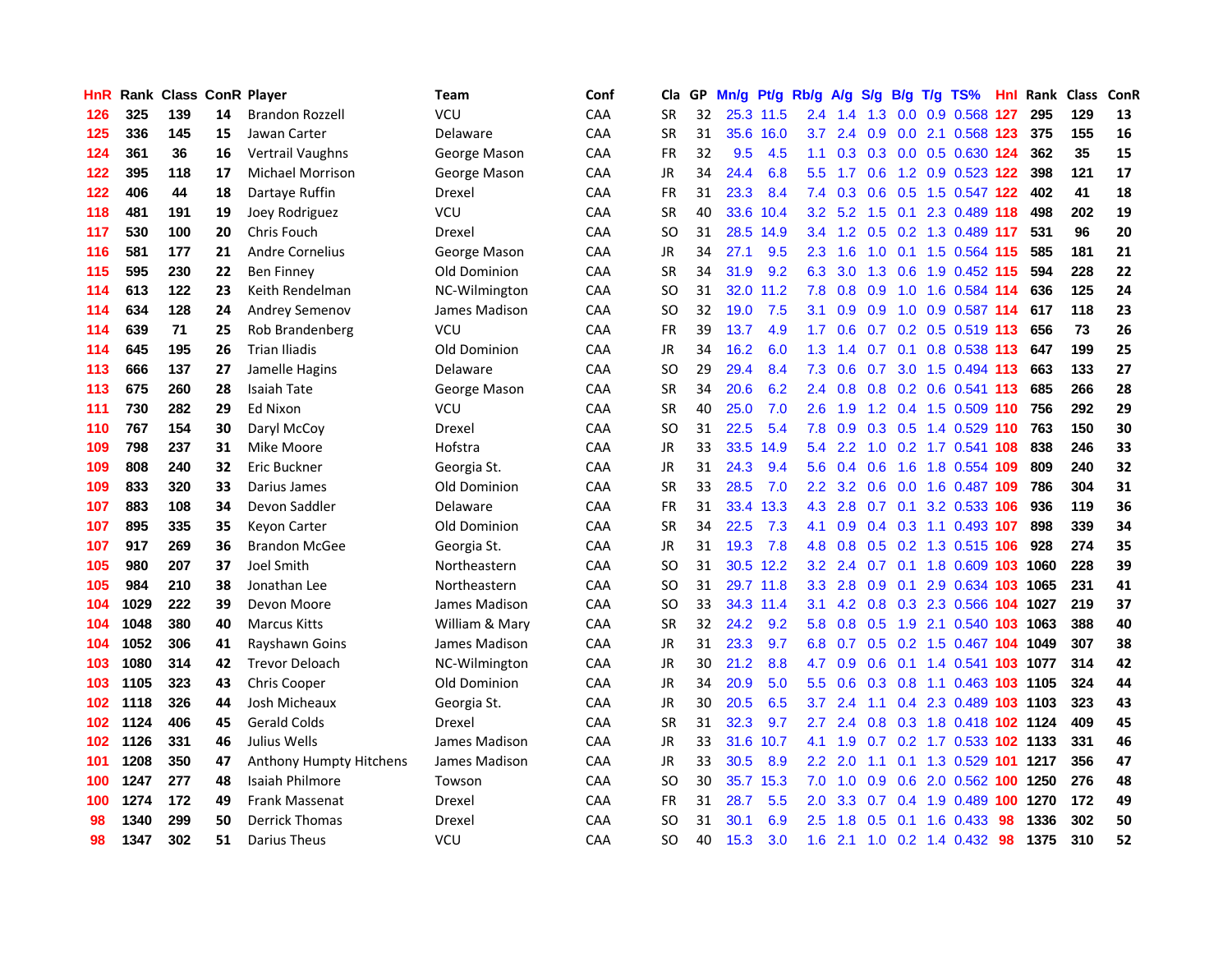| HnR |      | <b>Rank Class ConR Player</b> |    |                         | Team           | Conf       | Cla           |    | GP Mn/g | Pt/g      | Rb/g             | A/g             | <b>S/g</b>        |     | B/g T/g TS%                   | Hnl |      | Rank Class | ConR |
|-----|------|-------------------------------|----|-------------------------|----------------|------------|---------------|----|---------|-----------|------------------|-----------------|-------------------|-----|-------------------------------|-----|------|------------|------|
| 126 | 325  | 139                           | 14 | <b>Brandon Rozzell</b>  | VCU            | <b>CAA</b> | <b>SR</b>     | 32 |         | 25.3 11.5 | 2.4              | 1.4             | 1.3               | 0.0 | 0.9 0.568                     | 127 | 295  | 129        | 13   |
| 125 | 336  | 145                           | 15 | Jawan Carter            | Delaware       | CAA        | <b>SR</b>     | 31 | 35.6    | 16.0      | 3.7              | 2.4             | 0.9               | 0.0 | 2.1 0.568 123                 |     | 375  | 155        | 16   |
| 124 | 361  | 36                            | 16 | Vertrail Vaughns        | George Mason   | CAA        | <b>FR</b>     | 32 | 9.5     | 4.5       | 1.1              |                 | $0.3$ $0.3$ $0.0$ |     | 0.5 0.630 124                 |     | 362  | 35         | 15   |
| 122 | 395  | 118                           | 17 | Michael Morrison        | George Mason   | CAA        | <b>JR</b>     | 34 | 24.4    | 6.8       | 5.5 <sub>1</sub> | 1.7             | 0.6               |     | 1.2 0.9 0.523 122             |     | 398  | 121        | 17   |
| 122 | 406  | 44                            | 18 | Dartaye Ruffin          | Drexel         | CAA        | FR            | 31 | 23.3    | 8.4       |                  |                 |                   |     | 7.4 0.3 0.6 0.5 1.5 0.547 122 |     | 402  | 41         | 18   |
| 118 | 481  | 191                           | 19 | Joey Rodriguez          | VCU            | <b>CAA</b> | <b>SR</b>     | 40 | 33.6    | 10.4      |                  | $3.2 \quad 5.2$ |                   |     | 1.5 0.1 2.3 0.489 118         |     | 498  | 202        | 19   |
| 117 | 530  | 100                           | 20 | Chris Fouch             | Drexel         | <b>CAA</b> | <b>SO</b>     | 31 | 28.5    | 14.9      |                  |                 |                   |     | 3.4 1.2 0.5 0.2 1.3 0.489 117 |     | 531  | 96         | 20   |
| 116 | 581  | 177                           | 21 | <b>Andre Cornelius</b>  | George Mason   | CAA        | <b>JR</b>     | 34 | 27.1    | 9.5       | $2.3^{\circ}$    | 1.6             | 1.0               |     | 0.1 1.5 0.564 115             |     | 585  | 181        | 21   |
| 115 | 595  | 230                           | 22 | <b>Ben Finney</b>       | Old Dominion   | CAA        | <b>SR</b>     | 34 | 31.9    | 9.2       | 6.3              | 3.0             | 1.3               | 0.6 | 1.9 0.452 115                 |     | 594  | 228        | 22   |
| 114 | 613  | 122                           | 23 | Keith Rendelman         | NC-Wilmington  | CAA        | <sub>SO</sub> | 31 | 32.0    | 11.2      | 7.8              | 0.8             | 0.9               | 1.0 | 1.6 0.584 114                 |     | 636  | 125        | 24   |
| 114 | 634  | 128                           | 24 | Andrey Semenov          | James Madison  | CAA        | SO            | 32 | 19.0    | 7.5       | 3.1              | 0.9             | 0.9               |     | 1.0 0.9 0.587 114             |     | 617  | 118        | 23   |
| 114 | 639  | 71                            | 25 | Rob Brandenberg         | VCU            | CAA        | FR            | 39 | 13.7    | 4.9       | 1.7 <sup>2</sup> | 0.6             | 0.7               |     | $0.2$ $0.5$ $0.519$ 113       |     | 656  | 73         | 26   |
| 114 | 645  | 195                           | 26 | <b>Trian Iliadis</b>    | Old Dominion   | CAA        | <b>JR</b>     | 34 | 16.2    | 6.0       | 1.3 <sub>1</sub> | 1.4             | 0.7               | 0.1 | 0.8 0.538 113                 |     | 647  | 199        | 25   |
| 113 | 666  | 137                           | 27 | Jamelle Hagins          | Delaware       | CAA        | SO            | 29 | 29.4    | 8.4       | 7.3              | 0.6             | 0.7               |     | 3.0 1.5 0.494 113             |     | 663  | 133        | 27   |
| 113 | 675  | 260                           | 28 | <b>Isaiah Tate</b>      | George Mason   | CAA        | SR            | 34 | 20.6    | 6.2       | $2.4^{\circ}$    | 0.8             | 0.8               | 0.2 | 0.6 0.541 113                 |     | 685  | 266        | 28   |
| 111 | 730  | 282                           | 29 | <b>Ed Nixon</b>         | VCU            | <b>CAA</b> | <b>SR</b>     | 40 | 25.0    | 7.0       | 2.6              | 1.9             |                   |     | 1.2 0.4 1.5 0.509 110         |     | 756  | 292        | 29   |
| 110 | 767  | 154                           | 30 | Daryl McCoy             | Drexel         | <b>CAA</b> | SO            | 31 | 22.5    | 5.4       | 7.8              | 0.9             |                   |     | 0.3 0.5 1.4 0.529 110         |     | 763  | 150        | 30   |
| 109 | 798  | 237                           | 31 | Mike Moore              | Hofstra        | CAA        | <b>JR</b>     | 33 | 33.5    | 14.9      |                  | 5.4 2.2         |                   |     | 1.0 0.2 1.7 0.541 108         |     | 838  | 246        | 33   |
| 109 | 808  | 240                           | 32 | Eric Buckner            | Georgia St.    | CAA        | <b>JR</b>     | 31 | 24.3    | 9.4       |                  |                 | 5.6 0.4 0.6       |     | 1.6 1.8 0.554 109             |     | 809  | 240        | 32   |
| 109 | 833  | 320                           | 33 | Darius James            | Old Dominion   | CAA        | <b>SR</b>     | 33 | 28.5    | 7.0       | 2.2 <sub>2</sub> |                 |                   |     | 3.2 0.6 0.0 1.6 0.487 109     |     | 786  | 304        | 31   |
| 107 | 883  | 108                           | 34 | Devon Saddler           | Delaware       | <b>CAA</b> | FR            | 31 |         | 33.4 13.3 | 4.3              | 2.8             |                   |     | 0.7 0.1 3.2 0.533 106         |     | 936  | 119        | 36   |
| 107 | 895  | 335                           | 35 | <b>Keyon Carter</b>     | Old Dominion   | CAA        | <b>SR</b>     | 34 | 22.5    | 7.3       | 4.1              | 0.9             |                   |     | 0.4 0.3 1.1 0.493 107         |     | 898  | 339        | 34   |
| 107 | 917  | 269                           | 36 | <b>Brandon McGee</b>    | Georgia St.    | CAA        | JR            | 31 | 19.3    | 7.8       | 4.8              | 0.8             | 0.5               |     | 0.2 1.3 0.515 106             |     | 928  | 274        | 35   |
| 105 | 980  | 207                           | 37 | Joel Smith              | Northeastern   | CAA        | SO            | 31 |         | 30.5 12.2 | 3.2              | 2.4             | 0.7               | 0.1 | 1.8 0.609 103                 |     | 1060 | 228        | 39   |
| 105 | 984  | 210                           | 38 | Jonathan Lee            | Northeastern   | CAA        | SO            | 31 |         | 29.7 11.8 | 3.3              | 2.8             | 0.9               | 0.1 | 2.9 0.634 103                 |     | 1065 | 231        | 41   |
| 104 | 1029 | 222                           | 39 | Devon Moore             | James Madison  | CAA        | SO            | 33 |         | 34.3 11.4 | 3.1              | 4.2             | 0.8               |     | 0.3 2.3 0.566 104 1027        |     |      | 219        | 37   |
| 104 | 1048 | 380                           | 40 | <b>Marcus Kitts</b>     | William & Mary | <b>CAA</b> | <b>SR</b>     | 32 | 24.2    | 9.2       | 5.8              | 0.8             | 0.5               | 1.9 | 2.1 0.540 103                 |     | 1063 | 388        | 40   |
| 104 | 1052 | 306                           | 41 | Rayshawn Goins          | James Madison  | CAA        | <b>JR</b>     | 31 | 23.3    | 9.7       | 6.8              | 0.7             | 0.5               |     | 0.2 1.5 0.467 104 1049        |     |      | 307        | 38   |
| 103 | 1080 | 314                           | 42 | <b>Trevor Deloach</b>   | NC-Wilmington  | CAA        | <b>JR</b>     | 30 | 21.2    | 8.8       | 4.7              | 0.9             | 0.6               | 0.1 | 1.4 0.541 103 1077            |     |      | 314        | 42   |
| 103 | 1105 | 323                           | 43 | Chris Cooper            | Old Dominion   | CAA        | JR            | 34 | 20.9    | 5.0       | $5.5^{\circ}$    | 0.6             | 0.3               |     | 0.8 1.1 0.463 103 1105        |     |      | 324        | 44   |
| 102 | 1118 | 326                           | 44 | Josh Micheaux           | Georgia St.    | <b>CAA</b> | <b>JR</b>     | 30 | 20.5    | 6.5       | 3.7              | 2.4             | 1.1               |     | 0.4 2.3 0.489 103 1103        |     |      | 323        | 43   |
| 102 | 1124 | 406                           | 45 | <b>Gerald Colds</b>     | Drexel         | CAA        | <b>SR</b>     | 31 | 32.3    | 9.7       | 2.7              | 2.4             |                   |     | 0.8 0.3 1.8 0.418 102 1124    |     |      | 409        | 45   |
| 102 | 1126 | 331                           | 46 | Julius Wells            | James Madison  | CAA        | <b>JR</b>     | 33 |         | 31.6 10.7 | 4.1              | 1.9             | 0.7               |     | 0.2 1.7 0.533 102 1133        |     |      | 331        | 46   |
| 101 | 1208 | 350                           | 47 | Anthony Humpty Hitchens | James Madison  | CAA        | <b>JR</b>     | 33 | 30.5    | 8.9       | 2.2 <sub>2</sub> | 2.0             | 1.1               |     | 0.1 1.3 0.529 101 1217        |     |      | 356        | 47   |
| 100 | 1247 | 277                           | 48 | <b>Isaiah Philmore</b>  | Towson         | CAA        | <sub>SO</sub> | 30 |         | 35.7 15.3 | 7.0              | 1.0             | 0.9               | 0.6 | 2.0 0.562 100                 |     | 1250 | 276        | 48   |
| 100 | 1274 | 172                           | 49 | <b>Frank Massenat</b>   | Drexel         | CAA        | <b>FR</b>     | 31 | 28.7    | 5.5       | 2.0              | 3.3             | 0.7               | 0.4 | 1.9 0.489                     | 100 | 1270 | 172        | 49   |
| 98  | 1340 | 299                           | 50 | <b>Derrick Thomas</b>   | Drexel         | CAA        | SO            | 31 | 30.1    | 6.9       | 2.5              | 1.8             | 0.5               | 0.1 | 1.6 0.433                     | 98  | 1336 | 302        | 50   |
| 98  | 1347 | 302                           | 51 | <b>Darius Theus</b>     | <b>VCU</b>     | CAA        | SO            | 40 | 15.3    | 3.0       | 1.6 <sup>°</sup> | 2.1             |                   |     | 1.0 0.2 1.4 0.432             | 98  | 1375 | 310        | 52   |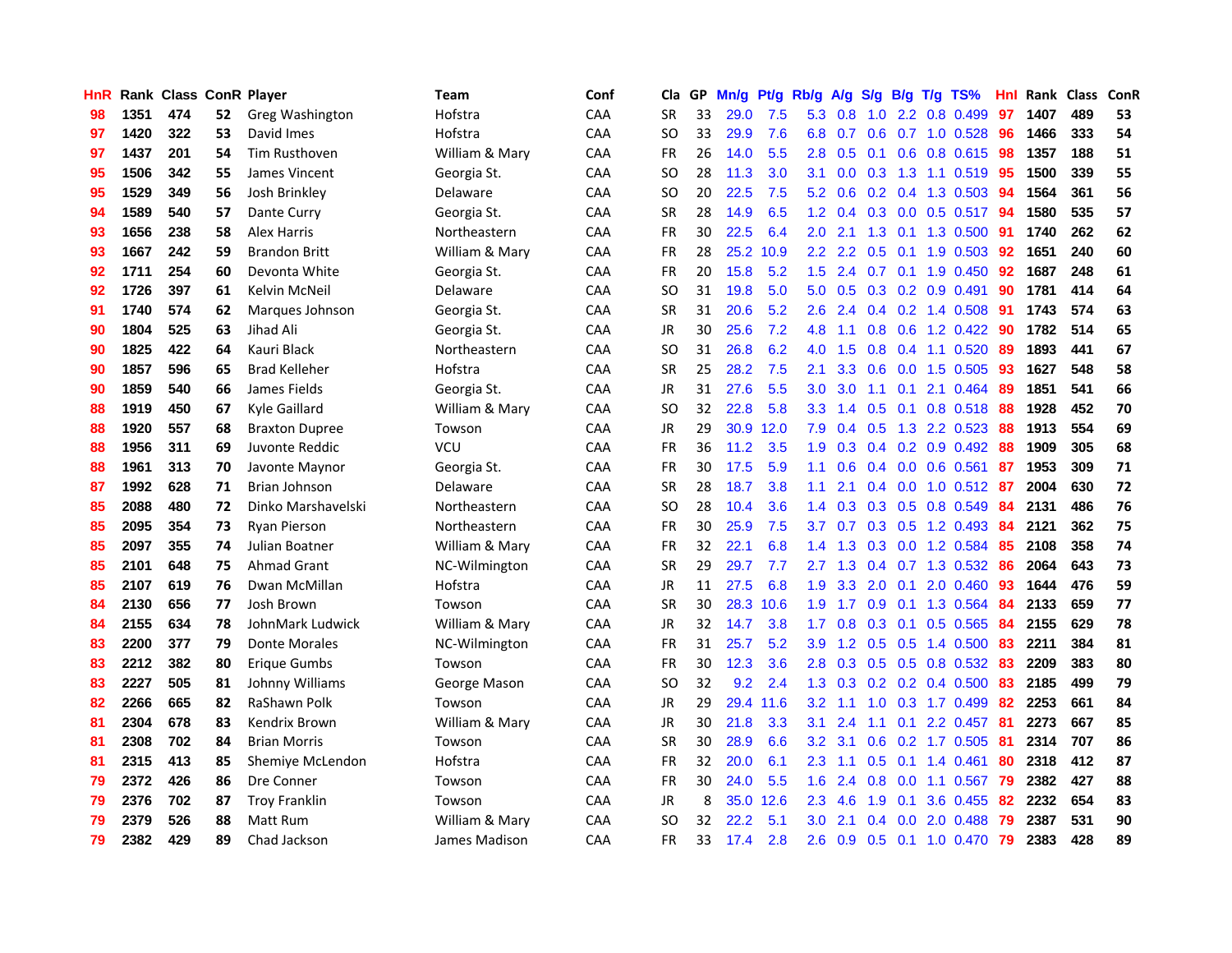| HnR |      | Rank Class ConR Player |    |                       | <b>Team</b>    | Conf       | Cla           | GP | Mn/g | Pt/g Rb/g |                  | A/g             | S/g              |                 | $B/g$ T/g TS%             | Hnl | Rank Class |     | ConR |
|-----|------|------------------------|----|-----------------------|----------------|------------|---------------|----|------|-----------|------------------|-----------------|------------------|-----------------|---------------------------|-----|------------|-----|------|
| 98  | 1351 | 474                    | 52 | Greg Washington       | Hofstra        | CAA        | <b>SR</b>     | 33 | 29.0 | 7.5       | 5.3              | 0.8             | 1.0              | $2.2^{\circ}$   | 0.8 0.499                 | 97  | 1407       | 489 | 53   |
| 97  | 1420 | 322                    | 53 | David Imes            | Hofstra        | CAA        | <b>SO</b>     | 33 | 29.9 | 7.6       | 6.8              | 0.7             | 0.6 <sup>°</sup> |                 | 0.7 1.0 0.528             | 96  | 1466       | 333 | 54   |
| 97  | 1437 | 201                    | 54 | <b>Tim Rusthoven</b>  | William & Mary | CAA        | <b>FR</b>     | 26 | 14.0 | 5.5       | 2.8              | 0.5             | 0.1              |                 | 0.6 0.8 0.615             | 98  | 1357       | 188 | 51   |
| 95  | 1506 | 342                    | 55 | James Vincent         | Georgia St.    | CAA        | <b>SO</b>     | 28 | 11.3 | 3.0       | 3.1              | 0.0             |                  |                 | 0.3 1.3 1.1 0.519 95      |     | 1500       | 339 | 55   |
| 95  | 1529 | 349                    | 56 | Josh Brinkley         | Delaware       | CAA        | <b>SO</b>     | 20 | 22.5 | 7.5       |                  | $5.2 \quad 0.6$ |                  |                 | $0.2$ 0.4 1.3 0.503       | 94  | 1564       | 361 | 56   |
| 94  | 1589 | 540                    | 57 | Dante Curry           | Georgia St.    | CAA        | <b>SR</b>     | 28 | 14.9 | 6.5       | 1.2 <sub>1</sub> | 0.4             |                  |                 | $0.3$ 0.0 0.5 0.517       | -94 | 1580       | 535 | 57   |
| 93  | 1656 | 238                    | 58 | <b>Alex Harris</b>    | Northeastern   | CAA        | FR            | 30 | 22.5 | 6.4       | 2.0              | 2.1             |                  |                 | 1.3 0.1 1.3 0.500         | 91  | 1740       | 262 | 62   |
| 93  | 1667 | 242                    | 59 | <b>Brandon Britt</b>  | William & Mary | CAA        | <b>FR</b>     | 28 |      | 25.2 10.9 | 2.2              | 2.2             | 0.5              |                 | $0.1$ 1.9 0.503           | 92  | 1651       | 240 | 60   |
| 92  | 1711 | 254                    | 60 | Devonta White         | Georgia St.    | CAA        | <b>FR</b>     | 20 | 15.8 | 5.2       | 1.5              | 2.4             | 0.7              | 0.1             | 1.9 0.450                 | 92  | 1687       | 248 | 61   |
| 92  | 1726 | 397                    | 61 | Kelvin McNeil         | Delaware       | CAA        | <sub>SO</sub> | 31 | 19.8 | 5.0       | 5.0              | 0.5             |                  |                 | $0.3$ $0.2$ $0.9$ $0.491$ | 90  | 1781       | 414 | 64   |
| 91  | 1740 | 574                    | 62 | Marques Johnson       | Georgia St.    | CAA        | <b>SR</b>     | 31 | 20.6 | 5.2       | 2.6              | 2.4             |                  |                 | $0.4$ 0.2 1.4 0.508       | 91  | 1743       | 574 | 63   |
| 90  | 1804 | 525                    | 63 | Jihad Ali             | Georgia St.    | CAA        | <b>JR</b>     | 30 | 25.6 | 7.2       | 4.8              | 1.1             | 0.8              | 0.6             | 1.2 0.422                 | 90  | 1782       | 514 | 65   |
| 90  | 1825 | 422                    | 64 | Kauri Black           | Northeastern   | CAA        | <b>SO</b>     | 31 | 26.8 | 6.2       | 4.0              | 1.5             | 0.8              | 0.4             | 1.1 0.520                 | 89  | 1893       | 441 | 67   |
| 90  | 1857 | 596                    | 65 | <b>Brad Kelleher</b>  | Hofstra        | CAA        | <b>SR</b>     | 25 | 28.2 | 7.5       | 2.1              | 3.3             | 0.6              | 0.0             | 1.5 0.505                 | 93  | 1627       | 548 | 58   |
| 90  | 1859 | 540                    | 66 | James Fields          | Georgia St.    | CAA        | <b>JR</b>     | 31 | 27.6 | 5.5       | 3.0              | 3.0             | 1.1              | 0.1             | 2.1 0.464                 | 89  | 1851       | 541 | 66   |
| 88  | 1919 | 450                    | 67 | Kyle Gaillard         | William & Mary | CAA        | <b>SO</b>     | 32 | 22.8 | 5.8       | 3.3              | 1.4             | 0.5              | 0.1             | 0.8 0.518                 | -88 | 1928       | 452 | 70   |
| 88  | 1920 | 557                    | 68 | <b>Braxton Dupree</b> | Towson         | <b>CAA</b> | JR            | 29 |      | 30.9 12.0 | 7.9              | 0.4             |                  |                 | $0.5$ 1.3 2.2 0.523       | -88 | 1913       | 554 | 69   |
| 88  | 1956 | 311                    | 69 | Juvonte Reddic        | <b>VCU</b>     | CAA        | FR            | 36 | 11.2 | 3.5       |                  | $1.9 \quad 0.3$ |                  |                 | $0.4$ 0.2 0.9 0.492       | -88 | 1909       | 305 | 68   |
| 88  | 1961 | 313                    | 70 | Javonte Maynor        | Georgia St.    | CAA        | <b>FR</b>     | 30 | 17.5 | 5.9       | 1.1              | 0.6             |                  |                 | $0.4$ 0.0 0.6 0.561       | -87 | 1953       | 309 | 71   |
| 87  | 1992 | 628                    | 71 | Brian Johnson         | Delaware       | <b>CAA</b> | <b>SR</b>     | 28 | 18.7 | 3.8       | 1.1              | 2.1             |                  |                 | $0.4$ 0.0 1.0 0.512 87    |     | 2004       | 630 | 72   |
| 85  | 2088 | 480                    | 72 | Dinko Marshavelski    | Northeastern   | <b>CAA</b> | <b>SO</b>     | 28 | 10.4 | 3.6       | 1.4              | 0.3             |                  |                 | 0.3 0.5 0.8 0.549         | 84  | 2131       | 486 | 76   |
| 85  | 2095 | 354                    | 73 | Ryan Pierson          | Northeastern   | CAA        | <b>FR</b>     | 30 | 25.9 | 7.5       | 3.7 <sub>2</sub> | 0.7             |                  |                 | 0.3 0.5 1.2 0.493         | 84  | 2121       | 362 | 75   |
| 85  | 2097 | 355                    | 74 | Julian Boatner        | William & Mary | CAA        | <b>FR</b>     | 32 | 22.1 | 6.8       | 1.4              | 1.3             |                  |                 | 0.3 0.0 1.2 0.584         | 85  | 2108       | 358 | 74   |
| 85  | 2101 | 648                    | 75 | <b>Ahmad Grant</b>    | NC-Wilmington  | CAA        | <b>SR</b>     | 29 | 29.7 | 7.7       | 2.7              | 1.3             |                  |                 | $0.4$ 0.7 1.3 0.532       | 86  | 2064       | 643 | 73   |
| 85  | 2107 | 619                    | 76 | Dwan McMillan         | Hofstra        | CAA        | JR            | 11 | 27.5 | 6.8       | 1.9              | 3.3             |                  | $2.0 \quad 0.1$ | 2.0 0.460                 | 93  | 1644       | 476 | 59   |
| 84  | 2130 | 656                    | 77 | Josh Brown            | Towson         | CAA        | <b>SR</b>     | 30 | 28.3 | 10.6      | 1.9              | 1.7             | 0.9              | 0.1             | 1.3 0.564                 | 84  | 2133       | 659 | 77   |
| 84  | 2155 | 634                    | 78 | JohnMark Ludwick      | William & Mary | CAA        | <b>JR</b>     | 32 | 14.7 | 3.8       | 1.7              | 0.8             | 0.3              | 0.1             | $0.5$ 0.565               | 84  | 2155       | 629 | 78   |
| 83  | 2200 | 377                    | 79 | Donte Morales         | NC-Wilmington  | CAA        | FR            | 31 | 25.7 | 5.2       | 3.9              | 1.2             | 0.5              | 0.5             | 1.4 0.500                 | 83  | 2211       | 384 | 81   |
| 83  | 2212 | 382                    | 80 | Erigue Gumbs          | Towson         | CAA        | <b>FR</b>     | 30 | 12.3 | 3.6       | 2.8              | 0.3             |                  | $0.5 \quad 0.5$ | 0.8 0.532                 | 83  | 2209       | 383 | 80   |
| 83  | 2227 | 505                    | 81 | Johnny Williams       | George Mason   | CAA        | <b>SO</b>     | 32 | 9.2  | 2.4       | 1.3              | 0.3             |                  |                 | $0.2$ 0.2 0.4 0.500       | 83  | 2185       | 499 | 79   |
| 82  | 2266 | 665                    | 82 | RaShawn Polk          | Towson         | CAA        | <b>JR</b>     | 29 | 29.4 | 11.6      | 3.2              | 1.1             | 1.0              |                 | 0.3 1.7 0.499             | 82  | 2253       | 661 | 84   |
| 81  | 2304 | 678                    | 83 | Kendrix Brown         | William & Mary | CAA        | <b>JR</b>     | 30 | 21.8 | 3.3       | 3.1              | 2.4             | 1.1              |                 | $0.1$ 2.2 0.457           | -81 | 2273       | 667 | 85   |
| 81  | 2308 | 702                    | 84 | <b>Brian Morris</b>   | Towson         | CAA        | <b>SR</b>     | 30 | 28.9 | 6.6       | 3.2              | 3.1             |                  |                 | $0.6$ $0.2$ 1.7 $0.505$   | -81 | 2314       | 707 | 86   |
| 81  | 2315 | 413                    | 85 | Shemiye McLendon      | Hofstra        | <b>CAA</b> | <b>FR</b>     | 32 | 20.0 | 6.1       | 2.3              | 1.1             | 0.5              |                 | $0.1$ 1.4 0.461           | 80  | 2318       | 412 | 87   |
| 79  | 2372 | 426                    | 86 | Dre Conner            | Towson         | CAA        | <b>FR</b>     | 30 | 24.0 | 5.5       | 1.6              | 2.4             | 0.8              | 0.0             | 1.1 0.567                 | 79  | 2382       | 427 | 88   |
| 79  | 2376 | 702                    | 87 | <b>Troy Franklin</b>  | Towson         | CAA        | JR            | 8  |      | 35.0 12.6 | 2.3              | 4.6             | 1.9              | 0.1             | 3.6 0.455                 | 82  | 2232       | 654 | 83   |
| 79  | 2379 | 526                    | 88 | Matt Rum              | William & Mary | CAA        | <b>SO</b>     | 32 | 22.2 | 5.1       | 3.0              | 2.1             | $0.4^{\circ}$    | 0.0             | 2.0 0.488                 | 79  | 2387       | 531 | 90   |
| 79  | 2382 | 429                    | 89 | Chad Jackson          | James Madison  | CAA        | <b>FR</b>     | 33 | 17.4 | 2.8       | 2.6              | 0.9             |                  |                 | $0.5$ 0.1 1.0 0.470       | -79 | 2383       | 428 | 89   |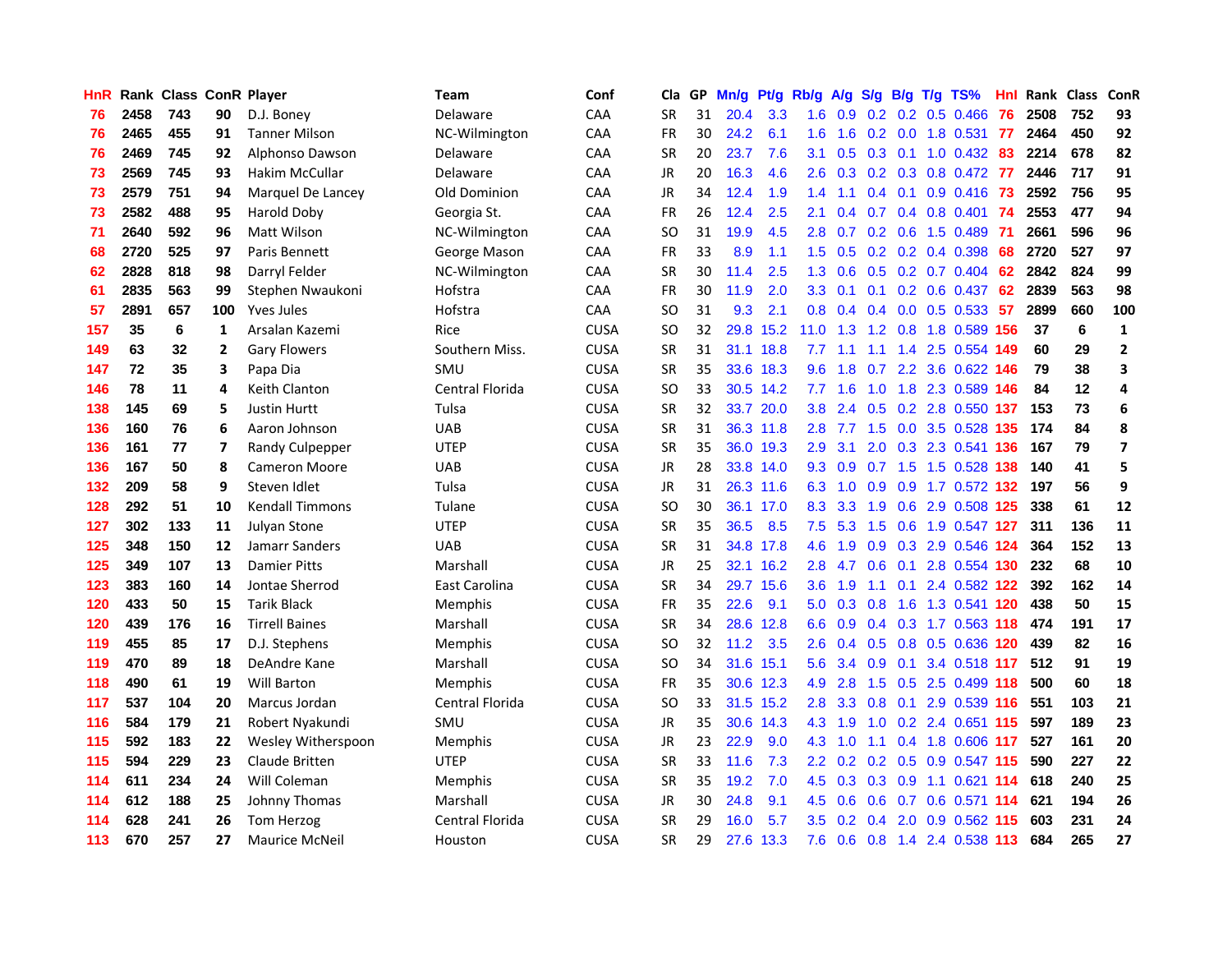| HnR |      | <b>Rank Class ConR Player</b> |                |                        | Team                | Conf        | Cla           |    | GP Mn/g | Pt/g      | Rb/g             | A/g             | <b>S/g</b> |     | B/g T/g TS%               | Hnl  | Rank Class |     | ConR                     |
|-----|------|-------------------------------|----------------|------------------------|---------------------|-------------|---------------|----|---------|-----------|------------------|-----------------|------------|-----|---------------------------|------|------------|-----|--------------------------|
| 76  | 2458 | 743                           | 90             | D.J. Boney             | Delaware            | CAA         | <b>SR</b>     | 31 | 20.4    | 3.3       | 1.6              | 0.9             | 0.2        | 0.2 | $0.5$ 0.466               | 76   | 2508       | 752 | 93                       |
| 76  | 2465 | 455                           | 91             | <b>Tanner Milson</b>   | NC-Wilmington       | CAA         | <b>FR</b>     | 30 | 24.2    | 6.1       | 1.6              | 1.6             | 0.2        | 0.0 | 1.8 0.531                 | -77  | 2464       | 450 | 92                       |
| 76  | 2469 | 745                           | 92             | Alphonso Dawson        | Delaware            | <b>CAA</b>  | <b>SR</b>     | 20 | 23.7    | 7.6       | 3.1              | 0.5             | 0.3        | 0.1 | $1.0 \ \ 0.432$           | 83   | 2214       | 678 | 82                       |
| 73  | 2569 | 745                           | 93             | Hakim McCullar         | Delaware            | CAA         | <b>JR</b>     | 20 | 16.3    | 4.6       | 2.6              |                 |            |     | 0.3 0.2 0.3 0.8 0.472 77  |      | 2446       | 717 | 91                       |
| 73  | 2579 | 751                           | 94             | Marquel De Lancey      | <b>Old Dominion</b> | CAA         | <b>JR</b>     | 34 | 12.4    | 1.9       | $1.4^{\circ}$    | 1.1             |            |     | $0.4$ 0.1 0.9 0.416 73    |      | 2592       | 756 | 95                       |
| 73  | 2582 | 488                           | 95             | Harold Doby            | Georgia St.         | CAA         | <b>FR</b>     | 26 | 12.4    | 2.5       | 2.1              | 0.4             |            |     | 0.7 0.4 0.8 0.401 74      |      | 2553       | 477 | 94                       |
| 71  | 2640 | 592                           | 96             | Matt Wilson            | NC-Wilmington       | <b>CAA</b>  | <b>SO</b>     | 31 | 19.9    | 4.5       | 2.8              | 0.7             |            |     | $0.2$ 0.6 1.5 0.489       | -71  | 2661       | 596 | 96                       |
| 68  | 2720 | 525                           | 97             | Paris Bennett          | George Mason        | CAA         | <b>FR</b>     | 33 | 8.9     | 1.1       | 1.5              | 0.5             |            |     | $0.2$ $0.2$ $0.4$ $0.398$ | 68   | 2720       | 527 | 97                       |
| 62  | 2828 | 818                           | 98             | Darryl Felder          | NC-Wilmington       | CAA         | <b>SR</b>     | 30 | 11.4    | 2.5       | 1.3              | 0.6             |            |     | 0.5 0.2 0.7 0.404         | 62   | 2842       | 824 | 99                       |
| 61  | 2835 | 563                           | 99             | Stephen Nwaukoni       | Hofstra             | CAA         | <b>FR</b>     | 30 | 11.9    | 2.0       | 3.3 <sub>2</sub> | 0.1             | 0.1        |     | 0.2 0.6 0.437             | 62   | 2839       | 563 | 98                       |
| 57  | 2891 | 657                           | 100            | <b>Yves Jules</b>      | Hofstra             | CAA         | SO            | 31 | 9.3     | 2.1       | 0.8              | 0.4             |            |     | $0.4$ 0.0 0.5 0.533       | 57   | 2899       | 660 | 100                      |
| 157 | 35   | 6                             | $\mathbf{1}$   | Arsalan Kazemi         | Rice                | <b>CUSA</b> | SO            | 32 |         | 29.8 15.2 | 11.0             | 1.3             | 1.2        | 0.8 | 1.8 0.589                 | 156  | 37         | 6   | $\mathbf{1}$             |
| 149 | 63   | 32                            | $\overline{2}$ | <b>Gary Flowers</b>    | Southern Miss.      | <b>CUSA</b> | <b>SR</b>     | 31 |         | 31.1 18.8 | 7.7              | 1.1             | 1.1        | 1.4 | 2.5 0.554                 | 149  | 60         | 29  | $\mathbf{2}$             |
| 147 | 72   | 35                            | 3              | Papa Dia               | SMU                 | <b>CUSA</b> | SR            | 35 |         | 33.6 18.3 | 9.6              | 1.8             | 0.7        | 2.2 | 3.6 0.622                 | 146  | 79         | 38  | 3                        |
| 146 | 78   | 11                            | 4              | <b>Keith Clanton</b>   | Central Florida     | <b>CUSA</b> | <sub>SO</sub> | 33 |         | 30.5 14.2 | 7.7              | 1.6             | 1.0        | 1.8 | 2.3 0.589                 | 146  | 84         | 12  | 4                        |
| 138 | 145  | 69                            | 5              | <b>Justin Hurtt</b>    | Tulsa               | <b>CUSA</b> | <b>SR</b>     | 32 |         | 33.7 20.0 | 3.8 <sub>2</sub> | 2.4             | 0.5        |     | 0.2 2.8 0.550 137         |      | 153        | 73  | 6                        |
| 136 | 160  | 76                            | 6              | Aaron Johnson          | UAB                 | <b>CUSA</b> | SR            | 31 |         | 36.3 11.8 | 2.8              | 7.7             |            |     | 1.5 0.0 3.5 0.528 135     |      | 174        | 84  | 8                        |
| 136 | 161  | 77                            | 7              | Randy Culpepper        | <b>UTEP</b>         | <b>CUSA</b> | <b>SR</b>     | 35 |         | 36.0 19.3 | 2.9              | 3.1             |            |     | 2.0 0.3 2.3 0.541 136     |      | 167        | 79  | $\overline{\phantom{a}}$ |
| 136 | 167  | 50                            | 8              | <b>Cameron Moore</b>   | <b>UAB</b>          | <b>CUSA</b> | JR            | 28 |         | 33.8 14.0 |                  | $9.3 \quad 0.9$ |            |     | 0.7 1.5 1.5 0.528 138     |      | 140        | 41  | 5                        |
| 132 | 209  | 58                            | 9              | Steven Idlet           | Tulsa               | <b>CUSA</b> | JR            | 31 |         | 26.3 11.6 | 6.3              | 1.0             |            |     | 0.9 0.9 1.7 0.572 132     |      | 197        | 56  | 9                        |
| 128 | 292  | 51                            | 10             | <b>Kendall Timmons</b> | Tulane              | <b>CUSA</b> | SO            | 30 |         | 36.1 17.0 | 8.3              | 3.3             | 1.9        |     | 0.6 2.9 0.508 125         |      | 338        | 61  | 12                       |
| 127 | 302  | 133                           | 11             | Julyan Stone           | <b>UTEP</b>         | <b>CUSA</b> | <b>SR</b>     | 35 | 36.5    | 8.5       | 7.5              | 5.3             | 1.5        | 0.6 | 1.9 0.547 127             |      | 311        | 136 | 11                       |
| 125 | 348  | 150                           | 12             | Jamarr Sanders         | <b>UAB</b>          | <b>CUSA</b> | <b>SR</b>     | 31 |         | 34.8 17.8 | 4.6              | 1.9             | 0.9        |     | 0.3 2.9 0.546 124         |      | 364        | 152 | 13                       |
| 125 | 349  | 107                           | 13             | <b>Damier Pitts</b>    | Marshall            | <b>CUSA</b> | <b>JR</b>     | 25 |         | 32.1 16.2 | 2.8              | 4.7             | 0.6        | 0.1 | 2.8 0.554 130             |      | 232        | 68  | 10                       |
| 123 | 383  | 160                           | 14             | Jontae Sherrod         | East Carolina       | <b>CUSA</b> | <b>SR</b>     | 34 |         | 29.7 15.6 | 3.6              | 1.9             | 1.1        | 0.1 | 2.4 0.582 122             |      | 392        | 162 | 14                       |
| 120 | 433  | 50                            | 15             | <b>Tarik Black</b>     | Memphis             | <b>CUSA</b> | <b>FR</b>     | 35 | 22.6    | 9.1       | 5.0              | 0.3             | 0.8        | 1.6 | 1.3 0.541 120             |      | 438        | 50  | 15                       |
| 120 | 439  | 176                           | 16             | <b>Tirrell Baines</b>  | Marshall            | <b>CUSA</b> | <b>SR</b>     | 34 |         | 28.6 12.8 | 6.6              | 0.9             | 0.4        |     | 0.3 1.7 0.563 118         |      | 474        | 191 | 17                       |
| 119 | 455  | 85                            | 17             | D.J. Stephens          | Memphis             | <b>CUSA</b> | SO            | 32 | 11.2    | 3.5       | 2.6              | 0.4             | 0.5        | 0.8 | 0.5 0.636 120             |      | 439        | 82  | 16                       |
| 119 | 470  | 89                            | 18             | DeAndre Kane           | Marshall            | <b>CUSA</b> | <sub>SO</sub> | 34 | 31.6    | 15.1      | 5.6              | 3.4             | 0.9        | 0.1 | 3.4 0.518 117             |      | 512        | 91  | 19                       |
| 118 | 490  | 61                            | 19             | <b>Will Barton</b>     | Memphis             | <b>CUSA</b> | <b>FR</b>     | 35 |         | 30.6 12.3 | 4.9              | 2.8             |            |     | 1.5 0.5 2.5 0.499 118     |      | 500        | 60  | 18                       |
| 117 | 537  | 104                           | 20             | Marcus Jordan          | Central Florida     | <b>CUSA</b> | SO            | 33 |         | 31.5 15.2 | 2.8              |                 |            |     | 3.3 0.8 0.1 2.9 0.539 116 |      | 551        | 103 | 21                       |
| 116 | 584  | 179                           | 21             | Robert Nyakundi        | SMU                 | <b>CUSA</b> | <b>JR</b>     | 35 |         | 30.6 14.3 |                  | 4.3 1.9         |            |     | 1.0 0.2 2.4 0.651 115     |      | 597        | 189 | 23                       |
| 115 | 592  | 183                           | 22             | Wesley Witherspoon     | Memphis             | <b>CUSA</b> | JR            | 23 | 22.9    | 9.0       | 4.3              | 1.0             | 1.1        |     | 0.4 1.8 0.606 117         |      | 527        | 161 | 20                       |
| 115 | 594  | 229                           | 23             | Claude Britten         | <b>UTEP</b>         | <b>CUSA</b> | SR            | 33 | 11.6    | 7.3       | $2.2^{\circ}$    | 0.2             |            |     | 0.2 0.5 0.9 0.547 115     |      | 590        | 227 | 22                       |
| 114 | 611  | 234                           | 24             | Will Coleman           | Memphis             | <b>CUSA</b> | <b>SR</b>     | 35 | 19.2    | 7.0       | 4.5              | 0.3             | 0.3        | 0.9 | 1.1 0.621                 | -114 | 618        | 240 | 25                       |
| 114 | 612  | 188                           | 25             | Johnny Thomas          | Marshall            | <b>CUSA</b> | JR            | 30 | 24.8    | 9.1       | 4.5              | 0.6             | 0.6        | 0.7 | 0.6 0.571                 | -114 | 621        | 194 | 26                       |
| 114 | 628  | 241                           | 26             | Tom Herzog             | Central Florida     | <b>CUSA</b> | <b>SR</b>     | 29 | 16.0    | 5.7       | $3.5\,$          | 0.2             | 0.4        | 2.0 | 0.9 0.562                 | 115  | 603        | 231 | 24                       |
| 113 | 670  | 257                           | 27             | <b>Maurice McNeil</b>  | Houston             | <b>CUSA</b> | <b>SR</b>     | 29 | 27.6    | 13.3      | 7.6              |                 |            |     | 0.6 0.8 1.4 2.4 0.538 113 |      | 684        | 265 | 27                       |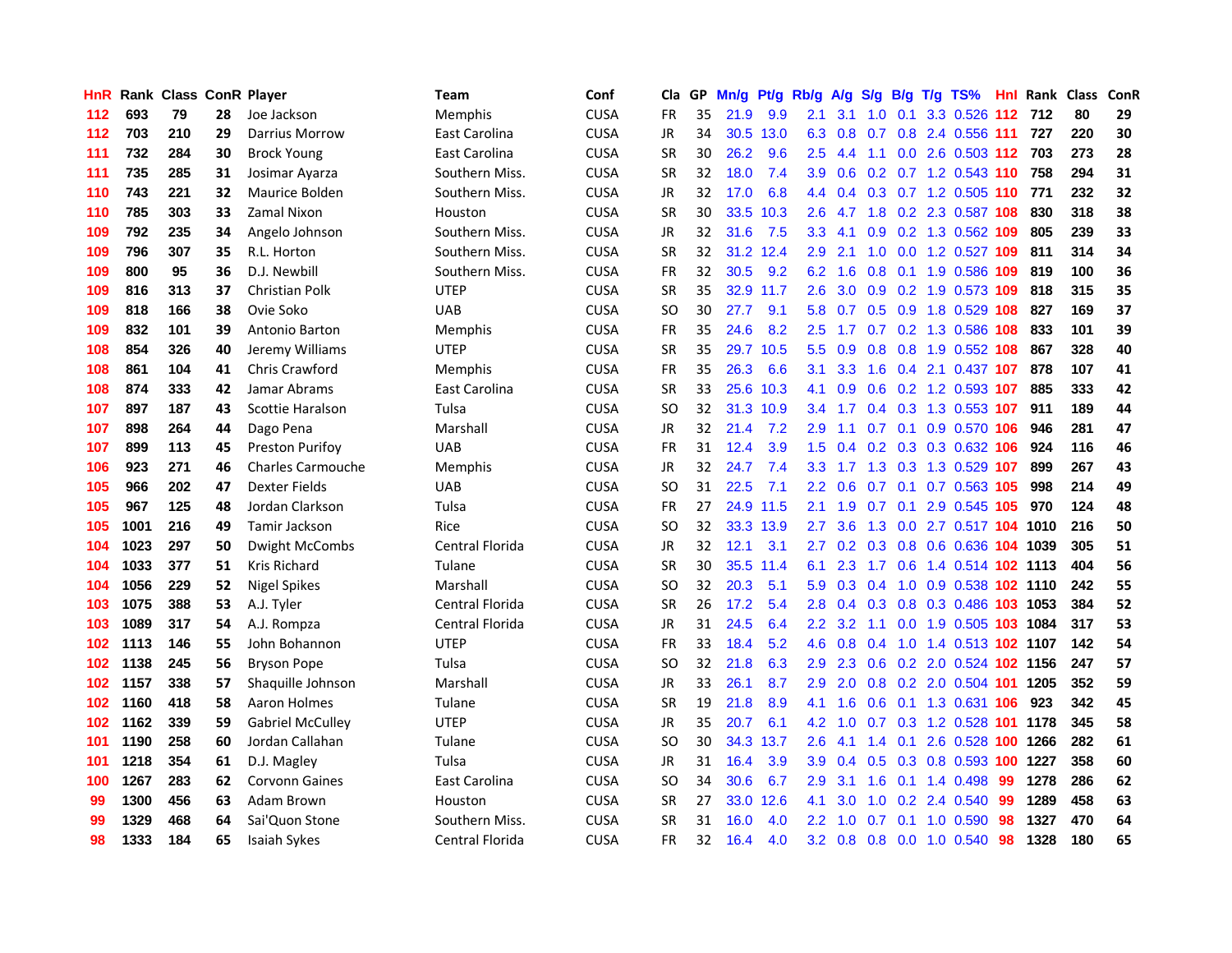| <b>HnR</b> |      | Rank Class ConR Player |    |                          | Team            | Conf        | Cla       |    | GP Mn/g | Pt/g      | Rb/g             | A/g             | S/g |     | B/g T/g TS%                    | Hnl | <b>Rank Class</b> |     | ConR |
|------------|------|------------------------|----|--------------------------|-----------------|-------------|-----------|----|---------|-----------|------------------|-----------------|-----|-----|--------------------------------|-----|-------------------|-----|------|
| 112        | 693  | 79                     | 28 | Joe Jackson              | Memphis         | <b>CUSA</b> | <b>FR</b> | 35 | 21.9    | 9.9       | 2.1              | 3.1             | 1.0 | 0.1 | 3.3 0.526                      | 112 | 712               | 80  | 29   |
| 112        | 703  | 210                    | 29 | <b>Darrius Morrow</b>    | East Carolina   | <b>CUSA</b> | JR        | 34 | 30.5    | 13.0      | 6.3              | 0.8             | 0.7 | 0.8 | 2.4 0.556 111                  |     | 727               | 220 | 30   |
| 111        | 732  | 284                    | 30 | <b>Brock Young</b>       | East Carolina   | <b>CUSA</b> | <b>SR</b> | 30 | 26.2    | 9.6       | 2.5              | 4.4             | 1.1 |     | 0.0 2.6 0.503 112 703          |     |                   | 273 | 28   |
| 111        | 735  | 285                    | 31 | Josimar Ayarza           | Southern Miss.  | <b>CUSA</b> | <b>SR</b> | 32 | 18.0    | 7.4       | 3.9 <sup>°</sup> |                 |     |     | 0.6 0.2 0.7 1.2 0.543 110      |     | 758               | 294 | 31   |
| 110        | 743  | 221                    | 32 | Maurice Bolden           | Southern Miss.  | <b>CUSA</b> | JR        | 32 | 17.0    | 6.8       |                  |                 |     |     | 4.4 0.4 0.3 0.7 1.2 0.505 110  |     | 771               | 232 | 32   |
| 110        | 785  | 303                    | 33 | Zamal Nixon              | Houston         | <b>CUSA</b> | <b>SR</b> | 30 | 33.5    | 10.3      | $2.6^{\circ}$    | 4.7             |     |     | 1.8 0.2 2.3 0.587 108          |     | 830               | 318 | 38   |
| 109        | 792  | 235                    | 34 | Angelo Johnson           | Southern Miss.  | <b>CUSA</b> | JR        | 32 | 31.6    | 7.5       | 3.3 <sub>1</sub> | 4.1             |     |     | 0.9 0.2 1.3 0.562 109          |     | 805               | 239 | 33   |
| 109        | 796  | 307                    | 35 | R.L. Horton              | Southern Miss.  | <b>CUSA</b> | <b>SR</b> | 32 |         | 31.2 12.4 | 2.9              | 2.1             | 1.0 |     | 0.0 1.2 0.527 109              |     | 811               | 314 | 34   |
| 109        | 800  | 95                     | 36 | D.J. Newbill             | Southern Miss.  | <b>CUSA</b> | <b>FR</b> | 32 | 30.5    | 9.2       | 6.2              | 1.6             | 0.8 | 0.1 | 1.9 0.586                      | 109 | 819               | 100 | 36   |
| 109        | 816  | 313                    | 37 | Christian Polk           | <b>UTEP</b>     | <b>CUSA</b> | <b>SR</b> | 35 |         | 32.9 11.7 | 2.6              | 3.0             | 0.9 |     | 0.2 1.9 0.573 109              |     | 818               | 315 | 35   |
| 109        | 818  | 166                    | 38 | Ovie Soko                | <b>UAB</b>      | <b>CUSA</b> | SO        | 30 | 27.7    | 9.1       | 5.8              | 0.7             |     |     | 0.5 0.9 1.8 0.529 108          |     | 827               | 169 | 37   |
| 109        | 832  | 101                    | 39 | Antonio Barton           | Memphis         | <b>CUSA</b> | <b>FR</b> | 35 | 24.6    | 8.2       | 2.5              | 1.7             |     |     | 0.7 0.2 1.3 0.586 108          |     | 833               | 101 | 39   |
| 108        | 854  | 326                    | 40 | Jeremy Williams          | <b>UTEP</b>     | <b>CUSA</b> | SR        | 35 |         | 29.7 10.5 | 5.5              | 0.9             | 0.8 | 0.8 | 1.9 0.552 108                  |     | 867               | 328 | 40   |
| 108        | 861  | 104                    | 41 | <b>Chris Crawford</b>    | Memphis         | <b>CUSA</b> | FR        | 35 | 26.3    | 6.6       | 3.1              | 3.3             | 1.6 | 0.4 | 2.1 0.437 107                  |     | 878               | 107 | 41   |
| 108        | 874  | 333                    | 42 | Jamar Abrams             | East Carolina   | <b>CUSA</b> | SR        | 33 | 25.6    | 10.3      | 4.1              | 0.9             | 0.6 |     | 0.2 1.2 0.593 107              |     | 885               | 333 | 42   |
| 107        | 897  | 187                    | 43 | Scottie Haralson         | Tulsa           | <b>CUSA</b> | SO        | 32 |         | 31.3 10.9 | 3.4              | 1.7             |     |     | 0.4 0.3 1.3 0.553 107          |     | 911               | 189 | 44   |
| 107        | 898  | 264                    | 44 | Dago Pena                | Marshall        | <b>CUSA</b> | JR        | 32 | 21.4    | 7.2       | 2.9              | 1.1             |     |     | 0.7 0.1 0.9 0.570 106          |     | 946               | 281 | 47   |
| 107        | 899  | 113                    | 45 | <b>Preston Purifoy</b>   | <b>UAB</b>      | <b>CUSA</b> | <b>FR</b> | 31 | 12.4    | 3.9       |                  |                 |     |     | 1.5 0.4 0.2 0.3 0.3 0.632 106  |     | 924               | 116 | 46   |
| 106        | 923  | 271                    | 46 | <b>Charles Carmouche</b> | Memphis         | <b>CUSA</b> | JR        | 32 | 24.7    | 7.4       | 3.3 <sup>°</sup> |                 |     |     | 1.7 1.3 0.3 1.3 0.529 107      |     | 899               | 267 | 43   |
| 105        | 966  | 202                    | 47 | Dexter Fields            | <b>UAB</b>      | <b>CUSA</b> | SO        | 31 | 22.5    | 7.1       |                  | $2.2 \quad 0.6$ |     |     | 0.7 0.1 0.7 0.563 105          |     | 998               | 214 | 49   |
| 105        | 967  | 125                    | 48 | Jordan Clarkson          | Tulsa           | <b>CUSA</b> | <b>FR</b> | 27 |         | 24.9 11.5 | 2.1              | 1.9             | 0.7 |     | 0.1 2.9 0.545 105              |     | 970               | 124 | 48   |
| 105        | 1001 | 216                    | 49 | Tamir Jackson            | Rice            | <b>CUSA</b> | SO        | 32 |         | 33.3 13.9 | 2.7              | 3.6             | 1.3 |     | 0.0 2.7 0.517 104 1010         |     |                   | 216 | 50   |
| 104        | 1023 | 297                    | 50 | Dwight McCombs           | Central Florida | <b>CUSA</b> | JR        | 32 | 12.1    | 3.1       | 2.7              |                 |     |     | 0.2 0.3 0.8 0.6 0.636 104 1039 |     |                   | 305 | 51   |
| 104        | 1033 | 377                    | 51 | Kris Richard             | Tulane          | <b>CUSA</b> | SR        | 30 |         | 35.5 11.4 | 6.1              | 2.3             |     |     | 1.7 0.6 1.4 0.514 102 1113     |     |                   | 404 | 56   |
| 104        | 1056 | 229                    | 52 | <b>Nigel Spikes</b>      | Marshall        | <b>CUSA</b> | SO        | 32 | 20.3    | 5.1       | 5.9              | 0.3             | 0.4 |     | 1.0 0.9 0.538 102 1110         |     |                   | 242 | 55   |
| 103        | 1075 | 388                    | 53 | A.J. Tyler               | Central Florida | <b>CUSA</b> | <b>SR</b> | 26 | 17.2    | 5.4       | 2.8              | 0.4             | 0.3 | 0.8 | 0.3 0.486 103                  |     | 1053              | 384 | 52   |
| 103        | 1089 | 317                    | 54 | A.J. Rompza              | Central Florida | <b>CUSA</b> | JR.       | 31 | 24.5    | 6.4       | $2.2\phantom{0}$ | 3.2             | 1.1 | 0.0 | 1.9 0.505 103 1084             |     |                   | 317 | 53   |
| 102        | 1113 | 146                    | 55 | John Bohannon            | <b>UTEP</b>     | <b>CUSA</b> | <b>FR</b> | 33 | 18.4    | 5.2       | 4.6              | 0.8             | 0.4 | 1.0 | 1.4 0.513 102 1107             |     |                   | 142 | 54   |
| 102        | 1138 | 245                    | 56 | <b>Bryson Pope</b>       | Tulsa           | <b>CUSA</b> | <b>SO</b> | 32 | 21.8    | 6.3       | 2.9 <sup>°</sup> | 2.3             | 0.6 |     | 0.2 2.0 0.524 102 1156         |     |                   | 247 | 57   |
| 102        | 1157 | 338                    | 57 | Shaquille Johnson        | Marshall        | <b>CUSA</b> | JR.       | 33 | 26.1    | 8.7       | 2.9 <sup>°</sup> |                 |     |     | 2.0 0.8 0.2 2.0 0.504 101 1205 |     |                   | 352 | 59   |
| 102        | 1160 | 418                    | 58 | Aaron Holmes             | Tulane          | <b>CUSA</b> | SR        | 19 | 21.8    | 8.9       | 4.1              | 1.6             |     |     | 0.6 0.1 1.3 0.631 106          |     | 923               | 342 | 45   |
| 102        | 1162 | 339                    | 59 | <b>Gabriel McCulley</b>  | <b>UTEP</b>     | <b>CUSA</b> | JR        | 35 | 20.7    | 6.1       | 4.2              | 1.0             |     |     | 0.7 0.3 1.2 0.528 101          |     | 1178              | 345 | 58   |
| 101        | 1190 | 258                    | 60 | Jordan Callahan          | Tulane          | <b>CUSA</b> | SO        | 30 |         | 34.3 13.7 | $2.6\,$          | 4.1             | 1.4 |     | 0.1 2.6 0.528 100              |     | 1266              | 282 | 61   |
| 101        | 1218 | 354                    | 61 | D.J. Magley              | Tulsa           | <b>CUSA</b> | JR        | 31 | 16.4    | 3.9       | 3.9              | 0.4             | 0.5 |     | 0.3 0.8 0.593 100              |     | 1227              | 358 | 60   |
| 100        | 1267 | 283                    | 62 | <b>Corvonn Gaines</b>    | East Carolina   | <b>CUSA</b> | SO        | 34 | 30.6    | 6.7       | 2.9              | 3.1             | 1.6 | 0.1 | 1.4 0.498                      | 99  | 1278              | 286 | 62   |
| 99         | 1300 | 456                    | 63 | Adam Brown               | Houston         | <b>CUSA</b> | <b>SR</b> | 27 | 33.0    | 12.6      | 4.1              | 3.0             | 1.0 |     | 0.2 2.4 0.540                  | 99  | 1289              | 458 | 63   |
| 99         | 1329 | 468                    | 64 | Sai'Quon Stone           | Southern Miss.  | <b>CUSA</b> | <b>SR</b> | 31 | 16.0    | 4.0       | $2.2^{\circ}$    | 1.0             | 0.7 | 0.1 | 1.0 0.590                      | 98  | 1327              | 470 | 64   |
| 98         | 1333 | 184                    | 65 | Isaiah Sykes             | Central Florida | <b>CUSA</b> | <b>FR</b> | 32 | 16.4    | 4.0       |                  |                 |     |     | 3.2 0.8 0.8 0.0 1.0 0.540      | 98  | 1328              | 180 | 65   |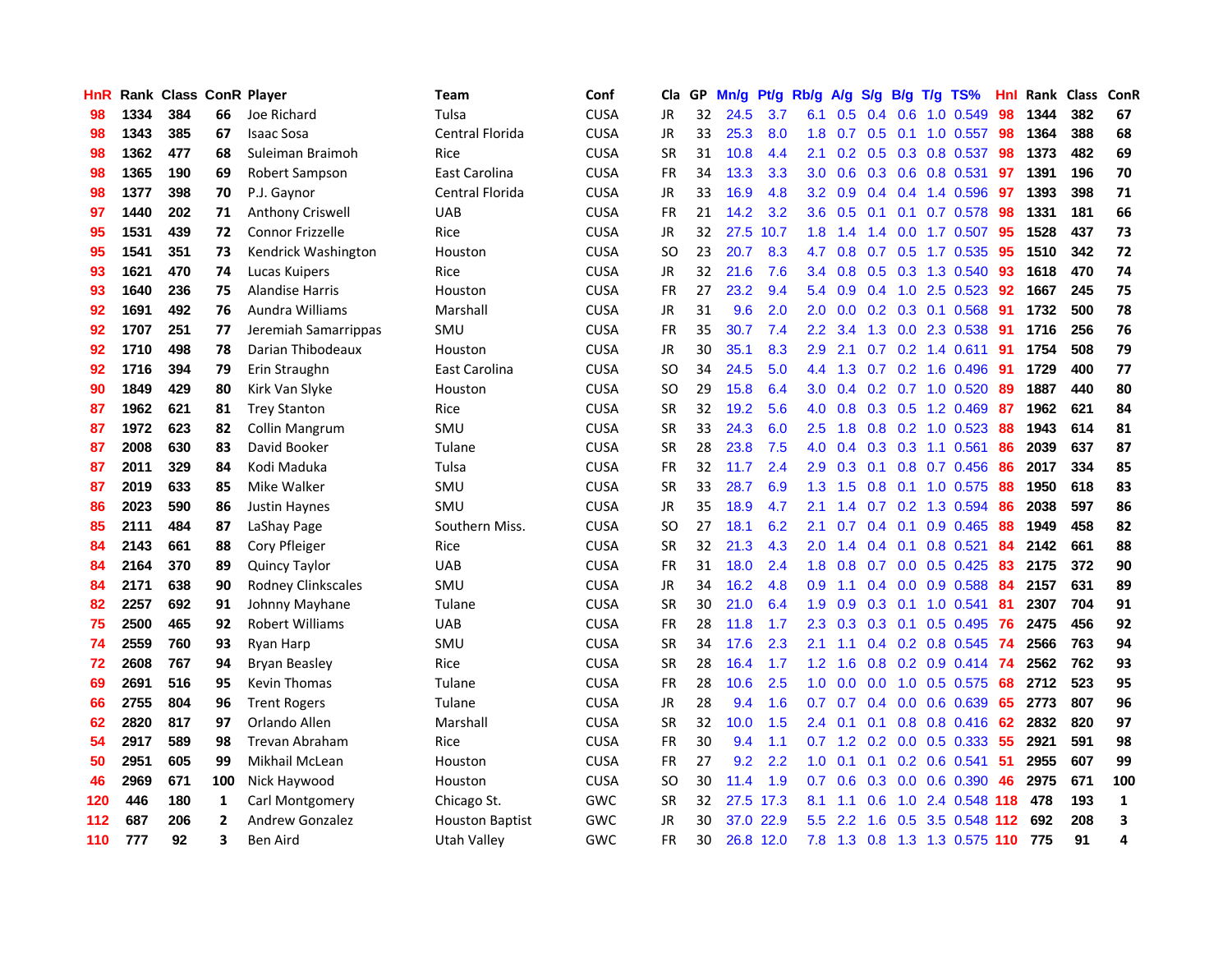| HnR |      | Rank Class ConR Player |                |                           | <b>Team</b>            | Conf        | Cla       |     | GP Mn/g | Pt/g      | Rb/g             | A/g             |     |                 | S/g B/g T/g TS%           | Hnl | Rank Class |     | ConR         |
|-----|------|------------------------|----------------|---------------------------|------------------------|-------------|-----------|-----|---------|-----------|------------------|-----------------|-----|-----------------|---------------------------|-----|------------|-----|--------------|
| 98  | 1334 | 384                    | 66             | Joe Richard               | Tulsa                  | <b>CUSA</b> | JR        | 32  | 24.5    | 3.7       | 6.1              | 0.5             | 0.4 | 0.6             | 1.0 0.549                 | 98  | 1344       | 382 | 67           |
| 98  | 1343 | 385                    | 67             | <b>Isaac Sosa</b>         | Central Florida        | <b>CUSA</b> | <b>JR</b> | 33  | 25.3    | 8.0       | 1.8              | 0.7             | 0.5 | 0.1             | 1.0 0.557                 | 98  | 1364       | 388 | 68           |
| 98  | 1362 | 477                    | 68             | Suleiman Braimoh          | Rice                   | <b>CUSA</b> | <b>SR</b> | 31  | 10.8    | 4.4       | 2.1              | 0.2             |     | $0.5 \quad 0.3$ | 0.8 0.537                 | 98  | 1373       | 482 | 69           |
| 98  | 1365 | 190                    | 69             | Robert Sampson            | East Carolina          | <b>CUSA</b> | <b>FR</b> | 34  | 13.3    | 3.3       | 3.0              | 0.6             |     |                 | 0.3 0.6 0.8 0.531         | 97  | 1391       | 196 | 70           |
| 98  | 1377 | 398                    | 70             | P.J. Gaynor               | Central Florida        | <b>CUSA</b> | JR        | 33  | 16.9    | 4.8       | 3.2              | 0.9             |     |                 | 0.4 0.4 1.4 0.596         | -97 | 1393       | 398 | 71           |
| 97  | 1440 | 202                    | 71             | Anthony Criswell          | <b>UAB</b>             | <b>CUSA</b> | <b>FR</b> | 21  | 14.2    | 3.2       | 3.6 <sup>°</sup> | 0.5             |     |                 | 0.1 0.1 0.7 0.578         | -98 | 1331       | 181 | 66           |
| 95  | 1531 | 439                    | 72             | <b>Connor Frizzelle</b>   | Rice                   | <b>CUSA</b> | JR        | 32. | 27.5    | 10.7      | 1.8 <sup>°</sup> | 1.4             |     |                 | 1.4 0.0 1.7 0.507         | 95  | 1528       | 437 | 73           |
| 95  | 1541 | 351                    | 73             | Kendrick Washington       | Houston                | <b>CUSA</b> | <b>SO</b> | 23  | 20.7    | 8.3       | 4.7              | 0.8             |     |                 | $0.7$ $0.5$ 1.7 $0.535$   | 95  | 1510       | 342 | 72           |
| 93  | 1621 | 470                    | 74             | Lucas Kuipers             | Rice                   | <b>CUSA</b> | <b>JR</b> | 32  | 21.6    | 7.6       | 3.4              | 0.8             | 0.5 |                 | 0.3 1.3 0.540             | 93  | 1618       | 470 | 74           |
| 93  | 1640 | 236                    | 75             | <b>Alandise Harris</b>    | Houston                | <b>CUSA</b> | <b>FR</b> | 27  | 23.2    | 9.4       | 5.4              | 0.9             | 0.4 |                 | 1.0 2.5 0.523             | 92  | 1667       | 245 | 75           |
| 92  | 1691 | 492                    | 76             | Aundra Williams           | Marshall               | <b>CUSA</b> | JR        | 31  | 9.6     | 2.0       | 2.0              | 0.0             |     |                 | 0.2 0.3 0.1 0.568         | 91  | 1732       | 500 | 78           |
| 92  | 1707 | 251                    | 77             | Jeremiah Samarrippas      | SMU                    | <b>CUSA</b> | <b>FR</b> | 35  | 30.7    | 7.4       | $2.2\phantom{0}$ | 3.4             | 1.3 | 0.0             | 2.3 0.538                 | 91  | 1716       | 256 | 76           |
| 92  | 1710 | 498                    | 78             | Darian Thibodeaux         | Houston                | <b>CUSA</b> | JR.       | 30  | 35.1    | 8.3       | 2.9              | 2.1             | 0.7 |                 | $0.2$ 1.4 0.611           | 91  | 1754       | 508 | 79           |
| 92  | 1716 | 394                    | 79             | Erin Straughn             | East Carolina          | <b>CUSA</b> | SO.       | 34  | 24.5    | 5.0       | 4.4              | 1.3             | 0.7 | 0.2             | 1.6 0.496                 | -91 | 1729       | 400 | 77           |
| 90  | 1849 | 429                    | 80             | Kirk Van Slyke            | Houston                | <b>CUSA</b> | <b>SO</b> | 29  | 15.8    | 6.4       | 3.0              | 0.4             | 0.2 |                 | 0.7 1.0 0.520             | 89  | 1887       | 440 | 80           |
| 87  | 1962 | 621                    | 81             | <b>Trey Stanton</b>       | Rice                   | <b>CUSA</b> | <b>SR</b> | 32  | 19.2    | 5.6       | 4.0              | 0.8             |     | $0.3 \quad 0.5$ | 1.2 0.469                 | -87 | 1962       | 621 | 84           |
| 87  | 1972 | 623                    | 82             | Collin Mangrum            | SMU                    | <b>CUSA</b> | <b>SR</b> | 33  | 24.3    | 6.0       | $2.5\,$          | 1.8             |     |                 | 0.8 0.2 1.0 0.523         | 88  | 1943       | 614 | 81           |
| 87  | 2008 | 630                    | 83             | David Booker              | Tulane                 | <b>CUSA</b> | <b>SR</b> | 28  | 23.8    | 7.5       | 4.0              | 0.4             |     |                 | $0.3$ $0.3$ 1.1 $0.561$   | -86 | 2039       | 637 | 87           |
| 87  | 2011 | 329                    | 84             | Kodi Maduka               | Tulsa                  | <b>CUSA</b> | <b>FR</b> | 32  | 11.7    | 2.4       | 2.9              | 0.3             |     |                 | $0.1$ 0.8 0.7 0.456       | -86 | 2017       | 334 | 85           |
| 87  | 2019 | 633                    | 85             | Mike Walker               | SMU                    | <b>CUSA</b> | <b>SR</b> | 33  | 28.7    | 6.9       | 1.3 <sup>°</sup> | 1.5             |     |                 | 0.8 0.1 1.0 0.575         | -88 | 1950       | 618 | 83           |
| 86  | 2023 | 590                    | 86             | <b>Justin Haynes</b>      | SMU                    | <b>CUSA</b> | JR        | 35  | 18.9    | 4.7       | 2.1              | 1.4             |     |                 | 0.7 0.2 1.3 0.594         | 86  | 2038       | 597 | 86           |
| 85  | 2111 | 484                    | 87             | LaShay Page               | Southern Miss.         | <b>CUSA</b> | <b>SO</b> | 27  | 18.1    | 6.2       | 2.1              | 0.7             |     | $0.4 \quad 0.1$ | 0.9 0.465                 | 88  | 1949       | 458 | 82           |
| 84  | 2143 | 661                    | 88             | Cory Pfleiger             | Rice                   | <b>CUSA</b> | <b>SR</b> | 32  | 21.3    | 4.3       | 2.0              | 1.4             |     | $0.4 \quad 0.1$ | $0.8$ 0.521               | 84  | 2142       | 661 | 88           |
| 84  | 2164 | 370                    | 89             | <b>Quincy Taylor</b>      | <b>UAB</b>             | <b>CUSA</b> | FR        | 31  | 18.0    | 2.4       | 1.8              | 0.8             | 0.7 |                 | $0.0$ $0.5$ $0.425$       | 83  | 2175       | 372 | 90           |
| 84  | 2171 | 638                    | 90             | <b>Rodney Clinkscales</b> | SMU                    | <b>CUSA</b> | JR        | 34  | 16.2    | 4.8       | 0.9              | 1.1             |     | $0.4 \quad 0.0$ | 0.9 0.588                 | 84  | 2157       | 631 | 89           |
| 82  | 2257 | 692                    | 91             | Johnny Mayhane            | Tulane                 | <b>CUSA</b> | <b>SR</b> | 30  | 21.0    | 6.4       | 1.9              | 0.9             | 0.3 | 0.1             | 1.0 0.541                 | 81  | 2307       | 704 | 91           |
| 75  | 2500 | 465                    | 92             | <b>Robert Williams</b>    | <b>UAB</b>             | <b>CUSA</b> | <b>FR</b> | 28  | 11.8    | 1.7       | 2.3              | 0.3             | 0.3 | 0.1             | $0.5$ 0.495               | 76  | 2475       | 456 | 92           |
| 74  | 2559 | 760                    | 93             | Ryan Harp                 | SMU                    | <b>CUSA</b> | <b>SR</b> | 34  | 17.6    | 2.3       | 2.1              | 1.1             |     | $0.4 \quad 0.2$ | 0.8 0.545                 | 74  | 2566       | 763 | 94           |
| 72  | 2608 | 767                    | 94             | <b>Bryan Beasley</b>      | Rice                   | <b>CUSA</b> | <b>SR</b> | 28  | 16.4    | 1.7       | 1.2 <sub>1</sub> | 1.6             | 0.8 |                 | $0.2$ 0.9 0.414           | -74 | 2562       | 762 | 93           |
| 69  | 2691 | 516                    | 95             | Kevin Thomas              | Tulane                 | <b>CUSA</b> | <b>FR</b> | 28  | 10.6    | 2.5       | 1.0 <sub>1</sub> | 0.0             | 0.0 |                 | 1.0 0.5 0.575             | -68 | 2712       | 523 | 95           |
| 66  | 2755 | 804                    | 96             | <b>Trent Rogers</b>       | Tulane                 | <b>CUSA</b> | JR        | 28  | 9.4     | 1.6       | 0.7              | 0.7             |     |                 | $0.4$ 0.0 0.6 0.639       | -65 | 2773       | 807 | 96           |
| 62  | 2820 | 817                    | 97             | Orlando Allen             | Marshall               | <b>CUSA</b> | <b>SR</b> | 32  | 10.0    | 1.5       | 2.4              | 0.1             |     |                 | $0.1$ $0.8$ $0.8$ $0.416$ | 62  | 2832       | 820 | 97           |
| 54  | 2917 | 589                    | 98             | <b>Trevan Abraham</b>     | Rice                   | <b>CUSA</b> | <b>FR</b> | 30  | 9.4     | 1.1       |                  | $0.7 \quad 1.2$ |     |                 | $0.2$ 0.0 0.5 0.333       | 55  | 2921       | 591 | 98           |
| 50  | 2951 | 605                    | 99             | Mikhail McLean            | Houston                | <b>CUSA</b> | FR        | 27  | 9.2     | 2.2       | 1.0              | 0.1             | 0.1 |                 | 0.2 0.6 0.541             | 51  | 2955       | 607 | 99           |
| 46  | 2969 | 671                    | 100            | Nick Haywood              | Houston                | <b>CUSA</b> | <b>SO</b> | 30  | 11.4    | 1.9       | 0.7              | 0.6             | 0.3 | 0.0             | 0.6 0.390                 | 46  | 2975       | 671 | 100          |
| 120 | 446  | 180                    | 1              | Carl Montgomery           | Chicago St.            | <b>GWC</b>  | <b>SR</b> | 32  | 27.5    | 17.3      | 8.1              | 1.1             | 0.6 | 1.0             | 2.4 0.548                 | 118 | 478        | 193 | $\mathbf{1}$ |
| 112 | 687  | 206                    | $\overline{2}$ | Andrew Gonzalez           | <b>Houston Baptist</b> | <b>GWC</b>  | JR        | 30  | 37.0    | 22.9      | 5.5              | 2.2             | 1.6 | 0.5             | 3.5 0.548                 | 112 | 692        | 208 | 3            |
| 110 | 777  | 92                     | 3              | Ben Aird                  | Utah Valley            | <b>GWC</b>  | <b>FR</b> | 30  |         | 26.8 12.0 |                  | $7.8$ 1.3       |     |                 | 0.8 1.3 1.3 0.575 110     |     | 775        | 91  | 4            |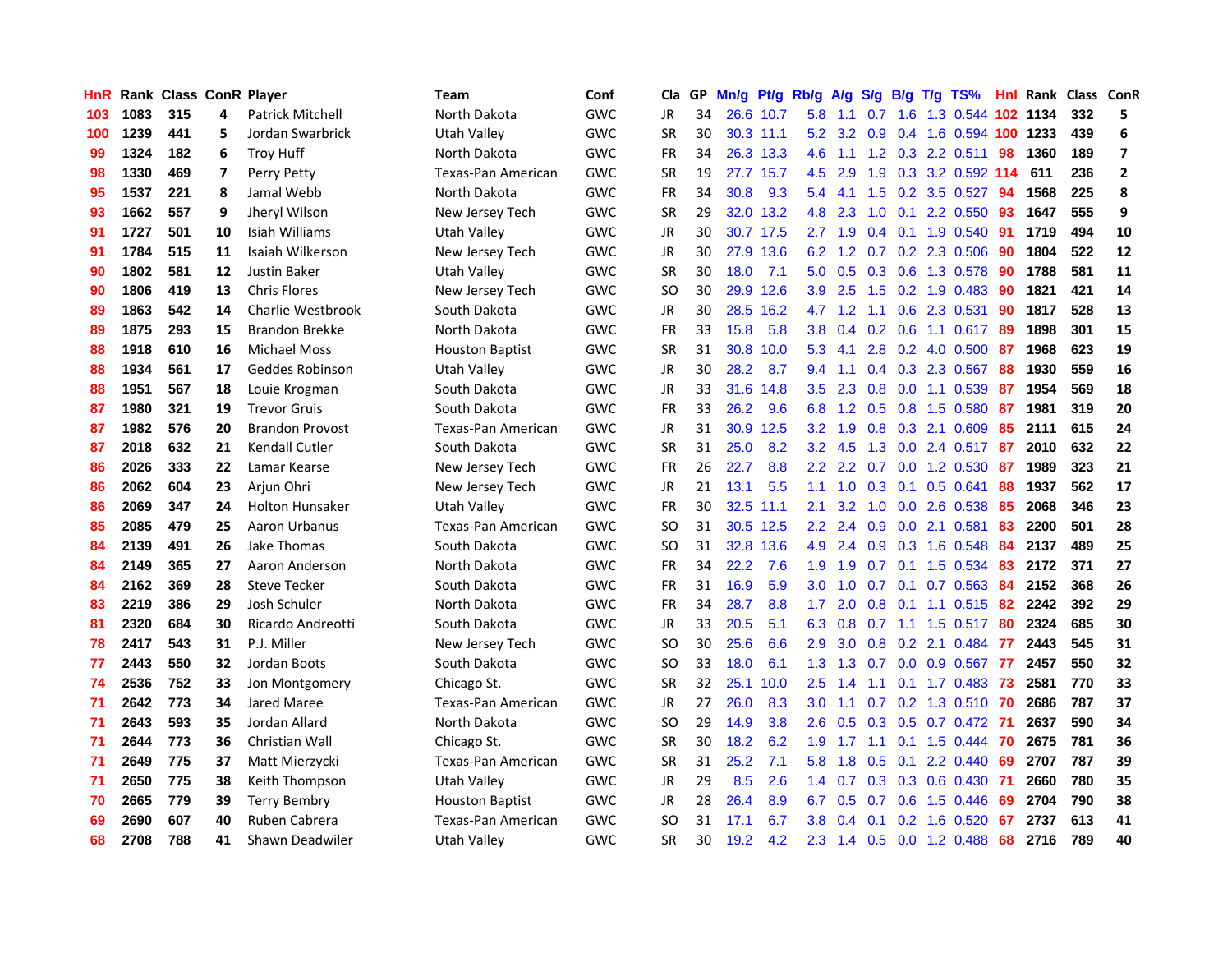| <b>HnR</b> |      | <b>Rank Class ConR Player</b> |    |                         | <b>Team</b>               | Conf       | Cla       |    | GP Mn/g Pt/g      |           | Rb/g             | A/g             |     |                 | S/g B/g T/g TS%              | Hnl | Rank Class ConR |     |                         |
|------------|------|-------------------------------|----|-------------------------|---------------------------|------------|-----------|----|-------------------|-----------|------------------|-----------------|-----|-----------------|------------------------------|-----|-----------------|-----|-------------------------|
| 103        | 1083 | 315                           | 4  | <b>Patrick Mitchell</b> | North Dakota              | GWC        | JR        | 34 |                   | 26.6 10.7 | 5.8              | 1.1             | 0.7 | 1.6             | 1.3 0.544 102                |     | 1134            | 332 | 5                       |
| 100        | 1239 | 441                           | 5  | Jordan Swarbrick        | <b>Utah Valley</b>        | GWC        | <b>SR</b> | 30 |                   | 30.3 11.1 | 5.2              | 3.2             | 0.9 | 0.4             | 1.6 0.594 100                |     | 1233            | 439 | 6                       |
| 99         | 1324 | 182                           | 6  | <b>Troy Huff</b>        | North Dakota              | GWC        | <b>FR</b> | 34 |                   | 26.3 13.3 | 4.6              | 1.1             |     |                 | 1.2 0.3 2.2 0.511            | 98  | 1360            | 189 | $\overline{\mathbf{z}}$ |
| 98         | 1330 | 469                           | 7  | Perry Petty             | <b>Texas-Pan American</b> | GWC        | <b>SR</b> | 19 |                   | 27.7 15.7 | 4.5              | 2.9             |     |                 | 1.9 0.3 3.2 0.592 114        |     | 611             | 236 | $\mathbf{2}$            |
| 95         | 1537 | 221                           | 8  | Jamal Webb              | North Dakota              | GWC        | <b>FR</b> | 34 | 30.8              | 9.3       |                  | $5.4 \quad 4.1$ |     |                 | 1.5 0.2 3.5 0.527            | -94 | 1568            | 225 | 8                       |
| 93         | 1662 | 557                           | 9  | Jheryl Wilson           | New Jersey Tech           | GWC        | <b>SR</b> | 29 |                   | 32.0 13.2 | 4.8              | 2.3             | 1.0 |                 | $0.1$ 2.2 0.550              | -93 | 1647            | 555 | 9                       |
| 91         | 1727 | 501                           | 10 | Isiah Williams          | Utah Valley               | GWC        | JR        | 30 |                   | 30.7 17.5 |                  | $2.7$ 1.9       |     |                 | $0.4$ 0.1 1.9 0.540          | 91  | 1719            | 494 | 10                      |
| 91         | 1784 | 515                           | 11 | Isaiah Wilkerson        | New Jersey Tech           | GWC        | JR        | 30 |                   | 27.9 13.6 | 6.2              | 1.2             |     |                 | 0.7 0.2 2.3 0.506            | 90  | 1804            | 522 | 12                      |
| 90         | 1802 | 581                           | 12 | Justin Baker            | Utah Valley               | GWC        | <b>SR</b> | 30 | 18.0              | 7.1       | 5.0              | 0.5             |     |                 | 0.3 0.6 1.3 0.578            | 90  | 1788            | 581 | 11                      |
| 90         | 1806 | 419                           | 13 | <b>Chris Flores</b>     | New Jersey Tech           | GWC        | SO.       | 30 | 29.9              | 12.6      | 3.9              | 2.5             | 1.5 |                 | $0.2$ 1.9 $0.483$            | 90  | 1821            | 421 | 14                      |
| 89         | 1863 | 542                           | 14 | Charlie Westbrook       | South Dakota              | GWC        | JR        | 30 |                   | 28.5 16.2 | 4.7              | 1.2             | 1.1 |                 | 0.6 2.3 0.531                | 90  | 1817            | 528 | 13                      |
| 89         | 1875 | 293                           | 15 | <b>Brandon Brekke</b>   | North Dakota              | GWC        | FR        | 33 | 15.8              | 5.8       | 3.8 <sub>2</sub> | 0.4             |     | $0.2\quad0.6$   | 1.1 0.617                    | 89  | 1898            | 301 | 15                      |
| 88         | 1918 | 610                           | 16 | <b>Michael Moss</b>     | <b>Houston Baptist</b>    | GWC        | <b>SR</b> | 31 |                   | 30.8 10.0 | 5.3              | 4.1             | 2.8 | 0.2             | 4.0 0.500                    | -87 | 1968            | 623 | 19                      |
| 88         | 1934 | 561                           | 17 | Geddes Robinson         | Utah Valley               | GWC        | JR        | 30 | 28.2              | 8.7       | 9.4              | 1.1             |     | $0.4 \quad 0.3$ | 2.3 0.567                    | 88  | 1930            | 559 | 16                      |
| 88         | 1951 | 567                           | 18 | Louie Krogman           | South Dakota              | GWC        | JR        | 33 | 31.6              | 14.8      | 3.5              | 2.3             | 0.8 | 0.0             | 1.1 0.539                    | 87  | 1954            | 569 | 18                      |
| 87         | 1980 | 321                           | 19 | <b>Trevor Gruis</b>     | South Dakota              | GWC        | FR        | 33 | 26.2              | 9.6       | 6.8              | 1.2             | 0.5 | 0.8             | 1.5 0.580                    | 87  | 1981            | 319 | 20                      |
| 87         | 1982 | 576                           | 20 | <b>Brandon Provost</b>  | Texas-Pan American        | GWC        | JR        | 31 | 30.9 <sup>°</sup> | 12.5      | 3.2              | 1.9             | 0.8 |                 | 0.3 2.1 0.609                | 85  | 2111            | 615 | 24                      |
| 87         | 2018 | 632                           | 21 | <b>Kendall Cutler</b>   | South Dakota              | GWC        | <b>SR</b> | 31 | 25.0              | 8.2       |                  | $3.2 \quad 4.5$ |     |                 | 1.3 0.0 2.4 0.517            | -87 | 2010            | 632 | 22                      |
| 86         | 2026 | 333                           | 22 | Lamar Kearse            | New Jersey Tech           | GWC        | FR        | 26 | 22.7              | 8.8       |                  |                 |     |                 | 2.2 2.2 0.7 0.0 1.2 0.530 87 |     | 1989            | 323 | 21                      |
| 86         | 2062 | 604                           | 23 | Arjun Ohri              | New Jersey Tech           | GWC        | JR        | 21 | 13.1              | 5.5       |                  | $1.1 \quad 1.0$ |     |                 | $0.3$ 0.1 0.5 0.641          | 88  | 1937            | 562 | 17                      |
| 86         | 2069 | 347                           | 24 | <b>Holton Hunsaker</b>  | Utah Vallev               | GWC        | FR        | 30 |                   | 32.5 11.1 | 2.1              | 3.2             |     |                 | 1.0 0.0 2.6 0.538            | 85  | 2068            | 346 | 23                      |
| 85         | 2085 | 479                           | 25 | Aaron Urbanus           | Texas-Pan American        | GWC        | SO        | 31 |                   | 30.5 12.5 | $2.2^{\circ}$    | 2.4             |     |                 | 0.9 0.0 2.1 0.581            | 83  | 2200            | 501 | 28                      |
| 84         | 2139 | 491                           | 26 | Jake Thomas             | South Dakota              | <b>GWC</b> | <b>SO</b> | 31 |                   | 32.8 13.6 | 4.9              | 2.4             |     |                 | 0.9 0.3 1.6 0.548            | 84  | 2137            | 489 | 25                      |
| 84         | 2149 | 365                           | 27 | Aaron Anderson          | North Dakota              | GWC        | FR        | 34 | 22.2              | 7.6       | 1.9              | 1.9             | 0.7 |                 | $0.1$ 1.5 0.534              | 83  | 2172            | 371 | 27                      |
| 84         | 2162 | 369                           | 28 | <b>Steve Tecker</b>     | South Dakota              | GWC        | FR        | 31 | 16.9              | 5.9       | 3.0              | 1.0             | 0.7 |                 | $0.1$ 0.7 0.563              | 84  | 2152            | 368 | 26                      |
| 83         | 2219 | 386                           | 29 | Josh Schuler            | North Dakota              | GWC        | FR        | 34 | 28.7              | 8.8       | 1.7 <sup>2</sup> | 2.0             | 0.8 | 0.1             | 1.1 0.515                    | 82  | 2242            | 392 | 29                      |
| 81         | 2320 | 684                           | 30 | Ricardo Andreotti       | South Dakota              | GWC        | <b>JR</b> | 33 | 20.5              | 5.1       | 6.3              | 0.8             | 0.7 |                 | $1.1$ 1.5 0.517              | 80  | 2324            | 685 | 30                      |
| 78         | 2417 | 543                           | 31 | P.J. Miller             | New Jersey Tech           | GWC        | SO.       | 30 | 25.6              | 6.6       | 2.9              | 3.0             |     |                 | 0.8 0.2 2.1 0.484            | -77 | 2443            | 545 | 31                      |
| 77         | 2443 | 550                           | 32 | Jordan Boots            | South Dakota              | GWC        | SO.       | 33 | 18.0              | 6.1       | 1.3              | 1.3             | 0.7 | 0.0             | 0.9 0.567                    | 77  | 2457            | 550 | 32                      |
| 74         | 2536 | 752                           | 33 | Jon Montgomery          | Chicago St.               | GWC        | <b>SR</b> | 32 | 25.1              | 10.0      | 2.5              | 1.4             | 1.1 | 0.1             | 1.7 0.483                    | -73 | 2581            | 770 | 33                      |
| 71         | 2642 | 773                           | 34 | Jared Maree             | Texas-Pan American        | GWC        | JR        | 27 | 26.0              | 8.3       | 3.0              | 1.1             | 0.7 |                 | $0.2$ 1.3 $0.510$            | -70 | 2686            | 787 | 37                      |
| 71         | 2643 | 593                           | 35 | Jordan Allard           | North Dakota              | GWC        | <b>SO</b> | 29 | 14.9              | 3.8       | 2.6              | 0.5             |     |                 | 0.3 0.5 0.7 0.472 71         |     | 2637            | 590 | 34                      |
| 71         | 2644 | 773                           | 36 | Christian Wall          | Chicago St.               | GWC        | <b>SR</b> | 30 | 18.2              | 6.2       |                  | $1.9$ 1.7       |     |                 | 1.1 0.1 1.5 0.444            | -70 | 2675            | 781 | 36                      |
| 71         | 2649 | 775                           | 37 | Matt Mierzycki          | Texas-Pan American        | GWC        | <b>SR</b> | 31 | 25.2              | 7.1       | 5.8              | 1.8             |     | $0.5 \quad 0.1$ | 2.2 0.440                    | 69  | 2707            | 787 | 39                      |
| 71         | 2650 | 775                           | 38 | Keith Thompson          | Utah Valley               | GWC        | JR        | 29 | 8.5               | 2.6       |                  | $1.4 \quad 0.7$ |     |                 | $0.3$ $0.3$ $0.6$ $0.430$    | -71 | 2660            | 780 | 35                      |
| 70         | 2665 | 779                           | 39 | <b>Terry Bembry</b>     | <b>Houston Baptist</b>    | GWC        | JR        | 28 | 26.4              | 8.9       | 6.7              | 0.5             | 0.7 | 0.6             | 1.5 0.446                    | 69  | 2704            | 790 | 38                      |
| 69         | 2690 | 607                           | 40 | Ruben Cabrera           | Texas-Pan American        | GWC        | SO.       | 31 | 17.1              | 6.7       | 3.8              | 0.4             | 0.1 | 0.2             | 1.6 0.520                    | 67  | 2737            | 613 | 41                      |
| 68         | 2708 | 788                           | 41 | Shawn Deadwiler         | Utah Valley               | GWC        | <b>SR</b> | 30 | 19.2              | 4.2       | $2.3^{\circ}$    | 1.4             |     |                 | 0.5 0.0 1.2 0.488            | 68  | 2716            | 789 | 40                      |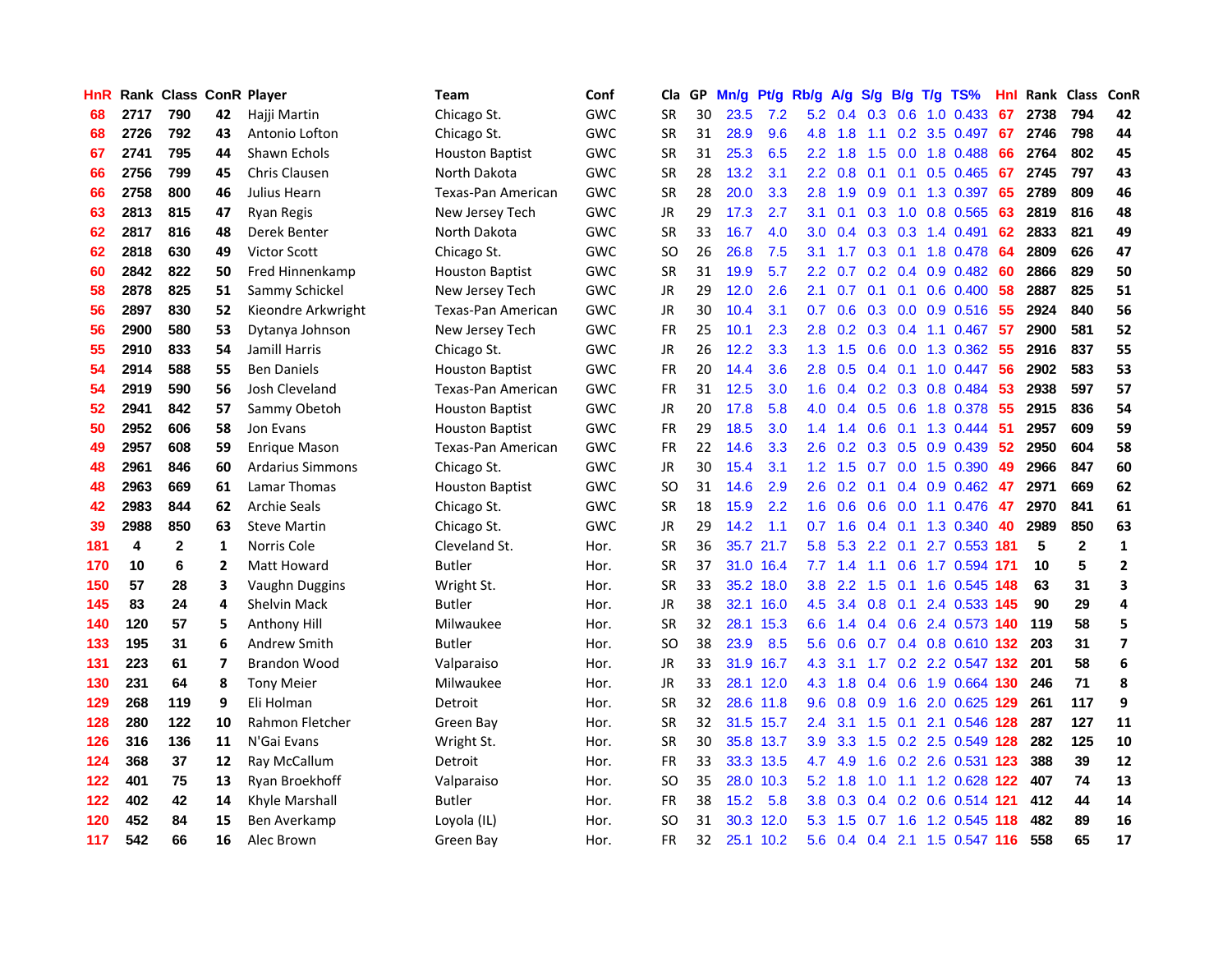| HnR |      | Rank Class ConR Player |                |                         | <b>Team</b>            | Conf       | Cla       |    | GP Mn/g | Pt/g      | Rb/g             | A/g             |     |                 | S/g B/g T/g TS%              | Hnl  | Rank Class |              | ConR                    |
|-----|------|------------------------|----------------|-------------------------|------------------------|------------|-----------|----|---------|-----------|------------------|-----------------|-----|-----------------|------------------------------|------|------------|--------------|-------------------------|
| 68  | 2717 | 790                    | 42             | Hajji Martin            | Chicago St.            | <b>GWC</b> | <b>SR</b> | 30 | 23.5    | 7.2       | 5.2              | 0.4             | 0.3 | 0.6             | $1.0$ 0.433                  | 67   | 2738       | 794          | 42                      |
| 68  | 2726 | 792                    | 43             | Antonio Lofton          | Chicago St.            | <b>GWC</b> | <b>SR</b> | 31 | 28.9    | 9.6       | 4.8              | 1.8             | 1.1 | 0.2             | 3.5 0.497                    | 67   | 2746       | 798          | 44                      |
| 67  | 2741 | 795                    | 44             | Shawn Echols            | Houston Baptist        | <b>GWC</b> | <b>SR</b> | 31 | 25.3    | 6.5       | 2.2              | 1.8             | 1.5 | 0.0             | 1.8 0.488                    | 66   | 2764       | 802          | 45                      |
| 66  | 2756 | 799                    | 45             | Chris Clausen           | North Dakota           | GWC        | <b>SR</b> | 28 | 13.2    | 3.1       |                  | $2.2 \quad 0.8$ | 0.1 | 0.1             | $0.5$ 0.465                  | 67   | 2745       | 797          | 43                      |
| 66  | 2758 | 800                    | 46             | Julius Hearn            | Texas-Pan American     | <b>GWC</b> | <b>SR</b> | 28 | 20.0    | 3.3       |                  | $2.8$ 1.9       |     |                 | 0.9 0.1 1.3 0.397            | 65   | 2789       | 809          | 46                      |
| 63  | 2813 | 815                    | 47             | Ryan Regis              | New Jersey Tech        | GWC        | JR        | 29 | 17.3    | 2.7       | 3.1              | 0.1             |     |                 | $0.3$ 1.0 0.8 0.565          | 63   | 2819       | 816          | 48                      |
| 62  | 2817 | 816                    | 48             | Derek Benter            | North Dakota           | GWC        | <b>SR</b> | 33 | 16.7    | 4.0       | 3.0 <sub>1</sub> | 0.4             |     |                 | $0.3$ $0.3$ 1.4 $0.491$      | 62   | 2833       | 821          | 49                      |
| 62  | 2818 | 630                    | 49             | <b>Victor Scott</b>     | Chicago St.            | GWC        | SO.       | 26 | 26.8    | 7.5       | 3.1              | 1.7             |     |                 | 0.3 0.1 1.8 0.478            | 64   | 2809       | 626          | 47                      |
| 60  | 2842 | 822                    | 50             | Fred Hinnenkamp         | <b>Houston Baptist</b> | <b>GWC</b> | <b>SR</b> | 31 | 19.9    | 5.7       | 2.2 <sub>2</sub> | 0.7             |     |                 | $0.2$ 0.4 0.9 0.482          | 60   | 2866       | 829          | 50                      |
| 58  | 2878 | 825                    | 51             | Sammy Schickel          | New Jersey Tech        | GWC        | JR        | 29 | 12.0    | 2.6       | 2.1              | 0.7             | 0.1 | 0.1             | $0.6$ 0.400                  | 58   | 2887       | 825          | 51                      |
| 56  | 2897 | 830                    | 52             | Kieondre Arkwright      | Texas-Pan American     | GWC        | JR        | 30 | 10.4    | 3.1       | 0.7              | 0.6             |     |                 | $0.3$ 0.0 0.9 0.516          | 55   | 2924       | 840          | 56                      |
| 56  | 2900 | 580                    | 53             | Dytanya Johnson         | New Jersey Tech        | <b>GWC</b> | FR        | 25 | 10.1    | 2.3       | 2.8              | 0.2             |     | $0.3 \quad 0.4$ | 1.1 0.467                    | 57   | 2900       | 581          | 52                      |
| 55  | 2910 | 833                    | 54             | Jamill Harris           | Chicago St.            | <b>GWC</b> | <b>JR</b> | 26 | 12.2    | 3.3       | 1.3              | 1.5             | 0.6 | 0.0             | 1.3 0.362                    | 55   | 2916       | 837          | 55                      |
| 54  | 2914 | 588                    | 55             | <b>Ben Daniels</b>      | <b>Houston Baptist</b> | GWC        | <b>FR</b> | 20 | 14.4    | 3.6       | 2.8              | 0.5             |     | $0.4 \quad 0.1$ | 1.0 0.447                    | 56   | 2902       | 583          | 53                      |
| 54  | 2919 | 590                    | 56             | Josh Cleveland          | Texas-Pan American     | GWC        | <b>FR</b> | 31 | 12.5    | 3.0       | 1.6              | 0.4             | 0.2 | 0.3             | 0.8 0.484                    | 53   | 2938       | 597          | 57                      |
| 52  | 2941 | 842                    | 57             | Sammy Obetoh            | <b>Houston Baptist</b> | GWC        | JR        | 20 | 17.8    | 5.8       | 4.0              | 0.4             | 0.5 | 0.6             | 1.8 0.378                    | 55   | 2915       | 836          | 54                      |
| 50  | 2952 | 606                    | 58             | Jon Evans               | <b>Houston Baptist</b> | GWC        | <b>FR</b> | 29 | 18.5    | 3.0       |                  | $1.4$ 1.4       | 0.6 | 0.1             | 1.3 0.444                    | -51  | 2957       | 609          | 59                      |
| 49  | 2957 | 608                    | 59             | <b>Enrique Mason</b>    | Texas-Pan American     | GWC        | FR        | 22 | 14.6    | 3.3       | 2.6              |                 |     |                 | 0.2 0.3 0.5 0.9 0.439        | 52   | 2950       | 604          | 58                      |
| 48  | 2961 | 846                    | 60             | <b>Ardarius Simmons</b> | Chicago St.            | GWC        | JR        | 30 | 15.4    | 3.1       |                  | $1.2 \quad 1.5$ |     |                 | $0.7$ 0.0 1.5 0.390          | -49  | 2966       | 847          | 60                      |
| 48  | 2963 | 669                    | 61             | Lamar Thomas            | Houston Baptist        | GWC        | SO.       | 31 | 14.6    | 2.9       |                  |                 |     |                 | 2.6 0.2 0.1 0.4 0.9 0.462 47 |      | 2971       | 669          | 62                      |
| 42  | 2983 | 844                    | 62             | <b>Archie Seals</b>     | Chicago St.            | GWC        | <b>SR</b> | 18 | 15.9    | 2.2       | 1.6              | 0.6             |     |                 | 0.6 0.0 1.1 0.476 47         |      | 2970       | 841          | 61                      |
| 39  | 2988 | 850                    | 63             | <b>Steve Martin</b>     | Chicago St.            | <b>GWC</b> | JR        | 29 | 14.2    | 1.1       | 0.7              | 1.6             |     |                 | 0.4 0.1 1.3 0.340            | 40   | 2989       | 850          | 63                      |
| 181 | 4    | $\mathbf{2}$           | 1              | Norris Cole             | Cleveland St.          | Hor.       | <b>SR</b> | 36 |         | 35.7 21.7 | 5.8              | 5.3             |     | $2.2 \quad 0.1$ | 2.7 0.553 181                |      | 5          | $\mathbf{2}$ | $\mathbf{1}$            |
| 170 | 10   | 6                      | $\overline{2}$ | Matt Howard             | Butler                 | Hor.       | <b>SR</b> | 37 |         | 31.0 16.4 | 7.7              | 1.4             | 1.1 |                 | $0.6$ 1.7 0.594              | -171 | 10         | 5            | $\mathbf{2}$            |
| 150 | 57   | 28                     | 3              | Vaughn Duggins          | Wright St.             | Hor.       | <b>SR</b> | 33 |         | 35.2 18.0 | 3.8              | 2.2             | 1.5 |                 | 0.1 1.6 0.545                | 148  | 63         | 31           | 3                       |
| 145 | 83   | 24                     | 4              | <b>Shelvin Mack</b>     | Butler                 | Hor.       | <b>JR</b> | 38 |         | 32.1 16.0 | 4.5              | 3.4             |     | $0.8\ 0.1$      | 2.4 0.533 145                |      | 90         | 29           | 4                       |
| 140 | 120  | 57                     | 5              | Anthony Hill            | Milwaukee              | Hor.       | <b>SR</b> | 32 |         | 28.1 15.3 | 6.6              | 1.4             |     | $0.4 \quad 0.6$ | 2.4 0.573 140                |      | 119        | 58           | 5                       |
| 133 | 195  | 31                     | 6              | Andrew Smith            | Butler                 | Hor.       | SO.       | 38 | 23.9    | 8.5       | 5.6              | 0.6             |     |                 | 0.7 0.4 0.8 0.610 132        |      | 203        | 31           | $\overline{\mathbf{z}}$ |
| 131 | 223  | 61                     | $\overline{7}$ | <b>Brandon Wood</b>     | Valparaiso             | Hor.       | <b>JR</b> | 33 | 31.9    | 16.7      | 4.3              | 3.1             |     |                 | 1.7 0.2 2.2 0.547 132        |      | 201        | 58           | 6                       |
| 130 | 231  | 64                     | 8              | <b>Tony Meier</b>       | Milwaukee              | Hor.       | JR        | 33 |         | 28.1 12.0 | 4.3              | 1.8             |     | $0.4\quad 0.6$  | 1.9 0.664 130                |      | 246        | 71           | 8                       |
| 129 | 268  | 119                    | 9              | Eli Holman              | Detroit                | Hor.       | <b>SR</b> | 32 |         | 28.6 11.8 | 9.6              | 0.8             | 0.9 | 1.6             | 2.0 0.625 129                |      | 261        | 117          | 9                       |
| 128 | 280  | 122                    | 10             | Rahmon Fletcher         | Green Bay              | Hor.       | <b>SR</b> | 32 |         | 31.5 15.7 | $2.4\phantom{0}$ | 3.1             |     | $1.5 \quad 0.1$ | 2.1 0.546 128                |      | 287        | 127          | 11                      |
| 126 | 316  | 136                    | 11             | N'Gai Evans             | Wright St.             | Hor.       | <b>SR</b> | 30 |         | 35.8 13.7 | 3.9              | 3.3             |     |                 | 1.5 0.2 2.5 0.549 128        |      | 282        | 125          | 10                      |
| 124 | 368  | 37                     | 12             | Ray McCallum            | Detroit                | Hor.       | <b>FR</b> | 33 |         | 33.3 13.5 | 4.7              | 4.9             |     |                 | 1.6 0.2 2.6 0.531 123        |      | 388        | 39           | 12                      |
| 122 | 401  | 75                     | 13             | Ryan Broekhoff          | Valparaiso             | Hor.       | <b>SO</b> | 35 |         | 28.0 10.3 | 5.2              | 1.8             | 1.0 |                 | 1.1 1.2 0.628 122            |      | 407        | 74           | 13                      |
| 122 | 402  | 42                     | 14             | Khyle Marshall          | Butler                 | Hor.       | <b>FR</b> | 38 | 15.2    | 5.8       | 3.8 <sub>2</sub> | 0.3             |     |                 | 0.4 0.2 0.6 0.514 121        |      | 412        | 44           | 14                      |
| 120 | 452  | 84                     | 15             | Ben Averkamp            | Loyola (IL)            | Hor.       | <b>SO</b> | 31 | 30.3    | 12.0      | 5.3              | 1.5             | 0.7 | 1.6             | 1.2 0.545                    | 118  | 482        | 89           | 16                      |
| 117 | 542  | 66                     | 16             | Alec Brown              | Green Bay              | Hor.       | FR        | 32 |         | 25.1 10.2 | 5.6              |                 |     |                 | 0.4 0.4 2.1 1.5 0.547 116    |      | 558        | 65           | 17                      |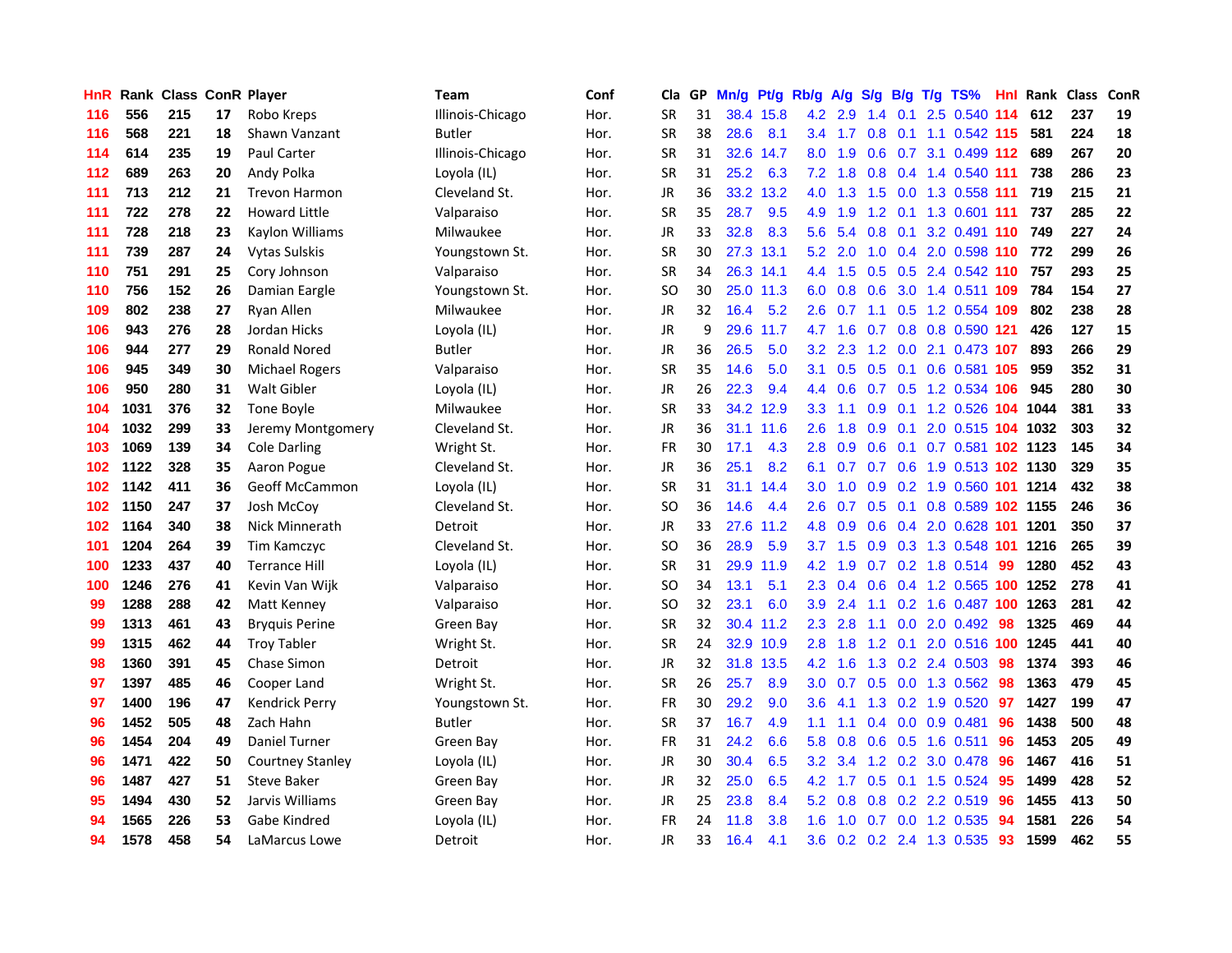| HnR. |      | <b>Rank Class ConR Player</b> |    |                         | Team             | Conf | Cla           | GP. | Mn/g | Pt/g      | Rb/g             | A/g | S/g              |     | B/g T/g TS%                        | Hnl  | Rank Class |     | ConR |
|------|------|-------------------------------|----|-------------------------|------------------|------|---------------|-----|------|-----------|------------------|-----|------------------|-----|------------------------------------|------|------------|-----|------|
| 116  | 556  | 215                           | 17 | Robo Kreps              | Illinois-Chicago | Hor. | <b>SR</b>     | 31  |      | 38.4 15.8 | 4.2              | 2.9 | 1.4              | 0.1 | 2.5 0.540                          | 114  | 612        | 237 | 19   |
| 116  | 568  | 221                           | 18 | Shawn Vanzant           | <b>Butler</b>    | Hor. | <b>SR</b>     | 38  | 28.6 | 8.1       | $3.4^{\circ}$    | 1.7 | 0.8              | 0.1 | 1.1 0.542 115                      |      | 581        | 224 | 18   |
| 114  | 614  | 235                           | 19 | <b>Paul Carter</b>      | Illinois-Chicago | Hor. | <b>SR</b>     | 31  |      | 32.6 14.7 | 8.0              | 1.9 | 0.6              | 0.7 | 3.1 0.499 112                      |      | 689        | 267 | 20   |
| 112  | 689  | 263                           | 20 | Andy Polka              | Loyola (IL)      | Hor. | <b>SR</b>     | 31  | 25.2 | 6.3       | 7.2              | 1.8 |                  |     | 0.8 0.4 1.4 0.540 111              |      | 738        | 286 | 23   |
| 111  | 713  | 212                           | 21 | <b>Trevon Harmon</b>    | Cleveland St.    | Hor. | <b>JR</b>     | 36  |      | 33.2 13.2 | 4.0              | 1.3 |                  |     | 1.5 0.0 1.3 0.558 111              |      | 719        | 215 | 21   |
| 111  | 722  | 278                           | 22 | <b>Howard Little</b>    | Valparaiso       | Hor. | <b>SR</b>     | 35  | 28.7 | 9.5       | 4.9              | 1.9 |                  |     | 1.2 0.1 1.3 0.601 111              |      | 737        | 285 | 22   |
| 111  | 728  | 218                           | 23 | Kaylon Williams         | Milwaukee        | Hor. | JR            | 33  | 32.8 | 8.3       | 5.6              | 5.4 | 0.8              |     | 0.1 3.2 0.491 110                  |      | 749        | 227 | 24   |
| 111  | 739  | 287                           | 24 | <b>Vytas Sulskis</b>    | Youngstown St.   | Hor. | <b>SR</b>     | 30  |      | 27.3 13.1 | 5.2              | 2.0 | 1.0              |     | 0.4 2.0 0.598 110                  |      | 772        | 299 | 26   |
| 110  | 751  | 291                           | 25 | Cory Johnson            | Valparaiso       | Hor. | <b>SR</b>     | 34  |      | 26.3 14.1 | 4.4              | 1.5 | 0.5              | 0.5 | 2.4 0.542 110                      |      | 757        | 293 | 25   |
| 110  | 756  | 152                           | 26 | Damian Eargle           | Youngstown St.   | Hor. | <sub>SO</sub> | 30  |      | 25.0 11.3 | 6.0              | 0.8 | 0.6              |     | 3.0 1.4 0.511 109                  |      | 784        | 154 | 27   |
| 109  | 802  | 238                           | 27 | Ryan Allen              | Milwaukee        | Hor. | JR            | 32  | 16.4 | 5.2       | 2.6              | 0.7 | 1.1              | 0.5 | 1.2 0.554                          | -109 | 802        | 238 | 28   |
| 106  | 943  | 276                           | 28 | Jordan Hicks            | Loyola (IL)      | Hor. | <b>JR</b>     | 9   |      | 29.6 11.7 | 4.7              | 1.6 | 0.7              | 0.8 | 0.8 0.590 121                      |      | 426        | 127 | 15   |
| 106  | 944  | 277                           | 29 | Ronald Nored            | <b>Butler</b>    | Hor. | JR            | 36  | 26.5 | 5.0       | 3.2 <sub>2</sub> | 2.3 | 1.2              | 0.0 | 2.1 0.473 107                      |      | 893        | 266 | 29   |
| 106  | 945  | 349                           | 30 | Michael Rogers          | Valparaiso       | Hor. | SR            | 35  | 14.6 | 5.0       | 3.1              | 0.5 | 0.5              | 0.1 | $0.6$ 0.581                        | -105 | 959        | 352 | 31   |
| 106  | 950  | 280                           | 31 | <b>Walt Gibler</b>      | Loyola (IL)      | Hor. | <b>JR</b>     | 26  | 22.3 | 9.4       | $4.4^{\circ}$    | 0.6 | 0.7              | 0.5 | 1.2 0.534                          | 106  | 945        | 280 | 30   |
| 104  | 1031 | 376                           | 32 | Tone Boyle              | Milwaukee        | Hor. | <b>SR</b>     | 33  |      | 34.2 12.9 | 3.3 <sub>2</sub> | 1.1 | 0.9 <sub>o</sub> | 0.1 | 1.2 0.526 104 1044                 |      |            | 381 | 33   |
| 104  | 1032 | 299                           | 33 | Jeremy Montgomery       | Cleveland St.    | Hor. | JR            | 36  |      | 31.1 11.6 | 2.6              | 1.8 | 0.9              | 0.1 | 2.0 0.515 104 1032                 |      |            | 303 | 32   |
| 103  | 1069 | 139                           | 34 | <b>Cole Darling</b>     | Wright St.       | Hor. | <b>FR</b>     | 30  | 17.1 | 4.3       | 2.8              | 0.9 | 0.6              |     | 0.1 0.7 0.581 102 1123             |      |            | 145 | 34   |
| 102  | 1122 | 328                           | 35 | Aaron Pogue             | Cleveland St.    | Hor. | JR            | 36  | 25.1 | 8.2       |                  |     |                  |     | 6.1 0.7 0.7 0.6 1.9 0.513 102 1130 |      |            | 329 | 35   |
| 102  | 1142 | 411                           | 36 | <b>Geoff McCammon</b>   | Loyola (IL)      | Hor. | <b>SR</b>     | 31  |      | 31.1 14.4 | 3.0 <sub>1</sub> | 1.0 |                  |     | 0.9 0.2 1.9 0.560 101 1214         |      |            | 432 | 38   |
| 102  | 1150 | 247                           | 37 | Josh McCov              | Cleveland St.    | Hor. | SO            | 36  | 14.6 | 4.4       | 2.6              | 0.7 | 0.5              |     | 0.1 0.8 0.589 102 1155             |      |            | 246 | 36   |
| 102  | 1164 | 340                           | 38 | Nick Minnerath          | Detroit          | Hor. | JR            | 33  | 27.6 | 11.2      | 4.8              | 0.9 | 0.6              |     | 0.4 2.0 0.628 101                  |      | 1201       | 350 | 37   |
| 101  | 1204 | 264                           | 39 | Tim Kamczyc             | Cleveland St.    | Hor. | <sub>SO</sub> | 36  | 28.9 | 5.9       | 3.7              | 1.5 | 0.9              |     | 0.3 1.3 0.548 101                  |      | 1216       | 265 | 39   |
| 100  | 1233 | 437                           | 40 | <b>Terrance Hill</b>    | Loyola (IL)      | Hor. | <b>SR</b>     | 31  | 29.9 | 11.9      | 4.2              | 1.9 |                  |     | $0.7$ $0.2$ 1.8 $0.514$            | -99  | 1280       | 452 | 43   |
| 100  | 1246 | 276                           | 41 | Kevin Van Wijk          | Valparaiso       | Hor. | SO            | 34  | 13.1 | 5.1       | $2.3^{\circ}$    | 0.4 | 0.6              |     | 0.4 1.2 0.565 100                  |      | 1252       | 278 | 41   |
| 99   | 1288 | 288                           | 42 | Matt Kenney             | Valparaiso       | Hor. | SO            | 32  | 23.1 | 6.0       | 3.9              | 2.4 | 1.1              | 0.2 | 1.6 0.487 100                      |      | 1263       | 281 | 42   |
| 99   | 1313 | 461                           | 43 | <b>Bryquis Perine</b>   | Green Bay        | Hor. | <b>SR</b>     | 32  |      | 30.4 11.2 | 2.3              | 2.8 | 1.1              | 0.0 | 2.0 0.492                          | 98   | 1325       | 469 | 44   |
| 99   | 1315 | 462                           | 44 | <b>Troy Tabler</b>      | Wright St.       | Hor. | <b>SR</b>     | 24  |      | 32.9 10.9 | 2.8              | 1.8 | 1.2              | 0.1 | 2.0 0.516 100                      |      | 1245       | 441 | 40   |
| 98   | 1360 | 391                           | 45 | Chase Simon             | Detroit          | Hor. | JR            | 32  |      | 31.8 13.5 | 4.2              | 1.6 | 1.3              |     | 0.2 2.4 0.503                      | 98   | 1374       | 393 | 46   |
| 97   | 1397 | 485                           | 46 | Cooper Land             | Wright St.       | Hor. | <b>SR</b>     | 26  | 25.7 | 8.9       | 3.0 <sub>1</sub> | 0.7 |                  |     | $0.5$ 0.0 1.3 0.562                | -98  | 1363       | 479 | 45   |
| 97   | 1400 | 196                           | 47 | Kendrick Perry          | Youngstown St.   | Hor. | FR            | 30  | 29.2 | 9.0       | $3.6\,$          | 4.1 |                  |     | 1.3 0.2 1.9 0.520                  | 97   | 1427       | 199 | 47   |
| 96   | 1452 | 505                           | 48 | Zach Hahn               | <b>Butler</b>    | Hor. | <b>SR</b>     | 37  | 16.7 | 4.9       | 1.1              | 1.1 |                  |     | $0.4$ 0.0 0.9 0.481                | 96   | 1438       | 500 | 48   |
| 96   | 1454 | 204                           | 49 | Daniel Turner           | Green Bay        | Hor. | FR            | 31  | 24.2 | 6.6       | 5.8              | 0.8 | 0.6              |     | 0.5 1.6 0.511                      | 96   | 1453       | 205 | 49   |
| 96   | 1471 | 422                           | 50 | <b>Courtney Stanley</b> | Loyola (IL)      | Hor. | <b>JR</b>     | 30  | 30.4 | 6.5       | 3.2 <sub>1</sub> | 3.4 |                  |     | 1.2 0.2 3.0 0.478                  | 96   | 1467       | 416 | 51   |
| 96   | 1487 | 427                           | 51 | <b>Steve Baker</b>      | Green Bay        | Hor. | <b>JR</b>     | 32  | 25.0 | 6.5       | 4.2              | 1.7 | 0.5              | 0.1 | 1.5 0.524                          | 95   | 1499       | 428 | 52   |
| 95   | 1494 | 430                           | 52 | Jarvis Williams         | Green Bay        | Hor. | JR            | 25  | 23.8 | 8.4       | 5.2              | 0.8 | 0.8              |     | 0.2 2.2 0.519                      | 96   | 1455       | 413 | 50   |
| 94   | 1565 | 226                           | 53 | Gabe Kindred            | Loyola (IL)      | Hor. | FR            | 24  | 11.8 | 3.8       | 1.6              | 1.0 | 0.7              | 0.0 | 1.2 0.535                          | 94   | 1581       | 226 | 54   |
| 94   | 1578 | 458                           | 54 | LaMarcus Lowe           | Detroit          | Hor. | <b>JR</b>     | 33  | 16.4 | 4.1       | 3.6              |     |                  |     | 0.2 0.2 2.4 1.3 0.535              | 93   | 1599       | 462 | 55   |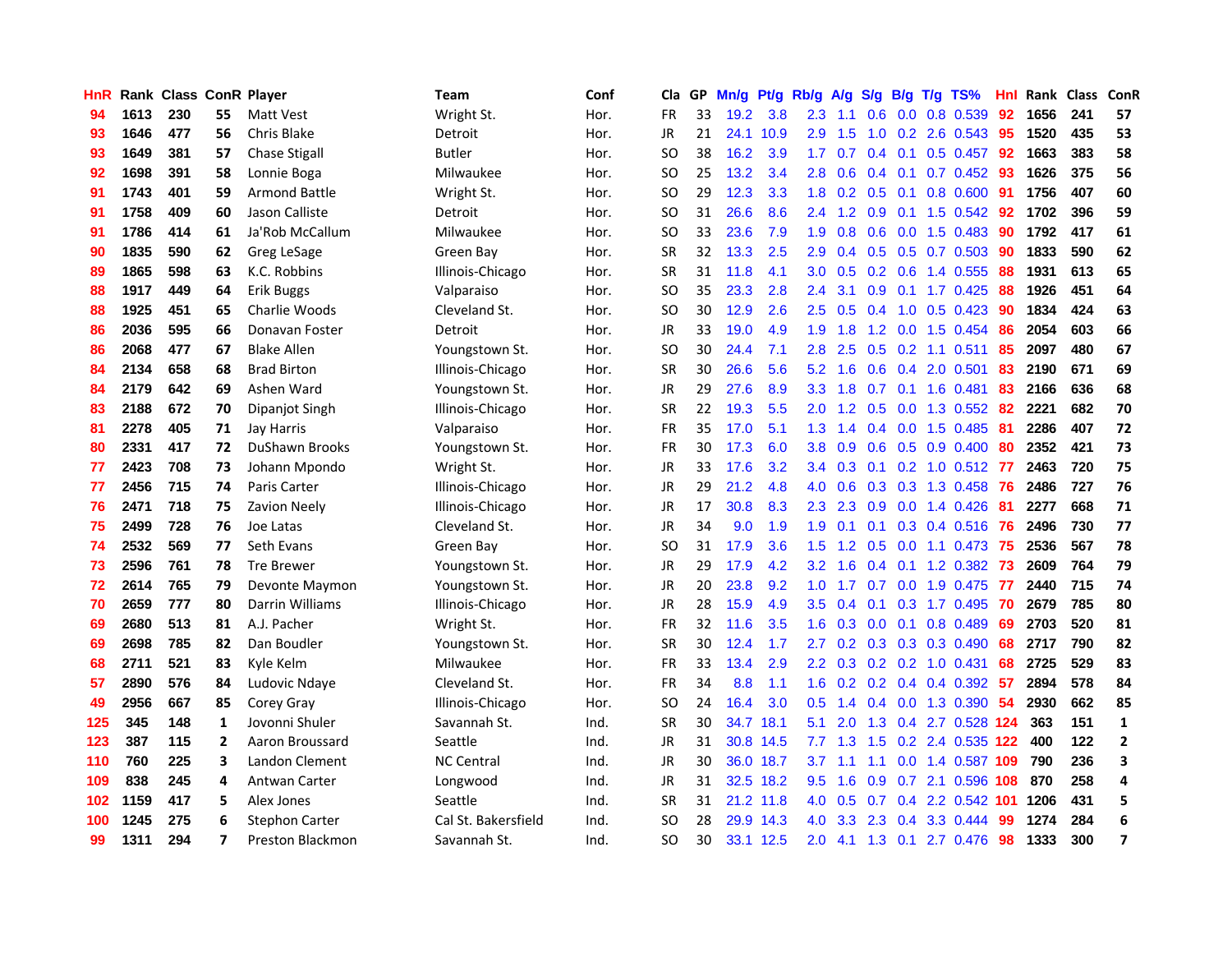| HnR |      | Rank Class ConR Player |                |                         | Team                | Conf | Cla       |    | GP Mn/g | Pt/g      | Rb/g             | A/g             | S/g               | B/g | $T/g$ TS%                       | Hnl | <b>Rank Class</b> |     | ConR           |
|-----|------|------------------------|----------------|-------------------------|---------------------|------|-----------|----|---------|-----------|------------------|-----------------|-------------------|-----|---------------------------------|-----|-------------------|-----|----------------|
| 94  | 1613 | 230                    | 55             | Matt Vest               | Wright St.          | Hor. | <b>FR</b> | 33 | 19.2    | 3.8       | 2.3              | 1.1             | 0.6               | 0.0 | 0.8 0.539                       | 92  | 1656              | 241 | 57             |
| 93  | 1646 | 477                    | 56             | Chris Blake             | Detroit             | Hor. | <b>JR</b> | 21 |         | 24.1 10.9 | 2.9              | 1.5             | 1.0               | 0.2 | 2.6 0.543                       | -95 | 1520              | 435 | 53             |
| 93  | 1649 | 381                    | 57             | <b>Chase Stigall</b>    | Butler              | Hor. | <b>SO</b> | 38 | 16.2    | 3.9       | 1.7 <sub>2</sub> | 0.7             | $0.4 \quad 0.1$   |     | $0.5$ 0.457                     | -92 | 1663              | 383 | 58             |
| 92  | 1698 | 391                    | 58             | Lonnie Boga             | Milwaukee           | Hor. | SO.       | 25 | 13.2    | 3.4       | 2.8              | 0.6             | $0.4 \quad 0.1$   |     | $0.7$ $0.452$ 93                |     | 1626              | 375 | 56             |
| 91  | 1743 | 401                    | 59             | <b>Armond Battle</b>    | Wright St.          | Hor. | SO.       | 29 | 12.3    | 3.3       |                  |                 | $1.8$ 0.2 0.5 0.1 |     | 0.8 0.600                       | -91 | 1756              | 407 | 60             |
| 91  | 1758 | 409                    | 60             | Jason Calliste          | Detroit             | Hor. | <b>SO</b> | 31 | 26.6    | 8.6       |                  | $2.4$ 1.2       |                   |     | 0.9 0.1 1.5 0.542               | 92  | 1702              | 396 | 59             |
| 91  | 1786 | 414                    | 61             | Ja'Rob McCallum         | Milwaukee           | Hor. | SO.       | 33 | 23.6    | 7.9       | 1.9              | 0.8             | 0.6               |     | 0.0 1.5 0.483                   | 90  | 1792              | 417 | 61             |
| 90  | 1835 | 590                    | 62             | Greg LeSage             | Green Bay           | Hor. | <b>SR</b> | 32 | 13.3    | 2.5       | 2.9              | 0.4             |                   |     | $0.5$ $0.5$ $0.7$ $0.503$       | 90  | 1833              | 590 | 62             |
| 89  | 1865 | 598                    | 63             | K.C. Robbins            | Illinois-Chicago    | Hor. | <b>SR</b> | 31 | 11.8    | 4.1       | 3.0              | 0.5             | 0.2               | 0.6 | 1.4 0.555                       | 88  | 1931              | 613 | 65             |
| 88  | 1917 | 449                    | 64             | Erik Buggs              | Valparaiso          | Hor. | <b>SO</b> | 35 | 23.3    | 2.8       | 2.4              | 3.1             | 0.9               | 0.1 | 1.7 0.425                       | 88  | 1926              | 451 | 64             |
| 88  | 1925 | 451                    | 65             | Charlie Woods           | Cleveland St.       | Hor. | <b>SO</b> | 30 | 12.9    | 2.6       | 2.5              | 0.5             | 0.4               |     | 1.0 0.5 0.423                   | 90  | 1834              | 424 | 63             |
| 86  | 2036 | 595                    | 66             | Donavan Foster          | Detroit             | Hor. | <b>JR</b> | 33 | 19.0    | 4.9       | 1.9              | 1.8             | 1.2               | 0.0 | 1.5 0.454                       | 86  | 2054              | 603 | 66             |
| 86  | 2068 | 477                    | 67             | <b>Blake Allen</b>      | Youngstown St.      | Hor. | SO.       | 30 | 24.4    | 7.1       | 2.8              | 2.5             | 0.5               | 0.2 | 1.1 0.511                       | 85  | 2097              | 480 | 67             |
| 84  | 2134 | 658                    | 68             | <b>Brad Birton</b>      | Illinois-Chicago    | Hor. | <b>SR</b> | 30 | 26.6    | 5.6       | 5.2              | 1.6             | 0.6               | 0.4 | 2.0 0.501                       | 83  | 2190              | 671 | 69             |
| 84  | 2179 | 642                    | 69             | Ashen Ward              | Youngstown St.      | Hor. | JR        | 29 | 27.6    | 8.9       | 3.3 <sub>2</sub> | 1.8             | 0.7               | 0.1 | 1.6 0.481                       | 83  | 2166              | 636 | 68             |
| 83  | 2188 | 672                    | 70             | Dipanjot Singh          | Illinois-Chicago    | Hor. | <b>SR</b> | 22 | 19.3    | 5.5       | 2.0 <sub>1</sub> | 1.2             | 0.5               | 0.0 | 1.3 0.552                       | 82  | 2221              | 682 | 70             |
| 81  | 2278 | 405                    | 71             | Jay Harris              | Valparaiso          | Hor. | FR        | 35 | 17.0    | 5.1       | 1.3              | 1.4             |                   |     | $0.4$ 0.0 1.5 0.485             | -81 | 2286              | 407 | 72             |
| 80  | 2331 | 417                    | 72             | DuShawn Brooks          | Youngstown St.      | Hor. | FR        | 30 | 17.3    | 6.0       | $3.8^{\circ}$    | 0.9             |                   |     | $0.6$ $0.5$ $0.9$ $0.400$       | -80 | 2352              | 421 | 73             |
| 77  | 2423 | 708                    | 73             | Johann Mpondo           | Wright St.          | Hor. | JR        | 33 | 17.6    | 3.2       |                  | $3.4 \quad 0.3$ |                   |     | $0.1$ $0.2$ 1.0 $0.512$ 77      |     | 2463              | 720 | 75             |
| 77  | 2456 | 715                    | 74             | Paris Carter            | Illinois-Chicago    | Hor. | JR        | 29 | 21.2    | 4.8       | 4.0              | 0.6             |                   |     | 0.3 0.3 1.3 0.458 76            |     | 2486              | 727 | 76             |
| 76  | 2471 | 718                    | 75             | Zavion Neely            | Illinois-Chicago    | Hor. | JR        | 17 | 30.8    | 8.3       | $2.3^{\circ}$    | 2.3             | 0.9               |     | $0.0$ 1.4 $0.426$               | -81 | 2277              | 668 | 71             |
| 75  | 2499 | 728                    | 76             | Joe Latas               | Cleveland St.       | Hor. | JR        | 34 | 9.0     | 1.9       | 1.9              | 0.1             | 0.1               |     | 0.3 0.4 0.516                   | -76 | 2496              | 730 | 77             |
| 74  | 2532 | 569                    | 77             | Seth Evans              | Green Bay           | Hor. | <b>SO</b> | 31 | 17.9    | 3.6       | 1.5              | 1.2             | 0.5               | 0.0 | 1.1 0.473                       | -75 | 2536              | 567 | 78             |
| 73  | 2596 | 761                    | 78             | <b>Tre Brewer</b>       | Youngstown St.      | Hor. | JR        | 29 | 17.9    | 4.2       | 3.2              | 1.6             | $0.4^{\circ}$     | 0.1 | 1.2 0.382                       | 73  | 2609              | 764 | 79             |
| 72  | 2614 | 765                    | 79             | Devonte Maymon          | Youngstown St.      | Hor. | JR        | 20 | 23.8    | 9.2       | 1.0              | 1.7             | 0.7               |     | $0.0$ 1.9 0.475                 | 77  | 2440              | 715 | 74             |
| 70  | 2659 | 777                    | 80             | Darrin Williams         | Illinois-Chicago    | Hor. | JR        | 28 | 15.9    | 4.9       | 3.5              | 0.4             | 0.1               | 0.3 | 1.7 0.495                       | 70  | 2679              | 785 | 80             |
| 69  | 2680 | 513                    | 81             | A.J. Pacher             | Wright St.          | Hor. | <b>FR</b> | 32 | 11.6    | 3.5       | 1.6              | 0.3             | 0.0               | 0.1 | 0.8 0.489                       | 69  | 2703              | 520 | 81             |
| 69  | 2698 | 785                    | 82             | Dan Boudler             | Youngstown St.      | Hor. | <b>SR</b> | 30 | 12.4    | 1.7       | 2.7              | 0.2             | 0.3               |     | 0.3 0.3 0.490                   | 68  | 2717              | 790 | 82             |
| 68  | 2711 | 521                    | 83             | Kyle Kelm               | Milwaukee           | Hor. | <b>FR</b> | 33 | 13.4    | 2.9       | $2.2^{\circ}$    | 0.3             | $0.2 \quad 0.2$   |     | 1.0 0.431                       | 68  | 2725              | 529 | 83             |
| 57  | 2890 | 576                    | 84             | Ludovic Ndaye           | Cleveland St.       | Hor. | <b>FR</b> | 34 | 8.8     | 1.1       | 1.6              |                 |                   |     | $0.2$ $0.2$ $0.4$ $0.4$ $0.392$ | -57 | 2894              | 578 | 84             |
| 49  | 2956 | 667                    | 85             | Corey Gray              | Illinois-Chicago    | Hor. | <b>SO</b> | 24 | 16.4    | 3.0       | 0.5              | 1.4             |                   |     | 0.4 0.0 1.3 0.390               | -54 | 2930              | 662 | 85             |
| 125 | 345  | 148                    | 1              | Jovonni Shuler          | Savannah St.        | Ind. | <b>SR</b> | 30 |         | 34.7 18.1 | 5.1              | 2.0             |                   |     | 1.3 0.4 2.7 0.528 124           |     | 363               | 151 | $\mathbf 1$    |
| 123 | 387  | 115                    | $\overline{2}$ | Aaron Broussard         | Seattle             | Ind. | JR        | 31 |         | 30.8 14.5 | 7.7              | 1.3             |                   |     | 1.5 0.2 2.4 0.535 122           |     | 400               | 122 | $\overline{2}$ |
| 110 | 760  | 225                    | 3              | Landon Clement          | <b>NC Central</b>   | Ind. | JR        | 30 |         | 36.0 18.7 | 3.7              | 1.1             | 1.1               | 0.0 | 1.4 0.587 109                   |     | 790               | 236 | 3              |
| 109 | 838  | 245                    | 4              | Antwan Carter           | Longwood            | Ind. | JR        | 31 |         | 32.5 18.2 | 9.5              | 1.6             | 0.9               |     | 0.7 2.1 0.596 108               |     | 870               | 258 | 4              |
| 102 | 1159 | 417                    | 5              | Alex Jones              | Seattle             | Ind. | <b>SR</b> | 31 |         | 21.2 11.8 | 4.0              | 0.5             | 0.7               | 0.4 | 2.2 0.542                       | 101 | 1206              | 431 | 5              |
| 100 | 1245 | 275                    | 6              | <b>Stephon Carter</b>   | Cal St. Bakersfield | Ind. | SO.       | 28 | 29.9    | 14.3      | 4.0              | 3.3             | 2.3               | 0.4 | 3.3 0.444                       | 99  | 1274              | 284 | 6              |
| 99  | 1311 | 294                    | 7              | <b>Preston Blackmon</b> | Savannah St.        | Ind. | SΟ        | 30 |         | 33.1 12.5 | 2.0              | 4.1             |                   |     | 1.3 0.1 2.7 0.476               | 98  | 1333              | 300 | $\overline{7}$ |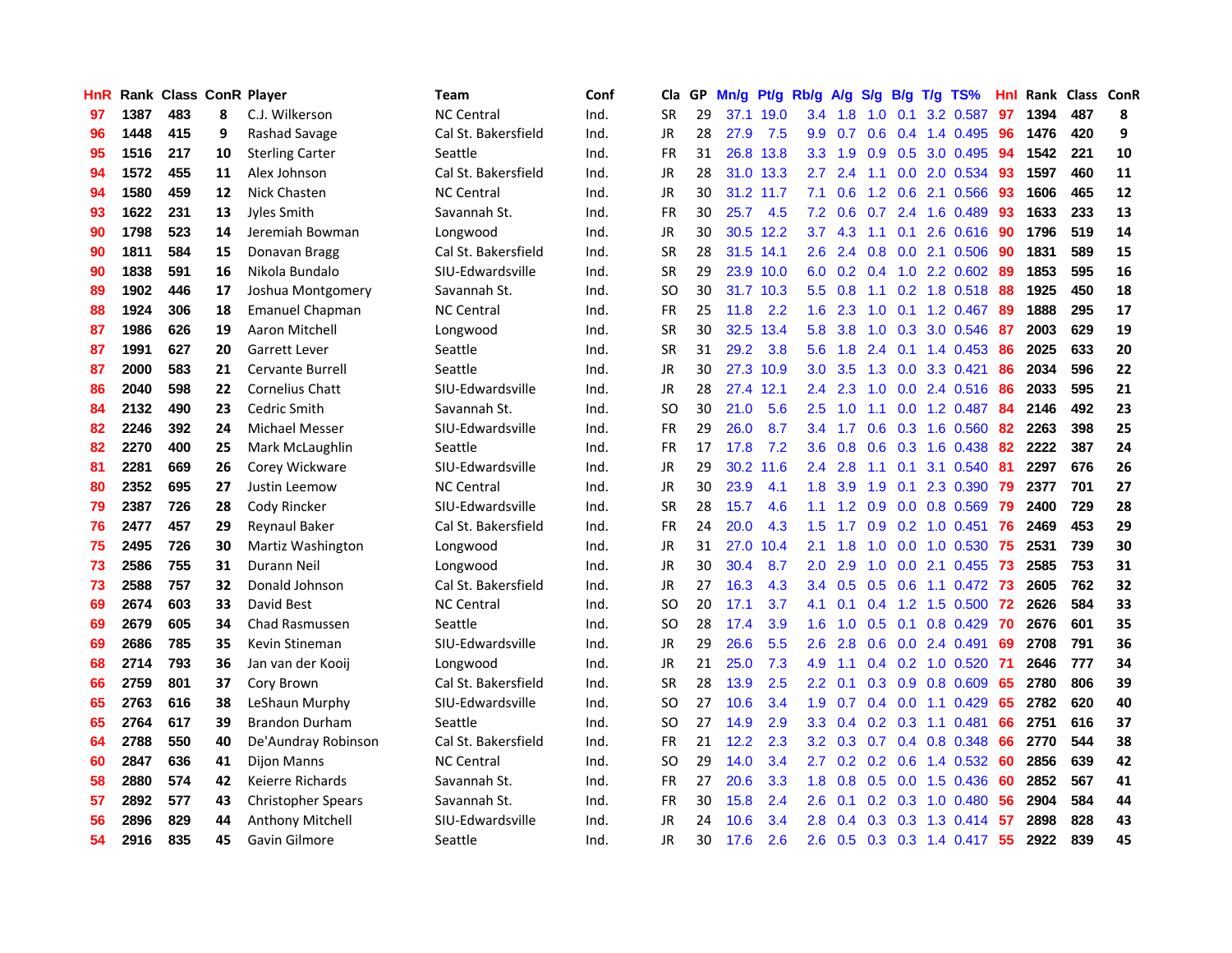| <b>HnR</b> |      | Rank Class ConR Player |    |                           | <b>Team</b>         | Conf | Cla       |    | GP Mn/g Pt/g |           | Rb/g             | A/g             |                  |                 | S/g B/g T/g TS%                 | Hnl | Rank Class ConR |     |            |
|------------|------|------------------------|----|---------------------------|---------------------|------|-----------|----|--------------|-----------|------------------|-----------------|------------------|-----------------|---------------------------------|-----|-----------------|-----|------------|
| 97         | 1387 | 483                    | 8  | C.J. Wilkerson            | <b>NC Central</b>   | Ind. | <b>SR</b> | 29 |              | 37.1 19.0 | 3.4              | 1.8             | 1.0              | 0.1             | 3.2 0.587                       | 97  | 1394            | 487 | 8          |
| 96         | 1448 | 415                    | 9  | Rashad Savage             | Cal St. Bakersfield | Ind. | JR        | 28 | 27.9         | 7.5       | 9.9              | 0.7             | 0.6              | 0.4             | 1.4 0.495                       | 96  | 1476            | 420 | 9          |
| 95         | 1516 | 217                    | 10 | <b>Sterling Carter</b>    | Seattle             | Ind. | <b>FR</b> | 31 | 26.8         | 13.8      | 3.3              | 1.9             | 0.9              | 0.5             | 3.0 0.495                       | 94  | 1542            | 221 | 10         |
| 94         | 1572 | 455                    | 11 | Alex Johnson              | Cal St. Bakersfield | Ind. | JR        | 28 |              | 31.0 13.3 | 2.7              | 2.4             | 1.1              |                 | 0.0 2.0 0.534                   | 93  | 1597            | 460 | 11         |
| 94         | 1580 | 459                    | 12 | Nick Chasten              | <b>NC Central</b>   | Ind. | JR        | 30 |              | 31.2 11.7 | 7.1              | 0.6             |                  |                 | 1.2 0.6 2.1 0.566               | 93  | 1606            | 465 | ${\bf 12}$ |
| 93         | 1622 | 231                    | 13 | Jyles Smith               | Savannah St.        | Ind. | FR        | 30 | 25.7         | 4.5       | 7.2              | 0.6             | 0.7              |                 | 2.4 1.6 0.489                   | 93  | 1633            | 233 | 13         |
| 90         | 1798 | 523                    | 14 | Jeremiah Bowman           | Longwood            | Ind. | JR        | 30 |              | 30.5 12.2 | 3.7              | 4.3             | 1.1              |                 | $0.1$ 2.6 $0.616$               | 90  | 1796            | 519 | 14         |
| 90         | 1811 | 584                    | 15 | Donavan Bragg             | Cal St. Bakersfield | Ind. | <b>SR</b> | 28 |              | 31.5 14.1 | $2.6\,$          | 2.4             | 0.8              |                 | 0.0 2.1 0.506                   | 90  | 1831            | 589 | 15         |
| 90         | 1838 | 591                    | 16 | Nikola Bundalo            | SIU-Edwardsville    | Ind. | <b>SR</b> | 29 |              | 23.9 10.0 | 6.0              | 0.2             | 0.4              |                 | 1.0 2.2 0.602                   | 89  | 1853            | 595 | 16         |
| 89         | 1902 | 446                    | 17 | Joshua Montgomery         | Savannah St.        | Ind. | <b>SO</b> | 30 |              | 31.7 10.3 | $5.5^{\circ}$    | 0.8             | 1.1              |                 | $0.2$ 1.8 $0.518$               | 88  | 1925            | 450 | 18         |
| 88         | 1924 | 306                    | 18 | <b>Emanuel Chapman</b>    | <b>NC Central</b>   | Ind. | FR        | 25 | 11.8         | 2.2       | 1.6              | 2.3             | 1.0              | 0.1             | 1.2 0.467                       | -89 | 1888            | 295 | 17         |
| 87         | 1986 | 626                    | 19 | Aaron Mitchell            | Longwood            | Ind. | <b>SR</b> | 30 |              | 32.5 13.4 | 5.8              | 3.8             | 1.0              | 0.3             | 3.0 0.546                       | 87  | 2003            | 629 | 19         |
| 87         | 1991 | 627                    | 20 | Garrett Lever             | Seattle             | Ind. | <b>SR</b> | 31 | 29.2         | 3.8       | 5.6              | 1.8             | 2.4              | 0.1             | 1.4 0.453                       | 86  | 2025            | 633 | 20         |
| 87         | 2000 | 583                    | 21 | <b>Cervante Burrell</b>   | Seattle             | Ind. | JR        | 30 |              | 27.3 10.9 | 3.0              | 3.5             | 1.3              | 0.0             | 3.3 0.421                       | 86  | 2034            | 596 | 22         |
| 86         | 2040 | 598                    | 22 | <b>Cornelius Chatt</b>    | SIU-Edwardsville    | Ind. | JR        | 28 |              | 27.4 12.1 | $2.4^{\circ}$    | 2.3             | 1.0              | 0.0             | 2.4 0.516                       | 86  | 2033            | 595 | 21         |
| 84         | 2132 | 490                    | 23 | Cedric Smith              | Savannah St.        | Ind. | <b>SO</b> | 30 | 21.0         | 5.6       | 2.5              | 1.0             | 1.1              | 0.0             | 1.2 0.487                       | 84  | 2146            | 492 | 23         |
| 82         | 2246 | 392                    | 24 | <b>Michael Messer</b>     | SIU-Edwardsville    | Ind. | <b>FR</b> | 29 | 26.0         | 8.7       |                  | 3.4 1.7         | 0.6              |                 | 0.3 1.6 0.560                   | 82  | 2263            | 398 | 25         |
| 82         | 2270 | 400                    | 25 | Mark McLaughlin           | Seattle             | Ind. | FR        | 17 | 17.8         | 7.2       | 3.6 <sup>°</sup> | 0.8             |                  |                 | 0.6 0.3 1.6 0.438               | 82  | 2222            | 387 | 24         |
| 81         | 2281 | 669                    | 26 | Corey Wickware            | SIU-Edwardsville    | Ind. | JR        | 29 |              | 30.2 11.6 |                  | $2.4$ 2.8       |                  | $1.1 \quad 0.1$ | 3.1 0.540                       | -81 | 2297            | 676 | 26         |
| 80         | 2352 | 695                    | 27 | Justin Leemow             | <b>NC Central</b>   | Ind. | JR        | 30 | 23.9         | 4.1       | 1.8 <sup>1</sup> | 3.9             | 1.9              |                 | $0.1$ 2.3 0.390                 | 79  | 2377            | 701 | 27         |
| 79         | 2387 | 726                    | 28 | Cody Rincker              | SIU-Edwardsville    | Ind. | <b>SR</b> | 28 | 15.7         | 4.6       | 1.1 <sup>1</sup> | 1.2             |                  |                 | 0.9 0.0 0.8 0.569               | 79  | 2400            | 729 | 28         |
| 76         | 2477 | 457                    | 29 | <b>Reynaul Baker</b>      | Cal St. Bakersfield | Ind. | FR        | 24 | 20.0         | 4.3       | 1.5              | 1.7             |                  |                 | 0.9 0.2 1.0 0.451               | 76  | 2469            | 453 | 29         |
| 75         | 2495 | 726                    | 30 | Martiz Washington         | Longwood            | Ind. | JR        | 31 | 27.0         | 10.4      | 2.1              | 1.8             | 1.0              | 0.0             | 1.0 0.530                       | 75  | 2531            | 739 | 30         |
| 73         | 2586 | 755                    | 31 | Durann Neil               | Longwood            | Ind. | JR        | 30 | 30.4         | 8.7       | 2.0              | 2.9             | 1.0              |                 | $0.0$ 2.1 0.455                 | 73  | 2585            | 753 | 31         |
| 73         | 2588 | 757                    | 32 | Donald Johnson            | Cal St. Bakersfield | Ind. | JR        | 27 | 16.3         | 4.3       | $3.4^{\circ}$    | 0.5             | 0.5              | 0.6             | 1.1 0.472                       | 73  | 2605            | 762 | 32         |
| 69         | 2674 | 603                    | 33 | David Best                | <b>NC Central</b>   | Ind. | <b>SO</b> | 20 | 17.1         | 3.7       | 4.1              | 0.1             | 0.4              | 1.2             | 1.5 0.500                       | 72  | 2626            | 584 | 33         |
| 69         | 2679 | 605                    | 34 | <b>Chad Rasmussen</b>     | Seattle             | Ind. | <b>SO</b> | 28 | 17.4         | 3.9       | 1.6              | 1.0             | 0.5              | 0.1             | 0.8 0.429                       | 70  | 2676            | 601 | 35         |
| 69         | 2686 | 785                    | 35 | Kevin Stineman            | SIU-Edwardsville    | Ind. | <b>JR</b> | 29 | 26.6         | 5.5       | 2.6              | 2.8             | 0.6              | 0.0             | 2.4 0.491                       | 69  | 2708            | 791 | 36         |
| 68         | 2714 | 793                    | 36 | Jan van der Kooij         | Longwood            | Ind. | <b>JR</b> | 21 | 25.0         | 7.3       | 4.9              | 1.1             |                  | $0.4 \quad 0.2$ | 1.0 0.520                       | -71 | 2646            | 777 | 34         |
| 66         | 2759 | 801                    | 37 | Cory Brown                | Cal St. Bakersfield | Ind. | <b>SR</b> | 28 | 13.9         | 2.5       | $2.2^{\circ}$    | 0.1             |                  | $0.3 \quad 0.9$ | 0.8 0.609                       | 65  | 2780            | 806 | 39         |
| 65         | 2763 | 616                    | 38 | LeShaun Murphy            | SIU-Edwardsville    | Ind. | <b>SO</b> | 27 | 10.6         | 3.4       | 1.9              | 0.7             |                  |                 | $0.4$ 0.0 1.1 0.429             | 65  | 2782            | 620 | 40         |
| 65         | 2764 | 617                    | 39 | <b>Brandon Durham</b>     | Seattle             | Ind. | SO.       | 27 | 14.9         | 2.9       | 3.3 <sub>2</sub> | 0.4             |                  |                 | $0.2$ $0.3$ 1.1 $0.481$         | 66  | 2751            | 616 | 37         |
| 64         | 2788 | 550                    | 40 | De'Aundray Robinson       | Cal St. Bakersfield | Ind. | <b>FR</b> | 21 | 12.2         | 2.3       |                  | $3.2 \quad 0.3$ |                  |                 | $0.7$ 0.4 0.8 0.348             | 66  | 2770            | 544 | 38         |
| 60         | 2847 | 636                    | 41 | <b>Dijon Manns</b>        | <b>NC Central</b>   | Ind. | <b>SO</b> | 29 | 14.0         | 3.4       | $2.7^{\circ}$    | 0.2             | $0.2\quad 0.6$   |                 | 1.4 0.532                       | 60  | 2856            | 639 | 42         |
| 58         | 2880 | 574                    | 42 | Keierre Richards          | Savannah St.        | Ind. | FR        | 27 | 20.6         | 3.3       | 1.8              | 0.8             | 0.5              |                 | 0.0 1.5 0.436                   | 60  | 2852            | 567 | 41         |
| 57         | 2892 | 577                    | 43 | <b>Christopher Spears</b> | Savannah St.        | Ind. | <b>FR</b> | 30 | 15.8         | 2.4       | 2.6              | 0.1             | 0.2              |                 | 0.3 1.0 0.480                   | 56  | 2904            | 584 | 44         |
| 56         | 2896 | 829                    | 44 | <b>Anthony Mitchell</b>   | SIU-Edwardsville    | Ind. | JR        | 24 | 10.6         | 3.4       | 2.8              | 0.4             | 0.3 <sub>0</sub> | 0.3             | 1.3 0.414                       | 57  | 2898            | 828 | 43         |
| 54         | 2916 | 835                    | 45 | Gavin Gilmore             | Seattle             | Ind. | JR        | 30 | 17.6         | 2.6       | $2.6^{\circ}$    |                 |                  |                 | $0.5$ $0.3$ $0.3$ $1.4$ $0.417$ | -55 | 2922            | 839 | 45         |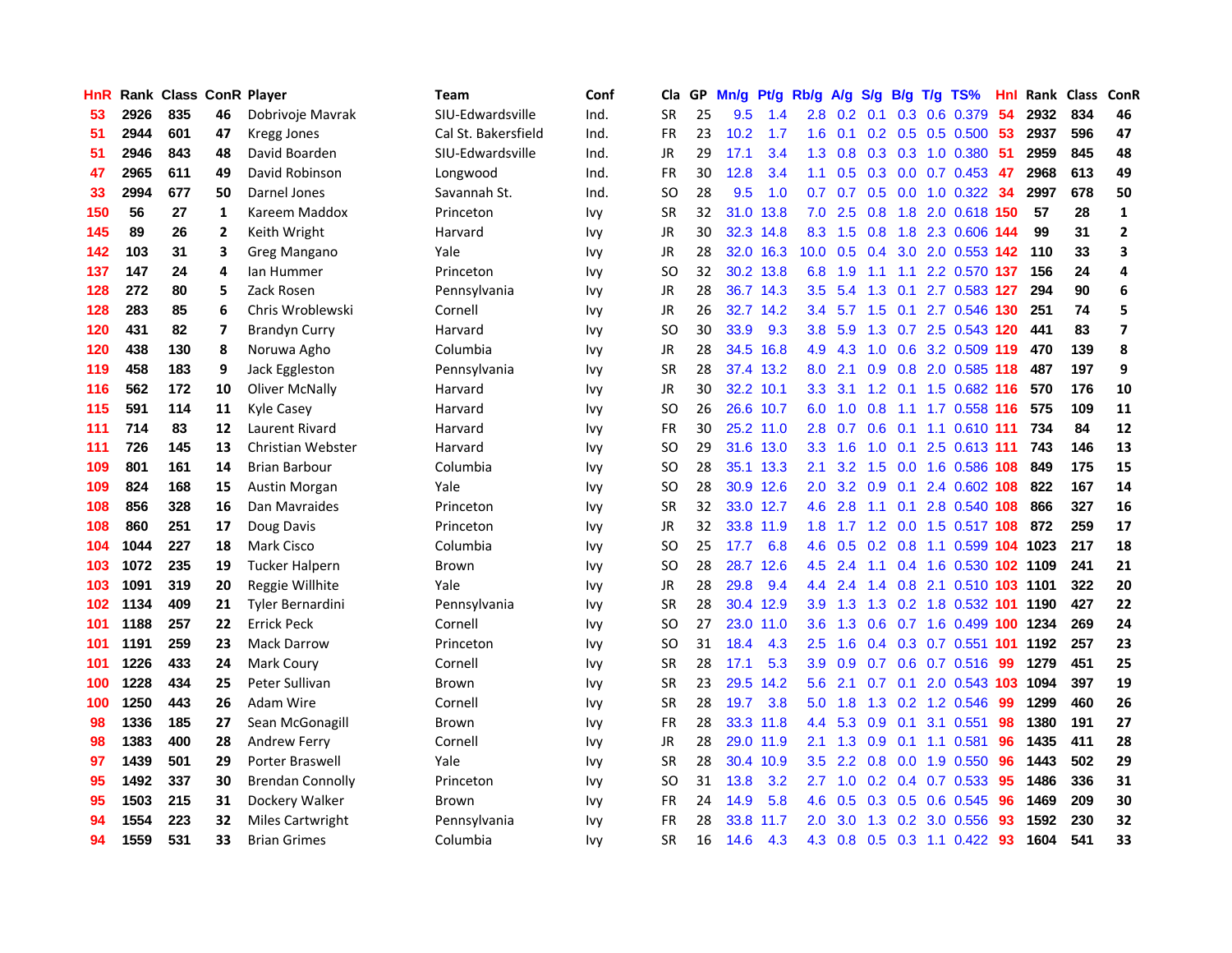| HnR |      |     |    | <b>Rank Class ConR Player</b> | Team                | Conf       | Cla           |    | GP Mn/g | Pt/g      | Rb/g              | <b>A/g</b>      | S/g             |                 | B/g T/g TS%                   | Hnl | Rank Class |     | ConR                    |
|-----|------|-----|----|-------------------------------|---------------------|------------|---------------|----|---------|-----------|-------------------|-----------------|-----------------|-----------------|-------------------------------|-----|------------|-----|-------------------------|
| 53  | 2926 | 835 | 46 | Dobrivoje Mavrak              | SIU-Edwardsville    | Ind.       | <b>SR</b>     | 25 | 9.5     | 1.4       | 2.8               | 0.2             | 0.1             | 0.3             | 0.6 0.379                     | 54  | 2932       | 834 | 46                      |
| 51  | 2944 | 601 | 47 | Kregg Jones                   | Cal St. Bakersfield | Ind.       | <b>FR</b>     | 23 | 10.2    | 1.7       | 1.6               | 0.1             | 0.2             | 0.5             | 0.5 0.500                     | 53  | 2937       | 596 | 47                      |
| 51  | 2946 | 843 | 48 | David Boarden                 | SIU-Edwardsville    | Ind.       | <b>JR</b>     | 29 | 17.1    | 3.4       | 1.3 <sup>°</sup>  | 0.8             |                 | $0.3 \quad 0.3$ | 1.0 0.380                     | 51  | 2959       | 845 | 48                      |
| 47  | 2965 | 611 | 49 | David Robinson                | Longwood            | Ind.       | FR            | 30 | 12.8    | 3.4       | 1.1               | 0.5             |                 |                 | $0.3$ 0.0 0.7 0.453           | 47  | 2968       | 613 | 49                      |
| 33  | 2994 | 677 | 50 | Darnel Jones                  | Savannah St.        | Ind.       | SO            | 28 | 9.5     | 1.0       | 0.7               |                 |                 |                 | 0.7 0.5 0.0 1.0 0.322 34      |     | 2997       | 678 | 50                      |
| 150 | 56   | 27  | 1  | Kareem Maddox                 | Princeton           | Ivy        | <b>SR</b>     | 32 |         | 31.0 13.8 | 7.0               | 2.5             |                 |                 | 0.8 1.8 2.0 0.618 150         |     | 57         | 28  | $\mathbf{1}$            |
| 145 | 89   | 26  | 2  | Keith Wright                  | Harvard             | Ivy        | <b>JR</b>     | 30 |         | 32.3 14.8 | 8.3               | 1.5             | 0.8             |                 | 1.8 2.3 0.606 144             |     | 99         | 31  | $\overline{2}$          |
| 142 | 103  | 31  | 3  | Greg Mangano                  | Yale                | Ivy        | <b>JR</b>     | 28 |         | 32.0 16.3 | 10.0 <sub>1</sub> | 0.5             | 0.4             | 3.0             | 2.0 0.553 142                 |     | 110        | 33  | 3                       |
| 137 | 147  | 24  | 4  | lan Hummer                    | Princeton           | Ivy        | <sub>SO</sub> | 32 |         | 30.2 13.8 | 6.8               | 1.9             | 1.1             | 1.1             | 2.2 0.570 137                 |     | 156        | 24  | 4                       |
| 128 | 272  | 80  | 5  | Zack Rosen                    | Pennsylvania        | Ivy        | JR            | 28 |         | 36.7 14.3 | 3.5               | 5.4             | 1.3             | 0.1             | 2.7 0.583 127                 |     | 294        | 90  | 6                       |
| 128 | 283  | 85  | 6  | Chris Wroblewski              | Cornell             | <b>Ivy</b> | JR            | 26 |         | 32.7 14.2 | 3.4               | 5.7             | 1.5             | 0.1             | 2.7 0.546                     | 130 | 251        | 74  | 5                       |
| 120 | 431  | 82  | 7  | <b>Brandyn Curry</b>          | Harvard             | <b>Ivy</b> | <sub>SO</sub> | 30 | 33.9    | 9.3       | 3.8               | 5.9             | 1.3             | 0.7             | 2.5 0.543 120                 |     | 441        | 83  | $\overline{\mathbf{z}}$ |
| 120 | 438  | 130 | 8  | Noruwa Agho                   | Columbia            | <b>Ivy</b> | JR            | 28 |         | 34.5 16.8 | 4.9               | 4.3             | 1.0             | 0.6             | 3.2 0.509 119                 |     | 470        | 139 | 8                       |
| 119 | 458  | 183 | 9  | Jack Eggleston                | Pennsylvania        | <b>Ivy</b> | <b>SR</b>     | 28 |         | 37.4 13.2 | 8.0               | 2.1             | 0.9             | 0.8             | 2.0 0.585 118                 |     | 487        | 197 | 9                       |
| 116 | 562  | 172 | 10 | Oliver McNally                | Harvard             | <b>Ivy</b> | <b>JR</b>     | 30 |         | 32.2 10.1 | 3.3 <sub>2</sub>  | 3.1             | 1.2             | 0.1             | 1.5 0.682 116                 |     | 570        | 176 | 10                      |
| 115 | 591  | 114 | 11 | Kyle Casey                    | Harvard             | <b>Ivy</b> | <sub>SO</sub> | 26 |         | 26.6 10.7 | 6.0               | 1.0             | 0.8             | 1.1             | 1.7 0.558 116                 |     | 575        | 109 | 11                      |
| 111 | 714  | 83  | 12 | <b>Laurent Rivard</b>         | Harvard             | <b>Ivy</b> | <b>FR</b>     | 30 |         | 25.2 11.0 | 2.8               | 0.7             | 0.6             | 0.1             | 1.1 0.610 111                 |     | 734        | 84  | 12                      |
| 111 | 726  | 145 | 13 | Christian Webster             | Harvard             | Ivy        | SO            | 29 |         | 31.6 13.0 |                   | $3.3 \quad 1.6$ |                 | $1.0 \quad 0.1$ | 2.5 0.613 111                 |     | 743        | 146 | 13                      |
| 109 | 801  | 161 | 14 | <b>Brian Barbour</b>          | Columbia            | <b>Ivy</b> | <b>SO</b>     | 28 |         | 35.1 13.3 | 2.1               | 3.2             |                 |                 | 1.5 0.0 1.6 0.586 108         |     | 849        | 175 | 15                      |
| 109 | 824  | 168 | 15 | Austin Morgan                 | Yale                | <b>Ivy</b> | <b>SO</b>     | 28 |         | 30.9 12.6 | 2.0 <sub>1</sub>  |                 |                 |                 | 3.2 0.9 0.1 2.4 0.602 108     |     | 822        | 167 | 14                      |
| 108 | 856  | 328 | 16 | Dan Mavraides                 | Princeton           | <b>Ivy</b> | <b>SR</b>     | 32 |         | 33.0 12.7 | 4.6               | 2.8             | 1.1             |                 | 0.1 2.8 0.540 108             |     | 866        | 327 | 16                      |
| 108 | 860  | 251 | 17 | Doug Davis                    | Princeton           | <b>Ivy</b> | JR            | 32 |         | 33.8 11.9 | 1.8 <sup>°</sup>  | 1.7             |                 |                 | 1.2 0.0 1.5 0.517 108         |     | 872        | 259 | 17                      |
| 104 | 1044 | 227 | 18 | Mark Cisco                    | Columbia            | Ivy        | <b>SO</b>     | 25 | 17.7    | 6.8       | 4.6               | 0.5             |                 | $0.2 \quad 0.8$ | 1.1 0.599 104 1023            |     |            | 217 | 18                      |
| 103 | 1072 | 235 | 19 | <b>Tucker Halpern</b>         | Brown               | <b>Ivy</b> | <b>SO</b>     | 28 | 28.7    | 12.6      | 4.5               | 2.4             | 1.1             |                 | 0.4 1.6 0.530 102 1109        |     |            | 241 | 21                      |
| 103 | 1091 | 319 | 20 | Reggie Willhite               | Yale                | <b>Ivy</b> | JR            | 28 | 29.8    | 9.4       | 4.4               | 2.4             |                 |                 | 1.4 0.8 2.1 0.510 103 1101    |     |            | 322 | 20                      |
| 102 | 1134 | 409 | 21 | Tyler Bernardini              | Pennsylvania        | <b>Ivy</b> | <b>SR</b>     | 28 |         | 30.4 12.9 | 3.9               | 1.3             | 1.3             |                 | 0.2 1.8 0.532 101             |     | 1190       | 427 | 22                      |
| 101 | 1188 | 257 | 22 | <b>Errick Peck</b>            | Cornell             | <b>Ivy</b> | <b>SO</b>     | 27 | 23.0    | 11.0      | 3.6 <sup>°</sup>  | 1.3             | 0.6             |                 | 0.7 1.6 0.499 100             |     | 1234       | 269 | 24                      |
| 101 | 1191 | 259 | 23 | <b>Mack Darrow</b>            | Princeton           | <b>Ivy</b> | <b>SO</b>     | 31 | 18.4    | 4.3       | 2.5               | 1.6             | 0.4             |                 | 0.3 0.7 0.551 101             |     | 1192       | 257 | 23                      |
| 101 | 1226 | 433 | 24 | Mark Coury                    | Cornell             | <b>Ivy</b> | SR            | 28 | 17.1    | 5.3       | 3.9               | 0.9             | 0.7             | 0.6             | 0.7 0.516                     | -99 | 1279       | 451 | 25                      |
| 100 | 1228 | 434 | 25 | Peter Sullivan                | <b>Brown</b>        | <b>Ivy</b> | <b>SR</b>     | 23 | 29.5    | 14.2      | 5.6               | 2.1             | 0.7             | 0.1             | 2.0 0.543 103                 |     | 1094       | 397 | 19                      |
| 100 | 1250 | 443 | 26 | Adam Wire                     | Cornell             | <b>Ivy</b> | <b>SR</b>     | 28 | 19.7    | 3.8       | 5.0               | 1.8             | 1.3             |                 | 0.2 1.2 0.546                 | -99 | 1299       | 460 | 26                      |
| 98  | 1336 | 185 | 27 | Sean McGonagill               | <b>Brown</b>        | <b>Ivy</b> | <b>FR</b>     | 28 |         | 33.3 11.8 |                   |                 | 4.4 5.3 0.9 0.1 |                 | 3.1 0.551                     | 98  | 1380       | 191 | 27                      |
| 98  | 1383 | 400 | 28 | <b>Andrew Ferry</b>           | Cornell             | <b>Ivy</b> | <b>JR</b>     | 28 |         | 29.0 11.9 | 2.1               |                 | $1.3 \quad 0.9$ |                 | $0.1$ 1.1 0.581               | 96  | 1435       | 411 | 28                      |
| 97  | 1439 | 501 | 29 | <b>Porter Braswell</b>        | Yale                | Ivy        | <b>SR</b>     | 28 |         | 30.4 10.9 | 3.5               | 2.2             | 0.8             |                 | 0.0 1.9 0.550                 | 96  | 1443       | 502 | 29                      |
| 95  | 1492 | 337 | 30 | <b>Brendan Connolly</b>       | Princeton           | <b>Ivy</b> | SO            | 31 | 13.8    | 3.2       | 2.7               | 1.0             |                 |                 | $0.2$ 0.4 0.7 0.533           | 95  | 1486       | 336 | 31                      |
| 95  | 1503 | 215 | 31 | Dockery Walker                | <b>Brown</b>        | lvy        | <b>FR</b>     | 24 | 14.9    | 5.8       | 4.6               | 0.5             | 0.3             | 0.5             | 0.6 0.545                     | 96  | 1469       | 209 | 30                      |
| 94  | 1554 | 223 | 32 | <b>Miles Cartwright</b>       | Pennsylvania        | Ivy        | <b>FR</b>     | 28 | 33.8    | 11.7      | 2.0               | 3.0             | 1.3             | 0.2             | 3.0 0.556                     | 93  | 1592       | 230 | 32                      |
| 94  | 1559 | 531 | 33 | <b>Brian Grimes</b>           | Columbia            | <b>Ivv</b> | SR            | 16 | 14.6    | 4.3       | 4.3               |                 |                 |                 | $0.8$ $0.5$ $0.3$ 1.1 $0.422$ | 93  | 1604       | 541 | 33                      |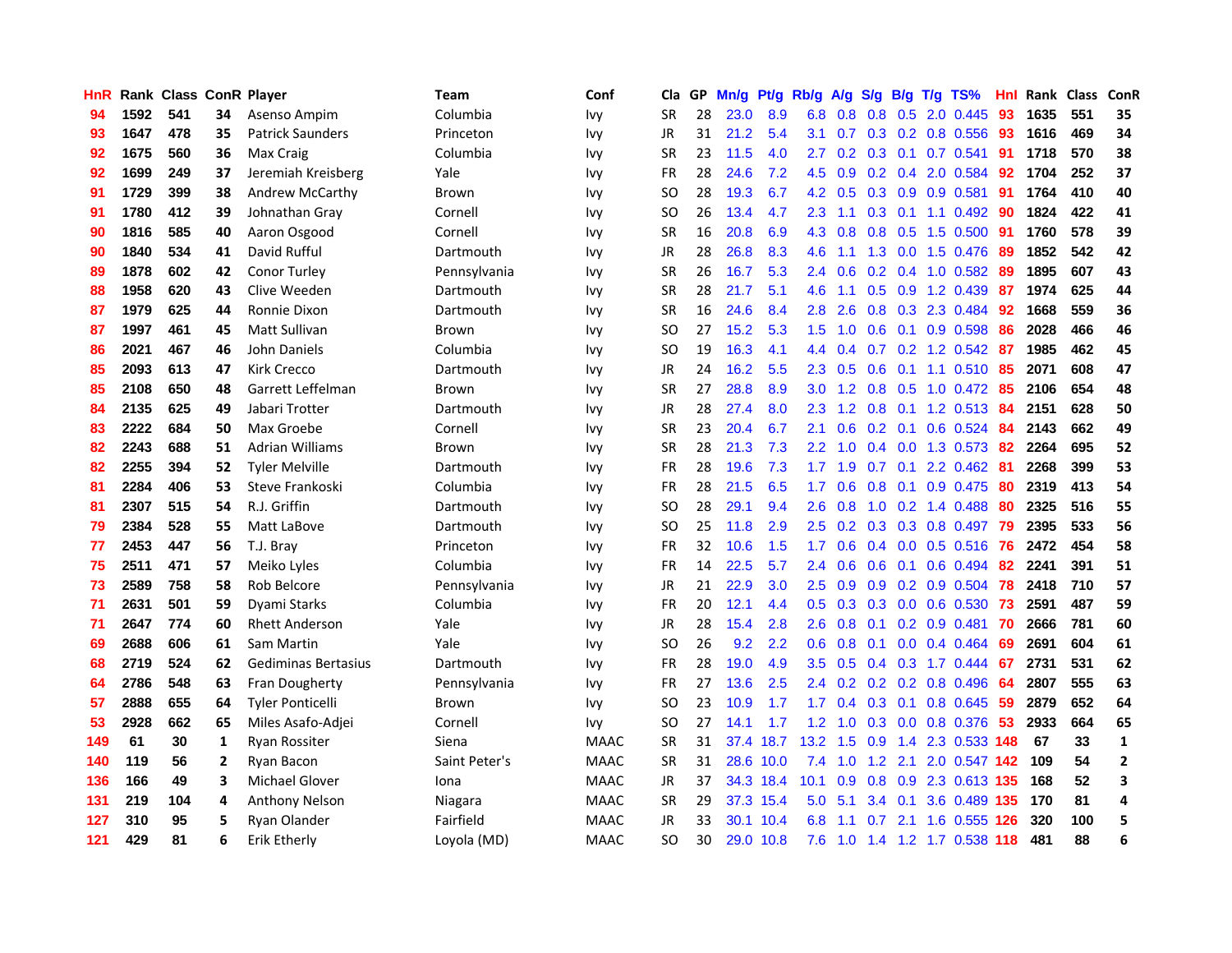| HnR |      | <b>Rank Class ConR Player</b> |                |                         | <b>Team</b>   | Conf        | Cla       |    | GP Mn/g | Pt/g      | Rb/g             | A/g             | S/g       | B/g             | $T/g$ TS%                 | Hnl |      | Rank Class | ConR           |
|-----|------|-------------------------------|----------------|-------------------------|---------------|-------------|-----------|----|---------|-----------|------------------|-----------------|-----------|-----------------|---------------------------|-----|------|------------|----------------|
| 94  | 1592 | 541                           | 34             | Asenso Ampim            | Columbia      | Ivy         | <b>SR</b> | 28 | 23.0    | 8.9       | 6.8              | 0.8             | 0.8       | 0.5             | 2.0 0.445                 | 93  | 1635 | 551        | 35             |
| 93  | 1647 | 478                           | 35             | <b>Patrick Saunders</b> | Princeton     | <b>Ivy</b>  | JR        | 31 | 21.2    | 5.4       | 3.1              | 0.7             |           | $0.3 \quad 0.2$ | 0.8 0.556                 | -93 | 1616 | 469        | 34             |
| 92  | 1675 | 560                           | 36             | Max Craig               | Columbia      | <b>Ivy</b>  | <b>SR</b> | 23 | 11.5    | 4.0       | $2.7^{\circ}$    |                 |           | $0.2$ 0.3 0.1   | $0.7$ $0.541$             | -91 | 1718 | 570        | 38             |
| 92  | 1699 | 249                           | 37             | Jeremiah Kreisberg      | Yale          | <b>Ivy</b>  | FR        | 28 | 24.6    | 7.2       |                  | $4.5\quad 0.9$  |           |                 | 0.2 0.4 2.0 0.584         | 92  | 1704 | 252        | 37             |
| 91  | 1729 | 399                           | 38             | <b>Andrew McCarthy</b>  | Brown         | <b>Ivy</b>  | SO.       | 28 | 19.3    | 6.7       |                  | $4.2 \quad 0.5$ |           |                 | 0.3 0.9 0.9 0.581         | 91  | 1764 | 410        | 40             |
| 91  | 1780 | 412                           | 39             | Johnathan Gray          | Cornell       | <b>Ivy</b>  | SO.       | 26 | 13.4    | 4.7       | $2.3^{\circ}$    | 1.1             |           |                 | $0.3$ 0.1 1.1 0.492       | 90  | 1824 | 422        | 41             |
| 90  | 1816 | 585                           | 40             | Aaron Osgood            | Cornell       | <b>Ivy</b>  | <b>SR</b> | 16 | 20.8    | 6.9       | 4.3              | 0.8             |           |                 | $0.8$ 0.5 1.5 0.500       | -91 | 1760 | 578        | 39             |
| 90  | 1840 | 534                           | 41             | David Rufful            | Dartmouth     | <b>Ivy</b>  | <b>JR</b> | 28 | 26.8    | 8.3       | 4.6              | 1.1             |           |                 | 1.3 0.0 1.5 0.476         | 89  | 1852 | 542        | 42             |
| 89  | 1878 | 602                           | 42             | Conor Turley            | Pennsylvania  | <b>Ivy</b>  | <b>SR</b> | 26 | 16.7    | 5.3       | 2.4              | 0.6             |           |                 | 0.2 0.4 1.0 0.582         | 89  | 1895 | 607        | 43             |
| 88  | 1958 | 620                           | 43             | Clive Weeden            | Dartmouth     | <b>Ivy</b>  | <b>SR</b> | 28 | 21.7    | 5.1       | 4.6              | 1.1             |           |                 | 0.5 0.9 1.2 0.439         | 87  | 1974 | 625        | 44             |
| 87  | 1979 | 625                           | 44             | Ronnie Dixon            | Dartmouth     | <b>Ivy</b>  | <b>SR</b> | 16 | 24.6    | 8.4       | 2.8              | 2.6             |           | $0.8\quad 0.3$  | 2.3 0.484                 | 92  | 1668 | 559        | 36             |
| 87  | 1997 | 461                           | 45             | Matt Sullivan           | Brown         | <b>Ivy</b>  | SO.       | 27 | 15.2    | 5.3       | 1.5 <sub>1</sub> | 1.0             | 0.6       |                 | 0.1 0.9 0.598             | 86  | 2028 | 466        | 46             |
| 86  | 2021 | 467                           | 46             | John Daniels            | Columbia      | <b>Ivy</b>  | <b>SO</b> | 19 | 16.3    | 4.1       | $4.4^{\circ}$    | 0.4             | 0.7       |                 | $0.2$ 1.2 0.542           | 87  | 1985 | 462        | 45             |
| 85  | 2093 | 613                           | 47             | <b>Kirk Crecco</b>      | Dartmouth     | <b>Ivy</b>  | <b>JR</b> | 24 | 16.2    | 5.5       | 2.3              | 0.5             | 0.6       | 0.1             | 1.1 0.510                 | 85  | 2071 | 608        | 47             |
| 85  | 2108 | 650                           | 48             | Garrett Leffelman       | Brown         | <b>Ivy</b>  | <b>SR</b> | 27 | 28.8    | 8.9       | 3.0 <sub>2</sub> | 1.2             | 0.8       | 0.5             | 1.0 0.472                 | 85  | 2106 | 654        | 48             |
| 84  | 2135 | 625                           | 49             | Jabari Trotter          | Dartmouth     | <b>Ivy</b>  | JR        | 28 | 27.4    | 8.0       | 2.3              | 1.2             | $0.8$ 0.1 |                 | 1.2 0.513 84              |     | 2151 | 628        | 50             |
| 83  | 2222 | 684                           | 50             | Max Groebe              | Cornell       | <b>Ivy</b>  | <b>SR</b> | 23 | 20.4    | 6.7       | 2.1              | 0.6             |           | $0.2 \quad 0.1$ | 0.6 0.524 84              |     | 2143 | 662        | 49             |
| 82  | 2243 | 688                           | 51             | <b>Adrian Williams</b>  | Brown         | <b>Ivy</b>  | <b>SR</b> | 28 | 21.3    | 7.3       | $2.2^{\circ}$    | 1.0             |           |                 | 0.4 0.0 1.3 0.573 82      |     | 2264 | 695        | 52             |
| 82  | 2255 | 394                           | 52             | <b>Tyler Melville</b>   | Dartmouth     | <b>Ivy</b>  | <b>FR</b> | 28 | 19.6    | 7.3       |                  | $1.7$ 1.9       |           |                 | $0.7$ 0.1 2.2 0.462       | -81 | 2268 | 399        | 53             |
| 81  | 2284 | 406                           | 53             | Steve Frankoski         | Columbia      | <b>Ivy</b>  | FR        | 28 | 21.5    | 6.5       | 1.7              | 0.6             | 0.8       |                 | 0.1 0.9 0.475             | -80 | 2319 | 413        | 54             |
| 81  | 2307 | 515                           | 54             | R.J. Griffin            | Dartmouth     | <b>Ivy</b>  | <b>SO</b> | 28 | 29.1    | 9.4       | 2.6              | 0.8             | 1.0       |                 | 0.2 1.4 0.488             | 80  | 2325 | 516        | 55             |
| 79  | 2384 | 528                           | 55             | Matt LaBove             | Dartmouth     | <b>Ivy</b>  | <b>SO</b> | 25 | 11.8    | 2.9       | 2.5              | 0.2             |           |                 | 0.3 0.3 0.8 0.497         | -79 | 2395 | 533        | 56             |
| 77  | 2453 | 447                           | 56             | T.J. Bray               | Princeton     | <b>Ivy</b>  | <b>FR</b> | 32 | 10.6    | 1.5       | 1.7              | 0.6             |           |                 | $0.4$ 0.0 0.5 0.516       | 76  | 2472 | 454        | 58             |
| 75  | 2511 | 471                           | 57             | Meiko Lyles             | Columbia      | <b>Ivy</b>  | <b>FR</b> | 14 | 22.5    | 5.7       | 2.4              | 0.6             | 0.6       | 0.1             | 0.6 0.494                 | 82  | 2241 | 391        | 51             |
| 73  | 2589 | 758                           | 58             | Rob Belcore             | Pennsylvania  | <b>Ivy</b>  | JR        | 21 | 22.9    | 3.0       | 2.5              | 0.9             | 0.9       |                 | 0.2 0.9 0.504             | 78  | 2418 | 710        | 57             |
| 71  | 2631 | 501                           | 59             | Dyami Starks            | Columbia      | <b>Ivy</b>  | <b>FR</b> | 20 | 12.1    | 4.4       | 0.5              | 0.3             | 0.3       |                 | 0.0 0.6 0.530             | -73 | 2591 | 487        | 59             |
| 71  | 2647 | 774                           | 60             | <b>Rhett Anderson</b>   | Yale          | <b>Ivy</b>  | <b>JR</b> | 28 | 15.4    | 2.8       | 2.6              | 0.8             | 0.1       | 0.2             | $0.9$ $0.481$             | 70  | 2666 | 781        | 60             |
| 69  | 2688 | 606                           | 61             | Sam Martin              | Yale          | <b>Ivy</b>  | <b>SO</b> | 26 | 9.2     | 2.2       | 0.6              | 0.8             | 0.1       |                 | $0.0$ $0.4$ $0.464$       | 69  | 2691 | 604        | 61             |
| 68  | 2719 | 524                           | 62             | Gediminas Bertasius     | Dartmouth     | <b>Ivy</b>  | <b>FR</b> | 28 | 19.0    | 4.9       | $3.5^{\circ}$    | 0.5             |           |                 | $0.4$ 0.3 1.7 0.444       | 67  | 2731 | 531        | 62             |
| 64  | 2786 | 548                           | 63             | Fran Dougherty          | Pennsylvania  | <b>Ivy</b>  | <b>FR</b> | 27 | 13.6    | 2.5       |                  |                 |           |                 | 2.4 0.2 0.2 0.2 0.8 0.496 | -64 | 2807 | 555        | 63             |
| 57  | 2888 | 655                           | 64             | <b>Tyler Ponticelli</b> | Brown         | <b>Ivy</b>  | SO.       | 23 | 10.9    | 1.7       | 1.7 <sub>2</sub> | 0.4             |           | $0.3 \quad 0.1$ | 0.8 0.645                 | -59 | 2879 | 652        | 64             |
| 53  | 2928 | 662                           | 65             | Miles Asafo-Adjei       | Cornell       | Ivy         | SO.       | 27 | 14.1    | 1.7       |                  | $1.2 \quad 1.0$ |           |                 | 0.3 0.0 0.8 0.376         | -53 | 2933 | 664        | 65             |
| 149 | 61   | 30                            | 1              | Ryan Rossiter           | Siena         | <b>MAAC</b> | <b>SR</b> | 31 |         | 37.4 18.7 | 13.2             | 1.5             | 0.9       |                 | 1.4 2.3 0.533 148         |     | 67   | 33         | $\mathbf 1$    |
| 140 | 119  | 56                            | $\overline{2}$ | Rvan Bacon              | Saint Peter's | <b>MAAC</b> | <b>SR</b> | 31 |         | 28.6 10.0 | 7.4              | 1.0             | 1.2       | 2.1             | 2.0 0.547 142             |     | 109  | 54         | $\overline{2}$ |
| 136 | 166  | 49                            | 3              | <b>Michael Glover</b>   | Iona          | <b>MAAC</b> | JR        | 37 |         | 34.3 18.4 | 10.1             | 0.9             | 0.8       | 0.9             | 2.3 0.613 135             |     | 168  | 52         | 3              |
| 131 | 219  | 104                           | 4              | <b>Anthony Nelson</b>   | Niagara       | <b>MAAC</b> | <b>SR</b> | 29 |         | 37.3 15.4 | 5.0              | 5.1             | 3.4       | 0.1             | 3.6 0.489 135             |     | 170  | 81         | 4              |
| 127 | 310  | 95                            | 5              | Ryan Olander            | Fairfield     | <b>MAAC</b> | JR        | 33 |         | 30.1 10.4 | 6.8              | 1.1             | 0.7       | 2.1             | 1.6 0.555                 | 126 | 320  | 100        | 5              |
| 121 | 429  | 81                            | 6              | <b>Erik Etherly</b>     | Loyola (MD)   | <b>MAAC</b> | SO.       | 30 |         | 29.0 10.8 |                  | $7.6$ 1.0       |           |                 | 1.4 1.2 1.7 0.538 118     |     | 481  | 88         | 6              |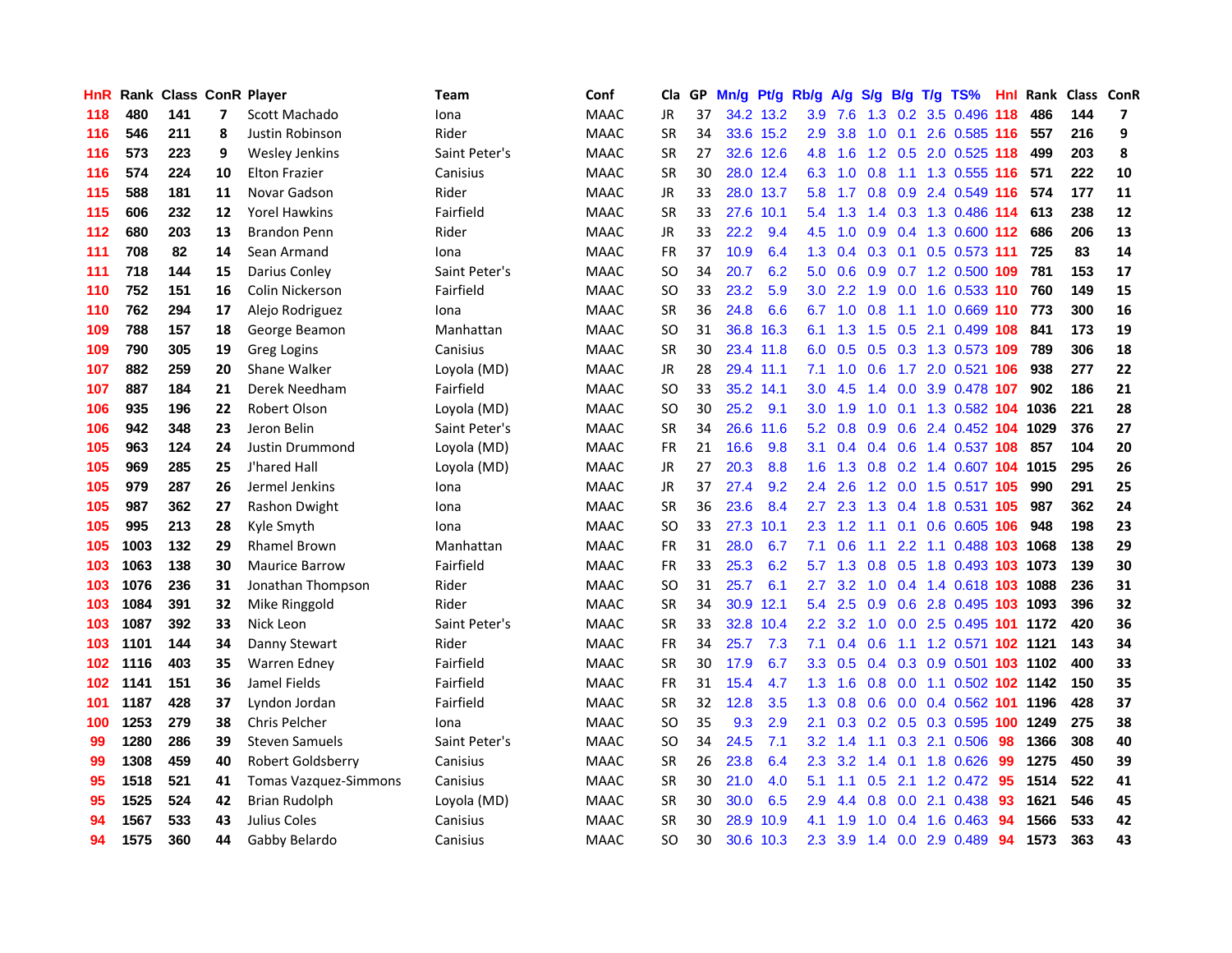| HnR. |      | Rank Class ConR Player |    |                              | Team          | Conf        | Cla           | GP. | Mn/g Pt/g Rb/g |           |                  | <b>A/g</b>      |               |     | S/g B/g T/g TS%                | Hnl |      | Rank Class | <b>ConR</b>             |
|------|------|------------------------|----|------------------------------|---------------|-------------|---------------|-----|----------------|-----------|------------------|-----------------|---------------|-----|--------------------------------|-----|------|------------|-------------------------|
| 118  | 480  | 141                    | 7  | Scott Machado                | Iona          | <b>MAAC</b> | JR            | 37  |                | 34.2 13.2 | 3.9              | 7.6             | 1.3           | 0.2 | 3.5 0.496                      | 118 | 486  | 144        | $\overline{\mathbf{z}}$ |
| 116  | 546  | 211                    | 8  | Justin Robinson              | Rider         | <b>MAAC</b> | <b>SR</b>     | 34  |                | 33.6 15.2 | 2.9              | 3.8             | 1.0           | 0.1 | 2.6 0.585 116                  |     | 557  | 216        | 9                       |
| 116  | 573  | 223                    | 9  | <b>Wesley Jenkins</b>        | Saint Peter's | <b>MAAC</b> | <b>SR</b>     | 27  |                | 32.6 12.6 | 4.8              | 1.6             | 1.2           | 0.5 | 2.0 0.525 118                  |     | 499  | 203        | 8                       |
| 116  | 574  | 224                    | 10 | <b>Elton Frazier</b>         | Canisius      | <b>MAAC</b> | <b>SR</b>     | 30  |                | 28.0 12.4 | 6.3              | 1.0             | 0.8           | 1.1 | 1.3 0.555 116                  |     | 571  | 222        | 10                      |
| 115  | 588  | 181                    | 11 | Novar Gadson                 | Rider         | <b>MAAC</b> | JR            | 33  |                | 28.0 13.7 | 5.8              | 1.7             |               |     | 0.8 0.9 2.4 0.549 116          |     | 574  | 177        | 11                      |
| 115  | 606  | 232                    | 12 | <b>Yorel Hawkins</b>         | Fairfield     | <b>MAAC</b> | <b>SR</b>     | 33  |                | 27.6 10.1 |                  | $5.4$ 1.3       |               |     | 1.4 0.3 1.3 0.486 114          |     | 613  | 238        | 12                      |
| 112  | 680  | 203                    | 13 | <b>Brandon Penn</b>          | Rider         | <b>MAAC</b> | <b>JR</b>     | 33  | 22.2           | 9.4       | 4.5              | 1.0             |               |     | 0.9 0.4 1.3 0.600 112          |     | 686  | 206        | 13                      |
| 111  | 708  | 82                     | 14 | Sean Armand                  | Iona          | <b>MAAC</b> | FR            | 37  | 10.9           | 6.4       | 1.3              | 0.4             |               |     | 0.3 0.1 0.5 0.573 111          |     | 725  | 83         | 14                      |
| 111  | 718  | 144                    | 15 | Darius Conley                | Saint Peter's | <b>MAAC</b> | <sub>SO</sub> | 34  | 20.7           | 6.2       | 5.0              | 0.6             |               |     | 0.9 0.7 1.2 0.500 109          |     | 781  | 153        | 17                      |
| 110  | 752  | 151                    | 16 | Colin Nickerson              | Fairfield     | <b>MAAC</b> | <sub>SO</sub> | 33  | 23.2           | 5.9       | 3.0 <sub>2</sub> | 2.2             | 1.9           |     | 0.0 1.6 0.533 110              |     | 760  | 149        | 15                      |
| 110  | 762  | 294                    | 17 | Alejo Rodriguez              | Iona          | <b>MAAC</b> | <b>SR</b>     | 36  | 24.8           | 6.6       | 6.7              | 1.0             | 0.8           | 1.1 | 1.0 0.669 110                  |     | 773  | 300        | 16                      |
| 109  | 788  | 157                    | 18 | George Beamon                | Manhattan     | <b>MAAC</b> | <b>SO</b>     | 31  |                | 36.8 16.3 | 6.1              | 1.3             | 1.5           | 0.5 | 2.1 0.499 108                  |     | 841  | 173        | 19                      |
| 109  | 790  | 305                    | 19 | <b>Greg Logins</b>           | Canisius      | <b>MAAC</b> | <b>SR</b>     | 30  |                | 23.4 11.8 | 6.0              | 0.5             | 0.5           |     | 0.3 1.3 0.573 109              |     | 789  | 306        | 18                      |
| 107  | 882  | 259                    | 20 | Shane Walker                 | Loyola (MD)   | <b>MAAC</b> | JR            | 28  |                | 29.4 11.1 | 7.1              | 1.0             | 0.6           | 1.7 | 2.0 0.521 106                  |     | 938  | 277        | 22                      |
| 107  | 887  | 184                    | 21 | Derek Needham                | Fairfield     | <b>MAAC</b> | <b>SO</b>     | 33  |                | 35.2 14.1 | 3.0              | 4.5             | 1.4           | 0.0 | 3.9 0.478 107                  |     | 902  | 186        | 21                      |
| 106  | 935  | 196                    | 22 | Robert Olson                 | Loyola (MD)   | <b>MAAC</b> | <sub>SO</sub> | 30  | 25.2           | 9.1       | 3.0 <sub>1</sub> | 1.9             | 1.0           | 0.1 | 1.3 0.582 104                  |     | 1036 | 221        | 28                      |
| 106  | 942  | 348                    | 23 | Jeron Belin                  | Saint Peter's | <b>MAAC</b> | <b>SR</b>     | 34  |                | 26.6 11.6 |                  | $5.2 \quad 0.8$ | 0.9           |     | 0.6 2.4 0.452 104 1029         |     |      | 376        | 27                      |
| 105  | 963  | 124                    | 24 | Justin Drummond              | Loyola (MD)   | <b>MAAC</b> | <b>FR</b>     | 21  | 16.6           | 9.8       | 3.1              | 0.4             |               |     | 0.4 0.6 1.4 0.537 108          |     | 857  | 104        | 20                      |
| 105  | 969  | 285                    | 25 | J'hared Hall                 | Loyola (MD)   | <b>MAAC</b> | JR            | 27  | 20.3           | 8.8       | 1.6 <sup>1</sup> |                 |               |     | 1.3 0.8 0.2 1.4 0.607 104 1015 |     |      | 295        | 26                      |
| 105  | 979  | 287                    | 26 | Jermel Jenkins               | Iona          | <b>MAAC</b> | JR            | 37  | 27.4           | 9.2       | $2.4^{\circ}$    | 2.6             |               |     | 1.2 0.0 1.5 0.517 105          |     | 990  | 291        | 25                      |
| 105  | 987  | 362                    | 27 | Rashon Dwight                | Iona          | <b>MAAC</b> | <b>SR</b>     | 36  | 23.6           | 8.4       | $2.7^{\circ}$    | 2.3             |               |     | 1.3 0.4 1.8 0.531 105          |     | 987  | 362        | 24                      |
| 105  | 995  | 213                    | 28 | Kyle Smyth                   | Iona          | <b>MAAC</b> | <sub>SO</sub> | 33  | 27.3           | 10.1      | 2.3              | 1.2             | 1.1           | 0.1 | 0.6 0.605 106                  |     | 948  | 198        | 23                      |
| 105  | 1003 | 132                    | 29 | <b>Rhamel Brown</b>          | Manhattan     | <b>MAAC</b> | <b>FR</b>     | 31  | 28.0           | 6.7       | 7.1              | 0.6             | 1.1           |     | 2.2 1.1 0.488 103 1068         |     |      | 138        | 29                      |
| 103  | 1063 | 138                    | 30 | <b>Maurice Barrow</b>        | Fairfield     | <b>MAAC</b> | FR            | 33  | 25.3           | 6.2       | 5.7              | 1.3             | 0.8           | 0.5 | 1.8 0.493 103 1073             |     |      | 139        | 30                      |
| 103  | 1076 | 236                    | 31 | Jonathan Thompson            | Rider         | <b>MAAC</b> | SO.           | 31  | 25.7           | 6.1       | 2.7              | 3.2             | 1.0           |     | 0.4 1.4 0.618 103 1088         |     |      | 236        | 31                      |
| 103  | 1084 | 391                    | 32 | Mike Ringgold                | Rider         | <b>MAAC</b> | <b>SR</b>     | 34  |                | 30.9 12.1 | 5.4              | 2.5             | 0.9           | 0.6 | 2.8 0.495 103                  |     | 1093 | 396        | 32                      |
| 103  | 1087 | 392                    | 33 | Nick Leon                    | Saint Peter's | <b>MAAC</b> | SR            | 33  |                | 32.8 10.4 | $2.2^{\circ}$    | 3.2             | 1.0           | 0.0 | 2.5 0.495 101                  |     | 1172 | 420        | 36                      |
| 103  | 1101 | 144                    | 34 | Danny Stewart                | Rider         | <b>MAAC</b> | <b>FR</b>     | 34  | 25.7           | 7.3       | 7.1              | 0.4             | 0.6           | 1.1 | 1.2 0.571 102 1121             |     |      | 143        | 34                      |
| 102  | 1116 | 403                    | 35 | <b>Warren Edney</b>          | Fairfield     | <b>MAAC</b> | <b>SR</b>     | 30  | 17.9           | 6.7       | 3.3 <sub>2</sub> | 0.5             |               |     | 0.4 0.3 0.9 0.501 103 1102     |     |      | 400        | 33                      |
| 102  | 1141 | 151                    | 36 | Jamel Fields                 | Fairfield     | <b>MAAC</b> | FR            | 31  | 15.4           | 4.7       | 1.3 <sub>1</sub> |                 |               |     | 1.6 0.8 0.0 1.1 0.502 102 1142 |     |      | 150        | 35                      |
| 101  | 1187 | 428                    | 37 | Lyndon Jordan                | Fairfield     | <b>MAAC</b> | <b>SR</b>     | 32  | 12.8           | 3.5       |                  | $1.3 \quad 0.8$ |               |     | 0.6 0.0 0.4 0.562 101 1196     |     |      | 428        | 37                      |
| 100  | 1253 | 279                    | 38 | <b>Chris Pelcher</b>         | Iona          | <b>MAAC</b> | <b>SO</b>     | 35  | 9.3            | 2.9       | 2.1              |                 |               |     | $0.3$ 0.2 0.5 0.3 0.595 100    |     | 1249 | 275        | 38                      |
| 99   | 1280 | 286                    | 39 | <b>Steven Samuels</b>        | Saint Peter's | <b>MAAC</b> | <b>SO</b>     | 34  | 24.5           | 7.1       | 3.2              | 1.4             |               |     | 1.1 0.3 2.1 0.506              | 98  | 1366 | 308        | 40                      |
| 99   | 1308 | 459                    | 40 | Robert Goldsberry            | Canisius      | <b>MAAC</b> | <b>SR</b>     | 26  | 23.8           | 6.4       | $2.3\phantom{0}$ | 3.2             | $1.4^{\circ}$ | 0.1 | 1.8 0.626                      | 99  | 1275 | 450        | 39                      |
| 95   | 1518 | 521                    | 41 | <b>Tomas Vazquez-Simmons</b> | Canisius      | <b>MAAC</b> | <b>SR</b>     | 30  | 21.0           | 4.0       | 5.1              | 1.1             | 0.5           | 2.1 | 1.2 0.472                      | 95  | 1514 | 522        | 41                      |
| 95   | 1525 | 524                    | 42 | <b>Brian Rudolph</b>         | Loyola (MD)   | <b>MAAC</b> | <b>SR</b>     | 30  | 30.0           | 6.5       | 2.9              | 4.4             | 0.8           |     | $0.0$ 2.1 $0.438$              | 93  | 1621 | 546        | 45                      |
| 94   | 1567 | 533                    | 43 | Julius Coles                 | Canisius      | <b>MAAC</b> | <b>SR</b>     | 30  | 28.9           | 10.9      | 4.1              | 1.9             | 1.0           | 0.4 | 1.6 0.463                      | 94  | 1566 | 533        | 42                      |
| 94   | 1575 | 360                    | 44 | Gabby Belardo                | Canisius      | <b>MAAC</b> | SO.           | 30  | 30.6           | 10.3      | 2.3              | 3.9             |               |     | 1.4 0.0 2.9 0.489              | 94  | 1573 | 363        | 43                      |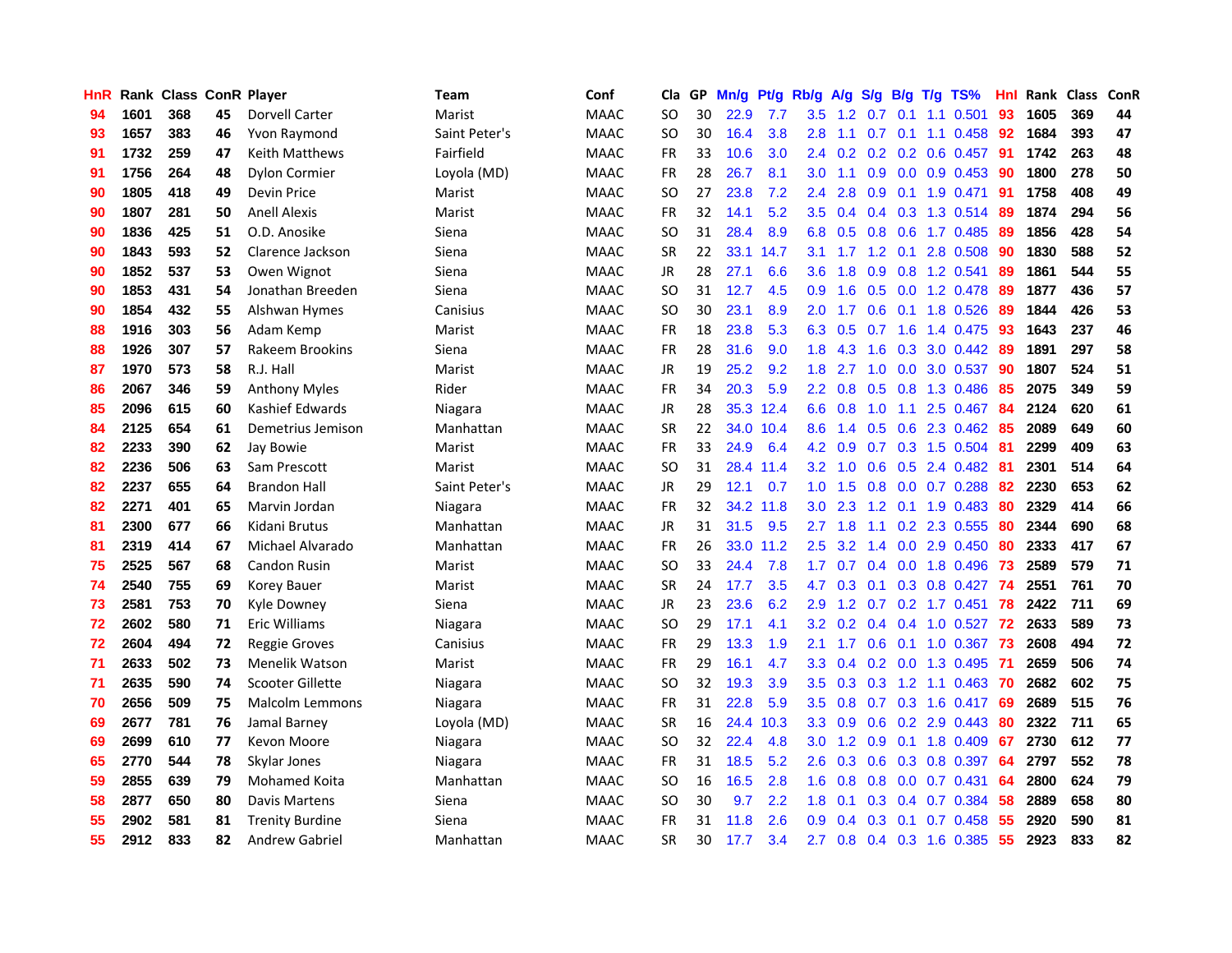| HnR |      | Rank Class ConR Player |    |                        | <b>Team</b>   | Conf        | Cla       | GP | Mn/g |           | Pt/g Rb/g A/g    |         | <b>S/g</b>       |                 | B/g T/g TS%               | Hnl  | Rank Class |     | ConR |
|-----|------|------------------------|----|------------------------|---------------|-------------|-----------|----|------|-----------|------------------|---------|------------------|-----------------|---------------------------|------|------------|-----|------|
| 94  | 1601 | 368                    | 45 | Dorvell Carter         | Marist        | <b>MAAC</b> | <b>SO</b> | 30 | 22.9 | 7.7       | 3.5              | 1.2     | 0.7              | 0.1             | 1.1 0.501                 | 93   | 1605       | 369 | 44   |
| 93  | 1657 | 383                    | 46 | Yvon Raymond           | Saint Peter's | <b>MAAC</b> | <b>SO</b> | 30 | 16.4 | 3.8       | 2.8              | 1.1     | 0.7              | 0.1             | 1.1 0.458                 | 92   | 1684       | 393 | 47   |
| 91  | 1732 | 259                    | 47 | Keith Matthews         | Fairfield     | <b>MAAC</b> | <b>FR</b> | 33 | 10.6 | 3.0       | 2.4              | 0.2     |                  | $0.2 \quad 0.2$ | $0.6$ 0.457               | -91  | 1742       | 263 | 48   |
| 91  | 1756 | 264                    | 48 | <b>Dylon Cormier</b>   | Loyola (MD)   | <b>MAAC</b> | <b>FR</b> | 28 | 26.7 | 8.1       | 3.0              | 1.1     |                  |                 | $0.9$ $0.0$ $0.9$ $0.453$ | -90  | 1800       | 278 | 50   |
| 90  | 1805 | 418                    | 49 | Devin Price            | Marist        | <b>MAAC</b> | <b>SO</b> | 27 | 23.8 | 7.2       | $2.4\,$          | 2.8     |                  |                 | 0.9 0.1 1.9 0.471 91      |      | 1758       | 408 | 49   |
| 90  | 1807 | 281                    | 50 | <b>Anell Alexis</b>    | Marist        | <b>MAAC</b> | <b>FR</b> | 32 | 14.1 | 5.2       | 3.5              | 0.4     |                  |                 | $0.4$ 0.3 1.3 0.514       | -89  | 1874       | 294 | 56   |
| 90  | 1836 | 425                    | 51 | O.D. Anosike           | Siena         | <b>MAAC</b> | <b>SO</b> | 31 | 28.4 | 8.9       | 6.8              | 0.5     |                  |                 | 0.8 0.6 1.7 0.485         | -89  | 1856       | 428 | 54   |
| 90  | 1843 | 593                    | 52 | Clarence Jackson       | Siena         | <b>MAAC</b> | <b>SR</b> | 22 |      | 33.1 14.7 | 3.1              | 1.7     |                  | $1.2 \quad 0.1$ | 2.8 0.508                 | 90   | 1830       | 588 | 52   |
| 90  | 1852 | 537                    | 53 | Owen Wignot            | Siena         | <b>MAAC</b> | <b>JR</b> | 28 | 27.1 | 6.6       | 3.6              | 1.8     | 0.9              |                 | 0.8 1.2 0.541             | 89   | 1861       | 544 | 55   |
| 90  | 1853 | 431                    | 54 | Jonathan Breeden       | Siena         | <b>MAAC</b> | <b>SO</b> | 31 | 12.7 | 4.5       | 0.9              | 1.6     | 0.5              |                 | 0.0 1.2 0.478             | -89  | 1877       | 436 | 57   |
| 90  | 1854 | 432                    | 55 | Alshwan Hymes          | Canisius      | <b>MAAC</b> | <b>SO</b> | 30 | 23.1 | 8.9       | 2.0              | 1.7     | 0.6              |                 | 0.1 1.8 0.526             | -89  | 1844       | 426 | 53   |
| 88  | 1916 | 303                    | 56 | Adam Kemp              | Marist        | <b>MAAC</b> | <b>FR</b> | 18 | 23.8 | 5.3       | 6.3              | 0.5     | 0.7              | 1.6             | 1.4 0.475                 | 93   | 1643       | 237 | 46   |
| 88  | 1926 | 307                    | 57 | Rakeem Brookins        | Siena         | <b>MAAC</b> | <b>FR</b> | 28 | 31.6 | 9.0       | 1.8              | 4.3     | 1.6              | 0.3             | 3.0 0.442                 | -89  | 1891       | 297 | 58   |
| 87  | 1970 | 573                    | 58 | R.J. Hall              | Marist        | <b>MAAC</b> | JR        | 19 | 25.2 | 9.2       | 1.8              | 2.7     | 1.0              | 0.0             | 3.0 0.537                 | 90   | 1807       | 524 | 51   |
| 86  | 2067 | 346                    | 59 | <b>Anthony Myles</b>   | Rider         | <b>MAAC</b> | <b>FR</b> | 34 | 20.3 | 5.9       | $2.2^{\circ}$    | 0.8     | 0.5              | 0.8             | 1.3 0.486                 | 85   | 2075       | 349 | 59   |
| 85  | 2096 | 615                    | 60 | Kashief Edwards        | Niagara       | <b>MAAC</b> | <b>JR</b> | 28 |      | 35.3 12.4 | 6.6              | 0.8     | 1.0              | 1.1             | 2.5 0.467                 | -84  | 2124       | 620 | 61   |
| 84  | 2125 | 654                    | 61 | Demetrius Jemison      | Manhattan     | <b>MAAC</b> | <b>SR</b> | 22 |      | 34.0 10.4 | 8.6              | 1.4     |                  |                 | $0.5$ $0.6$ 2.3 $0.462$   | -85  | 2089       | 649 | 60   |
| 82  | 2233 | 390                    | 62 | Jay Bowie              | Marist        | <b>MAAC</b> | FR        | 33 | 24.9 | 6.4       |                  | 4.2 0.9 |                  |                 | 0.7 0.3 1.5 0.504 81      |      | 2299       | 409 | 63   |
| 82  | 2236 | 506                    | 63 | Sam Prescott           | Marist        | <b>MAAC</b> | SO.       | 31 |      | 28.4 11.4 | 3.2              | 1.0     |                  |                 | $0.6$ $0.5$ 2.4 $0.482$   | -81  | 2301       | 514 | 64   |
| 82  | 2237 | 655                    | 64 | <b>Brandon Hall</b>    | Saint Peter's | <b>MAAC</b> | JR        | 29 | 12.1 | 0.7       | 1.0 <sub>1</sub> | 1.5     |                  |                 | $0.8$ 0.0 0.7 0.288       | -82  | 2230       | 653 | 62   |
| 82  | 2271 | 401                    | 65 | Marvin Jordan          | Niagara       | <b>MAAC</b> | <b>FR</b> | 32 |      | 34.2 11.8 | 3.0 <sub>1</sub> | 2.3     | 1.2              |                 | 0.1 1.9 0.483             | 80   | 2329       | 414 | 66   |
| 81  | 2300 | 677                    | 66 | Kidani Brutus          | Manhattan     | <b>MAAC</b> | <b>JR</b> | 31 | 31.5 | 9.5       | 2.7              | 1.8     | 1.1              |                 | 0.2 2.3 0.555             | 80   | 2344       | 690 | 68   |
| 81  | 2319 | 414                    | 67 | Michael Alvarado       | Manhattan     | <b>MAAC</b> | <b>FR</b> | 26 |      | 33.0 11.2 | 2.5              | 3.2     | 1.4              |                 | $0.0$ 2.9 $0.450$         | 80   | 2333       | 417 | 67   |
| 75  | 2525 | 567                    | 68 | Candon Rusin           | Marist        | <b>MAAC</b> | <b>SO</b> | 33 | 24.4 | 7.8       | 1.7              | 0.7     |                  |                 | $0.4$ 0.0 1.8 0.496       | 73   | 2589       | 579 | 71   |
| 74  | 2540 | 755                    | 69 | Korey Bauer            | Marist        | <b>MAAC</b> | <b>SR</b> | 24 | 17.7 | 3.5       | 4.7              | 0.3     | 0.1              |                 | 0.3 0.8 0.427             | -74  | 2551       | 761 | 70   |
| 73  | 2581 | 753                    | 70 | Kyle Downey            | Siena         | <b>MAAC</b> | JR.       | 23 | 23.6 | 6.2       | 2.9              | 1.2     | 0.7              |                 | $0.2$ 1.7 $0.451$         | -78  | 2422       | 711 | 69   |
| 72  | 2602 | 580                    | 71 | Eric Williams          | Niagara       | <b>MAAC</b> | <b>SO</b> | 29 | 17.1 | 4.1       | 3.2              | 0.2     |                  |                 | 0.4 0.4 1.0 0.527         | -72  | 2633       | 589 | 73   |
| 72  | 2604 | 494                    | 72 | <b>Reggie Groves</b>   | Canisius      | <b>MAAC</b> | <b>FR</b> | 29 | 13.3 | 1.9       | 2.1              | 1.7     | 0.6              |                 | 0.1 1.0 0.367             | -73  | 2608       | 494 | 72   |
| 71  | 2633 | 502                    | 73 | <b>Menelik Watson</b>  | Marist        | <b>MAAC</b> | <b>FR</b> | 29 | 16.1 | 4.7       | 3.3              | 0.4     |                  | $0.2 \quad 0.0$ | 1.3 0.495                 | -71  | 2659       | 506 | 74   |
| 71  | 2635 | 590                    | 74 | Scooter Gillette       | Niagara       | <b>MAAC</b> | <b>SO</b> | 32 | 19.3 | 3.9       | $3.5\,$          | 0.3     |                  |                 | $0.3$ 1.2 1.1 0.463       | - 70 | 2682       | 602 | 75   |
| 70  | 2656 | 509                    | 75 | <b>Malcolm Lemmons</b> | Niagara       | <b>MAAC</b> | FR        | 31 | 22.8 | 5.9       | $3.5\,$          | 0.8     |                  |                 | 0.7 0.3 1.6 0.417 69      |      | 2689       | 515 | 76   |
| 69  | 2677 | 781                    | 76 | Jamal Barney           | Loyola (MD)   | <b>MAAC</b> | <b>SR</b> | 16 |      | 24.4 10.3 | 3.3 <sub>2</sub> | 0.9     |                  |                 | $0.6$ $0.2$ $2.9$ $0.443$ | -80  | 2322       | 711 | 65   |
| 69  | 2699 | 610                    | 77 | Kevon Moore            | Niagara       | <b>MAAC</b> | <b>SO</b> | 32 | 22.4 | 4.8       | 3.0 <sub>1</sub> | 1.2     | 0.9              |                 | 0.1 1.8 0.409             | 67   | 2730       | 612 | 77   |
| 65  | 2770 | 544                    | 78 | Skylar Jones           | Niagara       | <b>MAAC</b> | FR        | 31 | 18.5 | 5.2       | 2.6              | 0.3     | 0.6              |                 | 0.3 0.8 0.397             | 64   | 2797       | 552 | 78   |
| 59  | 2855 | 639                    | 79 | <b>Mohamed Koita</b>   | Manhattan     | <b>MAAC</b> | <b>SO</b> | 16 | 16.5 | 2.8       | 1.6              | 0.8     | 0.8              |                 | $0.0$ 0.7 0.431           | 64   | 2800       | 624 | 79   |
| 58  | 2877 | 650                    | 80 | Davis Martens          | Siena         | <b>MAAC</b> | <b>SO</b> | 30 | 9.7  | 2.2       | 1.8              | 0.1     | 0.3 <sub>0</sub> | 0.4             | 0.7 0.384                 | 58   | 2889       | 658 | 80   |
| 55  | 2902 | 581                    | 81 | <b>Trenity Burdine</b> | Siena         | MAAC        | FR        | 31 | 11.8 | 2.6       | 0.9              | 0.4     | 0.3              | 0.1             | 0.7 0.458                 | 55   | 2920       | 590 | 81   |
| 55  | 2912 | 833                    | 82 | Andrew Gabriel         | Manhattan     | <b>MAAC</b> | <b>SR</b> | 30 | 17.7 | 3.4       | 2.7              | 0.8     |                  |                 | 0.4 0.3 1.6 0.385         | 55   | 2923       | 833 | 82   |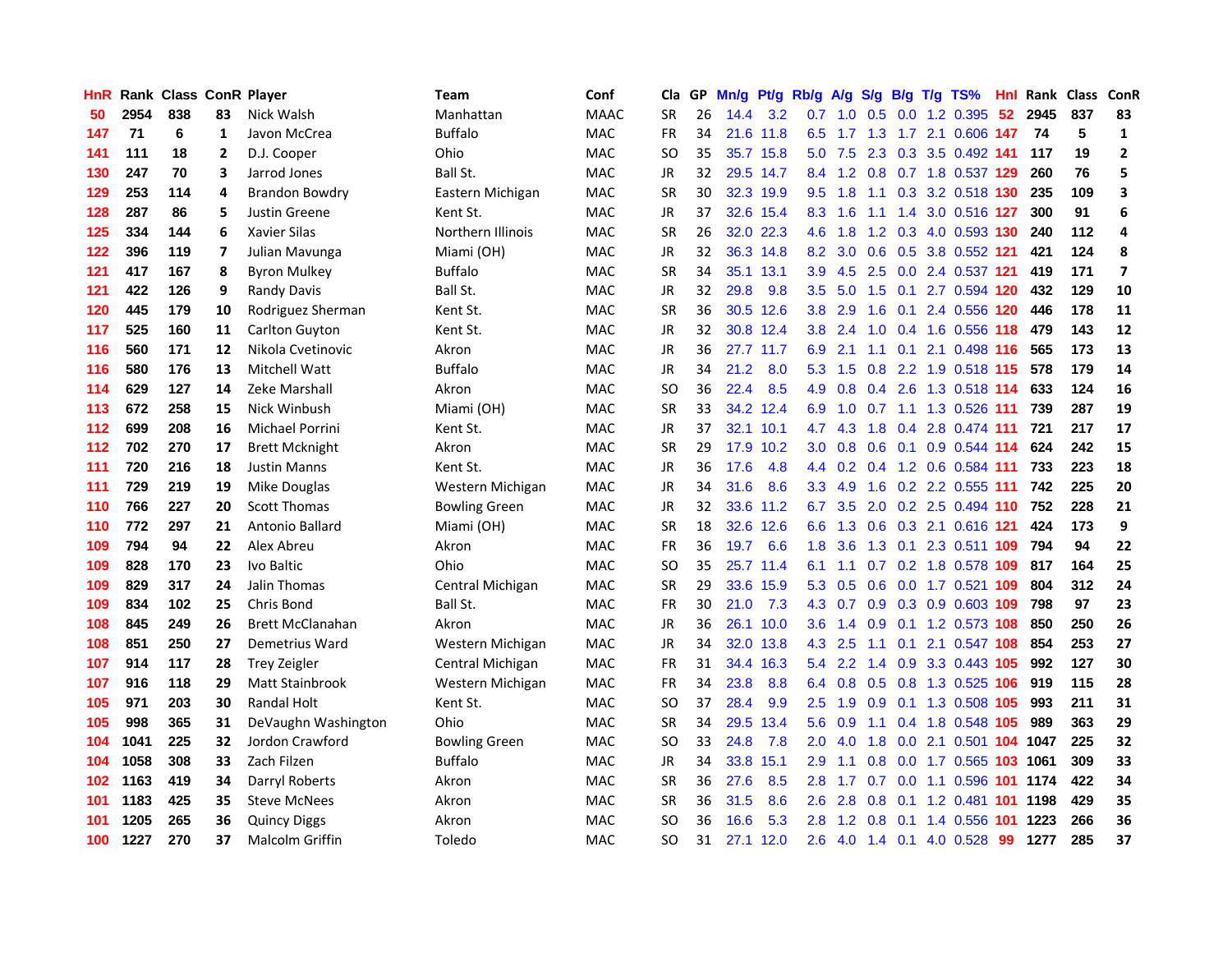| <b>HnR</b> |      | Rank Class ConR Player |                |                         | <b>Team</b>          | Conf        | Cla       |    | GP Mn/g Pt/g |           | Rb/g             | A/g                        |                  |                 | S/g B/g T/g TS%               | Hnl | Rank Class ConR |     |                         |
|------------|------|------------------------|----------------|-------------------------|----------------------|-------------|-----------|----|--------------|-----------|------------------|----------------------------|------------------|-----------------|-------------------------------|-----|-----------------|-----|-------------------------|
| 50         | 2954 | 838                    | 83             | Nick Walsh              | Manhattan            | <b>MAAC</b> | <b>SR</b> | 26 | 14.4         | 3.2       | 0.7              | 1.0                        | 0.5              | 0.0             | 1.2 0.395                     | 52  | 2945            | 837 | 83                      |
| 147        | 71   | 6                      | 1              | Javon McCrea            | <b>Buffalo</b>       | <b>MAC</b>  | <b>FR</b> | 34 |              | 21.6 11.8 | 6.5              | 1.7                        | 1.3              |                 | 1.7 2.1 0.606 147             |     | -74             | 5   | $\mathbf{1}$            |
| 141        | 111  | 18                     | 2              | D.J. Cooper             | Ohio                 | <b>MAC</b>  | <b>SO</b> | 35 |              | 35.7 15.8 | 5.0              | 7.5                        | 2.3              |                 | 0.3 3.5 0.492 141             |     | 117             | 19  | $\mathbf{2}$            |
| 130        | 247  | 70                     | 3              | Jarrod Jones            | Ball St.             | <b>MAC</b>  | JR        | 32 |              | 29.5 14.7 |                  |                            |                  |                 | 8.4 1.2 0.8 0.7 1.8 0.537 129 |     | 260             | 76  | 5                       |
| 129        | 253  | 114                    | 4              | <b>Brandon Bowdry</b>   | Eastern Michigan     | MAC         | <b>SR</b> | 30 |              | 32.3 19.9 |                  | $9.5$ 1.8                  |                  |                 | 1.1 0.3 3.2 0.518 130         |     | 235             | 109 | 3                       |
| 128        | 287  | 86                     | 5              | Justin Greene           | Kent St.             | <b>MAC</b>  | JR        | 37 |              | 32.6 15.4 |                  | $8.3 \quad 1.6$            | 1.1              |                 | 1.4 3.0 0.516 127             |     | 300             | 91  | 6                       |
| 125        | 334  | 144                    | 6              | Xavier Silas            | Northern Illinois    | <b>MAC</b>  | <b>SR</b> | 26 |              | 32.0 22.3 | 4.6              | 1.8                        |                  |                 | 1.2 0.3 4.0 0.593 130         |     | 240             | 112 | 4                       |
| 122        | 396  | 119                    | $\overline{7}$ | Julian Mavunga          | Miami (OH)           | <b>MAC</b>  | <b>JR</b> | 32 |              | 36.3 14.8 | 8.2              | 3.0                        | 0.6              |                 | 0.5 3.8 0.552 121             |     | 421             | 124 | 8                       |
| 121        | 417  | 167                    | 8              | <b>Byron Mulkey</b>     | <b>Buffalo</b>       | <b>MAC</b>  | <b>SR</b> | 34 |              | 35.1 13.1 | 3.9              | 4.5                        | 2.5              |                 | 0.0 2.4 0.537 121             |     | 419             | 171 | $\overline{\mathbf{z}}$ |
| 121        | 422  | 126                    | 9              | <b>Randy Davis</b>      | Ball St.             | MAC         | JR        | 32 | 29.8         | 9.8       | 3.5              | 5.0                        | 1.5              | 0.1             | 2.7 0.594                     | 120 | 432             | 129 | 10                      |
| 120        | 445  | 179                    | 10             | Rodriguez Sherman       | Kent St.             | MAC         | <b>SR</b> | 36 |              | 30.5 12.6 | 3.8              | 2.9                        | 1.6              | 0.1             | 2.4 0.556 120                 |     | 446             | 178 | 11                      |
| 117        | 525  | 160                    | 11             | Carlton Guyton          | Kent St.             | MAC         | <b>JR</b> | 32 |              | 30.8 12.4 | 3.8 <sub>2</sub> | 2.4                        | 1.0              |                 | 0.4 1.6 0.556 118             |     | 479             | 143 | 12                      |
| 116        | 560  | 171                    | 12             | Nikola Cvetinovic       | Akron                | <b>MAC</b>  | <b>JR</b> | 36 |              | 27.7 11.7 | 6.9              | 2.1                        | 1.1              | 0.1             | 2.1 0.498                     | 116 | 565             | 173 | 13                      |
| 116        | 580  | 176                    | 13             | Mitchell Watt           | <b>Buffalo</b>       | <b>MAC</b>  | JR        | 34 | 21.2         | 8.0       | 5.3              | 1.5                        | 0.8              |                 | 2.2 1.9 0.518 115             |     | 578             | 179 | ${\bf 14}$              |
| 114        | 629  | 127                    | 14             | Zeke Marshall           | Akron                | <b>MAC</b>  | <b>SO</b> | 36 | 22.4         | 8.5       | 4.9              | 0.8                        | 0.4              | 2.6             | 1.3 0.518 114                 |     | 633             | 124 | 16                      |
| 113        | 672  | 258                    | 15             | Nick Winbush            | Miami (OH)           | <b>MAC</b>  | <b>SR</b> | 33 |              | 34.2 12.4 | 6.9              | 1.0                        | 0.7              | 1.1             | 1.3 0.526 111                 |     | 739             | 287 | 19                      |
| 112        | 699  | 208                    | 16             | Michael Porrini         | Kent St.             | <b>MAC</b>  | JR        | 37 |              | 32.1 10.1 | 4.7              | 4.3                        | 1.8              |                 | 0.4 2.8 0.474 111             |     | 721             | 217 | 17                      |
| $112$      | 702  | 270                    | 17             | <b>Brett Mcknight</b>   | Akron                | <b>MAC</b>  | <b>SR</b> | 29 |              | 17.9 10.2 | 3.0              | 0.8                        |                  |                 | 0.6 0.1 0.9 0.544 114         |     | 624             | 242 | 15                      |
| 111        | 720  | 216                    | 18             | <b>Justin Manns</b>     | Kent St.             | <b>MAC</b>  | JR        | 36 | 17.6         | 4.8       |                  | 4.4 0.2                    |                  |                 | 0.4 1.2 0.6 0.584 111         |     | 733             | 223 | 18                      |
| 111        | 729  | 219                    | 19             | Mike Douglas            | Western Michigan     | <b>MAC</b>  | JR        | 34 | 31.6         | 8.6       |                  | $3.3 \quad 4.9$            |                  |                 | 1.6 0.2 2.2 0.555 111         |     | 742             | 225 | 20                      |
| 110        | 766  | 227                    | 20             | <b>Scott Thomas</b>     | <b>Bowling Green</b> | <b>MAC</b>  | JR        | 32 |              | 33.6 11.2 | 6.7              | 3.5                        |                  |                 | 2.0 0.2 2.5 0.494 110         |     | 752             | 228 | 21                      |
| 110        | 772  | 297                    | 21             | Antonio Ballard         | Miami (OH)           | MAC         | <b>SR</b> | 18 |              | 32.6 12.6 | 6.6              | 1.3                        |                  |                 | 0.6 0.3 2.1 0.616 121         |     | 424             | 173 | 9                       |
| 109        | 794  | 94                     | 22             | Alex Abreu              | Akron                | <b>MAC</b>  | FR        | 36 | 19.7         | 6.6       | 1.8              | 3.6                        |                  | $1.3 \quad 0.1$ | 2.3 0.511 109                 |     | 794             | 94  | 22                      |
| 109        | 828  | 170                    | 23             | Ivo Baltic              | Ohio                 | MAC         | <b>SO</b> | 35 |              | 25.7 11.4 | 6.1              | 1.1                        |                  |                 | 0.7 0.2 1.8 0.578 109         |     | 817             | 164 | 25                      |
| 109        | 829  | 317                    | 24             | Jalin Thomas            | Central Michigan     | MAC         | <b>SR</b> | 29 |              | 33.6 15.9 | 5.3              | 0.5                        |                  |                 | 0.6 0.0 1.7 0.521             | 109 | 804             | 312 | 24                      |
| 109        | 834  | 102                    | 25             | Chris Bond              | Ball St.             | MAC         | <b>FR</b> | 30 | 21.0         | 7.3       | 4.3              | 0.7                        | 0.9 <sup>°</sup> |                 | 0.3 0.9 0.603 109             |     | 798             | 97  | 23                      |
| 108        | 845  | 249                    | 26             | <b>Brett McClanahan</b> | Akron                | <b>MAC</b>  | JR        | 36 |              | 26.1 10.0 | 3.6              | 1.4                        | 0.9              |                 | 0.1 1.2 0.573 108             |     | 850             | 250 | 26                      |
| 108        | 851  | 250                    | 27             | Demetrius Ward          | Western Michigan     | <b>MAC</b>  | JR        | 34 |              | 32.0 13.8 | 4.3              | 2.5                        | 1.1              | 0.1             | 2.1 0.547 108                 |     | 854             | 253 | 27                      |
| 107        | 914  | 117                    | 28             | <b>Trey Zeigler</b>     | Central Michigan     | <b>MAC</b>  | FR        | 31 |              | 34.4 16.3 | 5.4              | 2.2                        | 1.4              | 0.9             | 3.3 0.443 105                 |     | 992             | 127 | 30                      |
| 107        | 916  | 118                    | 29             | Matt Stainbrook         | Western Michigan     | <b>MAC</b>  | FR        | 34 | 23.8         | 8.8       | 6.4              | 0.8                        |                  |                 | 0.5 0.8 1.3 0.525 106         |     | 919             | 115 | 28                      |
| 105        | 971  | 203                    | 30             | <b>Randal Holt</b>      | Kent St.             | <b>MAC</b>  | SO.       | 37 | 28.4         | 9.9       | 2.5              | 1.9                        |                  |                 | 0.9 0.1 1.3 0.508 105         |     | 993             | 211 | 31                      |
| 105        | 998  | 365                    | 31             | DeVaughn Washington     | Ohio                 | MAC         | <b>SR</b> | 34 |              | 29.5 13.4 | 5.6              | 0.9                        |                  |                 | 1.1 0.4 1.8 0.548 105         |     | 989             | 363 | 29                      |
| 104        | 1041 | 225                    | 32             | Jordon Crawford         | <b>Bowling Green</b> | <b>MAC</b>  | <b>SO</b> | 33 | 24.8         | 7.8       | 2.0              | 4.0                        | 1.8              |                 | 0.0 2.1 0.501 104 1047        |     |                 | 225 | 32                      |
| 104        | 1058 | 308                    | 33             | Zach Filzen             | <b>Buffalo</b>       | MAC         | JR        | 34 |              | 33.8 15.1 | 2.9              | 1.1                        | 0.8 <sub>0</sub> |                 | 0.0 1.7 0.565 103             |     | 1061            | 309 | 33                      |
| 102        | 1163 | 419                    | 34             | Darryl Roberts          | Akron                | <b>MAC</b>  | <b>SR</b> | 36 | 27.6         | 8.5       | 2.8              | 1.7                        |                  |                 | $0.7$ 0.0 1.1 0.596           | 101 | 1174            | 422 | 34                      |
| 101        | 1183 | 425                    | 35             | <b>Steve McNees</b>     | Akron                | <b>MAC</b>  | <b>SR</b> | 36 | 31.5         | 8.6       | 2.6              | 2.8                        | 0.8              | 0.1             | 1.2 0.481                     | 101 | 1198            | 429 | 35                      |
| 101        | 1205 | 265                    | 36             | <b>Quincy Diggs</b>     | Akron                | <b>MAC</b>  | SO.       | 36 | 16.6         | 5.3       | 2.8              | $\blacktriangleleft$<br>.2 | 0.8              | 0.1             | 1.4 0.556                     | 101 | 1223            | 266 | 36                      |
| 100        | 1227 | 270                    | 37             | Malcolm Griffin         | Toledo               | <b>MAC</b>  | <b>SO</b> | 31 |              | 27.1 12.0 | 2.6              | 4.0                        |                  | $1.4 \quad 0.1$ | 4.0 0.528                     | -99 | 1277            | 285 | 37                      |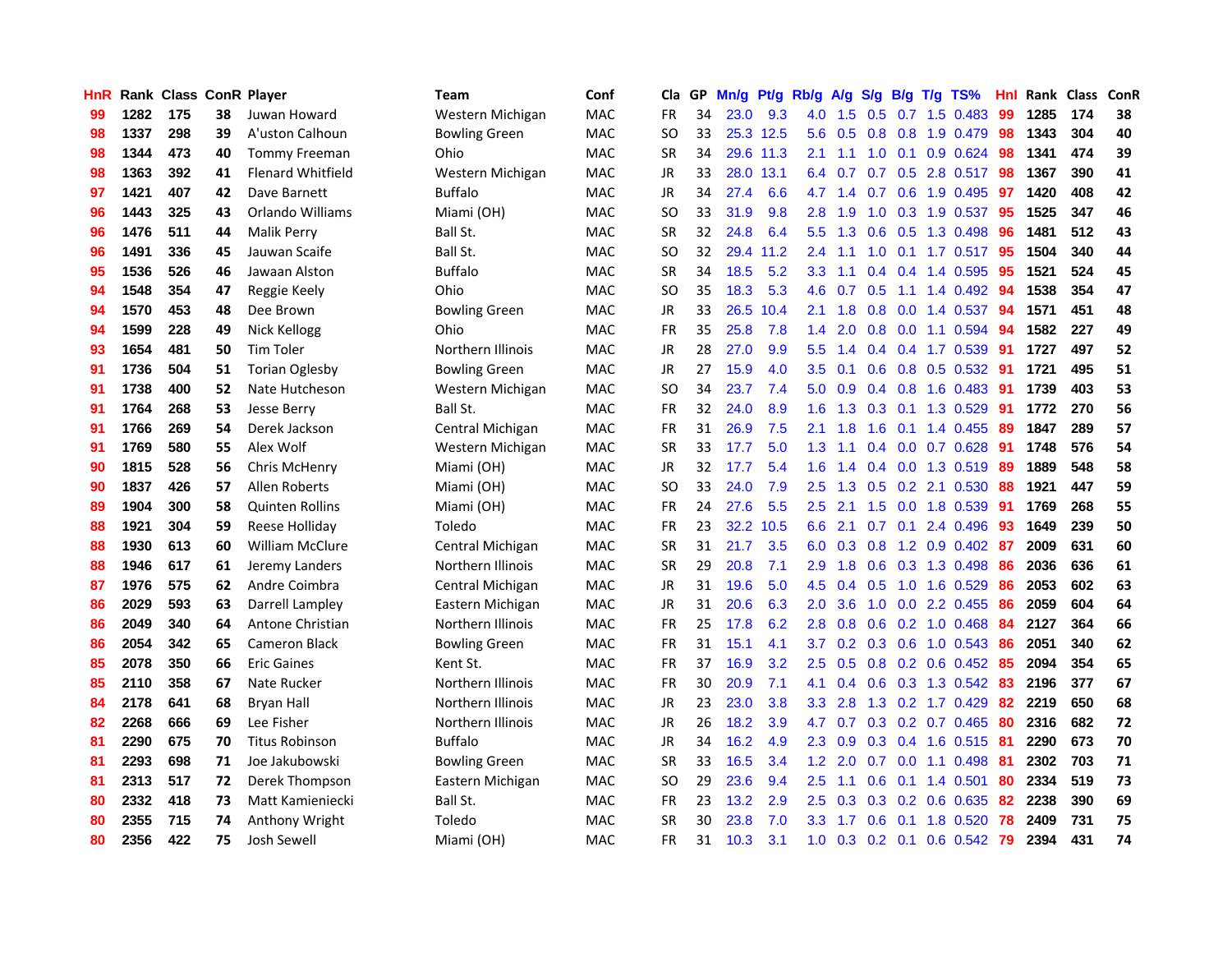| <b>HnR</b> |      | <b>Rank Class ConR Player</b> |    |                          | Team                 | Conf       | Cla           |    | GP Mn/g Pt/g |           | Rb/g             | A/g     |               |            | S/g B/g T/g TS%           | Hnl | Rank Class |     | ConR |
|------------|------|-------------------------------|----|--------------------------|----------------------|------------|---------------|----|--------------|-----------|------------------|---------|---------------|------------|---------------------------|-----|------------|-----|------|
| 99         | 1282 | 175                           | 38 | Juwan Howard             | Western Michigan     | <b>MAC</b> | FR            | 34 | 23.0         | 9.3       | 4.0              | 1.5     | 0.5           | 0.7        | 1.5 0.483                 | 99  | 1285       | 174 | 38   |
| 98         | 1337 | 298                           | 39 | A'uston Calhoun          | Bowling Green        | <b>MAC</b> | SO.           | 33 |              | 25.3 12.5 | 5.6              | 0.5     | 0.8           | 0.8        | 1.9 0.479                 | 98  | 1343       | 304 | 40   |
| 98         | 1344 | 473                           | 40 | <b>Tommy Freeman</b>     | Ohio                 | <b>MAC</b> | <b>SR</b>     | 34 |              | 29.6 11.3 | 2.1              | 1.1     | 1.0           | 0.1        | 0.9 0.624                 | 98  | 1341       | 474 | 39   |
| 98         | 1363 | 392                           | 41 | <b>Flenard Whitfield</b> | Western Michigan     | <b>MAC</b> | JR            | 33 |              | 28.0 13.1 |                  | 6.4 0.7 |               |            | 0.7 0.5 2.8 0.517         | 98  | 1367       | 390 | 41   |
| 97         | 1421 | 407                           | 42 | Dave Barnett             | Buffalo              | <b>MAC</b> | JR            | 34 | 27.4         | 6.6       | 4.7              | 1.4     |               |            | 0.7 0.6 1.9 0.495         | -97 | 1420       | 408 | 42   |
| 96         | 1443 | 325                           | 43 | Orlando Williams         | Miami (OH)           | <b>MAC</b> | SO.           | 33 | 31.9         | 9.8       | 2.8              | 1.9     | 1.0           |            | 0.3 1.9 0.537             | 95  | 1525       | 347 | 46   |
| 96         | 1476 | 511                           | 44 | <b>Malik Perry</b>       | Ball St.             | <b>MAC</b> | <b>SR</b>     | 32 | 24.8         | 6.4       | 5.5 <sub>1</sub> | 1.3     | 0.6           |            | $0.5$ 1.3 0.498           | 96  | 1481       | 512 | 43   |
| 96         | 1491 | 336                           | 45 | Jauwan Scaife            | Ball St.             | <b>MAC</b> | <b>SO</b>     | 32 |              | 29.4 11.2 | 2.4              | 1.1     | 1.0           |            | $0.1$ 1.7 0.517           | 95  | 1504       | 340 | 44   |
| 95         | 1536 | 526                           | 46 | Jawaan Alston            | <b>Buffalo</b>       | <b>MAC</b> | <b>SR</b>     | 34 | 18.5         | 5.2       | 3.3              | 1.1     | 0.4           |            | 0.4 1.4 0.595             | 95  | 1521       | 524 | 45   |
| 94         | 1548 | 354                           | 47 | Reggie Keely             | Ohio                 | <b>MAC</b> | <sub>SO</sub> | 35 | 18.3         | 5.3       | 4.6              | 0.7     | 0.5           | 1.1        | 1.4 0.492                 | 94  | 1538       | 354 | 47   |
| 94         | 1570 | 453                           | 48 | Dee Brown                | <b>Bowling Green</b> | MAC        | JR            | 33 |              | 26.5 10.4 | 2.1              | 1.8     | 0.8           | 0.0        | 1.4 0.537                 | 94  | 1571       | 451 | 48   |
| 94         | 1599 | 228                           | 49 | Nick Kellogg             | Ohio                 | MAC        | <b>FR</b>     | 35 | 25.8         | 7.8       | 1.4              | 2.0     | 0.8           | 0.0        | 1.1 0.594                 | 94  | 1582       | 227 | 49   |
| 93         | 1654 | 481                           | 50 | <b>Tim Toler</b>         | Northern Illinois    | MAC        | JR            | 28 | 27.0         | 9.9       | 5.5 <sub>1</sub> | 1.4     | $0.4^{\circ}$ | 0.4        | 1.7 0.539                 | -91 | 1727       | 497 | 52   |
| 91         | 1736 | 504                           | 51 | <b>Torian Oglesby</b>    | <b>Bowling Green</b> | <b>MAC</b> | JR            | 27 | 15.9         | 4.0       | 3.5              | 0.1     | 0.6           | 0.8        | $0.5$ 0.532               | 91  | 1721       | 495 | 51   |
| 91         | 1738 | 400                           | 52 | Nate Hutcheson           | Western Michigan     | <b>MAC</b> | <b>SO</b>     | 34 | 23.7         | 7.4       | 5.0              | 0.9     | 0.4           | 0.8        | 1.6 0.483                 | -91 | 1739       | 403 | 53   |
| 91         | 1764 | 268                           | 53 | Jesse Berry              | Ball St.             | <b>MAC</b> | <b>FR</b>     | 32 | 24.0         | 8.9       | 1.6              | 1.3     | 0.3           | 0.1        | 1.3 0.529                 | -91 | 1772       | 270 | 56   |
| 91         | 1766 | 269                           | 54 | Derek Jackson            | Central Michigan     | <b>MAC</b> | <b>FR</b>     | 31 | 26.9         | 7.5       | 2.1              | 1.8     | 1.6           | 0.1        | 1.4 0.455                 | -89 | 1847       | 289 | 57   |
| 91         | 1769 | 580                           | 55 | Alex Wolf                | Western Michigan     | <b>MAC</b> | SR            | 33 | 17.7         | 5.0       | 1.3              | 1.1     |               |            | $0.4$ 0.0 0.7 0.628       | -91 | 1748       | 576 | 54   |
| 90         | 1815 | 528                           | 56 | Chris McHenry            | Miami (OH)           | <b>MAC</b> | JR            | 32 | 17.7         | 5.4       | 1.6              | 1.4     |               |            | $0.4$ 0.0 1.3 0.519       | -89 | 1889       | 548 | 58   |
| 90         | 1837 | 426                           | 57 | Allen Roberts            | Miami (OH)           | <b>MAC</b> | SO.           | 33 | 24.0         | 7.9       | $2.5^{\circ}$    | 1.3     |               |            | 0.5 0.2 2.1 0.530         | 88  | 1921       | 447 | 59   |
| 89         | 1904 | 300                           | 58 | <b>Quinten Rollins</b>   | Miami (OH)           | <b>MAC</b> | FR            | 24 | 27.6         | 5.5       | $2.5^{\circ}$    | 2.1     | 1.5           |            | 0.0 1.8 0.539             | 91  | 1769       | 268 | 55   |
| 88         | 1921 | 304                           | 59 | Reese Holliday           | Toledo               | <b>MAC</b> | <b>FR</b>     | 23 | 32.2         | 10.5      | 6.6              | 2.1     |               |            | $0.7$ $0.1$ 2.4 $0.496$   | 93  | 1649       | 239 | 50   |
| 88         | 1930 | 613                           | 60 | <b>William McClure</b>   | Central Michigan     | <b>MAC</b> | <b>SR</b>     | 31 | 21.7         | 3.5       | 6.0              | 0.3     | 0.8           |            | 1.2 0.9 0.402             | 87  | 2009       | 631 | 60   |
| 88         | 1946 | 617                           | 61 | Jeremy Landers           | Northern Illinois    | <b>MAC</b> | <b>SR</b>     | 29 | 20.8         | 7.1       | 2.9              | 1.8     | 0.6           |            | 0.3 1.3 0.498             | 86  | 2036       | 636 | 61   |
| 87         | 1976 | 575                           | 62 | Andre Coimbra            | Central Michigan     | MAC        | JR            | 31 | 19.6         | 5.0       | 4.5              | 0.4     | 0.5           |            | 1.0 1.6 0.529             | 86  | 2053       | 602 | 63   |
| 86         | 2029 | 593                           | 63 | Darrell Lampley          | Eastern Michigan     | MAC        | JR            | 31 | 20.6         | 6.3       | 2.0              | 3.6     | 1.0           | 0.0        | 2.2 0.455                 | 86  | 2059       | 604 | 64   |
| 86         | 2049 | 340                           | 64 | Antone Christian         | Northern Illinois    | MAC        | FR.           | 25 | 17.8         | 6.2       | 2.8              | 0.8     | 0.6           |            | $0.2$ 1.0 0.468           | 84  | 2127       | 364 | 66   |
| 86         | 2054 | 342                           | 65 | <b>Cameron Black</b>     | <b>Bowling Green</b> | <b>MAC</b> | <b>FR</b>     | 31 | 15.1         | 4.1       | 3.7              | 0.2     | 0.3           | 0.6        | $1.0$ 0.543               | 86  | 2051       | 340 | 62   |
| 85         | 2078 | 350                           | 66 | <b>Eric Gaines</b>       | Kent St.             | MAC        | FR            | 37 | 16.9         | 3.2       | 2.5              | 0.5     |               | $0.8\ 0.2$ | $0.6$ 0.452               | 85  | 2094       | 354 | 65   |
| 85         | 2110 | 358                           | 67 | Nate Rucker              | Northern Illinois    | <b>MAC</b> | FR            | 30 | 20.9         | 7.1       | 4.1              | 0.4     | 0.6           |            | 0.3 1.3 0.542             | 83  | 2196       | 377 | 67   |
| 84         | 2178 | 641                           | 68 | <b>Bryan Hall</b>        | Northern Illinois    | <b>MAC</b> | JR            | 23 | 23.0         | 3.8       | 3.3 <sub>2</sub> | 2.8     |               |            | 1.3 0.2 1.7 0.429         | 82  | 2219       | 650 | 68   |
| 82         | 2268 | 666                           | 69 | Lee Fisher               | Northern Illinois    | <b>MAC</b> | JR            | 26 | 18.2         | 3.9       | 4.7              | 0.7     |               |            | $0.3$ $0.2$ $0.7$ $0.465$ | 80  | 2316       | 682 | 72   |
| 81         | 2290 | 675                           | 70 | <b>Titus Robinson</b>    | <b>Buffalo</b>       | <b>MAC</b> | JR            | 34 | 16.2         | 4.9       | 2.3 <sub>2</sub> | 0.9     |               |            | $0.3$ 0.4 1.6 0.515       | 81  | 2290       | 673 | 70   |
| 81         | 2293 | 698                           | 71 | Joe Jakubowski           | <b>Bowling Green</b> | MAC        | <b>SR</b>     | 33 | 16.5         | 3.4       | 1.2 <sub>1</sub> | 2.0     | 0.7           |            | $0.0$ 1.1 0.498           | 81  | 2302       | 703 | 71   |
| 81         | 2313 | 517                           | 72 | Derek Thompson           | Eastern Michigan     | <b>MAC</b> | <b>SO</b>     | 29 | 23.6         | 9.4       | 2.5              | 1.1     | 0.6           |            | $0.1$ 1.4 $0.501$         | 80  | 2334       | 519 | 73   |
| 80         | 2332 | 418                           | 73 | Matt Kamieniecki         | Ball St.             | <b>MAC</b> | <b>FR</b>     | 23 | 13.2         | 2.9       | 2.5              | 0.3     | 0.3           | 0.2        | 0.6 0.635                 | 82  | 2238       | 390 | 69   |
| 80         | 2355 | 715                           | 74 | Anthony Wright           | Toledo               | MAC        | <b>SR</b>     | 30 | 23.8         | 7.0       | 3.3              | 1.7     | 0.6           | 0.1        | 1.8 0.520                 | 78  | 2409       | 731 | 75   |
| 80         | 2356 | 422                           | 75 | Josh Sewell              | Miami (OH)           | MAC        | FR            | 31 | 10.3         | 3.1       | 1.0 <sub>1</sub> |         |               |            | 0.3 0.2 0.1 0.6 0.542     | -79 | 2394       | 431 | 74   |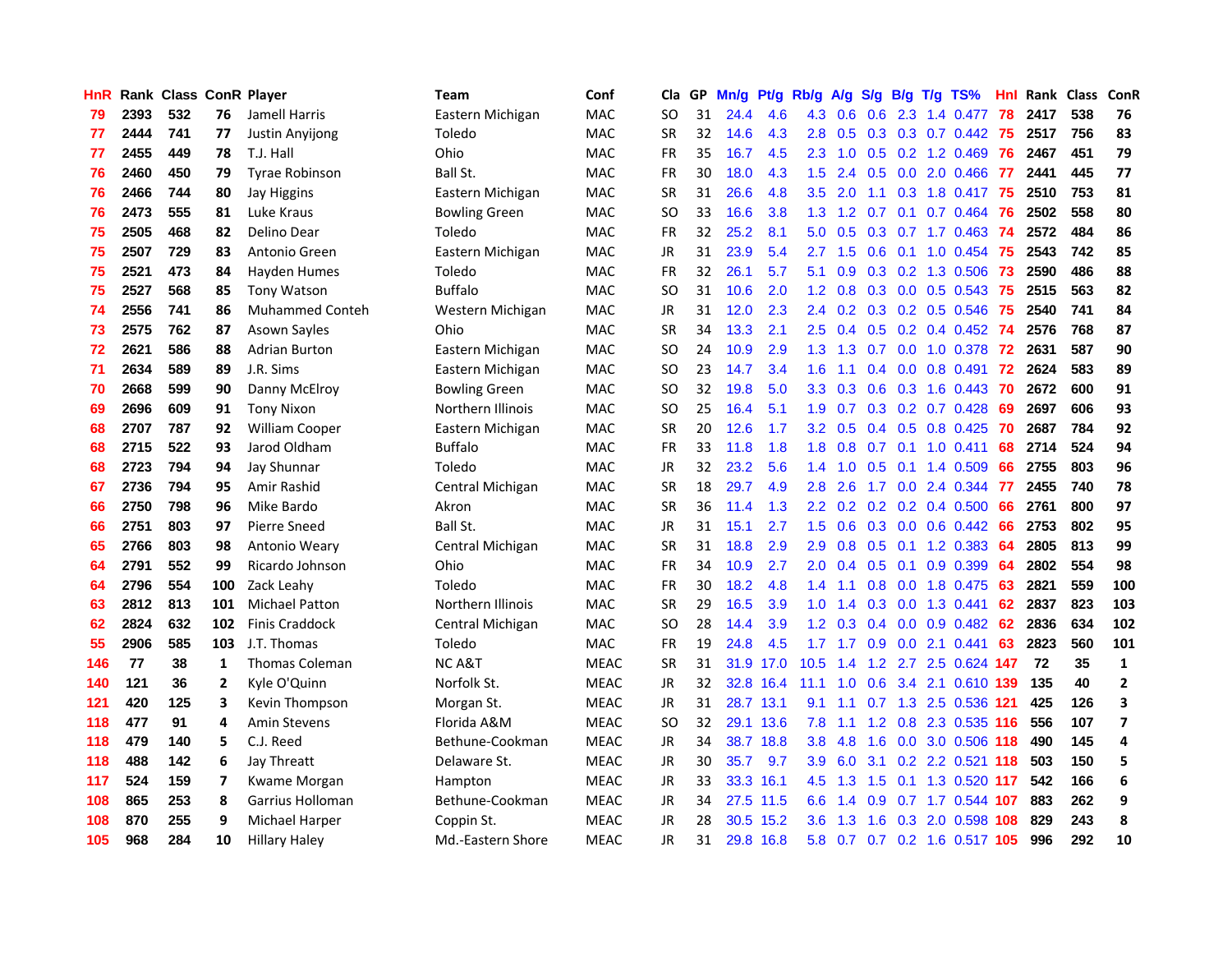| <b>HnR</b> |      | Rank Class ConR Player |     |                        | Team                 | Conf        | Cla       |    | GP Mn/g Pt/g |           | Rb/g A/g         |                    |               |                 | S/g B/g T/g TS%               | Hnl |      | Rank Class | ConR                    |
|------------|------|------------------------|-----|------------------------|----------------------|-------------|-----------|----|--------------|-----------|------------------|--------------------|---------------|-----------------|-------------------------------|-----|------|------------|-------------------------|
| 79         | 2393 | 532                    | 76  | Jamell Harris          | Eastern Michigan     | <b>MAC</b>  | SO.       | 31 | 24.4         | 4.6       | 4.3              | 0.6                | 0.6           | 2.3             | 1.4 0.477                     | 78  | 2417 | 538        | 76                      |
| 77         | 2444 | 741                    | 77  | Justin Anyijong        | Toledo               | <b>MAC</b>  | <b>SR</b> | 32 | 14.6         | 4.3       | 2.8              | 0.5                | 0.3           | 0.3             | $0.7$ 0.442                   | 75  | 2517 | 756        | 83                      |
| 77         | 2455 | 449                    | 78  | T.J. Hall              | Ohio                 | <b>MAC</b>  | <b>FR</b> | 35 | 16.7         | 4.5       | 2.3              | 1.0                | 0.5           | 0.2             | 1.2 0.469                     | 76  | 2467 | 451        | 79                      |
| 76         | 2460 | 450                    | 79  | <b>Tyrae Robinson</b>  | Ball St.             | <b>MAC</b>  | FR        | 30 | 18.0         | 4.3       | 1.5              | 2.4                |               |                 | 0.5 0.0 2.0 0.466             | 77  | 2441 | 445        | 77                      |
| 76         | 2466 | 744                    | 80  | Jay Higgins            | Eastern Michigan     | <b>MAC</b>  | <b>SR</b> | 31 | 26.6         | 4.8       | 3.5              | 2.0                |               |                 | 1.1 0.3 1.8 0.417 75          |     | 2510 | 753        | 81                      |
| 76         | 2473 | 555                    | 81  | Luke Kraus             | <b>Bowling Green</b> | MAC         | <b>SO</b> | 33 | 16.6         | 3.8       |                  | $1.3 \quad 1.2$    | 0.7           |                 | 0.1 0.7 0.464                 | -76 | 2502 | 558        | 80                      |
| 75         | 2505 | 468                    | 82  | Delino Dear            | Toledo               | <b>MAC</b>  | FR        | 32 | 25.2         | 8.1       | 5.0              | 0.5                |               |                 | 0.3 0.7 1.7 0.463 74          |     | 2572 | 484        | 86                      |
| 75         | 2507 | 729                    | 83  | Antonio Green          | Eastern Michigan     | <b>MAC</b>  | JR        | 31 | 23.9         | 5.4       | $2.7^{\circ}$    | 1.5                | 0.6           |                 | $0.1$ 1.0 0.454               | -75 | 2543 | 742        | 85                      |
| 75         | 2521 | 473                    | 84  | Hayden Humes           | Toledo               | <b>MAC</b>  | <b>FR</b> | 32 | 26.1         | 5.7       | 5.1              | 0.9                |               |                 | 0.3 0.2 1.3 0.506             | 73  | 2590 | 486        | 88                      |
| 75         | 2527 | 568                    | 85  | <b>Tony Watson</b>     | Buffalo              | <b>MAC</b>  | SO.       | 31 | 10.6         | 2.0       | 1.2 <sub>1</sub> | 0.8                |               |                 | $0.3$ 0.0 0.5 0.543           | 75  | 2515 | 563        | 82                      |
| 74         | 2556 | 741                    | 86  | <b>Muhammed Conteh</b> | Western Michigan     | MAC         | JR        | 31 | 12.0         | 2.3       | 2.4              | 0.2                |               |                 | 0.3 0.2 0.5 0.546             | 75  | 2540 | 741        | 84                      |
| 73         | 2575 | 762                    | 87  | Asown Sayles           | Ohio                 | <b>MAC</b>  | <b>SR</b> | 34 | 13.3         | 2.1       | 2.5              | 0.4                |               |                 | $0.5$ 0.2 0.4 0.452           | 74  | 2576 | 768        | 87                      |
| 72.        | 2621 | 586                    | 88  | <b>Adrian Burton</b>   | Eastern Michigan     | MAC         | SO.       | 24 | 10.9         | 2.9       | 1.3              | 1.3                | 0.7           | 0.0             | 1.0 0.378                     | 72  | 2631 | 587        | 90                      |
| 71         | 2634 | 589                    | 89  | J.R. Sims              | Eastern Michigan     | <b>MAC</b>  | SO.       | 23 | 14.7         | 3.4       | 1.6              | 1.1                | $0.4^{\circ}$ | 0.0             | 0.8 0.491                     | 72  | 2624 | 583        | 89                      |
| 70         | 2668 | 599                    | 90  | Danny McElroy          | <b>Bowling Green</b> | <b>MAC</b>  | SO.       | 32 | 19.8         | 5.0       | 3.3              | 0.3                | 0.6           | 0.3             | 1.6 0.443                     | 70  | 2672 | 600        | 91                      |
| 69         | 2696 | 609                    | 91  | <b>Tony Nixon</b>      | Northern Illinois    | <b>MAC</b>  | SO.       | 25 | 16.4         | 5.1       | 1.9              | 0.7                |               |                 | $0.3$ $0.2$ $0.7$ $0.428$     | 69  | 2697 | 606        | 93                      |
| 68         | 2707 | 787                    | 92  | <b>William Cooper</b>  | Eastern Michigan     | <b>MAC</b>  | <b>SR</b> | 20 | 12.6         | 1.7       |                  | $3.2 \quad 0.5$    |               |                 | $0.4$ 0.5 0.8 0.425           | -70 | 2687 | 784        | 92                      |
| 68         | 2715 | 522                    | 93  | Jarod Oldham           | <b>Buffalo</b>       | <b>MAC</b>  | <b>FR</b> | 33 | 11.8         | 1.8       | 1.8              | 0.8                |               |                 | $0.7$ 0.1 1.0 0.411           | 68  | 2714 | 524        | 94                      |
| 68         | 2723 | 794                    | 94  | Jay Shunnar            | Toledo               | <b>MAC</b>  | JR        | 32 | 23.2         | 5.6       |                  | $1.4 \quad 1.0$    |               |                 | 0.5 0.1 1.4 0.509             | 66  | 2755 | 803        | 96                      |
| 67         | 2736 | 794                    | 95  | Amir Rashid            | Central Michigan     | <b>MAC</b>  | <b>SR</b> | 18 | 29.7         | 4.9       | 2.8              | 2.6                |               |                 | 1.7 0.0 2.4 0.344             | 77  | 2455 | 740        | 78                      |
| 66         | 2750 | 798                    | 96  | Mike Bardo             | Akron                | <b>MAC</b>  | <b>SR</b> | 36 | 11.4         | 1.3       | 2.2              | 0.2                |               |                 | $0.2$ 0.2 0.4 0.500           | 66  | 2761 | 800        | 97                      |
| 66         | 2751 | 803                    | 97  | Pierre Sneed           | Ball St.             | <b>MAC</b>  | JR        | 31 | 15.1         | 2.7       | 1.5              | 0.6                |               |                 | $0.3$ $0.0$ $0.6$ $0.442$     | 66  | 2753 | 802        | 95                      |
| 65         | 2766 | 803                    | 98  | Antonio Weary          | Central Michigan     | <b>MAC</b>  | <b>SR</b> | 31 | 18.8         | 2.9       | 2.9              | 0.8                |               | $0.5 \quad 0.1$ | 1.2 0.383                     | 64  | 2805 | 813        | 99                      |
| 64         | 2791 | 552                    | 99  | Ricardo Johnson        | Ohio                 | <b>MAC</b>  | FR        | 34 | 10.9         | 2.7       | 2.0              | 0.4                |               | $0.5 \quad 0.1$ | 0.9 0.399                     | 64  | 2802 | 554        | 98                      |
| 64         | 2796 | 554                    | 100 | Zack Leahy             | Toledo               | <b>MAC</b>  | <b>FR</b> | 30 | 18.2         | 4.8       | 1.4              | 1.1                |               |                 | 0.8 0.0 1.8 0.475             | 63  | 2821 | 559        | 100                     |
| 63         | 2812 | 813                    | 101 | <b>Michael Patton</b>  | Northern Illinois    | MAC         | <b>SR</b> | 29 | 16.5         | 3.9       | 1.0              | 1.4                | 0.3           | 0.0             | 1.3 0.441                     | 62  | 2837 | 823        | 103                     |
| 62         | 2824 | 632                    | 102 | <b>Finis Craddock</b>  | Central Michigan     | <b>MAC</b>  | SO.       | 28 | 14.4         | 3.9       | 1.2 <sub>2</sub> | 0.3                |               | $0.4 \quad 0.0$ | $0.9$ $0.482$                 | 62  | 2836 | 634        | 102                     |
| 55         | 2906 | 585                    | 103 | J.T. Thomas            | Toledo               | <b>MAC</b>  | <b>FR</b> | 19 | 24.8         | 4.5       | 1.7 <sup>2</sup> | 1.7                | 0.9           | 0.0             | 2.1 0.441                     | 63  | 2823 | 560        | 101                     |
| 146        | 77   | 38                     | 1   | <b>Thomas Coleman</b>  | <b>NCA&amp;T</b>     | <b>MEAC</b> | <b>SR</b> | 31 |              | 31.9 17.0 | 10.5             | 1.4                |               |                 | 1.2 2.7 2.5 0.624 147         |     | 72   | 35         | $\mathbf{1}$            |
| 140        | 121  | 36                     | 2   | Kyle O'Quinn           | Norfolk St.          | <b>MEAC</b> | JR        | 32 |              | 32.8 16.4 | 11.1             | 1.0                | 0.6           |                 | 3.4 2.1 0.610 139             |     | 135  | 40         | $\mathbf{2}$            |
| 121        | 420  | 125                    | 3   | Kevin Thompson         | Morgan St.           | <b>MEAC</b> | JR        | 31 |              | 28.7 13.1 | 9.1              | 1.1                |               |                 | 0.7 1.3 2.5 0.536 121         |     | 425  | 126        | 3                       |
| 118        | 477  | 91                     | 4   | Amin Stevens           | Florida A&M          | <b>MEAC</b> | <b>SO</b> | 32 |              | 29.1 13.6 | 7.8              | 1.1                |               |                 | 1.2 0.8 2.3 0.535 116         |     | 556  | 107        | $\overline{\mathbf{z}}$ |
| 118        | 479  | 140                    | 5   | C.J. Reed              | Bethune-Cookman      | <b>MEAC</b> | JR        | 34 |              | 38.7 18.8 | 3.8 <sup>°</sup> | 4.8                | 1.6           |                 | 0.0 3.0 0.506 118             |     | 490  | 145        | 4                       |
| 118        | 488  | 142                    | 6   | Jay Threatt            | Delaware St.         | <b>MEAC</b> | JR        | 30 | 35.7         | 9.7       | 3.9              | 6.0                | 3.1           |                 | 0.2 2.2 0.521 118             |     | 503  | 150        | 5                       |
| 117        | 524  | 159                    | 7   | Kwame Morgan           | Hampton              | <b>MEAC</b> | JR        | 33 |              | 33.3 16.1 | 4.5              | 1.3                | 1.5           | 0.1             | 1.3 0.520 117                 |     | 542  | 166        | 6                       |
| 108        | 865  | 253                    | 8   | Garrius Holloman       | Bethune-Cookman      | <b>MEAC</b> | JR        | 34 | 27.5         | 11.5      | 6.6              | -1<br>$\mathbf{A}$ | 0.9           |                 | $0.7$ 1.7 $0.544$             | 107 | 883  | 262        | 9                       |
| 108        | 870  | 255                    | 9   | Michael Harper         | Coppin St.           | <b>MEAC</b> | JR        | 28 | 30.5         | 15.2      | 3.6              | 1.3                | 1.6           | 0.3             | 2.0 0.598                     | 108 | 829  | 243        | 8                       |
| 105        | 968  | 284                    | 10  | <b>Hillary Haley</b>   | Md.-Eastern Shore    | <b>MEAC</b> | <b>JR</b> | 31 |              | 29.8 16.8 |                  |                    |               |                 | 5.8 0.7 0.7 0.2 1.6 0.517 105 |     | 996  | 292        | 10                      |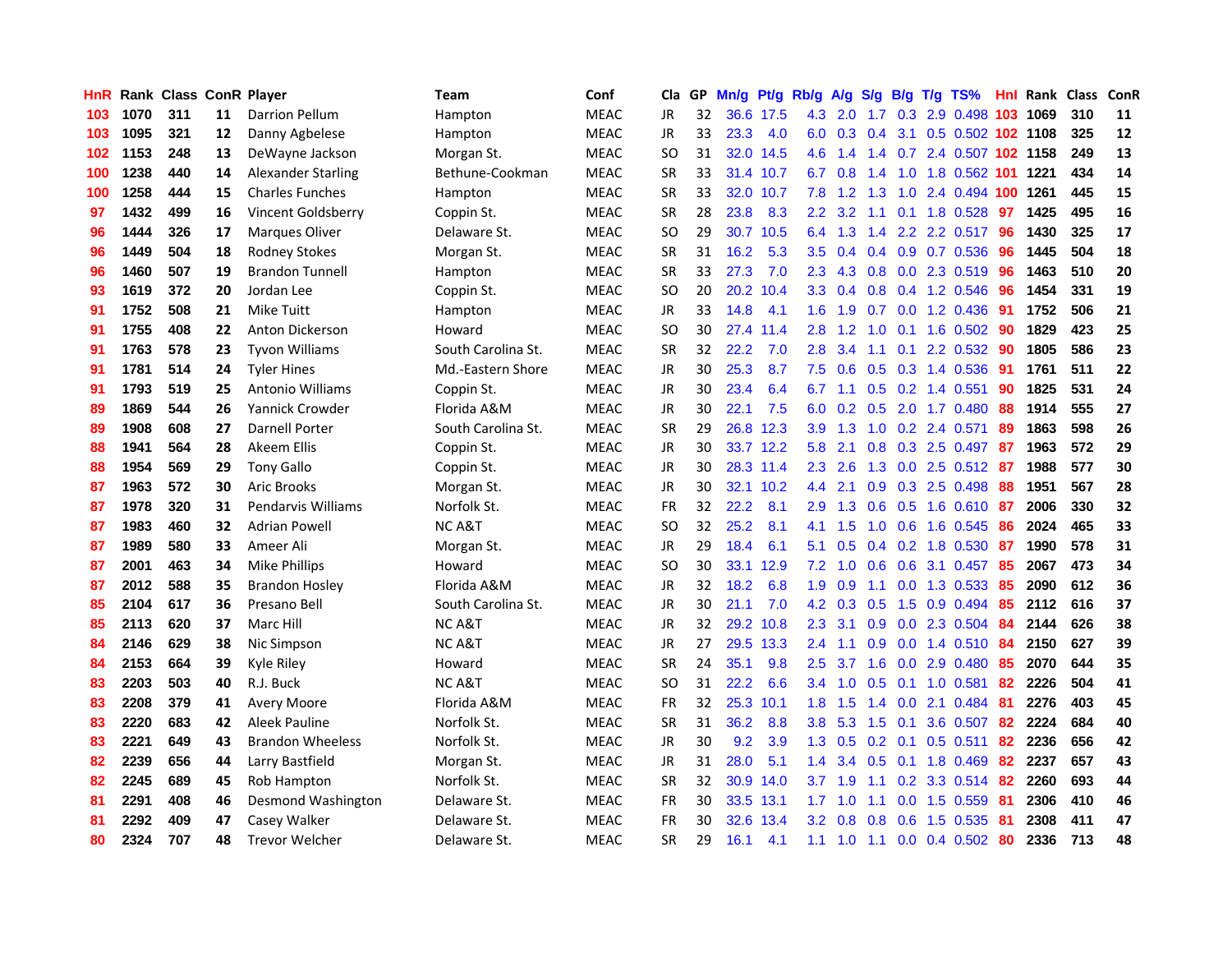| <b>HnR</b> |      | Rank Class ConR Player |    |                           | <b>Team</b>        | Conf        | Cla       |    | GP Mn/g Pt/g Rb/g |           |                  | A/g             |                  |                 | S/g B/g T/g TS%         | Hnl | Rank Class |     | ConR |
|------------|------|------------------------|----|---------------------------|--------------------|-------------|-----------|----|-------------------|-----------|------------------|-----------------|------------------|-----------------|-------------------------|-----|------------|-----|------|
| 103        | 1070 | 311                    | 11 | <b>Darrion Pellum</b>     | Hampton            | <b>MEAC</b> | JR        | 32 |                   | 36.6 17.5 | 4.3              | 2.0             | 1.7              | 0.3             | 2.9 0.498               | 103 | 1069       | 310 | 11   |
| 103        | 1095 | 321                    | 12 | Danny Agbelese            | Hampton            | <b>MEAC</b> | <b>JR</b> | 33 | 23.3              | 4.0       | 6.0              | 0.3             | 0.4              | 3.1             | 0.5 0.502 102 1108      |     |            | 325 | 12   |
| 102        | 1153 | 248                    | 13 | DeWayne Jackson           | Morgan St.         | <b>MEAC</b> | SO.       | 31 | 32.0              | 14.5      | 4.6              | 1.4             | 1.4              |                 | 0.7 2.4 0.507 102 1158  |     |            | 249 | 13   |
| 100        | 1238 | 440                    | 14 | <b>Alexander Starling</b> | Bethune-Cookman    | <b>MEAC</b> | <b>SR</b> | 33 |                   | 31.4 10.7 | 6.7              | 0.8             | 1.4              | 1.0             | 1.8 0.562 101 1221      |     |            | 434 | 14   |
| 100        | 1258 | 444                    | 15 | <b>Charles Funches</b>    | Hampton            | <b>MEAC</b> | <b>SR</b> | 33 |                   | 32.0 10.7 | 7.8              |                 | $1.2$ 1.3        |                 | 1.0 2.4 0.494 100 1261  |     |            | 445 | 15   |
| 97         | 1432 | 499                    | 16 | Vincent Goldsberry        | Coppin St.         | <b>MEAC</b> | <b>SR</b> | 28 | 23.8              | 8.3       | $2.2^{\circ}$    | 3.2             |                  |                 | 1.1 0.1 1.8 0.528       | -97 | 1425       | 495 | 16   |
| 96         | 1444 | 326                    | 17 | <b>Marques Oliver</b>     | Delaware St.       | <b>MEAC</b> | <b>SO</b> | 29 |                   | 30.7 10.5 | 6.4              | 1.3             |                  |                 | 1.4 2.2 2.2 0.517       | -96 | 1430       | 325 | 17   |
| 96         | 1449 | 504                    | 18 | <b>Rodney Stokes</b>      | Morgan St.         | <b>MEAC</b> | <b>SR</b> | 31 | 16.2              | 5.3       | 3.5              | 0.4             |                  |                 | 0.4 0.9 0.7 0.536       | 96  | 1445       | 504 | 18   |
| 96         | 1460 | 507                    | 19 | <b>Brandon Tunnell</b>    | Hampton            | <b>MEAC</b> | <b>SR</b> | 33 | 27.3              | 7.0       | 2.3              | 4.3             |                  |                 | 0.8 0.0 2.3 0.519       | 96  | 1463       | 510 | 20   |
| 93         | 1619 | 372                    | 20 | Jordan Lee                | Coppin St.         | <b>MEAC</b> | <b>SO</b> | 20 |                   | 20.2 10.4 | 3.3 <sub>2</sub> | 0.4             |                  |                 | 0.8 0.4 1.2 0.546       | 96  | 1454       | 331 | 19   |
| 91         | 1752 | 508                    | 21 | <b>Mike Tuitt</b>         | Hampton            | <b>MEAC</b> | JR        | 33 | 14.8              | 4.1       | 1.6              | 1.9             | 0.7              |                 | $0.0$ 1.2 $0.436$       | -91 | 1752       | 506 | 21   |
| 91         | 1755 | 408                    | 22 | Anton Dickerson           | Howard             | <b>MEAC</b> | SO.       | 30 |                   | 27.4 11.4 | 2.8              | 1.2             | 1.0              | 0.1             | 1.6 0.502               | 90  | 1829       | 423 | 25   |
| 91         | 1763 | 578                    | 23 | <b>Tyvon Williams</b>     | South Carolina St. | <b>MEAC</b> | <b>SR</b> | 32 | 22.2              | 7.0       | 2.8              | 3.4             | 1.1              | 0.1             | 2.2 0.532               | 90  | 1805       | 586 | 23   |
| 91         | 1781 | 514                    | 24 | <b>Tyler Hines</b>        | Md.-Eastern Shore  | <b>MEAC</b> | JR        | 30 | 25.3              | 8.7       | 7.5              | 0.6             | 0.5              | 0.3             | 1.4 0.536               | -91 | 1761       | 511 | 22   |
| 91         | 1793 | 519                    | 25 | <b>Antonio Williams</b>   | Coppin St.         | <b>MEAC</b> | JR        | 30 | 23.4              | 6.4       | 6.7              | 1.1             | 0.5              | 0.2             | 1.4 0.551               | 90  | 1825       | 531 | 24   |
| 89         | 1869 | 544                    | 26 | <b>Yannick Crowder</b>    | Florida A&M        | <b>MEAC</b> | JR        | 30 | 22.1              | 7.5       | 6.0              | 0.2             |                  |                 | 0.5 2.0 1.7 0.480       | 88  | 1914       | 555 | 27   |
| 89         | 1908 | 608                    | 27 | <b>Darnell Porter</b>     | South Carolina St. | <b>MEAC</b> | <b>SR</b> | 29 |                   | 26.8 12.3 |                  | $3.9$ 1.3       |                  |                 | 1.0 0.2 2.4 0.571       | 89  | 1863       | 598 | 26   |
| 88         | 1941 | 564                    | 28 | <b>Akeem Ellis</b>        | Coppin St.         | <b>MEAC</b> | JR        | 30 |                   | 33.7 12.2 | 5.8              | 2.1             |                  |                 | 0.8 0.3 2.5 0.497 87    |     | 1963       | 572 | 29   |
| 88         | 1954 | 569                    | 29 | <b>Tony Gallo</b>         | Coppin St.         | <b>MEAC</b> | JR.       | 30 |                   | 28.3 11.4 | $2.3^{\circ}$    | 2.6             |                  |                 | 1.3 0.0 2.5 0.512 87    |     | 1988       | 577 | 30   |
| 87         | 1963 | 572                    | 30 | <b>Aric Brooks</b>        | Morgan St.         | <b>MEAC</b> | JR        | 30 |                   | 32.1 10.2 | 4.4              | 2.1             |                  |                 | 0.9 0.3 2.5 0.498       | -88 | 1951       | 567 | 28   |
| 87         | 1978 | 320                    | 31 | <b>Pendarvis Williams</b> | Norfolk St.        | <b>MEAC</b> | <b>FR</b> | 32 | 22.2              | 8.1       | 2.9              | 1.3             |                  |                 | $0.6$ $0.5$ 1.6 $0.610$ | -87 | 2006       | 330 | 32   |
| 87         | 1983 | 460                    | 32 | <b>Adrian Powell</b>      | <b>NC A&amp;T</b>  | <b>MEAC</b> | <b>SO</b> | 32 | 25.2              | 8.1       | 4.1              | 1.5             | 1.0              | 0.6             | 1.6 0.545               | 86  | 2024       | 465 | 33   |
| 87         | 1989 | 580                    | 33 | Ameer Ali                 | Morgan St.         | <b>MEAC</b> | JR        | 29 | 18.4              | 6.1       | 5.1              | 0.5             |                  |                 | $0.4$ 0.2 1.8 0.530     | -87 | 1990       | 578 | 31   |
| 87         | 2001 | 463                    | 34 | <b>Mike Phillips</b>      | Howard             | <b>MEAC</b> | <b>SO</b> | 30 |                   | 33.1 12.9 | 7.2              | 1.0             |                  | $0.6\quad 0.6$  | 3.1 0.457               | -85 | 2067       | 473 | 34   |
| 87         | 2012 | 588                    | 35 | Brandon Hosley            | Florida A&M        | <b>MEAC</b> | JR.       | 32 | 18.2              | 6.8       | 1.9              | 0.9             | 1.1              | 0.0             | 1.3 0.533               | -85 | 2090       | 612 | 36   |
| 85         | 2104 | 617                    | 36 | Presano Bell              | South Carolina St. | <b>MEAC</b> | JR.       | 30 | 21.1              | 7.0       | 4.2              | 0.3             | 0.5              | 1.5             | 0.9 0.494               | 85  | 2112       | 616 | 37   |
| 85         | 2113 | 620                    | 37 | Marc Hill                 | <b>NC A&amp;T</b>  | <b>MEAC</b> | <b>JR</b> | 32 |                   | 29.2 10.8 | 2.3              | 3.1             | 0.9 <sub>0</sub> | 0.0             | 2.3 0.504               | 84  | 2144       | 626 | 38   |
| 84         | 2146 | 629                    | 38 | Nic Simpson               | <b>NC A&amp;T</b>  | <b>MEAC</b> | JR        | 27 |                   | 29.5 13.3 | 2.4              | 1.1             | 0.9              | 0.0             | 1.4 0.510               | 84  | 2150       | 627 | 39   |
| 84         | 2153 | 664                    | 39 | Kyle Riley                | Howard             | <b>MEAC</b> | <b>SR</b> | 24 | 35.1              | 9.8       | 2.5              | 3.7             | 1.6              | 0.0             | 2.9 0.480               | -85 | 2070       | 644 | 35   |
| 83         | 2203 | 503                    | 40 | R.J. Buck                 | <b>NCA&amp;T</b>   | <b>MEAC</b> | <b>SO</b> | 31 | 22.2              | 6.6       |                  | $3.4 \quad 1.0$ | $0.5 \quad 0.1$  |                 | 1.0 0.581               | 82  | 2226       | 504 | 41   |
| 83         | 2208 | 379                    | 41 | <b>Avery Moore</b>        | Florida A&M        | <b>MEAC</b> | <b>FR</b> | 32 |                   | 25.3 10.1 |                  | $1.8$ 1.5       |                  |                 | 1.4 0.0 2.1 0.484       | -81 | 2276       | 403 | 45   |
| 83         | 2220 | 683                    | 42 | Aleek Pauline             | Norfolk St.        | <b>MEAC</b> | <b>SR</b> | 31 | 36.2              | 8.8       | 3.8 <sup>°</sup> | 5.3             |                  | $1.5 \quad 0.1$ | 3.6 0.507               | 82  | 2224       | 684 | 40   |
| 83         | 2221 | 649                    | 43 | <b>Brandon Wheeless</b>   | Norfolk St.        | <b>MEAC</b> | <b>JR</b> | 30 | 9.2               | 3.9       | 1.3              | 0.5             |                  |                 | 0.2 0.1 0.5 0.511       | 82  | 2236       | 656 | 42   |
| 82         | 2239 | 656                    | 44 | Larry Bastfield           | Morgan St.         | <b>MEAC</b> | JR        | 31 | 28.0              | 5.1       | $1.4^{\circ}$    | 3.4             | 0.5              |                 | 0.1 1.8 0.469           | 82  | 2237       | 657 | 43   |
| 82         | 2245 | 689                    | 45 | Rob Hampton               | Norfolk St.        | <b>MEAC</b> | <b>SR</b> | 32 |                   | 30.9 14.0 | 3.7              | 1.9             | 1.1              |                 | 0.2 3.3 0.514           | 82  | 2260       | 693 | 44   |
| 81         | 2291 | 408                    | 46 | Desmond Washington        | Delaware St.       | <b>MEAC</b> | <b>FR</b> | 30 |                   | 33.5 13.1 | 1.7              | 1.0             | 1.1              | 0.0             | 1.5 0.559               | -81 | 2306       | 410 | 46   |
| 81         | 2292 | 409                    | 47 | Casey Walker              | Delaware St.       | <b>MEAC</b> | FR        | 30 | 32.6              | 13.4      | 3.2              | 0.8             | 0.8              | 0.6             | 1.5 0.535               | -81 | 2308       | 411 | 47   |
| 80         | 2324 | 707                    | 48 | <b>Trevor Welcher</b>     | Delaware St.       | <b>MEAC</b> | <b>SR</b> | 29 | 16.1              | 4.1       |                  | $1.1 \quad 1.0$ |                  |                 | 1.1 0.0 0.4 0.502       | -80 | 2336       | 713 | 48   |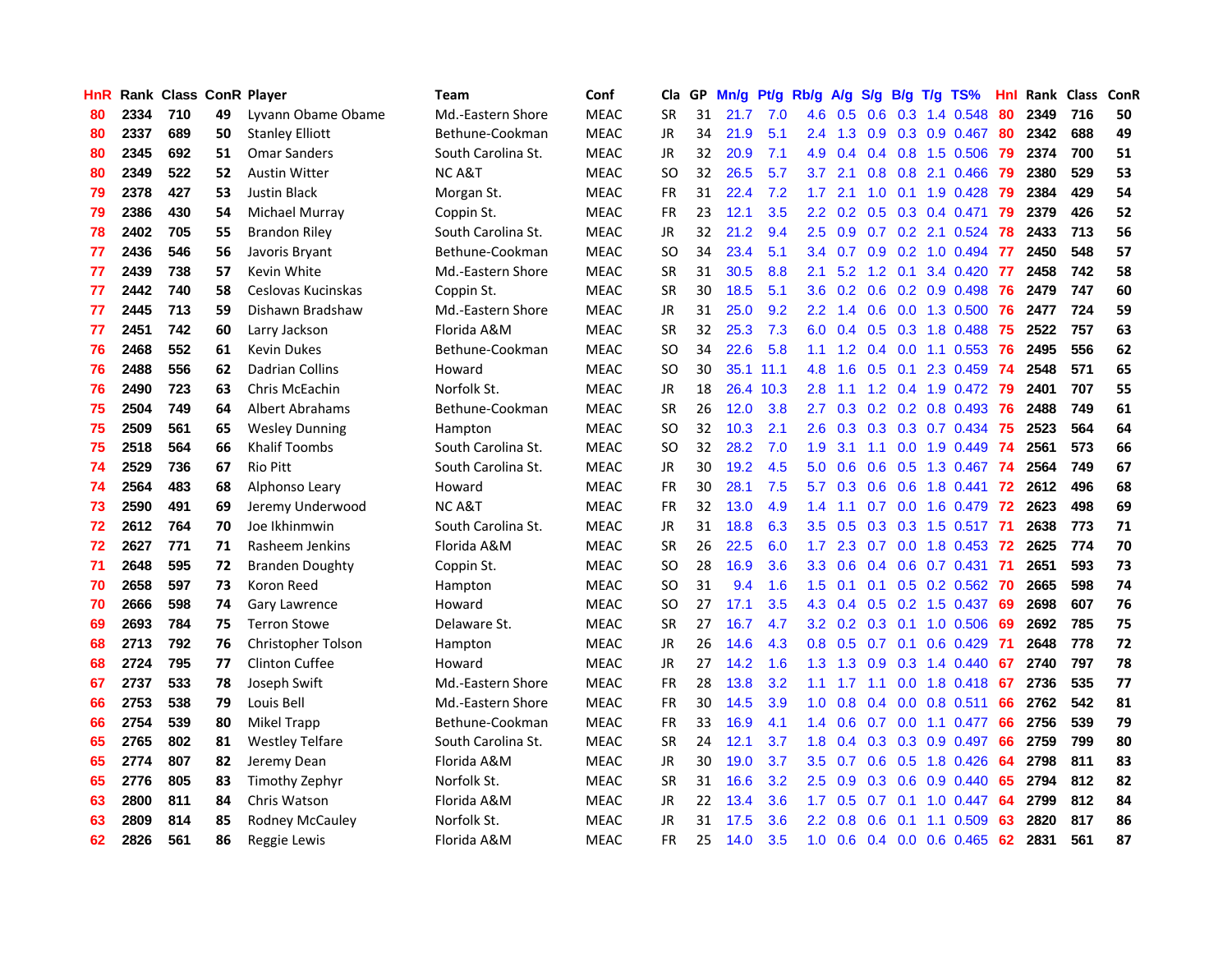| HnR |      | Rank Class ConR Player |    |                        | <b>Team</b>        | Conf        | Cla       |    | GP Mn/g | Pt/g Rb/g |                  |                 |     |                 | A/g S/g B/g T/g TS%       | Hnl | Rank Class |     | ConR |
|-----|------|------------------------|----|------------------------|--------------------|-------------|-----------|----|---------|-----------|------------------|-----------------|-----|-----------------|---------------------------|-----|------------|-----|------|
| 80  | 2334 | 710                    | 49 | Lyvann Obame Obame     | Md.-Eastern Shore  | <b>MEAC</b> | <b>SR</b> | 31 | 21.7    | 7.0       | 4.6              | 0.5             | 0.6 | 0.3             | 1.4 0.548                 | 80  | 2349       | 716 | 50   |
| 80  | 2337 | 689                    | 50 | <b>Stanley Elliott</b> | Bethune-Cookman    | <b>MEAC</b> | <b>JR</b> | 34 | 21.9    | 5.1       | 2.4              | 1.3             | 0.9 | 0.3             | 0.9 0.467                 | 80  | 2342       | 688 | 49   |
| 80  | 2345 | 692                    | 51 | <b>Omar Sanders</b>    | South Carolina St. | <b>MEAC</b> | <b>JR</b> | 32 | 20.9    | 7.1       | 4.9              | 0.4             |     | $0.4 \quad 0.8$ | 1.5 0.506                 | 79  | 2374       | 700 | 51   |
| 80  | 2349 | 522                    | 52 | <b>Austin Witter</b>   | <b>NC A&amp;T</b>  | <b>MEAC</b> | <b>SO</b> | 32 | 26.5    | 5.7       | 3.7              | 2.1             |     |                 | 0.8 0.8 2.1 0.466         | -79 | 2380       | 529 | 53   |
| 79  | 2378 | 427                    | 53 | <b>Justin Black</b>    | Morgan St.         | <b>MEAC</b> | <b>FR</b> | 31 | 22.4    | 7.2       | 1.7 <sub>2</sub> | 2.1             |     |                 | 1.0 0.1 1.9 0.428         | -79 | 2384       | 429 | 54   |
| 79  | 2386 | 430                    | 54 | Michael Murray         | Coppin St.         | <b>MEAC</b> | <b>FR</b> | 23 | 12.1    | 3.5       | $2.2^{\circ}$    | 0.2             |     |                 | $0.5$ $0.3$ $0.4$ $0.471$ | -79 | 2379       | 426 | 52   |
| 78  | 2402 | 705                    | 55 | <b>Brandon Riley</b>   | South Carolina St. | <b>MEAC</b> | JR        | 32 | 21.2    | 9.4       | $2.5\,$          | 0.9             |     |                 | $0.7$ $0.2$ 2.1 $0.524$   | -78 | 2433       | 713 | 56   |
| 77  | 2436 | 546                    | 56 | Javoris Bryant         | Bethune-Cookman    | <b>MEAC</b> | <b>SO</b> | 34 | 23.4    | 5.1       | 3.4              | 0.7             |     |                 | 0.9 0.2 1.0 0.494         | -77 | 2450       | 548 | 57   |
| 77  | 2439 | 738                    | 57 | Kevin White            | Md.-Eastern Shore  | <b>MEAC</b> | <b>SR</b> | 31 | 30.5    | 8.8       | 2.1              | 5.2             |     | $1.2 \quad 0.1$ | 3.4 0.420                 | -77 | 2458       | 742 | 58   |
| 77  | 2442 | 740                    | 58 | Ceslovas Kucinskas     | Coppin St.         | <b>MEAC</b> | <b>SR</b> | 30 | 18.5    | 5.1       | 3.6              | 0.2             | 0.6 |                 | $0.2$ 0.9 0.498           | 76  | 2479       | 747 | 60   |
| 77  | 2445 | 713                    | 59 | Dishawn Bradshaw       | Md.-Eastern Shore  | <b>MEAC</b> | JR        | 31 | 25.0    | 9.2       | 2.2 <sub>2</sub> | 1.4             | 0.6 |                 | 0.0 1.3 0.500             | 76  | 2477       | 724 | 59   |
| 77  | 2451 | 742                    | 60 | Larry Jackson          | Florida A&M        | <b>MEAC</b> | <b>SR</b> | 32 | 25.3    | 7.3       | 6.0              | 0.4             | 0.5 | 0.3             | 1.8 0.488                 | 75  | 2522       | 757 | 63   |
| 76  | 2468 | 552                    | 61 | <b>Kevin Dukes</b>     | Bethune-Cookman    | <b>MEAC</b> | <b>SO</b> | 34 | 22.6    | 5.8       | 1.1              | 1.2             | 0.4 | 0.0             | 1.1 0.553                 | -76 | 2495       | 556 | 62   |
| 76  | 2488 | 556                    | 62 | <b>Dadrian Collins</b> | Howard             | <b>MEAC</b> | <b>SO</b> | 30 |         | 35.1 11.1 | 4.8              | 1.6             | 0.5 | 0.1             | 2.3 0.459                 | -74 | 2548       | 571 | 65   |
| 76  | 2490 | 723                    | 63 | Chris McEachin         | Norfolk St.        | <b>MEAC</b> | JR        | 18 |         | 26.4 10.3 | 2.8              | 1.1             | 1.2 | 0.4             | 1.9 0.472                 | -79 | 2401       | 707 | 55   |
| 75  | 2504 | 749                    | 64 | Albert Abrahams        | Bethune-Cookman    | <b>MEAC</b> | <b>SR</b> | 26 | 12.0    | 3.8       | 2.7              | 0.3             |     |                 | $0.2$ $0.2$ $0.8$ $0.493$ | 76  | 2488       | 749 | 61   |
| 75  | 2509 | 561                    | 65 | <b>Wesley Dunning</b>  | Hampton            | <b>MEAC</b> | <b>SO</b> | 32 | 10.3    | 2.1       | $2.6\,$          | 0.3             |     |                 | $0.3$ $0.3$ $0.7$ $0.434$ | -75 | 2523       | 564 | 64   |
| 75  | 2518 | 564                    | 66 | <b>Khalif Toombs</b>   | South Carolina St. | <b>MEAC</b> | SO.       | 32 | 28.2    | 7.0       | 1.9 <sup>°</sup> | 3.1             |     |                 | 1.1 0.0 1.9 0.449 74      |     | 2561       | 573 | 66   |
| 74  | 2529 | 736                    | 67 | <b>Rio Pitt</b>        | South Carolina St. | <b>MEAC</b> | JR.       | 30 | 19.2    | 4.5       | 5.0              | 0.6             |     |                 | 0.6 0.5 1.3 0.467 74      |     | 2564       | 749 | 67   |
| 74  | 2564 | 483                    | 68 | Alphonso Leary         | Howard             | <b>MEAC</b> | <b>FR</b> | 30 | 28.1    | 7.5       | 5.7              | 0.3             |     |                 | 0.6 0.6 1.8 0.441 72      |     | 2612       | 496 | 68   |
| 73  | 2590 | 491                    | 69 | Jeremy Underwood       | <b>NCA&amp;T</b>   | <b>MEAC</b> | <b>FR</b> | 32 | 13.0    | 4.9       | $1.4^{\circ}$    | 1.1             |     |                 | $0.7$ 0.0 1.6 0.479 72    |     | 2623       | 498 | 69   |
| 72  | 2612 | 764                    | 70 | Joe Ikhinmwin          | South Carolina St. | <b>MEAC</b> | JR        | 31 | 18.8    | 6.3       | $3.5^{\circ}$    | 0.5             |     |                 | 0.3 0.3 1.5 0.517 71      |     | 2638       | 773 | 71   |
| 72  | 2627 | 771                    | 71 | Rasheem Jenkins        | Florida A&M        | <b>MEAC</b> | <b>SR</b> | 26 | 22.5    | 6.0       | 1.7 <sub>2</sub> | 2.3             |     |                 | $0.7$ $0.0$ 1.8 $0.453$   | -72 | 2625       | 774 | 70   |
| 71  | 2648 | 595                    | 72 | <b>Branden Doughty</b> | Coppin St.         | <b>MEAC</b> | <b>SO</b> | 28 | 16.9    | 3.6       | 3.3              | 0.6             |     |                 | $0.4$ 0.6 0.7 0.431       | -71 | 2651       | 593 | 73   |
| 70  | 2658 | 597                    | 73 | Koron Reed             | Hampton            | <b>MEAC</b> | SO.       | 31 | 9.4     | 1.6       | 1.5              | 0.1             |     |                 | $0.1$ $0.5$ $0.2$ $0.562$ | -70 | 2665       | 598 | 74   |
| 70  | 2666 | 598                    | 74 | Gary Lawrence          | Howard             | <b>MEAC</b> | <b>SO</b> | 27 | 17.1    | 3.5       | 4.3              | 0.4             |     |                 | $0.5$ $0.2$ 1.5 $0.437$   | -69 | 2698       | 607 | 76   |
| 69  | 2693 | 784                    | 75 | <b>Terron Stowe</b>    | Delaware St.       | <b>MEAC</b> | <b>SR</b> | 27 | 16.7    | 4.7       | $3.2\phantom{0}$ | 0.2             | 0.3 |                 | $0.1$ 1.0 0.506           | 69  | 2692       | 785 | 75   |
| 68  | 2713 | 792                    | 76 | Christopher Tolson     | Hampton            | <b>MEAC</b> | <b>JR</b> | 26 | 14.6    | 4.3       | 0.8 <sub>0</sub> | 0.5             | 0.7 | 0.1             | $0.6$ 0.429               | -71 | 2648       | 778 | 72   |
| 68  | 2724 | 795                    | 77 | <b>Clinton Cuffee</b>  | Howard             | <b>MEAC</b> | <b>JR</b> | 27 | 14.2    | 1.6       | 1.3              | 1.3             | 0.9 | 0.3             | 1.4 0.440                 | 67  | 2740       | 797 | 78   |
| 67  | 2737 | 533                    | 78 | Joseph Swift           | Md.-Eastern Shore  | <b>MEAC</b> | <b>FR</b> | 28 | 13.8    | 3.2       | 1.1              | 1.7             | 1.1 | 0.0             | 1.8 0.418                 | -67 | 2736       | 535 | 77   |
| 66  | 2753 | 538                    | 79 | Louis Bell             | Md.-Eastern Shore  | <b>MEAC</b> | <b>FR</b> | 30 | 14.5    | 3.9       | 1.0 <sub>1</sub> | 0.8             |     |                 | $0.4$ 0.0 0.8 0.511       | 66  | 2762       | 542 | 81   |
| 66  | 2754 | 539                    | 80 | <b>Mikel Trapp</b>     | Bethune-Cookman    | <b>MEAC</b> | <b>FR</b> | 33 | 16.9    | 4.1       |                  | $1.4 \quad 0.6$ |     |                 | $0.7$ $0.0$ 1.1 $0.477$   | 66  | 2756       | 539 | 79   |
| 65  | 2765 | 802                    | 81 | <b>Westley Telfare</b> | South Carolina St. | <b>MEAC</b> | <b>SR</b> | 24 | 12.1    | 3.7       | 1.8 <sup>2</sup> | 0.4             |     |                 | $0.3$ $0.3$ $0.9$ $0.497$ | 66  | 2759       | 799 | 80   |
| 65  | 2774 | 807                    | 82 | Jeremy Dean            | Florida A&M        | <b>MEAC</b> | JR        | 30 | 19.0    | 3.7       | 3.5              | 0.7             |     |                 | 0.6 0.5 1.8 0.426         | 64  | 2798       | 811 | 83   |
| 65  | 2776 | 805                    | 83 | Timothy Zephyr         | Norfolk St.        | <b>MEAC</b> | <b>SR</b> | 31 | 16.6    | 3.2       | $2.5\,$          | 0.9             | 0.3 |                 | 0.6 0.9 0.440             | 65  | 2794       | 812 | 82   |
| 63  | 2800 | 811                    | 84 | Chris Watson           | Florida A&M        | <b>MEAC</b> | JR        | 22 | 13.4    | 3.6       | 1.7              | 0.5             | 0.7 | 0.1             | $1.0 \t0.447$             | 64  | 2799       | 812 | 84   |
| 63  | 2809 | 814                    | 85 | Rodney McCauley        | Norfolk St.        | <b>MEAC</b> | JR        | 31 | 17.5    | 3.6       | $2.2\,$          | 0.8             | 0.6 | 0.1             | 1.1 0.509                 | 63  | 2820       | 817 | 86   |
| 62  | 2826 | 561                    | 86 | Reggie Lewis           | Florida A&M        | <b>MEAC</b> | FR.       | 25 | 14.0    | 3.5       | 1.0 <sub>1</sub> | 0.6             |     |                 | 0.4 0.0 0.6 0.465         | -62 | 2831       | 561 | 87   |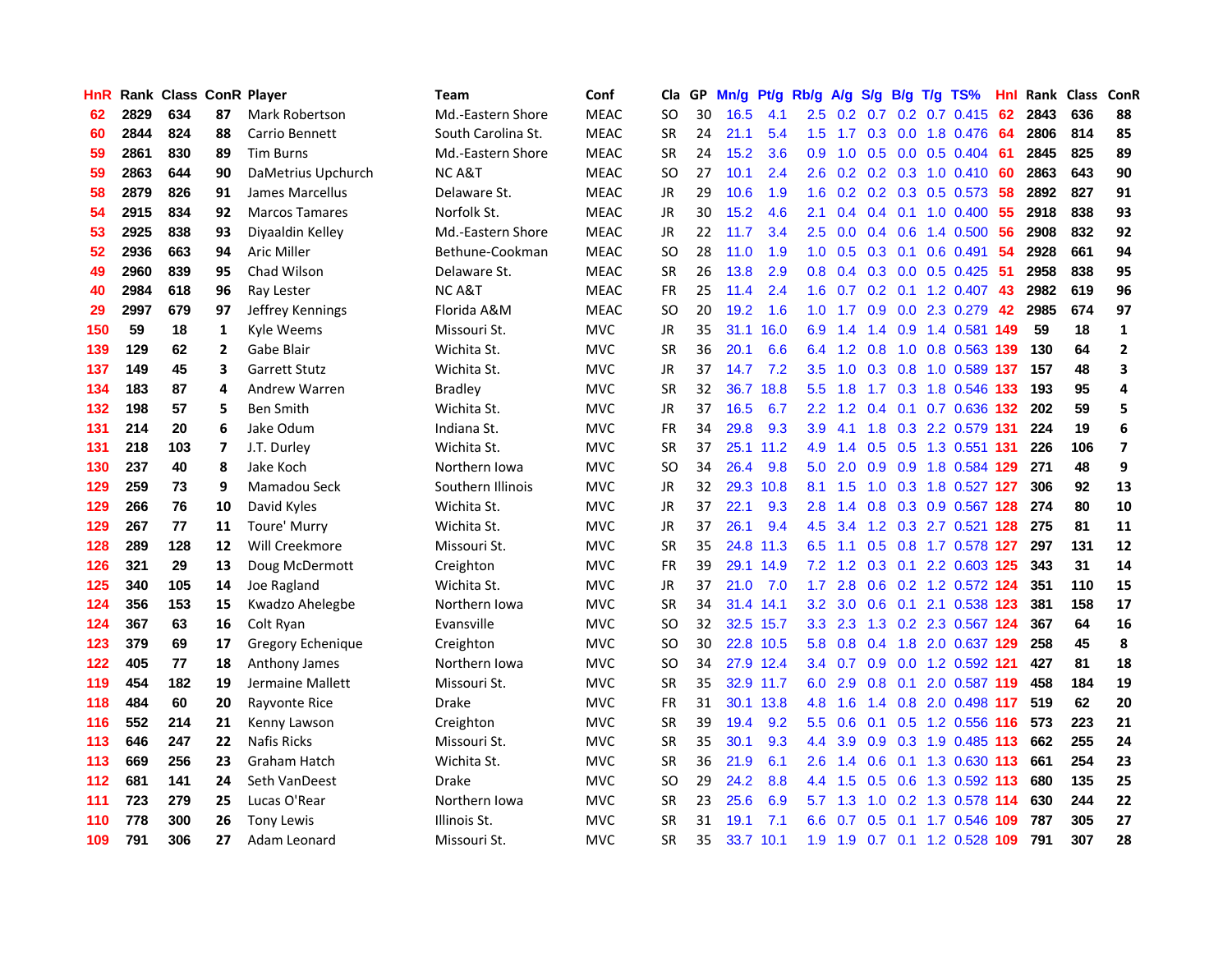| HnR |      | Rank Class ConR Player |                |                       | Team               | Conf        | Cla           |     | GP Mn/g | Pt/g      | Rb/g             | <b>A/g</b>      |               |     | S/g B/g T/g TS%              | Hnl |      | Rank Class | ConR                     |
|-----|------|------------------------|----------------|-----------------------|--------------------|-------------|---------------|-----|---------|-----------|------------------|-----------------|---------------|-----|------------------------------|-----|------|------------|--------------------------|
| 62  | 2829 | 634                    | 87             | Mark Robertson        | Md.-Eastern Shore  | <b>MEAC</b> | SO            | 30  | 16.5    | 4.1       | 2.5              | 0.2             | 0.7           | 0.2 | $0.7$ $0.415$                | 62  | 2843 | 636        | 88                       |
| 60  | 2844 | 824                    | 88             | Carrio Bennett        | South Carolina St. | <b>MEAC</b> | <b>SR</b>     | 24  | 21.1    | 5.4       | $1.5^{\circ}$    | 1.7             | 0.3           | 0.0 | 1.8 0.476                    | 64  | 2806 | 814        | 85                       |
| 59  | 2861 | 830                    | 89             | <b>Tim Burns</b>      | Md.-Eastern Shore  | <b>MEAC</b> | <b>SR</b>     | 24  | 15.2    | 3.6       | 0.9              | 1.0             | 0.5           | 0.0 | $0.5 \, 0.404$               | -61 | 2845 | 825        | 89                       |
| 59  | 2863 | 644                    | 90             | DaMetrius Upchurch    | <b>NCA&amp;T</b>   | <b>MEAC</b> | <b>SO</b>     | 27  | 10.1    | 2.4       | 2.6              |                 |               |     | 0.2 0.2 0.3 1.0 0.410 60     |     | 2863 | 643        | 90                       |
| 58  | 2879 | 826                    | 91             | James Marcellus       | Delaware St.       | <b>MEAC</b> | <b>JR</b>     | 29  | 10.6    | 1.9       |                  |                 |               |     | 1.6 0.2 0.2 0.3 0.5 0.573 58 |     | 2892 | 827        | 91                       |
| 54  | 2915 | 834                    | 92             | <b>Marcos Tamares</b> | Norfolk St.        | <b>MEAC</b> | JR            | 30  | 15.2    | 4.6       | 2.1              | 0.4             |               |     | 0.4 0.1 1.0 0.400 55         |     | 2918 | 838        | 93                       |
| 53  | 2925 | 838                    | 93             | Diyaaldin Kelley      | Md.-Eastern Shore  | <b>MEAC</b> | JR            | 22. | 11.7    | 3.4       | 2.5              | 0.0             |               |     | $0.4$ 0.6 1.4 0.500          | 56  | 2908 | 832        | 92                       |
| 52  | 2936 | 663                    | 94             | <b>Aric Miller</b>    | Bethune-Cookman    | <b>MEAC</b> | <b>SO</b>     | 28  | 11.0    | 1.9       | 1.0 <sub>1</sub> | 0.5             |               |     | $0.3$ 0.1 0.6 0.491          | 54  | 2928 | 661        | 94                       |
| 49  | 2960 | 839                    | 95             | Chad Wilson           | Delaware St.       | <b>MEAC</b> | <b>SR</b>     | 26  | 13.8    | 2.9       | 0.8 <sub>0</sub> | 0.4             |               |     | 0.3 0.0 0.5 0.425            | 51  | 2958 | 838        | 95                       |
| 40  | 2984 | 618                    | 96             | Ray Lester            | <b>NC A&amp;T</b>  | <b>MEAC</b> | <b>FR</b>     | 25  | 11.4    | 2.4       | 1.6              | 0.7             |               |     | $0.2$ 0.1 1.2 0.407          | 43  | 2982 | 619        | 96                       |
| 29  | 2997 | 679                    | 97             | Jeffrey Kennings      | Florida A&M        | <b>MEAC</b> | <b>SO</b>     | 20  | 19.2    | 1.6       | 1.0              | 1.7             | 0.9           |     | 0.0 2.3 0.279                | 42  | 2985 | 674        | 97                       |
| 150 | 59   | 18                     | $\mathbf{1}$   | Kyle Weems            | Missouri St.       | <b>MVC</b>  | <b>JR</b>     | 35  | 31.1    | 16.0      | 6.9              | 1.4             | $1.4^{\circ}$ | 0.9 | 1.4 0.581 149                |     | 59   | 18         | $\mathbf{1}$             |
| 139 | 129  | 62                     | $\overline{2}$ | Gabe Blair            | Wichita St.        | <b>MVC</b>  | <b>SR</b>     | 36  | 20.1    | 6.6       | 6.4              | 1.2             | 0.8           | 1.0 | 0.8 0.563                    | 139 | 130  | 64         | $\mathbf{2}$             |
| 137 | 149  | 45                     | 3              | <b>Garrett Stutz</b>  | Wichita St.        | <b>MVC</b>  | JR            | 37  | 14.7    | 7.2       | 3.5              | 1.0             | 0.3           | 0.8 | 1.0 0.589 137                |     | 157  | 48         | 3                        |
| 134 | 183  | 87                     | 4              | Andrew Warren         | <b>Bradley</b>     | <b>MVC</b>  | <b>SR</b>     | 32  |         | 36.7 18.8 | 5.5 <sub>1</sub> | 1.8             | 1.7           | 0.3 | 1.8 0.546 133                |     | 193  | 95         | 4                        |
| 132 | 198  | 57                     | 5              | <b>Ben Smith</b>      | Wichita St.        | <b>MVC</b>  | <b>JR</b>     | 37  | 16.5    | 6.7       | 2.2 <sub>2</sub> |                 |               |     | 1.2 0.4 0.1 0.7 0.636 132    |     | 202  | 59         | 5                        |
| 131 | 214  | 20                     | 6              | Jake Odum             | Indiana St.        | <b>MVC</b>  | FR            | 34  | 29.8    | 9.3       | 3.9              | 4.1             |               |     | 1.8 0.3 2.2 0.579 131        |     | 224  | 19         | 6                        |
| 131 | 218  | 103                    | 7              | J.T. Durley           | Wichita St.        | <b>MVC</b>  | <b>SR</b>     | 37  |         | 25.1 11.2 | 4.9              | 1.4             |               |     | 0.5 0.5 1.3 0.551 131        |     | 226  | 106        | $\overline{\phantom{a}}$ |
| 130 | 237  | 40                     | 8              | Jake Koch             | Northern Iowa      | <b>MVC</b>  | <b>SO</b>     | 34  | 26.4    | 9.8       | 5.0              | 2.0             |               |     | 0.9 0.9 1.8 0.584 129        |     | 271  | 48         | 9                        |
| 129 | 259  | 73                     | 9              | Mamadou Seck          | Southern Illinois  | <b>MVC</b>  | JR            | 32  |         | 29.3 10.8 | 8.1              | 1.5             |               |     | 1.0 0.3 1.8 0.527 127        |     | 306  | 92         | 13                       |
| 129 | 266  | 76                     | 10             | David Kyles           | Wichita St.        | <b>MVC</b>  | <b>JR</b>     | 37  | 22.1    | 9.3       | 2.8              | 1.4             |               |     | 0.8 0.3 0.9 0.567 128        |     | 274  | 80         | 10                       |
| 129 | 267  | 77                     | 11             | Toure' Murry          | Wichita St.        | <b>MVC</b>  | JR            | 37  | 26.1    | 9.4       | 4.5              | 3.4             |               |     | 1.2 0.3 2.7 0.521 128        |     | 275  | 81         | 11                       |
| 128 | 289  | 128                    | 12             | Will Creekmore        | Missouri St.       | <b>MVC</b>  | <b>SR</b>     | 35  |         | 24.8 11.3 | 6.5              | 1.1             |               |     | 0.5 0.8 1.7 0.578 127        |     | 297  | 131        | 12                       |
| 126 | 321  | 29                     | 13             | Doug McDermott        | Creighton          | <b>MVC</b>  | <b>FR</b>     | 39  |         | 29.1 14.9 |                  | $7.2 \quad 1.2$ |               |     | 0.3 0.1 2.2 0.603 125        |     | 343  | 31         | 14                       |
| 125 | 340  | 105                    | 14             | Joe Ragland           | Wichita St.        | <b>MVC</b>  | <b>JR</b>     | 37  | 21.0    | 7.0       | 1.7 <sup>2</sup> | 2.8             |               |     | 0.6 0.2 1.2 0.572 124        |     | 351  | 110        | 15                       |
| 124 | 356  | 153                    | 15             | Kwadzo Ahelegbe       | Northern Iowa      | <b>MVC</b>  | <b>SR</b>     | 34  |         | 31.4 14.1 | 3.2              | 3.0             | 0.6           | 0.1 | 2.1 0.538 123                |     | 381  | 158        | 17                       |
| 124 | 367  | 63                     | 16             | Colt Ryan             | Evansville         | <b>MVC</b>  | SO            | 32  |         | 32.5 15.7 | 3.3              | 2.3             | 1.3           |     | 0.2 2.3 0.567 124            |     | 367  | 64         | 16                       |
| 123 | 379  | 69                     | 17             | Gregory Echenique     | Creighton          | <b>MVC</b>  | <b>SO</b>     | 30  |         | 22.8 10.5 | 5.8              | 0.8             | 0.4           | 1.8 | 2.0 0.637 129                |     | 258  | 45         | 8                        |
| 122 | 405  | 77                     | 18             | Anthony James         | Northern Iowa      | <b>MVC</b>  | <sub>SO</sub> | 34  |         | 27.9 12.4 |                  | $3.4\quad 0.7$  | 0.9           |     | 0.0 1.2 0.592 121            |     | 427  | 81         | 18                       |
| 119 | 454  | 182                    | 19             | Jermaine Mallett      | Missouri St.       | <b>MVC</b>  | <b>SR</b>     | 35  |         | 32.9 11.7 | 6.0              |                 |               |     | 2.9 0.8 0.1 2.0 0.587 119    |     | 458  | 184        | 19                       |
| 118 | 484  | 60                     | 20             | Rayvonte Rice         | Drake              | <b>MVC</b>  | <b>FR</b>     | 31  |         | 30.1 13.8 | 4.8              | 1.6             |               |     | 1.4 0.8 2.0 0.498 117        |     | 519  | 62         | 20                       |
| 116 | 552  | 214                    | 21             | Kenny Lawson          | Creighton          | <b>MVC</b>  | <b>SR</b>     | 39  | 19.4    | 9.2       | 5.5              | 0.6             |               |     | 0.1 0.5 1.2 0.556 116        |     | 573  | 223        | 21                       |
| 113 | 646  | 247                    | 22             | <b>Nafis Ricks</b>    | Missouri St.       | <b>MVC</b>  | <b>SR</b>     | 35  | 30.1    | 9.3       | 4.4              | 3.9             |               |     | 0.9 0.3 1.9 0.485 113        |     | 662  | 255        | 24                       |
| 113 | 669  | 256                    | 23             | Graham Hatch          | Wichita St.        | <b>MVC</b>  | <b>SR</b>     | 36  | 21.9    | 6.1       | $2.6^{\circ}$    | 1.4             | 0.6           |     | 0.1 1.3 0.630 113            |     | 661  | 254        | 23                       |
| 112 | 681  | 141                    | 24             | Seth VanDeest         | <b>Drake</b>       | <b>MVC</b>  | <b>SO</b>     | 29  | 24.2    | 8.8       |                  | 4.4 1.5         | 0.5           |     | 0.6 1.3 0.592 113            |     | 680  | 135        | 25                       |
| 111 | 723  | 279                    | 25             | Lucas O'Rear          | Northern Iowa      | <b>MVC</b>  | <b>SR</b>     | 23  | 25.6    | 6.9       | 5.7              | 1.3             | 1.0           |     | 0.2 1.3 0.578                | 114 | 630  | 244        | 22                       |
| 110 | 778  | 300                    | 26             | <b>Tony Lewis</b>     | Illinois St.       | <b>MVC</b>  | <b>SR</b>     | 31  | 19.1    | 7.1       | 6.6              | 0.7             | 0.5           | 0.1 | 1.7 0.546                    | 109 | 787  | 305        | 27                       |
| 109 | 791  | 306                    | 27             | Adam Leonard          | Missouri St.       | <b>MVC</b>  | <b>SR</b>     | 35  |         | 33.7 10.1 | 1.9              | 1.9             |               |     | 0.7 0.1 1.2 0.528 109        |     | 791  | 307        | 28                       |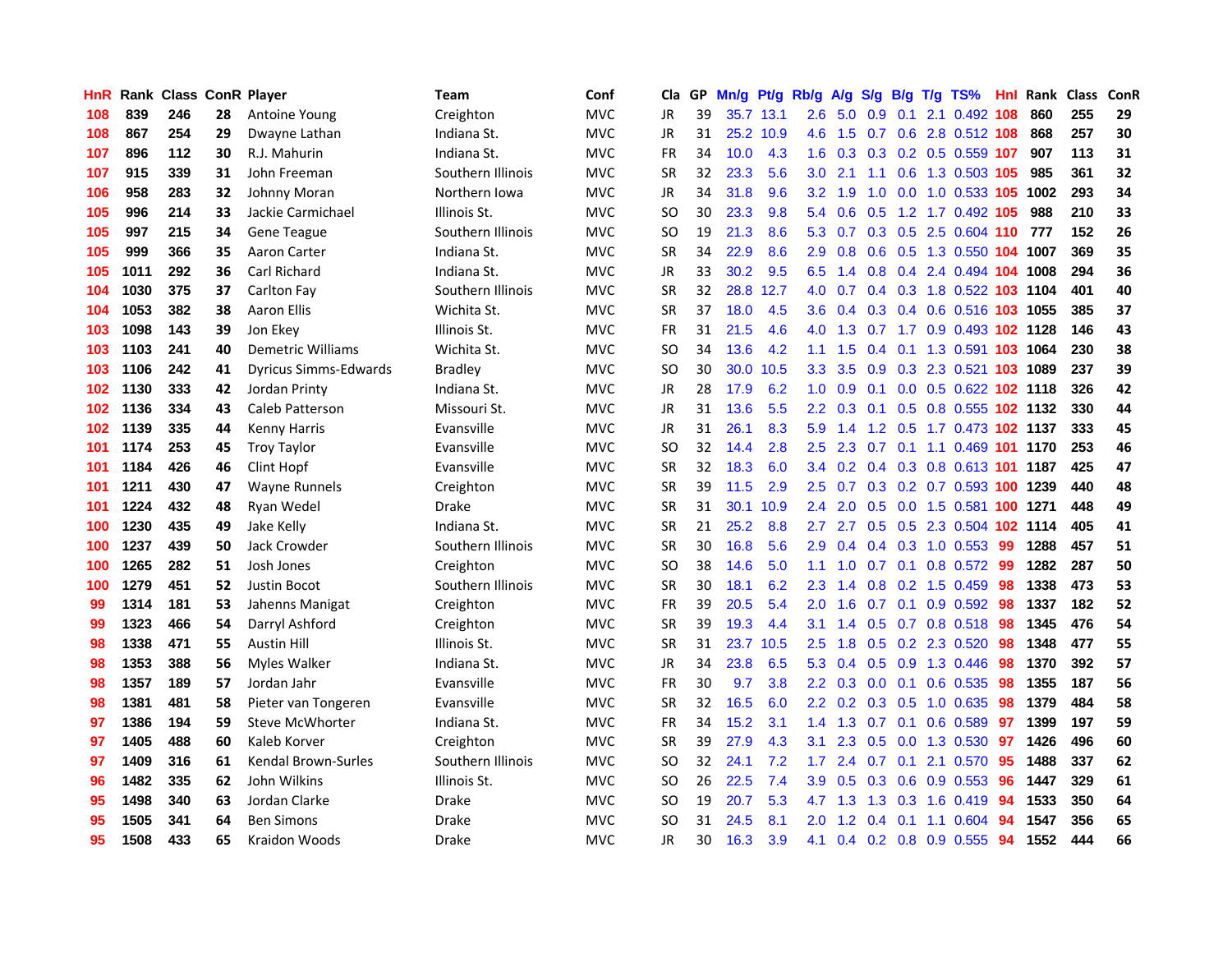| <b>HnR</b> |      | <b>Rank Class ConR Player</b> |    |                              | <b>Team</b>       | Conf       | Cla       |    | GP Mn/g Pt/g Rb/g |           |                  | A/g                                   |               |                 | S/g B/g T/g TS%                           | Hnl | Rank Class |     | ConR |
|------------|------|-------------------------------|----|------------------------------|-------------------|------------|-----------|----|-------------------|-----------|------------------|---------------------------------------|---------------|-----------------|-------------------------------------------|-----|------------|-----|------|
| 108        | 839  | 246                           | 28 | Antoine Young                | Creighton         | <b>MVC</b> | JR        | 39 |                   | 35.7 13.1 | 2.6              | 5.0                                   | 0.9           | 0.1             | 2.1 0.492                                 | 108 | 860        | 255 | 29   |
| 108        | 867  | 254                           | 29 | Dwayne Lathan                | Indiana St.       | <b>MVC</b> | JR        | 31 |                   | 25.2 10.9 | 4.6              | 1.5                                   | 0.7           | 0.6             | 2.8 0.512 108                             |     | 868        | 257 | 30   |
| 107        | 896  | 112                           | 30 | R.J. Mahurin                 | Indiana St.       | <b>MVC</b> | <b>FR</b> | 34 | 10.0              | 4.3       | 1.6              | 0.3                                   |               |                 | 0.3 0.2 0.5 0.559 107                     |     | 907        | 113 | 31   |
| 107        | 915  | 339                           | 31 | John Freeman                 | Southern Illinois | <b>MVC</b> | <b>SR</b> | 32 | 23.3              | 5.6       | 3.0 <sub>2</sub> | 2.1                                   |               |                 | 1.1 0.6 1.3 0.503 105                     |     | 985        | 361 | 32   |
| 106        | 958  | 283                           | 32 | Johnny Moran                 | Northern Iowa     | <b>MVC</b> | JR        | 34 | 31.8              | 9.6       |                  | $3.2 \quad 1.9$                       |               |                 | 1.0 0.0 1.0 0.533 105                     |     | 1002       | 293 | 34   |
| 105        | 996  | 214                           | 33 | Jackie Carmichael            | Illinois St.      | <b>MVC</b> | SO.       | 30 | 23.3              | 9.8       | 5.4              | 0.6                                   | 0.5           |                 | 1.2 1.7 0.492 105                         |     | 988        | 210 | 33   |
| 105        | 997  | 215                           | 34 | Gene Teague                  | Southern Illinois | <b>MVC</b> | SO.       | 19 | 21.3              | 8.6       | 5.3              | 0.7                                   |               |                 | 0.3 0.5 2.5 0.604 110                     |     | 777        | 152 | 26   |
| 105        | 999  | 366                           | 35 | Aaron Carter                 | Indiana St.       | <b>MVC</b> | <b>SR</b> | 34 | 22.9              | 8.6       | 2.9              | 0.8                                   |               |                 | 0.6 0.5 1.3 0.550 104 1007                |     |            | 369 | 35   |
| 105        | 1011 | 292                           | 36 | <b>Carl Richard</b>          | Indiana St.       | <b>MVC</b> | JR        | 33 | 30.2              | 9.5       | 6.5              | $\blacktriangleleft$<br>$\mathcal{A}$ |               |                 | 0.8 0.4 2.4 0.494 104 1008                |     |            | 294 | 36   |
| 104        | 1030 | 375                           | 37 | Carlton Fay                  | Southern Illinois | <b>MVC</b> | <b>SR</b> | 32 | 28.8              | 12.7      | 4.0              | 0.7                                   |               |                 | 0.4 0.3 1.8 0.522 103 1104                |     |            | 401 | 40   |
| 104        | 1053 | 382                           | 38 | Aaron Ellis                  | Wichita St.       | <b>MVC</b> | <b>SR</b> | 37 | 18.0              | 4.5       | 3.6              | 0.4                                   |               |                 | 0.3 0.4 0.6 0.516 103 1055                |     |            | 385 | 37   |
| 103        | 1098 | 143                           | 39 | Jon Ekey                     | Illinois St.      | <b>MVC</b> | <b>FR</b> | 31 | 21.5              | 4.6       | 4.0              | 1.3                                   | 0.7           |                 | 1.7 0.9 0.493 102 1128                    |     |            | 146 | 43   |
| 103        | 1103 | 241                           | 40 | Demetric Williams            | Wichita St.       | <b>MVC</b> | SO.       | 34 | 13.6              | 4.2       | 1.1              | 1.5                                   | $0.4^{\circ}$ |                 | 0.1 1.3 0.591 103 1064                    |     |            | 230 | 38   |
| 103        | 1106 | 242                           | 41 | <b>Dyricus Simms-Edwards</b> | <b>Bradley</b>    | <b>MVC</b> | SO.       | 30 | 30.0              | 10.5      | 3.3 <sub>2</sub> | 3.5                                   | 0.9           | 0.3             | 2.3 0.521 103 1089                        |     |            | 237 | 39   |
| 102        | 1130 | 333                           | 42 | Jordan Printy                | Indiana St.       | <b>MVC</b> | JR        | 28 | 17.9              | 6.2       | 1.0              | 0.9                                   | 0.1           | 0.0             | 0.5 0.622 102 1118                        |     |            | 326 | 42   |
| 102        | 1136 | 334                           | 43 | <b>Caleb Patterson</b>       | Missouri St.      | <b>MVC</b> | JR        | 31 | 13.6              | 5.5       |                  | $2.2 \quad 0.3$                       | 0.1           | 0.5             | 0.8 0.555 102 1132                        |     |            | 330 | 44   |
| 102        | 1139 | 335                           | 44 | <b>Kenny Harris</b>          | Evansville        | <b>MVC</b> | JR        | 31 | 26.1              | 8.3       |                  | $5.9$ 1.4                             |               |                 | 1.2 0.5 1.7 0.473 102 1137                |     |            | 333 | 45   |
| 101        | 1174 | 253                           | 45 | <b>Troy Taylor</b>           | Evansville        | <b>MVC</b> | SO.       | 32 | 14.4              | 2.8       | 2.5              |                                       |               |                 | 2.3 0.7 0.1 1.1 0.469 101 1170            |     |            | 253 | 46   |
| 101        | 1184 | 426                           | 46 | Clint Hopf                   | Evansville        | <b>MVC</b> | <b>SR</b> | 32 | 18.3              | 6.0       |                  |                                       |               |                 | 3.4 0.2 0.4 0.3 0.8 0.613 <b>101 1187</b> |     |            | 425 | 47   |
| 101        | 1211 | 430                           | 47 | <b>Wayne Runnels</b>         | Creighton         | <b>MVC</b> | <b>SR</b> | 39 | 11.5              | 2.9       | $2.5^{\circ}$    |                                       |               |                 | 0.7 0.3 0.2 0.7 0.593 100 1239            |     |            | 440 | 48   |
| 101        | 1224 | 432                           | 48 | Ryan Wedel                   | Drake             | <b>MVC</b> | <b>SR</b> | 31 |                   | 30.1 10.9 | 2.4              | 2.0                                   |               |                 | 0.5 0.0 1.5 0.581 100 1271                |     |            | 448 | 49   |
| 100        | 1230 | 435                           | 49 | Jake Kelly                   | Indiana St.       | <b>MVC</b> | <b>SR</b> | 21 | 25.2              | 8.8       | 2.7              | 2.7                                   |               |                 | 0.5 0.5 2.3 0.504 102 1114                |     |            | 405 | 41   |
| 100        | 1237 | 439                           | 50 | Jack Crowder                 | Southern Illinois | <b>MVC</b> | <b>SR</b> | 30 | 16.8              | 5.6       | 2.9              | 0.4                                   |               |                 | $0.4$ 0.3 1.0 0.553                       | -99 | 1288       | 457 | 51   |
| 100        | 1265 | 282                           | 51 | Josh Jones                   | Creighton         | <b>MVC</b> | SO.       | 38 | 14.6              | 5.0       | 1.1              | 1.0                                   |               | $0.7 \quad 0.1$ | 0.8 0.572                                 | -99 | 1282       | 287 | 50   |
| 100        | 1279 | 451                           | 52 | Justin Bocot                 | Southern Illinois | <b>MVC</b> | <b>SR</b> | 30 | 18.1              | 6.2       | 2.3              | 1.4                                   |               |                 | $0.8$ 0.2 1.5 0.459                       | 98  | 1338       | 473 | 53   |
| 99         | 1314 | 181                           | 53 | Jahenns Manigat              | Creighton         | <b>MVC</b> | <b>FR</b> | 39 | 20.5              | 5.4       | 2.0              | 1.6                                   | 0.7           | 0.1             | 0.9 0.592                                 | 98  | 1337       | 182 | 52   |
| 99         | 1323 | 466                           | 54 | Darryl Ashford               | Creighton         | <b>MVC</b> | <b>SR</b> | 39 | 19.3              | 4.4       | 3.1              | 1.4                                   | 0.5           |                 | 0.7 0.8 0.518                             | 98  | 1345       | 476 | 54   |
| 98         | 1338 | 471                           | 55 | <b>Austin Hill</b>           | Illinois St.      | <b>MVC</b> | <b>SR</b> | 31 | 23.7              | 10.5      | 2.5              | 1.8                                   | 0.5           | 0.2             | 2.3 0.520                                 | 98  | 1348       | 477 | 55   |
| 98         | 1353 | 388                           | 56 | Myles Walker                 | Indiana St.       | <b>MVC</b> | JR        | 34 | 23.8              | 6.5       | 5.3              | 0.4                                   |               | $0.5 \quad 0.9$ | 1.3 0.446                                 | 98  | 1370       | 392 | 57   |
| 98         | 1357 | 189                           | 57 | Jordan Jahr                  | Evansville        | <b>MVC</b> | <b>FR</b> | 30 | 9.7               | 3.8       |                  | $2.2 \quad 0.3$                       |               | $0.0 \quad 0.1$ | 0.6 0.535                                 | -98 | 1355       | 187 | 56   |
| 98         | 1381 | 481                           | 58 | Pieter van Tongeren          | Evansville        | <b>MVC</b> | <b>SR</b> | 32 | 16.5              | 6.0       |                  |                                       |               |                 | 2.2 0.2 0.3 0.5 1.0 0.635                 | -98 | 1379       | 484 | 58   |
| 97         | 1386 | 194                           | 59 | <b>Steve McWhorter</b>       | Indiana St.       | <b>MVC</b> | <b>FR</b> | 34 | 15.2              | 3.1       |                  | $1.4$ 1.3                             |               |                 | 0.7 0.1 0.6 0.589                         | 97  | 1399       | 197 | 59   |
| 97         | 1405 | 488                           | 60 | Kaleb Korver                 | Creighton         | <b>MVC</b> | <b>SR</b> | 39 | 27.9              | 4.3       | 3.1              | 2.3                                   | 0.5           |                 | 0.0 1.3 0.530                             | 97  | 1426       | 496 | 60   |
| 97         | 1409 | 316                           | 61 | Kendal Brown-Surles          | Southern Illinois | <b>MVC</b> | <b>SO</b> | 32 | 24.1              | 7.2       | 1.7 <sub>z</sub> | 2.4                                   | 0.7           | 0.1             | 2.1 0.570                                 | 95  | 1488       | 337 | 62   |
| 96         | 1482 | 335                           | 62 | John Wilkins                 | Illinois St.      | <b>MVC</b> | SO.       | 26 | 22.5              | 7.4       | 3.9              | 0.5                                   |               | $0.3 \quad 0.6$ | 0.9 0.553                                 | 96  | 1447       | 329 | 61   |
| 95         | 1498 | 340                           | 63 | Jordan Clarke                | <b>Drake</b>      | <b>MVC</b> | SO.       | 19 | 20.7              | 5.3       | 4.7              | 1.3                                   | 1.3           | 0.3             | 1.6 0.419                                 | 94  | 1533       | 350 | 64   |
| 95         | 1505 | 341                           | 64 | <b>Ben Simons</b>            | <b>Drake</b>      | <b>MVC</b> | SO        | 31 | 24.5              | 8.1       | 2.0              | 1.2                                   | 0.4           | 0.1             | 1.1 0.604                                 | 94  | 1547       | 356 | 65   |
| 95         | 1508 | 433                           | 65 | <b>Kraidon Woods</b>         | <b>Drake</b>      | <b>MVC</b> | <b>JR</b> | 30 | 16.3              | 3.9       | 4.1              |                                       |               |                 | 0.4 0.2 0.8 0.9 0.555                     | 94  | 1552       | 444 | 66   |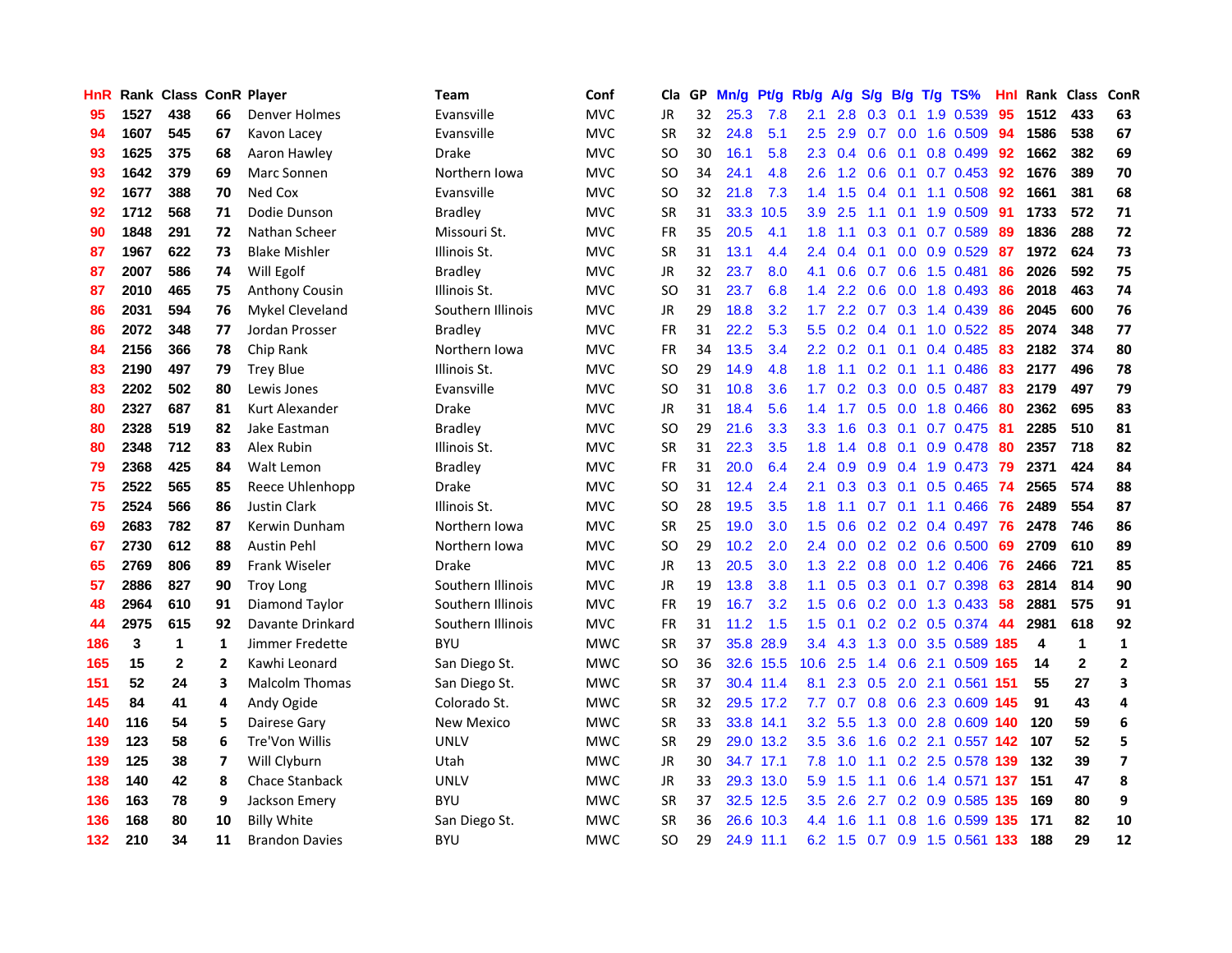| HnR |      | <b>Rank Class ConR Player</b> |                |                       | Team              | Conf       | Cla       |    | GP Mn/g   | Pt/g      | Rb/g             | A/g             |                 |                 | $S/g$ B/g T/g TS%             | Hnl | Rank Class |              | ConR                    |
|-----|------|-------------------------------|----------------|-----------------------|-------------------|------------|-----------|----|-----------|-----------|------------------|-----------------|-----------------|-----------------|-------------------------------|-----|------------|--------------|-------------------------|
| 95  | 1527 | 438                           | 66             | Denver Holmes         | Evansville        | <b>MVC</b> | JR        | 32 | 25.3      | 7.8       | 2.1              | 2.8             | 0.3             | 0.1             | 1.9 0.539                     | 95  | 1512       | 433          | 63                      |
| 94  | 1607 | 545                           | 67             | Kavon Lacey           | Evansville        | <b>MVC</b> | <b>SR</b> | 32 | 24.8      | 5.1       | 2.5              | 2.9             | 0.7             | 0.0             | 1.6 0.509                     | -94 | 1586       | 538          | 67                      |
| 93  | 1625 | 375                           | 68             | Aaron Hawley          | <b>Drake</b>      | <b>MVC</b> | <b>SO</b> | 30 | 16.1      | 5.8       | 2.3              | 0.4             | 0.6             | 0.1             | 0.8 0.499                     | 92  | 1662       | 382          | 69                      |
| 93  | 1642 | 379                           | 69             | Marc Sonnen           | Northern Iowa     | <b>MVC</b> | SO.       | 34 | 24.1      | 4.8       |                  |                 |                 |                 | 2.6 1.2 0.6 0.1 0.7 0.453 92  |     | 1676       | 389          | 70                      |
| 92  | 1677 | 388                           | 70             | Ned Cox               | Evansville        | <b>MVC</b> | SO.       | 32 | 21.8      | 7.3       |                  | $1.4$ 1.5       |                 |                 | 0.4 0.1 1.1 0.508             | 92  | 1661       | 381          | 68                      |
| 92  | 1712 | 568                           | 71             | Dodie Dunson          | <b>Bradley</b>    | <b>MVC</b> | <b>SR</b> | 31 |           | 33.3 10.5 | 3.9 <sup>°</sup> | 2.5             | 1.1             |                 | $0.1$ 1.9 0.509               | 91  | 1733       | 572          | 71                      |
| 90  | 1848 | 291                           | 72             | Nathan Scheer         | Missouri St.      | <b>MVC</b> | FR        | 35 | 20.5      | 4.1       | 1.8              | 1.1             |                 |                 | $0.3$ 0.1 0.7 0.589           | 89  | 1836       | 288          | 72                      |
| 87  | 1967 | 622                           | 73             | <b>Blake Mishler</b>  | Illinois St.      | <b>MVC</b> | <b>SR</b> | 31 | 13.1      | 4.4       | 2.4              | 0.4             | 0.1             |                 | $0.0$ $0.9$ $0.529$           | 87  | 1972       | 624          | 73                      |
| 87  | 2007 | 586                           | 74             | Will Egolf            | <b>Bradley</b>    | <b>MVC</b> | JR        | 32 | 23.7      | 8.0       | 4.1              | 0.6             | 0.7             | 0.6             | 1.5 0.481                     | 86  | 2026       | 592          | 75                      |
| 87  | 2010 | 465                           | 75             | <b>Anthony Cousin</b> | Illinois St.      | <b>MVC</b> | SO.       | 31 | 23.7      | 6.8       | $1.4^{\circ}$    | 2.2             | 0.6             |                 | $0.0$ 1.8 0.493               | 86  | 2018       | 463          | 74                      |
| 86  | 2031 | 594                           | 76             | Mykel Cleveland       | Southern Illinois | <b>MVC</b> | JR        | 29 | 18.8      | 3.2       | 1.7 <sup>2</sup> | 2.2             | 0.7             |                 | 0.3 1.4 0.439                 | 86  | 2045       | 600          | 76                      |
| 86  | 2072 | 348                           | 77             | Jordan Prosser        | <b>Bradley</b>    | <b>MVC</b> | <b>FR</b> | 31 | 22.2      | 5.3       | 5.5              | 0.2             | 0.4             | 0.1             | $1.0$ 0.522                   | 85  | 2074       | 348          | 77                      |
| 84  | 2156 | 366                           | 78             | Chip Rank             | Northern Iowa     | <b>MVC</b> | <b>FR</b> | 34 | 13.5      | 3.4       | $2.2^{\circ}$    | 0.2             | 0.1             | 0.1             | 0.4 0.485                     | 83  | 2182       | 374          | 80                      |
| 83  | 2190 | 497                           | 79             | <b>Trey Blue</b>      | Illinois St.      | <b>MVC</b> | <b>SO</b> | 29 | 14.9      | 4.8       | 1.8              | 1.1             | 0.2             | 0.1             | 1.1 0.486                     | 83  | 2177       | 496          | 78                      |
| 83  | 2202 | 502                           | 80             | Lewis Jones           | Evansville        | <b>MVC</b> | SO.       | 31 | 10.8      | 3.6       | 1.7 <sup>2</sup> | 0.2             | $0.3 \quad 0.0$ |                 | $0.5$ 0.487                   | 83  | 2179       | 497          | 79                      |
| 80  | 2327 | 687                           | 81             | Kurt Alexander        | <b>Drake</b>      | <b>MVC</b> | JR        | 31 | 18.4      | 5.6       |                  | $1.4$ 1.7       |                 |                 | $0.5$ 0.0 1.8 0.466           | -80 | 2362       | 695          | 83                      |
| 80  | 2328 | 519                           | 82             | Jake Eastman          | Bradley           | <b>MVC</b> | SO.       | 29 | 21.6      | 3.3       |                  | $3.3 \quad 1.6$ |                 |                 | 0.3 0.1 0.7 0.475 81          |     | 2285       | 510          | 81                      |
| 80  | 2348 | 712                           | 83             | Alex Rubin            | Illinois St.      | <b>MVC</b> | <b>SR</b> | 31 | 22.3      | 3.5       |                  | $1.8$ 1.4       |                 |                 | 0.8 0.1 0.9 0.478 80          |     | 2357       | 718          | 82                      |
| 79  | 2368 | 425                           | 84             | Walt Lemon            | Bradley           | <b>MVC</b> | <b>FR</b> | 31 | 20.0      | 6.4       |                  | $2.4\quad 0.9$  |                 |                 | 0.9 0.4 1.9 0.473 79          |     | 2371       | 424          | 84                      |
| 75  | 2522 | 565                           | 85             | Reece Uhlenhopp       | <b>Drake</b>      | <b>MVC</b> | SO.       | 31 | 12.4      | 2.4       | 2.1              | 0.3             |                 |                 | 0.3 0.1 0.5 0.465 74          |     | 2565       | 574          | 88                      |
| 75  | 2524 | 566                           | 86             | <b>Justin Clark</b>   | Illinois St.      | <b>MVC</b> | SO.       | 28 | 19.5      | 3.5       | 1.8              | 1.1             |                 |                 | $0.7$ 0.1 1.1 0.466           | -76 | 2489       | 554          | 87                      |
| 69  | 2683 | 782                           | 87             | Kerwin Dunham         | Northern Iowa     | <b>MVC</b> | <b>SR</b> | 25 | 19.0      | 3.0       | 1.5              | 0.6             |                 |                 | $0.2$ 0.2 0.4 0.497           | 76  | 2478       | 746          | 86                      |
| 67  | 2730 | 612                           | 88             | <b>Austin Pehl</b>    | Northern Iowa     | <b>MVC</b> | <b>SO</b> | 29 | 10.2      | 2.0       | $2.4^{\circ}$    | 0.0             |                 |                 | $0.2$ 0.2 0.6 0.500           | -69 | 2709       | 610          | 89                      |
| 65  | 2769 | 806                           | 89             | Frank Wiseler         | <b>Drake</b>      | <b>MVC</b> | JR        | 13 | 20.5      | 3.0       | 1.3              | $2.2^{\circ}$   |                 |                 | 0.8 0.0 1.2 0.406             | 76  | 2466       | 721          | 85                      |
| 57  | 2886 | 827                           | 90             | <b>Troy Long</b>      | Southern Illinois | <b>MVC</b> | <b>JR</b> | 19 | 13.8      | 3.8       | 1.1              | 0.5             |                 | $0.3 \quad 0.1$ | 0.7 0.398                     | 63  | 2814       | 814          | 90                      |
| 48  | 2964 | 610                           | 91             | Diamond Taylor        | Southern Illinois | <b>MVC</b> | FR        | 19 | 16.7      | 3.2       | $1.5^{\circ}$    | 0.6             |                 | $0.2 \quad 0.0$ | 1.3 0.433                     | 58  | 2881       | 575          | 91                      |
| 44  | 2975 | 615                           | 92             | Davante Drinkard      | Southern Illinois | <b>MVC</b> | FR        | 31 | 11.2      | 1.5       | 1.5              | 0.1             |                 |                 | 0.2 0.2 0.5 0.374             | -44 | 2981       | 618          | 92                      |
| 186 | 3    | $\mathbf{1}$                  | 1              | Jimmer Fredette       | <b>BYU</b>        | <b>MWC</b> | <b>SR</b> | 37 | 35.8      | 28.9      | 3.4              | 4.3             | 1.3             |                 | 0.0 3.5 0.589 185             |     | 4          | $\mathbf{1}$ | $\mathbf{1}$            |
| 165 | 15   | $\mathbf{2}$                  | $\overline{2}$ | Kawhi Leonard         | San Diego St.     | <b>MWC</b> | <b>SO</b> | 36 |           | 32.6 15.5 | 10.6             | 2.5             |                 |                 | 1.4 0.6 2.1 0.509 165         |     | 14         | $\mathbf{2}$ | $\mathbf{2}$            |
| 151 | 52   | 24                            | 3              | <b>Malcolm Thomas</b> | San Diego St.     | <b>MWC</b> | <b>SR</b> | 37 |           | 30.4 11.4 | 8.1              |                 |                 |                 | 2.3 0.5 2.0 2.1 0.561 151     |     | 55         | 27           | 3                       |
| 145 | 84   | 41                            | 4              | Andy Ogide            | Colorado St.      | <b>MWC</b> | <b>SR</b> | 32 |           | 29.5 17.2 | 7.7              |                 |                 |                 | 0.7 0.8 0.6 2.3 0.609 145     |     | 91         | 43           | 4                       |
| 140 | 116  | 54                            | 5              | Dairese Gary          | New Mexico        | <b>MWC</b> | <b>SR</b> | 33 |           | 33.8 14.1 |                  | $3.2$ 5.5       |                 |                 | 1.3 0.0 2.8 0.609 140         |     | 120        | 59           | 6                       |
| 139 | 123  | 58                            | 6              | Tre'Von Willis        | <b>UNLV</b>       | <b>MWC</b> | <b>SR</b> | 29 |           | 29.0 13.2 | 3.5              | 3.6             |                 |                 | 1.6 0.2 2.1 0.557 142         |     | 107        | 52           | 5                       |
| 139 | 125  | 38                            | 7              | Will Clyburn          | Utah              | <b>MWC</b> | JR        | 30 |           | 34.7 17.1 | 7.8              | 1.0             | 1.1             |                 | 0.2 2.5 0.578 139             |     | 132        | 39           | $\overline{\mathbf{z}}$ |
| 138 | 140  | 42                            | 8              | Chace Stanback        | <b>UNLV</b>       | <b>MWC</b> | JR        | 33 |           | 29.3 13.0 | 5.9              | 1.5             | 1.1             |                 | 0.6 1.4 0.571 137             |     | 151        | 47           | 8                       |
| 136 | 163  | 78                            | 9              | Jackson Emery         | <b>BYU</b>        | <b>MWC</b> | <b>SR</b> | 37 | 32.5 12.5 |           | $3.5^{\circ}$    | 2.6             | 2.7             |                 | $0.2$ 0.9 0.585               | 135 | 169        | 80           | 9                       |
| 136 | 168  | 80                            | 10             | <b>Billy White</b>    | San Diego St.     | <b>MWC</b> | <b>SR</b> | 36 |           | 26.6 10.3 | 4.4              | 1.6             | 1.1             | 0.8             | 1.6 0.599 135                 |     | 171        | 82           | 10                      |
| 132 | 210  | 34                            | 11             | <b>Brandon Davies</b> | <b>BYU</b>        | <b>MWC</b> | SO.       | 29 |           | 24.9 11.1 |                  |                 |                 |                 | 6.2 1.5 0.7 0.9 1.5 0.561 133 |     | 188        | 29           | 12                      |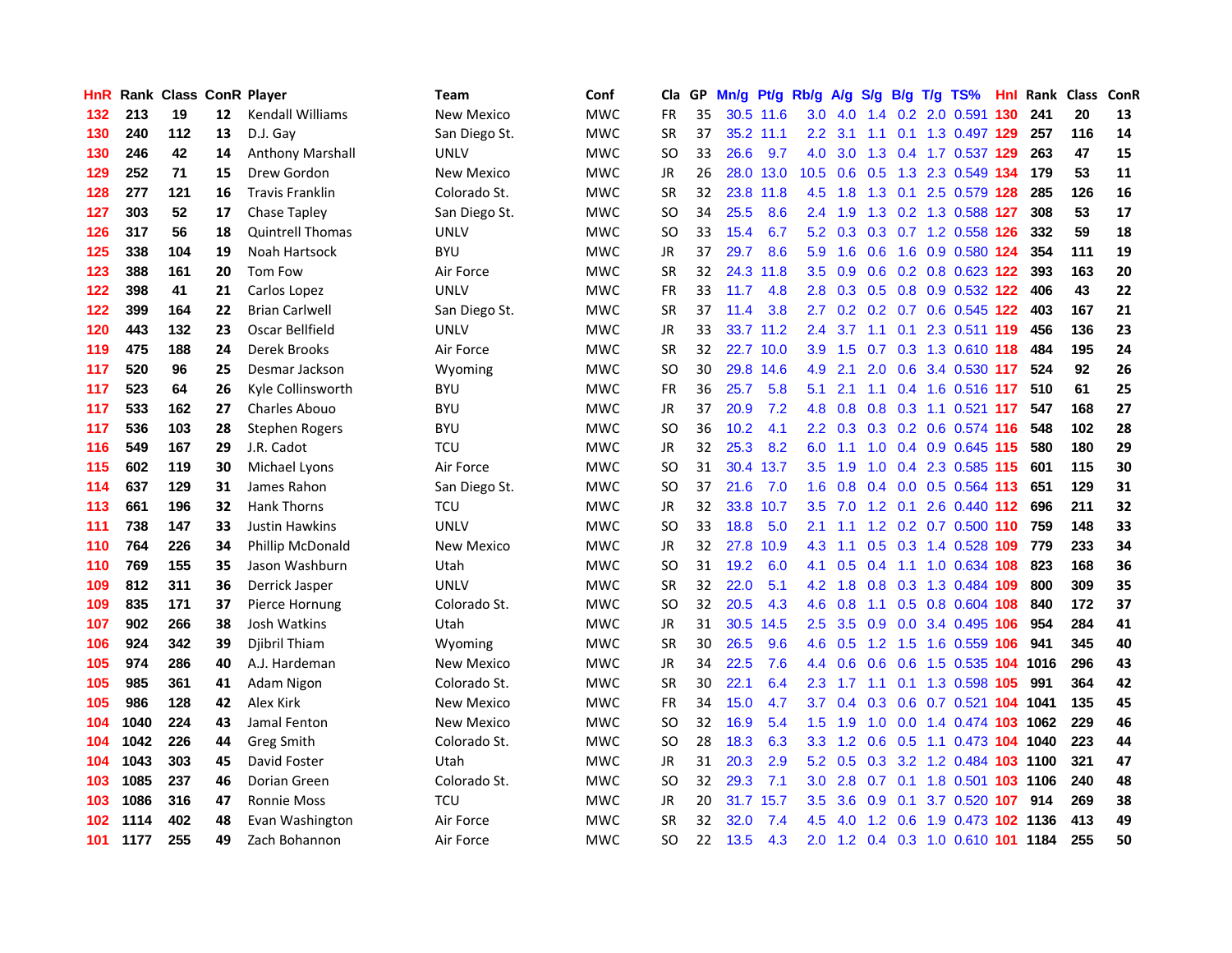| <b>HnR</b> |      | Rank Class ConR Player |    |                         | Team              | Conf       | Cla       |    | GP Mn/g | Pt/g      | Rb/g             | A/g       | <b>S/g</b>      |     | B/g T/g TS%                    | Hnl | Rank Class |     | <b>ConR</b> |
|------------|------|------------------------|----|-------------------------|-------------------|------------|-----------|----|---------|-----------|------------------|-----------|-----------------|-----|--------------------------------|-----|------------|-----|-------------|
| 132        | 213  | 19                     | 12 | <b>Kendall Williams</b> | <b>New Mexico</b> | <b>MWC</b> | FR        | 35 |         | 30.5 11.6 | 3.0              | 4.0       | $1.4^{\circ}$   | 0.2 | 2.0 0.591                      | 130 | 241        | 20  | 13          |
| 130        | 240  | 112                    | 13 | D.J. Gay                | San Diego St.     | <b>MWC</b> | <b>SR</b> | 37 |         | 35.2 11.1 | 2.2 <sub>2</sub> | 3.1       | 1.1             | 0.1 | 1.3 0.497 129                  |     | 257        | 116 | 14          |
| 130        | 246  | 42                     | 14 | Anthony Marshall        | <b>UNLV</b>       | <b>MWC</b> | SO        | 33 | 26.6    | 9.7       | 4.0              | 3.0       |                 |     | 1.3 0.4 1.7 0.537 129          |     | 263        | 47  | 15          |
| 129        | 252  | 71                     | 15 | Drew Gordon             | <b>New Mexico</b> | <b>MWC</b> | JR.       | 26 |         | 28.0 13.0 | 10.5             |           |                 |     | 0.6 0.5 1.3 2.3 0.549 134      |     | 179        | 53  | 11          |
| 128        | 277  | 121                    | 16 | <b>Travis Franklin</b>  | Colorado St.      | <b>MWC</b> | <b>SR</b> | 32 |         | 23.8 11.8 | 4.5              | 1.8       |                 |     | 1.3 0.1 2.5 0.579 128          |     | 285        | 126 | 16          |
| 127        | 303  | 52                     | 17 | Chase Tapley            | San Diego St.     | <b>MWC</b> | <b>SO</b> | 34 | 25.5    | 8.6       | 2.4              | 1.9       |                 |     | 1.3 0.2 1.3 0.588 127          |     | 308        | 53  | 17          |
| 126        | 317  | 56                     | 18 | <b>Quintrell Thomas</b> | <b>UNLV</b>       | <b>MWC</b> | SO        | 33 | 15.4    | 6.7       | 5.2              |           |                 |     | 0.3 0.3 0.7 1.2 0.558 126      |     | 332        | 59  | 18          |
| 125        | 338  | 104                    | 19 | Noah Hartsock           | <b>BYU</b>        | <b>MWC</b> | JR        | 37 | 29.7    | 8.6       | 5.9              | 1.6       | 0.6             |     | 1.6 0.9 0.580 124              |     | 354        | 111 | 19          |
| 123        | 388  | 161                    | 20 | <b>Tom Fow</b>          | Air Force         | <b>MWC</b> | <b>SR</b> | 32 | 24.3    | 11.8      | $3.5^{\circ}$    | 0.9       |                 |     | 0.6 0.2 0.8 0.623 122          |     | 393        | 163 | 20          |
| 122        | 398  | 41                     | 21 | Carlos Lopez            | <b>UNLV</b>       | <b>MWC</b> | <b>FR</b> | 33 | 11.7    | 4.8       | 2.8              | 0.3       |                 |     | 0.5 0.8 0.9 0.532 122          |     | 406        | 43  | 22          |
| 122        | 399  | 164                    | 22 | <b>Brian Carlwell</b>   | San Diego St.     | <b>MWC</b> | <b>SR</b> | 37 | 11.4    | 3.8       | 2.7              |           |                 |     | 0.2 0.2 0.7 0.6 0.545 122      |     | 403        | 167 | 21          |
| 120        | 443  | 132                    | 23 | Oscar Bellfield         | <b>UNLV</b>       | <b>MWC</b> | JR.       | 33 |         | 33.7 11.2 | $2.4^{\circ}$    | 3.7       | 1.1             | 0.1 | 2.3 0.511 119                  |     | 456        | 136 | 23          |
| 119        | 475  | 188                    | 24 | Derek Brooks            | Air Force         | <b>MWC</b> | SR        | 32 |         | 22.7 10.0 | 3.9 <sup>°</sup> | 1.5       | 0.7             |     | 0.3 1.3 0.610 118              |     | 484        | 195 | 24          |
| 117        | 520  | 96                     | 25 | Desmar Jackson          | Wyoming           | MWC        | SO        | 30 |         | 29.8 14.6 | 4.9              | 2.1       | 2.0             | 0.6 | 3.4 0.530 117                  |     | 524        | 92  | 26          |
| 117        | 523  | 64                     | 26 | Kyle Collinsworth       | <b>BYU</b>        | <b>MWC</b> | <b>FR</b> | 36 | 25.7    | 5.8       | 5.1              | 2.1       | 1.1             |     | 0.4 1.6 0.516 117              |     | 510        | 61  | 25          |
| 117        | 533  | 162                    | 27 | Charles Abouo           | <b>BYU</b>        | <b>MWC</b> | JR.       | 37 | 20.9    | 7.2       | 4.8              | 0.8       |                 |     | 0.8 0.3 1.1 0.521 117          |     | 547        | 168 | 27          |
| 117        | 536  | 103                    | 28 | Stephen Rogers          | <b>BYU</b>        | <b>MWC</b> | SO        | 36 | 10.2    | 4.1       |                  |           |                 |     | 2.2 0.3 0.3 0.2 0.6 0.574 116  |     | 548        | 102 | 28          |
| 116        | 549  | 167                    | 29 | J.R. Cadot              | TCU               | <b>MWC</b> | JR        | 32 | 25.3    | 8.2       | 6.0              | 1.1       |                 |     | 1.0 0.4 0.9 0.645 115          |     | 580        | 180 | 29          |
| 115        | 602  | 119                    | 30 | Michael Lyons           | Air Force         | <b>MWC</b> | SO        | 31 |         | 30.4 13.7 | 3.5              | 1.9       |                 |     | 1.0 0.4 2.3 0.585 115          |     | 601        | 115 | 30          |
| 114        | 637  | 129                    | 31 | James Rahon             | San Diego St.     | <b>MWC</b> | SO        | 37 | 21.6    | 7.0       | 1.6 <sup>1</sup> | 0.8       |                 |     | 0.4 0.0 0.5 0.564 113          |     | 651        | 129 | 31          |
| 113        | 661  | 196                    | 32 | <b>Hank Thorns</b>      | <b>TCU</b>        | <b>MWC</b> | JR        | 32 |         | 33.8 10.7 | 3.5              | 7.0       |                 |     | 1.2 0.1 2.6 0.440 112          |     | 696        | 211 | 32          |
| 111        | 738  | 147                    | 33 | Justin Hawkins          | <b>UNLV</b>       | <b>MWC</b> | <b>SO</b> | 33 | 18.8    | 5.0       | 2.1              | 1.1       |                 |     | 1.2 0.2 0.7 0.500 110          |     | 759        | 148 | 33          |
| 110        | 764  | 226                    | 34 | Phillip McDonald        | <b>New Mexico</b> | <b>MWC</b> | JR        | 32 | 27.8    | 10.9      | 4.3              | 1.1       | 0.5             |     | 0.3 1.4 0.528 109              |     | 779        | 233 | 34          |
| 110        | 769  | 155                    | 35 | Jason Washburn          | Utah              | <b>MWC</b> | SO        | 31 | 19.2    | 6.0       | 4.1              | 0.5       | 0.4             |     | 1.1 1.0 0.634 108              |     | 823        | 168 | 36          |
| 109        | 812  | 311                    | 36 | Derrick Jasper          | <b>UNLV</b>       | <b>MWC</b> | <b>SR</b> | 32 | 22.0    | 5.1       | 4.2 <sub>1</sub> | 1.8       | 0.8             |     | 0.3 1.3 0.484 109              |     | 800        | 309 | 35          |
| 109        | 835  | 171                    | 37 | Pierce Hornung          | Colorado St.      | <b>MWC</b> | <b>SO</b> | 32 | 20.5    | 4.3       | 4.6              | 0.8       | 1.1             | 0.5 | 0.8 0.604 108                  |     | 840        | 172 | 37          |
| 107        | 902  | 266                    | 38 | Josh Watkins            | Utah              | <b>MWC</b> | JR.       | 31 | 30.5    | 14.5      | 2.5              | 3.5       | 0.9             | 0.0 | 3.4 0.495 106                  |     | 954        | 284 | 41          |
| 106        | 924  | 342                    | 39 | Djibril Thiam           | Wyoming           | <b>MWC</b> | <b>SR</b> | 30 | 26.5    | 9.6       | 4.6              | 0.5       | 1.2             | 1.5 | 1.6 0.559 106                  |     | 941        | 345 | 40          |
| 105        | 974  | 286                    | 40 | A.J. Hardeman           | <b>New Mexico</b> | <b>MWC</b> | JR.       | 34 | 22.5    | 7.6       | $4.4^{\circ}$    | 0.6       | 0.6             | 0.6 | 1.5 0.535 104                  |     | 1016       | 296 | 43          |
| 105        | 985  | 361                    | 41 | Adam Nigon              | Colorado St.      | <b>MWC</b> | SR        | 30 | 22.1    | 6.4       | $2.3^{\circ}$    | 1.7       |                 |     | 1.1 0.1 1.3 0.598 105          |     | 991        | 364 | 42          |
| 105        | 986  | 128                    | 42 | Alex Kirk               | New Mexico        | <b>MWC</b> | FR        | 34 | 15.0    | 4.7       | 3.7              | 0.4       |                 |     | 0.3 0.6 0.7 0.521 104 1041     |     |            | 135 | 45          |
| 104        | 1040 | 224                    | 43 | Jamal Fenton            | <b>New Mexico</b> | <b>MWC</b> | SO        | 32 | 16.9    | 5.4       |                  | $1.5$ 1.9 |                 |     | 1.0 0.0 1.4 0.474 103 1062     |     |            | 229 | 46          |
| 104        | 1042 | 226                    | 44 | Greg Smith              | Colorado St.      | <b>MWC</b> | SO        | 28 | 18.3    | 6.3       | 3.3 <sub>2</sub> |           | $1.2 \quad 0.6$ |     | 0.5 1.1 0.473 104 1040         |     |            | 223 | 44          |
| 104        | 1043 | 303                    | 45 | David Foster            | Utah              | <b>MWC</b> | JR        | 31 | 20.3    | 2.9       | 5.2              | 0.5       | 0.3             |     | 3.2 1.2 0.484 103 1100         |     |            | 321 | 47          |
| 103        | 1085 | 237                    | 46 | Dorian Green            | Colorado St.      | <b>MWC</b> | SO        | 32 | 29.3    | 7.1       | 3.0              | 2.8       |                 |     | 0.7 0.1 1.8 0.501 103 1106     |     |            | 240 | 48          |
| 103        | 1086 | 316                    | 47 | <b>Ronnie Moss</b>      | <b>TCU</b>        | <b>MWC</b> | JR.       | 20 |         | 31.7 15.7 | $3.5^{\circ}$    | 3.6       | 0.9             | 0.1 | 3.7 0.520 107                  |     | 914        | 269 | 38          |
| 102        | 1114 | 402                    | 48 | Evan Washington         | Air Force         | <b>MWC</b> | <b>SR</b> | 32 | 32.0    | 7.4       | 4.5              | 4.0       | 1.2             | 0.6 | 1.9 0.473 102 1136             |     |            | 413 | 49          |
| 101        | 1177 | 255                    | 49 | Zach Bohannon           | Air Force         | <b>MWC</b> | SΟ        | 22 | 13.5    | 4.3       | 2.0              |           |                 |     | 1.2 0.4 0.3 1.0 0.610 101 1184 |     |            | 255 | 50          |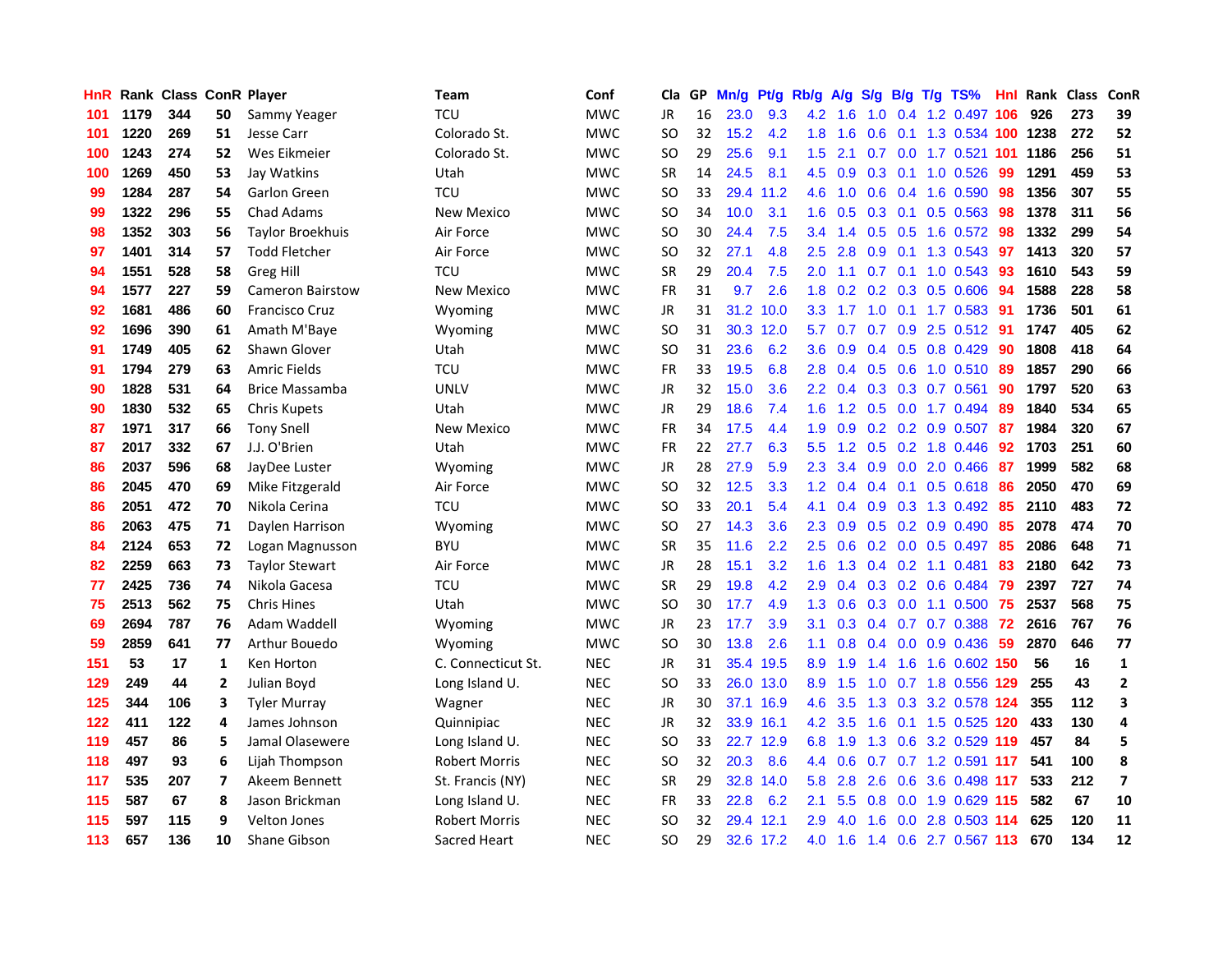| <b>HnR</b> |      | Rank Class ConR Player |                |                         | <b>Team</b>          | Conf       | Cla       |    | GP Mn/g   | Pt/g      | Rb/g             | A/g     |           |     | S/g B/g T/g TS%           | Hnl  | Rank Class |     | ConR                    |
|------------|------|------------------------|----------------|-------------------------|----------------------|------------|-----------|----|-----------|-----------|------------------|---------|-----------|-----|---------------------------|------|------------|-----|-------------------------|
| 101        | 1179 | 344                    | 50             | Sammy Yeager            | TCU                  | <b>MWC</b> | JR        | 16 | 23.0      | 9.3       | 4.2              | 1.6     | 1.0       | 0.4 | 1.2 0.497                 | 106  | 926        | 273 | 39                      |
| 101        | 1220 | 269                    | 51             | Jesse Carr              | Colorado St.         | <b>MWC</b> | SO.       | 32 | 15.2      | 4.2       | 1.8              | 1.6     | 0.6       | 0.1 | 1.3 0.534 100             |      | 1238       | 272 | 52                      |
| 100        | 1243 | 274                    | 52             | Wes Eikmeier            | Colorado St.         | <b>MWC</b> | <b>SO</b> | 29 | 25.6      | 9.1       | 1.5              | 2.1     | 0.7       | 0.0 | 1.7 0.521 101             |      | 1186       | 256 | 51                      |
| 100        | 1269 | 450                    | 53             | Jay Watkins             | Utah                 | <b>MWC</b> | <b>SR</b> | 14 | 24.5      | 8.1       | 4.5              | 0.9     | $0.3$ 0.1 |     | 1.0 0.526                 | -99  | 1291       | 459 | 53                      |
| 99         | 1284 | 287                    | 54             | Garlon Green            | TCU                  | <b>MWC</b> | SO.       | 33 | 29.4      | 11.2      | 4.6              | 1.0     |           |     | $0.6$ $0.4$ 1.6 $0.590$   | -98  | 1356       | 307 | 55                      |
| 99         | 1322 | 296                    | 55             | <b>Chad Adams</b>       | New Mexico           | <b>MWC</b> | SO.       | 34 | 10.0      | 3.1       | 1.6 <sup>°</sup> | 0.5     |           |     | $0.3$ 0.1 0.5 0.563       | 98   | 1378       | 311 | 56                      |
| 98         | 1352 | 303                    | 56             | <b>Taylor Broekhuis</b> | Air Force            | <b>MWC</b> | <b>SO</b> | 30 | 24.4      | 7.5       |                  | 3.4 1.4 |           |     | $0.5$ $0.5$ 1.6 $0.572$   | 98   | 1332       | 299 | 54                      |
| 97         | 1401 | 314                    | 57             | <b>Todd Fletcher</b>    | Air Force            | <b>MWC</b> | SO.       | 32 | 27.1      | 4.8       | 2.5              | 2.8     | 0.9       |     | $0.1$ 1.3 0.543           | 97   | 1413       | 320 | 57                      |
| 94         | 1551 | 528                    | 58             | Greg Hill               | <b>TCU</b>           | <b>MWC</b> | <b>SR</b> | 29 | 20.4      | 7.5       | 2.0              | 1.1     | 0.7       | 0.1 | $1.0$ $0.543$             | 93   | 1610       | 543 | 59                      |
| 94         | 1577 | 227                    | 59             | <b>Cameron Bairstow</b> | New Mexico           | <b>MWC</b> | FR        | 31 | 9.7       | 2.6       | 1.8              | 0.2     |           |     | $0.2$ $0.3$ $0.5$ $0.606$ | 94   | 1588       | 228 | 58                      |
| 92         | 1681 | 486                    | 60             | <b>Francisco Cruz</b>   | Wyoming              | <b>MWC</b> | JR        | 31 | 31.2 10.0 |           | 3.3 <sub>1</sub> | 1.7     |           |     | 1.0 0.1 1.7 0.583         | -91  | 1736       | 501 | 61                      |
| 92         | 1696 | 390                    | 61             | Amath M'Baye            | Wyoming              | <b>MWC</b> | SO.       | 31 |           | 30.3 12.0 | 5.7              | 0.7     | 0.7       |     | 0.9 2.5 0.512             | -91  | 1747       | 405 | 62                      |
| 91         | 1749 | 405                    | 62             | Shawn Glover            | Utah                 | <b>MWC</b> | SO.       | 31 | 23.6      | 6.2       | 3.6              | 0.9     | 0.4       | 0.5 | 0.8 0.429                 | 90   | 1808       | 418 | 64                      |
| 91         | 1794 | 279                    | 63             | <b>Amric Fields</b>     | <b>TCU</b>           | <b>MWC</b> | <b>FR</b> | 33 | 19.5      | 6.8       | 2.8              | 0.4     | 0.5       | 0.6 | 1.0 0.510                 | 89   | 1857       | 290 | 66                      |
| 90         | 1828 | 531                    | 64             | Brice Massamba          | <b>UNLV</b>          | <b>MWC</b> | JR        | 32 | 15.0      | 3.6       | $2.2^{\circ}$    | 0.4     | 0.3       |     | $0.3$ 0.7 0.561           | 90   | 1797       | 520 | 63                      |
| 90         | 1830 | 532                    | 65             | Chris Kupets            | Utah                 | <b>MWC</b> | JR        | 29 | 18.6      | 7.4       | 1.6              | 1.2     | 0.5       | 0.0 | 1.7 0.494                 | -89  | 1840       | 534 | 65                      |
| 87         | 1971 | 317                    | 66             | <b>Tony Snell</b>       | New Mexico           | <b>MWC</b> | <b>FR</b> | 34 | 17.5      | 4.4       | 1.9              | 0.9     |           |     | 0.2 0.2 0.9 0.507         | -87  | 1984       | 320 | 67                      |
| 87         | 2017 | 332                    | 67             | J.J. O'Brien            | Utah                 | <b>MWC</b> | FR        | 22 | 27.7      | 6.3       | 5.5              | 1.2     |           |     | $0.5$ 0.2 1.8 0.446       | 92   | 1703       | 251 | 60                      |
| 86         | 2037 | 596                    | 68             | JayDee Luster           | Wyoming              | <b>MWC</b> | JR        | 28 | 27.9      | 5.9       | 2.3              | 3.4     |           |     | $0.9$ 0.0 2.0 0.466       | -87  | 1999       | 582 | 68                      |
| 86         | 2045 | 470                    | 69             | Mike Fitzgerald         | Air Force            | <b>MWC</b> | SO.       | 32 | 12.5      | 3.3       | 1.2 <sub>1</sub> | 0.4     |           |     | $0.4$ 0.1 0.5 0.618       | -86  | 2050       | 470 | 69                      |
| 86         | 2051 | 472                    | 70             | Nikola Cerina           | TCU                  | <b>MWC</b> | SO.       | 33 | 20.1      | 5.4       | 4.1              | 0.4     |           |     | $0.9$ $0.3$ 1.3 $0.492$   | 85   | 2110       | 483 | 72                      |
| 86         | 2063 | 475                    | 71             | Daylen Harrison         | Wyoming              | <b>MWC</b> | <b>SO</b> | 27 | 14.3      | 3.6       | 2.3              | 0.9     |           |     | $0.5$ 0.2 0.9 0.490       | 85   | 2078       | 474 | 70                      |
| 84         | 2124 | 653                    | 72             | Logan Magnusson         | BYU                  | <b>MWC</b> | <b>SR</b> | 35 | 11.6      | 2.2       | 2.5              | 0.6     |           |     | $0.2$ 0.0 0.5 0.497       | 85   | 2086       | 648 | 71                      |
| 82         | 2259 | 663                    | 73             | <b>Taylor Stewart</b>   | Air Force            | <b>MWC</b> | JR        | 28 | 15.1      | 3.2       | 1.6              | 1.3     |           |     | $0.4$ 0.2 1.1 0.481       | 83   | 2180       | 642 | 73                      |
| 77         | 2425 | 736                    | 74             | Nikola Gacesa           | <b>TCU</b>           | <b>MWC</b> | SR        | 29 | 19.8      | 4.2       | 2.9              | 0.4     |           |     | 0.3 0.2 0.6 0.484         | -79  | 2397       | 727 | 74                      |
| 75         | 2513 | 562                    | 75             | <b>Chris Hines</b>      | Utah                 | <b>MWC</b> | <b>SO</b> | 30 | 17.7      | 4.9       | 1.3              | 0.6     |           |     | $0.3$ 0.0 1.1 0.500       | 75   | 2537       | 568 | 75                      |
| 69         | 2694 | 787                    | 76             | Adam Waddell            | Wyoming              | <b>MWC</b> | JR        | 23 | 17.7      | 3.9       | 3.1              | 0.3     |           |     | 0.4 0.7 0.7 0.388         | 72   | 2616       | 767 | 76                      |
| 59         | 2859 | 641                    | 77             | Arthur Bouedo           | Wyoming              | <b>MWC</b> | SO.       | 30 | 13.8      | 2.6       | 1.1              | 0.8     |           |     | $0.4$ 0.0 0.9 0.436       | -59  | 2870       | 646 | 77                      |
| 151        | 53   | 17                     | 1              | Ken Horton              | C. Connecticut St.   | <b>NEC</b> | <b>JR</b> | 31 |           | 35.4 19.5 | 8.9              | 1.9     | 1.4       | 1.6 | 1.6 0.602 150             |      | 56         | 16  | $\mathbf{1}$            |
| 129        | 249  | 44                     | $\overline{2}$ | Julian Boyd             | Long Island U.       | <b>NEC</b> | <b>SO</b> | 33 | 26.0      | 13.0      | 8.9              | 1.5     | 1.0       |     | 0.7 1.8 0.556 129         |      | 255        | 43  | $\mathbf{2}$            |
| 125        | 344  | 106                    | 3              | <b>Tyler Murray</b>     | Wagner               | <b>NEC</b> | JR        | 30 |           | 37.1 16.9 | 4.6              | 3.5     |           |     | 1.3 0.3 3.2 0.578 124     |      | 355        | 112 | 3                       |
| 122        | 411  | 122                    | 4              | James Johnson           | Quinnipiac           | <b>NEC</b> | JR        | 32 |           | 33.9 16.1 |                  | 4.2 3.5 |           |     | 1.6 0.1 1.5 0.525 120     |      | 433        | 130 | 4                       |
| 119        | 457  | 86                     | 5              | Jamal Olasewere         | Long Island U.       | <b>NEC</b> | SO.       | 33 |           | 22.7 12.9 | 6.8              | 1.9     |           |     | 1.3 0.6 3.2 0.529 119     |      | 457        | 84  | 5                       |
| 118        | 497  | 93                     | 6              | Lijah Thompson          | <b>Robert Morris</b> | <b>NEC</b> | <b>SO</b> | 32 | 20.3      | 8.6       | 4.4              | 0.6     | 0.7       |     | 0.7 1.2 0.591 117         |      | 541        | 100 | 8                       |
| 117        | 535  | 207                    | 7              | Akeem Bennett           | St. Francis (NY)     | <b>NEC</b> | <b>SR</b> | 29 | 32.8      | 14.0      | 5.8              | 2.8     | 2.6       | 0.6 | 3.6 0.498 117             |      | 533        | 212 | $\overline{\mathbf{z}}$ |
| 115        | 587  | 67                     | 8              | Jason Brickman          | Long Island U.       | <b>NEC</b> | <b>FR</b> | 33 | 22.8      | 6.2       | 2.1              | 5.5     | 0.8       | 0.0 | 1.9 0.629 115             |      | 582        | 67  | 10                      |
| 115        | 597  | 115                    | 9              | <b>Velton Jones</b>     | Robert Morris        | <b>NEC</b> | <b>SO</b> | 32 | 29.4      | 12.1      | 2.9              | 4.0     | 1.6       | 0.0 | 2.8 0.503                 | -114 | 625        | 120 | 11                      |
| 113        | 657  | 136                    | 10             | Shane Gibson            | Sacred Heart         | <b>NEC</b> | SΟ        | 29 |           | 32.6 17.2 | 4.0              | 1.6     |           |     | 1.4 0.6 2.7 0.567 113     |      | 670        | 134 | 12                      |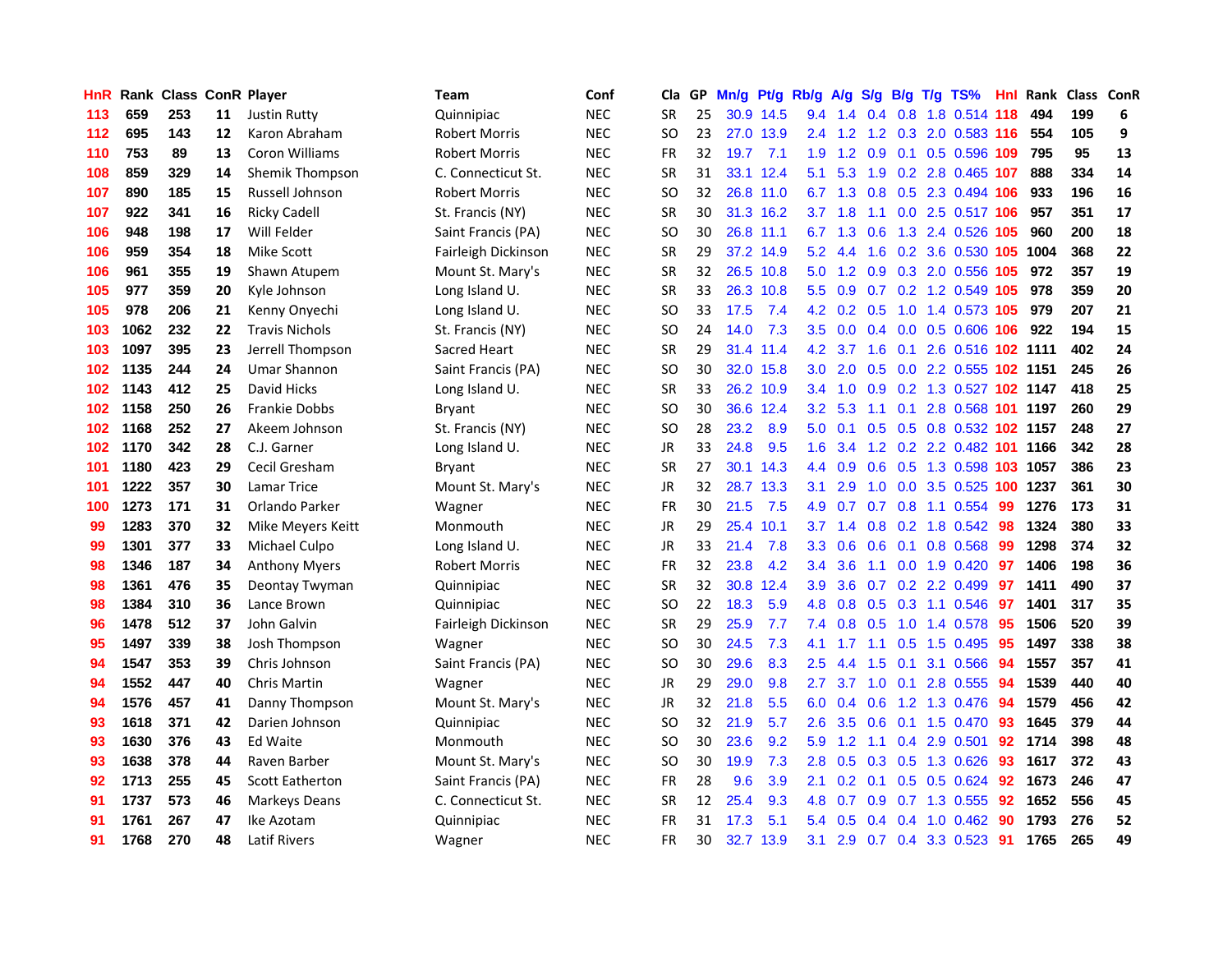| HnR |      | <b>Rank Class ConR Player</b> |    |                        | Team                 | Conf       | Cla           | GP | Mn/g | Pt/g      | Rb/g             | <b>A/g</b> |               |     | S/g B/g T/g TS%            | Hnl  | Rank Class ConR |     |            |
|-----|------|-------------------------------|----|------------------------|----------------------|------------|---------------|----|------|-----------|------------------|------------|---------------|-----|----------------------------|------|-----------------|-----|------------|
| 113 | 659  | 253                           | 11 | <b>Justin Rutty</b>    | Quinnipiac           | <b>NEC</b> | SR            | 25 |      | 30.9 14.5 | 9.4              | 1.4        | 0.4           | 0.8 | 1.8 0.514 118              |      | 494             | 199 | 6          |
| 112 | 695  | 143                           | 12 | Karon Abraham          | <b>Robert Morris</b> | <b>NEC</b> | SO            | 23 |      | 27.0 13.9 | $2.4^{\circ}$    | 1.2        | 1.2           | 0.3 | 2.0 0.583 116              |      | 554             | 105 | 9          |
| 110 | 753  | 89                            | 13 | <b>Coron Williams</b>  | <b>Robert Morris</b> | <b>NEC</b> | <b>FR</b>     | 32 | 19.7 | 7.1       | 1.9              | 1.2        | 0.9           | 0.1 | 0.5 0.596 109              |      | 795             | 95  | 13         |
| 108 | 859  | 329                           | 14 | Shemik Thompson        | C. Connecticut St.   | <b>NEC</b> | <b>SR</b>     | 31 |      | 33.1 12.4 | 5.1              | 5.3        | 1.9           |     | 0.2 2.8 0.465 107          |      | 888             | 334 | ${\bf 14}$ |
| 107 | 890  | 185                           | 15 | Russell Johnson        | <b>Robert Morris</b> | <b>NEC</b> | SO            | 32 |      | 26.8 11.0 | 6.7              |            |               |     | 1.3 0.8 0.5 2.3 0.494 106  |      | 933             | 196 | 16         |
| 107 | 922  | 341                           | 16 | <b>Ricky Cadell</b>    | St. Francis (NY)     | <b>NEC</b> | <b>SR</b>     | 30 |      | 31.3 16.2 | 3.7              | 1.8        | 1.1           |     | 0.0 2.5 0.517 106          |      | 957             | 351 | 17         |
| 106 | 948  | 198                           | 17 | Will Felder            | Saint Francis (PA)   | <b>NEC</b> | <sub>SO</sub> | 30 |      | 26.8 11.1 | 6.7              | 1.3        | 0.6           |     | 1.3 2.4 0.526 105          |      | 960             | 200 | 18         |
| 106 | 959  | 354                           | 18 | <b>Mike Scott</b>      | Fairleigh Dickinson  | <b>NEC</b> | <b>SR</b>     | 29 |      | 37.2 14.9 | 5.2              | 4.4        | 1.6           |     | 0.2 3.6 0.530 105          |      | 1004            | 368 | 22         |
| 106 | 961  | 355                           | 19 | Shawn Atupem           | Mount St. Mary's     | <b>NEC</b> | <b>SR</b>     | 32 |      | 26.5 10.8 | 5.0              | 1.2        |               |     | $0.9$ $0.3$ 2.0 $0.556$    | 105  | 972             | 357 | 19         |
| 105 | 977  | 359                           | 20 | Kyle Johnson           | Long Island U.       | <b>NEC</b> | <b>SR</b>     | 33 |      | 26.3 10.8 | 5.5 <sub>1</sub> | 0.9        |               |     | 0.7 0.2 1.2 0.549 105      |      | 978             | 359 | 20         |
| 105 | 978  | 206                           | 21 | Kenny Onyechi          | Long Island U.       | <b>NEC</b> | SO            | 33 | 17.5 | 7.4       | 4.2              | 0.2        | 0.5           |     | 1.0 1.4 0.573 105          |      | 979             | 207 | 21         |
| 103 | 1062 | 232                           | 22 | <b>Travis Nichols</b>  | St. Francis (NY)     | <b>NEC</b> | <sub>SO</sub> | 24 | 14.0 | 7.3       | 3.5              | 0.0        |               |     | 0.4 0.0 0.5 0.606 106      |      | 922             | 194 | 15         |
| 103 | 1097 | 395                           | 23 | Jerrell Thompson       | Sacred Heart         | <b>NEC</b> | <b>SR</b>     | 29 |      | 31.4 11.4 | 4.2              | 3.7        | 1.6           | 0.1 | 2.6 0.516 102 1111         |      |                 | 402 | 24         |
| 102 | 1135 | 244                           | 24 | <b>Umar Shannon</b>    | Saint Francis (PA)   | <b>NEC</b> | SO            | 30 |      | 32.0 15.8 | 3.0 <sub>2</sub> | 2.0        | 0.5           | 0.0 | 2.2 0.555 102 1151         |      |                 | 245 | 26         |
| 102 | 1143 | 412                           | 25 | David Hicks            | Long Island U.       | <b>NEC</b> | <b>SR</b>     | 33 |      | 26.2 10.9 | 3.4              | 1.0        | 0.9           |     | 0.2 1.3 0.527 102 1147     |      |                 | 418 | 25         |
| 102 | 1158 | 250                           | 26 | <b>Frankie Dobbs</b>   | Bryant               | <b>NEC</b> | SO            | 30 |      | 36.6 12.4 | 3.2              | 5.3        | 1.1           | 0.1 | 2.8 0.568                  | -101 | 1197            | 260 | 29         |
| 102 | 1168 | 252                           | 27 | Akeem Johnson          | St. Francis (NY)     | <b>NEC</b> | <sub>SO</sub> | 28 | 23.2 | 8.9       | 5.0              | 0.1        |               |     | 0.5 0.5 0.8 0.532 102 1157 |      |                 | 248 | 27         |
| 102 | 1170 | 342                           | 28 | C.J. Garner            | Long Island U.       | <b>NEC</b> | JR            | 33 | 24.8 | 9.5       | 1.6              | 3.4        |               |     | 1.2 0.2 2.2 0.482 101 1166 |      |                 | 342 | 28         |
| 101 | 1180 | 423                           | 29 | Cecil Gresham          | <b>Bryant</b>        | <b>NEC</b> | <b>SR</b>     | 27 |      | 30.1 14.3 |                  | 4.4 0.9    |               |     | 0.6 0.5 1.3 0.598 103 1057 |      |                 | 386 | 23         |
| 101 | 1222 | 357                           | 30 | Lamar Trice            | Mount St. Mary's     | <b>NEC</b> | JR            | 32 |      | 28.7 13.3 | 3.1              | 2.9        |               |     | 1.0 0.0 3.5 0.525 100      |      | 1237            | 361 | 30         |
| 100 | 1273 | 171                           | 31 | Orlando Parker         | Wagner               | <b>NEC</b> | <b>FR</b>     | 30 | 21.5 | 7.5       | 4.9              | 0.7        |               |     | 0.7 0.8 1.1 0.554          | 99   | 1276            | 173 | 31         |
| 99  | 1283 | 370                           | 32 | Mike Meyers Keitt      | Monmouth             | <b>NEC</b> | JR            | 29 |      | 25.4 10.1 | 3.7              | 1.4        | 0.8           |     | 0.2 1.8 0.542              | 98   | 1324            | 380 | 33         |
| 99  | 1301 | 377                           | 33 | Michael Culpo          | Long Island U.       | <b>NEC</b> | <b>JR</b>     | 33 | 21.4 | 7.8       | 3.3 <sub>2</sub> | 0.6        | 0.6           | 0.1 | 0.8 0.568                  | 99   | 1298            | 374 | 32         |
| 98  | 1346 | 187                           | 34 | <b>Anthony Myers</b>   | <b>Robert Morris</b> | <b>NEC</b> | <b>FR</b>     | 32 | 23.8 | 4.2       | $3.4^{\circ}$    | 3.6        | 1.1           |     | $0.0$ 1.9 $0.420$          | 97   | 1406            | 198 | 36         |
| 98  | 1361 | 476                           | 35 | Deontay Twyman         | Quinnipiac           | <b>NEC</b> | <b>SR</b>     | 32 |      | 30.8 12.4 | 3.9              | 3.6        |               |     | 0.7 0.2 2.2 0.499          | 97   | 1411            | 490 | 37         |
| 98  | 1384 | 310                           | 36 | Lance Brown            | Quinnipiac           | <b>NEC</b> | <b>SO</b>     | 22 | 18.3 | 5.9       | 4.8              | 0.8        | 0.5           | 0.3 | 1.1 0.546                  | 97   | 1401            | 317 | 35         |
| 96  | 1478 | 512                           | 37 | John Galvin            | Fairleigh Dickinson  | <b>NEC</b> | SR            | 29 | 25.9 | 7.7       | 7.4              | 0.8        | 0.5           | 1.0 | 1.4 0.578                  | 95   | 1506            | 520 | 39         |
| 95  | 1497 | 339                           | 38 | Josh Thompson          | Wagner               | <b>NEC</b> | <b>SO</b>     | 30 | 24.5 | 7.3       | 4.1              | 1.7        | 1.1           | 0.5 | 1.5 0.495                  | 95   | 1497            | 338 | 38         |
| 94  | 1547 | 353                           | 39 | Chris Johnson          | Saint Francis (PA)   | <b>NEC</b> | <b>SO</b>     | 30 | 29.6 | 8.3       | 2.5              | 4.4        | $1.5^{\circ}$ | 0.1 | 3.1 0.566                  | 94   | 1557            | 357 | 41         |
| 94  | 1552 | 447                           | 40 | Chris Martin           | Wagner               | <b>NEC</b> | <b>JR</b>     | 29 | 29.0 | 9.8       | 2.7              | 3.7        | 1.0           | 0.1 | 2.8 0.555                  | 94   | 1539            | 440 | 40         |
| 94  | 1576 | 457                           | 41 | Danny Thompson         | Mount St. Mary's     | <b>NEC</b> | JR            | 32 | 21.8 | 5.5       | 6.0              | 0.4        | 0.6           | 1.2 | 1.3 0.476                  | -94  | 1579            | 456 | 42         |
| 93  | 1618 | 371                           | 42 | Darien Johnson         | Quinnipiac           | <b>NEC</b> | SO            | 32 | 21.9 | 5.7       | $2.6\,$          | 3.5        | 0.6           |     | $0.1$ 1.5 0.470            | -93  | 1645            | 379 | 44         |
| 93  | 1630 | 376                           | 43 | <b>Ed Waite</b>        | Monmouth             | <b>NEC</b> | <b>SO</b>     | 30 | 23.6 | 9.2       | 5.9              | 1.2        |               |     | 1.1 0.4 2.9 0.501          | 92   | 1714            | 398 | 48         |
| 93  | 1638 | 378                           | 44 | Raven Barber           | Mount St. Mary's     | <b>NEC</b> | SO            | 30 | 19.9 | 7.3       | 2.8              | 0.5        | 0.3           | 0.5 | 1.3 0.626                  | 93   | 1617            | 372 | 43         |
| 92  | 1713 | 255                           | 45 | <b>Scott Eatherton</b> | Saint Francis (PA)   | <b>NEC</b> | FR            | 28 | 9.6  | 3.9       | 2.1              | 0.2        | 0.1           |     | 0.5 0.5 0.624              | 92   | 1673            | 246 | 47         |
| 91  | 1737 | 573                           | 46 | <b>Markeys Deans</b>   | C. Connecticut St.   | <b>NEC</b> | <b>SR</b>     | 12 | 25.4 | 9.3       | 4.8              | 0.7        | 0.9           |     | $0.7$ 1.3 0.555            | 92   | 1652            | 556 | 45         |
| 91  | 1761 | 267                           | 47 | Ike Azotam             | Quinnipiac           | <b>NEC</b> | <b>FR</b>     | 31 | 17.3 | 5.1       | 5.4              | 0.5        | 0.4           | 0.4 | 1.0 0.462                  | 90   | 1793            | 276 | 52         |
| 91  | 1768 | 270                           | 48 | <b>Latif Rivers</b>    | Wagner               | <b>NEC</b> | FR            | 30 |      | 32.7 13.9 | 3.1              |            |               |     | 2.9 0.7 0.4 3.3 0.523      | -91  | 1765            | 265 | 49         |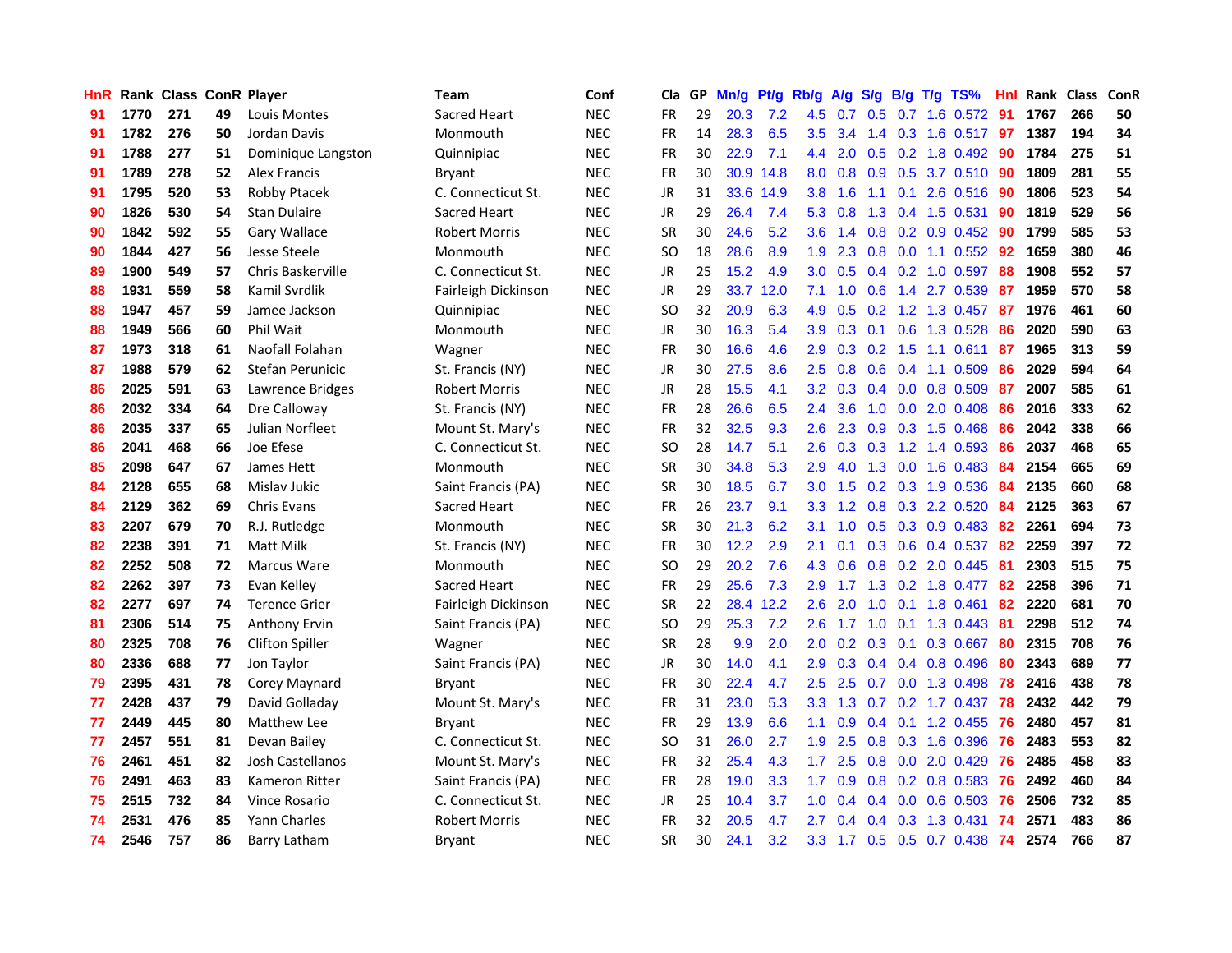| HnR |      | Rank Class ConR Player |    |                        | Team                | Conf       | Cla       | GP | Mn/q | <b>Pt/g</b> | Rb/g             | A/g | S/g           | B/g             | T/g | TS%                       | Hnl | Rank Class |     | ConR |
|-----|------|------------------------|----|------------------------|---------------------|------------|-----------|----|------|-------------|------------------|-----|---------------|-----------------|-----|---------------------------|-----|------------|-----|------|
| 91  | 1770 | 271                    | 49 | Louis Montes           | Sacred Heart        | <b>NEC</b> | FR        | 29 | 20.3 | 7.2         | 4.5              | 0.7 | 0.5           | 0.7             |     | 1.6 0.572                 | -91 | 1767       | 266 | 50   |
| 91  | 1782 | 276                    | 50 | Jordan Davis           | Monmouth            | <b>NEC</b> | <b>FR</b> | 14 | 28.3 | 6.5         | $3.5^{\circ}$    | 3.4 |               |                 |     | 1.4 0.3 1.6 0.517 97      |     | 1387       | 194 | 34   |
| 91  | 1788 | 277                    | 51 | Dominique Langston     | Quinnipiac          | <b>NEC</b> | FR        | 30 | 22.9 | 7.1         | 4.4              | 2.0 |               |                 |     | $0.5$ 0.2 1.8 0.492       | -90 | 1784       | 275 | 51   |
| 91  | 1789 | 278                    | 52 | <b>Alex Francis</b>    | Bryant              | <b>NEC</b> | <b>FR</b> | 30 | 30.9 | 14.8        | 8.0              | 0.8 |               |                 |     | 0.9 0.5 3.7 0.510 90      |     | 1809       | 281 | 55   |
| 91  | 1795 | 520                    | 53 | <b>Robby Ptacek</b>    | C. Connecticut St.  | <b>NEC</b> | JR        | 31 |      | 33.6 14.9   | 3.8 <sup>°</sup> | 1.6 |               |                 |     | 1.1 0.1 2.6 0.516         | -90 | 1806       | 523 | 54   |
| 90  | 1826 | 530                    | 54 | <b>Stan Dulaire</b>    | Sacred Heart        | <b>NEC</b> | JR        | 29 | 26.4 | 7.4         | 5.3              | 0.8 | 1.3           |                 |     | 0.4 1.5 0.531             | 90  | 1819       | 529 | 56   |
| 90  | 1842 | 592                    | 55 | Gary Wallace           | Robert Morris       | <b>NEC</b> | <b>SR</b> | 30 | 24.6 | 5.2         | 3.6              | 1.4 |               |                 |     | 0.8 0.2 0.9 0.452         | 90  | 1799       | 585 | 53   |
| 90  | 1844 | 427                    | 56 | <b>Jesse Steele</b>    | Monmouth            | <b>NEC</b> | <b>SO</b> | 18 | 28.6 | 8.9         | 1.9              | 2.3 | 0.8           | 0.0             |     | 1.1 0.552                 | 92  | 1659       | 380 | 46   |
| 89  | 1900 | 549                    | 57 | Chris Baskerville      | C. Connecticut St.  | <b>NEC</b> | JR        | 25 | 15.2 | 4.9         | 3.0              | 0.5 |               |                 |     | $0.4$ 0.2 1.0 0.597       | 88  | 1908       | 552 | 57   |
| 88  | 1931 | 559                    | 58 | Kamil Svrdlik          | Fairleigh Dickinson | <b>NEC</b> | JR        | 29 |      | 33.7 12.0   | 7.1              | 1.0 | 0.6           |                 |     | 1.4 2.7 0.539             | -87 | 1959       | 570 | 58   |
| 88  | 1947 | 457                    | 59 | Jamee Jackson          | Quinnipiac          | <b>NEC</b> | <b>SO</b> | 32 | 20.9 | 6.3         | 4.9              | 0.5 | 0.2           | 1.2             |     | 1.3 0.457                 | 87  | 1976       | 461 | 60   |
| 88  | 1949 | 566                    | 60 | Phil Wait              | Monmouth            | <b>NEC</b> | JR        | 30 | 16.3 | 5.4         | 3.9              | 0.3 | 0.1           | 0.6             |     | 1.3 0.528                 | 86  | 2020       | 590 | 63   |
| 87  | 1973 | 318                    | 61 | Naofall Folahan        | Wagner              | <b>NEC</b> | <b>FR</b> | 30 | 16.6 | 4.6         | 2.9              | 0.3 | 0.2           | 1.5             |     | 1.1 0.611                 | 87  | 1965       | 313 | 59   |
| 87  | 1988 | 579                    | 62 | Stefan Perunicic       | St. Francis (NY)    | <b>NEC</b> | JR        | 30 | 27.5 | 8.6         | 2.5              | 0.8 | 0.6           | 0.4             |     | 1.1 0.509                 | 86  | 2029       | 594 | 64   |
| 86  | 2025 | 591                    | 63 | Lawrence Bridges       | Robert Morris       | <b>NEC</b> | JR        | 28 | 15.5 | 4.1         | 3.2              | 0.3 |               | $0.4\quad 0.0$  |     | 0.8 0.509                 | -87 | 2007       | 585 | 61   |
| 86  | 2032 | 334                    | 64 | Dre Calloway           | St. Francis (NY)    | <b>NEC</b> | FR        | 28 | 26.6 | 6.5         | $2.4^{\circ}$    | 3.6 |               |                 |     | 1.0 0.0 2.0 0.408         | 86  | 2016       | 333 | 62   |
| 86  | 2035 | 337                    | 65 | Julian Norfleet        | Mount St. Mary's    | <b>NEC</b> | FR        | 32 | 32.5 | 9.3         | $2.6^{\circ}$    |     |               |                 |     | 2.3 0.9 0.3 1.5 0.468     | -86 | 2042       | 338 | 66   |
| 86  | 2041 | 468                    | 66 | Joe Efese              | C. Connecticut St.  | <b>NEC</b> | SO.       | 28 | 14.7 | 5.1         | 2.6              |     |               |                 |     | 0.3 0.3 1.2 1.4 0.593     | 86  | 2037       | 468 | 65   |
| 85  | 2098 | 647                    | 67 | James Hett             | Monmouth            | <b>NEC</b> | <b>SR</b> | 30 | 34.8 | 5.3         | 2.9              | 4.0 |               |                 |     | 1.3 0.0 1.6 0.483         | 84  | 2154       | 665 | 69   |
| 84  | 2128 | 655                    | 68 | Mislav Jukic           | Saint Francis (PA)  | <b>NEC</b> | <b>SR</b> | 30 | 18.5 | 6.7         | 3.0              | 1.5 |               |                 |     | 0.2 0.3 1.9 0.536         | 84  | 2135       | 660 | 68   |
| 84  | 2129 | 362                    | 69 | <b>Chris Evans</b>     | Sacred Heart        | <b>NEC</b> | FR        | 26 | 23.7 | 9.1         | 3.3              | 1.2 |               |                 |     | 0.8 0.3 2.2 0.520         | 84  | 2125       | 363 | 67   |
| 83  | 2207 | 679                    | 70 | R.J. Rutledge          | Monmouth            | <b>NEC</b> | <b>SR</b> | 30 | 21.3 | 6.2         | 3.1              | 1.0 | 0.5           |                 |     | $0.3$ 0.9 0.483           | 82  | 2261       | 694 | 73   |
| 82  | 2238 | 391                    | 71 | Matt Milk              | St. Francis (NY)    | <b>NEC</b> | <b>FR</b> | 30 | 12.2 | 2.9         | 2.1              | 0.1 |               |                 |     | $0.3$ 0.6 0.4 0.537       | -82 | 2259       | 397 | 72   |
| 82  | 2252 | 508                    | 72 | Marcus Ware            | Monmouth            | <b>NEC</b> | <b>SO</b> | 29 | 20.2 | 7.6         | 4.3              | 0.6 |               |                 |     | 0.8 0.2 2.0 0.445         | -81 | 2303       | 515 | 75   |
| 82  | 2262 | 397                    | 73 | Evan Kelley            | <b>Sacred Heart</b> | <b>NEC</b> | <b>FR</b> | 29 | 25.6 | 7.3         | 2.9              | 1.7 |               | $1.3 \quad 0.2$ |     | 1.8 0.477                 | 82  | 2258       | 396 | 71   |
| 82  | 2277 | 697                    | 74 | <b>Terence Grier</b>   | Fairleigh Dickinson | <b>NEC</b> | <b>SR</b> | 22 |      | 28.4 12.2   | 2.6              | 2.0 | 1.0           | 0.1             |     | 1.8 0.461                 | 82  | 2220       | 681 | 70   |
| 81  | 2306 | 514                    | 75 | <b>Anthony Ervin</b>   | Saint Francis (PA)  | <b>NEC</b> | SO.       | 29 | 25.3 | 7.2         | 2.6              | 1.7 | 1.0           | 0.1             |     | $1.3 \t0.443$             | -81 | 2298       | 512 | 74   |
| 80  | 2325 | 708                    | 76 | <b>Clifton Spiller</b> | Wagner              | <b>NEC</b> | <b>SR</b> | 28 | 9.9  | 2.0         | 2.0              | 0.2 | 0.3           | 0.1             |     | 0.3 0.667                 | 80  | 2315       | 708 | 76   |
| 80  | 2336 | 688                    | 77 | Jon Taylor             | Saint Francis (PA)  | <b>NEC</b> | JR        | 30 | 14.0 | 4.1         | 2.9              | 0.3 |               |                 |     | $0.4$ 0.4 0.8 0.496       | 80  | 2343       | 689 | 77   |
| 79  | 2395 | 431                    | 78 | Corey Maynard          | Bryant              | <b>NEC</b> | FR        | 30 | 22.4 | 4.7         | $2.5\,$          | 2.5 |               |                 |     | 0.7 0.0 1.3 0.498         | 78  | 2416       | 438 | 78   |
| 77  | 2428 | 437                    | 79 | David Golladay         | Mount St. Mary's    | <b>NEC</b> | <b>FR</b> | 31 | 23.0 | 5.3         |                  |     |               |                 |     | 3.3 1.3 0.7 0.2 1.7 0.437 | 78  | 2432       | 442 | 79   |
| 77  | 2449 | 445                    | 80 | Matthew Lee            | Bryant              | <b>NEC</b> | <b>FR</b> | 29 | 13.9 | 6.6         | 1.1              | 0.9 |               |                 |     | $0.4$ 0.1 1.2 0.455       | -76 | 2480       | 457 | 81   |
| 77  | 2457 | 551                    | 81 | Devan Bailey           | C. Connecticut St.  | <b>NEC</b> | <b>SO</b> | 31 | 26.0 | 2.7         | 1.9              | 2.5 | 0.8           |                 |     | 0.3 1.6 0.396             | -76 | 2483       | 553 | 82   |
| 76  | 2461 | 451                    | 82 | Josh Castellanos       | Mount St. Mary's    | <b>NEC</b> | FR        | 32 | 25.4 | 4.3         | 1.7              | 2.5 | 0.8           | 0.0             |     | 2.0 0.429                 | 76  | 2485       | 458 | 83   |
| 76  | 2491 | 463                    | 83 | Kameron Ritter         | Saint Francis (PA)  | <b>NEC</b> | FR        | 28 | 19.0 | 3.3         | 1.7              | 0.9 | 0.8           |                 |     | 0.2 0.8 0.583             | 76  | 2492       | 460 | 84   |
| 75  | 2515 | 732                    | 84 | Vince Rosario          | C. Connecticut St.  | <b>NEC</b> | JR        | 25 | 10.4 | 3.7         | 1.0              | 0.4 | 0.4           | 0.0             |     | 0.6 0.503                 | 76  | 2506       | 732 | 85   |
| 74  | 2531 | 476                    | 85 | Yann Charles           | Robert Morris       | <b>NEC</b> | FR        | 32 | 20.5 | 4.7         | 2.7              | 0.4 | $0.4^{\circ}$ | 0.3             |     | 1.3 0.431                 | 74  | 2571       | 483 | 86   |
| 74  | 2546 | 757                    | 86 | Barry Latham           | <b>Bryant</b>       | <b>NEC</b> | <b>SR</b> | 30 | 24.1 | 3.2         | 3.3 <sub>2</sub> |     |               |                 |     | 1.7 0.5 0.5 0.7 0.438     | 74  | 2574       | 766 | 87   |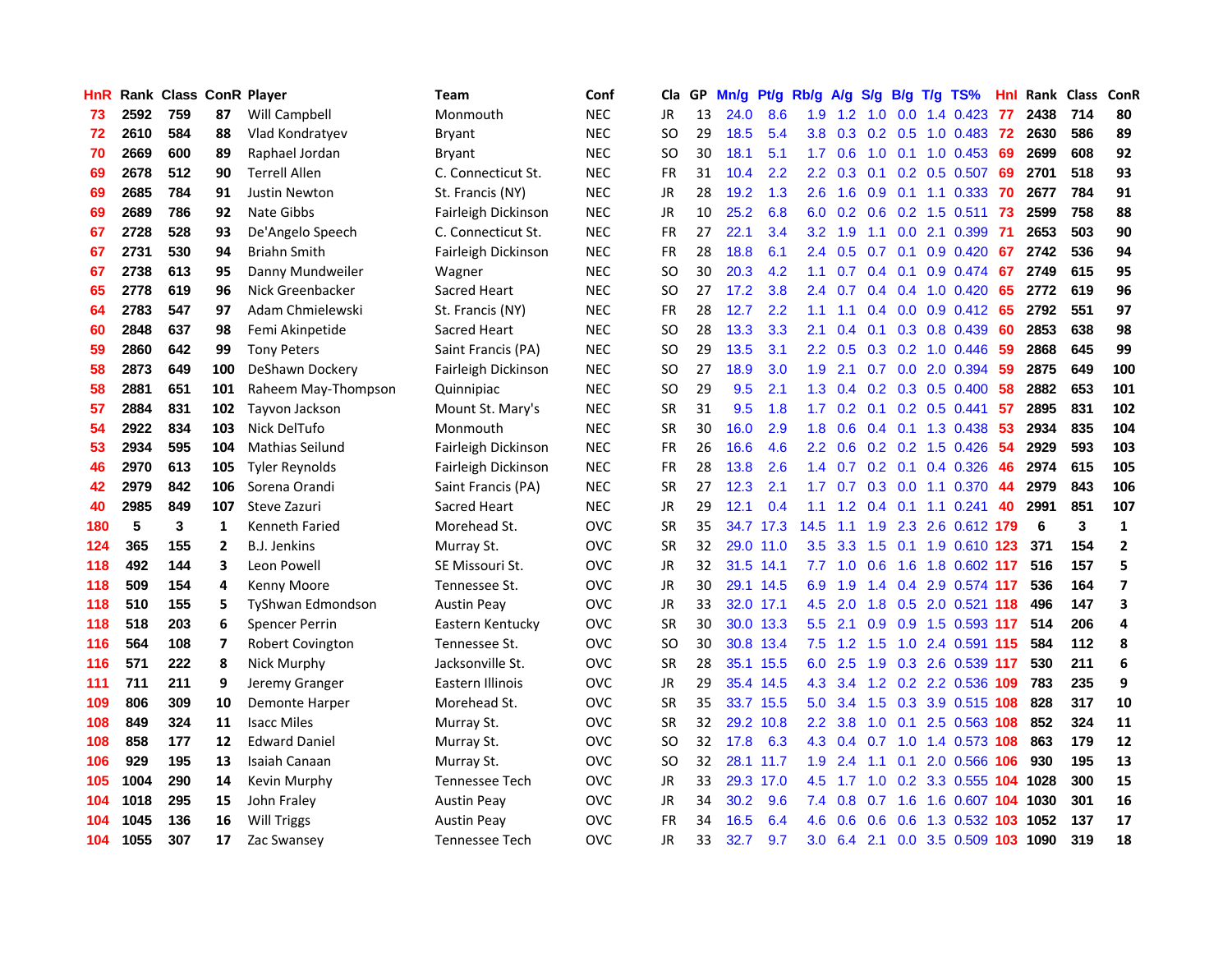| <b>HnR</b> |      | Rank Class ConR Player |                |                       | <b>Team</b>         | Conf       | Cla       |    | GP Mn/g | Pt/g      | Rb/g             | A/g             |               |                  | S/g B/g T/g TS%                | Hnl | Rank Class |     | ConR                    |
|------------|------|------------------------|----------------|-----------------------|---------------------|------------|-----------|----|---------|-----------|------------------|-----------------|---------------|------------------|--------------------------------|-----|------------|-----|-------------------------|
| 73         | 2592 | 759                    | 87             | Will Campbell         | Monmouth            | <b>NEC</b> | JR        | 13 | 24.0    | 8.6       | 1.9              | 1.2             | 1.0           | 0.0              | 1.4 0.423                      | 77  | 2438       | 714 | 80                      |
| 72         | 2610 | 584                    | 88             | Vlad Kondratyev       | Bryant              | <b>NEC</b> | SO.       | 29 | 18.5    | 5.4       | 3.8              | 0.3             | 0.2           | 0.5              | $1.0 \ \ 0.483$                | -72 | 2630       | 586 | 89                      |
| 70         | 2669 | 600                    | 89             | Raphael Jordan        | Bryant              | <b>NEC</b> | <b>SO</b> | 30 | 18.1    | 5.1       | 1.7              | 0.6             | 1.0           | 0.1              | $1.0 \t0.453$                  | 69  | 2699       | 608 | 92                      |
| 69         | 2678 | 512                    | 90             | <b>Terrell Allen</b>  | C. Connecticut St.  | <b>NEC</b> | FR        | 31 | 10.4    | 2.2       | 2.2              | 0.3             |               |                  | $0.1$ $0.2$ $0.5$ $0.507$      | 69  | 2701       | 518 | 93                      |
| 69         | 2685 | 784                    | 91             | Justin Newton         | St. Francis (NY)    | <b>NEC</b> | JR        | 28 | 19.2    | 1.3       | 2.6              | 1.6             |               |                  | $0.9$ 0.1 1.1 0.333            | -70 | 2677       | 784 | 91                      |
| 69         | 2689 | 786                    | 92             | Nate Gibbs            | Fairleigh Dickinson | <b>NEC</b> | JR        | 10 | 25.2    | 6.8       | 6.0              | 0.2             |               |                  | $0.6$ 0.2 1.5 0.511            | -73 | 2599       | 758 | 88                      |
| 67         | 2728 | 528                    | 93             | De'Angelo Speech      | C. Connecticut St.  | <b>NEC</b> | <b>FR</b> | 27 | 22.1    | 3.4       | 3.2              | 1.9             | 1.1           |                  | $0.0$ 2.1 $0.399$              | -71 | 2653       | 503 | 90                      |
| 67         | 2731 | 530                    | 94             | <b>Briahn Smith</b>   | Fairleigh Dickinson | <b>NEC</b> | FR        | 28 | 18.8    | 6.1       | 2.4              | 0.5             | 0.7           | 0.1              | $0.9$ $0.420$                  | 67  | 2742       | 536 | 94                      |
| 67         | 2738 | 613                    | 95             | Danny Mundweiler      | Wagner              | <b>NEC</b> | <b>SO</b> | 30 | 20.3    | 4.2       | 1.1              | 0.7             |               | $0.4$ 0.1        | 0.9 0.474                      | 67  | 2749       | 615 | 95                      |
| 65         | 2778 | 619                    | 96             | Nick Greenbacker      | Sacred Heart        | <b>NEC</b> | SO.       | 27 | 17.2    | 3.8       | 2.4              | 0.7             | 0.4           |                  | $0.4$ 1.0 0.420                | 65  | 2772       | 619 | 96                      |
| 64         | 2783 | 547                    | 97             | Adam Chmielewski      | St. Francis (NY)    | <b>NEC</b> | FR        | 28 | 12.7    | 2.2       | 1.1              | 1.1             | $0.4^{\circ}$ | 0.0 <sub>1</sub> | $0.9$ 0.412                    | 65  | 2792       | 551 | 97                      |
| 60         | 2848 | 637                    | 98             | Femi Akinpetide       | Sacred Heart        | <b>NEC</b> | <b>SO</b> | 28 | 13.3    | 3.3       | 2.1              | 0.4             | 0.1           | 0.3              | 0.8 0.439                      | 60  | 2853       | 638 | 98                      |
| 59         | 2860 | 642                    | 99             | <b>Tony Peters</b>    | Saint Francis (PA)  | <b>NEC</b> | <b>SO</b> | 29 | 13.5    | 3.1       | 2.2              | 0.5             | 0.3           | 0.2              | 1.0 0.446                      | 59  | 2868       | 645 | 99                      |
| 58         | 2873 | 649                    | 100            | DeShawn Dockery       | Fairleigh Dickinson | <b>NEC</b> | SO.       | 27 | 18.9    | 3.0       | 1.9              | 2.1             | 0.7           | 0.0              | 2.0 0.394                      | 59  | 2875       | 649 | 100                     |
| 58         | 2881 | 651                    | 101            | Raheem May-Thompson   | Quinnipiac          | <b>NEC</b> | SO.       | 29 | 9.5     | 2.1       | 1.3 <sub>1</sub> | 0.4             | 0.2           |                  | $0.3$ 0.5 0.400                | 58  | 2882       | 653 | 101                     |
| 57         | 2884 | 831                    | 102            | Tayvon Jackson        | Mount St. Mary's    | <b>NEC</b> | <b>SR</b> | 31 | 9.5     | 1.8       | 1.7 <sup>2</sup> | 0.2             | 0.1           | 0.2              | $0.5$ 0.441                    | 57  | 2895       | 831 | 102                     |
| 54         | 2922 | 834                    | 103            | Nick DelTufo          | Monmouth            | <b>NEC</b> | <b>SR</b> | 30 | 16.0    | 2.9       | 1.8              | 0.6             |               |                  | 0.4 0.1 1.3 0.438              | 53  | 2934       | 835 | 104                     |
| 53         | 2934 | 595                    | 104            | Mathias Seilund       | Fairleigh Dickinson | <b>NEC</b> | FR        | 26 | 16.6    | 4.6       |                  | $2.2 \quad 0.6$ |               |                  | 0.2 0.2 1.5 0.426              | -54 | 2929       | 593 | 103                     |
| 46         | 2970 | 613                    | 105            | <b>Tyler Reynolds</b> | Fairleigh Dickinson | <b>NEC</b> | <b>FR</b> | 28 | 13.8    | 2.6       |                  | $1.4 \quad 0.7$ |               |                  | $0.2$ 0.1 0.4 0.326            | 46  | 2974       | 615 | 105                     |
| 42         | 2979 | 842                    | 106            | Sorena Orandi         | Saint Francis (PA)  | <b>NEC</b> | <b>SR</b> | 27 | 12.3    | 2.1       | 1.7 <sub>z</sub> | 0.7             |               |                  | $0.3$ 0.0 1.1 0.370            | -44 | 2979       | 843 | 106                     |
| 40         | 2985 | 849                    | 107            | Steve Zazuri          | <b>Sacred Heart</b> | <b>NEC</b> | JR        | 29 | 12.1    | 0.4       | 1.1              | 1.2             |               |                  | $0.4$ 0.1 1.1 0.241            | 40  | 2991       | 851 | 107                     |
| 180        | 5    | 3                      | 1              | Kenneth Faried        | Morehead St.        | <b>OVC</b> | <b>SR</b> | 35 |         | 34.7 17.3 | 14.5             | 1.1             | 1.9           |                  | 2.3 2.6 0.612 179              |     | 6          | 3   | $\mathbf{1}$            |
| 124        | 365  | 155                    | $\overline{2}$ | <b>B.J. Jenkins</b>   | Murray St.          | <b>OVC</b> | <b>SR</b> | 32 |         | 29.0 11.0 | 3.5              | 3.3             | 1.5           | 0.1              | 1.9 0.610 123                  |     | 371        | 154 | $\overline{2}$          |
| 118        | 492  | 144                    | 3              | Leon Powell           | SE Missouri St.     | <b>OVC</b> | JR        | 32 |         | 31.5 14.1 | 7.7              | 1.0             | 0.6           | 1.6              | 1.8 0.602 117                  |     | 516        | 157 | 5                       |
| 118        | 509  | 154                    | 4              | Kenny Moore           | Tennessee St.       | <b>OVC</b> | JR        | 30 |         | 29.1 14.5 | 6.9              | 1.9             |               | $1.4 \quad 0.4$  | 2.9 0.574 117                  |     | 536        | 164 | $\overline{\mathbf{z}}$ |
| 118        | 510  | 155                    | 5              | TyShwan Edmondson     | <b>Austin Peay</b>  | <b>OVC</b> | JR        | 33 |         | 32.0 17.1 | 4.5              | 2.0             | 1.8           | 0.5              | 2.0 0.521                      | 118 | 496        | 147 | 3                       |
| 118        | 518  | 203                    | 6              | <b>Spencer Perrin</b> | Eastern Kentucky    | <b>OVC</b> | <b>SR</b> | 30 |         | 30.0 13.3 | 5.5              | 2.1             | 0.9           | 0.9              | 1.5 0.593 117                  |     | 514        | 206 | 4                       |
| 116        | 564  | 108                    | $\overline{ }$ | Robert Covington      | Tennessee St.       | <b>OVC</b> | SO.       | 30 |         | 30.8 13.4 | 7.5              | 1.2             | 1.5           | 1.0              | 2.4 0.591 115                  |     | 584        | 112 | 8                       |
| 116        | 571  | 222                    | 8              | Nick Murphy           | Jacksonville St.    | OVC        | <b>SR</b> | 28 |         | 35.1 15.5 | 6.0              | 2.5             | 1.9           |                  | 0.3 2.6 0.539 117              |     | 530        | 211 | 6                       |
| 111        | 711  | 211                    | 9              | Jeremy Granger        | Eastern Illinois    | <b>OVC</b> | JR        | 29 |         | 35.4 14.5 | 4.3              | 3.4             |               |                  | 1.2 0.2 2.2 0.536 109          |     | 783        | 235 | 9                       |
| 109        | 806  | 309                    | 10             | Demonte Harper        | Morehead St.        | <b>OVC</b> | <b>SR</b> | 35 |         | 33.7 15.5 | 5.0              | 3.4             | 1.5           |                  | 0.3 3.9 0.515 108              |     | 828        | 317 | 10                      |
| 108        | 849  | 324                    | 11             | <b>Isacc Miles</b>    | Murray St.          | <b>OVC</b> | <b>SR</b> | 32 |         | 29.2 10.8 | $2.2^{\circ}$    | 3.8             |               | $1.0 \quad 0.1$  | 2.5 0.563 108                  |     | 852        | 324 | 11                      |
| 108        | 858  | 177                    | 12             | <b>Edward Daniel</b>  | Murray St.          | <b>OVC</b> | SO.       | 32 | 17.8    | 6.3       |                  | 4.3 0.4         | 0.7           |                  | 1.0 1.4 0.573 108              |     | 863        | 179 | 12                      |
| 106        | 929  | 195                    | 13             | <b>Isaiah Canaan</b>  | Murray St.          | <b>OVC</b> | <b>SO</b> | 32 |         | 28.1 11.7 | 1.9              | 2.4             | 1.1           | 0.1              | 2.0 0.566 106                  |     | 930        | 195 | 13                      |
| 105        | 1004 | 290                    | 14             | Kevin Murphy          | Tennessee Tech      | <b>OVC</b> | JR        | 33 |         | 29.3 17.0 | 4.5              | 1.7             | 1.0           | 0.2              | 3.3 0.555 104                  |     | 1028       | 300 | 15                      |
| 104        | 1018 | 295                    | 15             | John Fraley           | <b>Austin Peay</b>  | <b>OVC</b> | JR        | 34 | 30.2    | 9.6       | 7.4              | 0.8             | 0.7           | 1.6              | 1.6 0.607                      | 104 | 1030       | 301 | 16                      |
| 104        | 1045 | 136                    | 16             | Will Triggs           | Austin Peay         | <b>OVC</b> | <b>FR</b> | 34 | 16.5    | 6.4       | 4.6              | 0.6             | 0.6           | 0.6              | 1.3 0.532                      |     | 1052       | 137 | 17                      |
| 104        | 1055 | 307                    | 17             | Zac Swansey           | Tennessee Tech      | <b>OVC</b> | JR        | 33 | 32.7    | 9.7       | 3.0 <sub>1</sub> |                 |               |                  | 6.4 2.1 0.0 3.5 0.509 103 1090 |     |            | 319 | 18                      |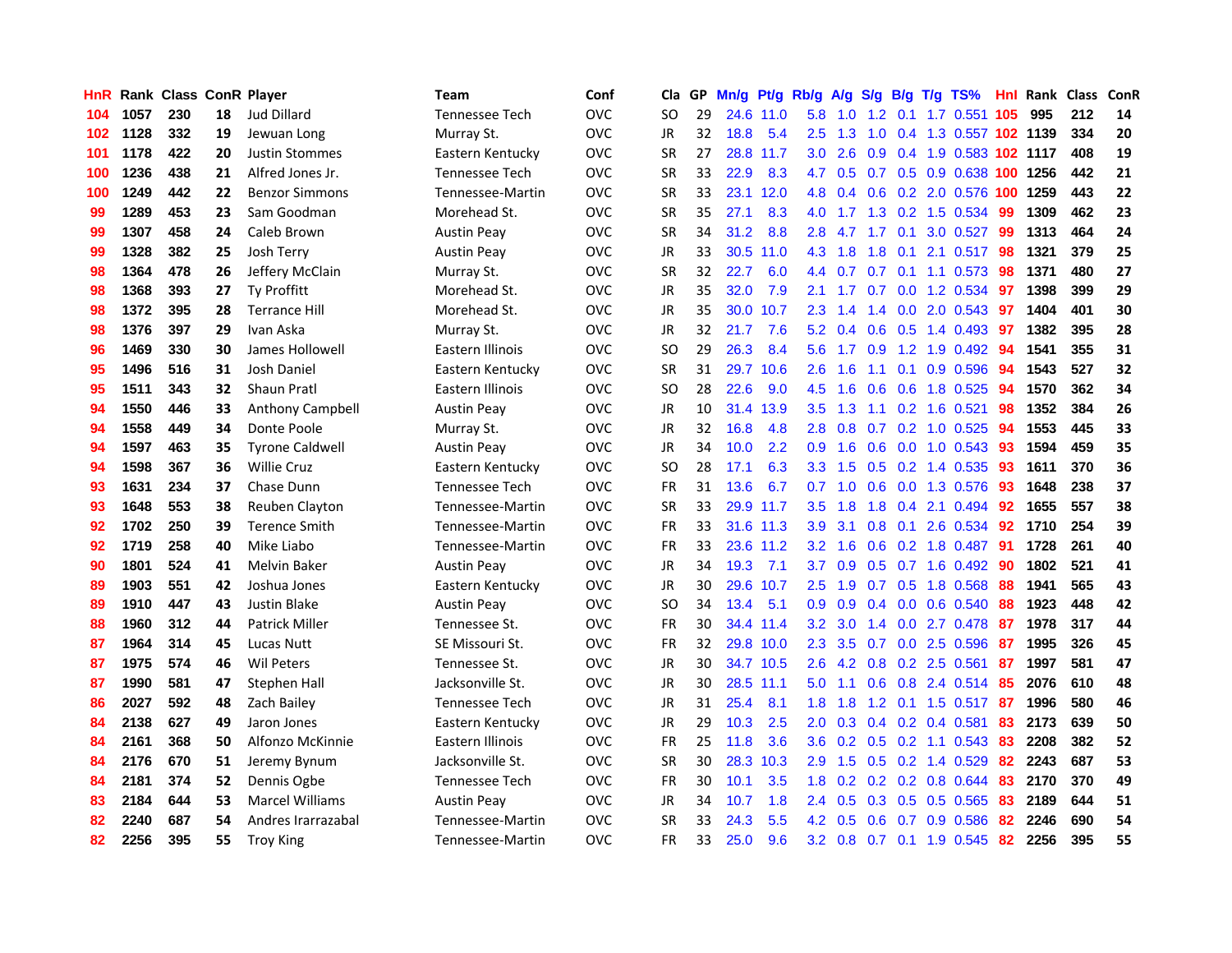| <b>HnR</b> |      | <b>Rank Class ConR Player</b> |    |                        | Team               | Conf       | Cla       |    | GP Mn/g Pt/g |           | Rb/g             | A/g                                  |               |                 | S/g B/g T/g TS%               | Hnl | Rank Class |     | <b>ConR</b> |
|------------|------|-------------------------------|----|------------------------|--------------------|------------|-----------|----|--------------|-----------|------------------|--------------------------------------|---------------|-----------------|-------------------------------|-----|------------|-----|-------------|
| 104        | 1057 | 230                           | 18 | <b>Jud Dillard</b>     | Tennessee Tech     | <b>OVC</b> | SO        | 29 |              | 24.6 11.0 | 5.8              | 1.0                                  | 1.2           | 0.1             | 1.7 0.551                     | 105 | 995        | 212 | 14          |
| 102        | 1128 | 332                           | 19 | Jewuan Long            | Murray St.         | <b>OVC</b> | <b>JR</b> | 32 | 18.8         | 5.4       | 2.5              | 1.3                                  | 1.0           | 0.4             | 1.3 0.557 102 1139            |     |            | 334 | 20          |
| 101        | 1178 | 422                           | 20 | <b>Justin Stommes</b>  | Eastern Kentucky   | <b>OVC</b> | <b>SR</b> | 27 |              | 28.8 11.7 | 3.0              | 2.6                                  | 0.9           | 0.4             | 1.9 0.583 102 1117            |     |            | 408 | 19          |
| 100        | 1236 | 438                           | 21 | Alfred Jones Jr.       | Tennessee Tech     | <b>OVC</b> | <b>SR</b> | 33 | 22.9         | 8.3       | 4.7              | 0.5                                  |               |                 | 0.7 0.5 0.9 0.638 100 1256    |     |            | 442 | 21          |
| 100        | 1249 | 442                           | 22 | <b>Benzor Simmons</b>  | Tennessee-Martin   | <b>OVC</b> | <b>SR</b> | 33 |              | 23.1 12.0 |                  | 4.8 0.4                              |               |                 | 0.6 0.2 2.0 0.576 100 1259    |     |            | 443 | 22          |
| 99         | 1289 | 453                           | 23 | Sam Goodman            | Morehead St.       | <b>OVC</b> | <b>SR</b> | 35 | 27.1         | 8.3       | 4.0              | $-1.7$                               |               |                 | 1.3 0.2 1.5 0.534             | -99 | 1309       | 462 | 23          |
| 99         | 1307 | 458                           | 24 | Caleb Brown            | <b>Austin Peay</b> | <b>OVC</b> | <b>SR</b> | 34 | 31.2         | 8.8       | 2.8              | 4.7                                  |               |                 | 1.7 0.1 3.0 0.527             | -99 | 1313       | 464 | 24          |
| 99         | 1328 | 382                           | 25 | Josh Terry             | <b>Austin Peay</b> | <b>OVC</b> | JR        | 33 |              | 30.5 11.0 | 4.3              | 1.8                                  | 1.8           | 0.1             | 2.1 0.517                     | 98  | 1321       | 379 | 25          |
| 98         | 1364 | 478                           | 26 | Jeffery McClain        | Murray St.         | <b>OVC</b> | <b>SR</b> | 32 | 22.7         | 6.0       | 4.4              | 0.7                                  |               | $0.7 \quad 0.1$ | 1.1 0.573                     | 98  | 1371       | 480 | 27          |
| 98         | 1368 | 393                           | 27 | <b>Ty Proffitt</b>     | Morehead St.       | <b>OVC</b> | JR        | 35 | 32.0         | 7.9       | 2.1              | 1.7                                  | 0.7           |                 | 0.0 1.2 0.534                 | 97  | 1398       | 399 | 29          |
| 98         | 1372 | 395                           | 28 | <b>Terrance Hill</b>   | Morehead St.       | <b>OVC</b> | JR        | 35 |              | 30.0 10.7 | 2.3              | $\mathbf{A}$<br>$\blacktriangleleft$ | $1.4^{\circ}$ |                 | 0.0 2.0 0.543                 | 97  | 1404       | 401 | 30          |
| 98         | 1376 | 397                           | 29 | Ivan Aska              | Murray St.         | <b>OVC</b> | JR        | 32 | 21.7         | 7.6       | 5.2              | 0.4                                  | 0.6           |                 | 0.5 1.4 0.493                 | -97 | 1382       | 395 | 28          |
| 96         | 1469 | 330                           | 30 | James Hollowell        | Eastern Illinois   | <b>OVC</b> | SO.       | 29 | 26.3         | 8.4       | 5.6              | 1.7                                  | 0.9           | 1.2             | 1.9 0.492                     | 94  | 1541       | 355 | 31          |
| 95         | 1496 | 516                           | 31 | Josh Daniel            | Eastern Kentucky   | <b>OVC</b> | <b>SR</b> | 31 |              | 29.7 10.6 | 2.6              | 1.6                                  | 1.1           | 0.1             | 0.9 0.596                     | 94  | 1543       | 527 | 32          |
| 95         | 1511 | 343                           | 32 | <b>Shaun Pratl</b>     | Eastern Illinois   | <b>OVC</b> | SO.       | 28 | 22.6         | 9.0       | 4.5              | 1.6                                  | 0.6           | 0.6             | 1.8 0.525                     | 94  | 1570       | 362 | 34          |
| 94         | 1550 | 446                           | 33 | Anthony Campbell       | <b>Austin Peay</b> | <b>OVC</b> | JR        | 10 | 31.4         | 13.9      | 3.5              | 1.3                                  | 1.1           | 0.2             | 1.6 0.521                     | 98  | 1352       | 384 | 26          |
| 94         | 1558 | 449                           | 34 | Donte Poole            | Murray St.         | <b>OVC</b> | JR        | 32 | 16.8         | 4.8       | 2.8              | 0.8                                  | 0.7           |                 | $0.2$ 1.0 0.525               | -94 | 1553       | 445 | 33          |
| 94         | 1597 | 463                           | 35 | <b>Tyrone Caldwell</b> | <b>Austin Peav</b> | <b>OVC</b> | JR        | 34 | 10.0         | 2.2       | 0.9 <sup>°</sup> | 1.6                                  | 0.6           |                 | $0.0$ 1.0 0.543               | -93 | 1594       | 459 | 35          |
| 94         | 1598 | 367                           | 36 | <b>Willie Cruz</b>     | Eastern Kentucky   | <b>OVC</b> | SO.       | 28 | 17.1         | 6.3       |                  | $3.3 \quad 1.5$                      |               |                 | $0.5$ 0.2 1.4 0.535           | -93 | 1611       | 370 | 36          |
| 93         | 1631 | 234                           | 37 | Chase Dunn             | Tennessee Tech     | <b>OVC</b> | <b>FR</b> | 31 | 13.6         | 6.7       | 0.7              | 1.0                                  |               |                 | $0.6$ $0.0$ 1.3 $0.576$       | -93 | 1648       | 238 | 37          |
| 93         | 1648 | 553                           | 38 | <b>Reuben Clayton</b>  | Tennessee-Martin   | <b>OVC</b> | <b>SR</b> | 33 |              | 29.9 11.7 | 3.5              | 1.8                                  |               |                 | 1.8 0.4 2.1 0.494             | 92  | 1655       | 557 | 38          |
| 92         | 1702 | 250                           | 39 | <b>Terence Smith</b>   | Tennessee-Martin   | <b>OVC</b> | FR        | 33 |              | 31.6 11.3 | 3.9              | 3.1                                  |               |                 | 0.8 0.1 2.6 0.534             | 92  | 1710       | 254 | 39          |
| 92         | 1719 | 258                           | 40 | Mike Liabo             | Tennessee-Martin   | <b>OVC</b> | FR        | 33 |              | 23.6 11.2 | 3.2              | 1.6                                  |               |                 | $0.6$ $0.2$ $1.8$ $0.487$     | -91 | 1728       | 261 | 40          |
| 90         | 1801 | 524                           | 41 | <b>Melvin Baker</b>    | <b>Austin Peay</b> | <b>OVC</b> | JR        | 34 | 19.3         | 7.1       | 3.7              | 0.9                                  |               |                 | $0.5$ 0.7 1.6 0.492           | -90 | 1802       | 521 | 41          |
| 89         | 1903 | 551                           | 42 | Joshua Jones           | Eastern Kentucky   | <b>OVC</b> | JR        | 30 | 29.6         | 10.7      | 2.5              | 1.9                                  |               |                 | $0.7$ $0.5$ 1.8 $0.568$       | 88  | 1941       | 565 | 43          |
| 89         | 1910 | 447                           | 43 | Justin Blake           | <b>Austin Peay</b> | <b>OVC</b> | SO.       | 34 | 13.4         | 5.1       | 0.9              | 0.9                                  |               |                 | $0.4$ 0.0 0.6 0.540           | 88  | 1923       | 448 | 42          |
| 88         | 1960 | 312                           | 44 | <b>Patrick Miller</b>  | Tennessee St.      | <b>OVC</b> | <b>FR</b> | 30 |              | 34.4 11.4 | 3.2              | 3.0                                  |               | $1.4 \quad 0.0$ | 2.7 0.478                     | 87  | 1978       | 317 | 44          |
| 87         | 1964 | 314                           | 45 | Lucas Nutt             | SE Missouri St.    | <b>OVC</b> | FR        | 32 |              | 29.8 10.0 | 2.3              | 3.5                                  | 0.7           | 0.0             | 2.5 0.596                     | -87 | 1995       | 326 | 45          |
| 87         | 1975 | 574                           | 46 | <b>Wil Peters</b>      | Tennessee St.      | <b>OVC</b> | JR        | 30 |              | 34.7 10.5 | 2.6              | 4.2                                  | 0.8           | 0.2             | 2.5 0.561                     | 87  | 1997       | 581 | 47          |
| 87         | 1990 | 581                           | 47 | Stephen Hall           | Jacksonville St.   | <b>OVC</b> | JR        | 30 |              | 28.5 11.1 | 5.0              | 1.1                                  | 0.6           | 0.8             | 2.4 0.514                     | 85  | 2076       | 610 | 48          |
| 86         | 2027 | 592                           | 48 | Zach Bailey            | Tennessee Tech     | <b>OVC</b> | JR        | 31 | 25.4         | 8.1       | 1.8              | 1.8                                  |               | $1.2 \quad 0.1$ | 1.5 0.517                     | -87 | 1996       | 580 | 46          |
| 84         | 2138 | 627                           | 49 | Jaron Jones            | Eastern Kentucky   | <b>OVC</b> | JR        | 29 | 10.3         | 2.5       | 2.0              | 0.3                                  |               |                 | $0.4$ 0.2 0.4 0.581           | 83  | 2173       | 639 | 50          |
| 84         | 2161 | 368                           | 50 | Alfonzo McKinnie       | Eastern Illinois   | <b>OVC</b> | FR        | 25 | 11.8         | 3.6       | 3.6              |                                      |               |                 | $0.2$ $0.5$ $0.2$ 1.1 $0.543$ | 83  | 2208       | 382 | 52          |
| 84         | 2176 | 670                           | 51 | Jeremy Bynum           | Jacksonville St.   | <b>OVC</b> | <b>SR</b> | 30 |              | 28.3 10.3 | 2.9              | 1.5                                  |               |                 | $0.5$ $0.2$ 1.4 $0.529$       | 82  | 2243       | 687 | 53          |
| 84         | 2181 | 374                           | 52 | Dennis Ogbe            | Tennessee Tech     | <b>OVC</b> | FR        | 30 | 10.1         | 3.5       | 1.8              | 0.2                                  |               |                 | 0.2 0.2 0.8 0.644             | 83  | 2170       | 370 | 49          |
| 83         | 2184 | 644                           | 53 | <b>Marcel Williams</b> | <b>Austin Peay</b> | <b>OVC</b> | JR        | 34 | 10.7         | 1.8       | $2.4^{\circ}$    | 0.5                                  | 0.3           |                 | 0.5 0.5 0.565                 | 83  | 2189       | 644 | 51          |
| 82         | 2240 | 687                           | 54 | Andres Irarrazabal     | Tennessee-Martin   | <b>OVC</b> | <b>SR</b> | 33 | 24.3         | 5.5       | 4.2              | 0.5                                  | 0.6           |                 | 0.7 0.9 0.586                 | 82  | 2246       | 690 | 54          |
| 82         | 2256 | 395                           | 55 | <b>Troy King</b>       | Tennessee-Martin   | <b>OVC</b> | FR        | 33 | 25.0         | 9.6       |                  |                                      |               |                 | 3.2 0.8 0.7 0.1 1.9 0.545     | 82  | 2256       | 395 | 55          |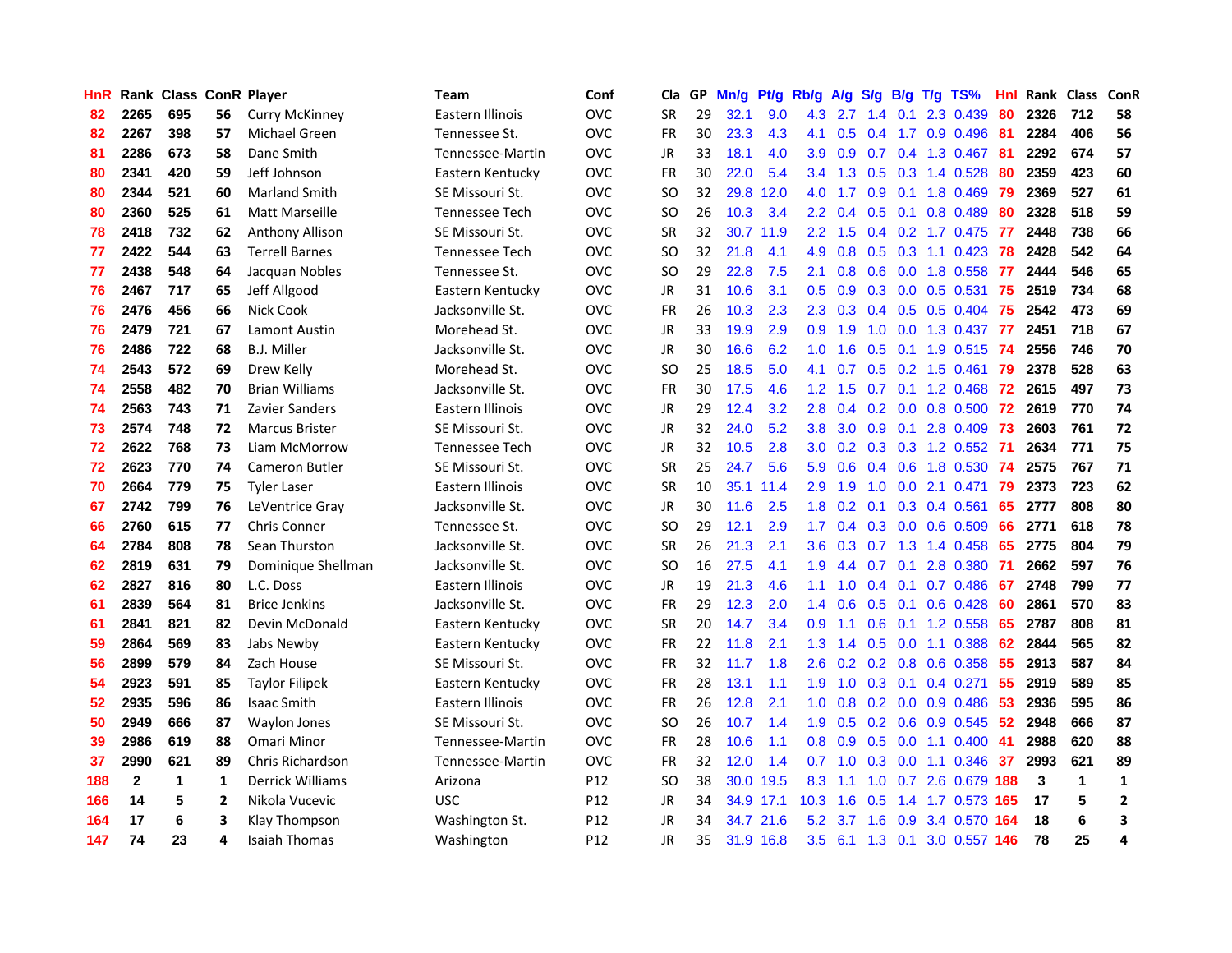| <b>HnR</b> |              | <b>Rank Class ConR Player</b> |                |                         | Team                  | Conf            | Cla       |    | GP Mn/g | Pt/g      | Rb/g             | A/g            |                 |                 | $S/g$ B/g T/g TS%         | Hnl  | Rank Class |             | <b>ConR</b>    |
|------------|--------------|-------------------------------|----------------|-------------------------|-----------------------|-----------------|-----------|----|---------|-----------|------------------|----------------|-----------------|-----------------|---------------------------|------|------------|-------------|----------------|
| 82         | 2265         | 695                           | 56             | <b>Curry McKinney</b>   | Eastern Illinois      | <b>OVC</b>      | <b>SR</b> | 29 | 32.1    | 9.0       | 4.3              | 2.7            | 1.4             | 0.1             | 2.3 0.439                 | 80   | 2326       | 712         | 58             |
| 82         | 2267         | 398                           | 57             | Michael Green           | Tennessee St.         | <b>OVC</b>      | <b>FR</b> | 30 | 23.3    | 4.3       | 4.1              | 0.5            | 0.4             |                 | 1.7 0.9 0.496             | -81  | 2284       | 406         | 56             |
| 81         | 2286         | 673                           | 58             | Dane Smith              | Tennessee-Martin      | <b>OVC</b>      | JR        | 33 | 18.1    | 4.0       | 3.9              | 0.9            | 0.7             |                 | 0.4 1.3 0.467             | 81   | 2292       | 674         | 57             |
| 80         | 2341         | 420                           | 59             | Jeff Johnson            | Eastern Kentucky      | <b>OVC</b>      | FR        | 30 | 22.0    | 5.4       |                  | $3.4$ 1.3      |                 |                 | 0.5 0.3 1.4 0.528         | 80   | 2359       | 423         | 60             |
| 80         | 2344         | 521                           | 60             | <b>Marland Smith</b>    | SE Missouri St.       | <b>OVC</b>      | SO.       | 32 |         | 29.8 12.0 | 4.0              | 1.7            |                 |                 | 0.9 0.1 1.8 0.469 79      |      | 2369       | 527         | 61             |
| 80         | 2360         | 525                           | 61             | <b>Matt Marseille</b>   | <b>Tennessee Tech</b> | <b>OVC</b>      | SO.       | 26 | 10.3    | 3.4       | $2.2^{\circ}$    | 0.4            |                 |                 | $0.5$ 0.1 0.8 0.489       | 80   | 2328       | 518         | 59             |
| 78         | 2418         | 732                           | 62             | Anthony Allison         | SE Missouri St.       | <b>OVC</b>      | <b>SR</b> | 32 |         | 30.7 11.9 | $2.2^{\circ}$    | 1.5            |                 |                 | 0.4 0.2 1.7 0.475 77      |      | 2448       | 738         | 66             |
| 77         | 2422         | 544                           | 63             | <b>Terrell Barnes</b>   | Tennessee Tech        | <b>OVC</b>      | SO.       | 32 | 21.8    | 4.1       | 4.9              | 0.8            |                 |                 | $0.5$ $0.3$ 1.1 $0.423$   | 78   | 2428       | 542         | 64             |
| 77         | 2438         | 548                           | 64             | Jacquan Nobles          | Tennessee St.         | <b>OVC</b>      | <b>SO</b> | 29 | 22.8    | 7.5       | 2.1              | 0.8            | 0.6             |                 | 0.0 1.8 0.558             | 77   | 2444       | 546         | 65             |
| 76         | 2467         | 717                           | 65             | Jeff Allgood            | Eastern Kentucky      | <b>OVC</b>      | JR        | 31 | 10.6    | 3.1       | 0.5              | 0.9            |                 |                 | $0.3$ 0.0 0.5 0.531       | 75   | 2519       | 734         | 68             |
| 76         | 2476         | 456                           | 66             | Nick Cook               | Jacksonville St.      | <b>OVC</b>      | FR        | 26 | 10.3    | 2.3       | $2.3^{\circ}$    | 0.3            |                 |                 | $0.4$ 0.5 0.5 0.404       | 75   | 2542       | 473         | 69             |
| 76         | 2479         | 721                           | 67             | Lamont Austin           | Morehead St.          | <b>OVC</b>      | JR        | 33 | 19.9    | 2.9       | 0.9              | 1.9            | 1.0             |                 | 0.0 1.3 0.437             | 77   | 2451       | 718         | 67             |
| 76         | 2486         | 722                           | 68             | B.J. Miller             | Jacksonville St.      | <b>OVC</b>      | JR        | 30 | 16.6    | 6.2       | 1.0              | 1.6            | 0.5             | 0.1             | 1.9 0.515                 | -74  | 2556       | 746         | 70             |
| 74         | 2543         | 572                           | 69             | Drew Kelly              | Morehead St.          | <b>OVC</b>      | <b>SO</b> | 25 | 18.5    | 5.0       | 4.1              | 0.7            | 0.5             |                 | $0.2$ 1.5 0.461           | -79  | 2378       | 528         | 63             |
| 74         | 2558         | 482                           | 70             | <b>Brian Williams</b>   | Jacksonville St.      | <b>OVC</b>      | <b>FR</b> | 30 | 17.5    | 4.6       | 1.2 <sub>1</sub> | 1.5            | 0.7             | 0.1             | 1.2 0.468                 | 72   | 2615       | 497         | 73             |
| 74         | 2563         | 743                           | 71             | Zavier Sanders          | Eastern Illinois      | <b>OVC</b>      | JR        | 29 | 12.4    | 3.2       | 2.8              | 0.4            |                 | $0.2\quad 0.0$  | 0.8 0.500                 | 72   | 2619       | 770         | 74             |
| 73         | 2574         | 748                           | 72             | <b>Marcus Brister</b>   | SE Missouri St.       | <b>OVC</b>      | JR        | 32 | 24.0    | 5.2       | 3.8 <sub>2</sub> | 3.0            |                 |                 | $0.9$ 0.1 2.8 0.409       | - 73 | 2603       | 761         | 72             |
| 72         | 2622         | 768                           | 73             | Liam McMorrow           | Tennessee Tech        | <b>OVC</b>      | JR        | 32 | 10.5    | 2.8       | 3.0 <sub>1</sub> |                |                 |                 | 0.2 0.3 0.3 1.2 0.552 71  |      | 2634       | 771         | 75             |
| 72         | 2623         | 770                           | 74             | <b>Cameron Butler</b>   | SE Missouri St.       | <b>OVC</b>      | <b>SR</b> | 25 | 24.7    | 5.6       | 5.9              | 0.6            |                 |                 | 0.4 0.6 1.8 0.530 74      |      | 2575       | 767         | 71             |
| 70         | 2664         | 779                           | 75             | <b>Tyler Laser</b>      | Eastern Illinois      | <b>OVC</b>      | <b>SR</b> | 10 |         | 35.1 11.4 | 2.9              | 1.9            |                 |                 | 1.0 0.0 2.1 0.471 79      |      | 2373       | 723         | 62             |
| 67         | 2742         | 799                           | 76             | LeVentrice Gray         | Jacksonville St.      | <b>OVC</b>      | JR        | 30 | 11.6    | 2.5       | 1.8              | 0.2            |                 |                 | $0.1$ $0.3$ $0.4$ $0.561$ | 65   | 2777       | 808         | 80             |
| 66         | 2760         | 615                           | 77             | Chris Conner            | Tennessee St.         | <b>OVC</b>      | <b>SO</b> | 29 | 12.1    | 2.9       | 1.7 <sup>2</sup> | 0.4            |                 |                 | 0.3 0.0 0.6 0.509         | 66   | 2771       | 618         | 78             |
| 64         | 2784         | 808                           | 78             | Sean Thurston           | Jacksonville St.      | <b>OVC</b>      | <b>SR</b> | 26 | 21.3    | 2.1       | 3.6 <sup>°</sup> | 0.3            |                 |                 | 0.7 1.3 1.4 0.458         | 65   | 2775       | 804         | 79             |
| 62         | 2819         | 631                           | 79             | Dominique Shellman      | Jacksonville St.      | <b>OVC</b>      | <b>SO</b> | 16 | 27.5    | 4.1       | 1.9              | 4.4            |                 |                 | $0.7$ 0.1 2.8 0.380       | -71  | 2662       | 597         | 76             |
| 62         | 2827         | 816                           | 80             | L.C. Doss               | Eastern Illinois      | <b>OVC</b>      | JR        | 19 | 21.3    | 4.6       | 1.1              | 1.0            |                 | $0.4 \quad 0.1$ | 0.7 0.486                 | -67  | 2748       | 799         | 77             |
| 61         | 2839         | 564                           | 81             | <b>Brice Jenkins</b>    | Jacksonville St.      | <b>OVC</b>      | FR        | 29 | 12.3    | 2.0       | 1.4              | 0.6            |                 | $0.5 \quad 0.1$ | $0.6$ $0.428$             | 60   | 2861       | 570         | 83             |
| 61         | 2841         | 821                           | 82             | Devin McDonald          | Eastern Kentucky      | <b>OVC</b>      | <b>SR</b> | 20 | 14.7    | 3.4       | 0.9              | 1.1            | 0.6             | 0.1             | 1.2 0.558                 | 65   | 2787       | 808         | 81             |
| 59         | 2864         | 569                           | 83             | Jabs Newby              | Eastern Kentucky      | <b>OVC</b>      | <b>FR</b> | 22 | 11.8    | 2.1       | 1.3              | 1.4            | 0.5             | 0.0             | 1.1 0.388                 | 62   | 2844       | 565         | 82             |
| 56         | 2899         | 579                           | 84             | Zach House              | SE Missouri St.       | <b>OVC</b>      | <b>FR</b> | 32 | 11.7    | 1.8       | 2.6              | 0.2            | $0.2 \quad 0.8$ |                 | 0.6 0.358                 | 55   | 2913       | 587         | 84             |
| 54         | 2923         | 591                           | 85             | <b>Taylor Filipek</b>   | Eastern Kentucky      | <b>OVC</b>      | <b>FR</b> | 28 | 13.1    | 1.1       | 1.9              | 1.0            |                 | $0.3 \quad 0.1$ | $0.4$ 0.271               | 55   | 2919       | 589         | 85             |
| 52         | 2935         | 596                           | 86             | <b>Isaac Smith</b>      | Eastern Illinois      | <b>OVC</b>      | FR        | 26 | 12.8    | 2.1       | 1.0 <sub>1</sub> | 0.8            |                 |                 | 0.2 0.0 0.9 0.486         | 53   | 2936       | 595         | 86             |
| 50         | 2949         | 666                           | 87             | Waylon Jones            | SE Missouri St.       | <b>OVC</b>      | SO.       | 26 | 10.7    | 1.4       | 1.9 <sup>°</sup> | 0.5            |                 |                 | $0.2$ 0.6 0.9 0.545       | 52   | 2948       | 666         | 87             |
| 39         | 2986         | 619                           | 88             | Omari Minor             | Tennessee-Martin      | <b>OVC</b>      | <b>FR</b> | 28 | 10.6    | 1.1       |                  | $0.8\quad 0.9$ |                 |                 | $0.5$ 0.0 1.1 0.400       | -41  | 2988       | 620         | 88             |
| 37         | 2990         | 621                           | 89             | <b>Chris Richardson</b> | Tennessee-Martin      | <b>OVC</b>      | <b>FR</b> | 32 | 12.0    | 1.4       | 0.7              | 1.0            |                 |                 | $0.3$ $0.0$ 1.1 $0.346$   | 37   | 2993       | 621         | 89             |
| 188        | $\mathbf{2}$ | 1                             | 1              | Derrick Williams        | Arizona               | P12             | <b>SO</b> | 38 |         | 30.0 19.5 | 8.3              | 1.1            | 1.0             |                 | 0.7 2.6 0.679 188         |      | 3          | $\mathbf 1$ | 1              |
| 166        | 14           | 5                             | $\overline{2}$ | Nikola Vucevic          | <b>USC</b>            | P <sub>12</sub> | JR        | 34 |         | 34.9 17.1 | 10.3             | 1.6            | 0.5             | 1.4             | 1.7 0.573 165             |      | 17         | 5           | $\overline{2}$ |
| 164        | 17           | 6                             | 3              | Klay Thompson           | Washington St.        | P <sub>12</sub> | JR        | 34 | 34.7    | 21.6      | 5.2              | 3.7            | 1.6             | 0.9             | 3.4 0.570                 | 164  | 18         | 6           | 3              |
| 147        | 74           | 23                            | 4              | Isaiah Thomas           | Washington            | P <sub>12</sub> | JR        | 35 |         | 31.9 16.8 | $3.5^{\circ}$    |                |                 |                 | 6.1 1.3 0.1 3.0 0.557 146 |      | 78         | 25          | 4              |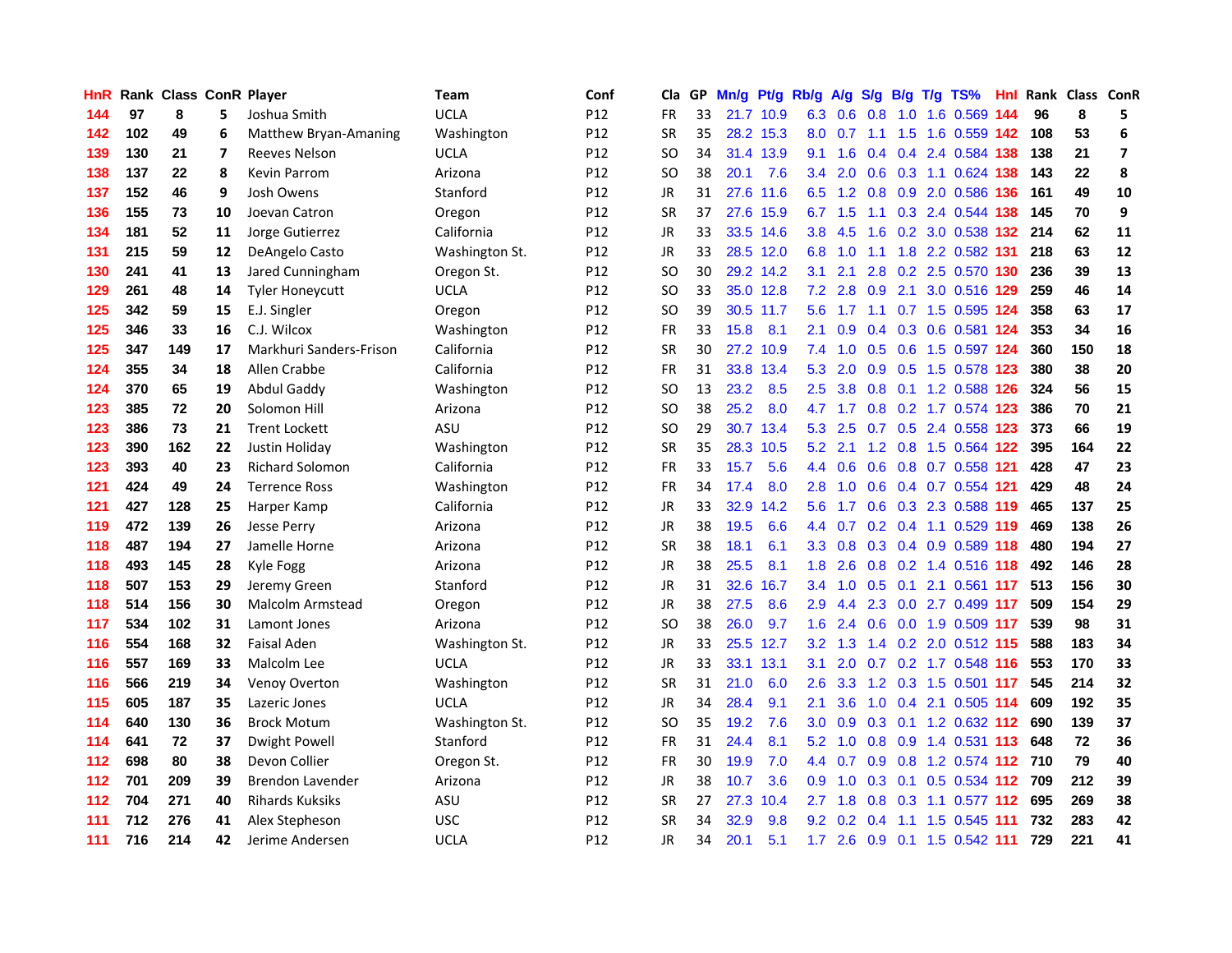| HnR |     | Rank Class ConR Player |    |                         | Team           | Conf            | Cla           |    | GP Mn/g Pt/g Rb/g |           |                  | A/g             |     |                 | S/g B/g T/g TS%               | Hnl |     | Rank Class ConR |                         |
|-----|-----|------------------------|----|-------------------------|----------------|-----------------|---------------|----|-------------------|-----------|------------------|-----------------|-----|-----------------|-------------------------------|-----|-----|-----------------|-------------------------|
| 144 | 97  | 8                      | 5. | Joshua Smith            | <b>UCLA</b>    | P <sub>12</sub> | FR            | 33 |                   | 21.7 10.9 | 6.3              | 0.6             | 0.8 | 1.0             | 1.6 0.569                     | 144 | 96  | 8               | 5                       |
| 142 | 102 | 49                     | 6  | Matthew Bryan-Amaning   | Washington     | P <sub>12</sub> | <b>SR</b>     | 35 |                   | 28.2 15.3 | 8.0              | 0.7             | 1.1 | 1.5             | 1.6 0.559 142                 |     | 108 | 53              | 6                       |
| 139 | 130 | 21                     | 7  | <b>Reeves Nelson</b>    | <b>UCLA</b>    | P12             | <b>SO</b>     | 34 |                   | 31.4 13.9 | 9.1              | 1.6             |     | $0.4 \quad 0.4$ | 2.4 0.584 138                 |     | 138 | 21              | $\overline{\mathbf{z}}$ |
| 138 | 137 | 22                     | 8  | Kevin Parrom            | Arizona        | P12             | SO.           | 38 | 20.1              | 7.6       | 3.4              | 2.0             |     |                 | 0.6 0.3 1.1 0.624 138         |     | 143 | 22              | 8                       |
| 137 | 152 | 46                     | 9  | Josh Owens              | Stanford       | P <sub>12</sub> | JR            | 31 |                   | 27.6 11.6 |                  |                 |     |                 | 6.5 1.2 0.8 0.9 2.0 0.586 136 |     | 161 | 49              | 10                      |
| 136 | 155 | 73                     | 10 | Joevan Catron           | Oregon         | P <sub>12</sub> | <b>SR</b>     | 37 |                   | 27.6 15.9 |                  | 6.7 1.5         |     |                 | 1.1 0.3 2.4 0.544 138         |     | 145 | 70              | 9                       |
| 134 | 181 | 52                     | 11 | Jorge Gutierrez         | California     | P12             | JR            | 33 |                   | 33.5 14.6 |                  | 3.8 4.5         | 1.6 |                 | 0.2 3.0 0.538 132             |     | 214 | 62              | 11                      |
| 131 | 215 | 59                     | 12 | DeAngelo Casto          | Washington St. | P12             | JR            | 33 |                   | 28.5 12.0 | 6.8              | 1.0             | 1.1 |                 | 1.8 2.2 0.582 131             |     | 218 | 63              | 12                      |
| 130 | 241 | 41                     | 13 | Jared Cunningham        | Oregon St.     | P12             | <sub>SO</sub> | 30 |                   | 29.2 14.2 | 3.1              | 2.1             | 2.8 |                 | 0.2 2.5 0.570 130             |     | 236 | 39              | 13                      |
| 129 | 261 | 48                     | 14 | <b>Tyler Honeycutt</b>  | <b>UCLA</b>    | P <sub>12</sub> | <b>SO</b>     | 33 |                   | 35.0 12.8 | 7.2              | 2.8             | 0.9 | 2.1             | 3.0 0.516 129                 |     | 259 | 46              | 14                      |
| 125 | 342 | 59                     | 15 | E.J. Singler            | Oregon         | P12             | <b>SO</b>     | 39 |                   | 30.5 11.7 | 5.6              | 1.7             |     |                 | 1.1 0.7 1.5 0.595 124         |     | 358 | 63              | 17                      |
| 125 | 346 | 33                     | 16 | C.J. Wilcox             | Washington     | P12             | FR            | 33 | 15.8              | 8.1       | 2.1              | 0.9             |     |                 | 0.4 0.3 0.6 0.581 124         |     | 353 | 34              | 16                      |
| 125 | 347 | 149                    | 17 | Markhuri Sanders-Frison | California     | P12             | <b>SR</b>     | 30 |                   | 27.2 10.9 | 7.4              | 1.0             | 0.5 | 0.6             | 1.5 0.597 124                 |     | 360 | 150             | 18                      |
| 124 | 355 | 34                     | 18 | Allen Crabbe            | California     | P <sub>12</sub> | <b>FR</b>     | 31 |                   | 33.8 13.4 | 5.3              | 2.0             | 0.9 |                 | 0.5 1.5 0.578 123             |     | 380 | 38              | 20                      |
| 124 | 370 | 65                     | 19 | Abdul Gaddy             | Washington     | P <sub>12</sub> | SO.           | 13 | 23.2              | 8.5       | 2.5              | 3.8             | 0.8 |                 | 0.1 1.2 0.588 126             |     | 324 | 56              | 15                      |
| 123 | 385 | 72                     | 20 | Solomon Hill            | Arizona        | P12             | <b>SO</b>     | 38 | 25.2              | 8.0       | 4.7              | 1.7             |     |                 | 0.8 0.2 1.7 0.574 123         |     | 386 | 70              | 21                      |
| 123 | 386 | 73                     | 21 | <b>Trent Lockett</b>    | ASU            | P <sub>12</sub> | <b>SO</b>     | 29 |                   | 30.7 13.4 | 5.3              | 2.5             |     |                 | 0.7 0.5 2.4 0.558 123         |     | 373 | 66              | 19                      |
| 123 | 390 | 162                    | 22 | Justin Holiday          | Washington     | P12             | <b>SR</b>     | 35 |                   | 28.3 10.5 |                  | $5.2$ 2.1       |     |                 | 1.2 0.8 1.5 0.564 122         |     | 395 | 164             | 22                      |
| 123 | 393 | 40                     | 23 | <b>Richard Solomon</b>  | California     | P <sub>12</sub> | FR            | 33 | 15.7              | 5.6       |                  | 4.4 0.6         |     |                 | 0.6 0.8 0.7 0.558 121         |     | 428 | 47              | 23                      |
| 121 | 424 | 49                     | 24 | <b>Terrence Ross</b>    | Washington     | P12             | <b>FR</b>     | 34 | 17.4              | 8.0       |                  | $2.8 \quad 1.0$ |     |                 | 0.6 0.4 0.7 0.554 121         |     | 429 | 48              | 24                      |
| 121 | 427 | 128                    | 25 | Harper Kamp             | California     | P <sub>12</sub> | JR            | 33 | 32.9              | 14.2      | 5.6              | 1.7             |     |                 | 0.6 0.3 2.3 0.588 119         |     | 465 | 137             | 25                      |
| 119 | 472 | 139                    | 26 | Jesse Perry             | Arizona        | P12             | JR            | 38 | 19.5              | 6.6       |                  | 4.4 0.7         |     |                 | 0.2 0.4 1.1 0.529 119         |     | 469 | 138             | 26                      |
| 118 | 487 | 194                    | 27 | Jamelle Horne           | Arizona        | P <sub>12</sub> | <b>SR</b>     | 38 | 18.1              | 6.1       |                  | $3.3 \quad 0.8$ |     |                 | 0.3 0.4 0.9 0.589 118         |     | 480 | 194             | 27                      |
| 118 | 493 | 145                    | 28 | Kyle Fogg               | Arizona        | P12             | JR            | 38 | 25.5              | 8.1       | 1.8              | 2.6             |     |                 | 0.8 0.2 1.4 0.516 118         |     | 492 | 146             | 28                      |
| 118 | 507 | 153                    | 29 | Jeremy Green            | Stanford       | P12             | JR            | 31 | 32.6              | 16.7      | 3.4              | 1.0             |     | $0.5 \quad 0.1$ | 2.1 0.561 117                 |     | 513 | 156             | 30                      |
| 118 | 514 | 156                    | 30 | Malcolm Armstead        | Oregon         | P12             | <b>JR</b>     | 38 | 27.5              | 8.6       | 2.9              | 4.4             |     |                 | 2.3 0.0 2.7 0.499 117         |     | 509 | 154             | 29                      |
| 117 | 534 | 102                    | 31 | Lamont Jones            | Arizona        | P <sub>12</sub> | SO.           | 38 | 26.0              | 9.7       | 1.6              | 2.4             | 0.6 |                 | 0.0 1.9 0.509 117             |     | 539 | 98              | 31                      |
| 116 | 554 | 168                    | 32 | <b>Faisal Aden</b>      | Washington St. | P <sub>12</sub> | JR            | 33 |                   | 25.5 12.7 | 3.2              | 1.3             |     |                 | 1.4 0.2 2.0 0.512 115         |     | 588 | 183             | 34                      |
| 116 | 557 | 169                    | 33 | Malcolm Lee             | <b>UCLA</b>    | P12             | <b>JR</b>     | 33 |                   | 33.1 13.1 | 3.1              | 2.0             | 0.7 |                 | 0.2 1.7 0.548 116             |     | 553 | 170             | 33                      |
| 116 | 566 | 219                    | 34 | Venoy Overton           | Washington     | P12             | <b>SR</b>     | 31 | 21.0              | 6.0       | 2.6              | 3.3             |     |                 | 1.2 0.3 1.5 0.501 117         |     | 545 | 214             | 32                      |
| 115 | 605 | 187                    | 35 | Lazeric Jones           | <b>UCLA</b>    | P12             | JR            | 34 | 28.4              | 9.1       | 2.1              | 3.6             |     |                 | 1.0 0.4 2.1 0.505 114         |     | 609 | 192             | 35                      |
| 114 | 640 | 130                    | 36 | <b>Brock Motum</b>      | Washington St. | P <sub>12</sub> | SO.           | 35 | 19.2              | 7.6       | 3.0 <sub>1</sub> | 0.9             |     |                 | 0.3 0.1 1.2 0.632 112 690     |     |     | 139             | 37                      |
| 114 | 641 | 72                     | 37 | Dwight Powell           | Stanford       | P <sub>12</sub> | <b>FR</b>     | 31 | 24.4              | 8.1       | 5.2              | 1.0             |     |                 | 0.8 0.9 1.4 0.531 113         |     | 648 | 72              | 36                      |
| 112 | 698 | 80                     | 38 | Devon Collier           | Oregon St.     | P12             | <b>FR</b>     | 30 | 19.9              | 7.0       |                  | 4.4 0.7         |     |                 | 0.9 0.8 1.2 0.574 112 710     |     |     | 79              | 40                      |
| 112 | 701 | 209                    | 39 | <b>Brendon Lavender</b> | Arizona        | P12             | JR            | 38 | 10.7              | 3.6       | 0.9              | 1.0             |     |                 | 0.3 0.1 0.5 0.534 112 709     |     |     | 212             | 39                      |
| 112 | 704 | 271                    | 40 | <b>Rihards Kuksiks</b>  | ASU            | P <sub>12</sub> | <b>SR</b>     | 27 | 27.3              | 10.4      | 2.7              | 1.8             | 0.8 |                 | 0.3 1.1 0.577 112             |     | 695 | 269             | 38                      |
| 111 | 712 | 276                    | 41 | Alex Stepheson          | <b>USC</b>     | P <sub>12</sub> | <b>SR</b>     | 34 | 32.9              | 9.8       | 9.2              | 0.2             | 0.4 | 1.1             | 1.5 0.545                     | 111 | 732 | 283             | 42                      |
| 111 | 716 | 214                    | 42 | Jerime Andersen         | <b>UCLA</b>    | P <sub>12</sub> | JR            | 34 | 20.1              | 5.1       | 1.7              | 2.6             |     |                 | 0.9 0.1 1.5 0.542 111         |     | 729 | 221             | 41                      |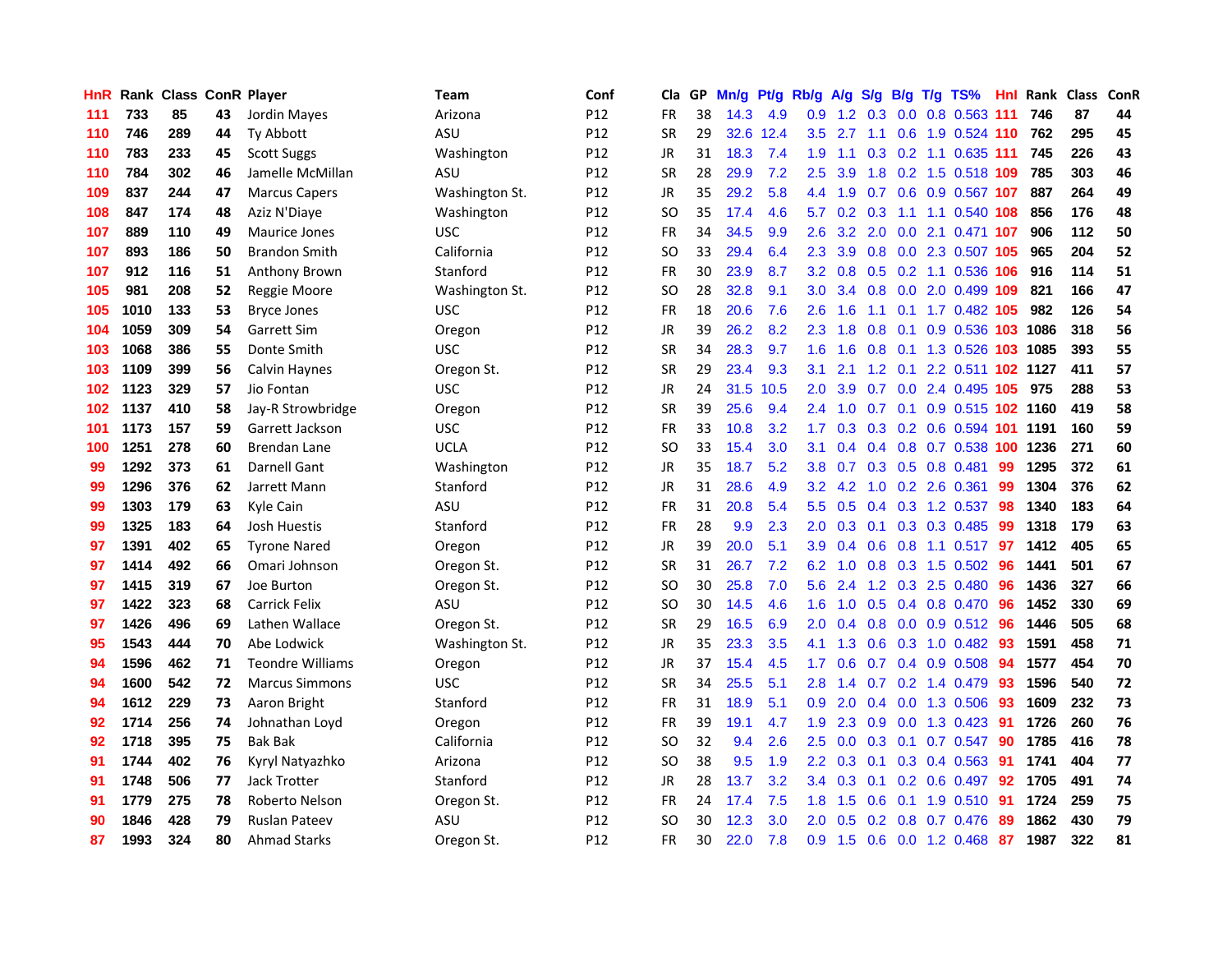| <b>HnR</b> |      | <b>Rank Class ConR Player</b> |    |                         | Team           | Conf            | Cla       |    | GP Mn/g | Pt/g | Rb/g             | A/g           | S/g              |                 | B/g T/g TS%                    | Hnl | Rank Class |     | ConR |
|------------|------|-------------------------------|----|-------------------------|----------------|-----------------|-----------|----|---------|------|------------------|---------------|------------------|-----------------|--------------------------------|-----|------------|-----|------|
| 111        | 733  | 85                            | 43 | Jordin Mayes            | Arizona        | P <sub>12</sub> | <b>FR</b> | 38 | 14.3    | 4.9  | 0.9              | $1.2^{\circ}$ | 0.3              | 0.0             | 0.8 0.563 111                  |     | 746        | 87  | 44   |
| 110        | 746  | 289                           | 44 | Ty Abbott               | ASU            | P12             | <b>SR</b> | 29 | 32.6    | 12.4 | $3.5^{\circ}$    | 2.7           | 1.1              | 0.6             | 1.9 0.524 110                  |     | 762        | 295 | 45   |
| 110        | 783  | 233                           | 45 | <b>Scott Suggs</b>      | Washington     | P <sub>12</sub> | JR        | 31 | 18.3    | 7.4  | 1.9              | 1.1           |                  |                 | 0.3 0.2 1.1 0.635 111          |     | 745        | 226 | 43   |
| 110        | 784  | 302                           | 46 | Jamelle McMillan        | ASU            | P12             | <b>SR</b> | 28 | 29.9    | 7.2  | 2.5              | 3.9           |                  |                 | 1.8 0.2 1.5 0.518 109          |     | 785        | 303 | 46   |
| 109        | 837  | 244                           | 47 | <b>Marcus Capers</b>    | Washington St. | P <sub>12</sub> | <b>JR</b> | 35 | 29.2    | 5.8  |                  | 4.4 1.9       |                  |                 | 0.7 0.6 0.9 0.567 107          |     | 887        | 264 | 49   |
| 108        | 847  | 174                           | 48 | Aziz N'Diaye            | Washington     | P12             | SO.       | 35 | 17.4    | 4.6  | 5.7              |               | $0.2 \quad 0.3$  |                 | 1.1 1.1 0.540 108              |     | 856        | 176 | 48   |
| 107        | 889  | 110                           | 49 | Maurice Jones           | <b>USC</b>     | P12             | FR        | 34 | 34.5    | 9.9  | $2.6\,$          | 3.2           | 2.0              |                 | 0.0 2.1 0.471 107              |     | 906        | 112 | 50   |
| 107        | 893  | 186                           | 50 | <b>Brandon Smith</b>    | California     | P12             | <b>SO</b> | 33 | 29.4    | 6.4  | 2.3              | 3.9           |                  |                 | 0.8 0.0 2.3 0.507 105          |     | 965        | 204 | 52   |
| 107        | 912  | 116                           | 51 | <b>Anthony Brown</b>    | Stanford       | P12             | FR        | 30 | 23.9    | 8.7  | 3.2 <sub>2</sub> | 0.8           |                  |                 | 0.5 0.2 1.1 0.536              | 106 | 916        | 114 | 51   |
| 105        | 981  | 208                           | 52 | Reggie Moore            | Washington St. | P12             | SO.       | 28 | 32.8    | 9.1  | 3.0              | 3.4           |                  |                 | 0.8 0.0 2.0 0.499 109          |     | 821        | 166 | 47   |
| 105        | 1010 | 133                           | 53 | <b>Bryce Jones</b>      | <b>USC</b>     | P12             | <b>FR</b> | 18 | 20.6    | 7.6  | 2.6              | 1.6           | 1.1              | 0.1             | 1.7 0.482                      | 105 | 982        | 126 | 54   |
| 104        | 1059 | 309                           | 54 | <b>Garrett Sim</b>      | Oregon         | P12             | JR        | 39 | 26.2    | 8.2  | 2.3              | 1.8           | 0.8              | 0.1             | 0.9 0.536                      | 103 | 1086       | 318 | 56   |
| 103        | 1068 | 386                           | 55 | Donte Smith             | <b>USC</b>     | P <sub>12</sub> | <b>SR</b> | 34 | 28.3    | 9.7  | 1.6              | 1.6           | 0.8              |                 | 0.1 1.3 0.526 103              |     | 1085       | 393 | 55   |
| 103        | 1109 | 399                           | 56 | Calvin Haynes           | Oregon St.     | P12             | <b>SR</b> | 29 | 23.4    | 9.3  | 3.1              | 2.1           | 1.2              | 0.1             | 2.2 0.511 102 1127             |     |            | 411 | 57   |
| 102        | 1123 | 329                           | 57 | Jio Fontan              | <b>USC</b>     | P <sub>12</sub> | JR        | 24 | 31.5    | 10.5 | 2.0              | 3.9           | 0.7              | 0.0             | 2.4 0.495 105                  |     | 975        | 288 | 53   |
| 102        | 1137 | 410                           | 58 | Jay-R Strowbridge       | Oregon         | P12             | <b>SR</b> | 39 | 25.6    | 9.4  |                  | $2.4$ 1.0     |                  |                 | 0.7 0.1 0.9 0.515 102 1160     |     |            | 419 | 58   |
| 101        | 1173 | 157                           | 59 | Garrett Jackson         | USC            | P12             | FR        | 33 | 10.8    | 3.2  | 1.7              |               |                  |                 | 0.3 0.3 0.2 0.6 0.594 101 1191 |     |            | 160 | 59   |
| 100        | 1251 | 278                           | 60 | <b>Brendan Lane</b>     | <b>UCLA</b>    | P12             | SO.       | 33 | 15.4    | 3.0  | 3.1              | 0.4           |                  |                 | 0.4 0.8 0.7 0.538 100 1236     |     |            | 271 | 60   |
| 99         | 1292 | 373                           | 61 | Darnell Gant            | Washington     | P12             | JR        | 35 | 18.7    | 5.2  | 3.8              |               |                  |                 | 0.7 0.3 0.5 0.8 0.481          | 99  | 1295       | 372 | 61   |
| 99         | 1296 | 376                           | 62 | Jarrett Mann            | Stanford       | P12             | JR        | 31 | 28.6    | 4.9  | 3.2 <sub>1</sub> | 4.2           |                  |                 | 1.0 0.2 2.6 0.361              | 99  | 1304       | 376 | 62   |
| 99         | 1303 | 179                           | 63 | Kyle Cain               | ASU            | P <sub>12</sub> | FR        | 31 | 20.8    | 5.4  | $5.5^{\circ}$    | 0.5           |                  |                 | $0.4$ $0.3$ 1.2 $0.537$        | 98  | 1340       | 183 | 64   |
| 99         | 1325 | 183                           | 64 | Josh Huestis            | Stanford       | P12             | <b>FR</b> | 28 | 9.9     | 2.3  | 2.0              | 0.3           | 0.1              |                 | 0.3 0.3 0.485                  | -99 | 1318       | 179 | 63   |
| 97         | 1391 | 402                           | 65 | <b>Tyrone Nared</b>     | Oregon         | P12             | JR        | 39 | 20.0    | 5.1  | 3.9              | 0.4           |                  |                 | $0.6$ 0.8 1.1 0.517            | 97  | 1412       | 405 | 65   |
| 97         | 1414 | 492                           | 66 | Omari Johnson           | Oregon St.     | P12             | <b>SR</b> | 31 | 26.7    | 7.2  | 6.2              | 1.0           |                  |                 | 0.8 0.3 1.5 0.502              | 96  | 1441       | 501 | 67   |
| 97         | 1415 | 319                           | 67 | Joe Burton              | Oregon St.     | P <sub>12</sub> | SO.       | 30 | 25.8    | 7.0  | 5.6              | 2.4           |                  | $1.2 \quad 0.3$ | 2.5 0.480                      | 96  | 1436       | 327 | 66   |
| 97         | 1422 | 323                           | 68 | Carrick Felix           | ASU            | P <sub>12</sub> | SO.       | 30 | 14.5    | 4.6  | 1.6              | 1.0           | 0.5              |                 | $0.4$ 0.8 0.470                | -96 | 1452       | 330 | 69   |
| 97         | 1426 | 496                           | 69 | Lathen Wallace          | Oregon St.     | P12             | <b>SR</b> | 29 | 16.5    | 6.9  | 2.0              | 0.4           | 0.8              | 0.0             | $0.9$ $0.512$                  | 96  | 1446       | 505 | 68   |
| 95         | 1543 | 444                           | 70 | Abe Lodwick             | Washington St. | P12             | <b>JR</b> | 35 | 23.3    | 3.5  | 4.1              | 1.3           | 0.6              | 0.3             | 1.0 0.482                      | 93  | 1591       | 458 | 71   |
| 94         | 1596 | 462                           | 71 | <b>Teondre Williams</b> | Oregon         | P12             | JR        | 37 | 15.4    | 4.5  | 1.7              | 0.6           |                  |                 | 0.7 0.4 0.9 0.508              | -94 | 1577       | 454 | 70   |
| 94         | 1600 | 542                           | 72 | <b>Marcus Simmons</b>   | <b>USC</b>     | P12             | <b>SR</b> | 34 | 25.5    | 5.1  | 2.8              | 1.4           |                  |                 | $0.7$ $0.2$ 1.4 $0.479$        | -93 | 1596       | 540 | 72   |
| 94         | 1612 | 229                           | 73 | Aaron Bright            | Stanford       | P <sub>12</sub> | FR        | 31 | 18.9    | 5.1  | 0.9 <sup>°</sup> | 2.0           |                  |                 | 0.4 0.0 1.3 0.506              | -93 | 1609       | 232 | 73   |
| 92         | 1714 | 256                           | 74 | Johnathan Loyd          | Oregon         | P12             | FR        | 39 | 19.1    | 4.7  | 1.9              | 2.3           |                  |                 | $0.9$ $0.0$ 1.3 $0.423$        | -91 | 1726       | 260 | 76   |
| 92         | 1718 | 395                           | 75 | <b>Bak Bak</b>          | California     | P <sub>12</sub> | <b>SO</b> | 32 | 9.4     | 2.6  | 2.5              | 0.0           |                  |                 | $0.3$ 0.1 0.7 0.547            | 90  | 1785       | 416 | 78   |
| 91         | 1744 | 402                           | 76 | Kyryl Natyazhko         | Arizona        | P12             | SO        | 38 | 9.5     | 1.9  | $2.2\phantom{0}$ | 0.3           | 0.1              |                 | 0.3 0.4 0.563                  | 91  | 1741       | 404 | 77   |
| 91         | 1748 | 506                           | 77 | Jack Trotter            | Stanford       | P <sub>12</sub> | JR        | 28 | 13.7    | 3.2  | $3.4^{\circ}$    | 0.3           | 0.1              |                 | $0.2$ 0.6 0.497                | 92  | 1705       | 491 | 74   |
| 91         | 1779 | 275                           | 78 | Roberto Nelson          | Oregon St.     | P <sub>12</sub> | FR        | 24 | 17.4    | 7.5  | 1.8              | 1.5           | 0.6              | 0.1             | 1.9 0.510                      | 91  | 1724       | 259 | 75   |
| 90         | 1846 | 428                           | 79 | Ruslan Pateev           | ASU            | P12             | SO        | 30 | 12.3    | 3.0  | 2.0              | 0.5           | 0.2 <sub>0</sub> | 0.8             | 0.7 0.476                      | 89  | 1862       | 430 | 79   |
| 87         | 1993 | 324                           | 80 | <b>Ahmad Starks</b>     | Oregon St.     | P12             | <b>FR</b> | 30 | 22.0    | 7.8  | 0.9              | 1.5           |                  |                 | 0.6 0.0 1.2 0.468              | -87 | 1987       | 322 | 81   |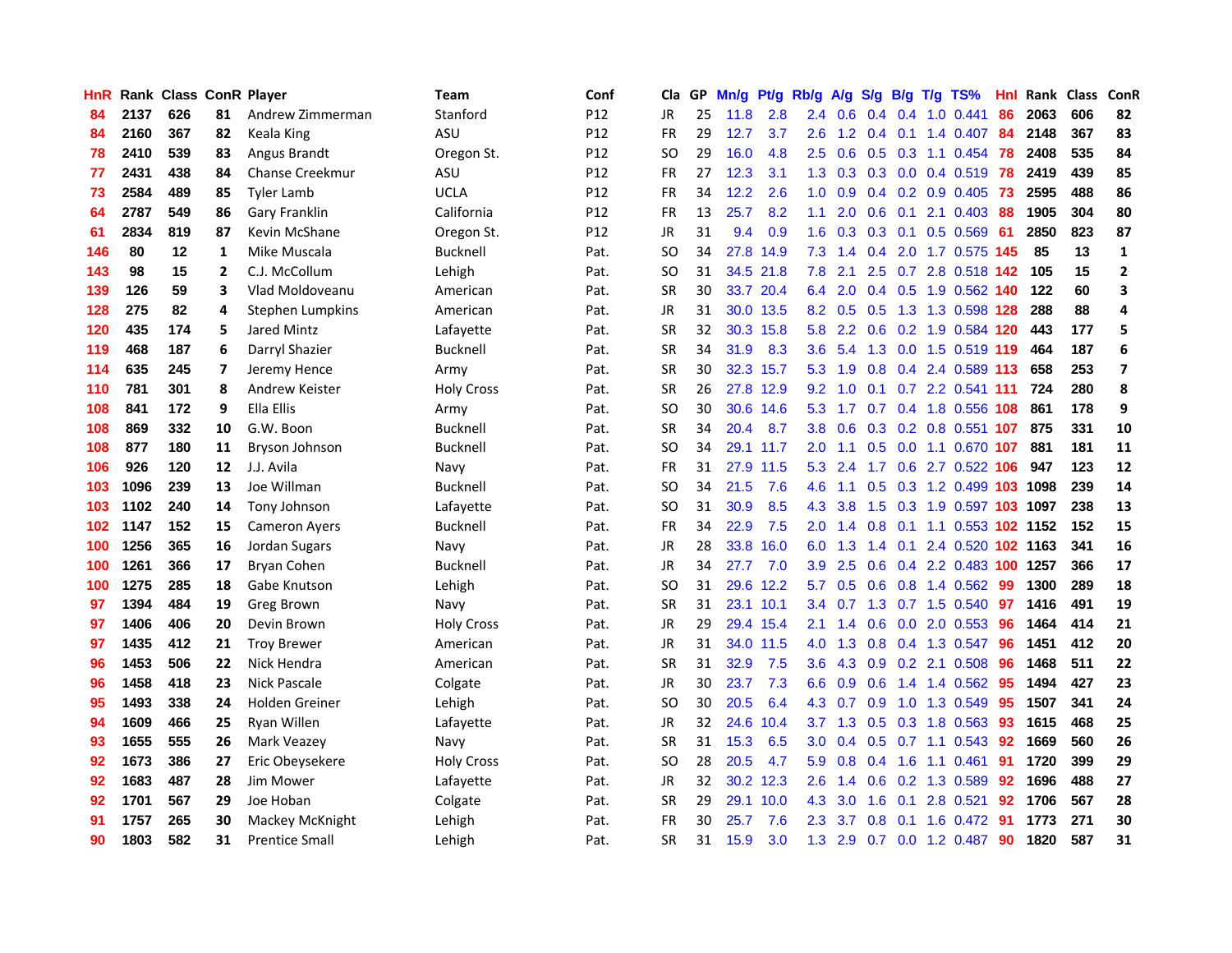| <b>HnR</b> |      | Rank Class ConR Player |              |                        | Team              | Conf | Cla       |     | GP Mn/g | Pt/g Rb/g |                  | A/g             | S/g              | B/g       | $T/g$ TS%                  | Hnl  |      | Rank Class | ConR         |
|------------|------|------------------------|--------------|------------------------|-------------------|------|-----------|-----|---------|-----------|------------------|-----------------|------------------|-----------|----------------------------|------|------|------------|--------------|
| 84         | 2137 | 626                    | 81           | Andrew Zimmerman       | Stanford          | P12  | JR        | 25  | 11.8    | 2.8       | 2.4              | 0.6             | 0.4              | 0.4       | $1.0 \ \ 0.441$            | 86   | 2063 | 606        | 82           |
| 84         | 2160 | 367                    | 82           | Keala King             | ASU               | P12  | <b>FR</b> | 29  | 12.7    | 3.7       | 2.6              | 1.2             | 0.4              | 0.1       | 1.4 0.407                  | -84  | 2148 | 367        | 83           |
| 78         | 2410 | 539                    | 83           | Angus Brandt           | Oregon St.        | P12  | <b>SO</b> | 29  | 16.0    | 4.8       | 2.5              | 0.6             |                  |           | $0.5$ $0.3$ 1.1 $0.454$    | 78   | 2408 | 535        | 84           |
| 77         | 2431 | 438                    | 84           | <b>Chanse Creekmur</b> | ASU               | P12  | <b>FR</b> | 27  | 12.3    | 3.1       |                  | $1.3 \quad 0.3$ |                  |           | 0.3 0.0 0.4 0.519 78       |      | 2419 | 439        | 85           |
| 73         | 2584 | 489                    | 85           | <b>Tyler Lamb</b>      | <b>UCLA</b>       | P12  | <b>FR</b> | 34  | 12.2    | 2.6       | 1.0              | 0.9             |                  |           | $0.4$ 0.2 0.9 0.405        | - 73 | 2595 | 488        | 86           |
| 64         | 2787 | 549                    | 86           | Gary Franklin          | California        | P12  | <b>FR</b> | 13  | 25.7    | 8.2       | 1.1              | 2.0             |                  |           | $0.6$ $0.1$ 2.1 $0.403$    | 88   | 1905 | 304        | 80           |
| 61         | 2834 | 819                    | 87           | Kevin McShane          | Oregon St.        | P12  | JR        | 31  | 9.4     | 0.9       | 1.6              | 0.3             |                  |           | $0.3$ 0.1 0.5 0.569        | -61  | 2850 | 823        | 87           |
| 146        | 80   | 12                     | $\mathbf{1}$ | Mike Muscala           | <b>Bucknell</b>   | Pat. | <b>SO</b> | 34  | 27.8    | 14.9      | 7.3              | 1.4             |                  |           | 0.4 2.0 1.7 0.575 145      |      | 85   | 13         | $\mathbf{1}$ |
| 143        | 98   | 15                     | $\mathbf{2}$ | C.J. McCollum          | Lehigh            | Pat. | <b>SO</b> | 31  |         | 34.5 21.8 | 7.8              | 2.1             | 2.5              |           | 0.7 2.8 0.518 142          |      | 105  | 15         | $\mathbf{2}$ |
| 139        | 126  | 59                     | 3            | Vlad Moldoveanu        | American          | Pat. | <b>SR</b> | 30  |         | 33.7 20.4 | 6.4              | 2.0             |                  |           | 0.4 0.5 1.9 0.562 140      |      | 122  | 60         | 3            |
| 128        | 275  | 82                     | 4            | Stephen Lumpkins       | American          | Pat. | <b>JR</b> | 31  |         | 30.0 13.5 |                  | 8.2 0.5         | 0.5              |           | 1.3 1.3 0.598 128          |      | 288  | 88         | 4            |
| 120        | 435  | 174                    | 5            | Jared Mintz            | Lafayette         | Pat. | <b>SR</b> | 32  |         | 30.3 15.8 | 5.8              | 2.2             | 0.6              |           | 0.2 1.9 0.584 120          |      | 443  | 177        | 5            |
| 119        | 468  | 187                    | 6            | Darryl Shazier         | <b>Bucknell</b>   | Pat. | <b>SR</b> | 34  | 31.9    | 8.3       | 3.6              | 5.4             | 1.3              | 0.0       | 1.5 0.519 119              |      | 464  | 187        | 6            |
| 114        | 635  | 245                    | 7            | Jeremy Hence           | Army              | Pat. | <b>SR</b> | 30  |         | 32.3 15.7 | 5.3              | 1.9             | 0.8              | 0.4       | 2.4 0.589 113              |      | 658  | 253        | 7            |
| 110        | 781  | 301                    | 8            | Andrew Keister         | <b>Holy Cross</b> | Pat. | <b>SR</b> | 26  |         | 27.8 12.9 | 9.2              | 1.0             | 0.1              |           | 0.7 2.2 0.541 111          |      | 724  | 280        | 8            |
| 108        | 841  | 172                    | 9            | Ella Ellis             | Army              | Pat. | <b>SO</b> | 30  |         | 30.6 14.6 | 5.3              | 1.7             |                  |           | 0.7 0.4 1.8 0.556 108      |      | 861  | 178        | 9            |
| 108        | 869  | 332                    | 10           | G.W. Boon              | Bucknell          | Pat. | <b>SR</b> | 34  | 20.4    | 8.7       | 3.8 <sup>°</sup> | 0.6             |                  |           | $0.3$ 0.2 0.8 0.551 107    |      | 875  | 331        | 10           |
| 108        | 877  | 180                    | 11           | <b>Bryson Johnson</b>  | <b>Bucknell</b>   | Pat. | <b>SO</b> | 34  |         | 29.1 11.7 | 2.0              | 1.1             |                  |           | 0.5 0.0 1.1 0.670 107      |      | 881  | 181        | 11           |
| 106        | 926  | 120                    | 12           | J.J. Avila             | Navy              | Pat. | <b>FR</b> | 31  |         | 27.9 11.5 | 5.3              | 2.4             |                  |           | 1.7 0.6 2.7 0.522 106      |      | 947  | 123        | 12           |
| 103        | 1096 | 239                    | 13           | Joe Willman            | Bucknell          | Pat. | SO.       | 34  | 21.5    | 7.6       | 4.6              | 1.1             |                  |           | 0.5 0.3 1.2 0.499 103 1098 |      |      | 239        | 14           |
| 103        | 1102 | 240                    | 14           | Tony Johnson           | Lafayette         | Pat. | SO.       | 31  | 30.9    | 8.5       | 4.3              | 3.8             |                  |           | 1.5 0.3 1.9 0.597 103 1097 |      |      | 238        | 13           |
| 102        | 1147 | 152                    | 15           | <b>Cameron Ayers</b>   | Bucknell          | Pat. | <b>FR</b> | 34  | 22.9    | 7.5       | $2.0^{\circ}$    | 1.4             | 0.8              | 0.1       | 1.1 0.553 102 1152         |      |      | 152        | 15           |
| 100        | 1256 | 365                    | 16           | Jordan Sugars          | Navy              | Pat. | <b>JR</b> | 28  | 33.8    | 16.0      | 6.0              | 1.3             | 1.4              | 0.1       | 2.4 0.520 102 1163         |      |      | 341        | 16           |
| 100        | 1261 | 366                    | 17           | Bryan Cohen            | <b>Bucknell</b>   | Pat. | JR        | 34  | 27.7    | 7.0       | 3.9              | 2.5             |                  |           | 0.6 0.4 2.2 0.483 100 1257 |      |      | 366        | 17           |
| 100        | 1275 | 285                    | 18           | Gabe Knutson           | Lehigh            | Pat. | SO.       | 31  |         | 29.6 12.2 | 5.7              | 0.5             |                  | $0.6$ 0.8 | 1.4 0.562                  | -99  | 1300 | 289        | 18           |
| 97         | 1394 | 484                    | 19           | <b>Greg Brown</b>      | Navy              | Pat. | <b>SR</b> | 31  |         | 23.1 10.1 | 3.4              | 0.7             | 1.3              |           | $0.7$ 1.5 0.540            | -97  | 1416 | 491        | 19           |
| 97         | 1406 | 406                    | 20           | Devin Brown            | <b>Holy Cross</b> | Pat. | JR        | 29  |         | 29.4 15.4 | 2.1              | 1.4             | 0.6              | 0.0       | 2.0 0.553                  | -96  | 1464 | 414        | 21           |
| 97         | 1435 | 412                    | 21           | <b>Troy Brewer</b>     | American          | Pat. | <b>JR</b> | 31  |         | 34.0 11.5 | 4.0              | 1.3             | 0.8              |           | 0.4 1.3 0.547              | -96  | 1451 | 412        | 20           |
| 96         | 1453 | 506                    | 22           | Nick Hendra            | American          | Pat. | <b>SR</b> | 31  | 32.9    | 7.5       | 3.6              | 4.3             | 0.9              |           | 0.2 2.1 0.508              | -96  | 1468 | 511        | 22           |
| 96         | 1458 | 418                    | 23           | Nick Pascale           | Colgate           | Pat. | JR        | 30  | 23.7    | 7.3       | 6.6              | 0.9             | 0.6              |           | 1.4 1.4 0.562              | -95  | 1494 | 427        | 23           |
| 95         | 1493 | 338                    | 24           | Holden Greiner         | Lehigh            | Pat. | SO.       | 30  | 20.5    | 6.4       |                  | 4.3 0.7         | 0.9              |           | 1.0 1.3 0.549              | -95  | 1507 | 341        | 24           |
| 94         | 1609 | 466                    | 25           | Ryan Willen            | Lafayette         | Pat. | JR        | 32. |         | 24.6 10.4 | 3.7              | 1.3             |                  |           | $0.5$ 0.3 1.8 0.563        | 93   | 1615 | 468        | 25           |
| 93         | 1655 | 555                    | 26           | Mark Veazey            | Navy              | Pat. | <b>SR</b> | 31  | 15.3    | 6.5       | 3.0 <sub>2</sub> | 0.4             |                  |           | $0.5$ 0.7 1.1 0.543        | 92   | 1669 | 560        | 26           |
| 92         | 1673 | 386                    | 27           | Eric Obeysekere        | <b>Holy Cross</b> | Pat. | <b>SO</b> | 28  | 20.5    | 4.7       | 5.9              | 0.8             | 0.4              | 1.6       | 1.1 0.461                  | 91   | 1720 | 399        | 29           |
| 92         | 1683 | 487                    | 28           | Jim Mower              | Lafayette         | Pat. | <b>JR</b> | 32  |         | 30.2 12.3 | 2.6              | 1.4             |                  |           | 0.6 0.2 1.3 0.589          | 92   | 1696 | 488        | 27           |
| 92         | 1701 | 567                    | 29           | Joe Hoban              | Colgate           | Pat. | <b>SR</b> | 29  |         | 29.1 10.0 | 4.3              | 3.0             | 1.6              | 0.1       | 2.8 0.521                  | 92   | 1706 | 567        | 28           |
| 91         | 1757 | 265                    | 30           | Mackey McKnight        | Lehigh            | Pat. | FR        | 30  | 25.7    | 7.6       | 2.3              | 3.7             | 0.8 <sub>0</sub> | 0.1       | 1.6 0.472                  | 91   | 1773 | 271        | 30           |
| 90         | 1803 | 582                    | 31           | <b>Prentice Small</b>  | Lehigh            | Pat. | <b>SR</b> | 31  | 15.9    | 3.0       |                  | $1.3$ 2.9       |                  |           | 0.7 0.0 1.2 0.487          | 90   | 1820 | 587        | 31           |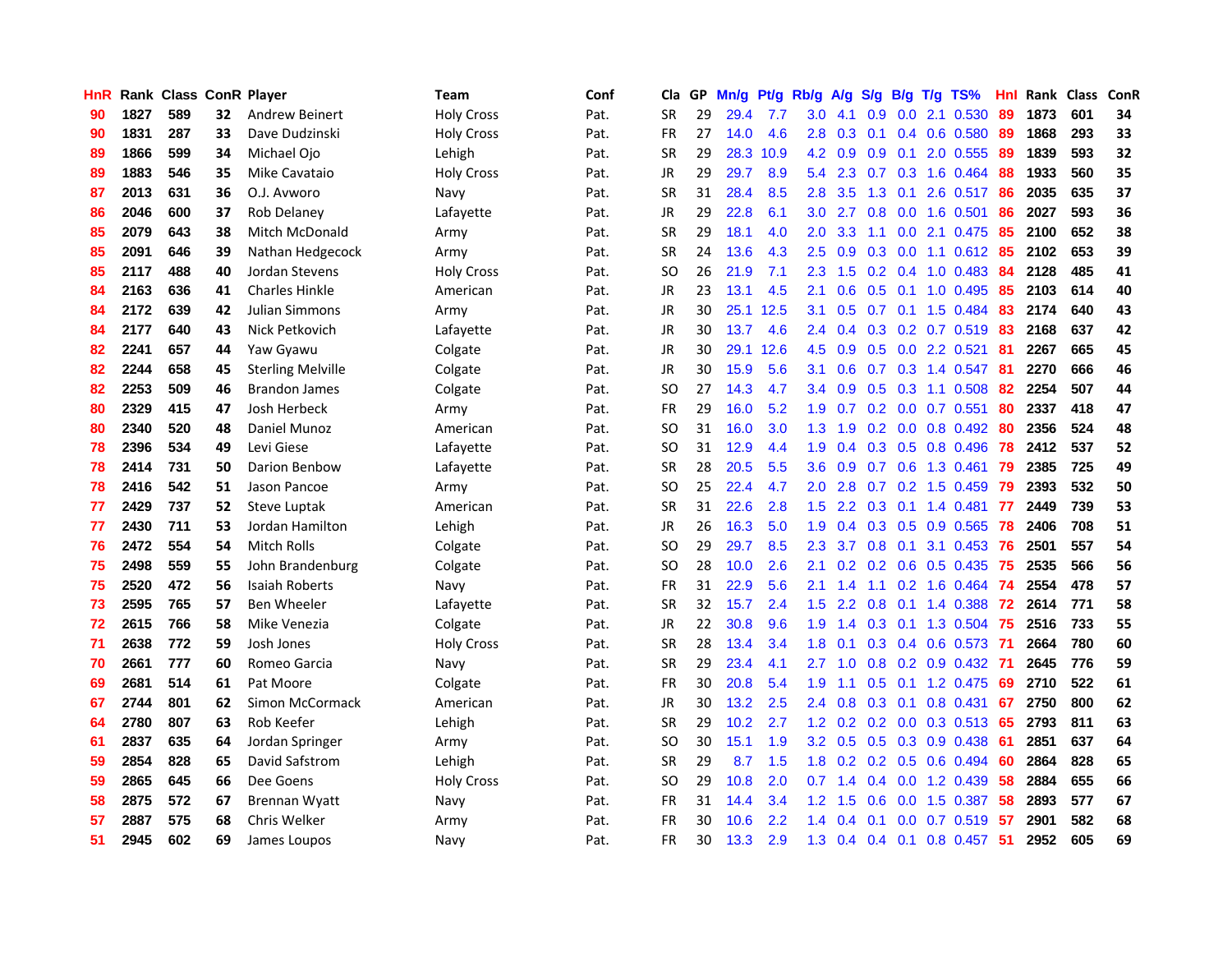| HnR |      | Rank Class ConR Player |    |                          | <b>Team</b>       | Conf | Cla           | GP | Mn/g | Pt/g      | Rb/g             | A/g             | S/g | B/g T/g         | TS%                       | Hnl | Rank Class |     | ConR |
|-----|------|------------------------|----|--------------------------|-------------------|------|---------------|----|------|-----------|------------------|-----------------|-----|-----------------|---------------------------|-----|------------|-----|------|
| 90  | 1827 | 589                    | 32 | Andrew Beinert           | <b>Holy Cross</b> | Pat. | <b>SR</b>     | 29 | 29.4 | 7.7       | 3.0              | 4.1             | 0.9 | 0.0             | 2.1 0.530                 | 89  | 1873       | 601 | 34   |
| 90  | 1831 | 287                    | 33 | Dave Dudzinski           | <b>Holy Cross</b> | Pat. | <b>FR</b>     | 27 | 14.0 | 4.6       | 2.8              | 0.3             | 0.1 | 0.4             | 0.6 0.580                 | -89 | 1868       | 293 | 33   |
| 89  | 1866 | 599                    | 34 | Michael Ojo              | Lehigh            | Pat. | <b>SR</b>     | 29 | 28.3 | 10.9      | 4.2              | 0.9             | 0.9 |                 | $0.1$ 2.0 $0.555$         | -89 | 1839       | 593 | 32   |
| 89  | 1883 | 546                    | 35 | Mike Cavataio            | <b>Holy Cross</b> | Pat. | JR            | 29 | 29.7 | 8.9       | 5.4              | 2.3             |     |                 | 0.7 0.3 1.6 0.464         | 88  | 1933       | 560 | 35   |
| 87  | 2013 | 631                    | 36 | O.J. Avworo              | Navy              | Pat. | <b>SR</b>     | 31 | 28.4 | 8.5       | 2.8              | 3.5             |     | $1.3 \quad 0.1$ | 2.6 0.517                 | -86 | 2035       | 635 | 37   |
| 86  | 2046 | 600                    | 37 | Rob Delaney              | Lafayette         | Pat. | JR            | 29 | 22.8 | 6.1       | 3.0 <sub>1</sub> | 2.7             |     |                 | $0.8$ 0.0 1.6 0.501       | 86  | 2027       | 593 | 36   |
| 85  | 2079 | 643                    | 38 | Mitch McDonald           | Army              | Pat. | <b>SR</b>     | 29 | 18.1 | 4.0       | 2.0              | 3.3             | 1.1 |                 | 0.0 2.1 0.475             | 85  | 2100       | 652 | 38   |
| 85  | 2091 | 646                    | 39 | Nathan Hedgecock         | Army              | Pat. | SR            | 24 | 13.6 | 4.3       | 2.5              | 0.9             | 0.3 | 0.0             | 1.1 0.612                 | 85  | 2102       | 653 | 39   |
| 85  | 2117 | 488                    | 40 | Jordan Stevens           | <b>Holy Cross</b> | Pat. | <sub>SO</sub> | 26 | 21.9 | 7.1       | 2.3              | 1.5             |     |                 | 0.2 0.4 1.0 0.483         | 84  | 2128       | 485 | 41   |
| 84  | 2163 | 636                    | 41 | <b>Charles Hinkle</b>    | American          | Pat. | JR            | 23 | 13.1 | 4.5       | 2.1              | 0.6             | 0.5 |                 | $0.1$ 1.0 0.495           | 85  | 2103       | 614 | 40   |
| 84  | 2172 | 639                    | 42 | Julian Simmons           | Army              | Pat. | <b>JR</b>     | 30 |      | 25.1 12.5 | 3.1              | 0.5             | 0.7 |                 | $0.1$ 1.5 0.484           | 83  | 2174       | 640 | 43   |
| 84  | 2177 | 640                    | 43 | Nick Petkovich           | Lafayette         | Pat. | JR            | 30 | 13.7 | 4.6       | 2.4              | 0.4             | 0.3 |                 | 0.2 0.7 0.519             | 83  | 2168       | 637 | 42   |
| 82  | 2241 | 657                    | 44 | Yaw Gyawu                | Colgate           | Pat. | <b>JR</b>     | 30 |      | 29.1 12.6 | 4.5              | 0.9             | 0.5 | 0.0             | 2.2 0.521                 | 81  | 2267       | 665 | 45   |
| 82  | 2244 | 658                    | 45 | <b>Sterling Melville</b> | Colgate           | Pat. | JR            | 30 | 15.9 | 5.6       | 3.1              | 0.6             | 0.7 | 0.3             | 1.4 0.547                 | -81 | 2270       | 666 | 46   |
| 82  | 2253 | 509                    | 46 | <b>Brandon James</b>     | Colgate           | Pat. | <sub>SO</sub> | 27 | 14.3 | 4.7       | 3.4              | 0.9             | 0.5 | 0.3             | 1.1 0.508                 | 82  | 2254       | 507 | 44   |
| 80  | 2329 | 415                    | 47 | Josh Herbeck             | Army              | Pat. | <b>FR</b>     | 29 | 16.0 | 5.2       | 1.9 <sup>°</sup> | 0.7             |     |                 | $0.2$ 0.0 0.7 0.551       | 80  | 2337       | 418 | 47   |
| 80  | 2340 | 520                    | 48 | Daniel Munoz             | American          | Pat. | SO            | 31 | 16.0 | 3.0       |                  | $1.3 \quad 1.9$ |     |                 | $0.2$ 0.0 0.8 0.492       | -80 | 2356       | 524 | 48   |
| 78  | 2396 | 534                    | 49 | Levi Giese               | Lafayette         | Pat. | <sub>SO</sub> | 31 | 12.9 | 4.4       | 1.9 <sup>°</sup> | 0.4             |     |                 | $0.3$ $0.5$ $0.8$ $0.496$ | -78 | 2412       | 537 | 52   |
| 78  | 2414 | 731                    | 50 | Darion Benbow            | Lafayette         | Pat. | <b>SR</b>     | 28 | 20.5 | 5.5       | 3.6              | 0.9             |     |                 | 0.7 0.6 1.3 0.461 79      |     | 2385       | 725 | 49   |
| 78  | 2416 | 542                    | 51 | Jason Pancoe             | Army              | Pat. | <b>SO</b>     | 25 | 22.4 | 4.7       | $2.0^{\circ}$    | 2.8             |     |                 | $0.7$ $0.2$ 1.5 $0.459$   | -79 | 2393       | 532 | 50   |
| 77  | 2429 | 737                    | 52 | Steve Luptak             | American          | Pat. | <b>SR</b>     | 31 | 22.6 | 2.8       | 1.5              | 2.2             | 0.3 |                 | $0.1$ 1.4 0.481           | -77 | 2449       | 739 | 53   |
| 77  | 2430 | 711                    | 53 | Jordan Hamilton          | Lehigh            | Pat. | JR            | 26 | 16.3 | 5.0       | 1.9              | 0.4             |     |                 | $0.3$ $0.5$ $0.9$ $0.565$ | -78 | 2406       | 708 | 51   |
| 76  | 2472 | 554                    | 54 | Mitch Rolls              | Colgate           | Pat. | <b>SO</b>     | 29 | 29.7 | 8.5       | 2.3              | 3.7             |     | $0.8\ 0.1$      | 3.1 0.453                 | 76  | 2501       | 557 | 54   |
| 75  | 2498 | 559                    | 55 | John Brandenburg         | Colgate           | Pat. | <b>SO</b>     | 28 | 10.0 | 2.6       | 2.1              | 0.2             |     |                 | 0.2 0.6 0.5 0.435         | -75 | 2535       | 566 | 56   |
| 75  | 2520 | 472                    | 56 | <b>Isaiah Roberts</b>    | Navy              | Pat. | <b>FR</b>     | 31 | 22.9 | 5.6       | 2.1              | 1.4             | 1.1 |                 | 0.2 1.6 0.464             | -74 | 2554       | 478 | 57   |
| 73  | 2595 | 765                    | 57 | Ben Wheeler              | Lafayette         | Pat. | <b>SR</b>     | 32 | 15.7 | 2.4       | 1.5              | 2.2             | 0.8 |                 | $0.1$ 1.4 0.388           | 72  | 2614       | 771 | 58   |
| 72  | 2615 | 766                    | 58 | Mike Venezia             | Colgate           | Pat. | JR            | 22 | 30.8 | 9.6       | 1.9              | 1.4             | 0.3 |                 | $0.1$ 1.3 0.504           | -75 | 2516       | 733 | 55   |
| 71  | 2638 | 772                    | 59 | Josh Jones               | <b>Holy Cross</b> | Pat. | SR            | 28 | 13.4 | 3.4       | 1.8              | 0.1             |     |                 | 0.3 0.4 0.6 0.573         | -71 | 2664       | 780 | 60   |
| 70  | 2661 | 777                    | 60 | Romeo Garcia             | Navy              | Pat. | <b>SR</b>     | 29 | 23.4 | 4.1       | 2.7              | 1.0             |     |                 | 0.8 0.2 0.9 0.432 71      |     | 2645       | 776 | 59   |
| 69  | 2681 | 514                    | 61 | Pat Moore                | Colgate           | Pat. | <b>FR</b>     | 30 | 20.8 | 5.4       | 1.9              | 1.1             |     |                 | $0.5$ 0.1 1.2 0.475       | -69 | 2710       | 522 | 61   |
| 67  | 2744 | 801                    | 62 | Simon McCormack          | American          | Pat. | JR            | 30 | 13.2 | 2.5       | $2.4^{\circ}$    | 0.8             |     |                 | $0.3$ $0.1$ $0.8$ $0.431$ | 67  | 2750       | 800 | 62   |
| 64  | 2780 | 807                    | 63 | Rob Keefer               | Lehigh            | Pat. | <b>SR</b>     | 29 | 10.2 | 2.7       | 1.2 <sub>1</sub> | 0.2             |     |                 | $0.2$ 0.0 0.3 0.513       | -65 | 2793       | 811 | 63   |
| 61  | 2837 | 635                    | 64 | Jordan Springer          | Army              | Pat. | <sub>SO</sub> | 30 | 15.1 | 1.9       | 3.2 <sub>2</sub> | 0.5             |     |                 | 0.5 0.3 0.9 0.438         | -61 | 2851       | 637 | 64   |
| 59  | 2854 | 828                    | 65 | David Safstrom           | Lehigh            | Pat. | <b>SR</b>     | 29 | 8.7  | 1.5       | 1.8              | 0.2             |     |                 | 0.2 0.5 0.6 0.494         | 60  | 2864       | 828 | 65   |
| 59  | 2865 | 645                    | 66 | Dee Goens                | Holy Cross        | Pat. | <sub>SO</sub> | 29 | 10.8 | 2.0       | 0.7              | 1.4             |     | $0.4\quad 0.0$  | 1.2 0.439                 | 58  | 2884       | 655 | 66   |
| 58  | 2875 | 572                    | 67 | <b>Brennan Wyatt</b>     | Navy              | Pat. | <b>FR</b>     | 31 | 14.4 | 3.4       | 1.2              | 1.5             | 0.6 | 0.0             | 1.5 0.387                 | 58  | 2893       | 577 | 67   |
| 57  | 2887 | 575                    | 68 | Chris Welker             | Army              | Pat. | FR            | 30 | 10.6 | 2.2       | 1.4              | 0.4             | 0.1 | 0.0             | $0.7$ $0.519$             | 57  | 2901       | 582 | 68   |
| 51  | 2945 | 602                    | 69 | James Loupos             | Navy              | Pat. | <b>FR</b>     | 30 | 13.3 | 2.9       |                  | $1.3 \quad 0.4$ |     |                 | $0.4$ 0.1 0.8 0.457       | 51  | 2952       | 605 | 69   |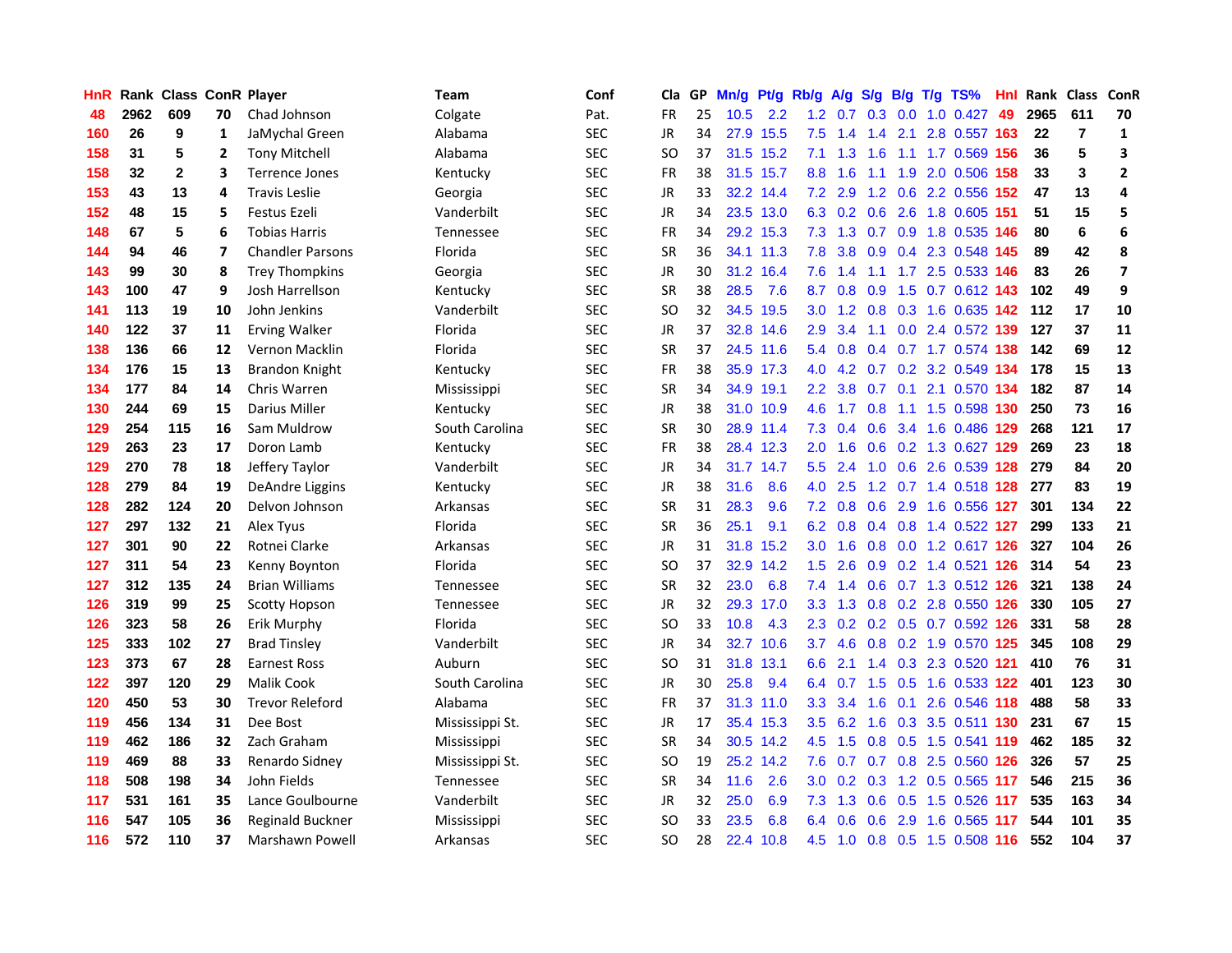| HnR |      | Rank Class ConR Player |                |                         | Team             | Conf       | Cla           |    | GP Mn/g Pt/g Rb/g |           |                  | A/g             |             |                 | S/g B/g T/g TS%               | Hnl | Rank Class ConR |                |                         |
|-----|------|------------------------|----------------|-------------------------|------------------|------------|---------------|----|-------------------|-----------|------------------|-----------------|-------------|-----------------|-------------------------------|-----|-----------------|----------------|-------------------------|
| 48  | 2962 | 609                    | 70             | Chad Johnson            | Colgate          | Pat.       | FR            | 25 | 10.5              | 2.2       | 1.2              | 0.7             | 0.3         | 0.0             | 1.0 0.427                     | 49  | 2965            | 611            | 70                      |
| 160 | 26   | 9                      | $\mathbf{1}$   | JaMychal Green          | Alabama          | <b>SEC</b> | <b>JR</b>     | 34 |                   | 27.9 15.5 | 7.5              | 1.4             | 1.4         | 2.1             | 2.8 0.557 163                 |     | 22              | $\overline{7}$ | 1                       |
| 158 | 31   | 5                      | 2              | <b>Tony Mitchell</b>    | Alabama          | <b>SEC</b> | SO            | 37 |                   | 31.5 15.2 | 7.1              | 1.3             | 1.6         | 1.1             | 1.7 0.569 156                 |     | 36              | 5              | 3                       |
| 158 | 32   | $\overline{2}$         | 3              | <b>Terrence Jones</b>   | Kentucky         | <b>SEC</b> | <b>FR</b>     | 38 |                   | 31.5 15.7 | 8.8 <sub>1</sub> | 1.6             | 1.1         |                 | 1.9 2.0 0.506 158             |     | 33              | 3              | $\mathbf{2}$            |
| 153 | 43   | 13                     | 4              | <b>Travis Leslie</b>    | Georgia          | <b>SEC</b> | JR            | 33 |                   | 32.2 14.4 |                  | $7.2$ 2.9       |             |                 | 1.2 0.6 2.2 0.556 152         |     | 47              | 13             | 4                       |
| 152 | 48   | 15                     | 5              | Festus Ezeli            | Vanderbilt       | <b>SEC</b> | <b>JR</b>     | 34 |                   | 23.5 13.0 |                  |                 | 6.3 0.2 0.6 |                 | 2.6 1.8 0.605 151             |     | 51              | 15             | 5                       |
| 148 | 67   | 5                      | 6              | <b>Tobias Harris</b>    | Tennessee        | <b>SEC</b> | <b>FR</b>     | 34 |                   | 29.2 15.3 |                  | $7.3$ 1.3       |             |                 | 0.7 0.9 1.8 0.535 146         |     | 80              | 6              | 6                       |
| 144 | 94   | 46                     | $\overline{ }$ | <b>Chandler Parsons</b> | Florida          | <b>SEC</b> | <b>SR</b>     | 36 |                   | 34.1 11.3 | 7.8              | 3.8             |             |                 | 0.9 0.4 2.3 0.548 145         |     | 89              | 42             | 8                       |
| 143 | 99   | 30                     | 8              | <b>Trey Thompkins</b>   | Georgia          | <b>SEC</b> | <b>JR</b>     | 30 |                   | 31.2 16.4 | 7.6              | 1.4             | 1.1         |                 | 1.7 2.5 0.533 146             |     | 83              | 26             | $\overline{\mathbf{z}}$ |
| 143 | 100  | 47                     | 9              | Josh Harrellson         | Kentucky         | <b>SEC</b> | <b>SR</b>     | 38 | 28.5              | 7.6       | 8.7              | 0.8             | 0.9         |                 | 1.5 0.7 0.612 143             |     | 102             | 49             | 9                       |
| 141 | 113  | 19                     | 10             | John Jenkins            | Vanderbilt       | <b>SEC</b> | <b>SO</b>     | 32 |                   | 34.5 19.5 | 3.0              | 1.2             |             |                 | 0.8 0.3 1.6 0.635 142         |     | 112             | 17             | 10                      |
| 140 | 122  | 37                     | 11             | <b>Erving Walker</b>    | Florida          | <b>SEC</b> | <b>JR</b>     | 37 |                   | 32.8 14.6 | 2.9              | 3.4             | 1.1         |                 | 0.0 2.4 0.572 139             |     | 127             | 37             | 11                      |
| 138 | 136  | 66                     | 12             | Vernon Macklin          | Florida          | <b>SEC</b> | <b>SR</b>     | 37 |                   | 24.5 11.6 | 5.4              | 0.8             | 0.4         |                 | 0.7 1.7 0.574 138             |     | 142             | 69             | 12                      |
| 134 | 176  | 15                     | 13             | Brandon Knight          | Kentucky         | <b>SEC</b> | FR            | 38 |                   | 35.9 17.3 | 4.0              | 4.2             | 0.7         | 0.2             | 3.2 0.549 134                 |     | 178             | 15             | 13                      |
| 134 | 177  | 84                     | 14             | Chris Warren            | Mississippi      | <b>SEC</b> | SR            | 34 |                   | 34.9 19.1 | $2.2^{\circ}$    | 3.8             | 0.7         | 0.1             | 2.1 0.570 134                 |     | 182             | 87             | 14                      |
| 130 | 244  | 69                     | 15             | Darius Miller           | Kentucky         | <b>SEC</b> | JR            | 38 |                   | 31.0 10.9 | 4.6              | 1.7             | 0.8         | 1.1             | 1.5 0.598 130                 |     | 250             | 73             | 16                      |
| 129 | 254  | 115                    | 16             | Sam Muldrow             | South Carolina   | <b>SEC</b> | <b>SR</b>     | 30 |                   | 28.9 11.4 |                  |                 | 7.3 0.4 0.6 |                 | 3.4 1.6 0.486 129             |     | 268             | 121            | 17                      |
| 129 | 263  | 23                     | 17             | Doron Lamb              | Kentucky         | <b>SEC</b> | <b>FR</b>     | 38 |                   | 28.4 12.3 | 2.0 <sub>1</sub> | 1.6             |             |                 | 0.6 0.2 1.3 0.627 129         |     | 269             | 23             | 18                      |
| 129 | 270  | 78                     | 18             | Jeffery Taylor          | Vanderbilt       | <b>SEC</b> | JR            | 34 |                   | 31.7 14.7 | $5.5^{\circ}$    | 2.4             |             |                 | 1.0 0.6 2.6 0.539 128         |     | 279             | 84             | 20                      |
| 128 | 279  | 84                     | 19             | DeAndre Liggins         | Kentucky         | <b>SEC</b> | JR            | 38 | 31.6              | 8.6       | 4.0              | 2.5             |             |                 | 1.2 0.7 1.4 0.518 128         |     | 277             | 83             | 19                      |
| 128 | 282  | 124                    | 20             | Delvon Johnson          | Arkansas         | <b>SEC</b> | <b>SR</b>     | 31 | 28.3              | 9.6       |                  | $7.2 \quad 0.8$ | 0.6         |                 | 2.9 1.6 0.556 127             |     | 301             | 134            | 22                      |
| 127 | 297  | 132                    | 21             | Alex Tyus               | Florida          | <b>SEC</b> | <b>SR</b>     | 36 | 25.1              | 9.1       | 6.2              | 0.8             |             |                 | 0.4 0.8 1.4 0.522 127         |     | 299             | 133            | 21                      |
| 127 | 301  | 90                     | 22             | Rotnei Clarke           | Arkansas         | <b>SEC</b> | JR            | 31 |                   | 31.8 15.2 | 3.0 <sub>1</sub> | 1.6             | 0.8         |                 | 0.0 1.2 0.617 126             |     | 327             | 104            | 26                      |
| 127 | 311  | 54                     | 23             | Kenny Boynton           | Florida          | <b>SEC</b> | SO            | 37 |                   | 32.9 14.2 | $1.5^{\circ}$    | 2.6             |             |                 | 0.9 0.2 1.4 0.521 126         |     | 314             | 54             | 23                      |
| 127 | 312  | 135                    | 24             | <b>Brian Williams</b>   | <b>Tennessee</b> | <b>SEC</b> | <b>SR</b>     | 32 | 23.0              | 6.8       | 7.4              | 1.4             | 0.6         |                 | 0.7 1.3 0.512 126             |     | 321             | 138            | 24                      |
| 126 | 319  | 99                     | 25             | <b>Scotty Hopson</b>    | Tennessee        | <b>SEC</b> | <b>JR</b>     | 32 |                   | 29.3 17.0 | 3.3 <sub>2</sub> | 1.3             | 0.8         |                 | 0.2 2.8 0.550 126             |     | 330             | 105            | 27                      |
| 126 | 323  | 58                     | 26             | Erik Murphy             | Florida          | <b>SEC</b> | SO            | 33 | 10.8              | 4.3       | 2.3              | 0.2             |             |                 | 0.2 0.5 0.7 0.592 126         |     | 331             | 58             | 28                      |
| 125 | 333  | 102                    | 27             | <b>Brad Tinsley</b>     | Vanderbilt       | <b>SEC</b> | <b>JR</b>     | 34 |                   | 32.7 10.6 | 3.7              | 4.6             | 0.8         |                 | 0.2 1.9 0.570 125             |     | 345             | 108            | 29                      |
| 123 | 373  | 67                     | 28             | <b>Earnest Ross</b>     | Auburn           | <b>SEC</b> | <sub>SO</sub> | 31 |                   | 31.8 13.1 | 6.6              | 2.1             | 1.4         |                 | 0.3 2.3 0.520 121             |     | 410             | 76             | 31                      |
| 122 | 397  | 120                    | 29             | <b>Malik Cook</b>       | South Carolina   | <b>SEC</b> | JR            | 30 | 25.8              | 9.4       |                  |                 |             |                 | 6.4 0.7 1.5 0.5 1.6 0.533 122 |     | 401             | 123            | 30                      |
| 120 | 450  | 53                     | 30             | <b>Trevor Releford</b>  | Alabama          | <b>SEC</b> | <b>FR</b>     | 37 |                   | 31.3 11.0 | 3.3 <sub>2</sub> | 3.4             |             | $1.6 \quad 0.1$ | 2.6 0.546 118                 |     | 488             | 58             | 33                      |
| 119 | 456  | 134                    | 31             | Dee Bost                | Mississippi St.  | <b>SEC</b> | JR            | 17 |                   | 35.4 15.3 |                  | $3.5 \quad 6.2$ |             |                 | 1.6 0.3 3.5 0.511 130         |     | 231             | 67             | 15                      |
| 119 | 462  | 186                    | 32             | Zach Graham             | Mississippi      | <b>SEC</b> | <b>SR</b>     | 34 |                   | 30.5 14.2 | 4.5              | 1.5             |             |                 | 0.8 0.5 1.5 0.541 119         |     | 462             | 185            | 32                      |
| 119 | 469  | 88                     | 33             | Renardo Sidney          | Mississippi St.  | <b>SEC</b> | SO            | 19 |                   | 25.2 14.2 | 7.6              | 0.7             |             |                 | 0.7 0.8 2.5 0.560 126         |     | 326             | 57             | 25                      |
| 118 | 508  | 198                    | 34             | John Fields             | <b>Tennessee</b> | <b>SEC</b> | <b>SR</b>     | 34 | 11.6              | 2.6       | 3.0 <sub>2</sub> | 0.2             | 0.3         |                 | 1.2 0.5 0.565 117             |     | 546             | 215            | 36                      |
| 117 | 531  | 161                    | 35             | Lance Goulbourne        | Vanderbilt       | <b>SEC</b> | JR            | 32 | 25.0              | 6.9       | 7.3              | 1.3             | 0.6         | 0.5             | 1.5 0.526                     | 117 | 535             | 163            | 34                      |
| 116 | 547  | 105                    | 36             | Reginald Buckner        | Mississippi      | <b>SEC</b> | SO            | 33 | 23.5              | 6.8       | 6.4              | 0.6             | 0.6         | 2.9             | 1.6 0.565                     | 117 | 544             | 101            | 35                      |
| 116 | 572  | 110                    | 37             | Marshawn Powell         | Arkansas         | <b>SEC</b> | <b>SO</b>     | 28 |                   | 22.4 10.8 | 4.5              |                 |             |                 | 1.0 0.8 0.5 1.5 0.508 116     |     | 552             | 104            | 37                      |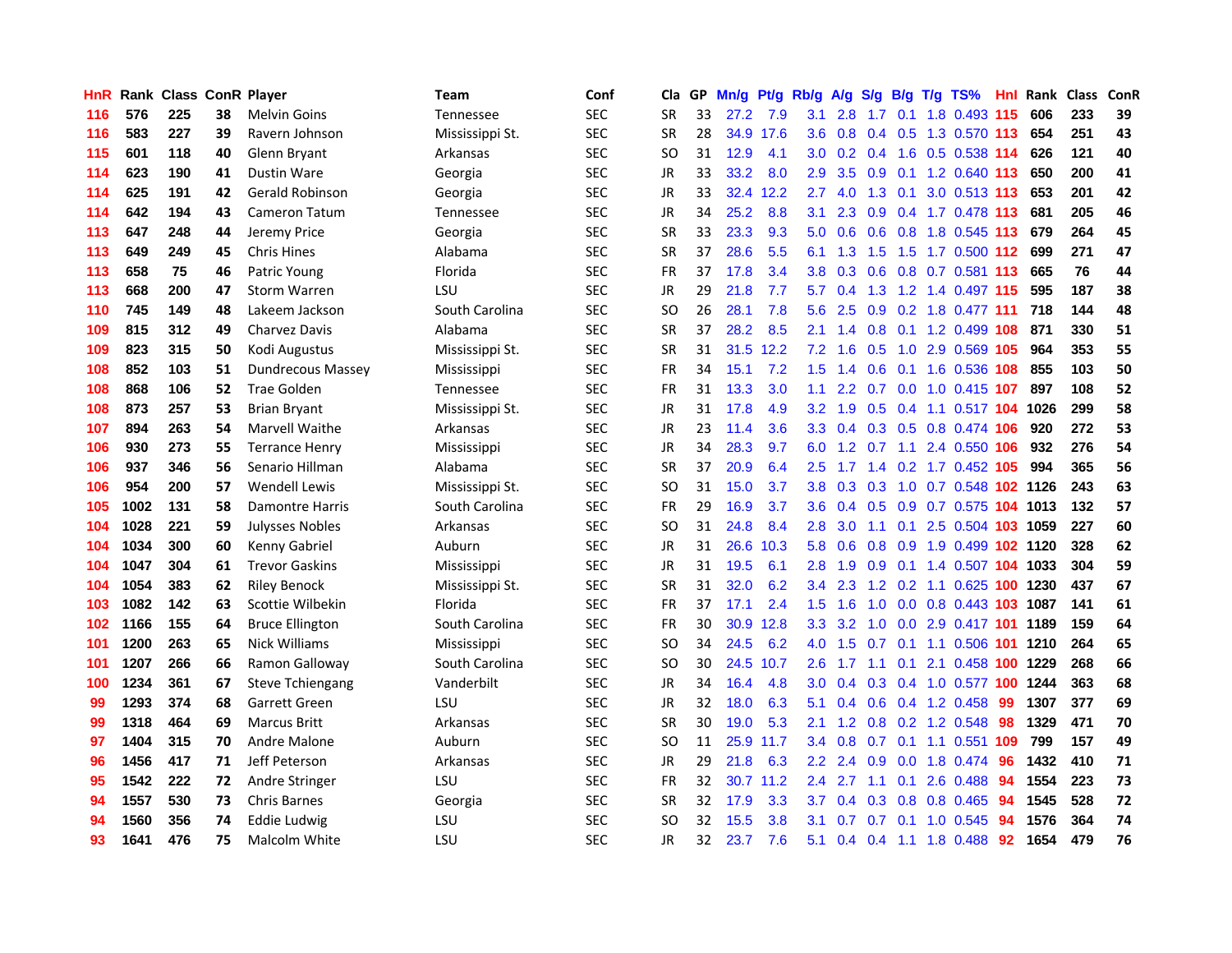| <b>HnR</b> |      | <b>Rank Class ConR Player</b> |    |                          | Team             | Conf       | Cla           | GP | Mn/g | Pt/g      | Rb/g             | A/g             | S/g             | B/g             | $T/g$ TS%                      | Hnl. | Rank Class |     | ConR |
|------------|------|-------------------------------|----|--------------------------|------------------|------------|---------------|----|------|-----------|------------------|-----------------|-----------------|-----------------|--------------------------------|------|------------|-----|------|
| 116        | 576  | 225                           | 38 | <b>Melvin Goins</b>      | Tennessee        | <b>SEC</b> | <b>SR</b>     | 33 | 27.2 | 7.9       | 3.1              | 2.8             | 1.7             | 0.1             | 1.8 0.493 115                  |      | 606        | 233 | 39   |
| 116        | 583  | 227                           | 39 | Ravern Johnson           | Mississippi St.  | <b>SEC</b> | <b>SR</b>     | 28 |      | 34.9 17.6 | 3.6              | 0.8             | 0.4             | 0.5             | 1.3 0.570 113                  |      | 654        | 251 | 43   |
| 115        | 601  | 118                           | 40 | Glenn Bryant             | Arkansas         | <b>SEC</b> | <sub>SO</sub> | 31 | 12.9 | 4.1       | 3.0 <sub>1</sub> |                 | $0.2 \quad 0.4$ | 1.6             | 0.5 0.538 114                  |      | 626        | 121 | 40   |
| 114        | 623  | 190                           | 41 | <b>Dustin Ware</b>       | Georgia          | <b>SEC</b> | <b>JR</b>     | 33 | 33.2 | 8.0       | 2.9              | 3.5             |                 |                 | 0.9 0.1 1.2 0.640 113          |      | 650        | 200 | 41   |
| 114        | 625  | 191                           | 42 | <b>Gerald Robinson</b>   | Georgia          | <b>SEC</b> | <b>JR</b>     | 33 |      | 32.4 12.2 | 2.7              | 4.0             |                 | $1.3 \quad 0.1$ | 3.0 0.513 113                  |      | 653        | 201 | 42   |
| 114        | 642  | 194                           | 43 | Cameron Tatum            | <b>Tennessee</b> | <b>SEC</b> | <b>JR</b>     | 34 | 25.2 | 8.8       | 3.1              | 2.3             |                 |                 | 0.9 0.4 1.7 0.478 113          |      | 681        | 205 | 46   |
| 113        | 647  | 248                           | 44 | Jeremy Price             | Georgia          | <b>SEC</b> | <b>SR</b>     | 33 | 23.3 | 9.3       | 5.0              | 0.6             |                 |                 | 0.6 0.8 1.8 0.545 113          |      | 679        | 264 | 45   |
| 113        | 649  | 249                           | 45 | <b>Chris Hines</b>       | Alabama          | <b>SEC</b> | <b>SR</b>     | 37 | 28.6 | 5.5       | 6.1              | 1.3             | 1.5             |                 | 1.5 1.7 0.500 112              |      | 699        | 271 | 47   |
| 113        | 658  | 75                            | 46 | Patric Young             | Florida          | <b>SEC</b> | <b>FR</b>     | 37 | 17.8 | 3.4       | 3.8              | 0.3             | 0.6             |                 | 0.8 0.7 0.581 113              |      | 665        | 76  | 44   |
| 113        | 668  | 200                           | 47 | <b>Storm Warren</b>      | LSU              | <b>SEC</b> | <b>JR</b>     | 29 | 21.8 | 7.7       | 5.7              | 0.4             | 1.3             |                 | 1.2 1.4 0.497 115              |      | 595        | 187 | 38   |
| 110        | 745  | 149                           | 48 | Lakeem Jackson           | South Carolina   | <b>SEC</b> | <b>SO</b>     | 26 | 28.1 | 7.8       | 5.6              | 2.5             | 0.9             |                 | 0.2 1.8 0.477 111              |      | 718        | 144 | 48   |
| 109        | 815  | 312                           | 49 | <b>Charvez Davis</b>     | Alabama          | <b>SEC</b> | <b>SR</b>     | 37 | 28.2 | 8.5       | 2.1              | 1.4             | 0.8             | 0.1             | 1.2 0.499                      | 108  | 871        | 330 | 51   |
| 109        | 823  | 315                           | 50 | Kodi Augustus            | Mississippi St.  | <b>SEC</b> | <b>SR</b>     | 31 | 31.5 | 12.2      | 7.2              | 1.6             | 0.5             | 1.0             | 2.9 0.569 105                  |      | 964        | 353 | 55   |
| 108        | 852  | 103                           | 51 | <b>Dundrecous Massey</b> | Mississippi      | <b>SEC</b> | FR            | 34 | 15.1 | 7.2       | 1.5              | 1.4             | 0.6             | 0.1             | 1.6 0.536 108                  |      | 855        | 103 | 50   |
| 108        | 868  | 106                           | 52 | <b>Trae Golden</b>       | <b>Tennessee</b> | <b>SEC</b> | <b>FR</b>     | 31 | 13.3 | 3.0       | 1.1              | 2.2             | 0.7             | 0.0             | 1.0 0.415 107                  |      | 897        | 108 | 52   |
| 108        | 873  | 257                           | 53 | <b>Brian Bryant</b>      | Mississippi St.  | <b>SEC</b> | <b>JR</b>     | 31 | 17.8 | 4.9       | 3.2              | 1.9             | 0.5             |                 | 0.4 1.1 0.517 104 1026         |      |            | 299 | 58   |
| 107        | 894  | 263                           | 54 | Marvell Waithe           | Arkansas         | <b>SEC</b> | JR            | 23 | 11.4 | 3.6       |                  |                 |                 |                 | 3.3 0.4 0.3 0.5 0.8 0.474 106  |      | 920        | 272 | 53   |
| 106        | 930  | 273                           | 55 | <b>Terrance Henry</b>    | Mississippi      | <b>SEC</b> | JR            | 34 | 28.3 | 9.7       |                  |                 |                 |                 | 6.0 1.2 0.7 1.1 2.4 0.550 106  |      | 932        | 276 | 54   |
| 106        | 937  | 346                           | 56 | Senario Hillman          | Alabama          | <b>SEC</b> | <b>SR</b>     | 37 | 20.9 | 6.4       | 2.5              | 1.7             |                 |                 | 1.4 0.2 1.7 0.452 105          |      | 994        | 365 | 56   |
| 106        | 954  | 200                           | 57 | <b>Wendell Lewis</b>     | Mississippi St.  | <b>SEC</b> | SO            | 31 | 15.0 | 3.7       | 3.8 <sup>°</sup> |                 |                 |                 | 0.3 0.3 1.0 0.7 0.548 102 1126 |      |            | 243 | 63   |
| 105        | 1002 | 131                           | 58 | <b>Damontre Harris</b>   | South Carolina   | <b>SEC</b> | FR            | 29 | 16.9 | 3.7       | 3.6 <sup>°</sup> | 0.4             |                 |                 | 0.5 0.9 0.7 0.575 104 1013     |      |            | 132 | 57   |
| 104        | 1028 | 221                           | 59 | Julysses Nobles          | Arkansas         | <b>SEC</b> | <sub>SO</sub> | 31 | 24.8 | 8.4       | 2.8              | 3.0             | 1.1             |                 | 0.1 2.5 0.504 103 1059         |      |            | 227 | 60   |
| 104        | 1034 | 300                           | 60 | Kenny Gabriel            | Auburn           | <b>SEC</b> | JR            | 31 | 26.6 | 10.3      | 5.8              | 0.6             | 0.8             | 0.9             | 1.9 0.499 102 1120             |      |            | 328 | 62   |
| 104        | 1047 | 304                           | 61 | <b>Trevor Gaskins</b>    | Mississippi      | <b>SEC</b> | JR            | 31 | 19.5 | 6.1       | 2.8              | 1.9             | 0.9             |                 | 0.1 1.4 0.507 104 1033         |      |            | 304 | 59   |
| 104        | 1054 | 383                           | 62 | <b>Riley Benock</b>      | Mississippi St.  | <b>SEC</b> | SR            | 31 | 32.0 | 6.2       | $3.4^{\circ}$    | 2.3             | 1.2             |                 | 0.2 1.1 0.625 100              |      | 1230       | 437 | 67   |
| 103        | 1082 | 142                           | 63 | Scottie Wilbekin         | Florida          | <b>SEC</b> | <b>FR</b>     | 37 | 17.1 | 2.4       | 1.5 <sub>1</sub> | 1.6             | 1.0             |                 | $0.0$ $0.8$ $0.443$ 103        |      | 1087       | 141 | 61   |
| 102        | 1166 | 155                           | 64 | <b>Bruce Ellington</b>   | South Carolina   | <b>SEC</b> | <b>FR</b>     | 30 | 30.9 | 12.8      | 3.3 <sub>2</sub> | 3.2             | 1.0             | 0.0             | 2.9 0.417 101                  |      | 1189       | 159 | 64   |
| 101        | 1200 | 263                           | 65 | <b>Nick Williams</b>     | Mississippi      | <b>SEC</b> | SO            | 34 | 24.5 | 6.2       | 4.0              | 1.5             | 0.7             |                 | 0.1 1.1 0.506 101              |      | 1210       | 264 | 65   |
| 101        | 1207 | 266                           | 66 | Ramon Galloway           | South Carolina   | <b>SEC</b> | <b>SO</b>     | 30 | 24.5 | 10.7      | 2.6              | 1.7             | 1.1             | 0.1             | 2.1 0.458 100                  |      | 1229       | 268 | 66   |
| 100        | 1234 | 361                           | 67 | <b>Steve Tchiengang</b>  | Vanderbilt       | <b>SEC</b> | JR            | 34 | 16.4 | 4.8       | 3.0 <sub>1</sub> | 0.4             |                 |                 | 0.3 0.4 1.0 0.577 100          |      | 1244       | 363 | 68   |
| 99         | 1293 | 374                           | 68 | Garrett Green            | LSU              | <b>SEC</b> | <b>JR</b>     | 32 | 18.0 | 6.3       | 5.1              | 0.4             | 0.6             |                 | 0.4 1.2 0.458                  | -99  | 1307       | 377 | 69   |
| 99         | 1318 | 464                           | 69 | <b>Marcus Britt</b>      | Arkansas         | <b>SEC</b> | <b>SR</b>     | 30 | 19.0 | 5.3       | 2.1              |                 |                 |                 | 1.2 0.8 0.2 1.2 0.548          | -98  | 1329       | 471 | 70   |
| 97         | 1404 | 315                           | 70 | Andre Malone             | Auburn           | <b>SEC</b> | <b>SO</b>     | 11 |      | 25.9 11.7 |                  | $3.4 \quad 0.8$ |                 |                 | 0.7 0.1 1.1 0.551 109          |      | 799        | 157 | 49   |
| 96         | 1456 | 417                           | 71 | Jeff Peterson            | Arkansas         | SEC        | JR            | 29 | 21.8 | 6.3       | $2.2^{\circ}$    | 2.4             | 0.9             | 0.0             | 1.8 0.474                      | 96   | 1432       | 410 | 71   |
| 95         | 1542 | 222                           | 72 | Andre Stringer           | LSU              | <b>SEC</b> | FR            | 32 |      | 30.7 11.2 | 2.4              | 2.7             | 1.1             | 0.1             | 2.6 0.488                      | 94   | 1554       | 223 | 73   |
| 94         | 1557 | 530                           | 73 | <b>Chris Barnes</b>      | Georgia          | <b>SEC</b> | <b>SR</b>     | 32 | 17.9 | 3.3       | 3.7              | 0.4             | 0.3             | 0.8             | 0.8 0.465                      | 94   | 1545       | 528 | 72   |
| 94         | 1560 | 356                           | 74 | Eddie Ludwig             | LSU              | <b>SEC</b> | <sub>SO</sub> | 32 | 15.5 | 3.8       | 3.1              | 0.7             | 0.7             | 0.1             | 1.0 0.545                      | 94   | 1576       | 364 | 74   |
| 93         | 1641 | 476                           | 75 | Malcolm White            | LSU              | <b>SEC</b> | JR            | 32 | 23.7 | 7.6       | 5.1              |                 | $0.4 \quad 0.4$ | $-1.1$          | 1.8 0.488                      | 92   | 1654       | 479 | 76   |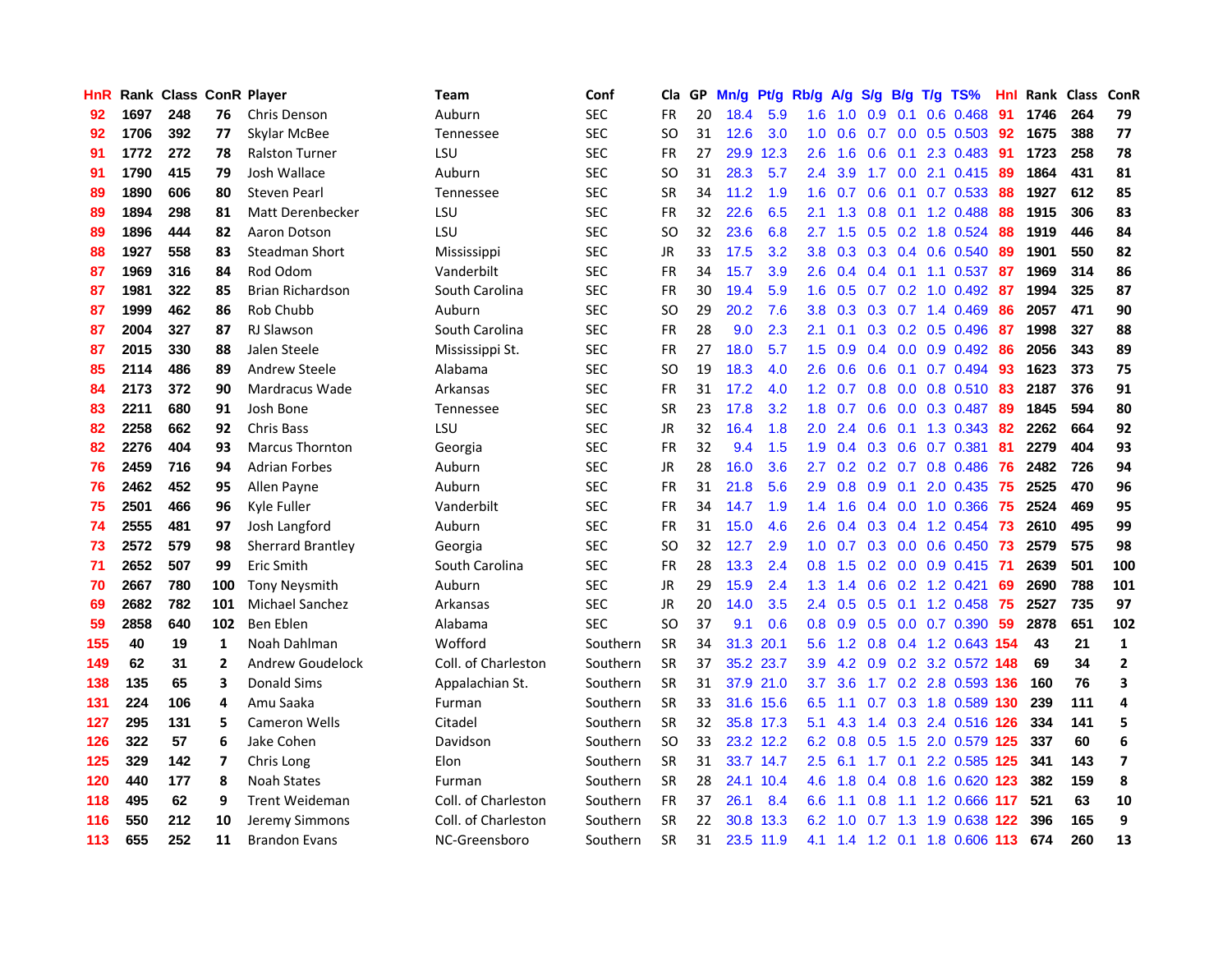| <b>HnR</b> |      | Rank Class ConR Player |                |                         | <b>Team</b>         | Conf       | Cla       |    | GP Mn/g Pt/g Rb/g |           |                  | A/g |     |                 | S/g B/g T/g TS%               | Hnl  | Rank Class |     | ConR           |
|------------|------|------------------------|----------------|-------------------------|---------------------|------------|-----------|----|-------------------|-----------|------------------|-----|-----|-----------------|-------------------------------|------|------------|-----|----------------|
| 92         | 1697 | 248                    | 76             | <b>Chris Denson</b>     | Auburn              | <b>SEC</b> | <b>FR</b> | 20 | 18.4              | 5.9       | 1.6              | 1.0 | 0.9 | 0.1             | $0.6$ 0.468                   | 91   | 1746       | 264 | 79             |
| 92         | 1706 | 392                    | 77             | Skylar McBee            | Tennessee           | <b>SEC</b> | <b>SO</b> | 31 | 12.6              | 3.0       | 1.0              | 0.6 | 0.7 | 0.0             | $0.5$ 0.503                   | 92   | 1675       | 388 | 77             |
| 91         | 1772 | 272                    | 78             | <b>Ralston Turner</b>   | LSU                 | <b>SEC</b> | <b>FR</b> | 27 | 29.9              | 12.3      | 2.6              | 1.6 | 0.6 | 0.1             | 2.3 0.483                     | -91  | 1723       | 258 | 78             |
| 91         | 1790 | 415                    | 79             | Josh Wallace            | Auburn              | <b>SEC</b> | <b>SO</b> | 31 | 28.3              | 5.7       | 2.4              | 3.9 |     |                 | 1.7 0.0 2.1 0.415             | -89  | 1864       | 431 | 81             |
| 89         | 1890 | 606                    | 80             | <b>Steven Pearl</b>     | Tennessee           | <b>SEC</b> | <b>SR</b> | 34 | 11.2              | 1.9       | 1.6              | 0.7 |     |                 | $0.6$ $0.1$ $0.7$ $0.533$     | -88  | 1927       | 612 | 85             |
| 89         | 1894 | 298                    | 81             | Matt Derenbecker        | LSU                 | <b>SEC</b> | <b>FR</b> | 32 | 22.6              | 6.5       | 2.1              | 1.3 |     |                 | $0.8$ 0.1 1.2 0.488           | 88   | 1915       | 306 | 83             |
| 89         | 1896 | 444                    | 82             | Aaron Dotson            | LSU                 | <b>SEC</b> | <b>SO</b> | 32 | 23.6              | 6.8       | $2.7^{\circ}$    | 1.5 |     |                 | $0.5$ 0.2 1.8 0.524           | 88   | 1919       | 446 | 84             |
| 88         | 1927 | 558                    | 83             | Steadman Short          | Mississippi         | <b>SEC</b> | JR        | 33 | 17.5              | 3.2       | 3.8              | 0.3 |     |                 | $0.3$ 0.4 0.6 0.540           | 89   | 1901       | 550 | 82             |
| 87         | 1969 | 316                    | 84             | Rod Odom                | Vanderbilt          | <b>SEC</b> | <b>FR</b> | 34 | 15.7              | 3.9       | 2.6              | 0.4 |     | $0.4 \quad 0.1$ | 1.1 0.537                     | -87  | 1969       | 314 | 86             |
| 87         | 1981 | 322                    | 85             | <b>Brian Richardson</b> | South Carolina      | <b>SEC</b> | <b>FR</b> | 30 | 19.4              | 5.9       | 1.6              | 0.5 |     |                 | 0.7 0.2 1.0 0.492             | -87  | 1994       | 325 | 87             |
| 87         | 1999 | 462                    | 86             | Rob Chubb               | Auburn              | <b>SEC</b> | <b>SO</b> | 29 | 20.2              | 7.6       | 3.8              | 0.3 |     |                 | 0.3 0.7 1.4 0.469             | 86   | 2057       | 471 | 90             |
| 87         | 2004 | 327                    | 87             | <b>RJ Slawson</b>       | South Carolina      | <b>SEC</b> | <b>FR</b> | 28 | 9.0               | 2.3       | 2.1              | 0.1 | 0.3 |                 | $0.2$ 0.5 0.496               | -87  | 1998       | 327 | 88             |
| 87         | 2015 | 330                    | 88             | Jalen Steele            | Mississippi St.     | <b>SEC</b> | <b>FR</b> | 27 | 18.0              | 5.7       | 1.5              | 0.9 | 0.4 | 0.0             | 0.9 0.492                     | -86  | 2056       | 343 | 89             |
| 85         | 2114 | 486                    | 89             | Andrew Steele           | Alabama             | <b>SEC</b> | SO.       | 19 | 18.3              | 4.0       | 2.6              | 0.6 | 0.6 | 0.1             | 0.7 0.494                     | -93  | 1623       | 373 | 75             |
| 84         | 2173 | 372                    | 90             | Mardracus Wade          | Arkansas            | <b>SEC</b> | <b>FR</b> | 31 | 17.2              | 4.0       | 1.2              | 0.7 | 0.8 | 0.0             | 0.8 0.510                     | 83   | 2187       | 376 | 91             |
| 83         | 2211 | 680                    | 91             | Josh Bone               | Tennessee           | <b>SEC</b> | <b>SR</b> | 23 | 17.8              | 3.2       | 1.8              | 0.7 |     |                 | 0.6 0.0 0.3 0.487             | -89  | 1845       | 594 | 80             |
| 82         | 2258 | 662                    | 92             | Chris Bass              | LSU                 | <b>SEC</b> | JR        | 32 | 16.4              | 1.8       | 2.0              | 2.4 |     |                 | 0.6 0.1 1.3 0.343             | -82  | 2262       | 664 | 92             |
| 82         | 2276 | 404                    | 93             | <b>Marcus Thornton</b>  | Georgia             | <b>SEC</b> | <b>FR</b> | 32 | 9.4               | 1.5       | 1.9 <sup>°</sup> | 0.4 |     |                 | 0.3 0.6 0.7 0.381             | -81  | 2279       | 404 | 93             |
| 76         | 2459 | 716                    | 94             | Adrian Forbes           | Auburn              | <b>SEC</b> | JR        | 28 | 16.0              | 3.6       | $2.7^{\circ}$    | 0.2 |     |                 | $0.2$ 0.7 0.8 0.486           | -76  | 2482       | 726 | 94             |
| 76         | 2462 | 452                    | 95             | Allen Payne             | Auburn              | <b>SEC</b> | <b>FR</b> | 31 | 21.8              | 5.6       | 2.9              | 0.8 |     |                 | 0.9 0.1 2.0 0.435 75          |      | 2525       | 470 | 96             |
| 75         | 2501 | 466                    | 96             | Kyle Fuller             | Vanderbilt          | <b>SEC</b> | <b>FR</b> | 34 | 14.7              | 1.9       | 1.4              | 1.6 |     |                 | 0.4 0.0 1.0 0.366             | -75  | 2524       | 469 | 95             |
| 74         | 2555 | 481                    | 97             | Josh Langford           | Auburn              | <b>SEC</b> | <b>FR</b> | 31 | 15.0              | 4.6       | 2.6              | 0.4 |     |                 | 0.3 0.4 1.2 0.454 73          |      | 2610       | 495 | 99             |
| 73         | 2572 | 579                    | 98             | Sherrard Brantley       | Georgia             | <b>SEC</b> | <b>SO</b> | 32 | 12.7              | 2.9       | 1.0 <sub>1</sub> | 0.7 |     |                 | 0.3 0.0 0.6 0.450 73          |      | 2579       | 575 | 98             |
| 71         | 2652 | 507                    | 99             | Eric Smith              | South Carolina      | <b>SEC</b> | <b>FR</b> | 28 | 13.3              | 2.4       | 0.8 <sub>0</sub> | 1.5 |     |                 | $0.2$ 0.0 0.9 0.415           | -71  | 2639       | 501 | 100            |
| 70         | 2667 | 780                    | 100            | <b>Tony Neysmith</b>    | Auburn              | <b>SEC</b> | JR        | 29 | 15.9              | 2.4       | 1.3              | 1.4 |     |                 | 0.6 0.2 1.2 0.421             | -69  | 2690       | 788 | 101            |
| 69         | 2682 | 782                    | 101            | Michael Sanchez         | Arkansas            | <b>SEC</b> | <b>JR</b> | 20 | 14.0              | 3.5       | 2.4              | 0.5 | 0.5 |                 | $0.1$ 1.2 $0.458$             | 75   | 2527       | 735 | 97             |
| 59         | 2858 | 640                    | 102            | Ben Eblen               | Alabama             | <b>SEC</b> | <b>SO</b> | 37 | 9.1               | 0.6       | 0.8              | 0.9 | 0.5 |                 | $0.0$ 0.7 0.390               | 59   | 2878       | 651 | 102            |
| 155        | 40   | 19                     | 1              | Noah Dahlman            | Wofford             | Southern   | SR        | 34 | 31.3              | 20.1      | 5.6              | 1.2 |     |                 | 0.8 0.4 1.2 0.643 154         |      | 43         | 21  | $\mathbf{1}$   |
| 149        | 62   | 31                     | $\overline{2}$ | Andrew Goudelock        | Coll. of Charleston | Southern   | <b>SR</b> | 37 |                   | 35.2 23.7 | 3.9              | 4.2 |     |                 | 0.9 0.2 3.2 0.572 148         |      | 69         | 34  | $\overline{2}$ |
| 138        | 135  | 65                     | 3              | <b>Donald Sims</b>      | Appalachian St.     | Southern   | <b>SR</b> | 31 |                   | 37.9 21.0 | 3.7              | 3.6 |     |                 | 1.7 0.2 2.8 0.593 136         |      | 160        | 76  | 3              |
| 131        | 224  | 106                    | 4              | Amu Saaka               | Furman              | Southern   | <b>SR</b> | 33 |                   | 31.6 15.6 | 6.5              | 1.1 |     |                 | 0.7 0.3 1.8 0.589 130         |      | 239        | 111 | 4              |
| 127        | 295  | 131                    | 5              | <b>Cameron Wells</b>    | Citadel             | Southern   | <b>SR</b> | 32 |                   | 35.8 17.3 | 5.1              | 4.3 |     |                 | 1.4 0.3 2.4 0.516 126         |      | 334        | 141 | 5              |
| 126        | 322  | 57                     | 6              | Jake Cohen              | Davidson            | Southern   | <b>SO</b> | 33 |                   | 23.2 12.2 | 6.2              | 0.8 |     |                 | 0.5 1.5 2.0 0.579 125         |      | 337        | 60  | 6              |
| 125        | 329  | 142                    | 7              | Chris Long              | Elon                | Southern   | <b>SR</b> | 31 |                   | 33.7 14.7 | $2.5\,$          | 6.1 |     |                 | 1.7 0.1 2.2 0.585 125         |      | 341        | 143 | 7              |
| 120        | 440  | 177                    | 8              | <b>Noah States</b>      | Furman              | Southern   | <b>SR</b> | 28 |                   | 24.1 10.4 | 4.6              | 1.8 |     |                 | 0.4 0.8 1.6 0.620 123         |      | 382        | 159 | 8              |
| 118        | 495  | 62                     | 9              | <b>Trent Weideman</b>   | Coll. of Charleston | Southern   | <b>FR</b> | 37 | 26.1              | 8.4       | 6.6              | 1.1 | 0.8 | 1.1             | 1.2 0.666                     | -117 | 521        | 63  | 10             |
| 116        | 550  | 212                    | 10             | Jeremy Simmons          | Coll. of Charleston | Southern   | <b>SR</b> | 22 |                   | 30.8 13.3 | 6.2              | 1.0 | 0.7 | 1.3             | 1.9 0.638                     | 122  | 396        | 165 | 9              |
| 113        | 655  | 252                    | 11             | <b>Brandon Evans</b>    | NC-Greensboro       | Southern   | <b>SR</b> | 31 |                   | 23.5 11.9 |                  |     |     |                 | 4.1 1.4 1.2 0.1 1.8 0.606 113 |      | 674        | 260 | 13             |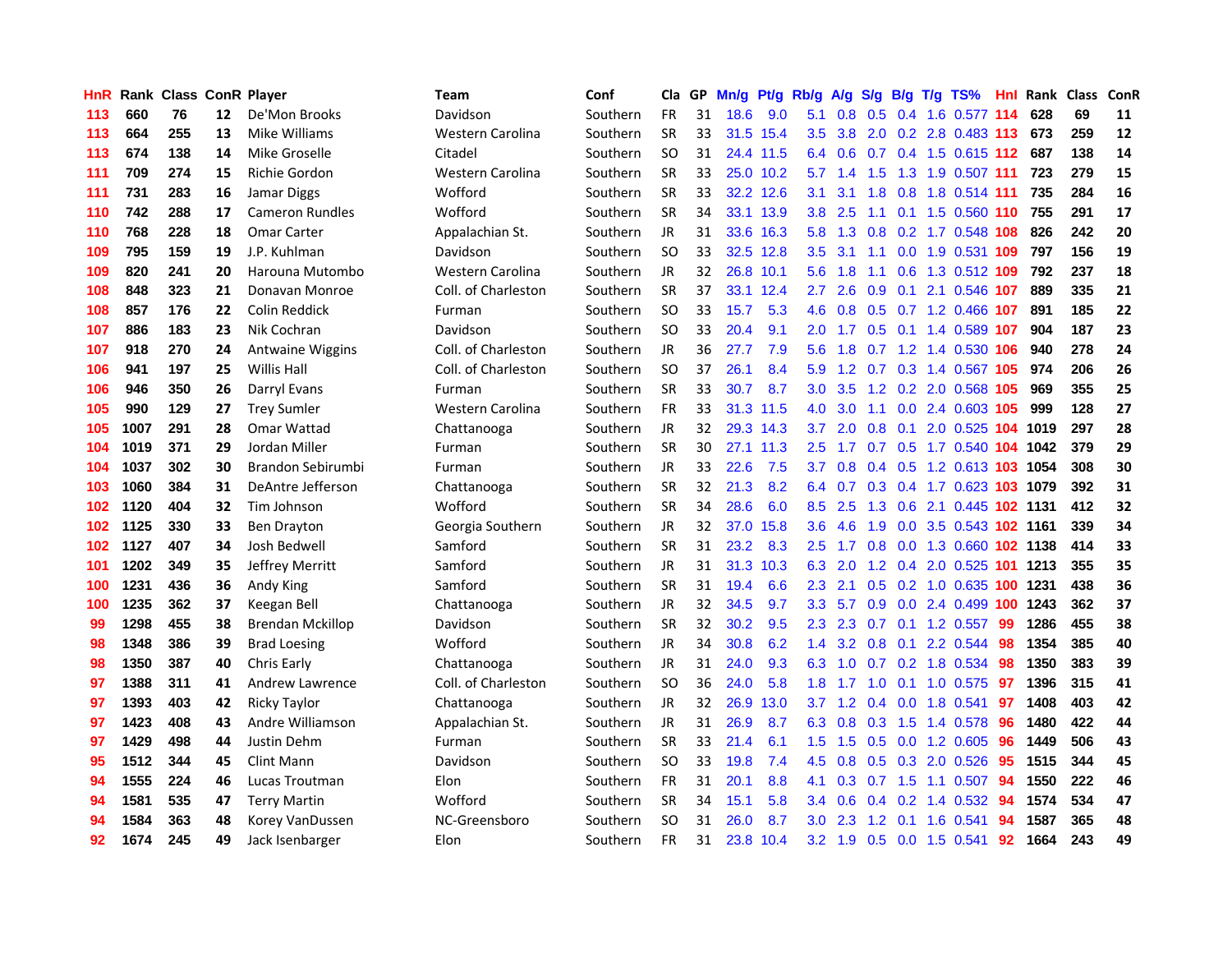| HnR |      | Rank Class ConR Player |    |                          | Team                | Conf     | Cla       |    | GP Mn/g Pt/g Rb/g |           |                  | <b>A/g</b>      | <b>S/g</b>      |     |     | B/g T/g TS%                        | Hnl |      | Rank Class | <b>ConR</b> |
|-----|------|------------------------|----|--------------------------|---------------------|----------|-----------|----|-------------------|-----------|------------------|-----------------|-----------------|-----|-----|------------------------------------|-----|------|------------|-------------|
| 113 | 660  | 76                     | 12 | De'Mon Brooks            | Davidson            | Southern | <b>FR</b> | 31 | 18.6              | 9.0       | 5.1              | 0.8             | 0.5             |     |     | 0.4 1.6 0.577                      | 114 | 628  | 69         | 11          |
| 113 | 664  | 255                    | 13 | Mike Williams            | Western Carolina    | Southern | <b>SR</b> | 33 |                   | 31.5 15.4 | 3.5              | 3.8             | 2.0             | 0.2 |     | 2.8 0.483 113                      |     | 673  | 259        | 12          |
| 113 | 674  | 138                    | 14 | Mike Groselle            | Citadel             | Southern | <b>SO</b> | 31 |                   | 24.4 11.5 | 6.4              | 0.6             | 0.7             |     |     | 0.4 1.5 0.615 112                  |     | 687  | 138        | 14          |
| 111 | 709  | 274                    | 15 | <b>Richie Gordon</b>     | Western Carolina    | Southern | <b>SR</b> | 33 |                   | 25.0 10.2 |                  | $5.7 \quad 1.4$ | 1.5             | 1.3 |     | 1.9 0.507 111                      |     | 723  | 279        | 15          |
| 111 | 731  | 283                    | 16 | Jamar Diggs              | Wofford             | Southern | <b>SR</b> | 33 |                   | 32.2 12.6 | 3.1              | 3.1             | 1.8             |     |     | 0.8 1.8 0.514 111                  |     | 735  | 284        | 16          |
| 110 | 742  | 288                    | 17 | <b>Cameron Rundles</b>   | Wofford             | Southern | <b>SR</b> | 34 |                   | 33.1 13.9 |                  |                 |                 |     |     | 3.8 2.5 1.1 0.1 1.5 0.560 110      |     | 755  | 291        | 17          |
| 110 | 768  | 228                    | 18 | Omar Carter              | Appalachian St.     | Southern | <b>JR</b> | 31 |                   | 33.6 16.3 |                  |                 |                 |     |     | 5.8 1.3 0.8 0.2 1.7 0.548 108      |     | 826  | 242        | 20          |
| 109 | 795  | 159                    | 19 | J.P. Kuhlman             | Davidson            | Southern | SO.       | 33 |                   | 32.5 12.8 | $3.5^{\circ}$    | 3.1             | 1.1             |     |     | 0.0 1.9 0.531 109                  |     | 797  | 156        | 19          |
| 109 | 820  | 241                    | 20 | Harouna Mutombo          | Western Carolina    | Southern | <b>JR</b> | 32 | 26.8 10.1         |           | 5.6              | 1.8             | 1.1             |     |     | 0.6 1.3 0.512 109                  |     | 792  | 237        | 18          |
| 108 | 848  | 323                    | 21 | Donavan Monroe           | Coll. of Charleston | Southern | SR        | 37 |                   | 33.1 12.4 | 2.7              | 2.6             | 0.9             |     |     | 0.1 2.1 0.546 107                  |     | 889  | 335        | 21          |
| 108 | 857  | 176                    | 22 | Colin Reddick            | Furman              | Southern | SO.       | 33 | 15.7              | 5.3       | 4.6              | 0.8             | 0.5             |     |     | $0.7$ 1.2 0.466                    | 107 | 891  | 185        | 22          |
| 107 | 886  | 183                    | 23 | Nik Cochran              | Davidson            | Southern | SO.       | 33 | 20.4              | 9.1       | 2.0              | 1.7             | 0.5             |     |     | 0.1 1.4 0.589 107                  |     | 904  | 187        | 23          |
| 107 | 918  | 270                    | 24 | Antwaine Wiggins         | Coll. of Charleston | Southern | JR.       | 36 | 27.7              | 7.9       | 5.6              | 1.8             | 0.7             |     |     | 1.2 1.4 0.530 106                  |     | 940  | 278        | 24          |
| 106 | 941  | 197                    | 25 | <b>Willis Hall</b>       | Coll. of Charleston | Southern | SO.       | 37 | 26.1              | 8.4       | 5.9              |                 | $1.2 \quad 0.7$ |     |     | $0.3$ 1.4 $0.567$                  | 105 | 974  | 206        | 26          |
| 106 | 946  | 350                    | 26 | Darryl Evans             | Furman              | Southern | <b>SR</b> | 33 | 30.7              | 8.7       | 3.0 <sub>1</sub> | 3.5             | 1.2             |     |     | 0.2 2.0 0.568 105                  |     | 969  | 355        | 25          |
| 105 | 990  | 129                    | 27 | <b>Trey Sumler</b>       | Western Carolina    | Southern | FR        | 33 |                   | 31.3 11.5 | 4.0              | 3.0             | 1.1             |     |     | 0.0 2.4 0.603 105                  |     | 999  | 128        | 27          |
| 105 | 1007 | 291                    | 28 | Omar Wattad              | Chattanooga         | Southern | JR        | 32 |                   | 29.3 14.3 | 3.7              |                 | $2.0\quad 0.8$  |     |     | 0.1 2.0 0.525 104 1019             |     |      | 297        | 28          |
| 104 | 1019 | 371                    | 29 | Jordan Miller            | Furman              | Southern | <b>SR</b> | 30 |                   | 27.1 11.3 | $2.5^{\circ}$    | 1.7             |                 |     |     | 0.7 0.5 1.7 0.540 104 1042         |     |      | 379        | 29          |
| 104 | 1037 | 302                    | 30 | <b>Brandon Sebirumbi</b> | Furman              | Southern | JR.       | 33 | 22.6              | 7.5       |                  |                 |                 |     |     | 3.7 0.8 0.4 0.5 1.2 0.613 103 1054 |     |      | 308        | 30          |
| 103 | 1060 | 384                    | 31 | DeAntre Jefferson        | Chattanooga         | Southern | <b>SR</b> | 32 | 21.3              | 8.2       |                  |                 |                 |     |     | 6.4 0.7 0.3 0.4 1.7 0.623 103 1079 |     |      | 392        | 31          |
| 102 | 1120 | 404                    | 32 | Tim Johnson              | Wofford             | Southern | <b>SR</b> | 34 | 28.6              | 6.0       | 8.5              | 2.5             | 1.3             |     |     | 0.6 2.1 0.445 102 1131             |     |      | 412        | 32          |
| 102 | 1125 | 330                    | 33 | Ben Drayton              | Georgia Southern    | Southern | <b>JR</b> | 32 | 37.0              | 15.8      | 3.6 <sub>2</sub> | 4.6             | 1.9             |     |     | 0.0 3.5 0.543 102 1161             |     |      | 339        | 34          |
| 102 | 1127 | 407                    | 34 | Josh Bedwell             | Samford             | Southern | SR        | 31 | 23.2              | 8.3       | 2.5              | 1.7             | 0.8             |     |     | 0.0 1.3 0.660 102 1138             |     |      | 414        | 33          |
| 101 | 1202 | 349                    | 35 | Jeffrey Merritt          | Samford             | Southern | <b>JR</b> | 31 | 31.3              | 10.3      | 6.3              | 2.0             | $1.2^{\circ}$   |     |     | $0.4$ 2.0 0.525 101                |     | 1213 | 355        | 35          |
| 100 | 1231 | 436                    | 36 | Andy King                | Samford             | Southern | <b>SR</b> | 31 | 19.4              | 6.6       | $2.3^{\circ}$    | 2.1             | 0.5             |     |     | 0.2 1.0 0.635 100                  |     | 1231 | 438        | 36          |
| 100 | 1235 | 362                    | 37 | Keegan Bell              | Chattanooga         | Southern | <b>JR</b> | 32 | 34.5              | 9.7       | 3.3 <sub>2</sub> | 5.7             | 0.9             |     |     | 0.0 2.4 0.499 100                  |     | 1243 | 362        | 37          |
| 99  | 1298 | 455                    | 38 | <b>Brendan Mckillop</b>  | Davidson            | Southern | <b>SR</b> | 32 | 30.2              | 9.5       | $2.3^{\circ}$    | 2.3             | 0.7             |     |     | $0.1$ 1.2 0.557                    | 99  | 1286 | 455        | 38          |
| 98  | 1348 | 386                    | 39 | <b>Brad Loesing</b>      | Wofford             | Southern | JR        | 34 | 30.8              | 6.2       | $1.4^{\circ}$    | 3.2             | 0.8             |     |     | $0.1$ 2.2 0.544                    | 98  | 1354 | 385        | 40          |
| 98  | 1350 | 387                    | 40 | Chris Early              | Chattanooga         | Southern | <b>JR</b> | 31 | 24.0              | 9.3       | 6.3              | 1.0             | 0.7             |     |     | $0.2$ 1.8 $0.534$                  | -98 | 1350 | 383        | 39          |
| 97  | 1388 | 311                    | 41 | Andrew Lawrence          | Coll. of Charleston | Southern | SO.       | 36 | 24.0              | 5.8       | 1.8              | 1.7             | 1.0             |     |     | $0.1$ 1.0 0.575                    | -97 | 1396 | 315        | 41          |
| 97  | 1393 | 403                    | 42 | <b>Ricky Taylor</b>      | Chattanooga         | Southern | <b>JR</b> | 32 | 26.9              | 13.0      |                  |                 | $3.7$ 1.2 0.4   |     |     | $0.0$ 1.8 $0.541$                  | 97  | 1408 | 403        | 42          |
| 97  | 1423 | 408                    | 43 | Andre Williamson         | Appalachian St.     | Southern | <b>JR</b> | 31 | 26.9              | 8.7       |                  |                 |                 |     |     | 6.3 0.8 0.3 1.5 1.4 0.578          | -96 | 1480 | 422        | 44          |
| 97  | 1429 | 498                    | 44 | Justin Dehm              | Furman              | Southern | <b>SR</b> | 33 | 21.4              | 6.1       | 1.5              | 1.5             | 0.5             |     |     | 0.0 1.2 0.605                      | -96 | 1449 | 506        | 43          |
| 95  | 1512 | 344                    | 45 | Clint Mann               | Davidson            | Southern | SO.       | 33 | 19.8              | 7.4       | 4.5              | 0.8             |                 |     |     | 0.5 0.3 2.0 0.526                  | 95  | 1515 | 344        | 45          |
| 94  | 1555 | 224                    | 46 | Lucas Troutman           | Elon                | Southern | <b>FR</b> | 31 | 20.1              | 8.8       | 4.1              | 0.3             |                 |     |     | $0.7$ 1.5 1.1 0.507                | 94  | 1550 | 222        | 46          |
| 94  | 1581 | 535                    | 47 | <b>Terry Martin</b>      | Wofford             | Southern | <b>SR</b> | 34 | 15.1              | 5.8       | $3.4^{\circ}$    | 0.6             | 0.4             | 0.2 |     | 1.4 0.532                          | 94  | 1574 | 534        | 47          |
| 94  | 1584 | 363                    | 48 | Korey VanDussen          | NC-Greensboro       | Southern | SO.       | 31 | 26.0              | 8.7       | 3.0 <sub>1</sub> | 2.3             | 1.2             | 0.1 | 1.6 | 0.541                              | 94  | 1587 | 365        | 48          |
| 92  | 1674 | 245                    | 49 | Jack Isenbarger          | Elon                | Southern | <b>FR</b> | 31 | 23.8              | 10.4      |                  |                 |                 |     |     | 3.2 1.9 0.5 0.0 1.5 0.541          | 92  | 1664 | 243        | 49          |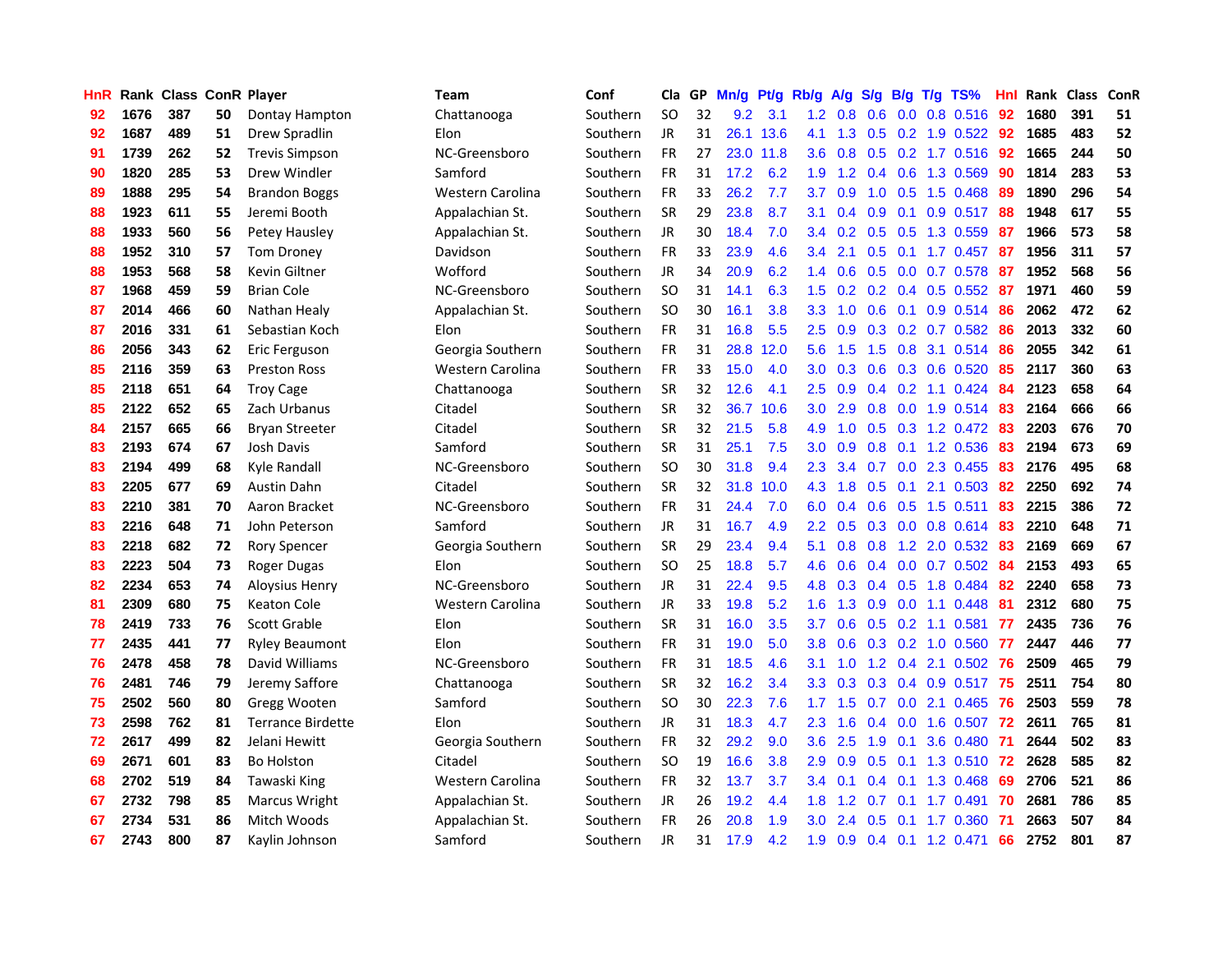| <b>HnR</b> |      | <b>Rank Class ConR Player</b> |    |                          | <b>Team</b>      | Conf     | Cla       |    | GP Mn/g Pt/g |           | Rb/g             | A/g             |     |                 | S/g B/g T/g TS%           | Hnl | Rank Class |     | ConR |
|------------|------|-------------------------------|----|--------------------------|------------------|----------|-----------|----|--------------|-----------|------------------|-----------------|-----|-----------------|---------------------------|-----|------------|-----|------|
| 92         | 1676 | 387                           | 50 | Dontay Hampton           | Chattanooga      | Southern | <b>SO</b> | 32 | 9.2          | 3.1       | 1.2              | 0.8             | 0.6 | 0.0             | 0.8 0.516                 | 92  | 1680       | 391 | 51   |
| 92         | 1687 | 489                           | 51 | Drew Spradlin            | Elon             | Southern | JR        | 31 |              | 26.1 13.6 | 4.1              | 1.3             |     | $0.5 \quad 0.2$ | 1.9 0.522                 | 92  | 1685       | 483 | 52   |
| 91         | 1739 | 262                           | 52 | <b>Trevis Simpson</b>    | NC-Greensboro    | Southern | <b>FR</b> | 27 | 23.0         | 11.8      | 3.6 <sup>°</sup> | 0.8             |     |                 | $0.5$ $0.2$ 1.7 $0.516$   | 92  | 1665       | 244 | 50   |
| 90         | 1820 | 285                           | 53 | Drew Windler             | Samford          | Southern | FR        | 31 | 17.2         | 6.2       |                  |                 |     |                 | 1.9 1.2 0.4 0.6 1.3 0.569 | 90  | 1814       | 283 | 53   |
| 89         | 1888 | 295                           | 54 | <b>Brandon Boggs</b>     | Western Carolina | Southern | <b>FR</b> | 33 | 26.2         | 7.7       | 3.7              | 0.9             |     |                 | 1.0 0.5 1.5 0.468         | -89 | 1890       | 296 | 54   |
| 88         | 1923 | 611                           | 55 | Jeremi Booth             | Appalachian St.  | Southern | <b>SR</b> | 29 | 23.8         | 8.7       | 3.1              | 0.4             |     |                 | $0.9$ 0.1 0.9 0.517       | -88 | 1948       | 617 | 55   |
| 88         | 1933 | 560                           | 56 | Petey Hausley            | Appalachian St.  | Southern | JR        | 30 | 18.4         | 7.0       |                  |                 |     |                 | 3.4 0.2 0.5 0.5 1.3 0.559 | 87  | 1966       | 573 | 58   |
| 88         | 1952 | 310                           | 57 | <b>Tom Droney</b>        | Davidson         | Southern | FR        | 33 | 23.9         | 4.6       | 3.4              | 2.1             |     |                 | 0.5 0.1 1.7 0.457         | 87  | 1956       | 311 | 57   |
| 88         | 1953 | 568                           | 58 | Kevin Giltner            | Wofford          | Southern | <b>JR</b> | 34 | 20.9         | 6.2       |                  | $1.4 \quad 0.6$ |     |                 | 0.5 0.0 0.7 0.578         | 87  | 1952       | 568 | 56   |
| 87         | 1968 | 459                           | 59 | <b>Brian Cole</b>        | NC-Greensboro    | Southern | <b>SO</b> | 31 | 14.1         | 6.3       | 1.5              | 0.2             |     |                 | $0.2$ 0.4 0.5 0.552       | -87 | 1971       | 460 | 59   |
| 87         | 2014 | 466                           | 60 | Nathan Healy             | Appalachian St.  | Southern | <b>SO</b> | 30 | 16.1         | 3.8       | 3.3 <sub>2</sub> | 1.0             | 0.6 | 0.1             | $0.9$ 0.514               | 86  | 2062       | 472 | 62   |
| 87         | 2016 | 331                           | 61 | Sebastian Koch           | Elon             | Southern | FR        | 31 | 16.8         | 5.5       | 2.5              | 0.9             |     |                 | 0.3 0.2 0.7 0.582         | 86  | 2013       | 332 | 60   |
| 86         | 2056 | 343                           | 62 | Eric Ferguson            | Georgia Southern | Southern | FR        | 31 | 28.8         | 12.0      | 5.6              | 1.5             | 1.5 | 0.8             | 3.1 0.514                 | 86  | 2055       | 342 | 61   |
| 85         | 2116 | 359                           | 63 | <b>Preston Ross</b>      | Western Carolina | Southern | <b>FR</b> | 33 | 15.0         | 4.0       | 3.0 <sub>2</sub> | 0.3             | 0.6 |                 | 0.3 0.6 0.520             | 85  | 2117       | 360 | 63   |
| 85         | 2118 | 651                           | 64 | <b>Troy Cage</b>         | Chattanooga      | Southern | <b>SR</b> | 32 | 12.6         | 4.1       | 2.5              | 0.9             |     | $0.4 \quad 0.2$ | 1.1 0.424                 | 84  | 2123       | 658 | 64   |
| 85         | 2122 | 652                           | 65 | Zach Urbanus             | Citadel          | Southern | <b>SR</b> | 32 | 36.7         | 10.6      | 3.0              | 2.9             | 0.8 | 0.0             | 1.9 0.514                 | -83 | 2164       | 666 | 66   |
| 84         | 2157 | 665                           | 66 | <b>Bryan Streeter</b>    | Citadel          | Southern | <b>SR</b> | 32 | 21.5         | 5.8       | 4.9              | 1.0             |     |                 | 0.5 0.3 1.2 0.472 83      |     | 2203       | 676 | 70   |
| 83         | 2193 | 674                           | 67 | Josh Davis               | Samford          | Southern | <b>SR</b> | 31 | 25.1         | 7.5       | 3.0              | 0.9             |     |                 | 0.8 0.1 1.2 0.536         | 83  | 2194       | 673 | 69   |
| 83         | 2194 | 499                           | 68 | Kyle Randall             | NC-Greensboro    | Southern | <b>SO</b> | 30 | 31.8         | 9.4       | $2.3^{\circ}$    | 3.4             |     |                 | 0.7 0.0 2.3 0.455 83      |     | 2176       | 495 | 68   |
| 83         | 2205 | 677                           | 69 | Austin Dahn              | Citadel          | Southern | <b>SR</b> | 32 | 31.8         | 10.0      |                  | 4.3 1.8         |     |                 | $0.5$ 0.1 2.1 0.503       | 82  | 2250       | 692 | 74   |
| 83         | 2210 | 381                           | 70 | Aaron Bracket            | NC-Greensboro    | Southern | <b>FR</b> | 31 | 24.4         | 7.0       | 6.0              | 0.4             |     |                 | $0.6$ $0.5$ 1.5 $0.511$   | 83  | 2215       | 386 | 72   |
| 83         | 2216 | 648                           | 71 | John Peterson            | Samford          | Southern | <b>JR</b> | 31 | 16.7         | 4.9       | 2.2              | 0.5             |     |                 | $0.3$ 0.0 0.8 0.614       | 83  | 2210       | 648 | 71   |
| 83         | 2218 | 682                           | 72 | <b>Rory Spencer</b>      | Georgia Southern | Southern | <b>SR</b> | 29 | 23.4         | 9.4       | 5.1              | 0.8             | 0.8 |                 | 1.2 2.0 0.532             | 83  | 2169       | 669 | 67   |
| 83         | 2223 | 504                           | 73 | Roger Dugas              | Elon             | Southern | <b>SO</b> | 25 | 18.8         | 5.7       | 4.6              | 0.6             |     |                 | $0.4$ 0.0 0.7 0.502       | -84 | 2153       | 493 | 65   |
| 82         | 2234 | 653                           | 74 | Aloysius Henry           | NC-Greensboro    | Southern | JR        | 31 | 22.4         | 9.5       | 4.8              | 0.3             |     |                 | 0.4 0.5 1.8 0.484         | 82  | 2240       | 658 | 73   |
| 81         | 2309 | 680                           | 75 | <b>Keaton Cole</b>       | Western Carolina | Southern | JR        | 33 | 19.8         | 5.2       | 1.6              | 1.3             | 0.9 | 0.0             | 1.1 0.448                 | 81  | 2312       | 680 | 75   |
| 78         | 2419 | 733                           | 76 | Scott Grable             | Elon             | Southern | <b>SR</b> | 31 | 16.0         | 3.5       | 3.7              | 0.6             | 0.5 |                 | 0.2 1.1 0.581             | 77  | 2435       | 736 | 76   |
| 77         | 2435 | 441                           | 77 | <b>Ryley Beaumont</b>    | Elon             | Southern | <b>FR</b> | 31 | 19.0         | 5.0       | 3.8              | 0.6             |     |                 | $0.3$ $0.2$ 1.0 $0.560$   | 77  | 2447       | 446 | 77   |
| 76         | 2478 | 458                           | 78 | David Williams           | NC-Greensboro    | Southern | <b>FR</b> | 31 | 18.5         | 4.6       | 3.1              | 1.0             |     | $1.2 \quad 0.4$ | 2.1 0.502                 | -76 | 2509       | 465 | 79   |
| 76         | 2481 | 746                           | 79 | Jeremy Saffore           | Chattanooga      | Southern | <b>SR</b> | 32 | 16.2         | 3.4       | 3.3 <sub>2</sub> | 0.3             |     | $0.3 \quad 0.4$ | 0.9 0.517                 | 75  | 2511       | 754 | 80   |
| 75         | 2502 | 560                           | 80 | Gregg Wooten             | Samford          | Southern | <b>SO</b> | 30 | 22.3         | 7.6       | 1.7 <sub>z</sub> | 1.5             | 0.7 |                 | 0.0 2.1 0.465             | 76  | 2503       | 559 | 78   |
| 73         | 2598 | 762                           | 81 | <b>Terrance Birdette</b> | Elon             | Southern | JR        | 31 | 18.3         | 4.7       | $2.3^{\circ}$    | 1.6             |     |                 | 0.4 0.0 1.6 0.507 72      |     | 2611       | 765 | 81   |
| 72         | 2617 | 499                           | 82 | Jelani Hewitt            | Georgia Southern | Southern | <b>FR</b> | 32 | 29.2         | 9.0       |                  | $3.6$ 2.5       |     | $1.9 \quad 0.1$ | 3.6 0.480 71              |     | 2644       | 502 | 83   |
| 69         | 2671 | 601                           | 83 | <b>Bo Holston</b>        | Citadel          | Southern | <b>SO</b> | 19 | 16.6         | 3.8       | 2.9              | 0.9             |     |                 | 0.5 0.1 1.3 0.510 72      |     | 2628       | 585 | 82   |
| 68         | 2702 | 519                           | 84 | Tawaski King             | Western Carolina | Southern | FR        | 32 | 13.7         | 3.7       |                  | $3.4\quad 0.1$  |     |                 | $0.4$ 0.1 1.3 0.468       | 69  | 2706       | 521 | 86   |
| 67         | 2732 | 798                           | 85 | Marcus Wright            | Appalachian St.  | Southern | <b>JR</b> | 26 | 19.2         | 4.4       | 1.8              | 1.2             | 0.7 | 0.1             | 1.7 0.491                 | 70  | 2681       | 786 | 85   |
| 67         | 2734 | 531                           | 86 | Mitch Woods              | Appalachian St.  | Southern | <b>FR</b> | 26 | 20.8         | 1.9       | 3.0 <sub>2</sub> | 2.4             | 0.5 | 0.1             | 1.7 0.360                 | -71 | 2663       | 507 | 84   |
| 67         | 2743 | 800                           | 87 | Kaylin Johnson           | Samford          | Southern | JR        | 31 | 17.9         | 4.2       | 1.9              |                 |     |                 | $0.9$ 0.4 0.1 1.2 0.471   | 66  | 2752       | 801 | 87   |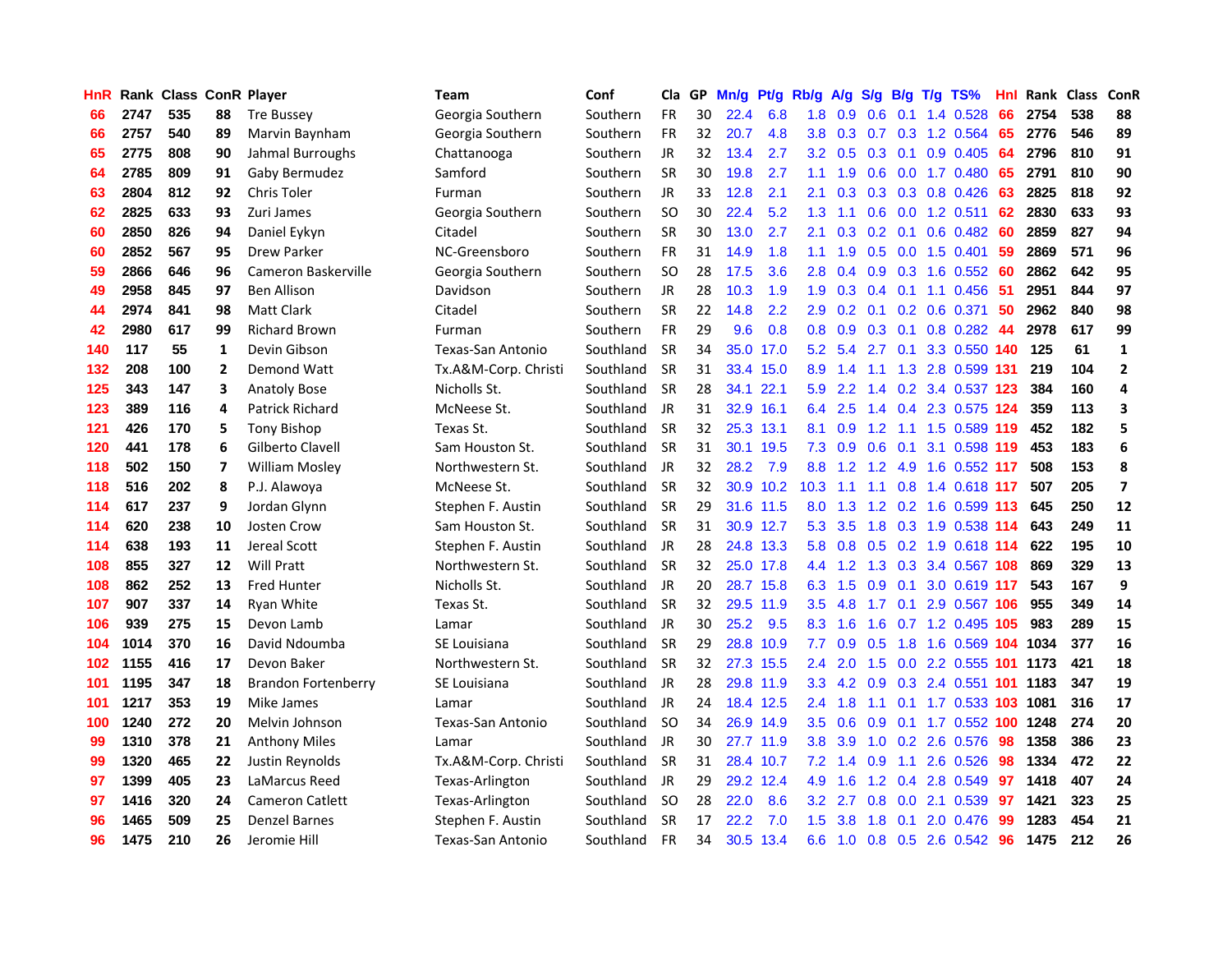| HnR. |      | <b>Rank Class ConR Player</b> |                |                            | Team                 | Conf      |               | Cla GP | Mn/g Pt/g |           | Rb/g A/g         |         | S/g B/g |                   | $T/g$ TS%                       | Hnl |      | Rank Class ConR |                         |
|------|------|-------------------------------|----------------|----------------------------|----------------------|-----------|---------------|--------|-----------|-----------|------------------|---------|---------|-------------------|---------------------------------|-----|------|-----------------|-------------------------|
| 66   | 2747 | 535                           | 88             | <b>Tre Bussey</b>          | Georgia Southern     | Southern  | <b>FR</b>     | 30     | 22.4      | 6.8       | 1.8              | 0.9     | 0.6     | 0.1               | 1.4 0.528                       | 66  | 2754 | 538             | 88                      |
| 66   | 2757 | 540                           | 89             | Marvin Baynham             | Georgia Southern     | Southern  | <b>FR</b>     | 32     | 20.7      | 4.8       | 3.8 <sub>2</sub> | 0.3     | 0.7     | 0.3               | 1.2 0.564                       | 65  | 2776 | 546             | 89                      |
| 65   | 2775 | 808                           | 90             | Jahmal Burroughs           | Chattanooga          | Southern  | <b>JR</b>     | 32     | 13.4      | 2.7       | 3.2 <sub>2</sub> | 0.5     | 0.3     | 0.1               | 0.9 0.405                       | 64  | 2796 | 810             | 91                      |
| 64   | 2785 | 809                           | 91             | Gaby Bermudez              | Samford              | Southern  | <b>SR</b>     | 30     | 19.8      | 2.7       | 1.1              | 1.9     | 0.6     | 0.0               | 1.7 0.480                       | 65  | 2791 | 810             | 90                      |
| 63   | 2804 | 812                           | 92             | Chris Toler                | Furman               | Southern  | <b>JR</b>     | 33     | 12.8      | 2.1       | 2.1              |         |         |                   | 0.3 0.3 0.3 0.8 0.426           | 63  | 2825 | 818             | 92                      |
| 62   | 2825 | 633                           | 93             | Zuri James                 | Georgia Southern     | Southern  | <b>SO</b>     | 30     | 22.4      | 5.2       | 1.3              | 1.1     |         |                   | $0.6$ $0.0$ 1.2 $0.511$         | 62  | 2830 | 633             | 93                      |
| 60   | 2850 | 826                           | 94             | Daniel Eykyn               | Citadel              | Southern  | <b>SR</b>     | 30     | 13.0      | 2.7       | 2.1              |         |         |                   | $0.3$ $0.2$ $0.1$ $0.6$ $0.482$ | 60  | 2859 | 827             | 94                      |
| 60   | 2852 | 567                           | 95             | <b>Drew Parker</b>         | NC-Greensboro        | Southern  | <b>FR</b>     | 31     | 14.9      | 1.8       | 1.1 <sub>1</sub> | 1.9     |         |                   | $0.5$ 0.0 1.5 0.401             | 59  | 2869 | 571             | 96                      |
| 59   | 2866 | 646                           | 96             | Cameron Baskerville        | Georgia Southern     | Southern  | <sub>SO</sub> | 28     | 17.5      | 3.6       | 2.8              | 0.4     |         |                   | 0.9 0.3 1.6 0.552               | 60  | 2862 | 642             | 95                      |
| 49   | 2958 | 845                           | 97             | <b>Ben Allison</b>         | Davidson             | Southern  | <b>JR</b>     | 28     | 10.3      | 1.9       | 1.9              | 0.3     |         |                   | 0.4 0.1 1.1 0.456               | 51  | 2951 | 844             | 97                      |
| 44   | 2974 | 841                           | 98             | <b>Matt Clark</b>          | Citadel              | Southern  | <b>SR</b>     | 22     | 14.8      | 2.2       | 2.9              | 0.2     | 0.1     | 0.2               | 0.6 0.371                       | 50  | 2962 | 840             | 98                      |
| 42   | 2980 | 617                           | 99             | <b>Richard Brown</b>       | Furman               | Southern  | <b>FR</b>     | 29     | 9.6       | 0.8       | 0.8 <sub>0</sub> | 0.9     |         | $0.3 \quad 0.1$   | 0.8 0.282                       | 44  | 2978 | 617             | 99                      |
| 140  | 117  | 55                            | 1              | Devin Gibson               | Texas-San Antonio    | Southland | <b>SR</b>     | 34     |           | 35.0 17.0 |                  | 5.2 5.4 |         | $2.7 \quad 0.1$   | 3.3 0.550 140                   |     | 125  | 61              | 1                       |
| 132  | 208  | 100                           | $\overline{2}$ | <b>Demond Watt</b>         | Tx.A&M-Corp. Christi | Southland | <b>SR</b>     | 31     |           | 33.4 15.0 | 8.9              | 1.4     | 1.1     |                   | 1.3 2.8 0.599 131               |     | 219  | 104             | $\overline{2}$          |
| 125  | 343  | 147                           | 3              | <b>Anatoly Bose</b>        | Nicholls St.         | Southland | <b>SR</b>     | 28     |           | 34.1 22.1 | 5.9              | 2.2     | 1.4     |                   | 0.2 3.4 0.537 123               |     | 384  | 160             | 4                       |
| 123  | 389  | 116                           | 4              | Patrick Richard            | McNeese St.          | Southland | JR            | 31     |           | 32.9 16.1 | 6.4              | 2.5     | 1.4     | 0.4               | 2.3 0.575 124                   |     | 359  | 113             | 3                       |
| 121  | 426  | 170                           | 5              | <b>Tony Bishop</b>         | Texas St.            | Southland | <b>SR</b>     | 32     |           | 25.3 13.1 | 8.1              | 0.9     | 1.2     | 1.1               | 1.5 0.589 119                   |     | 452  | 182             | 5                       |
| 120  | 441  | 178                           | 6              | Gilberto Clavell           | Sam Houston St.      | Southland | <b>SR</b>     | 31     |           | 30.1 19.5 | 7.3              | 0.9     | 0.6     | 0.1               | 3.1 0.598 119                   |     | 453  | 183             | 6                       |
| 118  | 502  | 150                           | 7              | <b>William Mosley</b>      | Northwestern St.     | Southland | JR            | 32     | 28.2      | 7.9       | 8.8              |         |         | $1.2$ $1.2$ $4.9$ | 1.6 0.552 117                   |     | 508  | 153             | 8                       |
| 118  | 516  | 202                           | 8              | P.J. Alawoya               | McNeese St.          | Southland | <b>SR</b>     | 32     |           | 30.9 10.2 | 10.3             | 1.1     |         |                   | 1.1 0.8 1.4 0.618 117           |     | 507  | 205             | $\overline{\mathbf{z}}$ |
| 114  | 617  | 237                           | 9              | Jordan Glynn               | Stephen F. Austin    | Southland | <b>SR</b>     | 29     |           | 31.6 11.5 | 8.0              |         |         |                   | 1.3 1.2 0.2 1.6 0.599 113       |     | 645  | 250             | 12                      |
| 114  | 620  | 238                           | 10             | <b>Josten Crow</b>         | Sam Houston St.      | Southland | <b>SR</b>     | 31     |           | 30.9 12.7 | 5.3              | 3.5     |         |                   | 1.8 0.3 1.9 0.538 114           |     | 643  | 249             | 11                      |
| 114  | 638  | 193                           | 11             | Jereal Scott               | Stephen F. Austin    | Southland | JR            | 28     |           | 24.8 13.3 | 5.8              | 0.8     |         |                   | 0.5 0.2 1.9 0.618 114           |     | 622  | 195             | 10                      |
| 108  | 855  | 327                           | 12             | <b>Will Pratt</b>          | Northwestern St.     | Southland | <b>SR</b>     | 32     |           | 25.0 17.8 |                  | 4.4 1.2 | 1.3     |                   | 0.3 3.4 0.567 108               |     | 869  | 329             | 13                      |
| 108  | 862  | 252                           | 13             | <b>Fred Hunter</b>         | Nicholls St.         | Southland | JR            | 20     |           | 28.7 15.8 | 6.3              | 1.5     | 0.9     | 0.1               | 3.0 0.619 117                   |     | 543  | 167             | 9                       |
| 107  | 907  | 337                           | 14             | Ryan White                 | Texas St.            | Southland | <b>SR</b>     | 32     |           | 29.5 11.9 | 3.5              | 4.8     | 1.7     | 0.1               | 2.9 0.567                       | 106 | 955  | 349             | 14                      |
| 106  | 939  | 275                           | 15             | Devon Lamb                 | Lamar                | Southland | JR            | 30     | 25.2      | 9.5       | 8.3              | 1.6     | 1.6     |                   | 0.7 1.2 0.495 105               |     | 983  | 289             | 15                      |
| 104  | 1014 | 370                           | 16             | David Ndoumba              | SE Louisiana         | Southland | <b>SR</b>     | 29     |           | 28.8 10.9 | 7.7              | 0.9     | 0.5     | 1.8               | 1.6 0.569 104                   |     | 1034 | 377             | 16                      |
| 102  | 1155 | 416                           | 17             | Devon Baker                | Northwestern St.     | Southland | <b>SR</b>     | 32     |           | 27.3 15.5 | 2.4              | 2.0     | 1.5     | 0.0               | 2.2 0.555                       | 101 | 1173 | 421             | 18                      |
| 101  | 1195 | 347                           | 18             | <b>Brandon Fortenberry</b> | SE Louisiana         | Southland | <b>JR</b>     | 28     |           | 29.8 11.9 | 3.3 <sub>2</sub> | 4.2     | 0.9     | 0.3               | 2.4 0.551                       | 101 | 1183 | 347             | 19                      |
| 101  | 1217 | 353                           | 19             | Mike James                 | Lamar                | Southland | JR            | 24     |           | 18.4 12.5 | $2.4^{\circ}$    | 1.8     | 1.1     | 0.1               | 1.7 0.533 103                   |     | 1081 | 316             | 17                      |
| 100  | 1240 | 272                           | 20             | Melvin Johnson             | Texas-San Antonio    | Southland | -SO           | 34     |           | 26.9 14.9 | $3.5^{\circ}$    | 0.6     | 0.9     | 0.1               | 1.7 0.552 100 1248              |     |      | 274             | 20                      |
| 99   | 1310 | 378                           | 21             | <b>Anthony Miles</b>       | Lamar                | Southland | JR            | 30     |           | 27.7 11.9 | 3.8 <sub>1</sub> | 3.9     |         |                   | 1.0 0.2 2.6 0.576               | -98 | 1358 | 386             | 23                      |
| 99   | 1320 | 465                           | 22             | Justin Reynolds            | Tx.A&M-Corp. Christi | Southland | <b>SR</b>     | 31     |           | 28.4 10.7 | 7.2              | 1.4     | 0.9     | 1.1               | 2.6 0.526                       | -98 | 1334 | 472             | 22                      |
| 97   | 1399 | 405                           | 23             | LaMarcus Reed              | Texas-Arlington      | Southland | JR            | 29     |           | 29.2 12.4 | 4.9              | 1.6     |         |                   | 1.2 0.4 2.8 0.549               | 97  | 1418 | 407             | 24                      |
| 97   | 1416 | 320                           | 24             | <b>Cameron Catlett</b>     | Texas-Arlington      | Southland | <sub>SO</sub> | 28     | 22.0      | 8.6       | 3.2 <sub>2</sub> | 2.7     | 0.8     | 0.0               | 2.1 0.539                       | 97  | 1421 | 323             | 25                      |
| 96   | 1465 | 509                           | 25             | <b>Denzel Barnes</b>       | Stephen F. Austin    | Southland | <b>SR</b>     | 17     | 22.2      | 7.0       | 1.5              | 3.8     | 1.8     | 0.1               | 2.0 0.476                       | 99  | 1283 | 454             | 21                      |
| 96   | 1475 | 210                           | 26             | Jeromie Hill               | Texas-San Antonio    | Southland | <b>FR</b>     | 34     |           | 30.5 13.4 | 6.6              |         |         |                   | 1.0 0.8 0.5 2.6 0.542           | 96  | 1475 | 212             | 26                      |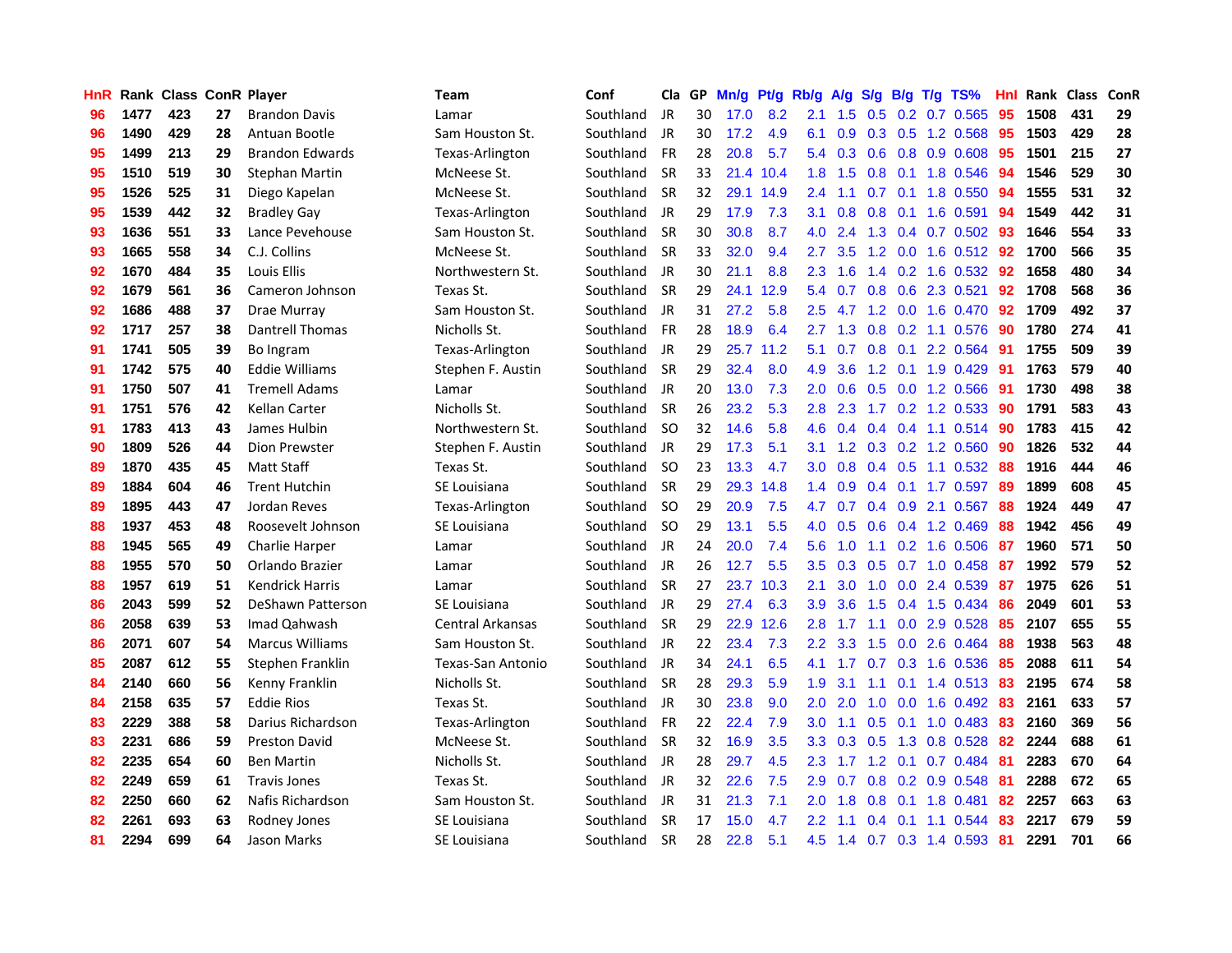| <b>HnR</b> |      | <b>Rank Class ConR Player</b> |    |                        | Team                    | Conf      | Cla       |    | GP Mn/g Pt/g Rb/g |           |                  | A/g             |     |                 | $S/g$ B/g T/g TS%         | Hnl | Rank Class |     | ConR |
|------------|------|-------------------------------|----|------------------------|-------------------------|-----------|-----------|----|-------------------|-----------|------------------|-----------------|-----|-----------------|---------------------------|-----|------------|-----|------|
| 96         | 1477 | 423                           | 27 | <b>Brandon Davis</b>   | Lamar                   | Southland | JR        | 30 | 17.0              | 8.2       | 2.1              | 1.5             | 0.5 | 0.2             | 0.7 0.565                 | 95  | 1508       | 431 | 29   |
| 96         | 1490 | 429                           | 28 | Antuan Bootle          | Sam Houston St.         | Southland | JR        | 30 | 17.2              | 4.9       | 6.1              | 0.9             |     | $0.3 \quad 0.5$ | 1.2 0.568                 | 95  | 1503       | 429 | 28   |
| 95         | 1499 | 213                           | 29 | <b>Brandon Edwards</b> | Texas-Arlington         | Southland | <b>FR</b> | 28 | 20.8              | 5.7       | 5.4              | 0.3             | 0.6 | 0.8             | 0.9 0.608                 | 95  | 1501       | 215 | 27   |
| 95         | 1510 | 519                           | 30 | <b>Stephan Martin</b>  | McNeese St.             | Southland | <b>SR</b> | 33 |                   | 21.4 10.4 |                  | $1.8$ 1.5       |     | $0.8$ 0.1       | 1.8 0.546                 | -94 | 1546       | 529 | 30   |
| 95         | 1526 | 525                           | 31 | Diego Kapelan          | McNeese St.             | Southland | <b>SR</b> | 32 |                   | 29.1 14.9 | $2.4^{\circ}$    | 1.1             |     |                 | $0.7$ 0.1 1.8 0.550       | 94  | 1555       | 531 | 32   |
| 95         | 1539 | 442                           | 32 | <b>Bradley Gay</b>     | Texas-Arlington         | Southland | JR        | 29 | 17.9              | 7.3       | 3.1              | 0.8             |     |                 | 0.8 0.1 1.6 0.591         | 94  | 1549       | 442 | 31   |
| 93         | 1636 | 551                           | 33 | Lance Pevehouse        | Sam Houston St.         | Southland | <b>SR</b> | 30 | 30.8              | 8.7       | 4.0              | 2.4             |     |                 | 1.3 0.4 0.7 0.502         | 93  | 1646       | 554 | 33   |
| 93         | 1665 | 558                           | 34 | C.J. Collins           | McNeese St.             | Southland | <b>SR</b> | 33 | 32.0              | 9.4       | 2.7              | 3.5             |     |                 | 1.2 0.0 1.6 0.512         | 92  | 1700       | 566 | 35   |
| 92         | 1670 | 484                           | 35 | <b>Louis Ellis</b>     | Northwestern St.        | Southland | JR        | 30 | 21.1              | 8.8       | 2.3              | 1.6             |     |                 | 1.4 0.2 1.6 0.532         | 92  | 1658       | 480 | 34   |
| 92         | 1679 | 561                           | 36 | Cameron Johnson        | Texas St.               | Southland | <b>SR</b> | 29 | 24.1              | 12.9      | 5.4              | 0.7             | 0.8 |                 | 0.6 2.3 0.521             | 92  | 1708       | 568 | 36   |
| 92         | 1686 | 488                           | 37 | Drae Murray            | Sam Houston St.         | Southland | JR        | 31 | 27.2              | 5.8       | 2.5              | 4.7             |     |                 | 1.2 0.0 1.6 0.470         | -92 | 1709       | 492 | 37   |
| 92         | 1717 | 257                           | 38 | Dantrell Thomas        | Nicholls St.            | Southland | <b>FR</b> | 28 | 18.9              | 6.4       | 2.7              | 1.3             |     |                 | 0.8 0.2 1.1 0.576         | 90  | 1780       | 274 | 41   |
| 91         | 1741 | 505                           | 39 | Bo Ingram              | Texas-Arlington         | Southland | JR        | 29 |                   | 25.7 11.2 | 5.1              | 0.7             | 0.8 | 0.1             | 2.2 0.564                 | 91  | 1755       | 509 | 39   |
| 91         | 1742 | 575                           | 40 | Eddie Williams         | Stephen F. Austin       | Southland | <b>SR</b> | 29 | 32.4              | 8.0       | 4.9              | 3.6             | 1.2 |                 | $0.1$ 1.9 0.429           | -91 | 1763       | 579 | 40   |
| 91         | 1750 | 507                           | 41 | <b>Tremell Adams</b>   | Lamar                   | Southland | JR        | 20 | 13.0              | 7.3       | 2.0              | 0.6             | 0.5 | 0.0             | 1.2 0.566                 | -91 | 1730       | 498 | 38   |
| 91         | 1751 | 576                           | 42 | Kellan Carter          | Nicholls St.            | Southland | <b>SR</b> | 26 | 23.2              | 5.3       | 2.8              | 2.3             | 1.7 |                 | 0.2 1.2 0.533             | 90  | 1791       | 583 | 43   |
| 91         | 1783 | 413                           | 43 | James Hulbin           | Northwestern St.        | Southland | <b>SO</b> | 32 | 14.6              | 5.8       | 4.6              | 0.4             |     |                 | $0.4$ 0.4 1.1 0.514       | -90 | 1783       | 415 | 42   |
| 90         | 1809 | 526                           | 44 | Dion Prewster          | Stephen F. Austin       | Southland | JR        | 29 | 17.3              | 5.1       | 3.1              |                 |     |                 | 1.2 0.3 0.2 1.2 0.560     | -90 | 1826       | 532 | 44   |
| 89         | 1870 | 435                           | 45 | <b>Matt Staff</b>      | Texas St.               | Southland | <b>SO</b> | 23 | 13.3              | 4.7       | 3.0              | 0.8             |     |                 | $0.4$ 0.5 1.1 0.532       | -88 | 1916       | 444 | 46   |
| 89         | 1884 | 604                           | 46 | <b>Trent Hutchin</b>   | SE Louisiana            | Southland | <b>SR</b> | 29 |                   | 29.3 14.8 |                  | $1.4 \quad 0.9$ |     |                 | $0.4$ 0.1 1.7 0.597       | -89 | 1899       | 608 | 45   |
| 89         | 1895 | 443                           | 47 | Jordan Reves           | Texas-Arlington         | Southland | <b>SO</b> | 29 | 20.9              | 7.5       | 4.7              | 0.7             |     |                 | $0.4$ $0.9$ 2.1 $0.567$   | 88  | 1924       | 449 | 47   |
| 88         | 1937 | 453                           | 48 | Roosevelt Johnson      | SE Louisiana            | Southland | <b>SO</b> | 29 | 13.1              | 5.5       | 4.0              | 0.5             |     |                 | 0.6 0.4 1.2 0.469         | 88  | 1942       | 456 | 49   |
| 88         | 1945 | 565                           | 49 | <b>Charlie Harper</b>  | Lamar                   | Southland | JR        | 24 | 20.0              | 7.4       | $5.6^{\circ}$    | 1.0             | 1.1 |                 | $0.2$ 1.6 0.506           | 87  | 1960       | 571 | 50   |
| 88         | 1955 | 570                           | 50 | Orlando Brazier        | Lamar                   | Southland | JR        | 26 | 12.7              | 5.5       | 3.5              | 0.3             |     |                 | $0.5$ 0.7 1.0 0.458       | -87 | 1992       | 579 | 52   |
| 88         | 1957 | 619                           | 51 | Kendrick Harris        | Lamar                   | Southland | -SR       | 27 | 23.7              | 10.3      | 2.1              | 3.0             | 1.0 |                 | 0.0 2.4 0.539             | -87 | 1975       | 626 | 51   |
| 86         | 2043 | 599                           | 52 | DeShawn Patterson      | SE Louisiana            | Southland | JR        | 29 | 27.4              | 6.3       | 3.9              | 3.6             | 1.5 | 0.4             | 1.5 0.434                 | 86  | 2049       | 601 | 53   |
| 86         | 2058 | 639                           | 53 | Imad Qahwash           | <b>Central Arkansas</b> | Southland | <b>SR</b> | 29 |                   | 22.9 12.6 | 2.8              | 1.7             | 1.1 | 0.0             | 2.9 0.528                 | 85  | 2107       | 655 | 55   |
| 86         | 2071 | 607                           | 54 | <b>Marcus Williams</b> | Sam Houston St.         | Southland | JR        | 22 | 23.4              | 7.3       | $2.2^{\circ}$    | 3.3             | 1.5 | 0.0             | 2.6 0.464                 | 88  | 1938       | 563 | 48   |
| 85         | 2087 | 612                           | 55 | Stephen Franklin       | Texas-San Antonio       | Southland | <b>JR</b> | 34 | 24.1              | 6.5       | 4.1              | 1.7             |     | $0.7 \quad 0.3$ | 1.6 0.536                 | 85  | 2088       | 611 | 54   |
| 84         | 2140 | 660                           | 56 | Kenny Franklin         | Nicholls St.            | Southland | <b>SR</b> | 28 | 29.3              | 5.9       | 1.9              | 3.1             | 1.1 | 0.1             | 1.4 0.513                 | 83  | 2195       | 674 | 58   |
| 84         | 2158 | 635                           | 57 | <b>Eddie Rios</b>      | Texas St.               | Southland | JR        | 30 | 23.8              | 9.0       | 2.0              | 2.0             | 1.0 | 0.0             | 1.6 0.492                 | -83 | 2161       | 633 | 57   |
| 83         | 2229 | 388                           | 58 | Darius Richardson      | Texas-Arlington         | Southland | <b>FR</b> | 22 | 22.4              | 7.9       | 3.0 <sub>1</sub> | 1.1             |     | $0.5 \quad 0.1$ | 1.0 0.483                 | 83  | 2160       | 369 | 56   |
| 83         | 2231 | 686                           | 59 | <b>Preston David</b>   | McNeese St.             | Southland | <b>SR</b> | 32 | 16.9              | 3.5       |                  |                 |     |                 | 3.3 0.3 0.5 1.3 0.8 0.528 | 82  | 2244       | 688 | 61   |
| 82         | 2235 | 654                           | 60 | <b>Ben Martin</b>      | Nicholls St.            | Southland | JR        | 28 | 29.7              | 4.5       | $2.3^{\circ}$    | 1.7             |     |                 | 1.2 0.1 0.7 0.484         | 81  | 2283       | 670 | 64   |
| 82         | 2249 | 659                           | 61 | <b>Travis Jones</b>    | Texas St.               | Southland | JR        | 32 | 22.6              | 7.5       | 2.9              | 0.7             |     |                 | 0.8 0.2 0.9 0.548         | 81  | 2288       | 672 | 65   |
| 82         | 2250 | 660                           | 62 | Nafis Richardson       | Sam Houston St.         | Southland | JR        | 31 | 21.3              | 7.1       | 2.0              | 1.8             | 0.8 | 0.1             | 1.8 0.481                 | 82  | 2257       | 663 | 63   |
| 82         | 2261 | 693                           | 63 | Rodney Jones           | SE Louisiana            | Southland | <b>SR</b> | 17 | 15.0              | 4.7       | $2.2\phantom{0}$ | 1.1             | 0.4 | 0.1             | 1.1 0.544                 | 83  | 2217       | 679 | 59   |
| 81         | 2294 | 699                           | 64 | Jason Marks            | SE Louisiana            | Southland | <b>SR</b> | 28 | 22.8              | 5.1       | 4.5              |                 |     |                 | 1.4 0.7 0.3 1.4 0.593     | -81 | 2291       | 701 | 66   |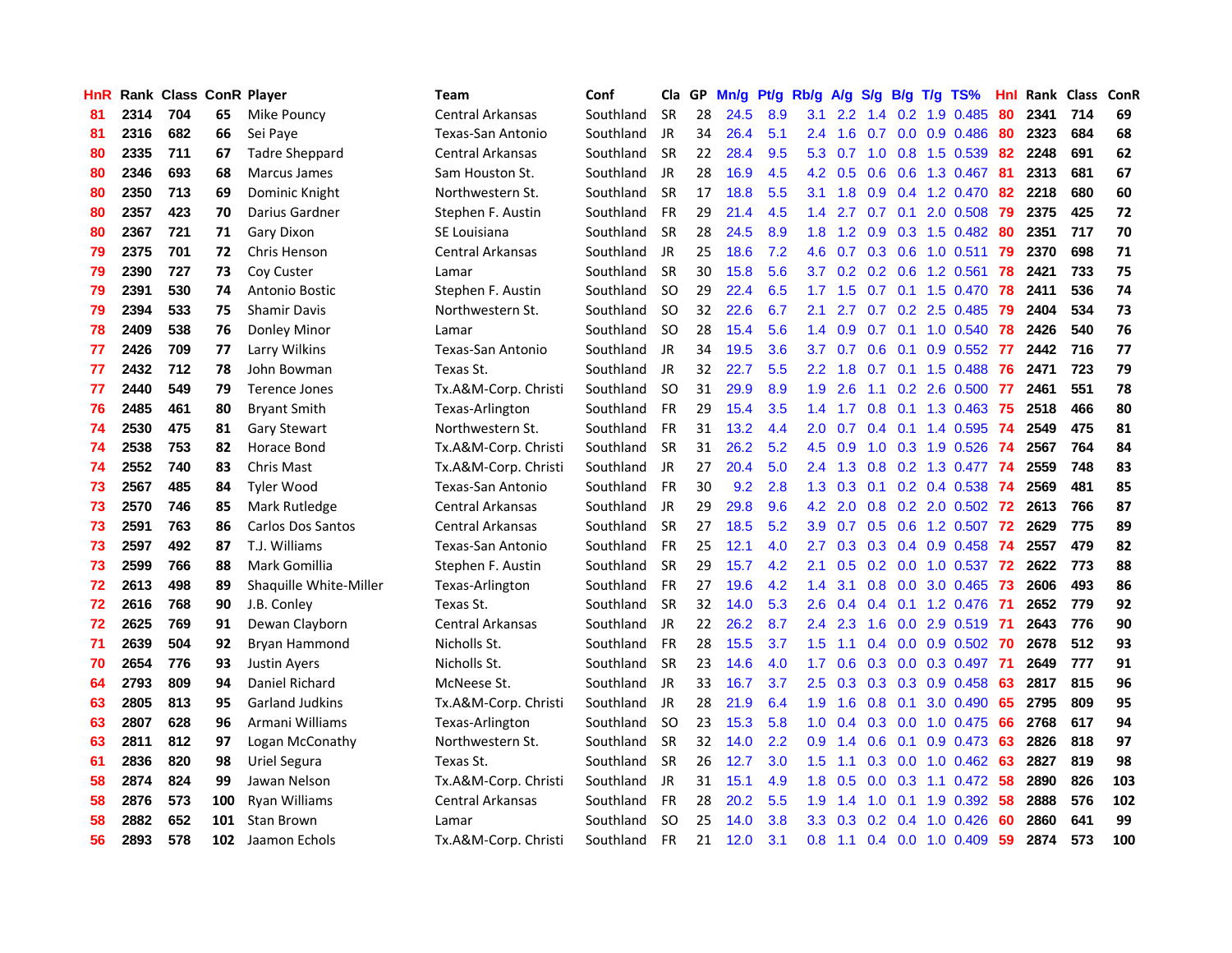| <b>HnR</b> |      |     |     | Rank Class ConR Player   | Team                    | Conf      | Cla       |    | GP Mn/g Pt/g |     | Rb/g A/g         |                 |     |                 | S/g B/g T/g TS%              | Hnl |      | Rank Class | ConR |
|------------|------|-----|-----|--------------------------|-------------------------|-----------|-----------|----|--------------|-----|------------------|-----------------|-----|-----------------|------------------------------|-----|------|------------|------|
| 81         | 2314 | 704 | 65  | Mike Pouncy              | <b>Central Arkansas</b> | Southland | <b>SR</b> | 28 | 24.5         | 8.9 | 3.1              | $2.2^{\circ}$   | 1.4 | 0.2             | 1.9 0.485                    | 80  | 2341 | 714        | 69   |
| 81         | 2316 | 682 | 66  | Sei Paye                 | Texas-San Antonio       | Southland | JR        | 34 | 26.4         | 5.1 | $2.4^{\circ}$    | 1.6             | 0.7 | 0.0             | 0.9 0.486                    | 80  | 2323 | 684        | 68   |
| 80         | 2335 | 711 | 67  | <b>Tadre Sheppard</b>    | Central Arkansas        | Southland | <b>SR</b> | 22 | 28.4         | 9.5 | 5.3              | 0.7             | 1.0 | 0.8             | 1.5 0.539                    | 82  | 2248 | 691        | 62   |
| 80         | 2346 | 693 | 68  | Marcus James             | Sam Houston St.         | Southland | JR        | 28 | 16.9         | 4.5 |                  | $4.2 \quad 0.5$ | 0.6 | 0.6             | 1.3 0.467                    | -81 | 2313 | 681        | 67   |
| 80         | 2350 | 713 | 69  | Dominic Knight           | Northwestern St.        | Southland | <b>SR</b> | 17 | 18.8         | 5.5 | 3.1              | 1.8             |     |                 | 0.9 0.4 1.2 0.470 82         |     | 2218 | 680        | 60   |
| 80         | 2357 | 423 | 70  | Darius Gardner           | Stephen F. Austin       | Southland | <b>FR</b> | 29 | 21.4         | 4.5 |                  | $1.4$ 2.7       |     | $0.7 \quad 0.1$ | 2.0 0.508                    | -79 | 2375 | 425        | 72   |
| 80         | 2367 | 721 | 71  | Gary Dixon               | SE Louisiana            | Southland | <b>SR</b> | 28 | 24.5         | 8.9 |                  | $1.8$ 1.2       |     |                 | $0.9$ $0.3$ 1.5 $0.482$      | -80 | 2351 | 717        | 70   |
| 79         | 2375 | 701 | 72  | Chris Henson             | <b>Central Arkansas</b> | Southland | JR        | 25 | 18.6         | 7.2 | 4.6              | 0.7             |     |                 | $0.3$ 0.6 1.0 0.511          | 79  | 2370 | 698        | 71   |
| 79         | 2390 | 727 | 73  | Coy Custer               | Lamar                   | Southland | <b>SR</b> | 30 | 15.8         | 5.6 | 3.7              | 0.2             |     |                 | 0.2 0.6 1.2 0.561            | 78  | 2421 | 733        | 75   |
| 79         | 2391 | 530 | 74  | Antonio Bostic           | Stephen F. Austin       | Southland | <b>SO</b> | 29 | 22.4         | 6.5 | 1.7              | 1.5             |     |                 | $0.7$ 0.1 1.5 0.470          | 78  | 2411 | 536        | 74   |
| 79         | 2394 | 533 | 75  | <b>Shamir Davis</b>      | Northwestern St.        | Southland | <b>SO</b> | 32 | 22.6         | 6.7 | 2.1              | 2.7             |     |                 | $0.7$ $0.2$ $2.5$ $0.485$    | 79  | 2404 | 534        | 73   |
| 78         | 2409 | 538 | 76  | Donley Minor             | Lamar                   | Southland | SO.       | 28 | 15.4         | 5.6 | $1.4^{\circ}$    | 0.9             | 0.7 |                 | 0.1 1.0 0.540                | 78  | 2426 | 540        | 76   |
| 77         | 2426 | 709 | 77  | Larry Wilkins            | Texas-San Antonio       | Southland | JR        | 34 | 19.5         | 3.6 | 3.7              | 0.7             | 0.6 | 0.1             | 0.9 0.552                    | 77  | 2442 | 716        | 77   |
| 77         | 2432 | 712 | 78  | John Bowman              | Texas St.               | Southland | JR        | 32 | 22.7         | 5.5 | $2.2^{\circ}$    | 1.8             | 0.7 |                 | $0.1$ 1.5 0.488              | 76  | 2471 | 723        | 79   |
| 77         | 2440 | 549 | 79  | Terence Jones            | Tx.A&M-Corp. Christi    | Southland | -SO       | 31 | 29.9         | 8.9 | 1.9              | 2.6             | 1.1 | 0.2             | 2.6 0.500                    | 77  | 2461 | 551        | 78   |
| 76         | 2485 | 461 | 80  | <b>Bryant Smith</b>      | Texas-Arlington         | Southland | <b>FR</b> | 29 | 15.4         | 3.5 | 1.4              | 1.7             | 0.8 | 0.1             | 1.3 0.463                    | 75  | 2518 | 466        | 80   |
| 74         | 2530 | 475 | 81  | <b>Gary Stewart</b>      | Northwestern St.        | Southland | <b>FR</b> | 31 | 13.2         | 4.4 | 2.0              | 0.7             | 0.4 | 0.1             | 1.4 0.595                    | -74 | 2549 | 475        | 81   |
| 74         | 2538 | 753 | 82  | Horace Bond              | Tx.A&M-Corp. Christi    | Southland | <b>SR</b> | 31 | 26.2         | 5.2 | 4.5              | 0.9             | 1.0 |                 | 0.3 1.9 0.526                | -74 | 2567 | 764        | 84   |
| 74         | 2552 | 740 | 83  | <b>Chris Mast</b>        | Tx.A&M-Corp. Christi    | Southland | JR        | 27 | 20.4         | 5.0 |                  |                 |     |                 | 2.4 1.3 0.8 0.2 1.3 0.477 74 |     | 2559 | 748        | 83   |
| 73         | 2567 | 485 | 84  | <b>Tyler Wood</b>        | Texas-San Antonio       | Southland | <b>FR</b> | 30 | 9.2          | 2.8 |                  | $1.3 \quad 0.3$ |     |                 | 0.1 0.2 0.4 0.538 74         |     | 2569 | 481        | 85   |
| 73         | 2570 | 746 | 85  | Mark Rutledge            | <b>Central Arkansas</b> | Southland | JR        | 29 | 29.8         | 9.6 | 4.2              | 2.0             |     |                 | 0.8 0.2 2.0 0.502 72         |     | 2613 | 766        | 87   |
| 73         | 2591 | 763 | 86  | <b>Carlos Dos Santos</b> | Central Arkansas        | Southland | <b>SR</b> | 27 | 18.5         | 5.2 | 3.9              | 0.7             |     |                 | 0.5 0.6 1.2 0.507 72         |     | 2629 | 775        | 89   |
| 73         | 2597 | 492 | 87  | T.J. Williams            | Texas-San Antonio       | Southland | <b>FR</b> | 25 | 12.1         | 4.0 | 2.7              | 0.3             |     |                 | $0.3$ 0.4 0.9 0.458          | 74  | 2557 | 479        | 82   |
| 73         | 2599 | 766 | 88  | Mark Gomillia            | Stephen F. Austin       | Southland | <b>SR</b> | 29 | 15.7         | 4.2 | 2.1              | 0.5             |     | $0.2 \quad 0.0$ | 1.0 0.537                    | -72 | 2622 | 773        | 88   |
| 72         | 2613 | 498 | 89  | Shaquille White-Miller   | Texas-Arlington         | Southland | <b>FR</b> | 27 | 19.6         | 4.2 | 1.4              | 3.1             | 0.8 |                 | $0.0$ 3.0 $0.465$            | 73  | 2606 | 493        | 86   |
| 72         | 2616 | 768 | 90  | J.B. Conley              | Texas St.               | Southland | <b>SR</b> | 32 | 14.0         | 5.3 | 2.6              | 0.4             | 0.4 | 0.1             | 1.2 0.476                    | -71 | 2652 | 779        | 92   |
| 72         | 2625 | 769 | 91  | Dewan Clayborn           | Central Arkansas        | Southland | JR        | 22 | 26.2         | 8.7 | 2.4              | 2.3             | 1.6 | 0.0             | 2.9 0.519                    | -71 | 2643 | 776        | 90   |
| 71         | 2639 | 504 | 92  | Bryan Hammond            | Nicholls St.            | Southland | <b>FR</b> | 28 | 15.5         | 3.7 | 1.5              | 1.1             | 0.4 | 0.0             | $0.9$ $0.502$                | -70 | 2678 | 512        | 93   |
| 70         | 2654 | 776 | 93  | <b>Justin Ayers</b>      | Nicholls St.            | Southland | <b>SR</b> | 23 | 14.6         | 4.0 | 1.7              | 0.6             | 0.3 | 0.0             | 0.3 0.497                    | -71 | 2649 | 777        | 91   |
| 64         | 2793 | 809 | 94  | Daniel Richard           | McNeese St.             | Southland | JR        | 33 | 16.7         | 3.7 | 2.5              | 0.3             |     | $0.3$ 0.3       | $0.9$ $0.458$                | 63  | 2817 | 815        | 96   |
| 63         | 2805 | 813 | 95  | <b>Garland Judkins</b>   | Tx.A&M-Corp. Christi    | Southland | JR        | 28 | 21.9         | 6.4 | 1.9              | 1.6             | 0.8 | 0.1             | 3.0 0.490                    | 65  | 2795 | 809        | 95   |
| 63         | 2807 | 628 | 96  | Armani Williams          | Texas-Arlington         | Southland | <b>SO</b> | 23 | 15.3         | 5.8 | 1.0 <sub>1</sub> | 0.4             |     | $0.3\ 0.0$      | 1.0 0.475                    | 66  | 2768 | 617        | 94   |
| 63         | 2811 | 812 | 97  | Logan McConathy          | Northwestern St.        | Southland | <b>SR</b> | 32 | 14.0         | 2.2 | 0.9 <sup>°</sup> | 1.4             | 0.6 | 0.1             | 0.9 0.473                    | -63 | 2826 | 818        | 97   |
| 61         | 2836 | 820 | 98  | Uriel Segura             | Texas St.               | Southland | <b>SR</b> | 26 | 12.7         | 3.0 | 1.5 <sub>1</sub> | 1.1             |     |                 | $0.3$ 0.0 1.0 0.462 63       |     | 2827 | 819        | 98   |
| 58         | 2874 | 824 | 99  | Jawan Nelson             | Tx.A&M-Corp. Christi    | Southland | JR        | 31 | 15.1         | 4.9 | 1.8              | 0.5             | 0.0 |                 | $0.3$ 1.1 $0.472$            | -58 | 2890 | 826        | 103  |
| 58         | 2876 | 573 | 100 | Ryan Williams            | <b>Central Arkansas</b> | Southland | FR        | 28 | 20.2         | 5.5 | 1.9              | 1.4             | 1.0 | 0.1             | 1.9 0.392                    | 58  | 2888 | 576        | 102  |
| 58         | 2882 | 652 | 101 | Stan Brown               | Lamar                   | Southland | <b>SO</b> | 25 | 14.0         | 3.8 | 3.3 <sub>2</sub> | 0.3             | 0.2 | 0.4             | $1.0 \t0.426$                | 60  | 2860 | 641        | 99   |
| 56         | 2893 | 578 | 102 | Jaamon Echols            | Tx.A&M-Corp. Christi    | Southland | <b>FR</b> | 21 | 12.0         | 3.1 | 0.8              | 1.1             |     |                 | $0.4$ 0.0 1.0 0.409          | 59  | 2874 | 573        | 100  |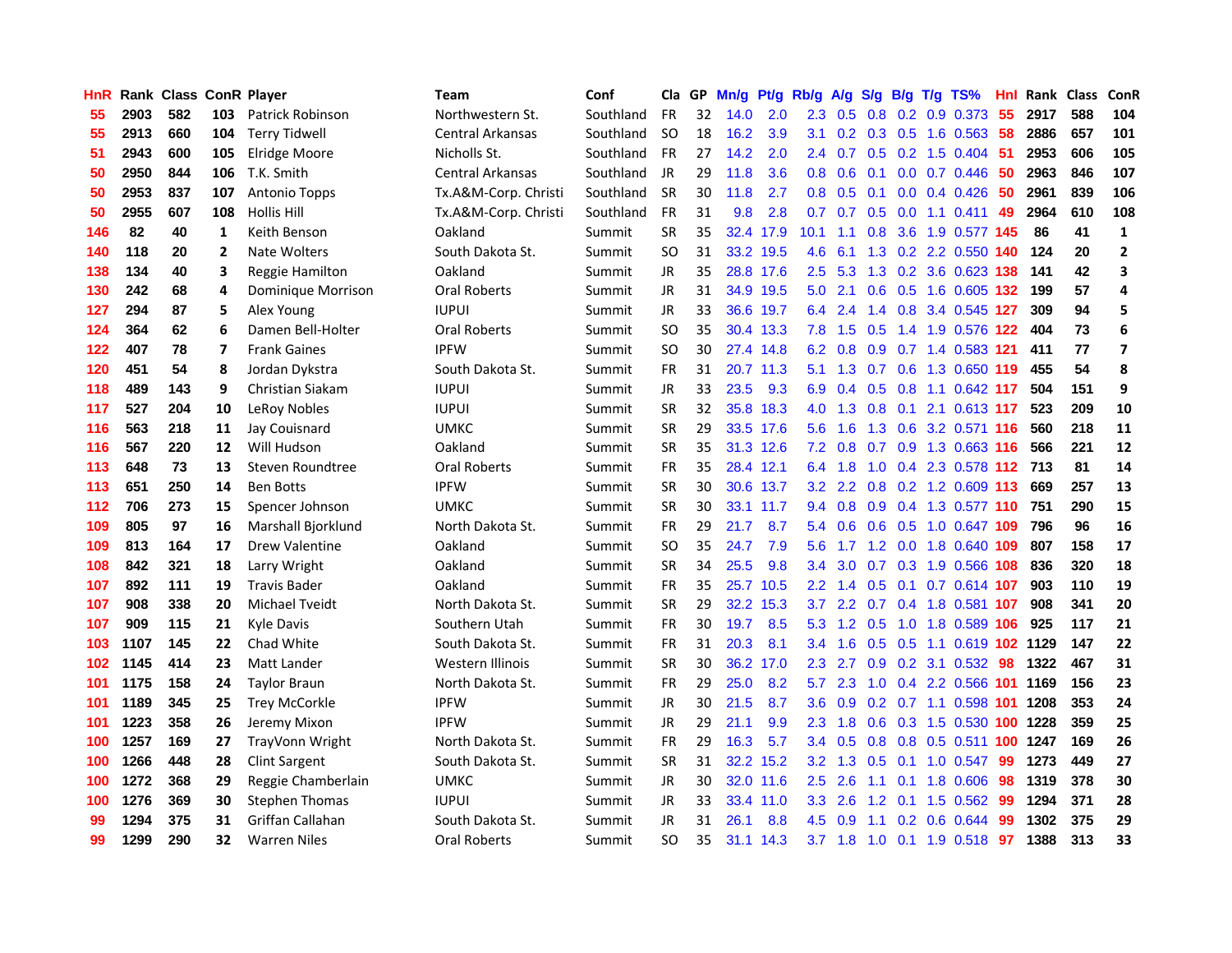| <b>HnR</b> |      | Rank Class ConR Player |                |                         | Team                    | Conf      | Cla       |    | GP Mn/g |           | Pt/g Rb/g A/g    |                 | <b>S/g</b>      |                   | B/g T/g TS%                        | Hnl | Rank Class |     | <b>ConR</b>             |
|------------|------|------------------------|----------------|-------------------------|-------------------------|-----------|-----------|----|---------|-----------|------------------|-----------------|-----------------|-------------------|------------------------------------|-----|------------|-----|-------------------------|
| 55         | 2903 | 582                    | 103            | <b>Patrick Robinson</b> | Northwestern St.        | Southland | FR.       | 32 | 14.0    | 2.0       | $2.3^{\circ}$    | 0.5             | 0.8             | 0.2               | 0.9 0.373                          | 55  | 2917       | 588 | 104                     |
| 55         | 2913 | 660                    | 104            | <b>Terry Tidwell</b>    | Central Arkansas        | Southland | SO.       | 18 | 16.2    | 3.9       | 3.1              |                 | $0.2 \quad 0.3$ | 0.5               | 1.6 0.563                          | -58 | 2886       | 657 | 101                     |
| 51         | 2943 | 600                    | 105            | Elridge Moore           | Nicholls St.            | Southland | <b>FR</b> | 27 | 14.2    | 2.0       | $2.4^{\circ}$    | 0.7             | 0.5             | 0.2               | 1.5 0.404                          | -51 | 2953       | 606 | 105                     |
| 50         | 2950 | 844                    | 106            | T.K. Smith              | <b>Central Arkansas</b> | Southland | JR        | 29 | 11.8    | 3.6       | 0.8 <sub>0</sub> | 0.6             | 0.1             |                   | $0.0$ $0.7$ $0.446$                | 50  | 2963       | 846 | 107                     |
| 50         | 2953 | 837                    | 107            | <b>Antonio Topps</b>    | Tx.A&M-Corp. Christi    | Southland | <b>SR</b> | 30 | 11.8    | 2.7       | 0.8 <sub>0</sub> |                 |                 |                   | 0.5 0.1 0.0 0.4 0.426              | -50 | 2961       | 839 | 106                     |
| 50         | 2955 | 607                    | 108            | <b>Hollis Hill</b>      | Tx.A&M-Corp. Christi    | Southland | <b>FR</b> | 31 | 9.8     | 2.8       |                  |                 |                 |                   | 0.7 0.7 0.5 0.0 1.1 0.411 49       |     | 2964       | 610 | 108                     |
| 146        | 82   | 40                     | $\mathbf{1}$   | Keith Benson            | Oakland                 | Summit    | SR        | 35 |         | 32.4 17.9 | 10.1             | 1.1             | 0.8             |                   | 3.6 1.9 0.577 145                  |     | 86         | 41  | $\mathbf{1}$            |
| 140        | 118  | 20                     | $\overline{2}$ | Nate Wolters            | South Dakota St.        | Summit    | SO        | 31 |         | 33.2 19.5 | 4.6              | 6.1             |                 |                   | 1.3 0.2 2.2 0.550 140              |     | 124        | 20  | $\mathbf{2}$            |
| 138        | 134  | 40                     | 3              | Reggie Hamilton         | Oakland                 | Summit    | <b>JR</b> | 35 |         | 28.8 17.6 | 2.5              | 5.3             |                 |                   | 1.3 0.2 3.6 0.623 138              |     | 141        | 42  | 3                       |
| 130        | 242  | 68                     | 4              | Dominique Morrison      | <b>Oral Roberts</b>     | Summit    | JR.       | 31 |         | 34.9 19.5 | 5.0              | 2.1             | 0.6             |                   | 0.5 1.6 0.605 132                  |     | 199        | 57  | 4                       |
| 127        | 294  | 87                     | 5              | Alex Young              | <b>IUPUI</b>            | Summit    | JR.       | 33 |         | 36.6 19.7 | 6.4              | 2.4             | 1.4             |                   | 0.8 3.4 0.545 127                  |     | 309        | 94  | 5                       |
| 124        | 364  | 62                     | 6              | Damen Bell-Holter       | Oral Roberts            | Summit    | SO        | 35 |         | 30.4 13.3 | 7.8              | 1.5             | 0.5             |                   | 1.4 1.9 0.576 122                  |     | 404        | 73  | 6                       |
| 122        | 407  | 78                     | $\overline{ }$ | <b>Frank Gaines</b>     | <b>IPFW</b>             | Summit    | SO        | 30 |         | 27.4 14.8 |                  | $6.2 \quad 0.8$ |                 |                   | 0.9 0.7 1.4 0.583 121              |     | 411        | 77  | $\overline{\mathbf{z}}$ |
| 120        | 451  | 54                     | 8              | Jordan Dykstra          | South Dakota St.        | Summit    | <b>FR</b> | 31 |         | 20.7 11.3 | 5.1              | 1.3             | 0.7             | 0.6               | 1.3 0.650 119                      |     | 455        | 54  | 8                       |
| 118        | 489  | 143                    | 9              | Christian Siakam        | <b>IUPUI</b>            | Summit    | JR.       | 33 | 23.5    | 9.3       | 6.9              | 0.4             | 0.5             | 0.8               | 1.1 0.642 117                      |     | 504        | 151 | 9                       |
| 117        | 527  | 204                    | 10             | LeRoy Nobles            | <b>IUPUI</b>            | Summit    | SR        | 32 |         | 35.8 18.3 | 4.0              | 1.3             | 0.8             | 0.1               | 2.1 0.613 117                      |     | 523        | 209 | 10                      |
| 116        | 563  | 218                    | 11             | Jay Couisnard           | <b>UMKC</b>             | Summit    | <b>SR</b> | 29 |         | 33.5 17.6 | 5.6              | 1.6             | 1.3             | 0.6               | 3.2 0.571 116                      |     | 560        | 218 | 11                      |
| 116        | 567  | 220                    | 12             | Will Hudson             | Oakland                 | Summit    | <b>SR</b> | 35 |         | 31.3 12.6 |                  | $7.2 \quad 0.8$ |                 |                   | 0.7 0.9 1.3 0.663 116              |     | 566        | 221 | 12                      |
| 113        | 648  | 73                     | 13             | Steven Roundtree        | <b>Oral Roberts</b>     | Summit    | <b>FR</b> | 35 |         | 28.4 12.1 |                  | 6.4 1.8         |                 |                   | 1.0 0.4 2.3 0.578 112 713          |     |            | 81  | 14                      |
| 113        | 651  | 250                    | 14             | <b>Ben Botts</b>        | <b>IPFW</b>             | Summit    | SR        | 30 |         | 30.6 13.7 |                  |                 |                 |                   | 3.2 2.2 0.8 0.2 1.2 0.609 113      |     | 669        | 257 | 13                      |
| 112        | 706  | 273                    | 15             | Spencer Johnson         | <b>UMKC</b>             | Summit    | <b>SR</b> | 30 |         | 33.1 11.7 |                  |                 |                 |                   | 9.4 0.8 0.9 0.4 1.3 0.577 110      |     | 751        | 290 | 15                      |
| 109        | 805  | 97                     | 16             | Marshall Bjorklund      | North Dakota St.        | Summit    | <b>FR</b> | 29 | 21.7    | 8.7       |                  | 5.4 0.6         |                 |                   | 0.6 0.5 1.0 0.647 109              |     | 796        | 96  | 16                      |
| 109        | 813  | 164                    | 17             | <b>Drew Valentine</b>   | Oakland                 | Summit    | <b>SO</b> | 35 | 24.7    | 7.9       | 5.6              | 1.7             |                 |                   | 1.2 0.0 1.8 0.640 109              |     | 807        | 158 | 17                      |
| 108        | 842  | 321                    | 18             | Larry Wright            | Oakland                 | Summit    | <b>SR</b> | 34 | 25.5    | 9.8       | $3.4^{\circ}$    | 3.0             |                 |                   | 0.7 0.3 1.9 0.566 108              |     | 836        | 320 | 18                      |
| 107        | 892  | 111                    | 19             | <b>Travis Bader</b>     | Oakland                 | Summit    | FR        | 35 |         | 25.7 10.5 |                  | $2.2 \quad 1.4$ | 0.5             | 0.1               | 0.7 0.614 107                      |     | 903        | 110 | 19                      |
| 107        | 908  | 338                    | 20             | Michael Tveidt          | North Dakota St.        | Summit    | <b>SR</b> | 29 |         | 32.2 15.3 | 3.7              |                 |                 |                   | 2.2 0.7 0.4 1.8 0.581 107          |     | 908        | 341 | 20                      |
| 107        | 909  | 115                    | 21             | <b>Kyle Davis</b>       | Southern Utah           | Summit    | <b>FR</b> | 30 | 19.7    | 8.5       | 5.3              | 1.2             | 0.5             | 1.0               | 1.8 0.589 106                      |     | 925        | 117 | 21                      |
| 103        | 1107 | 145                    | 22             | Chad White              | South Dakota St.        | Summit    | <b>FR</b> | 31 | 20.3    | 8.1       | $3.4^{\circ}$    | 1.6             | 0.5             | 0.5               | 1.1 0.619 102 1129                 |     |            | 147 | 22                      |
| 102        | 1145 | 414                    | 23             | Matt Lander             | Western Illinois        | Summit    | SR        | 30 |         | 36.2 17.0 | $2.3^{\circ}$    | 2.7             | 0.9             | 0.2               | 3.1 0.532                          | 98  | 1322       | 467 | 31                      |
| 101        | 1175 | 158                    | 24             | <b>Taylor Braun</b>     | North Dakota St.        | Summit    | <b>FR</b> | 29 | 25.0    | 8.2       | 5.7              | 2.3             | 1.0             |                   | 0.4 2.2 0.566 101                  |     | 1169       | 156 | 23                      |
| 101        | 1189 | 345                    | 25             | <b>Trey McCorkle</b>    | <b>IPFW</b>             | Summit    | JR        | 30 | 21.5    | 8.7       | 3.6 <sup>°</sup> | 0.9             |                 |                   | 0.2 0.7 1.1 0.598 101              |     | 1208       | 353 | 24                      |
| 101        | 1223 | 358                    | 26             | Jeremy Mixon            | <b>IPFW</b>             | Summit    | JR.       | 29 | 21.1    | 9.9       | $2.3^{\circ}$    | 1.8             |                 |                   | 0.6 0.3 1.5 0.530 100 1228         |     |            | 359 | 25                      |
| 100        | 1257 | 169                    | 27             | TrayVonn Wright         | North Dakota St.        | Summit    | <b>FR</b> | 29 | 16.3    | 5.7       |                  |                 |                 |                   | 3.4 0.5 0.8 0.8 0.5 0.511 100 1247 |     |            | 169 | 26                      |
| 100        | 1266 | 448                    | 28             | <b>Clint Sargent</b>    | South Dakota St.        | Summit    | <b>SR</b> | 31 |         | 32.2 15.2 |                  |                 |                 | $3.2$ 1.3 0.5 0.1 | 1.0 0.547                          | -99 | 1273       | 449 | 27                      |
| 100        | 1272 | 368                    | 29             | Reggie Chamberlain      | <b>UMKC</b>             | Summit    | JR        | 30 |         | 32.0 11.6 | 2.5              | 2.6             | 1.1             |                   | $0.1$ 1.8 $0.606$                  | 98  | 1319       | 378 | 30                      |
| 100        | 1276 | 369                    | 30             | <b>Stephen Thomas</b>   | <b>IUPUI</b>            | Summit    | JR        | 33 |         | 33.4 11.0 | 3.3 <sub>1</sub> | 2.6             | 1.2             | 0.1               | 1.5 0.562                          | 99  | 1294       | 371 | 28                      |
| 99         | 1294 | 375                    | 31             | Griffan Callahan        | South Dakota St.        | Summit    | JR.       | 31 | 26.1    | 8.8       | 4.5              | 0.9             | 1.1             | 0.2               | 0.6 0.644                          | 99  | 1302       | 375 | 29                      |
| 99         | 1299 | 290                    | 32             | <b>Warren Niles</b>     | <b>Oral Roberts</b>     | Summit    | SO        | 35 |         | 31.1 14.3 |                  |                 |                 |                   | 3.7 1.8 1.0 0.1 1.9 0.518          | -97 | 1388       | 313 | 33                      |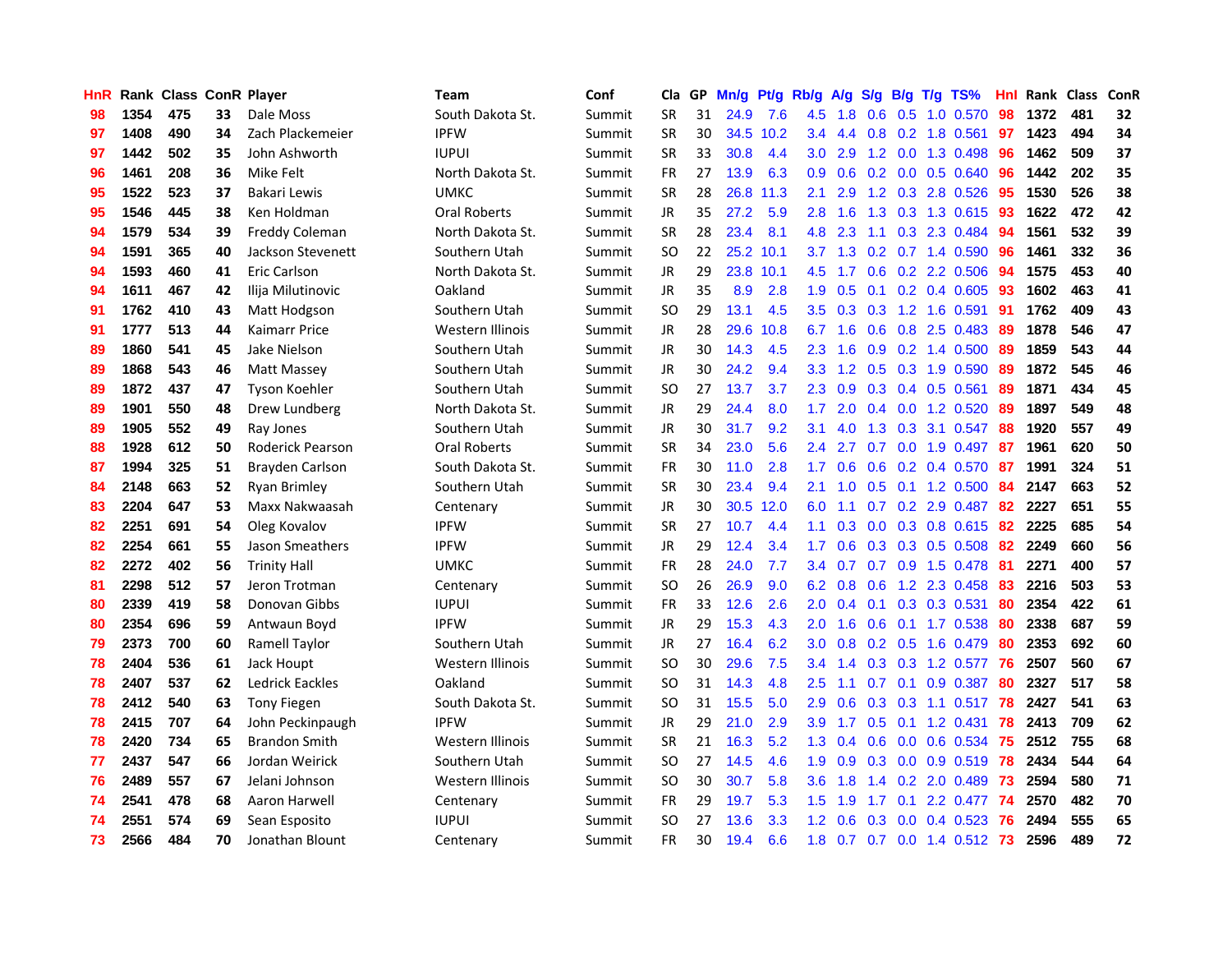| HnR |      | Rank Class ConR Player |    |                         | <b>Team</b>         | Conf   | Cla       |    | GP Mn/g | Pt/g      | Rb/g             | A/g             |     |                 | S/g B/g T/g TS%           | Hnl | Rank Class |     | ConR |
|-----|------|------------------------|----|-------------------------|---------------------|--------|-----------|----|---------|-----------|------------------|-----------------|-----|-----------------|---------------------------|-----|------------|-----|------|
| 98  | 1354 | 475                    | 33 | Dale Moss               | South Dakota St.    | Summit | <b>SR</b> | 31 | 24.9    | 7.6       | 4.5              | 1.8             | 0.6 | 0.5             | 1.0 0.570                 | 98  | 1372       | 481 | 32   |
| 97  | 1408 | 490                    | 34 | Zach Plackemeier        | <b>IPFW</b>         | Summit | <b>SR</b> | 30 | 34.5    | 10.2      | 3.4              | 4.4             | 0.8 | 0.2             | 1.8 0.561                 | 97  | 1423       | 494 | 34   |
| 97  | 1442 | 502                    | 35 | John Ashworth           | <b>IUPUI</b>        | Summit | <b>SR</b> | 33 | 30.8    | 4.4       | 3.0              | 2.9             |     | $1.2 \quad 0.0$ | 1.3 0.498                 | 96  | 1462       | 509 | 37   |
| 96  | 1461 | 208                    | 36 | Mike Felt               | North Dakota St.    | Summit | FR        | 27 | 13.9    | 6.3       | 0.9 <sub>0</sub> | 0.6             |     |                 | 0.2 0.0 0.5 0.640         | -96 | 1442       | 202 | 35   |
| 95  | 1522 | 523                    | 37 | Bakari Lewis            | <b>UMKC</b>         | Summit | <b>SR</b> | 28 |         | 26.8 11.3 | 2.1              | 2.9             |     |                 | 1.2 0.3 2.8 0.526         | -95 | 1530       | 526 | 38   |
| 95  | 1546 | 445                    | 38 | Ken Holdman             | Oral Roberts        | Summit | JR        | 35 | 27.2    | 5.9       | 2.8              | 1.6             |     |                 | 1.3 0.3 1.3 0.615         | -93 | 1622       | 472 | 42   |
| 94  | 1579 | 534                    | 39 | Freddy Coleman          | North Dakota St.    | Summit | <b>SR</b> | 28 | 23.4    | 8.1       |                  | 4.8 2.3         |     |                 | 1.1 0.3 2.3 0.484         | -94 | 1561       | 532 | 39   |
| 94  | 1591 | 365                    | 40 | Jackson Stevenett       | Southern Utah       | Summit | <b>SO</b> | 22 |         | 25.2 10.1 | 3.7              | 1.3             |     |                 | 0.2 0.7 1.4 0.590         | 96  | 1461       | 332 | 36   |
| 94  | 1593 | 460                    | 41 | Eric Carlson            | North Dakota St.    | Summit | JR        | 29 |         | 23.8 10.1 | 4.5              | 1.7             |     |                 | 0.6 0.2 2.2 0.506         | 94  | 1575       | 453 | 40   |
| 94  | 1611 | 467                    | 42 | Ilija Milutinovic       | Oakland             | Summit | JR        | 35 | 8.9     | 2.8       | 1.9              | 0.5             |     |                 | $0.1$ $0.2$ $0.4$ $0.605$ | 93  | 1602       | 463 | 41   |
| 91  | 1762 | 410                    | 43 | Matt Hodgson            | Southern Utah       | Summit | <b>SO</b> | 29 | 13.1    | 4.5       | $3.5\,$          | 0.3             | 0.3 |                 | 1.2 1.6 0.591             | -91 | 1762       | 409 | 43   |
| 91  | 1777 | 513                    | 44 | Kaimarr Price           | Western Illinois    | Summit | JR        | 28 | 29.6    | 10.8      | 6.7              | 1.6             |     |                 | 0.6 0.8 2.5 0.483         | 89  | 1878       | 546 | 47   |
| 89  | 1860 | 541                    | 45 | Jake Nielson            | Southern Utah       | Summit | JR        | 30 | 14.3    | 4.5       | 2.3              | 1.6             | 0.9 |                 | 0.2 1.4 0.500             | -89 | 1859       | 543 | 44   |
| 89  | 1868 | 543                    | 46 | Matt Massey             | Southern Utah       | Summit | <b>JR</b> | 30 | 24.2    | 9.4       | 3.3 <sub>2</sub> | 1.2             | 0.5 |                 | 0.3 1.9 0.590             | 89  | 1872       | 545 | 46   |
| 89  | 1872 | 437                    | 47 | <b>Tyson Koehler</b>    | Southern Utah       | Summit | <b>SO</b> | 27 | 13.7    | 3.7       | $2.3\phantom{0}$ | 0.9             |     | $0.3 \quad 0.4$ | 0.5 0.561                 | 89  | 1871       | 434 | 45   |
| 89  | 1901 | 550                    | 48 | Drew Lundberg           | North Dakota St.    | Summit | JR.       | 29 | 24.4    | 8.0       | 1.7 <sub>2</sub> | 2.0             |     | $0.4\quad 0.0$  | 1.2 0.520                 | -89 | 1897       | 549 | 48   |
| 89  | 1905 | 552                    | 49 | Ray Jones               | Southern Utah       | Summit | JR        | 30 | 31.7    | 9.2       | 3.1              | 4.0             |     |                 | 1.3 0.3 3.1 0.547         | -88 | 1920       | 557 | 49   |
| 88  | 1928 | 612                    | 50 | <b>Roderick Pearson</b> | <b>Oral Roberts</b> | Summit | <b>SR</b> | 34 | 23.0    | 5.6       | $2.4^{\circ}$    | 2.7             |     |                 | 0.7 0.0 1.9 0.497 87      |     | 1961       | 620 | 50   |
| 87  | 1994 | 325                    | 51 | Brayden Carlson         | South Dakota St.    | Summit | <b>FR</b> | 30 | 11.0    | 2.8       |                  | $1.7 \quad 0.6$ |     |                 | 0.6 0.2 0.4 0.570 87      |     | 1991       | 324 | 51   |
| 84  | 2148 | 663                    | 52 | Ryan Brimley            | Southern Utah       | Summit | <b>SR</b> | 30 | 23.4    | 9.4       | 2.1              | 1.0             |     |                 | $0.5$ 0.1 1.2 0.500       | -84 | 2147       | 663 | 52   |
| 83  | 2204 | 647                    | 53 | Maxx Nakwaasah          | Centenary           | Summit | <b>JR</b> | 30 |         | 30.5 12.0 | 6.0              | 1.1             |     |                 | $0.7$ $0.2$ $2.9$ $0.487$ | 82  | 2227       | 651 | 55   |
| 82  | 2251 | 691                    | 54 | Oleg Kovalov            | <b>IPFW</b>         | Summit | <b>SR</b> | 27 | 10.7    | 4.4       | 1.1              | 0.3             |     |                 | $0.0$ $0.3$ $0.8$ $0.615$ | 82  | 2225       | 685 | 54   |
| 82  | 2254 | 661                    | 55 | Jason Smeathers         | <b>IPFW</b>         | Summit | <b>JR</b> | 29 | 12.4    | 3.4       | 1.7              | 0.6             |     |                 | $0.3$ $0.3$ $0.5$ $0.508$ | 82  | 2249       | 660 | 56   |
| 82  | 2272 | 402                    | 56 | <b>Trinity Hall</b>     | <b>UMKC</b>         | Summit | <b>FR</b> | 28 | 24.0    | 7.7       | $3.4^{\circ}$    | 0.7             |     |                 | $0.7$ $0.9$ $1.5$ $0.478$ | -81 | 2271       | 400 | 57   |
| 81  | 2298 | 512                    | 57 | Jeron Trotman           | Centenary           | Summit | <b>SO</b> | 26 | 26.9    | 9.0       | 6.2              | 0.8             | 0.6 |                 | 1.2 2.3 0.458             | 83  | 2216       | 503 | 53   |
| 80  | 2339 | 419                    | 58 | Donovan Gibbs           | <b>IUPUI</b>        | Summit | FR        | 33 | 12.6    | 2.6       | 2.0              | 0.4             | 0.1 |                 | 0.3 0.3 0.531             | 80  | 2354       | 422 | 61   |
| 80  | 2354 | 696                    | 59 | Antwaun Boyd            | <b>IPFW</b>         | Summit | JR.       | 29 | 15.3    | 4.3       | 2.0              | 1.6             | 0.6 |                 | $0.1$ 1.7 0.538           | -80 | 2338       | 687 | 59   |
| 79  | 2373 | 700                    | 60 | Ramell Taylor           | Southern Utah       | Summit | JR        | 27 | 16.4    | 6.2       | 3.0              | 0.8             |     | $0.2 \quad 0.5$ | 1.6 0.479                 | 80  | 2353       | 692 | 60   |
| 78  | 2404 | 536                    | 61 | Jack Houpt              | Western Illinois    | Summit | <b>SO</b> | 30 | 29.6    | 7.5       | 3.4              | 1.4             |     | $0.3$ 0.3       | 1.2 0.577                 | 76  | 2507       | 560 | 67   |
| 78  | 2407 | 537                    | 62 | <b>Ledrick Eackles</b>  | Oakland             | Summit | <b>SO</b> | 31 | 14.3    | 4.8       | 2.5              | 1.1             | 0.7 | 0.1             | 0.9 0.387                 | 80  | 2327       | 517 | 58   |
| 78  | 2412 | 540                    | 63 | <b>Tony Fiegen</b>      | South Dakota St.    | Summit | <b>SO</b> | 31 | 15.5    | 5.0       | 2.9              | 0.6             |     |                 | $0.3$ $0.3$ 1.1 $0.517$   | 78  | 2427       | 541 | 63   |
| 78  | 2415 | 707                    | 64 | John Peckinpaugh        | <b>IPFW</b>         | Summit | JR        | 29 | 21.0    | 2.9       |                  | $3.9$ 1.7       |     |                 | $0.5$ $0.1$ 1.2 $0.431$   | 78  | 2413       | 709 | 62   |
| 78  | 2420 | 734                    | 65 | <b>Brandon Smith</b>    | Western Illinois    | Summit | <b>SR</b> | 21 | 16.3    | 5.2       |                  | $1.3 \quad 0.4$ |     |                 | 0.6 0.0 0.6 0.534         | -75 | 2512       | 755 | 68   |
| 77  | 2437 | 547                    | 66 | Jordan Weirick          | Southern Utah       | Summit | <b>SO</b> | 27 | 14.5    | 4.6       | 1.9 <sup>°</sup> | 0.9             |     |                 | $0.3$ 0.0 0.9 0.519       | 78  | 2434       | 544 | 64   |
| 76  | 2489 | 557                    | 67 | Jelani Johnson          | Western Illinois    | Summit | <b>SO</b> | 30 | 30.7    | 5.8       | 3.6              | 1.8             |     |                 | 1.4 0.2 2.0 0.489         | 73  | 2594       | 580 | 71   |
| 74  | 2541 | 478                    | 68 | Aaron Harwell           | Centenary           | Summit | <b>FR</b> | 29 | 19.7    | 5.3       | 1.5              | 1.9             | 1.7 | 0.1             | 2.2 0.477                 | -74 | 2570       | 482 | 70   |
| 74  | 2551 | 574                    | 69 | Sean Esposito           | <b>IUPUI</b>        | Summit | <b>SO</b> | 27 | 13.6    | 3.3       | $1.2^{\circ}$    | 0.6             | 0.3 | 0.0             | 0.4 0.523                 | 76  | 2494       | 555 | 65   |
| 73  | 2566 | 484                    | 70 | Jonathan Blount         | Centenary           | Summit | <b>FR</b> | 30 | 19.4    | 6.6       | 1.8              |                 |     |                 | 0.7 0.7 0.0 1.4 0.512 73  |     | 2596       | 489 | 72   |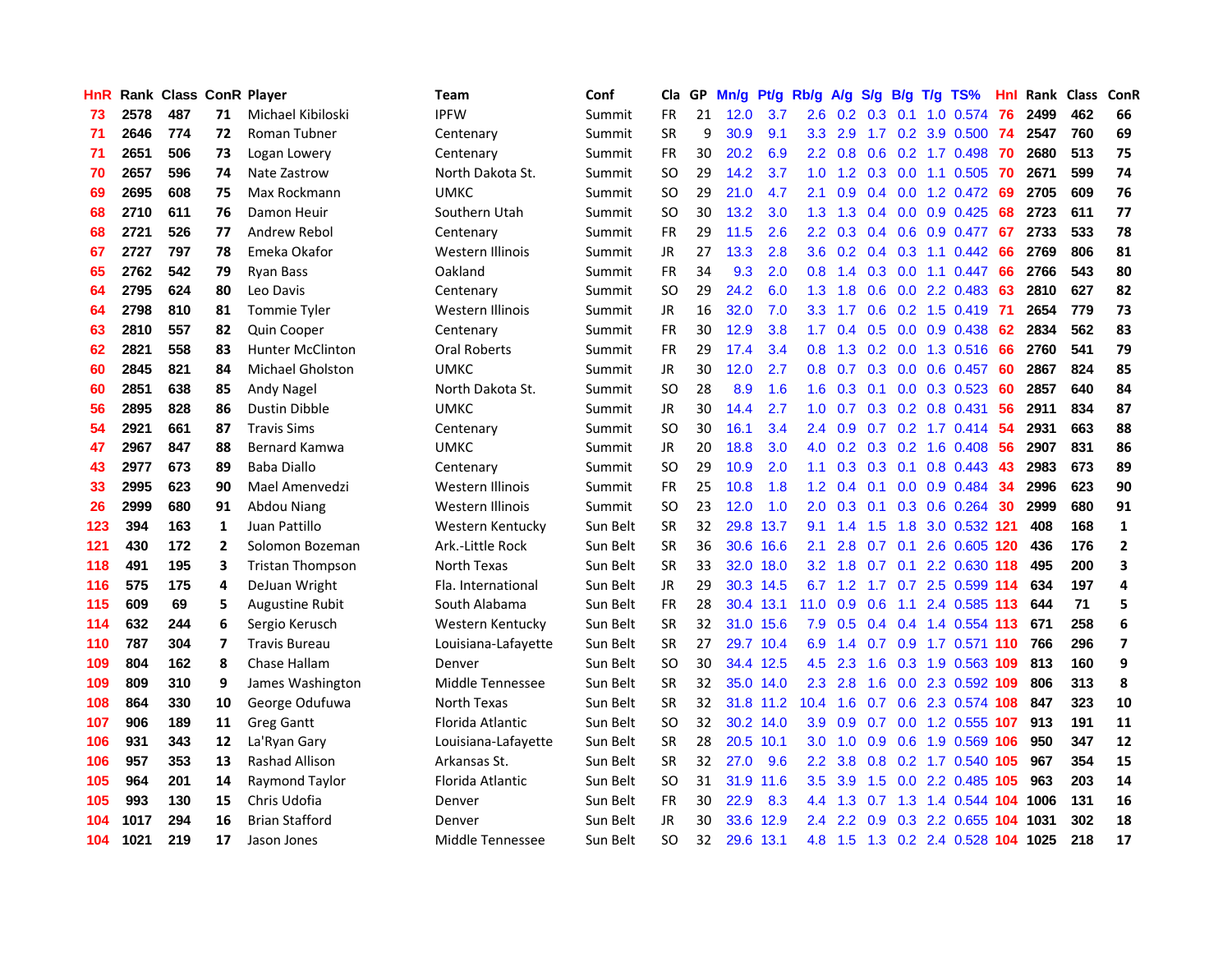| <b>HnR</b> |      | Rank Class ConR Player |                |                         | Team                    | Conf     | Cla       |    | GP Mn/g | Pt/g      | Rb/g             | A/g             |     |                 | S/g B/g T/g TS%            | Hnl | Rank Class |     | ConR                     |
|------------|------|------------------------|----------------|-------------------------|-------------------------|----------|-----------|----|---------|-----------|------------------|-----------------|-----|-----------------|----------------------------|-----|------------|-----|--------------------------|
| 73         | 2578 | 487                    | 71             | Michael Kibiloski       | <b>IPFW</b>             | Summit   | FR        | 21 | 12.0    | 3.7       | 2.6              | 0.2             | 0.3 | 0.1             | 1.0 0.574                  | 76  | 2499       | 462 | 66                       |
| 71         | 2646 | 774                    | 72             | Roman Tubner            | Centenary               | Summit   | <b>SR</b> | 9  | 30.9    | 9.1       | 3.3              | 2.9             | 1.7 | 0.2             | 3.9 0.500                  | -74 | 2547       | 760 | 69                       |
| 71         | 2651 | 506                    | 73             | Logan Lowery            | Centenary               | Summit   | FR        | 30 | 20.2    | 6.9       | $2.2^{\circ}$    | 0.8             | 0.6 |                 | 0.2 1.7 0.498              | -70 | 2680       | 513 | 75                       |
| 70         | 2657 | 596                    | 74             | Nate Zastrow            | North Dakota St.        | Summit   | <b>SO</b> | 29 | 14.2    | 3.7       |                  |                 |     |                 | 1.0 1.2 0.3 0.0 1.1 0.505  | 70  | 2671       | 599 | 74                       |
| 69         | 2695 | 608                    | 75             | Max Rockmann            | UMKC                    | Summit   | SO.       | 29 | 21.0    | 4.7       | 2.1              | 0.9             |     |                 | 0.4 0.0 1.2 0.472 69       |     | 2705       | 609 | 76                       |
| 68         | 2710 | 611                    | 76             | Damon Heuir             | Southern Utah           | Summit   | SO.       | 30 | 13.2    | 3.0       |                  | $1.3$ $1.3$     |     |                 | $0.4$ 0.0 0.9 0.425        | -68 | 2723       | 611 | 77                       |
| 68         | 2721 | 526                    | 77             | Andrew Rebol            | Centenary               | Summit   | <b>FR</b> | 29 | 11.5    | 2.6       | $2.2^{\circ}$    | 0.3             |     |                 | $0.4$ 0.6 0.9 0.477        | -67 | 2733       | 533 | 78                       |
| 67         | 2727 | 797                    | 78             | Emeka Okafor            | Western Illinois        | Summit   | <b>JR</b> | 27 | 13.3    | 2.8       | 3.6              | 0.2             |     |                 | $0.4$ 0.3 1.1 0.442        | 66  | 2769       | 806 | 81                       |
| 65         | 2762 | 542                    | 79             | <b>Ryan Bass</b>        | Oakland                 | Summit   | FR        | 34 | 9.3     | 2.0       | 0.8              | 1.4             |     |                 | 0.3 0.0 1.1 0.447          | 66  | 2766       | 543 | 80                       |
| 64         | 2795 | 624                    | 80             | Leo Davis               | Centenary               | Summit   | <b>SO</b> | 29 | 24.2    | 6.0       | 1.3              | 1.8             | 0.6 |                 | 0.0 2.2 0.483              | 63  | 2810       | 627 | 82                       |
| 64         | 2798 | 810                    | 81             | <b>Tommie Tyler</b>     | Western Illinois        | Summit   | JR        | 16 | 32.0    | 7.0       | 3.3 <sub>1</sub> | 1.7             | 0.6 |                 | $0.2$ 1.5 0.419            | -71 | 2654       | 779 | 73                       |
| 63         | 2810 | 557                    | 82             | <b>Quin Cooper</b>      | Centenary               | Summit   | FR        | 30 | 12.9    | 3.8       | 1.7 <sup>2</sup> | 0.4             | 0.5 |                 | 0.0 0.9 0.438              | 62  | 2834       | 562 | 83                       |
| 62         | 2821 | 558                    | 83             | <b>Hunter McClinton</b> | <b>Oral Roberts</b>     | Summit   | FR        | 29 | 17.4    | 3.4       | 0.8              | 1.3             | 0.2 | 0.0             | 1.3 0.516                  | 66  | 2760       | 541 | 79                       |
| 60         | 2845 | 821                    | 84             | <b>Michael Gholston</b> | <b>UMKC</b>             | Summit   | <b>JR</b> | 30 | 12.0    | 2.7       | 0.8 <sub>0</sub> | 0.7             | 0.3 | 0.0             | 0.6 0.457                  | -60 | 2867       | 824 | 85                       |
| 60         | 2851 | 638                    | 85             | Andy Nagel              | North Dakota St.        | Summit   | SO.       | 28 | 8.9     | 1.6       | 1.6              | 0.3             | 0.1 | 0.0             | 0.3 0.523                  | 60  | 2857       | 640 | 84                       |
| 56         | 2895 | 828                    | 86             | <b>Dustin Dibble</b>    | <b>UMKC</b>             | Summit   | JR        | 30 | 14.4    | 2.7       | 1.0              | 0.7             |     |                 | $0.3$ $0.2$ $0.8$ $0.431$  | 56  | 2911       | 834 | 87                       |
| 54         | 2921 | 661                    | 87             | <b>Travis Sims</b>      | Centenary               | Summit   | <b>SO</b> | 30 | 16.1    | 3.4       |                  | $2.4\quad 0.9$  |     |                 | $0.7$ $0.2$ 1.7 $0.414$    | -54 | 2931       | 663 | 88                       |
| 47         | 2967 | 847                    | 88             | <b>Bernard Kamwa</b>    | UMKC                    | Summit   | JR        | 20 | 18.8    | 3.0       |                  |                 |     |                 | 4.0 0.2 0.3 0.2 1.6 0.408  | -56 | 2907       | 831 | 86                       |
| 43         | 2977 | 673                    | 89             | <b>Baba Diallo</b>      | Centenary               | Summit   | <b>SO</b> | 29 | 10.9    | 2.0       |                  |                 |     |                 | 1.1 0.3 0.3 0.1 0.8 0.443  | 43  | 2983       | 673 | 89                       |
| 33         | 2995 | 623                    | 90             | Mael Amenyedzi          | Western Illinois        | Summit   | FR        | 25 | 10.8    | 1.8       |                  | $1.2 \quad 0.4$ |     |                 | $0.1$ 0.0 0.9 0.484        | 34  | 2996       | 623 | 90                       |
| 26         | 2999 | 680                    | 91             | Abdou Niang             | <b>Western Illinois</b> | Summit   | <b>SO</b> | 23 | 12.0    | 1.0       | 2.0 <sub>2</sub> | 0.3             |     |                 | $0.1$ $0.3$ $0.6$ $0.264$  | 30  | 2999       | 680 | 91                       |
| 123        | 394  | 163                    | $\mathbf{1}$   | Juan Pattillo           | Western Kentucky        | Sun Belt | <b>SR</b> | 32 |         | 29.8 13.7 | 9.1              | 1.4             | 1.5 | 1.8             | 3.0 0.532 121              |     | 408        | 168 | $\mathbf{1}$             |
| 121        | 430  | 172                    | $\overline{2}$ | Solomon Bozeman         | Ark.-Little Rock        | Sun Belt | <b>SR</b> | 36 |         | 30.6 16.6 | 2.1              | 2.8             |     | $0.7 \quad 0.1$ | 2.6 0.605 120              |     | 436        | 176 | $\overline{2}$           |
| 118        | 491  | 195                    | 3              | <b>Tristan Thompson</b> | North Texas             | Sun Belt | <b>SR</b> | 33 |         | 32.0 18.0 | 3.2 <sub>2</sub> | 1.8             |     |                 | 0.7 0.1 2.2 0.630 118      |     | 495        | 200 | 3                        |
| 116        | 575  | 175                    | 4              | DeJuan Wright           | Fla. International      | Sun Belt | <b>JR</b> | 29 |         | 30.3 14.5 | 6.7              | 1.2             |     |                 | 1.7 0.7 2.5 0.599 114      |     | 634        | 197 | 4                        |
| 115        | 609  | 69                     | 5              | Augustine Rubit         | South Alabama           | Sun Belt | FR        | 28 | 30.4    | 13.1      | 11.0             | 0.9             | 0.6 | 1.1             | 2.4 0.585 113              |     | 644        | 71  | 5                        |
| 114        | 632  | 244                    | 6              | Sergio Kerusch          | Western Kentucky        | Sun Belt | <b>SR</b> | 32 |         | 31.0 15.6 | 7.9              | 0.5             |     |                 | 0.4 0.4 1.4 0.554 113      |     | 671        | 258 | 6                        |
| 110        | 787  | 304                    | $\overline{ }$ | <b>Travis Bureau</b>    | Louisiana-Lafayette     | Sun Belt | <b>SR</b> | 27 |         | 29.7 10.4 | 6.9              | 1.4             | 0.7 | 0.9             | 1.7 0.571 110              |     | 766        | 296 | $\overline{\phantom{a}}$ |
| 109        | 804  | 162                    | 8              | Chase Hallam            | Denver                  | Sun Belt | <b>SO</b> | 30 |         | 34.4 12.5 | 4.5              | 2.3             | 1.6 | 0.3             | 1.9 0.563 109              |     | 813        | 160 | 9                        |
| 109        | 809  | 310                    | 9              | James Washington        | Middle Tennessee        | Sun Belt | <b>SR</b> | 32 |         | 35.0 14.0 | 2.3              | 2.8             | 1.6 |                 | 0.0 2.3 0.592 109          |     | 806        | 313 | 8                        |
| 108        | 864  | 330                    | 10             | George Odufuwa          | North Texas             | Sun Belt | <b>SR</b> | 32 |         | 31.8 11.2 | 10.4             | 1.6             |     |                 | 0.7 0.6 2.3 0.574 108      |     | 847        | 323 | 10                       |
| 107        | 906  | 189                    | 11             | <b>Greg Gantt</b>       | Florida Atlantic        | Sun Belt | SO.       | 32 |         | 30.2 14.0 | 3.9              | 0.9             |     |                 | 0.7 0.0 1.2 0.555 107      |     | 913        | 191 | 11                       |
| 106        | 931  | 343                    | 12             | La'Ryan Gary            | Louisiana-Lafayette     | Sun Belt | <b>SR</b> | 28 |         | 20.5 10.1 | 3.0              | 1.0             |     |                 | 0.9 0.6 1.9 0.569 106      |     | 950        | 347 | 12                       |
| 106        | 957  | 353                    | 13             | Rashad Allison          | Arkansas St.            | Sun Belt | <b>SR</b> | 32 | 27.0    | 9.6       | $2.2^{\circ}$    | 3.8             |     |                 | 0.8 0.2 1.7 0.540 105      |     | 967        | 354 | 15                       |
| 105        | 964  | 201                    | 14             | Raymond Taylor          | Florida Atlantic        | Sun Belt | <b>SO</b> | 31 |         | 31.9 11.6 | 3.5              | 3.9             | 1.5 |                 | 0.0 2.2 0.485 105          |     | 963        | 203 | 14                       |
| 105        | 993  | 130                    | 15             | Chris Udofia            | Denver                  | Sun Belt | <b>FR</b> | 30 | 22.9    | 8.3       | 4.4              | 1.3             | 0.7 |                 | 1.3 1.4 0.544 104          |     | 1006       | 131 | 16                       |
| 104        | 1017 | 294                    | 16             | <b>Brian Stafford</b>   | Denver                  | Sun Belt | <b>JR</b> | 30 | 33.6    | 12.9      | $2.4^{\circ}$    | 2.2             | 0.9 |                 | 0.3 2.2 0.655              | 104 | 1031       | 302 | 18                       |
| 104        | 1021 | 219                    | 17             | Jason Jones             | Middle Tennessee        | Sun Belt | SΟ        | 32 |         | 29.6 13.1 | 4.8              | 1.5             |     |                 | 1.3 0.2 2.4 0.528 104 1025 |     |            | 218 | 17                       |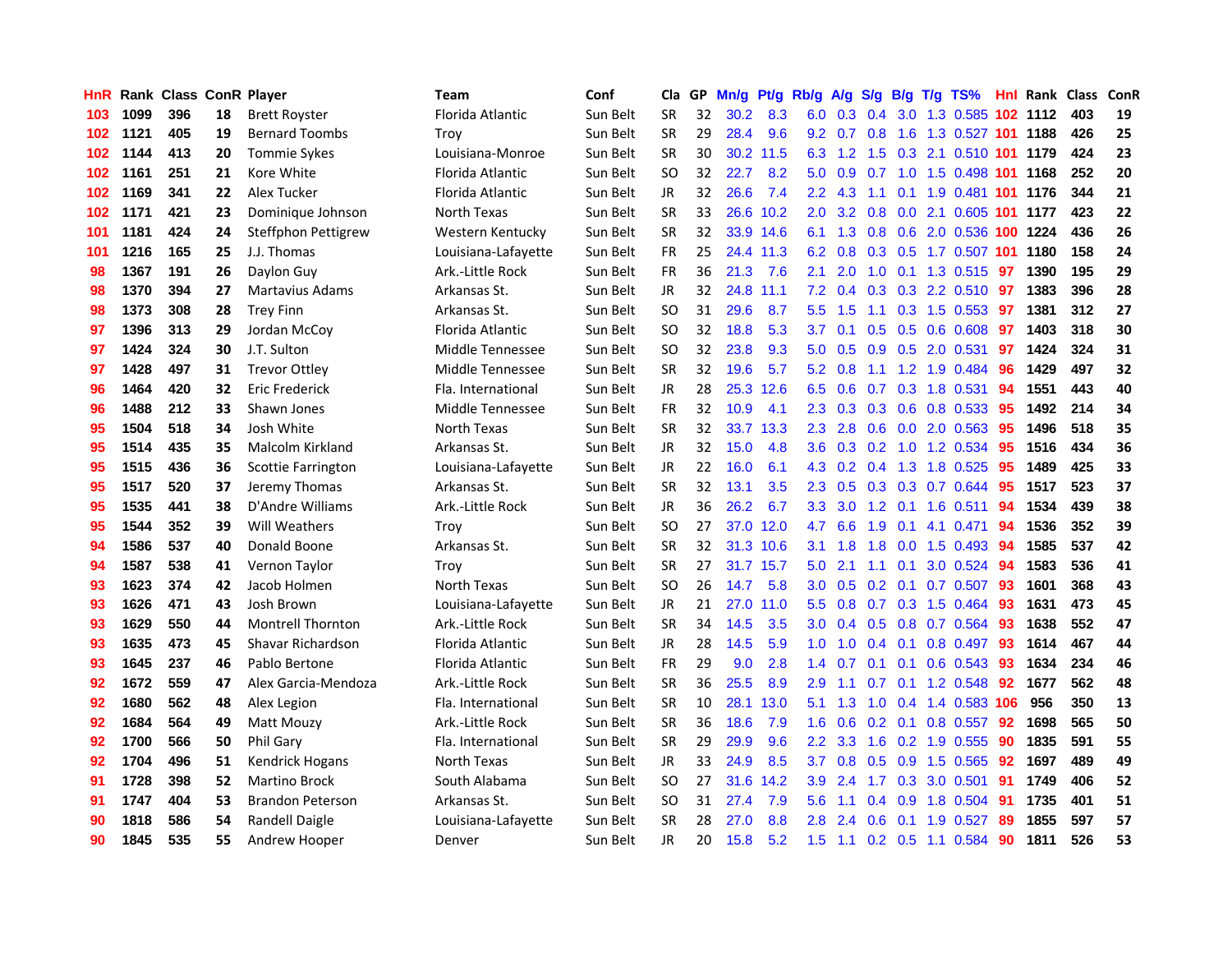| HnR |      | <b>Rank Class ConR Player</b> |    |                          | Team                | Conf     | Cla       |     | GP Mn/g | Pt/g      | Rb/g             | <b>A/g</b> |               |                 | S/g B/g T/g TS%                    |     | <b>Hnl Rank Class</b> |     | ConR |
|-----|------|-------------------------------|----|--------------------------|---------------------|----------|-----------|-----|---------|-----------|------------------|------------|---------------|-----------------|------------------------------------|-----|-----------------------|-----|------|
| 103 | 1099 | 396                           | 18 | <b>Brett Royster</b>     | Florida Atlantic    | Sun Belt | <b>SR</b> | 32  | 30.2    | 8.3       | 6.0              | 0.3        | 0.4           | 3.0             | 1.3 0.585                          |     | 102 1112              | 403 | 19   |
| 102 | 1121 | 405                           | 19 | <b>Bernard Toombs</b>    | Trov                | Sun Belt | <b>SR</b> | 29  | 28.4    | 9.6       | 9.2              | 0.7        | 0.8           | 1.6             | 1.3 0.527 101                      |     | 1188                  | 426 | 25   |
| 102 | 1144 | 413                           | 20 | <b>Tommie Sykes</b>      | Louisiana-Monroe    | Sun Belt | <b>SR</b> | 30  |         | 30.2 11.5 | 6.3              | 1.2        | 1.5           | 0.3             | 2.1 0.510 101 1179                 |     |                       | 424 | 23   |
| 102 | 1161 | 251                           | 21 | Kore White               | Florida Atlantic    | Sun Belt | <b>SO</b> | 32  | 22.7    | 8.2       | 5.0              | 0.9        | 0.7           |                 | 1.0 1.5 0.498 101 1168             |     |                       | 252 | 20   |
| 102 | 1169 | 341                           | 22 | Alex Tucker              | Florida Atlantic    | Sun Belt | JR        | 32  | 26.6    | 7.4       |                  | $2.2$ 4.3  |               |                 | 1.1 0.1 1.9 0.481 101 1176         |     |                       | 344 | 21   |
| 102 | 1171 | 421                           | 23 | Dominique Johnson        | North Texas         | Sun Belt | <b>SR</b> | 33  |         | 26.6 10.2 | 2.0 <sub>1</sub> |            |               |                 | 3.2 0.8 0.0 2.1 0.605 101 1177     |     |                       | 423 | 22   |
| 101 | 1181 | 424                           | 24 | Steffphon Pettigrew      | Western Kentucky    | Sun Belt | <b>SR</b> | 32  |         | 33.9 14.6 |                  |            |               |                 | 6.1 1.3 0.8 0.6 2.0 0.536 100 1224 |     |                       | 436 | 26   |
| 101 | 1216 | 165                           | 25 | J.J. Thomas              | Louisiana-Lafayette | Sun Belt | FR        | 25  |         | 24.4 11.3 | 6.2              | 0.8        |               |                 | 0.3 0.5 1.7 0.507 101 1180         |     |                       | 158 | 24   |
| 98  | 1367 | 191                           | 26 | Daylon Guy               | Ark.-Little Rock    | Sun Belt | <b>FR</b> | 36  | 21.3    | 7.6       | 2.1              | 2.0        | 1.0           |                 | $0.1$ 1.3 0.515                    | 97  | 1390                  | 195 | 29   |
| 98  | 1370 | 394                           | 27 | <b>Martavius Adams</b>   | Arkansas St.        | Sun Belt | <b>JR</b> | 32  |         | 24.8 11.1 | 7.2              | 0.4        |               |                 | 0.3 0.3 2.2 0.510                  | -97 | 1383                  | 396 | 28   |
| 98  | 1373 | 308                           | 28 | <b>Trey Finn</b>         | Arkansas St.        | Sun Belt | <b>SO</b> | 31  | 29.6    | 8.7       | 5.5              | 1.5        | 1.1           |                 | $0.3$ 1.5 0.553                    | 97  | 1381                  | 312 | 27   |
| 97  | 1396 | 313                           | 29 | Jordan McCoy             | Florida Atlantic    | Sun Belt | <b>SO</b> | 32  | 18.8    | 5.3       | 3.7              | 0.1        | 0.5           | 0.5             | 0.6 0.608                          | 97  | 1403                  | 318 | 30   |
| 97  | 1424 | 324                           | 30 | J.T. Sulton              | Middle Tennessee    | Sun Belt | <b>SO</b> | 32  | 23.8    | 9.3       | 5.0              | 0.5        | 0.9           | 0.5             | 2.0 0.531                          | 97  | 1424                  | 324 | 31   |
| 97  | 1428 | 497                           | 31 | <b>Trevor Ottley</b>     | Middle Tennessee    | Sun Belt | <b>SR</b> | 32  | 19.6    | 5.7       | 5.2              | 0.8        | 1.1           |                 | 1.2 1.9 0.484                      | 96  | 1429                  | 497 | 32   |
| 96  | 1464 | 420                           | 32 | Eric Frederick           | Fla. International  | Sun Belt | <b>JR</b> | 28  |         | 25.3 12.6 | 6.5              | 0.6        | 0.7           |                 | $0.3$ 1.8 $0.531$                  | 94  | 1551                  | 443 | 40   |
| 96  | 1488 | 212                           | 33 | Shawn Jones              | Middle Tennessee    | Sun Belt | <b>FR</b> | 32  | 10.9    | 4.1       | 2.3              | 0.3        | 0.3           | 0.6             | 0.8 0.533                          | 95  | 1492                  | 214 | 34   |
| 95  | 1504 | 518                           | 34 | Josh White               | North Texas         | Sun Belt | <b>SR</b> | 32  | 33.7    | 13.3      | $2.3^{\circ}$    | 2.8        | 0.6           |                 | 0.0 2.0 0.563                      | 95  | 1496                  | 518 | 35   |
| 95  | 1514 | 435                           | 35 | Malcolm Kirkland         | Arkansas St.        | Sun Belt | JR        | 32  | 15.0    | 4.8       | 3.6 <sup>2</sup> |            |               |                 | 0.3 0.2 1.0 1.2 0.534              | -95 | 1516                  | 434 | 36   |
| 95  | 1515 | 436                           | 36 | Scottie Farrington       | Louisiana-Lafayette | Sun Belt | JR        | 22. | 16.0    | 6.1       |                  |            |               |                 | 4.3 0.2 0.4 1.3 1.8 0.525          | 95  | 1489                  | 425 | 33   |
| 95  | 1517 | 520                           | 37 | Jeremy Thomas            | Arkansas St.        | Sun Belt | <b>SR</b> | 32  | 13.1    | 3.5       | $2.3^{\circ}$    |            |               |                 | 0.5 0.3 0.3 0.7 0.644              | 95  | 1517                  | 523 | 37   |
| 95  | 1535 | 441                           | 38 | D'Andre Williams         | Ark.-Little Rock    | Sun Belt | <b>JR</b> | 36  | 26.2    | 6.7       | 3.3 <sub>1</sub> | 3.0        |               |                 | 1.2 0.1 1.6 0.511                  | 94  | 1534                  | 439 | 38   |
| 95  | 1544 | 352                           | 39 | Will Weathers            | Troy                | Sun Belt | <b>SO</b> | 27  |         | 37.0 12.0 | 4.7              | 6.6        | 1.9           |                 | $0.1$ 4.1 $0.471$                  | 94  | 1536                  | 352 | 39   |
| 94  | 1586 | 537                           | 40 | Donald Boone             | Arkansas St.        | Sun Belt | <b>SR</b> | 32  |         | 31.3 10.6 | 3.1              | 1.8        | 1.8           |                 | $0.0$ 1.5 0.493                    | 94  | 1585                  | 537 | 42   |
| 94  | 1587 | 538                           | 41 | Vernon Taylor            | Troy                | Sun Belt | <b>SR</b> | 27  |         | 31.7 15.7 | 5.0 <sub>1</sub> | 2.1        | 1.1           | 0.1             | 3.0 0.524                          | -94 | 1583                  | 536 | 41   |
| 93  | 1623 | 374                           | 42 | Jacob Holmen             | North Texas         | Sun Belt | <b>SO</b> | 26  | 14.7    | 5.8       | 3.0 <sub>1</sub> | 0.5        |               |                 | 0.2 0.1 0.7 0.507                  | 93  | 1601                  | 368 | 43   |
| 93  | 1626 | 471                           | 43 | Josh Brown               | Louisiana-Lafayette | Sun Belt | JR        | 21  | 27.0    | 11.0      | 5.5              | 0.8        |               |                 | 0.7 0.3 1.5 0.464                  | 93  | 1631                  | 473 | 45   |
| 93  | 1629 | 550                           | 44 | <b>Montrell Thornton</b> | Ark.-Little Rock    | Sun Belt | <b>SR</b> | 34  | 14.5    | 3.5       | 3.0 <sub>2</sub> | 0.4        | 0.5           | 0.8             | 0.7 0.564                          | 93  | 1638                  | 552 | 47   |
| 93  | 1635 | 473                           | 45 | Shavar Richardson        | Florida Atlantic    | Sun Belt | JR.       | 28  | 14.5    | 5.9       | 1.0 <sub>1</sub> | 1.0        |               | $0.4 \quad 0.1$ | 0.8 0.497                          | 93  | 1614                  | 467 | 44   |
| 93  | 1645 | 237                           | 46 | Pablo Bertone            | Florida Atlantic    | Sun Belt | <b>FR</b> | 29  | 9.0     | 2.8       | $1.4^{\circ}$    | 0.7        | 0.1           | 0.1             | 0.6 0.543                          | 93  | 1634                  | 234 | 46   |
| 92  | 1672 | 559                           | 47 | Alex Garcia-Mendoza      | Ark.-Little Rock    | Sun Belt | <b>SR</b> | 36  | 25.5    | 8.9       | 2.9              | 1.1        | 0.7           | 0.1             | 1.2 0.548                          | 92  | 1677                  | 562 | 48   |
| 92  | 1680 | 562                           | 48 | Alex Legion              | Fla. International  | Sun Belt | <b>SR</b> | 10  | 28.1    | 13.0      | 5.1              | 1.3        |               |                 | 1.0 0.4 1.4 0.583 106              |     | 956                   | 350 | 13   |
| 92  | 1684 | 564                           | 49 | Matt Mouzy               | Ark.-Little Rock    | Sun Belt | <b>SR</b> | 36  | 18.6    | 7.9       | 1.6              |            | $0.6$ 0.2 0.1 |                 | 0.8 0.557                          | 92  | 1698                  | 565 | 50   |
| 92  | 1700 | 566                           | 50 | <b>Phil Gary</b>         | Fla. International  | Sun Belt | <b>SR</b> | 29  | 29.9    | 9.6       | $2.2^{\circ}$    | 3.3        |               |                 | 1.6 0.2 1.9 0.555                  | -90 | 1835                  | 591 | 55   |
| 92  | 1704 | 496                           | 51 | Kendrick Hogans          | North Texas         | Sun Belt | <b>JR</b> | 33  | 24.9    | 8.5       | 3.7              | 0.8        |               | $0.5 \quad 0.9$ | 1.5 0.565                          | 92  | 1697                  | 489 | 49   |
| 91  | 1728 | 398                           | 52 | <b>Martino Brock</b>     | South Alabama       | Sun Belt | SO        | 27  | 31.6    | 14.2      | 3.9              | 2.4        | 1.7           |                 | 0.3 3.0 0.501                      | 91  | 1749                  | 406 | 52   |
| 91  | 1747 | 404                           | 53 | <b>Brandon Peterson</b>  | Arkansas St.        | Sun Belt | <b>SO</b> | 31  | 27.4    | 7.9       | 5.6              | 1.1        | $0.4^{\circ}$ | 0.9             | 1.8 0.504                          | 91  | 1735                  | 401 | 51   |
| 90  | 1818 | 586                           | 54 | Randell Daigle           | Louisiana-Lafayette | Sun Belt | <b>SR</b> | 28  | 27.0    | 8.8       | 2.8              | 2.4        | 0.6           | 0.1             | 1.9 0.527                          | 89  | 1855                  | 597 | 57   |
| 90  | 1845 | 535                           | 55 | Andrew Hooper            | Denver              | Sun Belt | JR        | 20  | 15.8    | 5.2       | 1.5              | $-1.1$     |               |                 | $0.2$ 0.5 1.1 0.584                | 90  | 1811                  | 526 | 53   |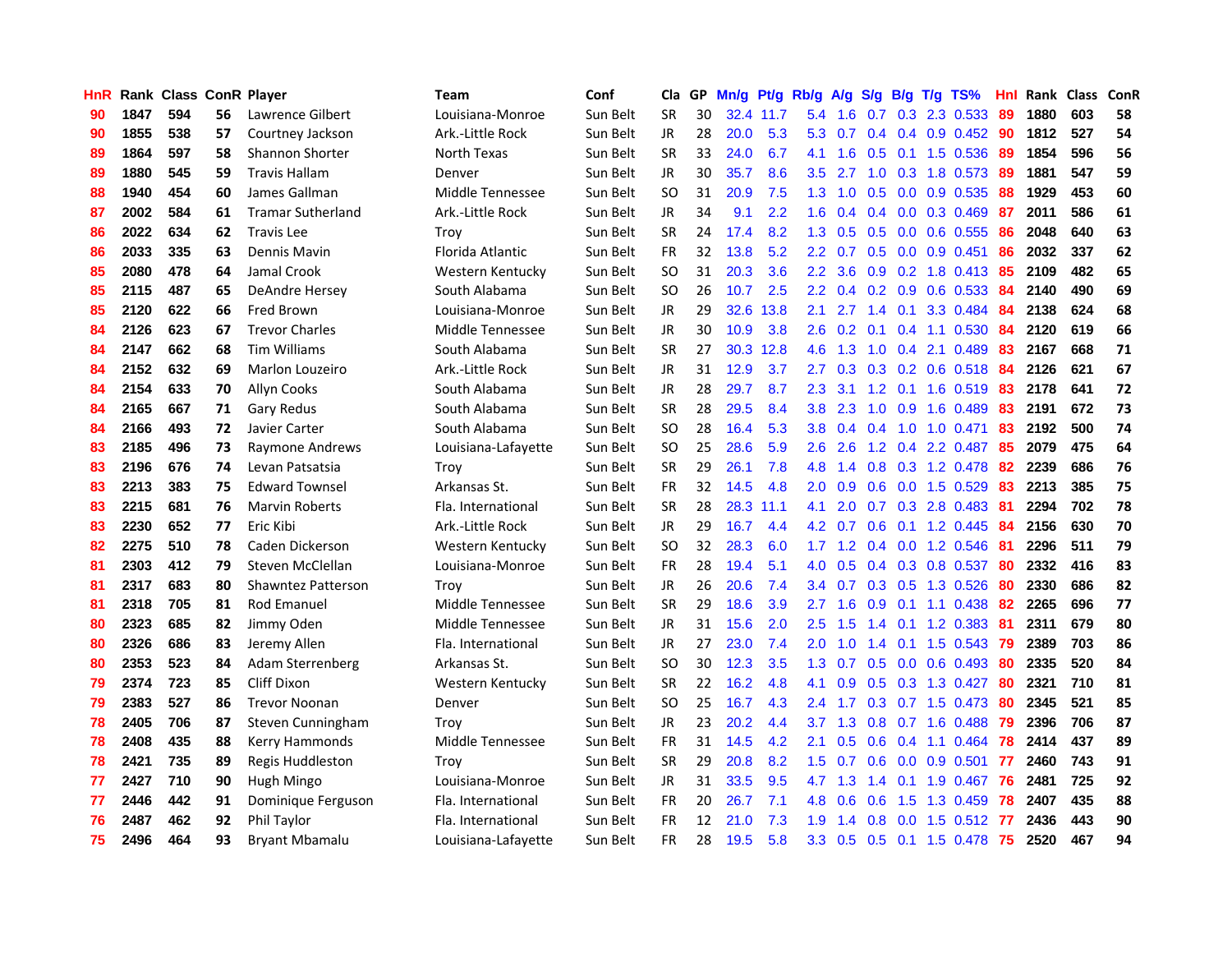| <b>HnR</b> |      | <b>Rank Class ConR Player</b> |    |                           | Team                | Conf     | Cla           |    | GP Mn/g Pt/g |           | Rb/g A/g         |                                |     |                 | $S/g$ B/g T/g TS%         | Hnl | Rank Class |     | <b>ConR</b> |
|------------|------|-------------------------------|----|---------------------------|---------------------|----------|---------------|----|--------------|-----------|------------------|--------------------------------|-----|-----------------|---------------------------|-----|------------|-----|-------------|
| 90         | 1847 | 594                           | 56 | Lawrence Gilbert          | Louisiana-Monroe    | Sun Belt | <b>SR</b>     | 30 |              | 32.4 11.7 | 5.4              | 1.6                            | 0.7 | 0.3             | 2.3 0.533                 | 89  | 1880       | 603 | 58          |
| 90         | 1855 | 538                           | 57 | Courtney Jackson          | Ark.-Little Rock    | Sun Belt | <b>JR</b>     | 28 | 20.0         | 5.3       | 5.3              | 0.7                            |     | $0.4 \quad 0.4$ | $0.9$ $0.452$             | -90 | 1812       | 527 | 54          |
| 89         | 1864 | 597                           | 58 | Shannon Shorter           | North Texas         | Sun Belt | <b>SR</b>     | 33 | 24.0         | 6.7       | 4.1              | 1.6                            | 0.5 | 0.1             | 1.5 0.536                 | -89 | 1854       | 596 | 56          |
| 89         | 1880 | 545                           | 59 | <b>Travis Hallam</b>      | Denver              | Sun Belt | JR            | 30 | 35.7         | 8.6       | 3.5              | 2.7                            |     |                 | 1.0 0.3 1.8 0.573         | -89 | 1881       | 547 | 59          |
| 88         | 1940 | 454                           | 60 | James Gallman             | Middle Tennessee    | Sun Belt | <b>SO</b>     | 31 | 20.9         | 7.5       |                  |                                |     |                 | 1.3 1.0 0.5 0.0 0.9 0.535 | -88 | 1929       | 453 | 60          |
| 87         | 2002 | 584                           | 61 | <b>Tramar Sutherland</b>  | Ark.-Little Rock    | Sun Belt | JR            | 34 | 9.1          | 2.2       | 1.6              | 0.4                            |     |                 | $0.4$ 0.0 0.3 0.469       | -87 | 2011       | 586 | 61          |
| 86         | 2022 | 634                           | 62 | <b>Travis Lee</b>         | Troy                | Sun Belt | <b>SR</b>     | 24 | 17.4         | 8.2       | 1.3 <sup>2</sup> | 0.5                            |     |                 | $0.5$ 0.0 0.6 0.555       | 86  | 2048       | 640 | 63          |
| 86         | 2033 | 335                           | 63 | Dennis Mavin              | Florida Atlantic    | Sun Belt | FR            | 32 | 13.8         | 5.2       | $2.2\phantom{0}$ | 0.7                            |     |                 | 0.5 0.0 0.9 0.451         | 86  | 2032       | 337 | 62          |
| 85         | 2080 | 478                           | 64 | Jamal Crook               | Western Kentucky    | Sun Belt | <sub>SO</sub> | 31 | 20.3         | 3.6       | 2.2 <sub>2</sub> | 3.6                            |     |                 | $0.9$ $0.2$ 1.8 $0.413$   | 85  | 2109       | 482 | 65          |
| 85         | 2115 | 487                           | 65 | DeAndre Hersey            | South Alabama       | Sun Belt | <b>SO</b>     | 26 | 10.7         | 2.5       | $2.2^{\circ}$    | 0.4                            |     | $0.2 \quad 0.9$ | 0.6 0.533                 | 84  | 2140       | 490 | 69          |
| 85         | 2120 | 622                           | 66 | Fred Brown                | Louisiana-Monroe    | Sun Belt | JR            | 29 | 32.6         | 13.8      | 2.1              | 2.7                            |     | $1.4 \quad 0.1$ | 3.3 0.484                 | 84  | 2138       | 624 | 68          |
| 84         | 2126 | 623                           | 67 | <b>Trevor Charles</b>     | Middle Tennessee    | Sun Belt | JR            | 30 | 10.9         | 3.8       | 2.6              | 0.2                            | 0.1 |                 | 0.4 1.1 0.530             | 84  | 2120       | 619 | 66          |
| 84         | 2147 | 662                           | 68 | <b>Tim Williams</b>       | South Alabama       | Sun Belt | <b>SR</b>     | 27 |              | 30.3 12.8 | 4.6              | 1.3                            | 1.0 | 0.4             | 2.1 0.489                 | 83  | 2167       | 668 | 71          |
| 84         | 2152 | 632                           | 69 | Marlon Louzeiro           | Ark.-Little Rock    | Sun Belt | JR            | 31 | 12.9         | 3.7       | 2.7              | 0.3                            | 0.3 |                 | $0.2$ 0.6 0.518           | 84  | 2126       | 621 | 67          |
| 84         | 2154 | 633                           | 70 | <b>Allyn Cooks</b>        | South Alabama       | Sun Belt | JR            | 28 | 29.7         | 8.7       | 2.3              | 3.1                            | 1.2 | 0.1             | 1.6 0.519                 | 83  | 2178       | 641 | 72          |
| 84         | 2165 | 667                           | 71 | <b>Gary Redus</b>         | South Alabama       | Sun Belt | <b>SR</b>     | 28 | 29.5         | 8.4       | 3.8              | 2.3                            | 1.0 | 0.9             | 1.6 0.489                 | 83  | 2191       | 672 | 73          |
| 84         | 2166 | 493                           | 72 | Javier Carter             | South Alabama       | Sun Belt | <b>SO</b>     | 28 | 16.4         | 5.3       | 3.8 <sub>2</sub> | 0.4                            | 0.4 | 1.0             | 1.0 0.471                 | 83  | 2192       | 500 | 74          |
| 83         | 2185 | 496                           | 73 | Raymone Andrews           | Louisiana-Lafayette | Sun Belt | SO.           | 25 | 28.6         | 5.9       | 2.6              | 2.6                            |     |                 | 1.2 0.4 2.2 0.487         | -85 | 2079       | 475 | 64          |
| 83         | 2196 | 676                           | 74 | Levan Patsatsia           | Trov                | Sun Belt | <b>SR</b>     | 29 | 26.1         | 7.8       |                  | 4.8 1.4                        |     |                 | 0.8 0.3 1.2 0.478 82      |     | 2239       | 686 | 76          |
| 83         | 2213 | 383                           | 75 | <b>Edward Townsel</b>     | Arkansas St.        | Sun Belt | <b>FR</b>     | 32 | 14.5         | 4.8       | $2.0^{\circ}$    | 0.9                            |     |                 | $0.6$ $0.0$ 1.5 $0.529$   | 83  | 2213       | 385 | 75          |
| 83         | 2215 | 681                           | 76 | <b>Marvin Roberts</b>     | Fla. International  | Sun Belt | <b>SR</b>     | 28 | 28.3         | 11.1      | 4.1              | 2.0                            |     |                 | $0.7$ $0.3$ 2.8 $0.483$   | 81  | 2294       | 702 | 78          |
| 83         | 2230 | 652                           | 77 | Eric Kibi                 | Ark.-Little Rock    | Sun Belt | JR            | 29 | 16.7         | 4.4       | 4.2              | 0.7                            |     |                 | $0.6$ 0.1 1.2 0.445       | -84 | 2156       | 630 | 70          |
| 82         | 2275 | 510                           | 78 | Caden Dickerson           | Western Kentucky    | Sun Belt | <b>SO</b>     | 32 | 28.3         | 6.0       | 1.7              | 1.2                            |     |                 | $0.4$ 0.0 1.2 0.546       | 81  | 2296       | 511 | 79          |
| 81         | 2303 | 412                           | 79 | Steven McClellan          | Louisiana-Monroe    | Sun Belt | <b>FR</b>     | 28 | 19.4         | 5.1       | 4.0              | 0.5                            |     |                 | $0.4$ $0.3$ $0.8$ $0.537$ | -80 | 2332       | 416 | 83          |
| 81         | 2317 | 683                           | 80 | <b>Shawntez Patterson</b> | Troy                | Sun Belt | JR            | 26 | 20.6         | 7.4       | $3.4^{\circ}$    | 0.7                            |     |                 | 0.3 0.5 1.3 0.526         | 80  | 2330       | 686 | 82          |
| 81         | 2318 | 705                           | 81 | Rod Emanuel               | Middle Tennessee    | Sun Belt | <b>SR</b>     | 29 | 18.6         | 3.9       | 2.7              | 1.6                            | 0.9 | 0.1             | 1.1 0.438                 | 82  | 2265       | 696 | 77          |
| 80         | 2323 | 685                           | 82 | Jimmy Oden                | Middle Tennessee    | Sun Belt | JR            | 31 | 15.6         | 2.0       | 2.5              | 1.5                            | 1.4 | 0.1             | 1.2 0.383                 | -81 | 2311       | 679 | 80          |
| 80         | 2326 | 686                           | 83 | Jeremy Allen              | Fla. International  | Sun Belt | JR            | 27 | 23.0         | 7.4       | 2.0              | 1.0                            | 1.4 |                 | $0.1$ 1.5 0.543           | -79 | 2389       | 703 | 86          |
| 80         | 2353 | 523                           | 84 | Adam Sterrenberg          | Arkansas St.        | Sun Belt | <b>SO</b>     | 30 | 12.3         | 3.5       | 1.3              | 0.7                            | 0.5 | 0.0             | $0.6$ 0.493               | 80  | 2335       | 520 | 84          |
| 79         | 2374 | 723                           | 85 | <b>Cliff Dixon</b>        | Western Kentucky    | Sun Belt | <b>SR</b>     | 22 | 16.2         | 4.8       | 4.1              | 0.9                            |     |                 | $0.5$ $0.3$ $1.3$ $0.427$ | -80 | 2321       | 710 | 81          |
| 79         | 2383 | 527                           | 86 | <b>Trevor Noonan</b>      | Denver              | Sun Belt | <b>SO</b>     | 25 | 16.7         | 4.3       | $2.4^{\circ}$    | 1.7                            |     |                 | 0.3 0.7 1.5 0.473         | -80 | 2345       | 521 | 85          |
| 78         | 2405 | 706                           | 87 | Steven Cunningham         | Trov                | Sun Belt | <b>JR</b>     | 23 | 20.2         | 4.4       | 3.7              | 1.3                            |     |                 | 0.8 0.7 1.6 0.488         | -79 | 2396       | 706 | 87          |
| 78         | 2408 | 435                           | 88 | Kerry Hammonds            | Middle Tennessee    | Sun Belt | <b>FR</b>     | 31 | 14.5         | 4.2       | 2.1              | 0.5                            |     |                 | $0.6$ 0.4 1.1 0.464       | -78 | 2414       | 437 | 89          |
| 78         | 2421 | 735                           | 89 | Regis Huddleston          | Trov                | Sun Belt | <b>SR</b>     | 29 | 20.8         | 8.2       | 1.5 <sub>1</sub> | 0.7                            |     |                 | $0.6$ $0.0$ $0.9$ $0.501$ | -77 | 2460       | 743 | 91          |
| 77         | 2427 | 710                           | 90 | Hugh Mingo                | Louisiana-Monroe    | Sun Belt | JR            | 31 | 33.5         | 9.5       | 4.7              | 1.3                            |     |                 | 1.4 0.1 1.9 0.467         | -76 | 2481       | 725 | 92          |
| 77         | 2446 | 442                           | 91 | Dominique Ferguson        | Fla. International  | Sun Belt | <b>FR</b>     | 20 | 26.7         | 7.1       | 4.8              | 0.6                            | 0.6 | 1.5             | 1.3 0.459                 | -78 | 2407       | 435 | 88          |
| 76         | 2487 | 462                           | 92 | Phil Taylor               | Fla. International  | Sun Belt | <b>FR</b>     | 12 | 21.0         | 7.3       | 1.9              | $\overline{\mathcal{A}}$<br>-1 | 0.8 | 0.0             | 1.5 0.512                 | -77 | 2436       | 443 | 90          |
| 75         | 2496 | 464                           | 93 | <b>Bryant Mbamalu</b>     | Louisiana-Lafayette | Sun Belt | FR            | 28 | 19.5         | 5.8       | 3.3              |                                |     |                 | 0.5 0.5 0.1 1.5 0.478 75  |     | 2520       | 467 | 94          |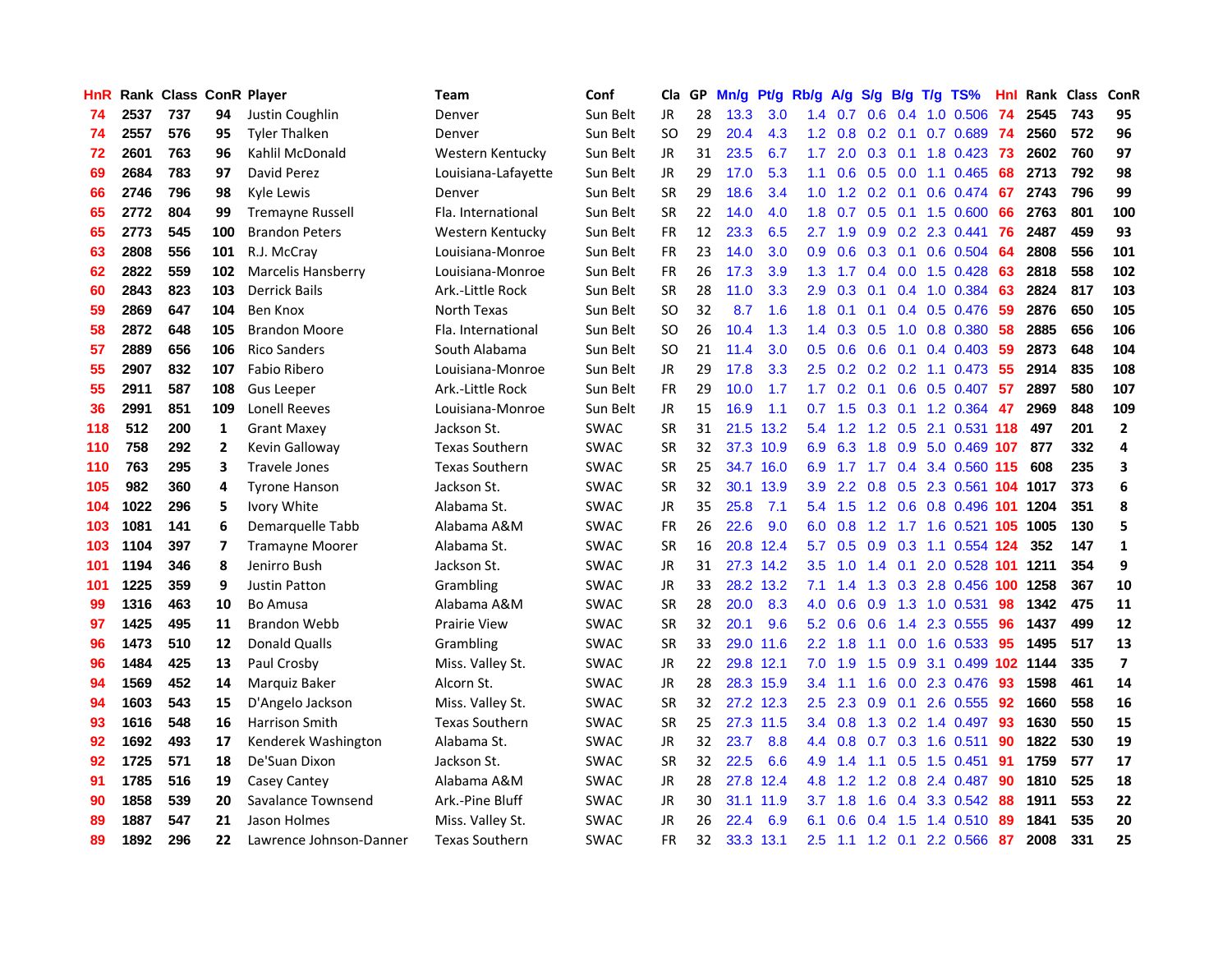| HnR |      | <b>Rank Class ConR Player</b> |              |                         | Team                  | Conf        | Cla           |    | GP Mn/g | Pt/g      | Rb/g             | <b>A/g</b>      |                 |                 | S/g B/g T/g TS%               | Hnl | Rank Class |     | ConR                     |
|-----|------|-------------------------------|--------------|-------------------------|-----------------------|-------------|---------------|----|---------|-----------|------------------|-----------------|-----------------|-----------------|-------------------------------|-----|------------|-----|--------------------------|
| 74  | 2537 | 737                           | 94           | Justin Coughlin         | Denver                | Sun Belt    | JR.           | 28 | 13.3    | 3.0       | 1.4              | 0.7             | 0.6             | 0.4             | 1.0 0.506                     | 74  | 2545       | 743 | 95                       |
| 74  | 2557 | 576                           | 95           | <b>Tyler Thalken</b>    | Denver                | Sun Belt    | <sub>SO</sub> | 29 | 20.4    | 4.3       | 1.2 <sub>1</sub> | 0.8             |                 | $0.2 \quad 0.1$ | 0.7 0.689                     | -74 | 2560       | 572 | 96                       |
| 72  | 2601 | 763                           | 96           | Kahlil McDonald         | Western Kentucky      | Sun Belt    | JR            | 31 | 23.5    | 6.7       | 1.7              | 2.0             | $0.3 \quad 0.1$ |                 | 1.8 0.423                     | -73 | 2602       | 760 | 97                       |
| 69  | 2684 | 783                           | 97           | David Perez             | Louisiana-Lafayette   | Sun Belt    | <b>JR</b>     | 29 | 17.0    | 5.3       | 1.1              | 0.6             |                 |                 | $0.5$ 0.0 1.1 0.465           | 68  | 2713       | 792 | 98                       |
| 66  | 2746 | 796                           | 98           | Kyle Lewis              | Denver                | Sun Belt    | <b>SR</b>     | 29 | 18.6    | 3.4       |                  |                 |                 |                 | 1.0 1.2 0.2 0.1 0.6 0.474     | 67  | 2743       | 796 | 99                       |
| 65  | 2772 | 804                           | 99           | <b>Tremayne Russell</b> | Fla. International    | Sun Belt    | <b>SR</b>     | 22 | 14.0    | 4.0       | 1.8              |                 |                 |                 | 0.7 0.5 0.1 1.5 0.600         | 66  | 2763       | 801 | 100                      |
| 65  | 2773 | 545                           | 100          | <b>Brandon Peters</b>   | Western Kentucky      | Sun Belt    | FR            | 12 | 23.3    | 6.5       | 2.7              | 1.9             |                 |                 | $0.9$ $0.2$ 2.3 $0.441$       | 76  | 2487       | 459 | 93                       |
| 63  | 2808 | 556                           | 101          | R.J. McCray             | Louisiana-Monroe      | Sun Belt    | <b>FR</b>     | 23 | 14.0    | 3.0       | 0.9              | 0.6             | 0.3             |                 | $0.1$ 0.6 0.504               | 64  | 2808       | 556 | 101                      |
| 62  | 2822 | 559                           | 102          | Marcelis Hansberry      | Louisiana-Monroe      | Sun Belt    | <b>FR</b>     | 26 | 17.3    | 3.9       | 1.3 <sub>1</sub> | 1.7             | 0.4             |                 | $0.0$ 1.5 $0.428$             | 63  | 2818       | 558 | 102                      |
| 60  | 2843 | 823                           | 103          | <b>Derrick Bails</b>    | Ark.-Little Rock      | Sun Belt    | <b>SR</b>     | 28 | 11.0    | 3.3       | 2.9              | 0.3             | 0.1             |                 | 0.4 1.0 0.384                 | 63  | 2824       | 817 | 103                      |
| 59  | 2869 | 647                           | 104          | Ben Knox                | North Texas           | Sun Belt    | <b>SO</b>     | 32 | 8.7     | 1.6       | 1.8              | 0.1             | 0.1             |                 | 0.4 0.5 0.476                 | 59  | 2876       | 650 | 105                      |
| 58  | 2872 | 648                           | 105          | <b>Brandon Moore</b>    | Fla. International    | Sun Belt    | <b>SO</b>     | 26 | 10.4    | 1.3       | $1.4^{\circ}$    | 0.3             | 0.5             |                 | 1.0 0.8 0.380                 | 58  | 2885       | 656 | 106                      |
| 57  | 2889 | 656                           | 106          | <b>Rico Sanders</b>     | South Alabama         | Sun Belt    | <b>SO</b>     | 21 | 11.4    | 3.0       | 0.5              | 0.6             | 0.6             | 0.1             | 0.4 0.403                     | 59  | 2873       | 648 | 104                      |
| 55  | 2907 | 832                           | 107          | Fabio Ribero            | Louisiana-Monroe      | Sun Belt    | JR.           | 29 | 17.8    | 3.3       | 2.5              | 0.2             | 0.2             | 0.2             | 1.1 0.473                     | 55  | 2914       | 835 | 108                      |
| 55  | 2911 | 587                           | 108          | <b>Gus Leeper</b>       | Ark.-Little Rock      | Sun Belt    | <b>FR</b>     | 29 | 10.0    | 1.7       | 1.7 <sub>z</sub> | 0.2             | 0.1             | 0.6             | $0.5$ 0.407                   | 57  | 2897       | 580 | 107                      |
| 36  | 2991 | 851                           | 109          | <b>Lonell Reeves</b>    | Louisiana-Monroe      | Sun Belt    | JR            | 15 | 16.9    | 1.1       | 0.7              | 1.5             |                 |                 | 0.3 0.1 1.2 0.364             | -47 | 2969       | 848 | 109                      |
| 118 | 512  | 200                           | 1            | <b>Grant Maxey</b>      | Jackson St.           | <b>SWAC</b> | <b>SR</b>     | 31 |         | 21.5 13.2 |                  |                 |                 |                 | 5.4 1.2 1.2 0.5 2.1 0.531 118 |     | 497        | 201 | $\mathbf{2}$             |
| 110 | 758  | 292                           | $\mathbf{2}$ | Kevin Galloway          | <b>Texas Southern</b> | <b>SWAC</b> | <b>SR</b>     | 32 |         | 37.3 10.9 |                  | 6.9 6.3         |                 |                 | 1.8 0.9 5.0 0.469 107         |     | 877        | 332 | 4                        |
| 110 | 763  | 295                           | 3            | <b>Travele Jones</b>    | <b>Texas Southern</b> | <b>SWAC</b> | <b>SR</b>     | 25 |         | 34.7 16.0 | 6.9              |                 |                 |                 | 1.7 1.7 0.4 3.4 0.560 115     |     | 608        | 235 | 3                        |
| 105 | 982  | 360                           | 4            | <b>Tyrone Hanson</b>    | Jackson St.           | <b>SWAC</b> | <b>SR</b>     | 32 |         | 30.1 13.9 | 3.9 <sup>°</sup> | $2.2^{\circ}$   |                 |                 | 0.8 0.5 2.3 0.561 104 1017    |     |            | 373 | 6                        |
| 104 | 1022 | 296                           | 5            | Ivory White             | Alabama St.           | <b>SWAC</b> | <b>JR</b>     | 35 | 25.8    | 7.1       |                  | 5.4 1.5         |                 |                 | 1.2 0.6 0.8 0.496 101         |     | 1204       | 351 | 8                        |
| 103 | 1081 | 141                           | 6            | Demarquelle Tabb        | Alabama A&M           | <b>SWAC</b> | <b>FR</b>     | 26 | 22.6    | 9.0       | 6.0              | 0.8             | 1.2             |                 | 1.7 1.6 0.521 105             |     | 1005       | 130 | 5                        |
| 103 | 1104 | 397                           | 7            | <b>Tramayne Moorer</b>  | Alabama St.           | <b>SWAC</b> | <b>SR</b>     | 16 | 20.8    | 12.4      | 5.7              | 0.5             | 0.9             |                 | 0.3 1.1 0.554 124             |     | 352        | 147 | $\mathbf{1}$             |
| 101 | 1194 | 346                           | 8            | Jenirro Bush            | Jackson St.           | SWAC        | JR            | 31 |         | 27.3 14.2 | 3.5              | 1.0             |                 | $1.4 \quad 0.1$ | 2.0 0.528 101                 |     | 1211       | 354 | 9                        |
| 101 | 1225 | 359                           | 9            | Justin Patton           | Grambling             | SWAC        | JR.           | 33 |         | 28.2 13.2 | 7.1              | 1.4             |                 |                 | 1.3 0.3 2.8 0.456 100         |     | 1258       | 367 | 10                       |
| 99  | 1316 | 463                           | 10           | <b>Bo Amusa</b>         | Alabama A&M           | <b>SWAC</b> | <b>SR</b>     | 28 | 20.0    | 8.3       | 4.0              | 0.6             | 0.9             | 1.3             | 1.0 0.531                     | 98  | 1342       | 475 | 11                       |
| 97  | 1425 | 495                           | 11           | <b>Brandon Webb</b>     | <b>Prairie View</b>   | <b>SWAC</b> | <b>SR</b>     | 32 | 20.1    | 9.6       | 5.2              | 0.6             | 0.6             | 1.4             | 2.3 0.555                     | 96  | 1437       | 499 | 12                       |
| 96  | 1473 | 510                           | 12           | <b>Donald Qualls</b>    | Grambling             | <b>SWAC</b> | <b>SR</b>     | 33 |         | 29.0 11.6 | 2.2 <sub>2</sub> | 1.8             | 1.1             | 0.0             | 1.6 0.533                     | 95  | 1495       | 517 | 13                       |
| 96  | 1484 | 425                           | 13           | Paul Crosby             | Miss. Valley St.      | <b>SWAC</b> | JR            | 22 |         | 29.8 12.1 | 7.0              | 1.9             | 1.5             | 0.9             | 3.1 0.499 102 1144            |     |            | 335 | $\overline{\phantom{a}}$ |
| 94  | 1569 | 452                           | 14           | Marquiz Baker           | Alcorn St.            | <b>SWAC</b> | JR            | 28 |         | 28.3 15.9 |                  | $3.4$ 1.1       | 1.6             |                 | 0.0 2.3 0.476                 | -93 | 1598       | 461 | 14                       |
| 94  | 1603 | 543                           | 15           | D'Angelo Jackson        | Miss. Valley St.      | <b>SWAC</b> | <b>SR</b>     | 32 |         | 27.2 12.3 | 2.5              | 2.3             |                 | $0.9\quad 0.1$  | 2.6 0.555                     | 92  | 1660       | 558 | 16                       |
| 93  | 1616 | 548                           | 16           | Harrison Smith          | <b>Texas Southern</b> | <b>SWAC</b> | <b>SR</b>     | 25 |         | 27.3 11.5 |                  | $3.4 \quad 0.8$ |                 |                 | 1.3 0.2 1.4 0.497             | 93  | 1630       | 550 | 15                       |
| 92  | 1692 | 493                           | 17           | Kenderek Washington     | Alabama St.           | <b>SWAC</b> | JR            | 32 | 23.7    | 8.8       |                  | 4.4 0.8         | 0.7             |                 | 0.3 1.6 0.511                 | 90  | 1822       | 530 | 19                       |
| 92  | 1725 | 571                           | 18           | De'Suan Dixon           | Jackson St.           | <b>SWAC</b> | <b>SR</b>     | 32 | 22.5    | 6.6       | 4.9              | 1.4             | 1.1             |                 | $0.5$ 1.5 0.451               | 91  | 1759       | 577 | 17                       |
| 91  | 1785 | 516                           | 19           | Casey Cantey            | Alabama A&M           | SWAC        | <b>JR</b>     | 28 | 27.8    | 12.4      | 4.8              | 1.2             | 1.2             |                 | 0.8 2.4 0.487                 | 90  | 1810       | 525 | 18                       |
| 90  | 1858 | 539                           | 20           | Savalance Townsend      | Ark.-Pine Bluff       | SWAC        | JR            | 30 | 31.1    | 11.9      | 3.7              | 1.8             | 1.6             | 0.4             | 3.3 0.542                     | 88  | 1911       | 553 | 22                       |
| 89  | 1887 | 547                           | 21           | Jason Holmes            | Miss. Valley St.      | <b>SWAC</b> | <b>JR</b>     | 26 | 22.4    | 6.9       | 6.1              | 0.6             | 0.4             | 1.5             | 1.4 0.510                     | -89 | 1841       | 535 | 20                       |
| 89  | 1892 | 296                           | 22           | Lawrence Johnson-Danner | <b>Texas Southern</b> | <b>SWAC</b> | <b>FR</b>     | 32 |         | 33.3 13.1 | 2.5              |                 |                 |                 | 1.1 1.2 0.1 2.2 0.566 87      |     | 2008       | 331 | 25                       |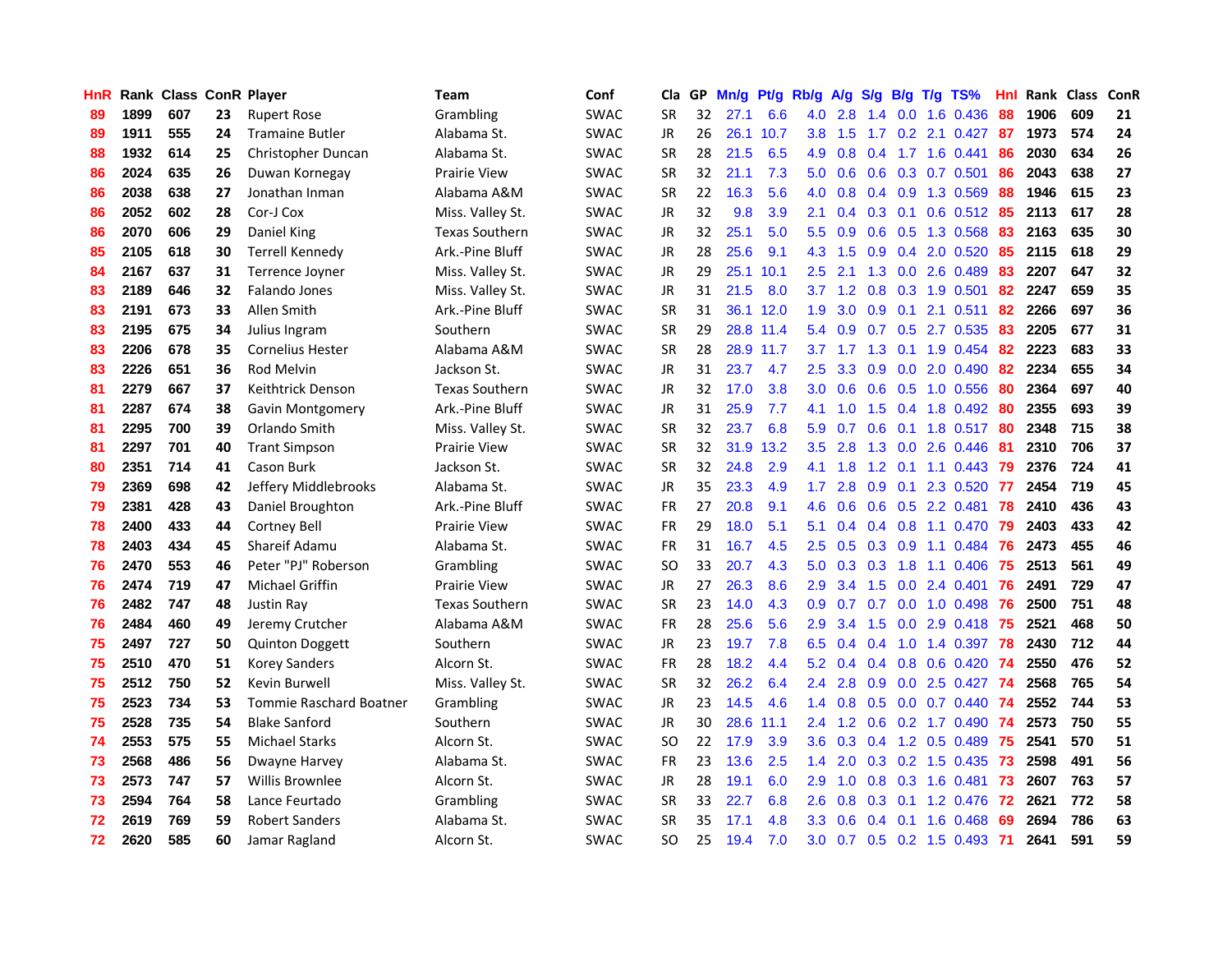| HnR |      | Rank Class ConR Player |    |                                | <b>Team</b>           | Conf        | Cla       | GP | Mn/g | Pt/g Rb/g |                  |                                       |               |                 | A/g S/g B/g T/g TS%     | Hnl  | Rank Class |     | ConR |
|-----|------|------------------------|----|--------------------------------|-----------------------|-------------|-----------|----|------|-----------|------------------|---------------------------------------|---------------|-----------------|-------------------------|------|------------|-----|------|
| 89  | 1899 | 607                    | 23 | <b>Rupert Rose</b>             | Grambling             | <b>SWAC</b> | <b>SR</b> | 32 | 27.1 | 6.6       | 4.0              | 2.8                                   | 1.4           | 0.0             | 1.6 0.436               | 88   | 1906       | 609 | 21   |
| 89  | 1911 | 555                    | 24 | <b>Tramaine Butler</b>         | Alabama St.           | <b>SWAC</b> | <b>JR</b> | 26 |      | 26.1 10.7 | 3.8              | 1.5                                   | 1.7           | 0.2             | 2.1 0.427               | -87  | 1973       | 574 | 24   |
| 88  | 1932 | 614                    | 25 | Christopher Duncan             | Alabama St.           | <b>SWAC</b> | <b>SR</b> | 28 | 21.5 | 6.5       | 4.9              | 0.8                                   | $0.4^{\circ}$ |                 | 1.7 1.6 0.441           | 86   | 2030       | 634 | 26   |
| 86  | 2024 | 635                    | 26 | Duwan Kornegay                 | Prairie View          | <b>SWAC</b> | <b>SR</b> | 32 | 21.1 | 7.3       | 5.0              | 0.6                                   |               |                 | 0.6 0.3 0.7 0.501       | 86   | 2043       | 638 | 27   |
| 86  | 2038 | 638                    | 27 | Jonathan Inman                 | Alabama A&M           | <b>SWAC</b> | <b>SR</b> | 22 | 16.3 | 5.6       |                  | $4.0 \t0.8$                           |               |                 | 0.4 0.9 1.3 0.569       | 88   | 1946       | 615 | 23   |
| 86  | 2052 | 602                    | 28 | Cor-J Cox                      | Miss. Valley St.      | <b>SWAC</b> | JR        | 32 | 9.8  | 3.9       | 2.1              | 0.4                                   |               |                 | $0.3$ 0.1 0.6 0.512     | 85   | 2113       | 617 | 28   |
| 86  | 2070 | 606                    | 29 | Daniel King                    | <b>Texas Southern</b> | <b>SWAC</b> | JR        | 32 | 25.1 | 5.0       | 5.5              | 0.9                                   |               |                 | $0.6$ $0.5$ 1.3 0.568   | 83   | 2163       | 635 | 30   |
| 85  | 2105 | 618                    | 30 | Terrell Kennedy                | Ark.-Pine Bluff       | <b>SWAC</b> | JR        | 28 | 25.6 | 9.1       | 4.3              | 1.5                                   |               |                 | 0.9 0.4 2.0 0.520       | 85   | 2115       | 618 | 29   |
| 84  | 2167 | 637                    | 31 | Terrence Joyner                | Miss. Valley St.      | <b>SWAC</b> | <b>JR</b> | 29 | 25.1 | 10.1      | $2.5\,$          | 2.1                                   | 1.3           | 0.0             | 2.6 0.489               | 83   | 2207       | 647 | 32   |
| 83  | 2189 | 646                    | 32 | Falando Jones                  | Miss. Valley St.      | <b>SWAC</b> | JR        | 31 | 21.5 | 8.0       | 3.7              | $\blacktriangleleft$<br>$\mathbf{.2}$ | 0.8           |                 | 0.3 1.9 0.501           | 82   | 2247       | 659 | 35   |
| 83  | 2191 | 673                    | 33 | Allen Smith                    | Ark.-Pine Bluff       | SWAC        | <b>SR</b> | 31 |      | 36.1 12.0 | 1.9              | 3.0                                   | 0.9           | 0.1             | 2.1 0.511               | 82   | 2266       | 697 | 36   |
| 83  | 2195 | 675                    | 34 | Julius Ingram                  | Southern              | <b>SWAC</b> | <b>SR</b> | 29 |      | 28.8 11.4 | 5.4              | 0.9                                   | 0.7           | 0.5             | 2.7 0.535               | 83   | 2205       | 677 | 31   |
| 83  | 2206 | 678                    | 35 | <b>Cornelius Hester</b>        | Alabama A&M           | <b>SWAC</b> | <b>SR</b> | 28 |      | 28.9 11.7 | 3.7              | 1.7                                   | 1.3           | 0.1             | 1.9 0.454               | 82   | 2223       | 683 | 33   |
| 83  | 2226 | 651                    | 36 | Rod Melvin                     | Jackson St.           | <b>SWAC</b> | JR        | 31 | 23.7 | 4.7       | 2.5              | 3.3                                   | 0.9           | 0.0             | 2.0 0.490               | 82   | 2234       | 655 | 34   |
| 81  | 2279 | 667                    | 37 | Keithtrick Denson              | <b>Texas Southern</b> | <b>SWAC</b> | <b>JR</b> | 32 | 17.0 | 3.8       | 3.0              | 0.6                                   | 0.6           | 0.5             | 1.0 0.556               | 80   | 2364       | 697 | 40   |
| 81  | 2287 | 674                    | 38 | Gavin Montgomery               | Ark.-Pine Bluff       | <b>SWAC</b> | <b>JR</b> | 31 | 25.9 | 7.7       | 4.1              | 1.0                                   |               |                 | 1.5 0.4 1.8 0.492       | -80  | 2355       | 693 | 39   |
| 81  | 2295 | 700                    | 39 | Orlando Smith                  | Miss. Valley St.      | <b>SWAC</b> | <b>SR</b> | 32 | 23.7 | 6.8       | 5.9              | 0.7                                   |               |                 | $0.6$ 0.1 1.8 0.517     | -80  | 2348       | 715 | 38   |
| 81  | 2297 | 701                    | 40 | <b>Trant Simpson</b>           | Prairie View          | <b>SWAC</b> | <b>SR</b> | 32 |      | 31.9 13.2 |                  | $3.5$ $2.8$                           |               |                 | 1.3 0.0 2.6 0.446       | -81  | 2310       | 706 | 37   |
| 80  | 2351 | 714                    | 41 | Cason Burk                     | Jackson St.           | <b>SWAC</b> | <b>SR</b> | 32 | 24.8 | 2.9       | 4.1              | 1.8                                   |               |                 | 1.2 0.1 1.1 0.443       | -79  | 2376       | 724 | 41   |
| 79  | 2369 | 698                    | 42 | Jeffery Middlebrooks           | Alabama St.           | <b>SWAC</b> | JR        | 35 | 23.3 | 4.9       | 1.7 <sub>z</sub> | 2.8                                   |               |                 | 0.9 0.1 2.3 0.520 77    |      | 2454       | 719 | 45   |
| 79  | 2381 | 428                    | 43 | Daniel Broughton               | Ark.-Pine Bluff       | <b>SWAC</b> | <b>FR</b> | 27 | 20.8 | 9.1       | 4.6              | 0.6                                   |               |                 | 0.6 0.5 2.2 0.481       | 78   | 2410       | 436 | 43   |
| 78  | 2400 | 433                    | 44 | <b>Cortney Bell</b>            | Prairie View          | <b>SWAC</b> | <b>FR</b> | 29 | 18.0 | 5.1       | 5.1              | 0.4                                   |               |                 | 0.4 0.8 1.1 0.470       | 79   | 2403       | 433 | 42   |
| 78  | 2403 | 434                    | 45 | Shareif Adamu                  | Alabama St.           | <b>SWAC</b> | <b>FR</b> | 31 | 16.7 | 4.5       | 2.5              | 0.5                                   |               | $0.3 \quad 0.9$ | $1.1 \quad 0.484$       | 76   | 2473       | 455 | 46   |
| 76  | 2470 | 553                    | 46 | Peter "PJ" Roberson            | Grambling             | SWAC        | <b>SO</b> | 33 | 20.7 | 4.3       | 5.0              | 0.3                                   | 0.3           | 1.8             | 1.1 0.406               | -75  | 2513       | 561 | 49   |
| 76  | 2474 | 719                    | 47 | Michael Griffin                | <b>Prairie View</b>   | SWAC        | JR.       | 27 | 26.3 | 8.6       | 2.9              | 3.4                                   | 1.5           | 0.0             | 2.4 0.401               | 76   | 2491       | 729 | 47   |
| 76  | 2482 | 747                    | 48 | Justin Ray                     | <b>Texas Southern</b> | <b>SWAC</b> | <b>SR</b> | 23 | 14.0 | 4.3       | 0.9              | 0.7                                   | 0.7           | 0.0             | 1.0 0.498               | -76  | 2500       | 751 | 48   |
| 76  | 2484 | 460                    | 49 | Jeremy Crutcher                | Alabama A&M           | <b>SWAC</b> | <b>FR</b> | 28 | 25.6 | 5.6       | 2.9              | 3.4                                   | 1.5           | 0.0             | 2.9 0.418               | 75   | 2521       | 468 | 50   |
| 75  | 2497 | 727                    | 50 | <b>Quinton Doggett</b>         | Southern              | <b>SWAC</b> | JR        | 23 | 19.7 | 7.8       | 6.5              | 0.4                                   | 0.4           | 1.0             | 1.4 0.397               | 78   | 2430       | 712 | 44   |
| 75  | 2510 | 470                    | 51 | <b>Korey Sanders</b>           | Alcorn St.            | <b>SWAC</b> | <b>FR</b> | 28 | 18.2 | 4.4       | 5.2              | 0.4                                   |               |                 | $0.4$ 0.8 0.6 0.420     | - 74 | 2550       | 476 | 52   |
| 75  | 2512 | 750                    | 52 | Kevin Burwell                  | Miss. Valley St.      | <b>SWAC</b> | <b>SR</b> | 32 | 26.2 | 6.4       | 2.4              | 2.8                                   | 0.9           |                 | 0.0 2.5 0.427 74        |      | 2568       | 765 | 54   |
| 75  | 2523 | 734                    | 53 | <b>Tommie Raschard Boatner</b> | Grambling             | <b>SWAC</b> | JR        | 23 | 14.5 | 4.6       |                  | $1.4 \quad 0.8$                       |               |                 | 0.5 0.0 0.7 0.440 74    |      | 2552       | 744 | 53   |
| 75  | 2528 | 735                    | 54 | <b>Blake Sanford</b>           | Southern              | <b>SWAC</b> | <b>JR</b> | 30 | 28.6 | 11.1      | $2.4\,$          | 1.2                                   |               |                 | $0.6$ $0.2$ 1.7 $0.490$ | -74  | 2573       | 750 | 55   |
| 74  | 2553 | 575                    | 55 | <b>Michael Starks</b>          | Alcorn St.            | <b>SWAC</b> | <b>SO</b> | 22 | 17.9 | 3.9       | 3.6              | 0.3                                   |               |                 | 0.4 1.2 0.5 0.489       | 75   | 2541       | 570 | 51   |
| 73  | 2568 | 486                    | 56 | Dwayne Harvey                  | Alabama St.           | <b>SWAC</b> | FR        | 23 | 13.6 | 2.5       | 1.4              | 2.0                                   |               |                 | 0.3 0.2 1.5 0.435       | 73   | 2598       | 491 | 56   |
| 73  | 2573 | 747                    | 57 | <b>Willis Brownlee</b>         | Alcorn St.            | SWAC        | <b>JR</b> | 28 | 19.1 | 6.0       | 2.9              | 1.0                                   |               |                 | 0.8 0.3 1.6 0.481       | 73   | 2607       | 763 | 57   |
| 73  | 2594 | 764                    | 58 | Lance Feurtado                 | Grambling             | <b>SWAC</b> | <b>SR</b> | 33 | 22.7 | 6.8       | 2.6              | 0.8                                   | 0.3           | 0.1             | 1.2 0.476               | 72   | 2621       | 772 | 58   |
| 72  | 2619 | 769                    | 59 | <b>Robert Sanders</b>          | Alabama St.           | <b>SWAC</b> | <b>SR</b> | 35 | 17.1 | 4.8       | 3.3              | 0.6                                   | $0.4^{\circ}$ | 0.1             | 1.6 0.468               | 69   | 2694       | 786 | 63   |
| 72  | 2620 | 585                    | 60 | Jamar Ragland                  | Alcorn St.            | <b>SWAC</b> | SO.       | 25 | 19.4 | 7.0       | 3.0 <sub>1</sub> | 0.7                                   |               |                 | 0.5 0.2 1.5 0.493       | -71  | 2641       | 591 | 59   |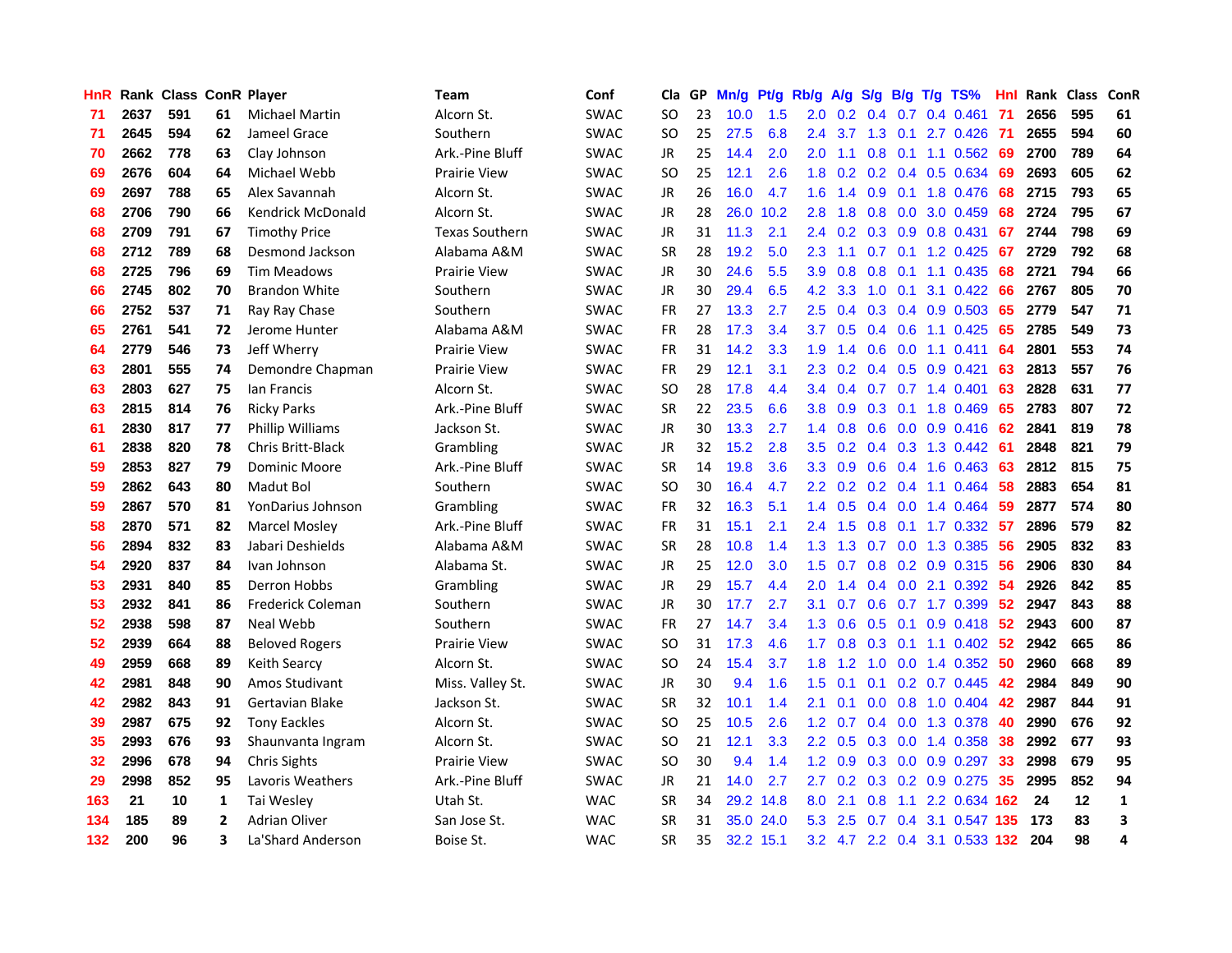| HnR |      | Rank Class ConR Player |                |                          | <b>Team</b>           | Conf        | Cla       |    | GP Mn/g | Pt/g Rb/g |                  | A/g             |     |                 | S/g B/g T/g TS%               | Hnl  |      | Rank Class | ConR         |
|-----|------|------------------------|----------------|--------------------------|-----------------------|-------------|-----------|----|---------|-----------|------------------|-----------------|-----|-----------------|-------------------------------|------|------|------------|--------------|
| 71  | 2637 | 591                    | 61             | <b>Michael Martin</b>    | Alcorn St.            | <b>SWAC</b> | <b>SO</b> | 23 | 10.0    | 1.5       | 2.0              | 0.2             | 0.4 | 0.7             | $0.4$ 0.461                   | -71  | 2656 | 595        | 61           |
| 71  | 2645 | 594                    | 62             | Jameel Grace             | Southern              | <b>SWAC</b> | <b>SO</b> | 25 | 27.5    | 6.8       | 2.4              | 3.7             | 1.3 | 0.1             | 2.7 0.426                     | -71  | 2655 | 594        | 60           |
| 70  | 2662 | 778                    | 63             | Clay Johnson             | Ark.-Pine Bluff       | <b>SWAC</b> | <b>JR</b> | 25 | 14.4    | 2.0       | 2.0              | 1.1             | 0.8 | 0.1             | 1.1 0.562                     | -69  | 2700 | 789        | 64           |
| 69  | 2676 | 604                    | 64             | Michael Webb             | <b>Prairie View</b>   | <b>SWAC</b> | <b>SO</b> | 25 | 12.1    | 2.6       | 1.8              | 0.2             |     |                 | 0.2 0.4 0.5 0.634             | -69  | 2693 | 605        | 62           |
| 69  | 2697 | 788                    | 65             | Alex Savannah            | Alcorn St.            | <b>SWAC</b> | JR        | 26 | 16.0    | 4.7       |                  | $1.6$ 1.4       |     |                 | 0.9 0.1 1.8 0.476             | 68   | 2715 | 793        | 65           |
| 68  | 2706 | 790                    | 66             | Kendrick McDonald        | Alcorn St.            | <b>SWAC</b> | JR        | 28 |         | 26.0 10.2 | 2.8              | 1.8             |     |                 | $0.8$ 0.0 3.0 0.459           | 68   | 2724 | 795        | 67           |
| 68  | 2709 | 791                    | 67             | <b>Timothy Price</b>     | <b>Texas Southern</b> | <b>SWAC</b> | JR        | 31 | 11.3    | 2.1       |                  | $2.4\quad 0.2$  |     |                 | $0.3$ $0.9$ $0.8$ $0.431$     | 67   | 2744 | 798        | 69           |
| 68  | 2712 | 789                    | 68             | Desmond Jackson          | Alabama A&M           | <b>SWAC</b> | <b>SR</b> | 28 | 19.2    | 5.0       | 2.3              | 1.1             |     |                 | 0.7 0.1 1.2 0.425             | 67   | 2729 | 792        | 68           |
| 68  | 2725 | 796                    | 69             | <b>Tim Meadows</b>       | <b>Prairie View</b>   | <b>SWAC</b> | JR        | 30 | 24.6    | 5.5       | 3.9              | 0.8             | 0.8 | 0.1             | 1.1 0.435                     | 68   | 2721 | 794        | 66           |
| 66  | 2745 | 802                    | 70             | <b>Brandon White</b>     | Southern              | <b>SWAC</b> | JR        | 30 | 29.4    | 6.5       | 4.2              | 3.3             | 1.0 | 0.1             | 3.1 0.422                     | 66   | 2767 | 805        | 70           |
| 66  | 2752 | 537                    | 71             | Ray Ray Chase            | Southern              | SWAC        | FR        | 27 | 13.3    | 2.7       | 2.5              | 0.4             |     |                 | 0.3 0.4 0.9 0.503             | 65   | 2779 | 547        | 71           |
| 65  | 2761 | 541                    | 72             | Jerome Hunter            | Alabama A&M           | SWAC        | <b>FR</b> | 28 | 17.3    | 3.4       | 3.7              | 0.5             |     | $0.4\quad 0.6$  | 1.1 0.425                     | 65   | 2785 | 549        | 73           |
| 64  | 2779 | 546                    | 73             | Jeff Wherry              | <b>Prairie View</b>   | SWAC        | <b>FR</b> | 31 | 14.2    | 3.3       | 1.9              | 1.4             | 0.6 | 0.0             | $1.1 \quad 0.411$             | 64   | 2801 | 553        | 74           |
| 63  | 2801 | 555                    | 74             | Demondre Chapman         | <b>Prairie View</b>   | <b>SWAC</b> | FR        | 29 | 12.1    | 3.1       | 2.3              | 0.2             |     |                 | $0.4$ 0.5 0.9 0.421           | 63   | 2813 | 557        | 76           |
| 63  | 2803 | 627                    | 75             | lan Francis              | Alcorn St.            | <b>SWAC</b> | <b>SO</b> | 28 | 17.8    | 4.4       | $3.4^{\circ}$    | 0.4             | 0.7 |                 | 0.7 1.4 0.401                 | 63   | 2828 | 631        | 77           |
| 63  | 2815 | 814                    | 76             | <b>Ricky Parks</b>       | Ark.-Pine Bluff       | <b>SWAC</b> | <b>SR</b> | 22 | 23.5    | 6.6       | 3.8              | 0.9             |     | $0.3 \quad 0.1$ | 1.8 0.469                     | 65   | 2783 | 807        | 72           |
| 61  | 2830 | 817                    | 77             | Phillip Williams         | Jackson St.           | <b>SWAC</b> | JR        | 30 | 13.3    | 2.7       |                  | $1.4 \quad 0.8$ |     |                 | $0.6$ $0.0$ $0.9$ $0.416$     | -62  | 2841 | 819        | 78           |
| 61  | 2838 | 820                    | 78             | <b>Chris Britt-Black</b> | Grambling             | <b>SWAC</b> | JR        | 32 | 15.2    | 2.8       | 3.5              | 0.2             |     |                 | 0.4 0.3 1.3 0.442 61          |      | 2848 | 821        | 79           |
| 59  | 2853 | 827                    | 79             | <b>Dominic Moore</b>     | Ark.-Pine Bluff       | <b>SWAC</b> | <b>SR</b> | 14 | 19.8    | 3.6       |                  | $3.3 \quad 0.9$ |     |                 | $0.6$ $0.4$ 1.6 $0.463$       | 63   | 2812 | 815        | 75           |
| 59  | 2862 | 643                    | 80             | Madut Bol                | Southern              | <b>SWAC</b> | SO.       | 30 | 16.4    | 4.7       | $2.2^{\circ}$    | 0.2             |     |                 | $0.2$ 0.4 1.1 0.464           | 58   | 2883 | 654        | 81           |
| 59  | 2867 | 570                    | 81             | YonDarius Johnson        | Grambling             | <b>SWAC</b> | <b>FR</b> | 32 | 16.3    | 5.1       |                  | $1.4 \quad 0.5$ |     |                 | $0.4$ 0.0 1.4 0.464           | -59  | 2877 | 574        | 80           |
| 58  | 2870 | 571                    | 82             | <b>Marcel Mosley</b>     | Ark.-Pine Bluff       | <b>SWAC</b> | <b>FR</b> | 31 | 15.1    | 2.1       |                  | $2.4$ 1.5       |     |                 | $0.8$ 0.1 1.7 0.332           | -57  | 2896 | 579        | 82           |
| 56  | 2894 | 832                    | 83             | Jabari Deshields         | Alabama A&M           | <b>SWAC</b> | <b>SR</b> | 28 | 10.8    | 1.4       | 1.3              | 1.3             | 0.7 |                 | 0.0 1.3 0.385                 | 56   | 2905 | 832        | 83           |
| 54  | 2920 | 837                    | 84             | Ivan Johnson             | Alabama St.           | <b>SWAC</b> | JR        | 25 | 12.0    | 3.0       | 1.5              | 0.7             |     |                 | 0.8 0.2 0.9 0.315             | -56  | 2906 | 830        | 84           |
| 53  | 2931 | 840                    | 85             | Derron Hobbs             | Grambling             | <b>SWAC</b> | JR        | 29 | 15.7    | 4.4       | 2.0              | 1.4             |     |                 | $0.4$ 0.0 2.1 0.392           | -54  | 2926 | 842        | 85           |
| 53  | 2932 | 841                    | 86             | <b>Frederick Coleman</b> | Southern              | SWAC        | JR.       | 30 | 17.7    | 2.7       | 3.1              | 0.7             |     |                 | 0.6 0.7 1.7 0.399             | 52   | 2947 | 843        | 88           |
| 52  | 2938 | 598                    | 87             | Neal Webb                | Southern              | <b>SWAC</b> | FR.       | 27 | 14.7    | 3.4       | 1.3              | 0.6             | 0.5 | 0.1             | 0.9 0.418                     | 52   | 2943 | 600        | 87           |
| 52  | 2939 | 664                    | 88             | <b>Beloved Rogers</b>    | Prairie View          | <b>SWAC</b> | SO.       | 31 | 17.3    | 4.6       | 1.7 <sub>2</sub> | 0.8             | 0.3 |                 | $0.1$ 1.1 $0.402$             | -52  | 2942 | 665        | 86           |
| 49  | 2959 | 668                    | 89             | Keith Searcy             | Alcorn St.            | <b>SWAC</b> | <b>SO</b> | 24 | 15.4    | 3.7       | 1.8              | 1.2             | 1.0 | 0.0             | 1.4 0.352                     | 50   | 2960 | 668        | 89           |
| 42  | 2981 | 848                    | 90             | Amos Studivant           | Miss. Valley St.      | <b>SWAC</b> | JR.       | 30 | 9.4     | 1.6       | 1.5              | 0.1             | 0.1 |                 | $0.2$ 0.7 0.445               | 42   | 2984 | 849        | 90           |
| 42  | 2982 | 843                    | 91             | Gertavian Blake          | Jackson St.           | <b>SWAC</b> | <b>SR</b> | 32 | 10.1    | 1.4       | 2.1              | 0.1             |     |                 | $0.0$ $0.8$ 1.0 $0.404$       | 42   | 2987 | 844        | 91           |
| 39  | 2987 | 675                    | 92             | <b>Tony Eackles</b>      | Alcorn St.            | <b>SWAC</b> | <b>SO</b> | 25 | 10.5    | 2.6       |                  | $1.2 \quad 0.7$ |     |                 | 0.4 0.0 1.3 0.378             | 40   | 2990 | 676        | 92           |
| 35  | 2993 | 676                    | 93             | Shaunvanta Ingram        | Alcorn St.            | <b>SWAC</b> | <b>SO</b> | 21 | 12.1    | 3.3       | $2.2^{\circ}$    | 0.5             |     | $0.3 \ 0.0$     | 1.4 0.358                     | 38   | 2992 | 677        | 93           |
| 32  | 2996 | 678                    | 94             | <b>Chris Sights</b>      | <b>Prairie View</b>   | <b>SWAC</b> | <b>SO</b> | 30 | 9.4     | 1.4       | 1.2 <sub>1</sub> | 0.9             |     |                 | $0.3$ 0.0 0.9 0.297           | 33   | 2998 | 679        | 95           |
| 29  | 2998 | 852                    | 95             | Lavoris Weathers         | Ark.-Pine Bluff       | <b>SWAC</b> | JR        | 21 | 14.0    | 2.7       | 2.7              | 0.2             |     |                 | 0.3 0.2 0.9 0.275             | 35   | 2995 | 852        | 94           |
| 163 | 21   | 10                     | 1              | Tai Wesley               | Utah St.              | <b>WAC</b>  | <b>SR</b> | 34 |         | 29.2 14.8 | 8.0              | 2.1             | 0.8 | 1.1             | 2.2 0.634 162                 |      | 24   | 12         | $\mathbf{1}$ |
| 134 | 185  | 89                     | $\overline{2}$ | <b>Adrian Oliver</b>     | San Jose St.          | <b>WAC</b>  | <b>SR</b> | 31 | 35.0    | 24.0      | 5.3              | 2.5             | 0.7 | 0.4             | 3.1 0.547                     | -135 | 173  | 83         | 3            |
| 132 | 200  | 96                     | 3              | La'Shard Anderson        | Boise St.             | <b>WAC</b>  | SR        | 35 |         | 32.2 15.1 |                  |                 |     |                 | 3.2 4.7 2.2 0.4 3.1 0.533 132 |      | 204  | 98         | 4            |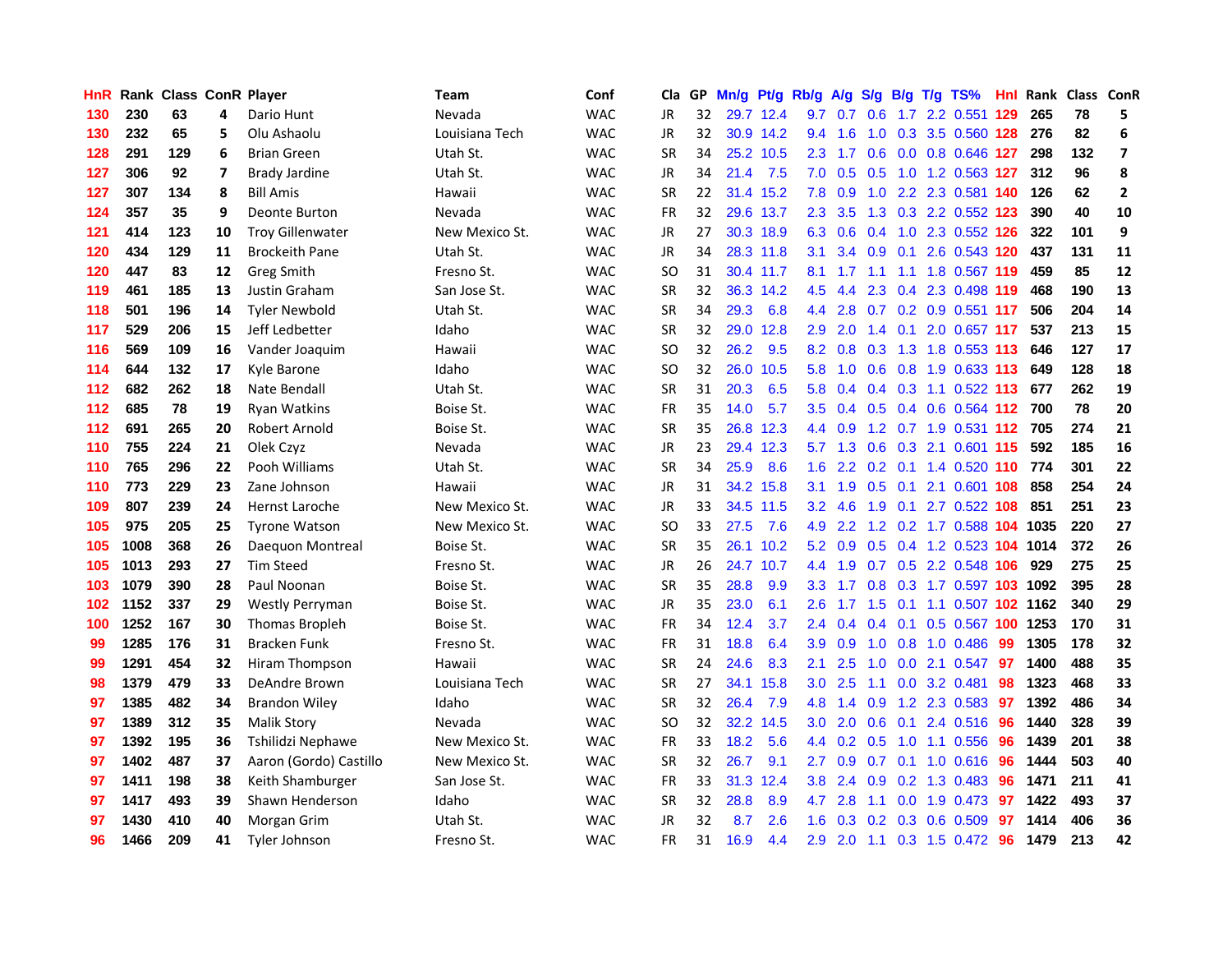| HnR   |      | Rank Class ConR Player |                |                         | <b>Team</b>    | Conf       | Cla       |    | GP Mn/g Pt/g |           | Rb/g             |                 |                  |                 | A/g S/g B/g T/g TS%           | Hnl | Rank Class ConR |     |                         |
|-------|------|------------------------|----------------|-------------------------|----------------|------------|-----------|----|--------------|-----------|------------------|-----------------|------------------|-----------------|-------------------------------|-----|-----------------|-----|-------------------------|
| 130   | 230  | 63                     | 4              | Dario Hunt              | Nevada         | <b>WAC</b> | JR        | 32 |              | 29.7 12.4 | 9.7              | 0.7             | 0.6              | 1.7             | 2.2 0.551                     | 129 | 265             | 78  | 5                       |
| 130   | 232  | 65                     | 5              | Olu Ashaolu             | Louisiana Tech | <b>WAC</b> | JR        | 32 |              | 30.9 14.2 | 9.4              | 1.6             | 1.0              | 0.3             | 3.5 0.560 128                 |     | 276             | 82  | 6                       |
| 128   | 291  | 129                    | 6              | <b>Brian Green</b>      | Utah St.       | <b>WAC</b> | <b>SR</b> | 34 |              | 25.2 10.5 | 2.3              | 1.7             | 0.6              |                 | 0.0 0.8 0.646 127             |     | 298             | 132 | $\overline{\mathbf{z}}$ |
| 127   | 306  | 92                     | $\overline{7}$ | <b>Brady Jardine</b>    | Utah St.       | <b>WAC</b> | <b>JR</b> | 34 | 21.4         | 7.5       |                  | $7.0\quad 0.5$  | 0.5              |                 | 1.0 1.2 0.563 127             |     | 312             | 96  | 8                       |
| 127   | 307  | 134                    | 8              | <b>Bill Amis</b>        | Hawaii         | <b>WAC</b> | <b>SR</b> | 22 |              | 31.4 15.2 |                  | $7.8\quad0.9$   |                  |                 | 1.0 2.2 2.3 0.581 140         |     | 126             | 62  | $\mathbf{2}$            |
| 124   | 357  | 35                     | 9              | <b>Deonte Burton</b>    | Nevada         | <b>WAC</b> | FR        | 32 |              | 29.6 13.7 | 2.3              | 3.5             |                  |                 | 1.3 0.3 2.2 0.552 123         |     | 390             | 40  | 10                      |
| 121   | 414  | 123                    | 10             | <b>Troy Gillenwater</b> | New Mexico St. | <b>WAC</b> | JR        | 27 |              | 30.3 18.9 |                  | 6.3 0.6         |                  |                 | 0.4 1.0 2.3 0.552 126         |     | 322             | 101 | 9                       |
| 120   | 434  | 129                    | 11             | <b>Brockeith Pane</b>   | Utah St.       | <b>WAC</b> | JR        | 34 |              | 28.3 11.8 | 3.1              | 3.4             |                  | $0.9\quad 0.1$  | 2.6 0.543 120                 |     | 437             | 131 | 11                      |
| 120   | 447  | 83                     | 12             | <b>Greg Smith</b>       | Fresno St.     | <b>WAC</b> | <b>SO</b> | 31 |              | 30.4 11.7 | 8.1              | 1.7             | 1.1              | 1.1             | 1.8 0.567 119                 |     | 459             | 85  | 12                      |
| 119   | 461  | 185                    | 13             | Justin Graham           | San Jose St.   | <b>WAC</b> | <b>SR</b> | 32 |              | 36.3 14.2 | 4.5              | 4.4             | 2.3              |                 | 0.4 2.3 0.498 119             |     | 468             | 190 | 13                      |
| 118   | 501  | 196                    | 14             | <b>Tyler Newbold</b>    | Utah St.       | <b>WAC</b> | <b>SR</b> | 34 | 29.3         | 6.8       | 4.4              | 2.8             |                  |                 | 0.7 0.2 0.9 0.551 117         |     | 506             | 204 | 14                      |
| 117   | 529  | 206                    | 15             | Jeff Ledbetter          | Idaho          | <b>WAC</b> | <b>SR</b> | 32 |              | 29.0 12.8 | 2.9              | 2.0             | 1.4              | 0.1             | 2.0 0.657 117                 |     | 537             | 213 | 15                      |
| 116   | 569  | 109                    | 16             | Vander Joaquim          | Hawaii         | <b>WAC</b> | SO.       | 32 | 26.2         | 9.5       | 8.2              | 0.8             | 0.3              |                 | 1.3 1.8 0.553 113             |     | 646             | 127 | 17                      |
| 114   | 644  | 132                    | 17             | Kyle Barone             | Idaho          | <b>WAC</b> | SO.       | 32 |              | 26.0 10.5 | 5.8              | 1.0             | 0.6              | 0.8             | 1.9 0.633 113                 |     | 649             | 128 | 18                      |
| $112$ | 682  | 262                    | 18             | Nate Bendall            | Utah St.       | <b>WAC</b> | <b>SR</b> | 31 | 20.3         | 6.5       | 5.8              | 0.4             |                  |                 | 0.4 0.3 1.1 0.522 113         |     | 677             | 262 | 19                      |
| 112   | 685  | 78                     | 19             | <b>Ryan Watkins</b>     | Boise St.      | <b>WAC</b> | <b>FR</b> | 35 | 14.0         | 5.7       | 3.5              | 0.4             |                  |                 | 0.5 0.4 0.6 0.564 112 700     |     |                 | 78  | 20                      |
| 112   | 691  | 265                    | 20             | Robert Arnold           | Boise St.      | <b>WAC</b> | <b>SR</b> | 35 |              | 26.8 12.3 |                  | 4.4 0.9         |                  |                 | 1.2 0.7 1.9 0.531 112 705     |     |                 | 274 | 21                      |
| 110   | 755  | 224                    | 21             | Olek Czyz               | Nevada         | <b>WAC</b> | JR        | 23 |              | 29.4 12.3 |                  |                 |                  |                 | 5.7 1.3 0.6 0.3 2.1 0.601 115 |     | 592             | 185 | 16                      |
| 110   | 765  | 296                    | 22             | Pooh Williams           | Utah St.       | <b>WAC</b> | <b>SR</b> | 34 | 25.9         | 8.6       |                  |                 |                  |                 | 1.6 2.2 0.2 0.1 1.4 0.520 110 |     | 774             | 301 | 22                      |
| 110   | 773  | 229                    | 23             | Zane Johnson            | Hawaii         | <b>WAC</b> | JR        | 31 |              | 34.2 15.8 |                  | $3.1 \quad 1.9$ |                  |                 | 0.5 0.1 2.1 0.601 108         |     | 858             | 254 | 24                      |
| 109   | 807  | 239                    | 24             | Hernst Laroche          | New Mexico St. | <b>WAC</b> | JR        | 33 |              | 34.5 11.5 | 3.2              | 4.6             | 1.9              |                 | 0.1 2.7 0.522 108             |     | 851             | 251 | 23                      |
| 105   | 975  | 205                    | 25             | <b>Tyrone Watson</b>    | New Mexico St. | <b>WAC</b> | <b>SO</b> | 33 | 27.5         | 7.6       | 4.9              | 2.2             |                  |                 | 1.2 0.2 1.7 0.588 104 1035    |     |                 | 220 | 27                      |
| 105   | 1008 | 368                    | 26             | Daequon Montreal        | Boise St.      | <b>WAC</b> | <b>SR</b> | 35 | 26.1         | 10.2      |                  | $5.2\quad0.9$   |                  |                 | 0.5 0.4 1.2 0.523 104 1014    |     |                 | 372 | 26                      |
| 105   | 1013 | 293                    | 27             | <b>Tim Steed</b>        | Fresno St.     | <b>WAC</b> | JR        | 26 |              | 24.7 10.7 | 4.4              | 1.9             |                  |                 | 0.7 0.5 2.2 0.548 106         |     | 929             | 275 | 25                      |
| 103   | 1079 | 390                    | 28             | Paul Noonan             | Boise St.      | <b>WAC</b> | <b>SR</b> | 35 | 28.8         | 9.9       | 3.3 <sub>2</sub> | 1.7             |                  |                 | 0.8 0.3 1.7 0.597 103         |     | 1092            | 395 | 28                      |
| 102   | 1152 | 337                    | 29             | Westly Perryman         | Boise St.      | <b>WAC</b> | <b>JR</b> | 35 | 23.0         | 6.1       | 2.6              | 1.7             | 1.5              | 0.1             | 1.1 0.507 102 1162            |     |                 | 340 | 29                      |
| 100   | 1252 | 167                    | 30             | Thomas Bropleh          | Boise St.      | <b>WAC</b> | <b>FR</b> | 34 | 12.4         | 3.7       | 2.4              | 0.4             |                  | $0.4 \quad 0.1$ | 0.5 0.567 100                 |     | 1253            | 170 | 31                      |
| 99    | 1285 | 176                    | 31             | <b>Bracken Funk</b>     | Fresno St.     | <b>WAC</b> | FR        | 31 | 18.8         | 6.4       | 3.9              | 0.9             | 1.0              | 0.8             | 1.0 0.486                     | -99 | 1305            | 178 | 32                      |
| 99    | 1291 | 454                    | 32             | Hiram Thompson          | Hawaii         | <b>WAC</b> | <b>SR</b> | 24 | 24.6         | 8.3       | 2.1              | 2.5             | 1.0              | 0.0             | 2.1 0.547                     | -97 | 1400            | 488 | 35                      |
| 98    | 1379 | 479                    | 33             | DeAndre Brown           | Louisiana Tech | <b>WAC</b> | <b>SR</b> | 27 |              | 34.1 15.8 | 3.0 <sub>2</sub> | 2.5             | 1.1              |                 | $0.0$ 3.2 $0.481$             | 98  | 1323            | 468 | 33                      |
| 97    | 1385 | 482                    | 34             | <b>Brandon Wiley</b>    | Idaho          | <b>WAC</b> | <b>SR</b> | 32 | 26.4         | 7.9       |                  | 4.8 1.4         | 0.9              |                 | 1.2 2.3 0.583                 | 97  | 1392            | 486 | 34                      |
| 97    | 1389 | 312                    | 35             | <b>Malik Story</b>      | Nevada         | <b>WAC</b> | <b>SO</b> | 32 |              | 32.2 14.5 | 3.0 <sub>2</sub> | 2.0             |                  |                 | 0.6 0.1 2.4 0.516             | -96 | 1440            | 328 | 39                      |
| 97    | 1392 | 195                    | 36             | Tshilidzi Nephawe       | New Mexico St. | <b>WAC</b> | <b>FR</b> | 33 | 18.2         | 5.6       |                  |                 | 4.4 0.2 0.5      |                 | 1.0 1.1 0.556                 | 96  | 1439            | 201 | 38                      |
| 97    | 1402 | 487                    | 37             | Aaron (Gordo) Castillo  | New Mexico St. | <b>WAC</b> | <b>SR</b> | 32 | 26.7         | 9.1       | 2.7              | 0.9             | 0.7              |                 | $0.1$ 1.0 0.616               | 96  | 1444            | 503 | 40                      |
| 97    | 1411 | 198                    | 38             | Keith Shamburger        | San Jose St.   | <b>WAC</b> | <b>FR</b> | 33 |              | 31.3 12.4 | 3.8 <sub>2</sub> | 2.4             | 0.9              |                 | 0.2 1.3 0.483                 | 96  | 1471            | 211 | 41                      |
| 97    | 1417 | 493                    | 39             | Shawn Henderson         | Idaho          | <b>WAC</b> | <b>SR</b> | 32 | 28.8         | 8.9       | 4.7              | 2.8             | 1.1              | 0.0             | 1.9 0.473                     | 97  | 1422            | 493 | 37                      |
| 97    | 1430 | 410                    | 40             | Morgan Grim             | Utah St.       | <b>WAC</b> | <b>JR</b> | 32 | 8.7          | 2.6       | 1.6              | 0.3             | 0.2 <sub>0</sub> |                 | 0.3 0.6 0.509                 | 97  | 1414            | 406 | 36                      |
| 96    | 1466 | 209                    | 41             | Tyler Johnson           | Fresno St.     | <b>WAC</b> | <b>FR</b> | 31 | 16.9         | 4.4       | 2.9              | 2.0             |                  |                 | 1.1 0.3 1.5 0.472             | 96  | 1479            | 213 | 42                      |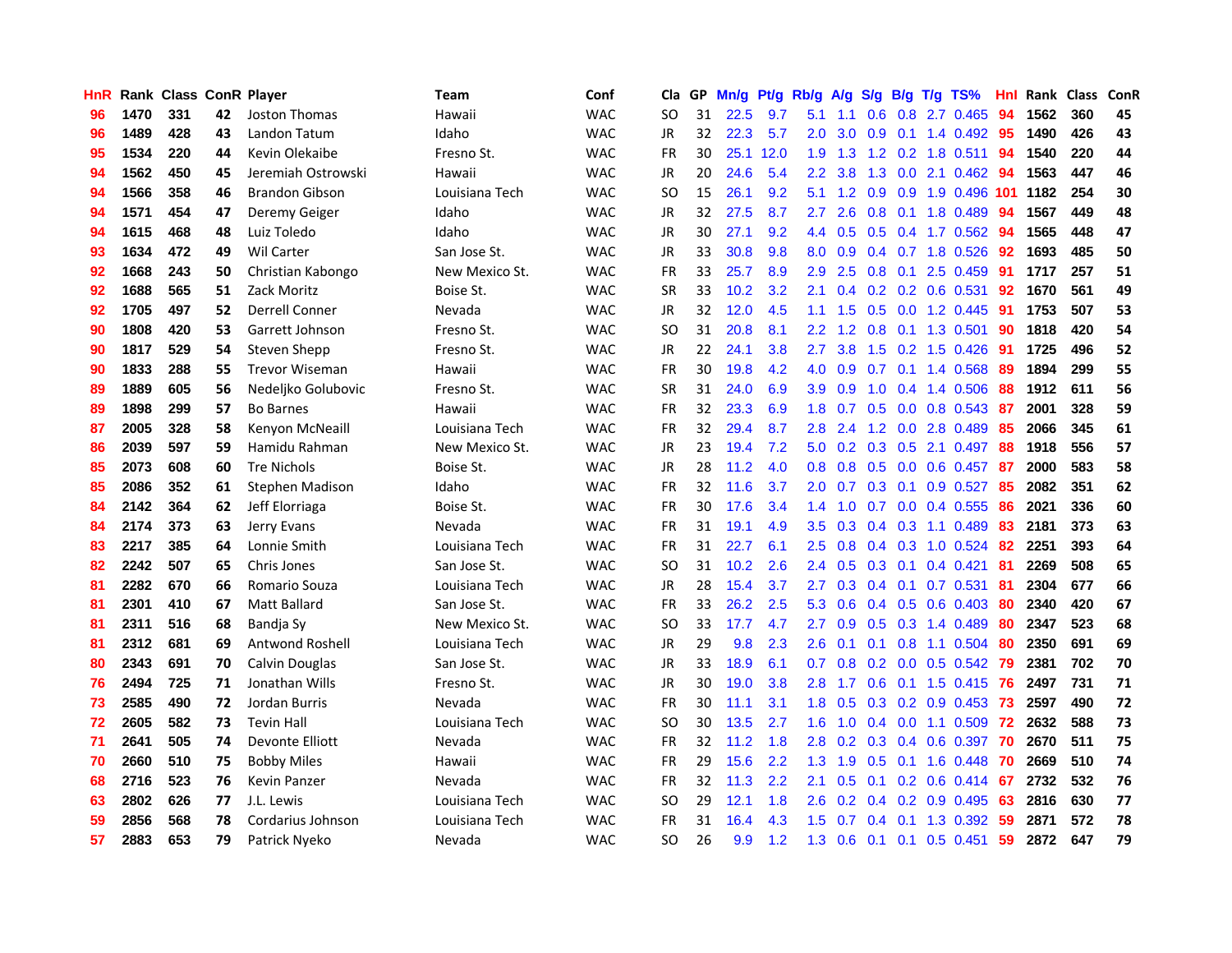| HnR |      | Rank Class ConR Player |    |                       | <b>Team</b>    | Conf       | Cla       |    | GP Mn/g Pt/g Rb/g |      |                  | A/g              |     |                 | S/g B/g T/g TS%           | Hnl | Rank Class |     | ConR |
|-----|------|------------------------|----|-----------------------|----------------|------------|-----------|----|-------------------|------|------------------|------------------|-----|-----------------|---------------------------|-----|------------|-----|------|
| 96  | 1470 | 331                    | 42 | Joston Thomas         | Hawaii         | <b>WAC</b> | <b>SO</b> | 31 | 22.5              | 9.7  | 5.1              | 1.1              | 0.6 | 0.8             | 2.7 0.465                 | 94  | 1562       | 360 | 45   |
| 96  | 1489 | 428                    | 43 | Landon Tatum          | Idaho          | <b>WAC</b> | <b>JR</b> | 32 | 22.3              | 5.7  | 2.0              | 3.0              | 0.9 | 0.1             | 1.4 0.492                 | -95 | 1490       | 426 | 43   |
| 95  | 1534 | 220                    | 44 | Kevin Olekaibe        | Fresno St.     | <b>WAC</b> | <b>FR</b> | 30 | 25.1              | 12.0 | 1.9              | 1.3              |     | $1.2 \quad 0.2$ | 1.8 0.511                 | 94  | 1540       | 220 | 44   |
| 94  | 1562 | 450                    | 45 | Jeremiah Ostrowski    | Hawaii         | <b>WAC</b> | <b>JR</b> | 20 | 24.6              | 5.4  | $2.2^{\circ}$    | 3.8              | 1.3 |                 | $0.0$ 2.1 $0.462$         | -94 | 1563       | 447 | 46   |
| 94  | 1566 | 358                    | 46 | <b>Brandon Gibson</b> | Louisiana Tech | <b>WAC</b> | <b>SO</b> | 15 | 26.1              | 9.2  | 5.1              | 1.2              |     |                 | 0.9 0.9 1.9 0.496 101     |     | 1182       | 254 | 30   |
| 94  | 1571 | 454                    | 47 | Deremy Geiger         | Idaho          | <b>WAC</b> | <b>JR</b> | 32 | 27.5              | 8.7  | 2.7              | 2.6              |     |                 | 0.8 0.1 1.8 0.489         | 94  | 1567       | 449 | 48   |
| 94  | 1615 | 468                    | 48 | Luiz Toledo           | Idaho          | <b>WAC</b> | JR        | 30 | 27.1              | 9.2  | 4.4              | 0.5              |     |                 | $0.5$ 0.4 1.7 0.562       | 94  | 1565       | 448 | 47   |
| 93  | 1634 | 472                    | 49 | <b>Wil Carter</b>     | San Jose St.   | <b>WAC</b> | <b>JR</b> | 33 | 30.8              | 9.8  | 8.0              | 0.9              |     |                 | $0.4$ 0.7 1.8 0.526       | 92  | 1693       | 485 | 50   |
| 92  | 1668 | 243                    | 50 | Christian Kabongo     | New Mexico St. | <b>WAC</b> | <b>FR</b> | 33 | 25.7              | 8.9  | 2.9              | 2.5              | 0.8 | 0.1             | 2.5 0.459                 | 91  | 1717       | 257 | 51   |
| 92  | 1688 | 565                    | 51 | Zack Moritz           | Boise St.      | <b>WAC</b> | <b>SR</b> | 33 | 10.2              | 3.2  | 2.1              | 0.4              |     |                 | $0.2$ $0.2$ $0.6$ $0.531$ | 92  | 1670       | 561 | 49   |
| 92  | 1705 | 497                    | 52 | <b>Derrell Conner</b> | Nevada         | <b>WAC</b> | <b>JR</b> | 32 | 12.0              | 4.5  | 1.1              | 1.5              | 0.5 |                 | 0.0 1.2 0.445             | 91  | 1753       | 507 | 53   |
| 90  | 1808 | 420                    | 53 | Garrett Johnson       | Fresno St.     | <b>WAC</b> | <b>SO</b> | 31 | 20.8              | 8.1  | 2.2              | 1.2              | 0.8 | 0.1             | 1.3 0.501                 | 90  | 1818       | 420 | 54   |
| 90  | 1817 | 529                    | 54 | Steven Shepp          | Fresno St.     | <b>WAC</b> | <b>JR</b> | 22 | 24.1              | 3.8  | 2.7              | 3.8 <sub>2</sub> | 1.5 |                 | $0.2$ 1.5 0.426           | 91  | 1725       | 496 | 52   |
| 90  | 1833 | 288                    | 55 | <b>Trevor Wiseman</b> | Hawaii         | <b>WAC</b> | <b>FR</b> | 30 | 19.8              | 4.2  | 4.0              | 0.9              | 0.7 | 0.1             | 1.4 0.568                 | 89  | 1894       | 299 | 55   |
| 89  | 1889 | 605                    | 56 | Nedeljko Golubovic    | Fresno St.     | <b>WAC</b> | <b>SR</b> | 31 | 24.0              | 6.9  | 3.9              | 0.9              | 1.0 | 0.4             | 1.4 0.506                 | 88  | 1912       | 611 | 56   |
| 89  | 1898 | 299                    | 57 | <b>Bo Barnes</b>      | Hawaii         | <b>WAC</b> | <b>FR</b> | 32 | 23.3              | 6.9  | 1.8 <sup>2</sup> | 0.7              |     |                 | $0.5$ 0.0 0.8 0.543       | 87  | 2001       | 328 | 59   |
| 87  | 2005 | 328                    | 58 | Kenyon McNeaill       | Louisiana Tech | <b>WAC</b> | FR        | 32 | 29.4              | 8.7  | 2.8 <sup>°</sup> | 2.4              |     |                 | 1.2 0.0 2.8 0.489         | -85 | 2066       | 345 | 61   |
| 86  | 2039 | 597                    | 59 | Hamidu Rahman         | New Mexico St. | <b>WAC</b> | <b>JR</b> | 23 | 19.4              | 7.2  |                  |                  |     |                 | 5.0 0.2 0.3 0.5 2.1 0.497 | -88 | 1918       | 556 | 57   |
| 85  | 2073 | 608                    | 60 | <b>Tre Nichols</b>    | Boise St.      | <b>WAC</b> | JR        | 28 | 11.2              | 4.0  | 0.8              | 0.8              |     |                 | $0.5$ 0.0 0.6 0.457       | 87  | 2000       | 583 | 58   |
| 85  | 2086 | 352                    | 61 | Stephen Madison       | Idaho          | <b>WAC</b> | <b>FR</b> | 32 | 11.6              | 3.7  | 2.0              | 0.7              |     |                 | $0.3$ 0.1 0.9 0.527       | -85 | 2082       | 351 | 62   |
| 84  | 2142 | 364                    | 62 | Jeff Elorriaga        | Boise St.      | <b>WAC</b> | <b>FR</b> | 30 | 17.6              | 3.4  | 1.4              | 1.0              |     |                 | 0.7 0.0 0.4 0.555         | 86  | 2021       | 336 | 60   |
| 84  | 2174 | 373                    | 63 | Jerry Evans           | Nevada         | <b>WAC</b> | <b>FR</b> | 31 | 19.1              | 4.9  | 3.5              | 0.3              |     |                 | $0.4$ 0.3 1.1 0.489       | 83  | 2181       | 373 | 63   |
| 83  | 2217 | 385                    | 64 | Lonnie Smith          | Louisiana Tech | <b>WAC</b> | <b>FR</b> | 31 | 22.7              | 6.1  | 2.5              | 0.8              |     |                 | $0.4$ 0.3 1.0 0.524       | -82 | 2251       | 393 | 64   |
| 82  | 2242 | 507                    | 65 | Chris Jones           | San Jose St.   | <b>WAC</b> | <b>SO</b> | 31 | 10.2              | 2.6  | 2.4              | 0.5              |     | $0.3 \quad 0.1$ | $0.4$ 0.421               | -81 | 2269       | 508 | 65   |
| 81  | 2282 | 670                    | 66 | Romario Souza         | Louisiana Tech | <b>WAC</b> | <b>JR</b> | 28 | 15.4              | 3.7  | 2.7              | 0.3              |     | $0.4 \quad 0.1$ | $0.7$ 0.531               | -81 | 2304       | 677 | 66   |
| 81  | 2301 | 410                    | 67 | <b>Matt Ballard</b>   | San Jose St.   | <b>WAC</b> | <b>FR</b> | 33 | 26.2              | 2.5  | 5.3              | 0.6              |     | $0.4 \quad 0.5$ | 0.6 0.403                 | 80  | 2340       | 420 | 67   |
| 81  | 2311 | 516                    | 68 | Bandja Sv             | New Mexico St. | <b>WAC</b> | SO.       | 33 | 17.7              | 4.7  | 2.7              | 0.9              | 0.5 | 0.3             | 1.4 0.489                 | 80  | 2347       | 523 | 68   |
| 81  | 2312 | 681                    | 69 | Antwond Roshell       | Louisiana Tech | <b>WAC</b> | <b>JR</b> | 29 | 9.8               | 2.3  | 2.6              | 0.1              | 0.1 | 0.8             | 1.1 0.504                 | 80  | 2350       | 691 | 69   |
| 80  | 2343 | 691                    | 70 | Calvin Douglas        | San Jose St.   | <b>WAC</b> | JR        | 33 | 18.9              | 6.1  | 0.7              | 0.8              |     |                 | $0.2$ 0.0 0.5 0.542       | -79 | 2381       | 702 | 70   |
| 76  | 2494 | 725                    | 71 | Jonathan Wills        | Fresno St.     | <b>WAC</b> | <b>JR</b> | 30 | 19.0              | 3.8  | 2.8 <sup>°</sup> | 1.7              |     |                 | 0.6 0.1 1.5 0.415 76      |     | 2497       | 731 | 71   |
| 73  | 2585 | 490                    | 72 | Jordan Burris         | Nevada         | <b>WAC</b> | <b>FR</b> | 30 | 11.1              | 3.1  | 1.8              | 0.5              |     |                 | 0.3 0.2 0.9 0.453 73      |     | 2597       | 490 | 72   |
| 72  | 2605 | 582                    | 73 | <b>Tevin Hall</b>     | Louisiana Tech | <b>WAC</b> | <b>SO</b> | 30 | 13.5              | 2.7  | 1.6              | 1.0              |     |                 | $0.4$ 0.0 1.1 0.509       | 72  | 2632       | 588 | 73   |
| 71  | 2641 | 505                    | 74 | Devonte Elliott       | Nevada         | <b>WAC</b> | FR        | 32 | 11.2              | 1.8  | 2.8              | 0.2              |     |                 | 0.3 0.4 0.6 0.397         | -70 | 2670       | 511 | 75   |
| 70  | 2660 | 510                    | 75 | <b>Bobby Miles</b>    | Hawaii         | <b>WAC</b> | <b>FR</b> | 29 | 15.6              | 2.2  | 1.3              | 1.9              |     |                 | $0.5$ 0.1 1.6 0.448       | 70  | 2669       | 510 | 74   |
| 68  | 2716 | 523                    | 76 | <b>Kevin Panzer</b>   | Nevada         | <b>WAC</b> | <b>FR</b> | 32 | 11.3              | 2.2  | 2.1              | 0.5              | 0.1 |                 | $0.2$ 0.6 0.414           | -67 | 2732       | 532 | 76   |
| 63  | 2802 | 626                    | 77 | J.L. Lewis            | Louisiana Tech | <b>WAC</b> | <b>SO</b> | 29 | 12.1              | 1.8  | 2.6              | 0.2              |     |                 | $0.4$ 0.2 0.9 0.495       | 63  | 2816       | 630 | 77   |
| 59  | 2856 | 568                    | 78 | Cordarius Johnson     | Louisiana Tech | <b>WAC</b> | <b>FR</b> | 31 | 16.4              | 4.3  | 1.5              | 0.7              | 0.4 | 0.1             | 1.3 0.392                 | 59  | 2871       | 572 | 78   |
| 57  | 2883 | 653                    | 79 | Patrick Nyeko         | Nevada         | <b>WAC</b> | SO.       | 26 | 9.9               | 1.2  | 1.3              | 0.6              |     |                 | $0.1$ 0.1 0.5 0.451       | 59  | 2872       | 647 | 79   |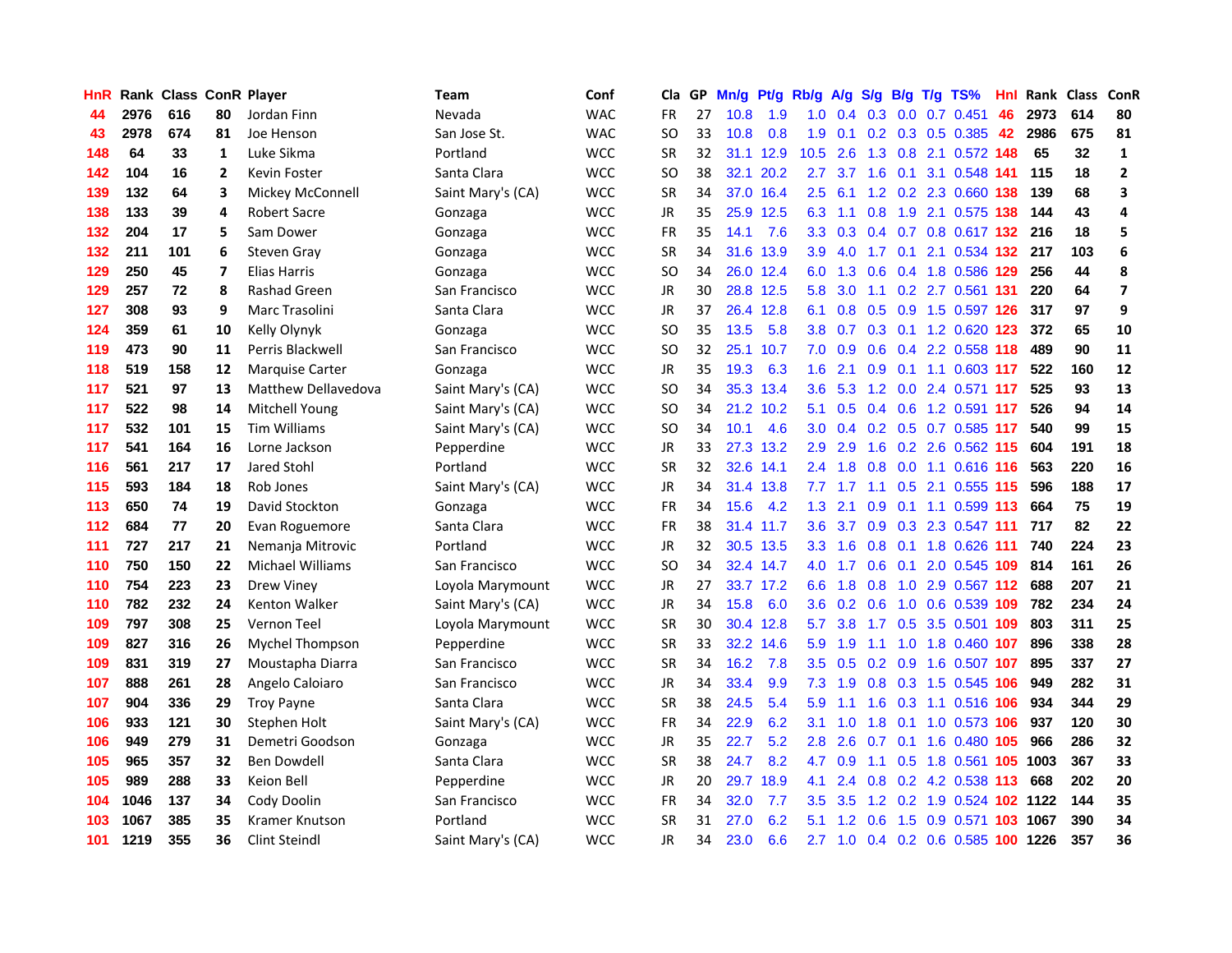| <b>HnR</b> |      | Rank Class ConR Player |                |                            | <b>Team</b>       | Conf       | Cla       |    | GP Mn/g | Pt/g      | Rb/g             | A/g                |               |                 | S/g B/g T/g TS%            | Hnl |      | Rank Class | ConR                    |
|------------|------|------------------------|----------------|----------------------------|-------------------|------------|-----------|----|---------|-----------|------------------|--------------------|---------------|-----------------|----------------------------|-----|------|------------|-------------------------|
| 44         | 2976 | 616                    | 80             | Jordan Finn                | Nevada            | <b>WAC</b> | FR        | 27 | 10.8    | 1.9       | 1.0              | 0.4                | 0.3           | 0.0             | $0.7$ $0.451$              | 46  | 2973 | 614        | 80                      |
| 43         | 2978 | 674                    | 81             | Joe Henson                 | San Jose St.      | <b>WAC</b> | SO.       | 33 | 10.8    | 0.8       | 1.9              | 0.1                | 0.2           | 0.3             | 0.5 0.385                  | 42  | 2986 | 675        | 81                      |
| 148        | 64   | 33                     | 1              | Luke Sikma                 | Portland          | <b>WCC</b> | <b>SR</b> | 32 | 31.1    | 12.9      | 10.5             | 2.6                | 1.3           | 0.8             | 2.1 0.572 148              |     | 65   | 32         | $\mathbf{1}$            |
| 142        | 104  | 16                     | $\overline{2}$ | <b>Kevin Foster</b>        | Santa Clara       | <b>WCC</b> | <b>SO</b> | 38 |         | 32.1 20.2 | 2.7              | 3.7                | 1.6           | 0.1             | 3.1 0.548 141              |     | 115  | 18         | $\mathbf{2}$            |
| 139        | 132  | 64                     | 3              | Mickey McConnell           | Saint Mary's (CA) | <b>WCC</b> | <b>SR</b> | 34 |         | 37.0 16.4 |                  | $2.5$ 6.1          |               |                 | 1.2 0.2 2.3 0.660 138      |     | 139  | 68         | 3                       |
| 138        | 133  | 39                     | 4              | Robert Sacre               | Gonzaga           | <b>WCC</b> | JR        | 35 |         | 25.9 12.5 | 6.3              | 1.1                | 0.8           |                 | 1.9 2.1 0.575 138          |     | 144  | 43         | 4                       |
| 132        | 204  | 17                     | 5              | Sam Dower                  | Gonzaga           | <b>WCC</b> | FR        | 35 | 14.1    | 7.6       | 3.3 <sub>2</sub> | 0.3                |               |                 | 0.4 0.7 0.8 0.617 132      |     | 216  | 18         | 5                       |
| 132        | 211  | 101                    | 6              | <b>Steven Gray</b>         | Gonzaga           | <b>WCC</b> | <b>SR</b> | 34 |         | 31.6 13.9 | 3.9              | 4.0                | 1.7           | 0.1             | 2.1 0.534 132              |     | 217  | 103        | 6                       |
| 129        | 250  | 45                     | 7              | <b>Elias Harris</b>        | Gonzaga           | <b>WCC</b> | <b>SO</b> | 34 | 26.0    | 12.4      | 6.0              | 1.3                | 0.6           |                 | 0.4 1.8 0.586              | 129 | 256  | 44         | 8                       |
| 129        | 257  | 72                     | 8              | <b>Rashad Green</b>        | San Francisco     | <b>WCC</b> | JR        | 30 |         | 28.8 12.5 | 5.8              | 3.0                | 1.1           |                 | $0.2$ 2.7 $0.561$          | 131 | 220  | 64         | $\overline{\mathbf{z}}$ |
| 127        | 308  | 93                     | 9              | Marc Trasolini             | Santa Clara       | <b>WCC</b> | JR        | 37 |         | 26.4 12.8 | 6.1              | 0.8                |               |                 | 0.5 0.9 1.5 0.597          | 126 | 317  | 97         | 9                       |
| 124        | 359  | 61                     | 10             | Kelly Olynyk               | Gonzaga           | <b>WCC</b> | SO.       | 35 | 13.5    | 5.8       | 3.8              | 0.7                |               | $0.3 \quad 0.1$ | 1.2 0.620                  | 123 | 372  | 65         | 10                      |
| 119        | 473  | 90                     | 11             | Perris Blackwell           | San Francisco     | <b>WCC</b> | SO.       | 32 |         | 25.1 10.7 | 7.0              | 0.9                | 0.6           | 0.4             | 2.2 0.558                  | 118 | 489  | 90         | 11                      |
| 118        | 519  | 158                    | 12             | <b>Marquise Carter</b>     | Gonzaga           | <b>WCC</b> | <b>JR</b> | 35 | 19.3    | 6.3       | 1.6              | 2.1                | 0.9           |                 | $0.1$ 1.1 0.603 117        |     | 522  | 160        | 12                      |
| 117        | 521  | 97                     | 13             | <b>Matthew Dellavedova</b> | Saint Mary's (CA) | <b>WCC</b> | <b>SO</b> | 34 |         | 35.3 13.4 | 3.6              | 5.3                | 1.2           | 0.0             | 2.4 0.571 117              |     | 525  | 93         | 13                      |
| 117        | 522  | 98                     | 14             | Mitchell Young             | Saint Mary's (CA) | <b>WCC</b> | <b>SO</b> | 34 |         | 21.2 10.2 | 5.1              | 0.5                |               |                 | 0.4 0.6 1.2 0.591 117      |     | 526  | 94         | 14                      |
| 117        | 532  | 101                    | 15             | <b>Tim Williams</b>        | Saint Mary's (CA) | <b>WCC</b> | <b>SO</b> | 34 | 10.1    | 4.6       | 3.0 <sub>2</sub> |                    |               |                 | 0.4 0.2 0.5 0.7 0.585 117  |     | 540  | 99         | 15                      |
| 117        | 541  | 164                    | 16             | Lorne Jackson              | Pepperdine        | <b>WCC</b> | JR        | 33 |         | 27.3 13.2 | 2.9              | 2.9                |               |                 | 1.6 0.2 2.6 0.562 115      |     | 604  | 191        | 18                      |
| 116        | 561  | 217                    | 17             | Jared Stohl                | Portland          | <b>WCC</b> | <b>SR</b> | 32 |         | 32.6 14.1 |                  | $2.4$ 1.8          |               |                 | 0.8 0.0 1.1 0.616 116      |     | 563  | 220        | 16                      |
| 115        | 593  | 184                    | 18             | Rob Jones                  | Saint Mary's (CA) | <b>WCC</b> | JR        | 34 |         | 31.4 13.8 | 7.7              | 1.7                |               |                 | 1.1 0.5 2.1 0.555 115      |     | 596  | 188        | 17                      |
| 113        | 650  | 74                     | 19             | David Stockton             | Gonzaga           | <b>WCC</b> | FR        | 34 | 15.6    | 4.2       | 1.3              | 2.1                | 0.9           |                 | 0.1 1.1 0.599 113          |     | 664  | 75         | 19                      |
| 112        | 684  | 77                     | 20             | Evan Roguemore             | Santa Clara       | <b>WCC</b> | FR        | 38 |         | 31.4 11.7 | 3.6              | 3.7                |               |                 | 0.9 0.3 2.3 0.547 111      |     | 717  | 82         | 22                      |
| 111        | 727  | 217                    | 21             | Nemanja Mitrovic           | Portland          | <b>WCC</b> | JR        | 32 |         | 30.5 13.5 | 3.3              | 1.6                | 0.8           | 0.1             | 1.8 0.626                  | 111 | 740  | 224        | 23                      |
| 110        | 750  | 150                    | 22             | Michael Williams           | San Francisco     | <b>WCC</b> | SO.       | 34 |         | 32.4 14.7 | 4.0              | 1.7                | 0.6           | 0.1             | 2.0 0.545                  | 109 | 814  | 161        | 26                      |
| 110        | 754  | 223                    | 23             | <b>Drew Viney</b>          | Loyola Marymount  | <b>WCC</b> | <b>JR</b> | 27 |         | 33.7 17.2 | 6.6              | 1.8                | 0.8           | 1.0             | 2.9 0.567 112              |     | 688  | 207        | 21                      |
| 110        | 782  | 232                    | 24             | <b>Kenton Walker</b>       | Saint Mary's (CA) | <b>WCC</b> | <b>JR</b> | 34 | 15.8    | 6.0       | 3.6              | 0.2                | 0.6           | 1.0             | 0.6 0.539 109              |     | 782  | 234        | 24                      |
| 109        | 797  | 308                    | 25             | Vernon Teel                | Loyola Marymount  | <b>WCC</b> | <b>SR</b> | 30 |         | 30.4 12.8 | 5.7              | 3.8                | 1.7           | 0.5             | 3.5 0.501 109              |     | 803  | 311        | 25                      |
| 109        | 827  | 316                    | 26             | Mychel Thompson            | Pepperdine        | <b>WCC</b> | <b>SR</b> | 33 | 32.2    | 14.6      | 5.9              | 1.9                | 1.1           | 1.0             | 1.8 0.460 107              |     | 896  | 338        | 28                      |
| 109        | 831  | 319                    | 27             | Moustapha Diarra           | San Francisco     | <b>WCC</b> | <b>SR</b> | 34 | 16.2    | 7.8       | 3.5              | 0.5                |               | $0.2\quad 0.9$  | 1.6 0.507 107              |     | 895  | 337        | 27                      |
| 107        | 888  | 261                    | 28             | Angelo Caloiaro            | San Francisco     | <b>WCC</b> | JR        | 34 | 33.4    | 9.9       | 7.3              | 1.9                |               |                 | 0.8 0.3 1.5 0.545 106      |     | 949  | 282        | 31                      |
| 107        | 904  | 336                    | 29             | <b>Troy Payne</b>          | Santa Clara       | <b>WCC</b> | <b>SR</b> | 38 | 24.5    | 5.4       | 5.9              | 1.1                |               |                 | 1.6 0.3 1.1 0.516 106      |     | 934  | 344        | 29                      |
| 106        | 933  | 121                    | 30             | Stephen Holt               | Saint Mary's (CA) | <b>WCC</b> | <b>FR</b> | 34 | 22.9    | 6.2       | 3.1              | 1.0                |               |                 | 1.8 0.1 1.0 0.573 106      |     | 937  | 120        | 30                      |
| 106        | 949  | 279                    | 31             | Demetri Goodson            | Gonzaga           | <b>WCC</b> | JR        | 35 | 22.7    | 5.2       | 2.8              | 2.6                | 0.7           |                 | 0.1 1.6 0.480 105          |     | 966  | 286        | 32                      |
| 105        | 965  | 357                    | 32             | Ben Dowdell                | Santa Clara       | <b>WCC</b> | <b>SR</b> | 38 | 24.7    | 8.2       | 4.7              | 0.9                | 1.1           |                 | 0.5 1.8 0.561 105          |     | 1003 | 367        | 33                      |
| 105        | 989  | 288                    | 33             | Keion Bell                 | Pepperdine        | <b>WCC</b> | JR        | 20 |         | 29.7 18.9 | 4.1              | 2.4                | 0.8           |                 | 0.2 4.2 0.538 113          |     | 668  | 202        | 20                      |
| 104        | 1046 | 137                    | 34             | Cody Doolin                | San Francisco     | <b>WCC</b> | <b>FR</b> | 34 | 32.0    | 7.7       | 3.5              | 3.5                | $1.2^{\circ}$ | 0.2             | 1.9 0.524                  | 102 | 1122 | 144        | 35                      |
| 103        | 1067 | 385                    | 35             | Kramer Knutson             | Portland          | <b>WCC</b> | <b>SR</b> | 31 | 27.0    | 6.2       | 5.1              | $\mathbf{2}$<br>-1 | 0.6           | 1.5             | 0.9 0.571                  |     | 1067 | 390        | 34                      |
| 101        | 1219 | 355                    | 36             | <b>Clint Steindl</b>       | Saint Mary's (CA) | <b>WCC</b> | <b>JR</b> | 34 | 23.0    | 6.6       |                  | $2.7$ 1.0          |               |                 | 0.4 0.2 0.6 0.585 100 1226 |     |      | 357        | 36                      |